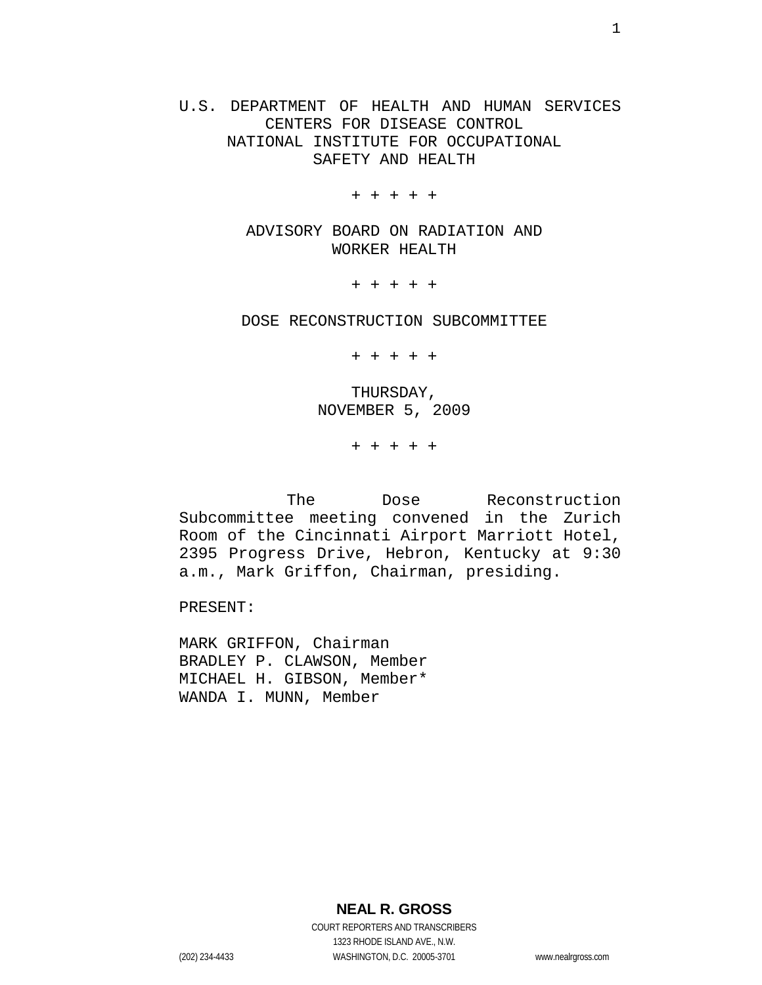U.S. DEPARTMENT OF HEALTH AND HUMAN SERVICES CENTERS FOR DISEASE CONTROL NATIONAL INSTITUTE FOR OCCUPATIONAL SAFETY AND HEALTH

+ + + + +

ADVISORY BOARD ON RADIATION AND WORKER HEALTH

+ + + + +

DOSE RECONSTRUCTION SUBCOMMITTEE

+ + + + +

THURSDAY, NOVEMBER 5, 2009

+ + + + +

The Dose Reconstruction Subcommittee meeting convened in the Zurich Room of the Cincinnati Airport Marriott Hotel, 2395 Progress Drive, Hebron, Kentucky at 9:30 a.m., Mark Griffon, Chairman, presiding.

PRESENT:

MARK GRIFFON, Chairman BRADLEY P. CLAWSON, Member MICHAEL H. GIBSON, Member\* WANDA I. MUNN, Member

**NEAL R. GROSS**

COURT REPORTERS AND TRANSCRIBERS 1323 RHODE ISLAND AVE., N.W. (202) 234-4433 WASHINGTON, D.C. 20005-3701 www.nealrgross.com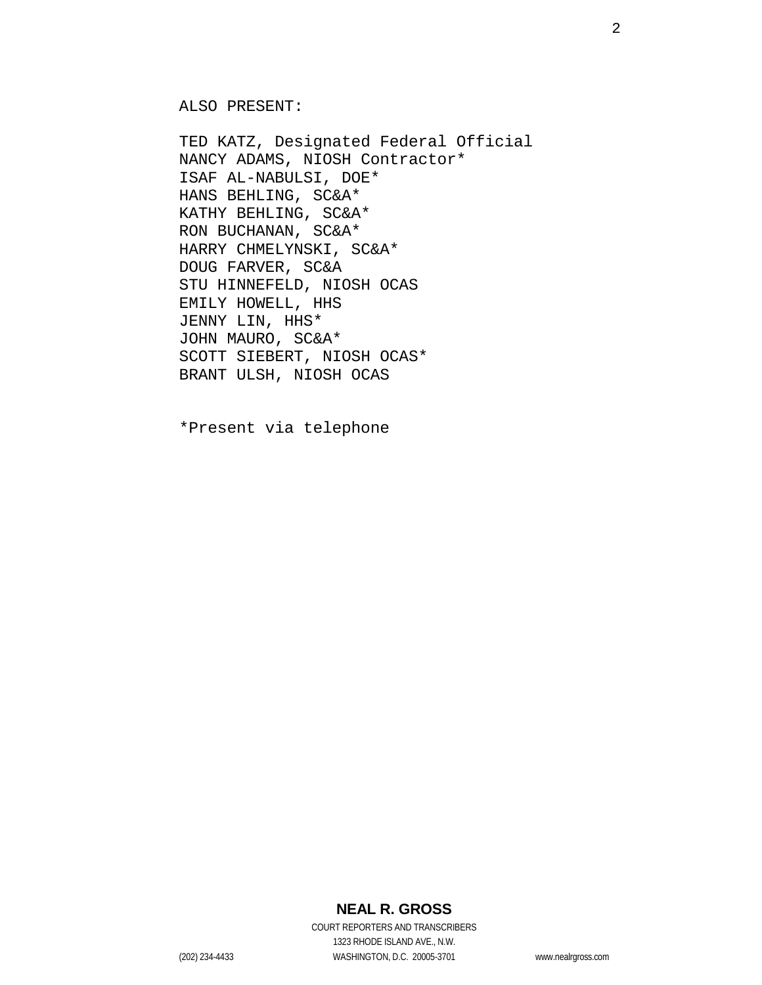ALSO PRESENT:

TED KATZ, Designated Federal Official NANCY ADAMS, NIOSH Contractor\* ISAF AL-NABULSI, DOE\* HANS BEHLING, SC&A\* KATHY BEHLING, SC&A\* RON BUCHANAN, SC&A\* HARRY CHMELYNSKI, SC&A\* DOUG FARVER, SC&A STU HINNEFELD, NIOSH OCAS EMILY HOWELL, HHS JENNY LIN, HHS\* JOHN MAURO, SC&A\* SCOTT SIEBERT, NIOSH OCAS\* BRANT ULSH, NIOSH OCAS

\*Present via telephone

### **NEAL R. GROSS**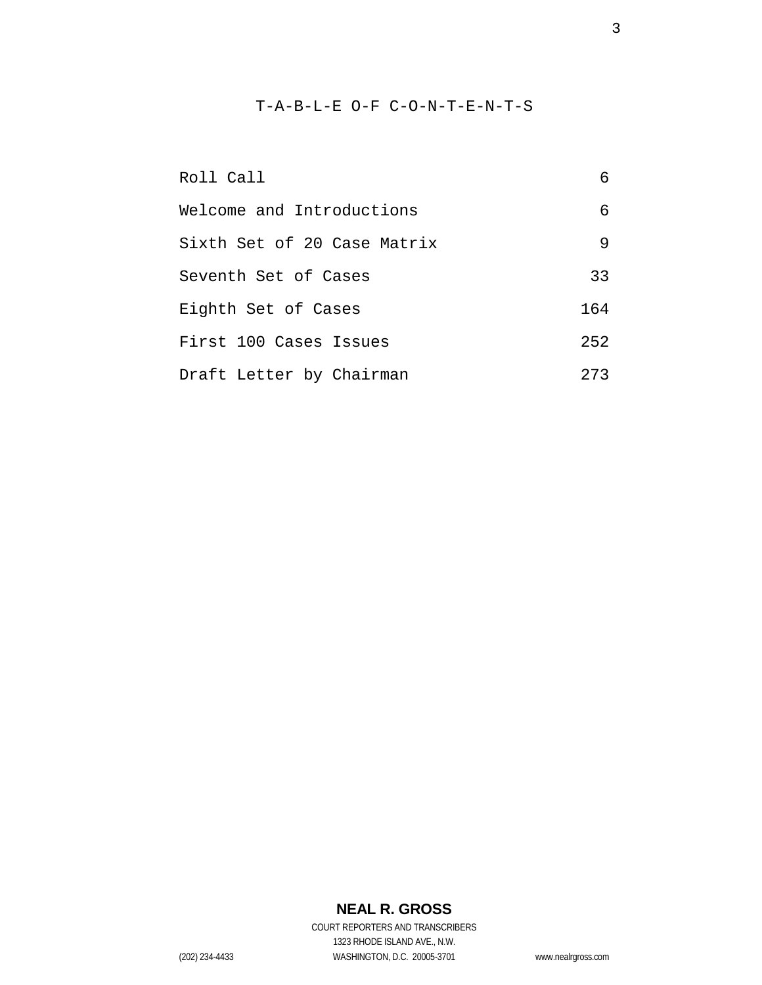### T-A-B-L-E O-F C-O-N-T-E-N-T-S

| Roll Call                   | 6   |
|-----------------------------|-----|
| Welcome and Introductions   | 6   |
| Sixth Set of 20 Case Matrix | 9   |
| Seventh Set of Cases        | 33  |
| Eighth Set of Cases         | 164 |
| First 100 Cases Issues      | 252 |
| Draft Letter by Chairman    | 273 |

# **NEAL R. GROSS**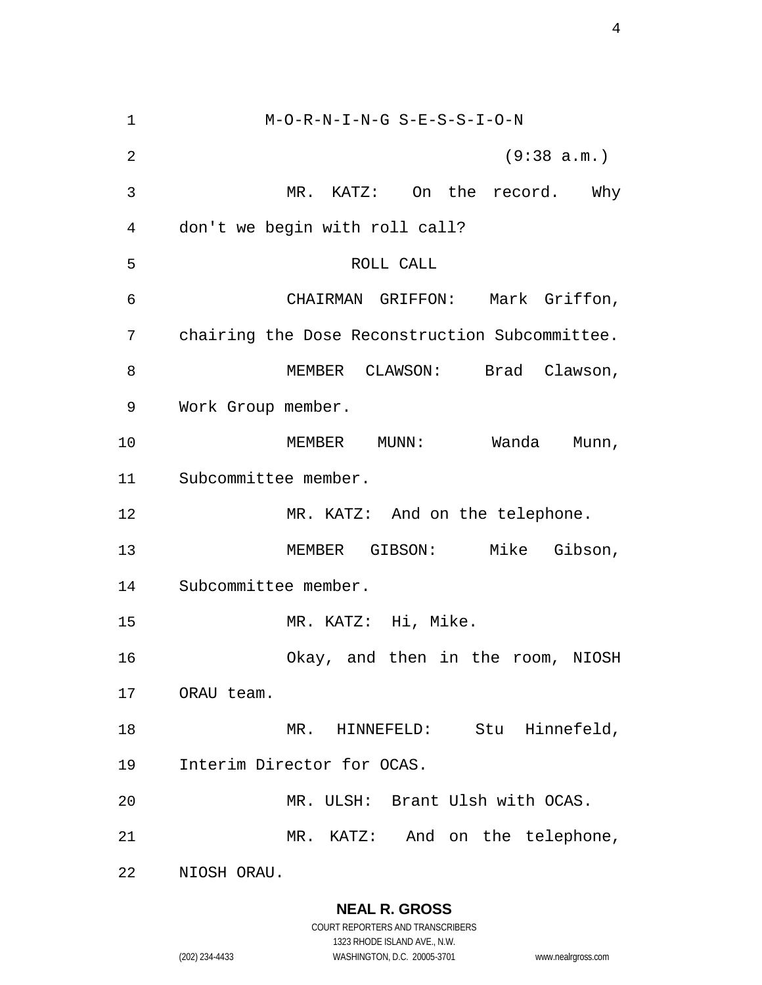M-O-R-N-I-N-G S-E-S-S-I-O-N (9:38 a.m.) MR. KATZ: On the record. Why don't we begin with roll call? ROLL CALL CHAIRMAN GRIFFON: Mark Griffon, chairing the Dose Reconstruction Subcommittee. 8 MEMBER CLAWSON: Brad Clawson, Work Group member. MEMBER MUNN: Wanda Munn, Subcommittee member. 12 MR. KATZ: And on the telephone. MEMBER GIBSON: Mike Gibson, Subcommittee member. MR. KATZ: Hi, Mike. Okay, and then in the room, NIOSH ORAU team. 18 MR. HINNEFELD: Stu Hinnefeld, Interim Director for OCAS. MR. ULSH: Brant Ulsh with OCAS. MR. KATZ: And on the telephone, NIOSH ORAU.

**NEAL R. GROSS**

COURT REPORTERS AND TRANSCRIBERS 1323 RHODE ISLAND AVE., N.W. (202) 234-4433 WASHINGTON, D.C. 20005-3701 www.nealrgross.com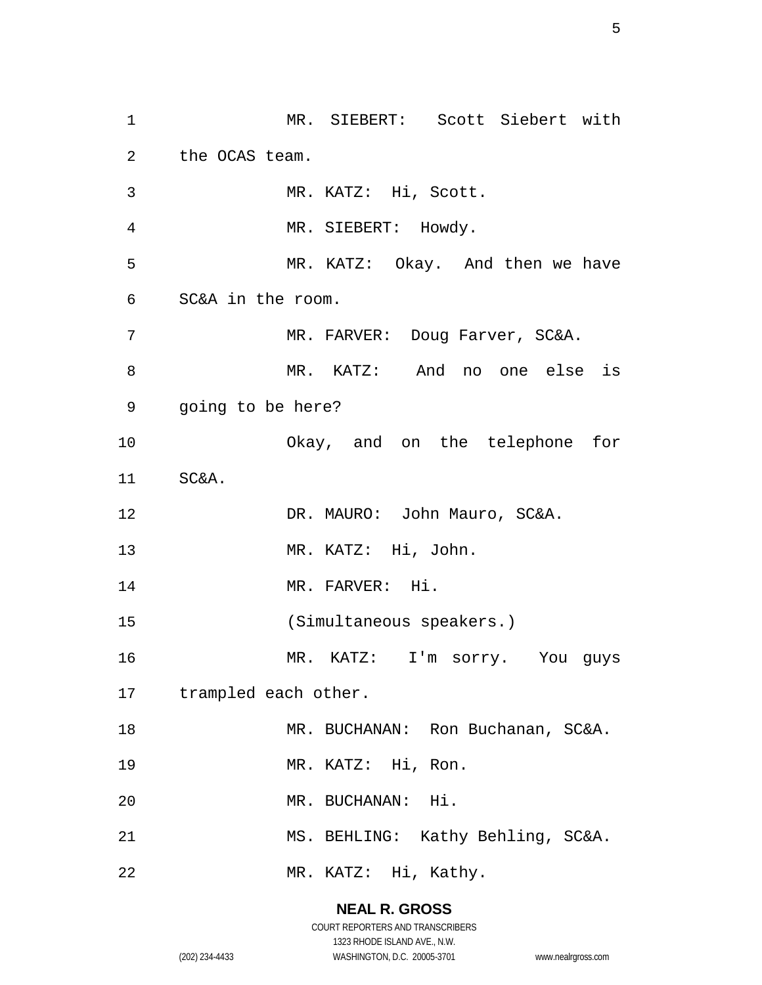MR. SIEBERT: Scott Siebert with the OCAS team. MR. KATZ: Hi, Scott. MR. SIEBERT: Howdy. MR. KATZ: Okay. And then we have SC&A in the room. 7 MR. FARVER: Doug Farver, SC&A. MR. KATZ: And no one else is going to be here? Okay, and on the telephone for SC&A. 12 DR. MAURO: John Mauro, SC&A. MR. KATZ: Hi, John. 14 MR. FARVER: Hi. (Simultaneous speakers.) MR. KATZ: I'm sorry. You guys trampled each other. 18 MR. BUCHANAN: Ron Buchanan, SC&A. MR. KATZ: Hi, Ron. MR. BUCHANAN: Hi. MS. BEHLING: Kathy Behling, SC&A. MR. KATZ: Hi, Kathy.

> **NEAL R. GROSS** COURT REPORTERS AND TRANSCRIBERS

> > 1323 RHODE ISLAND AVE., N.W.

(202) 234-4433 WASHINGTON, D.C. 20005-3701 www.nealrgross.com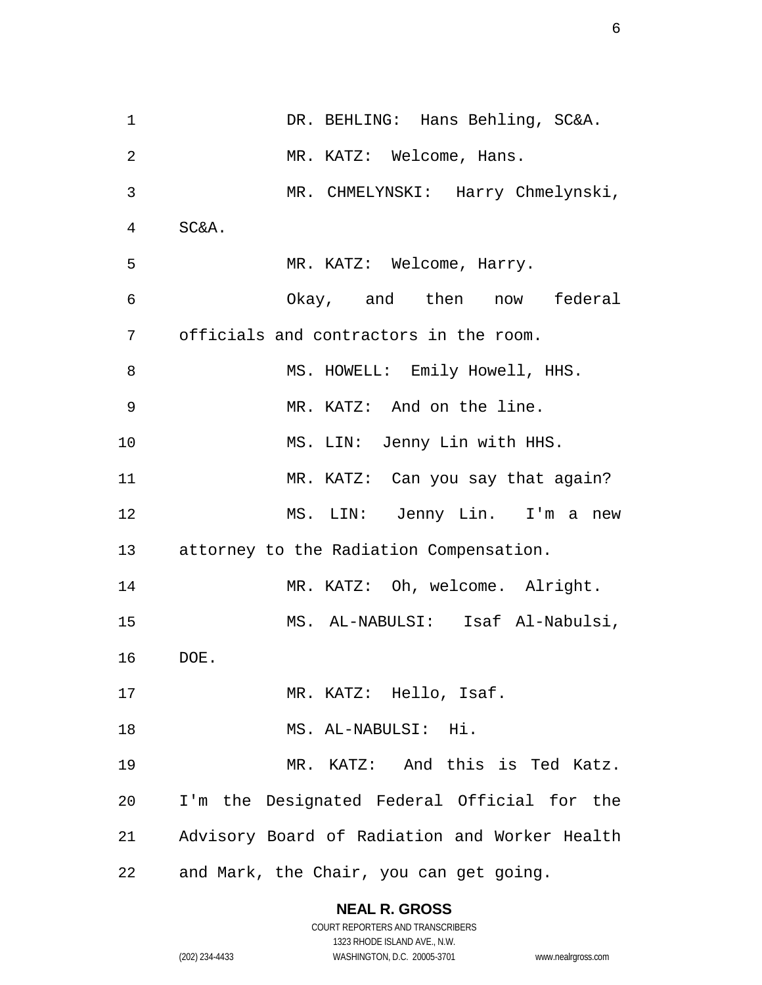1 DR. BEHLING: Hans Behling, SC&A. MR. KATZ: Welcome, Hans. MR. CHMELYNSKI: Harry Chmelynski, SC&A. MR. KATZ: Welcome, Harry. Okay, and then now federal officials and contractors in the room. 8 MS. HOWELL: Emily Howell, HHS. MR. KATZ: And on the line. MS. LIN: Jenny Lin with HHS. MR. KATZ: Can you say that again? MS. LIN: Jenny Lin. I'm a new attorney to the Radiation Compensation. 14 MR. KATZ: Oh, welcome. Alright. MS. AL-NABULSI: Isaf Al-Nabulsi, DOE. 17 MR. KATZ: Hello, Isaf. MS. AL-NABULSI: Hi. MR. KATZ: And this is Ted Katz. I'm the Designated Federal Official for the Advisory Board of Radiation and Worker Health and Mark, the Chair, you can get going.

**NEAL R. GROSS**

COURT REPORTERS AND TRANSCRIBERS 1323 RHODE ISLAND AVE., N.W. (202) 234-4433 WASHINGTON, D.C. 20005-3701 www.nealrgross.com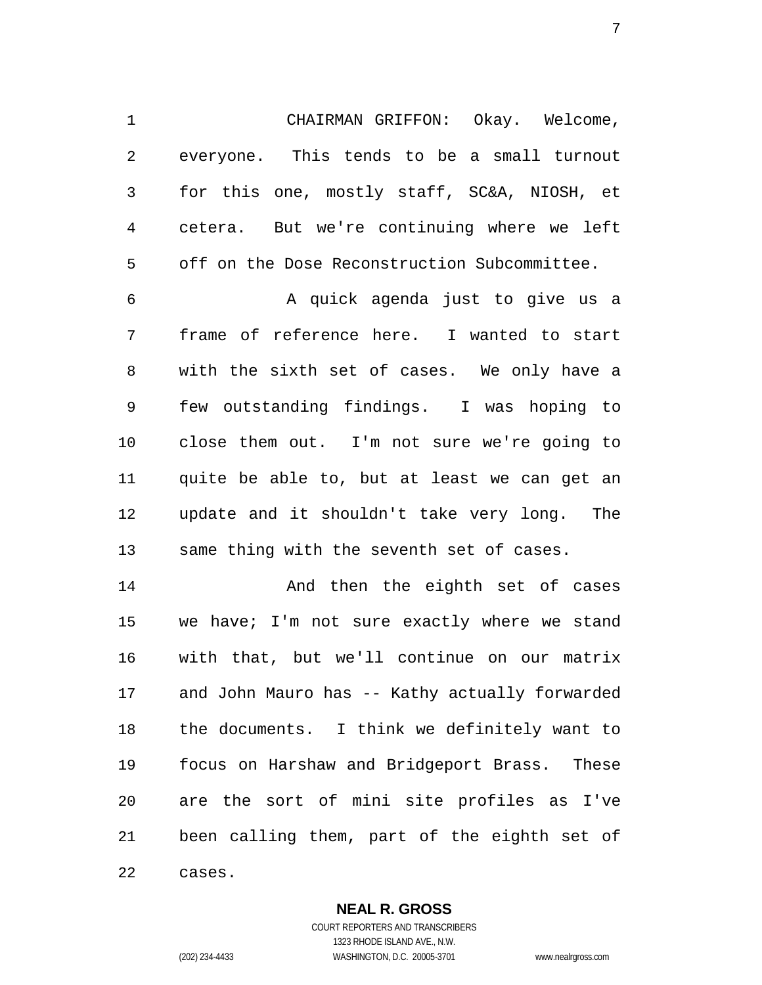CHAIRMAN GRIFFON: Okay. Welcome, everyone. This tends to be a small turnout for this one, mostly staff, SC&A, NIOSH, et cetera. But we're continuing where we left off on the Dose Reconstruction Subcommittee.

 A quick agenda just to give us a frame of reference here. I wanted to start with the sixth set of cases. We only have a few outstanding findings. I was hoping to close them out. I'm not sure we're going to quite be able to, but at least we can get an update and it shouldn't take very long. The same thing with the seventh set of cases.

 And then the eighth set of cases we have; I'm not sure exactly where we stand with that, but we'll continue on our matrix and John Mauro has -- Kathy actually forwarded the documents. I think we definitely want to focus on Harshaw and Bridgeport Brass. These are the sort of mini site profiles as I've been calling them, part of the eighth set of cases.

**NEAL R. GROSS**

COURT REPORTERS AND TRANSCRIBERS 1323 RHODE ISLAND AVE., N.W. (202) 234-4433 WASHINGTON, D.C. 20005-3701 www.nealrgross.com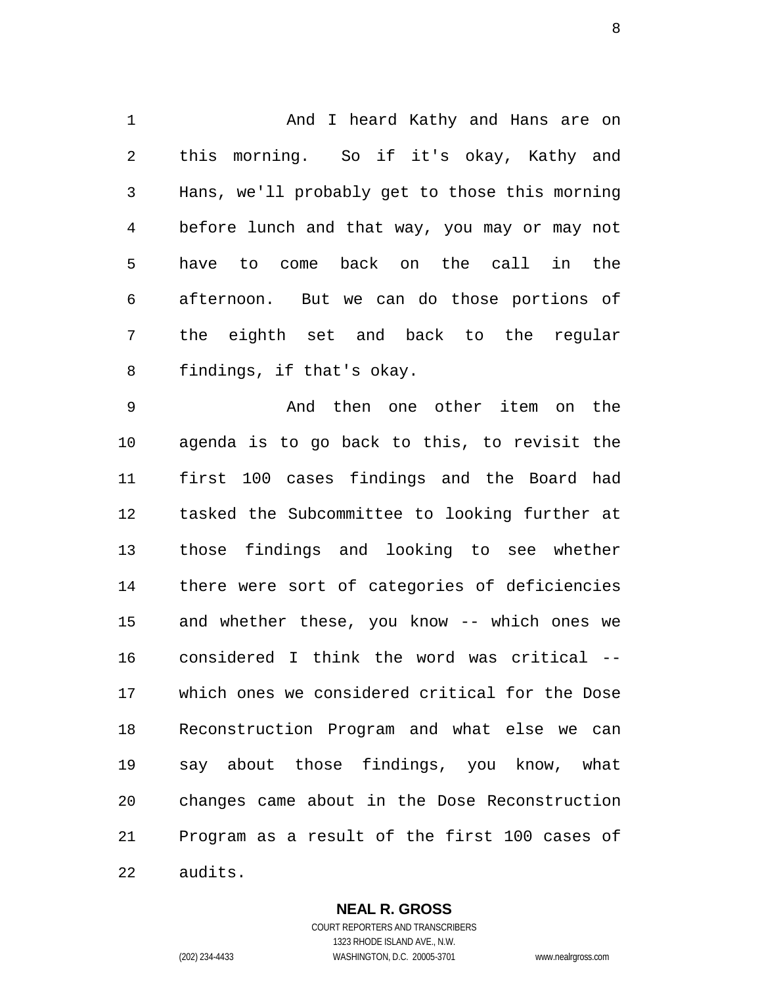And I heard Kathy and Hans are on this morning. So if it's okay, Kathy and Hans, we'll probably get to those this morning before lunch and that way, you may or may not have to come back on the call in the afternoon. But we can do those portions of the eighth set and back to the regular findings, if that's okay.

 And then one other item on the agenda is to go back to this, to revisit the first 100 cases findings and the Board had tasked the Subcommittee to looking further at those findings and looking to see whether there were sort of categories of deficiencies and whether these, you know -- which ones we considered I think the word was critical -- which ones we considered critical for the Dose Reconstruction Program and what else we can say about those findings, you know, what changes came about in the Dose Reconstruction Program as a result of the first 100 cases of audits.

> **NEAL R. GROSS** COURT REPORTERS AND TRANSCRIBERS

1323 RHODE ISLAND AVE., N.W. (202) 234-4433 WASHINGTON, D.C. 20005-3701 www.nealrgross.com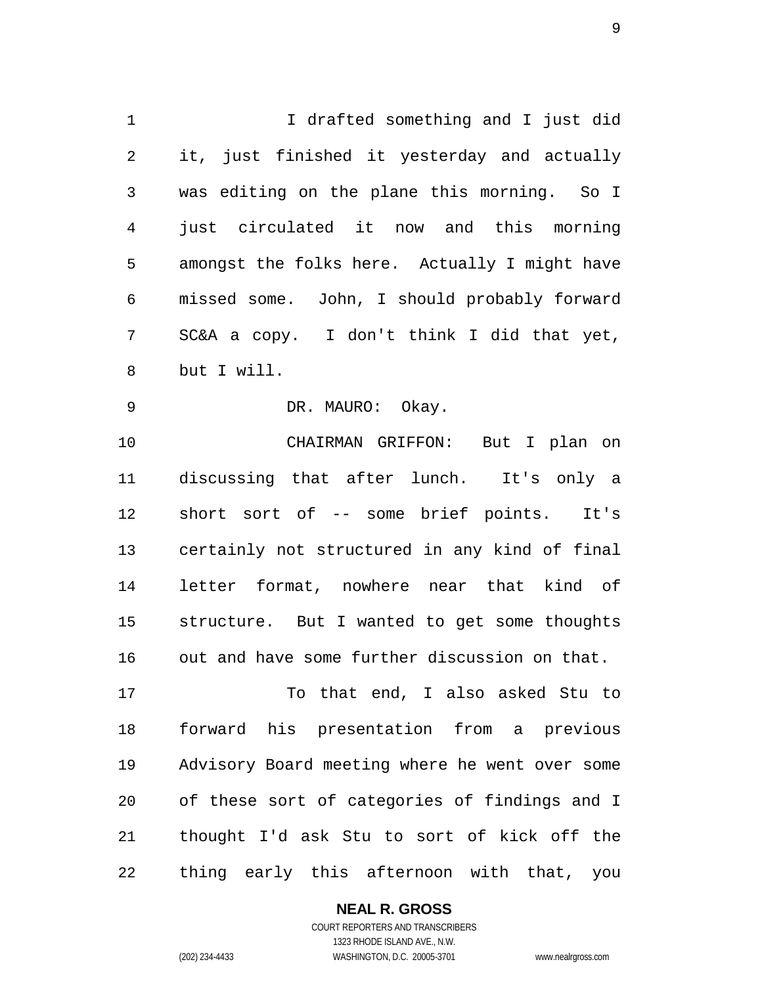I drafted something and I just did it, just finished it yesterday and actually was editing on the plane this morning. So I just circulated it now and this morning amongst the folks here. Actually I might have missed some. John, I should probably forward SC&A a copy. I don't think I did that yet, but I will.

DR. MAURO: Okay.

 CHAIRMAN GRIFFON: But I plan on discussing that after lunch. It's only a short sort of -- some brief points. It's certainly not structured in any kind of final letter format, nowhere near that kind of structure. But I wanted to get some thoughts out and have some further discussion on that.

 To that end, I also asked Stu to forward his presentation from a previous Advisory Board meeting where he went over some of these sort of categories of findings and I thought I'd ask Stu to sort of kick off the thing early this afternoon with that, you

#### **NEAL R. GROSS**

COURT REPORTERS AND TRANSCRIBERS 1323 RHODE ISLAND AVE., N.W. (202) 234-4433 WASHINGTON, D.C. 20005-3701 www.nealrgross.com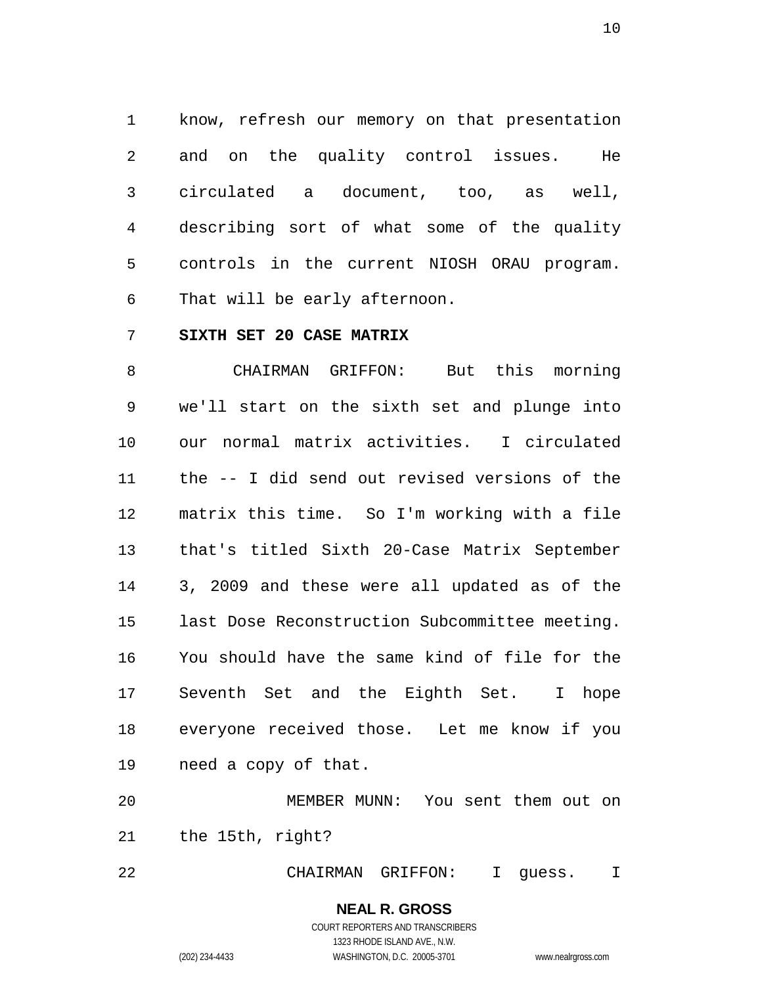know, refresh our memory on that presentation and on the quality control issues. He circulated a document, too, as well, describing sort of what some of the quality controls in the current NIOSH ORAU program. That will be early afternoon.

#### **SIXTH SET 20 CASE MATRIX**

 CHAIRMAN GRIFFON: But this morning we'll start on the sixth set and plunge into our normal matrix activities. I circulated the -- I did send out revised versions of the matrix this time. So I'm working with a file that's titled Sixth 20-Case Matrix September 3, 2009 and these were all updated as of the last Dose Reconstruction Subcommittee meeting. You should have the same kind of file for the Seventh Set and the Eighth Set. I hope everyone received those. Let me know if you need a copy of that.

 MEMBER MUNN: You sent them out on the 15th, right?

CHAIRMAN GRIFFON: I guess. I

### **NEAL R. GROSS** COURT REPORTERS AND TRANSCRIBERS

1323 RHODE ISLAND AVE., N.W. (202) 234-4433 WASHINGTON, D.C. 20005-3701 www.nealrgross.com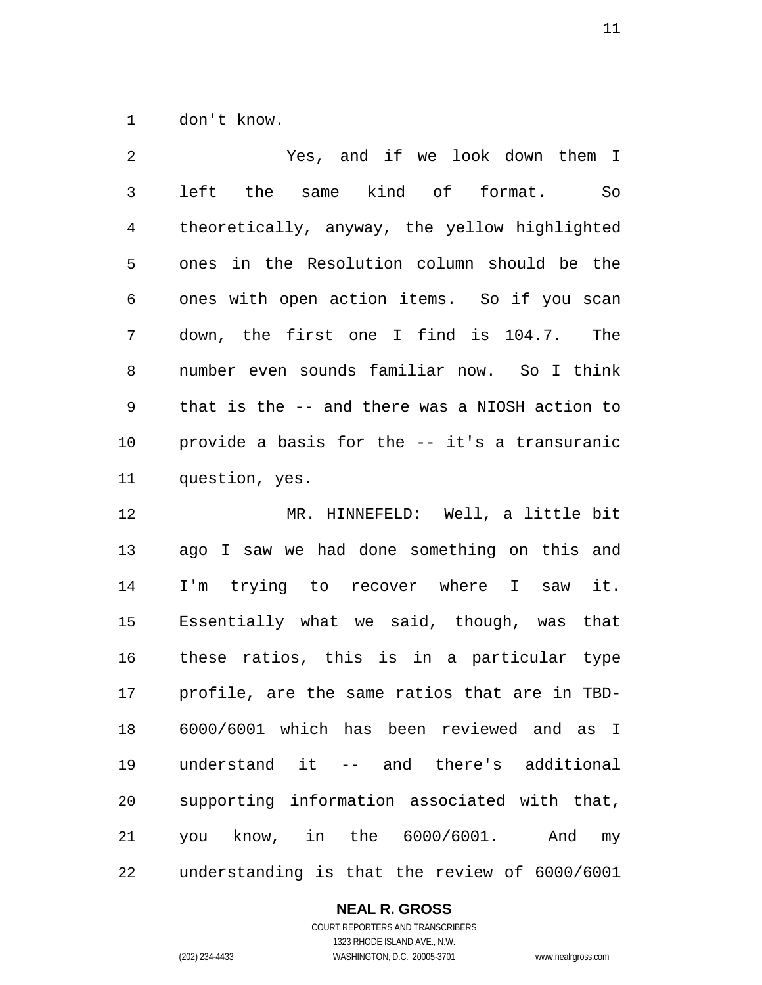don't know.

| 2            | Yes, and if we look down them I                                                                              |
|--------------|--------------------------------------------------------------------------------------------------------------|
| $\mathsf{3}$ | left the same kind of format.<br>So                                                                          |
| 4            | theoretically, anyway, the yellow highlighted                                                                |
| 5            | ones in the Resolution column should be the                                                                  |
| 6            | ones with open action items. So if you scan                                                                  |
| 7            | down, the first one I find is 104.7. The                                                                     |
| 8            | number even sounds familiar now. So I think                                                                  |
| 9            | that is the -- and there was a NIOSH action to                                                               |
| 10           | provide a basis for the -- it's a transuranic                                                                |
| 11           | question, yes.                                                                                               |
| 12           | MR. HINNEFELD: Well, a little bit                                                                            |
| 13           | ago I saw we had done something on this and                                                                  |
| $\mathbf{A}$ | - 누가 Andreas Andreas Andreas Andreas Andreas Andreas Andreas Andreas Andreas Andreas Andreas Andreas Andreas |

 I'm trying to recover where I saw it. Essentially what we said, though, was that these ratios, this is in a particular type profile, are the same ratios that are in TBD- 6000/6001 which has been reviewed and as I understand it -- and there's additional supporting information associated with that, you know, in the 6000/6001. And my understanding is that the review of 6000/6001

#### **NEAL R. GROSS**

COURT REPORTERS AND TRANSCRIBERS 1323 RHODE ISLAND AVE., N.W. (202) 234-4433 WASHINGTON, D.C. 20005-3701 www.nealrgross.com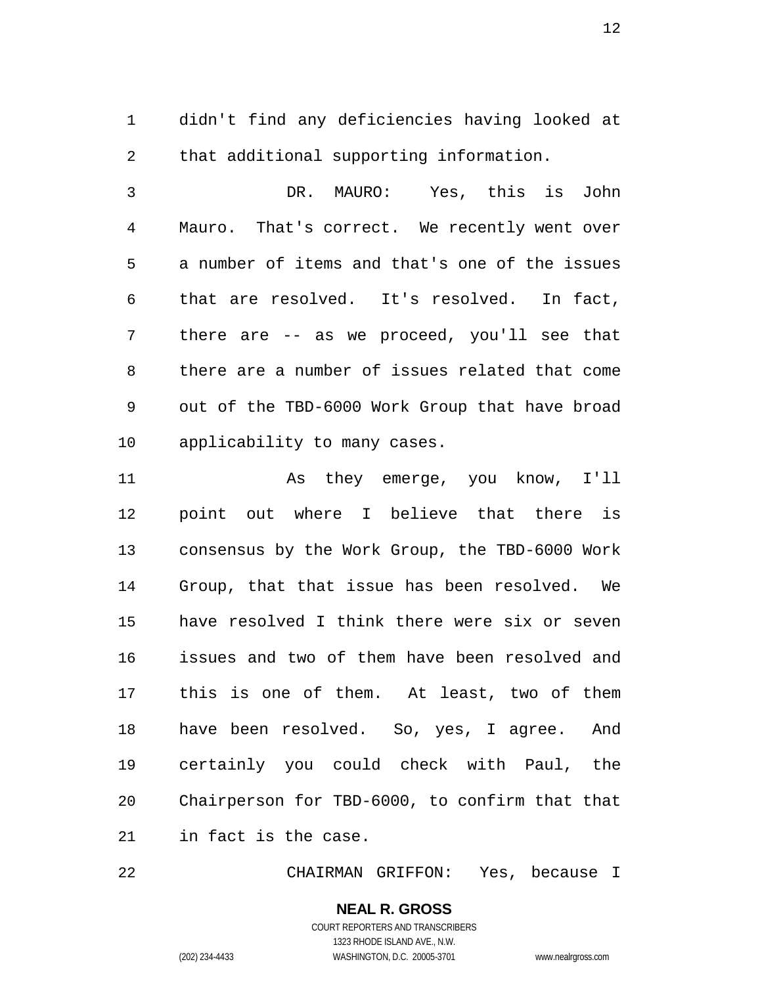didn't find any deficiencies having looked at that additional supporting information.

 DR. MAURO: Yes, this is John Mauro. That's correct. We recently went over a number of items and that's one of the issues that are resolved. It's resolved. In fact, there are -- as we proceed, you'll see that there are a number of issues related that come out of the TBD-6000 Work Group that have broad applicability to many cases.

 As they emerge, you know, I'll point out where I believe that there is consensus by the Work Group, the TBD-6000 Work Group, that that issue has been resolved. We have resolved I think there were six or seven issues and two of them have been resolved and this is one of them. At least, two of them have been resolved. So, yes, I agree. And certainly you could check with Paul, the Chairperson for TBD-6000, to confirm that that in fact is the case.

CHAIRMAN GRIFFON: Yes, because I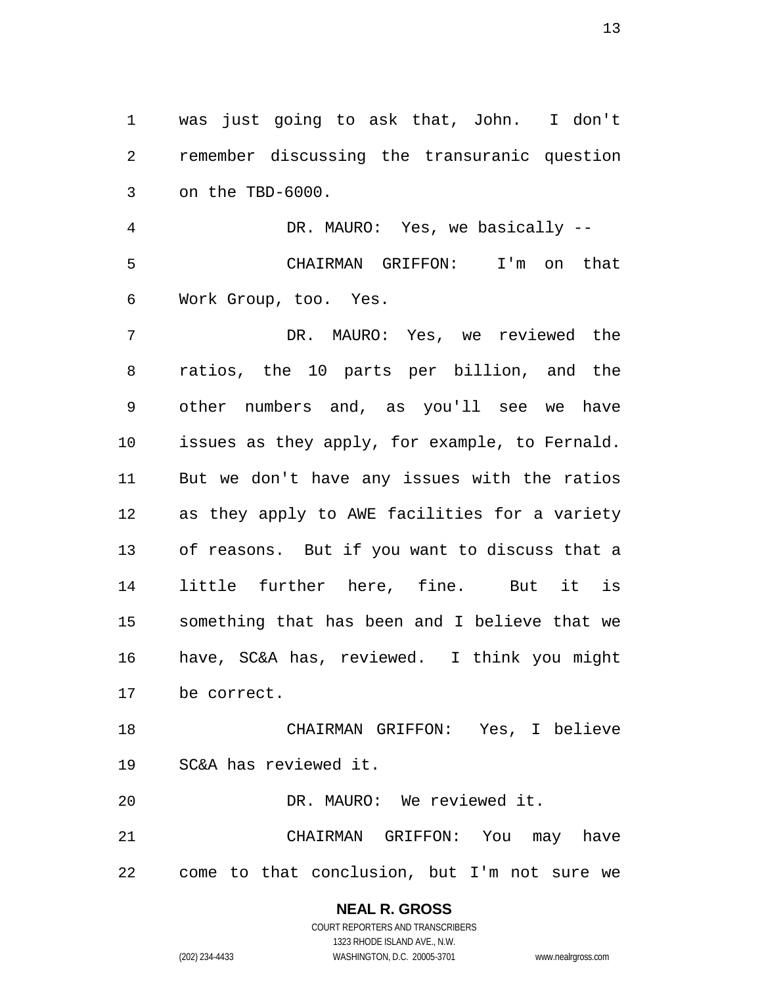was just going to ask that, John. I don't remember discussing the transuranic question on the TBD-6000.

 DR. MAURO: Yes, we basically -- CHAIRMAN GRIFFON: I'm on that Work Group, too. Yes.

 DR. MAURO: Yes, we reviewed the ratios, the 10 parts per billion, and the other numbers and, as you'll see we have issues as they apply, for example, to Fernald. But we don't have any issues with the ratios as they apply to AWE facilities for a variety of reasons. But if you want to discuss that a little further here, fine. But it is something that has been and I believe that we have, SC&A has, reviewed. I think you might be correct.

 CHAIRMAN GRIFFON: Yes, I believe SC&A has reviewed it.

DR. MAURO: We reviewed it.

 CHAIRMAN GRIFFON: You may have come to that conclusion, but I'm not sure we

# **NEAL R. GROSS**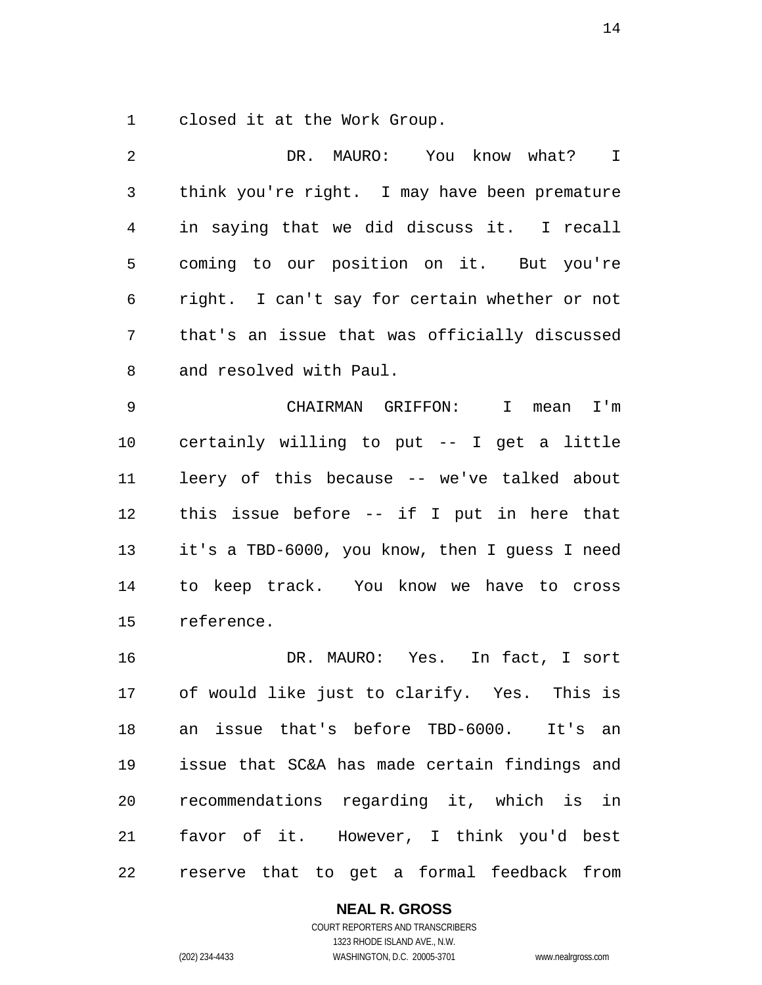closed it at the Work Group.

 DR. MAURO: You know what? I think you're right. I may have been premature in saying that we did discuss it. I recall coming to our position on it. But you're right. I can't say for certain whether or not that's an issue that was officially discussed and resolved with Paul. CHAIRMAN GRIFFON: I mean I'm certainly willing to put -- I get a little leery of this because -- we've talked about this issue before -- if I put in here that it's a TBD-6000, you know, then I guess I need to keep track. You know we have to cross reference. DR. MAURO: Yes. In fact, I sort of would like just to clarify. Yes. This is an issue that's before TBD-6000. It's an issue that SC&A has made certain findings and recommendations regarding it, which is in

reserve that to get a formal feedback from

favor of it. However, I think you'd best

## **NEAL R. GROSS**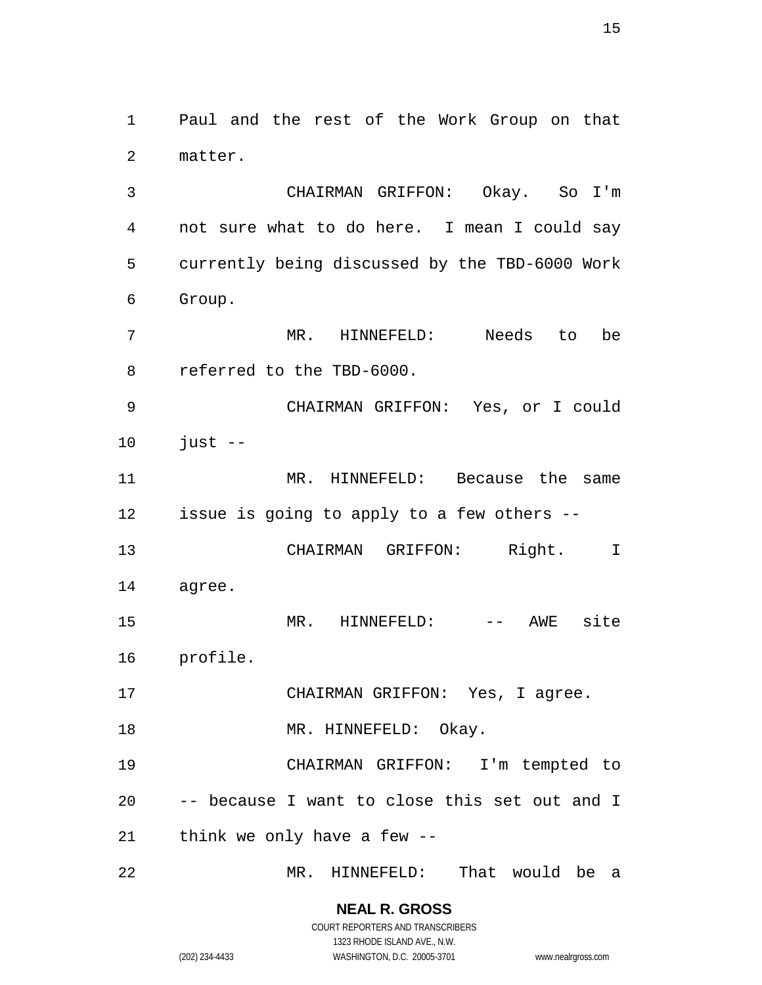Paul and the rest of the Work Group on that matter.

 CHAIRMAN GRIFFON: Okay. So I'm not sure what to do here. I mean I could say currently being discussed by the TBD-6000 Work Group.

 MR. HINNEFELD: Needs to be referred to the TBD-6000.

 CHAIRMAN GRIFFON: Yes, or I could just  $-$ 

 MR. HINNEFELD: Because the same issue is going to apply to a few others --

 CHAIRMAN GRIFFON: Right. I agree.

MR. HINNEFELD: -- AWE site

profile.

CHAIRMAN GRIFFON: Yes, I agree.

18 MR. HINNEFELD: Okay.

 CHAIRMAN GRIFFON: I'm tempted to -- because I want to close this set out and I think we only have a few --

MR. HINNEFELD: That would be a

**NEAL R. GROSS** COURT REPORTERS AND TRANSCRIBERS

1323 RHODE ISLAND AVE., N.W. (202) 234-4433 WASHINGTON, D.C. 20005-3701 www.nealrgross.com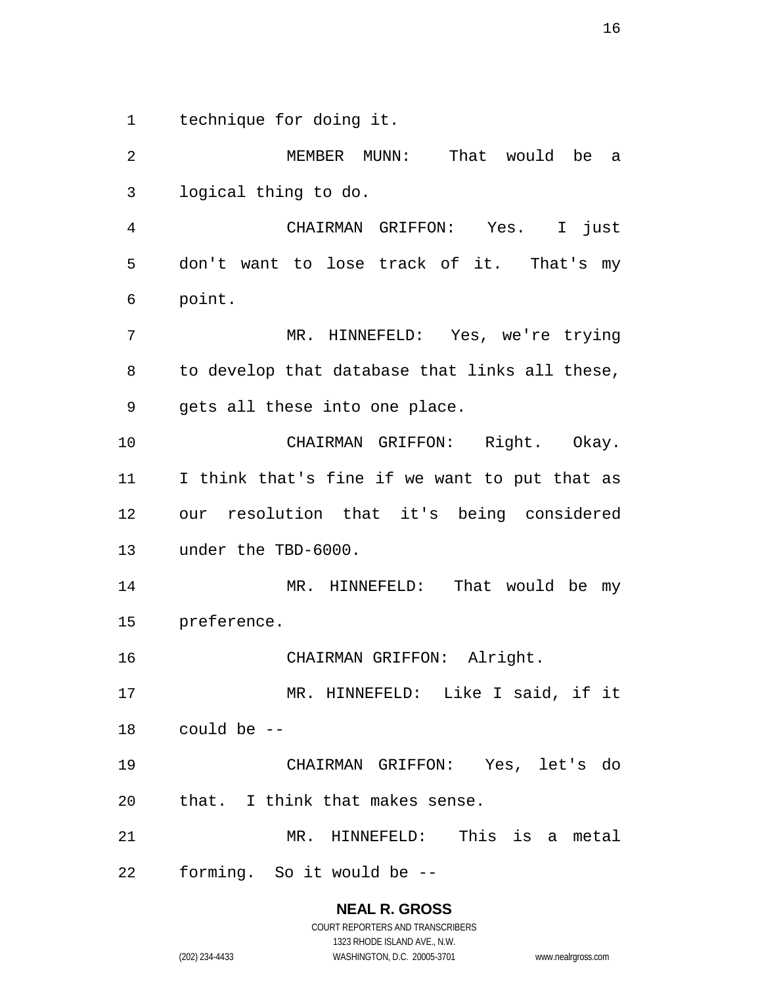technique for doing it.

 MEMBER MUNN: That would be a logical thing to do. CHAIRMAN GRIFFON: Yes. I just don't want to lose track of it. That's my point. MR. HINNEFELD: Yes, we're trying to develop that database that links all these, gets all these into one place. CHAIRMAN GRIFFON: Right. Okay. I think that's fine if we want to put that as our resolution that it's being considered under the TBD-6000. MR. HINNEFELD: That would be my preference. CHAIRMAN GRIFFON: Alright. MR. HINNEFELD: Like I said, if it could be -- CHAIRMAN GRIFFON: Yes, let's do that. I think that makes sense. MR. HINNEFELD: This is a metal forming. So it would be --

> **NEAL R. GROSS** COURT REPORTERS AND TRANSCRIBERS

1323 RHODE ISLAND AVE., N.W. (202) 234-4433 WASHINGTON, D.C. 20005-3701 www.nealrgross.com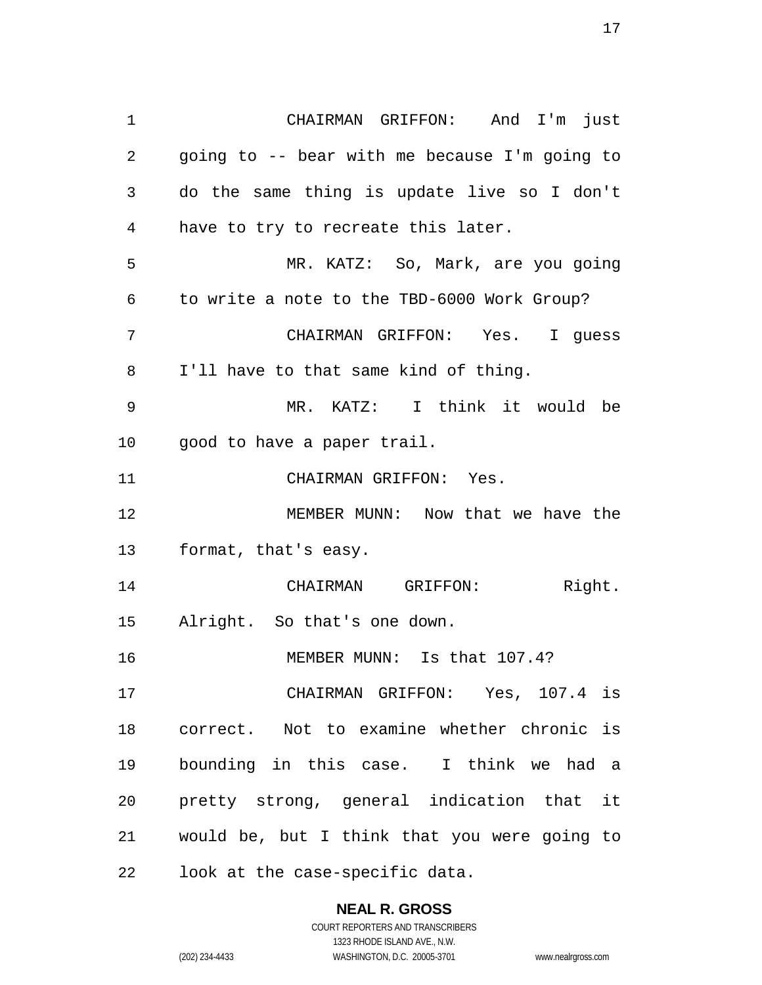CHAIRMAN GRIFFON: And I'm just going to -- bear with me because I'm going to do the same thing is update live so I don't have to try to recreate this later. MR. KATZ: So, Mark, are you going to write a note to the TBD-6000 Work Group? CHAIRMAN GRIFFON: Yes. I guess I'll have to that same kind of thing. MR. KATZ: I think it would be good to have a paper trail. CHAIRMAN GRIFFON: Yes. MEMBER MUNN: Now that we have the format, that's easy. 14 CHAIRMAN GRIFFON: Right. Alright. So that's one down. 16 MEMBER MUNN: Is that 107.4? CHAIRMAN GRIFFON: Yes, 107.4 is correct. Not to examine whether chronic is bounding in this case. I think we had a pretty strong, general indication that it would be, but I think that you were going to look at the case-specific data.

#### **NEAL R. GROSS**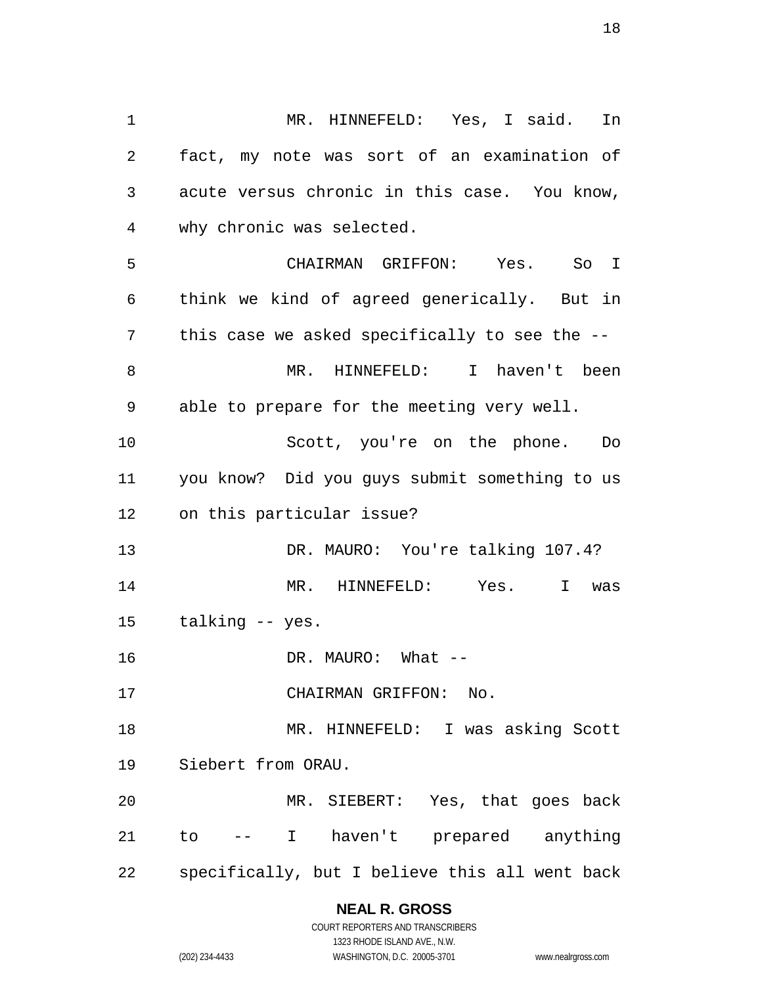MR. HINNEFELD: Yes, I said. In fact, my note was sort of an examination of acute versus chronic in this case. You know, why chronic was selected. CHAIRMAN GRIFFON: Yes. So I think we kind of agreed generically. But in this case we asked specifically to see the -- MR. HINNEFELD: I haven't been able to prepare for the meeting very well. Scott, you're on the phone. Do you know? Did you guys submit something to us on this particular issue? DR. MAURO: You're talking 107.4? MR. HINNEFELD: Yes. I was talking -- yes. 16 DR. MAURO: What --17 CHAIRMAN GRIFFON: No. 18 MR. HINNEFELD: I was asking Scott Siebert from ORAU. MR. SIEBERT: Yes, that goes back to -- I haven't prepared anything specifically, but I believe this all went back

#### **NEAL R. GROSS**

COURT REPORTERS AND TRANSCRIBERS 1323 RHODE ISLAND AVE., N.W. (202) 234-4433 WASHINGTON, D.C. 20005-3701 www.nealrgross.com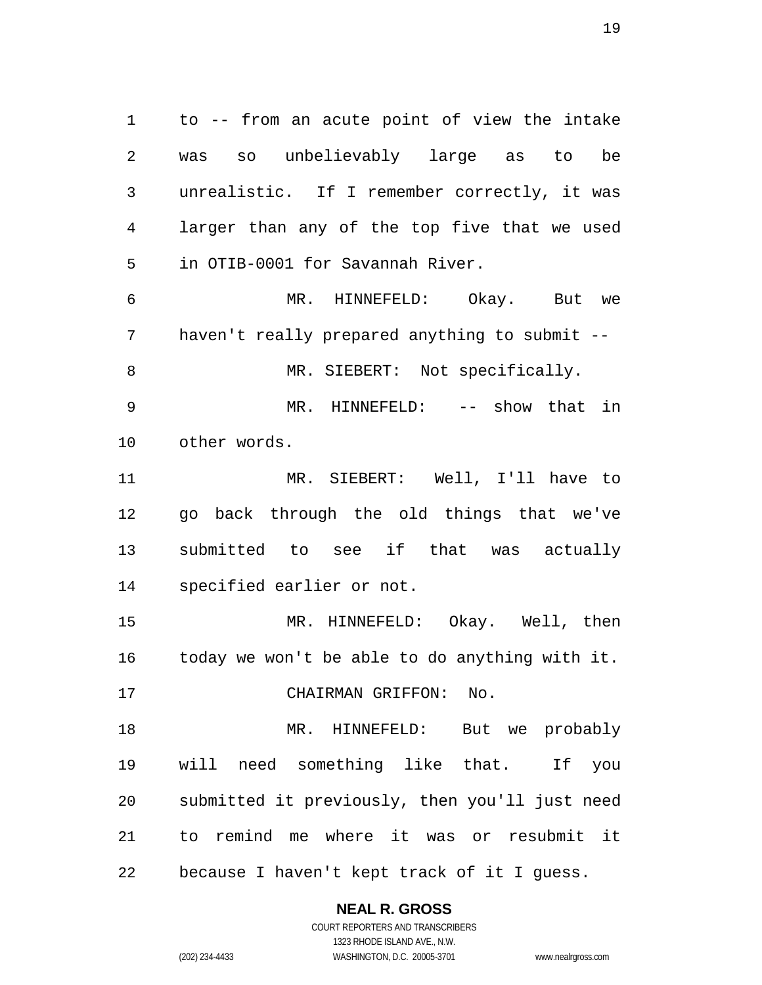to -- from an acute point of view the intake was so unbelievably large as to be unrealistic. If I remember correctly, it was larger than any of the top five that we used in OTIB-0001 for Savannah River. MR. HINNEFELD: Okay. But we haven't really prepared anything to submit -- 8 MR. SIEBERT: Not specifically. 9 MR. HINNEFELD: -- show that in other words. MR. SIEBERT: Well, I'll have to go back through the old things that we've submitted to see if that was actually specified earlier or not. MR. HINNEFELD: Okay. Well, then today we won't be able to do anything with it. CHAIRMAN GRIFFON: No. MR. HINNEFELD: But we probably will need something like that. If you submitted it previously, then you'll just need to remind me where it was or resubmit it

because I haven't kept track of it I guess.

**NEAL R. GROSS** COURT REPORTERS AND TRANSCRIBERS

1323 RHODE ISLAND AVE., N.W. (202) 234-4433 WASHINGTON, D.C. 20005-3701 www.nealrgross.com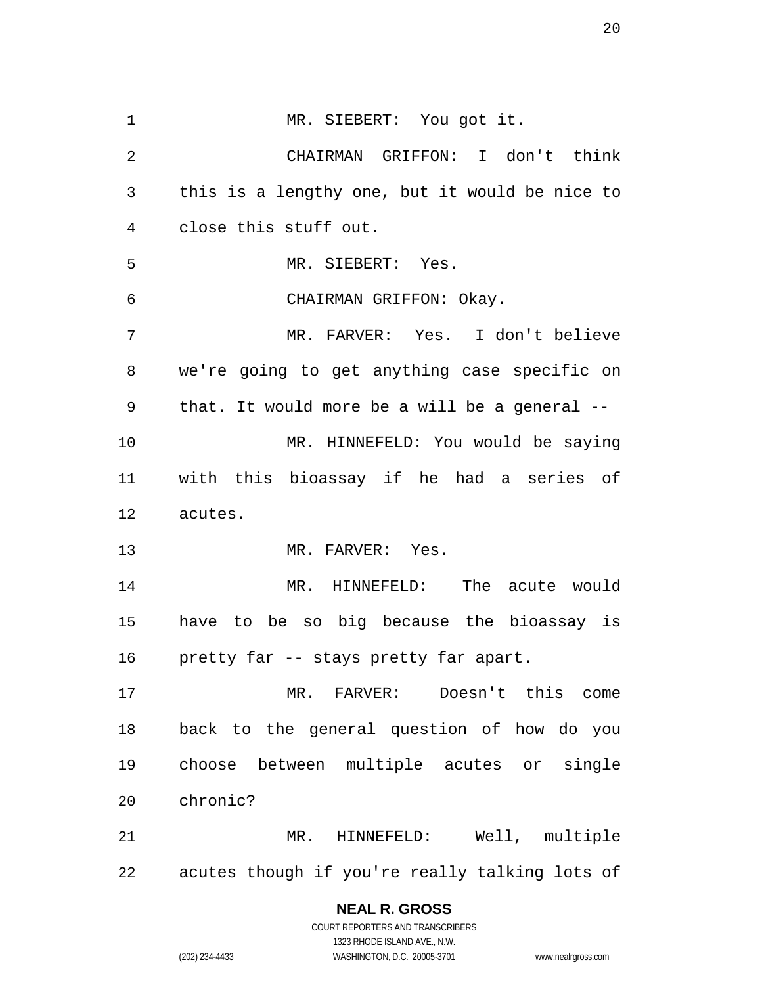MR. SIEBERT: You got it. CHAIRMAN GRIFFON: I don't think this is a lengthy one, but it would be nice to close this stuff out. MR. SIEBERT: Yes. CHAIRMAN GRIFFON: Okay. MR. FARVER: Yes. I don't believe we're going to get anything case specific on that. It would more be a will be a general -- MR. HINNEFELD: You would be saying with this bioassay if he had a series of acutes. 13 MR. FARVER: Yes. MR. HINNEFELD: The acute would have to be so big because the bioassay is pretty far -- stays pretty far apart. MR. FARVER: Doesn't this come back to the general question of how do you choose between multiple acutes or single chronic? MR. HINNEFELD: Well, multiple acutes though if you're really talking lots of

**NEAL R. GROSS**

COURT REPORTERS AND TRANSCRIBERS 1323 RHODE ISLAND AVE., N.W. (202) 234-4433 WASHINGTON, D.C. 20005-3701 www.nealrgross.com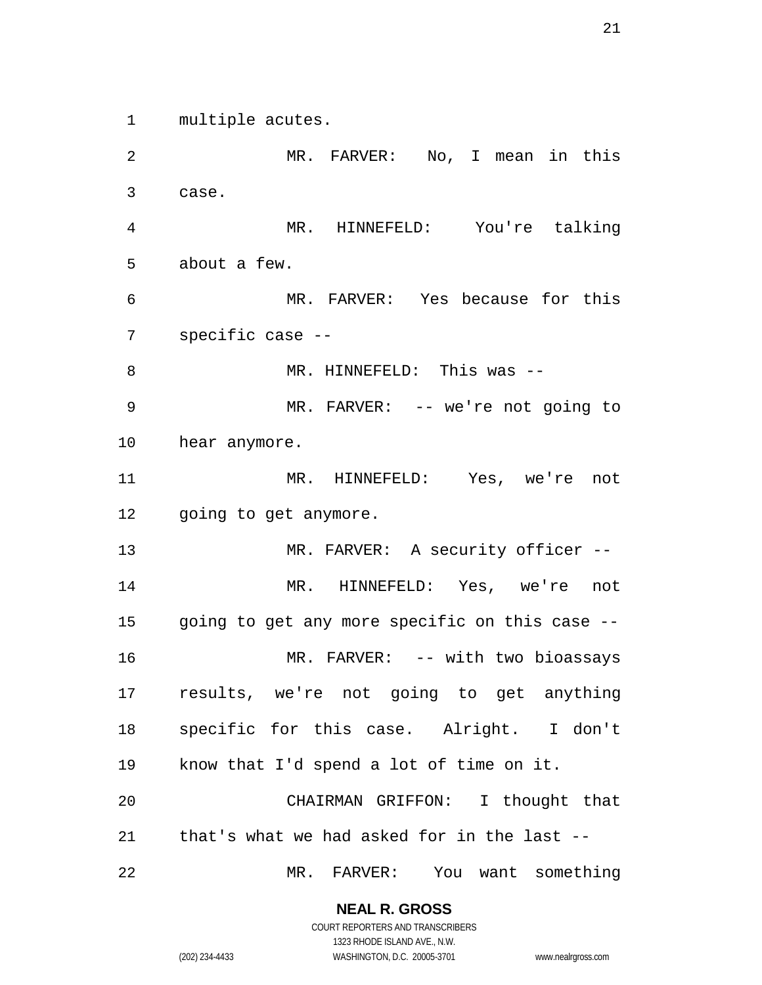multiple acutes.

 MR. FARVER: No, I mean in this case. MR. HINNEFELD: You're talking about a few. MR. FARVER: Yes because for this specific case -- 8 MR. HINNEFELD: This was --9 MR. FARVER: -- we're not going to hear anymore. MR. HINNEFELD: Yes, we're not going to get anymore. 13 MR. FARVER: A security officer -- MR. HINNEFELD: Yes, we're not going to get any more specific on this case -- 16 MR. FARVER: -- with two bioassays results, we're not going to get anything specific for this case. Alright. I don't know that I'd spend a lot of time on it. CHAIRMAN GRIFFON: I thought that that's what we had asked for in the last -- MR. FARVER: You want something

**NEAL R. GROSS**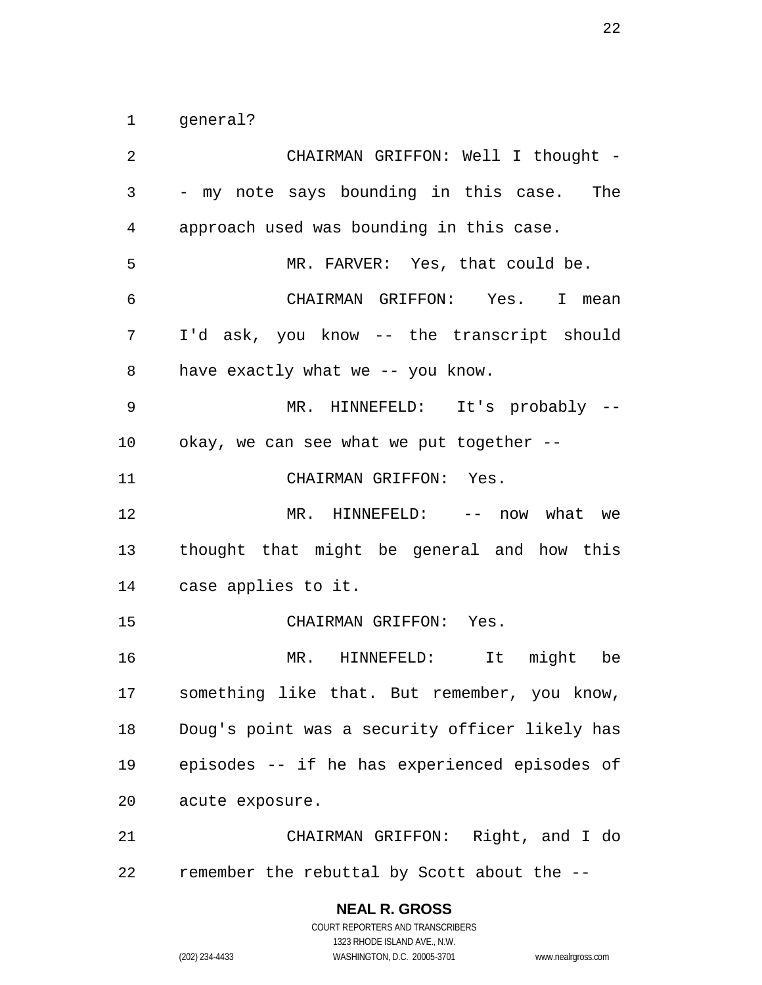general?

 CHAIRMAN GRIFFON: Well I thought - - my note says bounding in this case. The approach used was bounding in this case. MR. FARVER: Yes, that could be. CHAIRMAN GRIFFON: Yes. I mean I'd ask, you know -- the transcript should have exactly what we -- you know. MR. HINNEFELD: It's probably -- okay, we can see what we put together -- CHAIRMAN GRIFFON: Yes. 12 MR. HINNEFELD: -- now what we thought that might be general and how this case applies to it. CHAIRMAN GRIFFON: Yes. MR. HINNEFELD: It might be something like that. But remember, you know, Doug's point was a security officer likely has episodes -- if he has experienced episodes of acute exposure. CHAIRMAN GRIFFON: Right, and I do remember the rebuttal by Scott about the --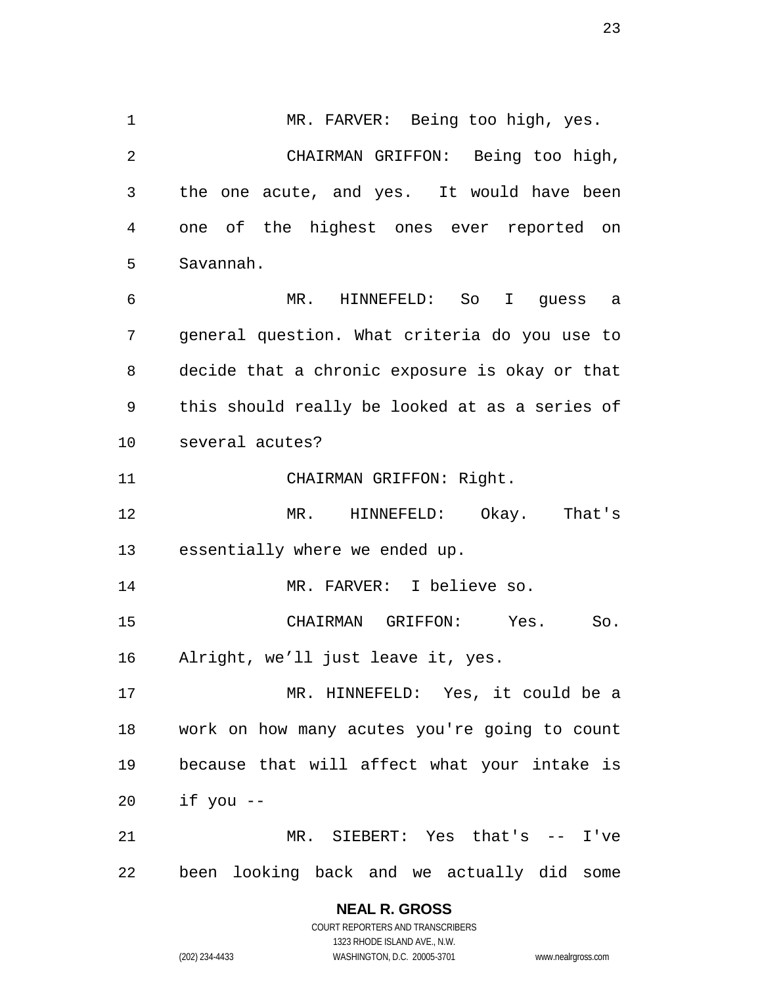1 MR. FARVER: Being too high, yes. CHAIRMAN GRIFFON: Being too high, the one acute, and yes. It would have been one of the highest ones ever reported on Savannah. MR. HINNEFELD: So I guess a general question. What criteria do you use to decide that a chronic exposure is okay or that this should really be looked at as a series of several acutes? 11 CHAIRMAN GRIFFON: Right. MR. HINNEFELD: Okay. That's essentially where we ended up. MR. FARVER: I believe so. CHAIRMAN GRIFFON: Yes. So. Alright, we'll just leave it, yes. MR. HINNEFELD: Yes, it could be a work on how many acutes you're going to count because that will affect what your intake is if you -- MR. SIEBERT: Yes that's -- I've been looking back and we actually did some

## **NEAL R. GROSS**

COURT REPORTERS AND TRANSCRIBERS 1323 RHODE ISLAND AVE., N.W. (202) 234-4433 WASHINGTON, D.C. 20005-3701 www.nealrgross.com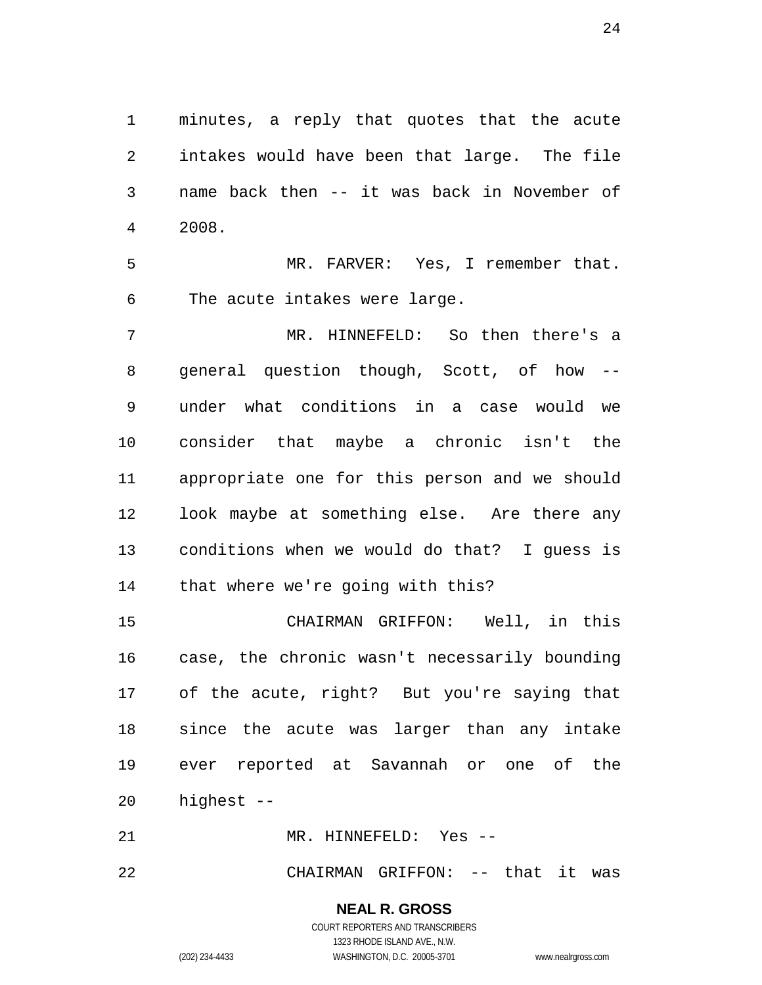minutes, a reply that quotes that the acute intakes would have been that large. The file name back then -- it was back in November of 2008.

 MR. FARVER: Yes, I remember that. The acute intakes were large.

 MR. HINNEFELD: So then there's a general question though, Scott, of how -- under what conditions in a case would we consider that maybe a chronic isn't the appropriate one for this person and we should look maybe at something else. Are there any conditions when we would do that? I guess is that where we're going with this?

 CHAIRMAN GRIFFON: Well, in this case, the chronic wasn't necessarily bounding of the acute, right? But you're saying that since the acute was larger than any intake ever reported at Savannah or one of the highest --

MR. HINNEFELD: Yes --

22 CHAIRMAN GRIFFON: -- that it was

**NEAL R. GROSS**

COURT REPORTERS AND TRANSCRIBERS 1323 RHODE ISLAND AVE., N.W. (202) 234-4433 WASHINGTON, D.C. 20005-3701 www.nealrgross.com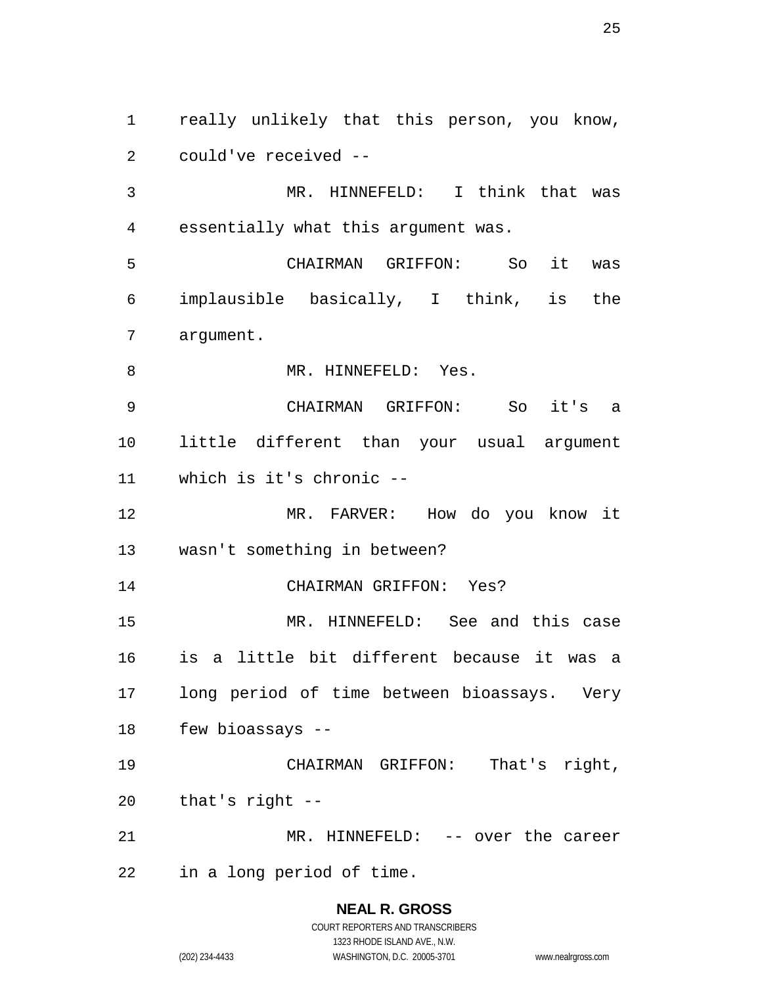really unlikely that this person, you know, could've received -- MR. HINNEFELD: I think that was essentially what this argument was. CHAIRMAN GRIFFON: So it was

 implausible basically, I think, is the argument.

8 MR. HINNEFELD: Yes.

 CHAIRMAN GRIFFON: So it's a little different than your usual argument which is it's chronic --

 MR. FARVER: How do you know it wasn't something in between?

CHAIRMAN GRIFFON: Yes?

 MR. HINNEFELD: See and this case is a little bit different because it was a long period of time between bioassays. Very few bioassays --

 CHAIRMAN GRIFFON: That's right, that's right --

MR. HINNEFELD: -- over the career

in a long period of time.

# **NEAL R. GROSS**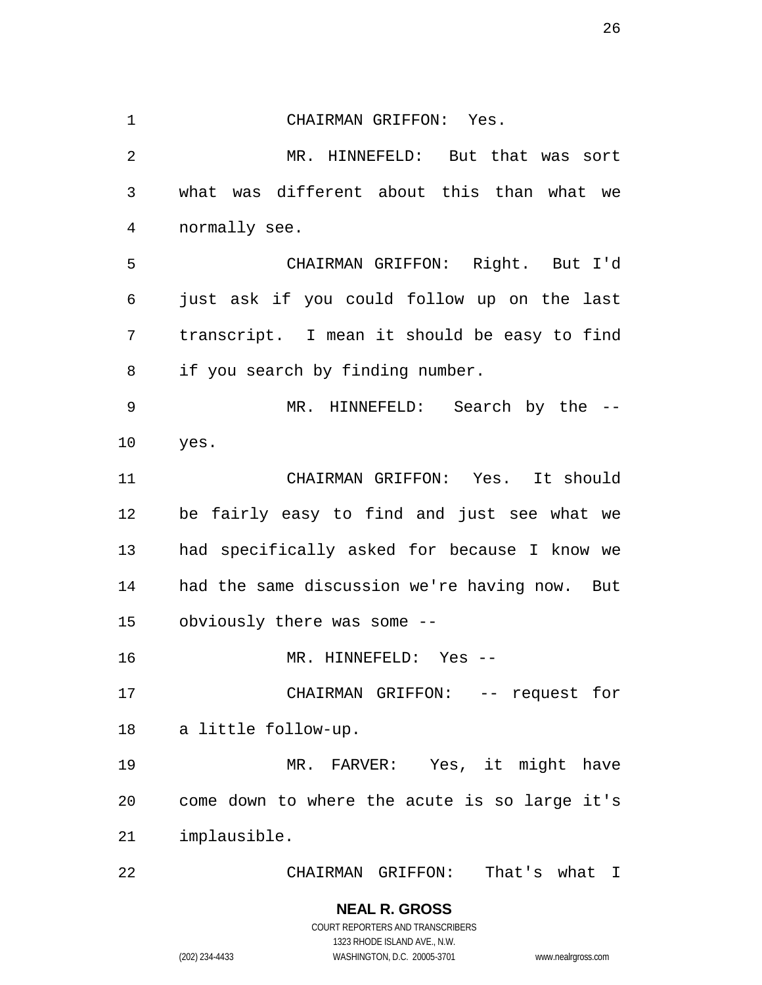CHAIRMAN GRIFFON: Yes. MR. HINNEFELD: But that was sort what was different about this than what we normally see. CHAIRMAN GRIFFON: Right. But I'd just ask if you could follow up on the last transcript. I mean it should be easy to find if you search by finding number. MR. HINNEFELD: Search by the -- yes. CHAIRMAN GRIFFON: Yes. It should be fairly easy to find and just see what we had specifically asked for because I know we had the same discussion we're having now. But obviously there was some -- MR. HINNEFELD: Yes -- CHAIRMAN GRIFFON: -- request for a little follow-up. MR. FARVER: Yes, it might have come down to where the acute is so large it's implausible. CHAIRMAN GRIFFON: That's what I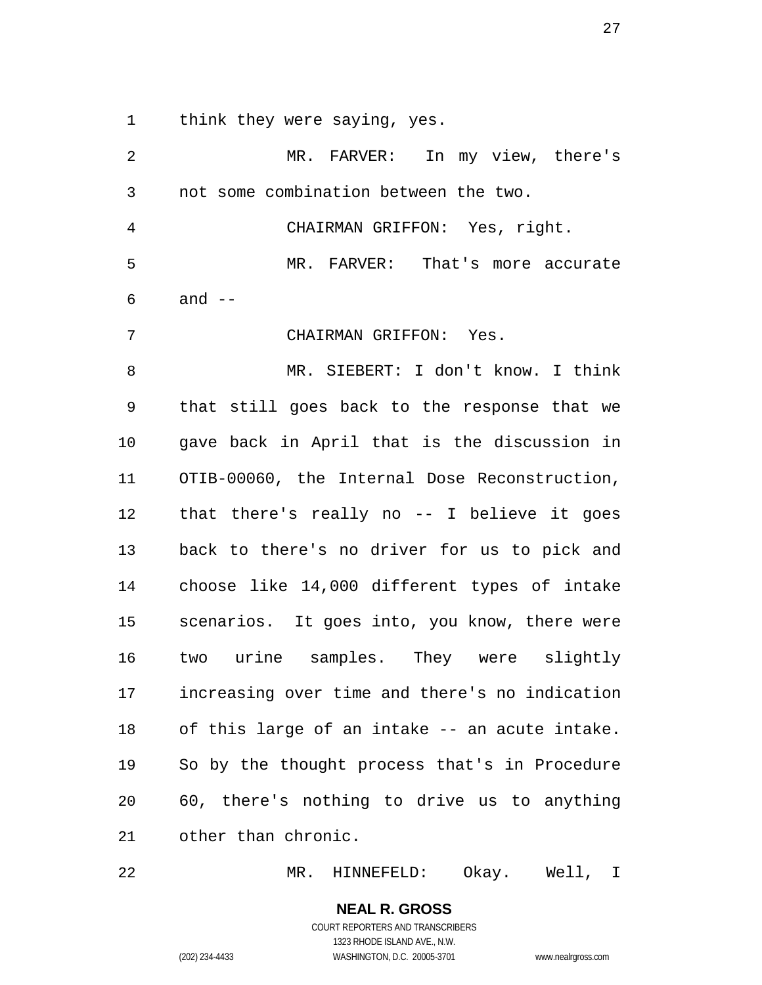think they were saying, yes.

 MR. FARVER: In my view, there's not some combination between the two. CHAIRMAN GRIFFON: Yes, right. MR. FARVER: That's more accurate and  $-$  CHAIRMAN GRIFFON: Yes. MR. SIEBERT: I don't know. I think that still goes back to the response that we gave back in April that is the discussion in OTIB-00060, the Internal Dose Reconstruction, that there's really no -- I believe it goes back to there's no driver for us to pick and choose like 14,000 different types of intake scenarios. It goes into, you know, there were two urine samples. They were slightly increasing over time and there's no indication of this large of an intake -- an acute intake. So by the thought process that's in Procedure 60, there's nothing to drive us to anything other than chronic.

MR. HINNEFELD: Okay. Well, I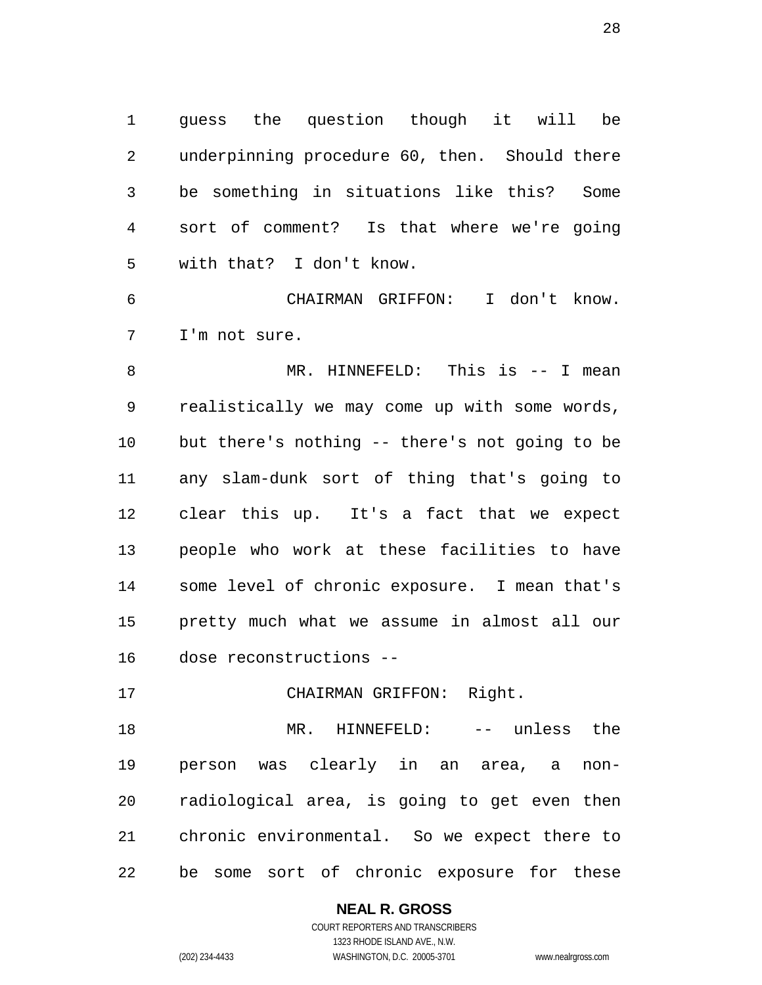guess the question though it will be underpinning procedure 60, then. Should there be something in situations like this? Some sort of comment? Is that where we're going with that? I don't know.

 CHAIRMAN GRIFFON: I don't know. I'm not sure.

 MR. HINNEFELD: This is -- I mean realistically we may come up with some words, but there's nothing -- there's not going to be any slam-dunk sort of thing that's going to clear this up. It's a fact that we expect people who work at these facilities to have some level of chronic exposure. I mean that's pretty much what we assume in almost all our dose reconstructions --

CHAIRMAN GRIFFON: Right.

 MR. HINNEFELD: -- unless the person was clearly in an area, a non- radiological area, is going to get even then chronic environmental. So we expect there to be some sort of chronic exposure for these

**NEAL R. GROSS**

COURT REPORTERS AND TRANSCRIBERS 1323 RHODE ISLAND AVE., N.W. (202) 234-4433 WASHINGTON, D.C. 20005-3701 www.nealrgross.com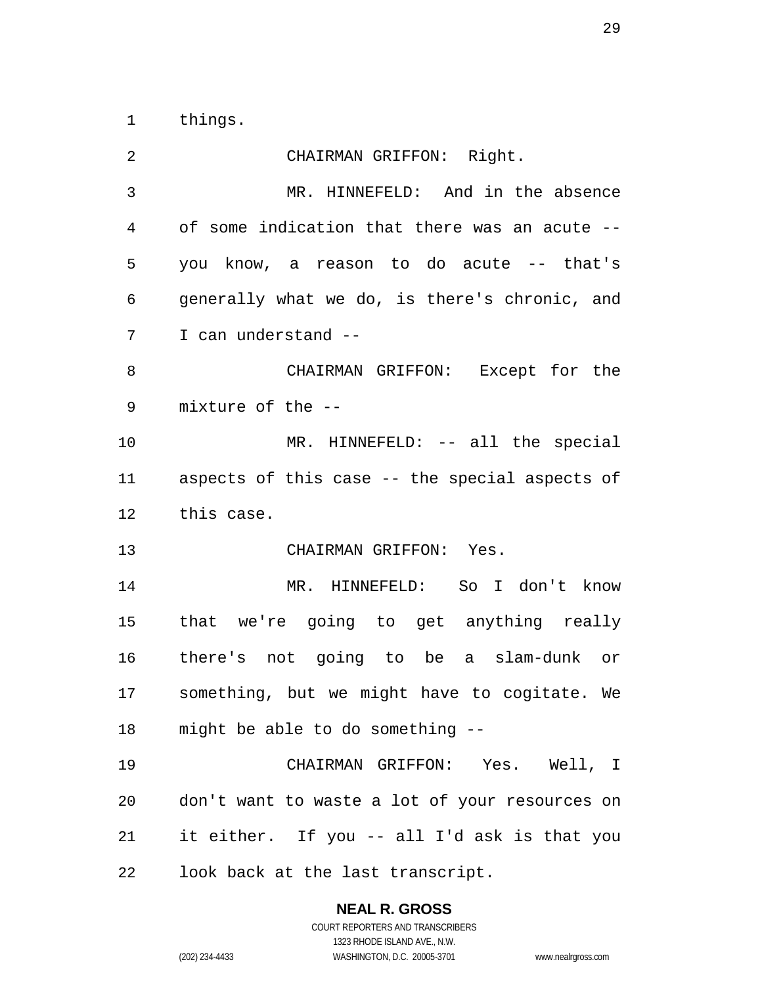things.

| 2  | CHAIRMAN GRIFFON: Right.                       |
|----|------------------------------------------------|
| 3  | MR. HINNEFELD: And in the absence              |
| 4  | of some indication that there was an acute --  |
| 5  | you know, a reason to do acute -- that's       |
| 6  | generally what we do, is there's chronic, and  |
| 7  | I can understand --                            |
| 8  | CHAIRMAN GRIFFON: Except for the               |
| 9  | mixture of the --                              |
| 10 | MR. HINNEFELD: -- all the special              |
| 11 | aspects of this case -- the special aspects of |
| 12 | this case.                                     |
| 13 | CHAIRMAN GRIFFON: Yes.                         |
| 14 | MR. HINNEFELD: So I don't know                 |
| 15 | that we're going to get anything really        |
| 16 | there's not going to be a slam-dunk or         |
| 17 | something, but we might have to cogitate. We   |
|    | 18 might be able to do something --            |
| 19 | CHAIRMAN GRIFFON: Yes. Well, I                 |
| 20 | don't want to waste a lot of your resources on |
| 21 | it either. If you -- all I'd ask is that you   |
| 22 |                                                |

## **NEAL R. GROSS**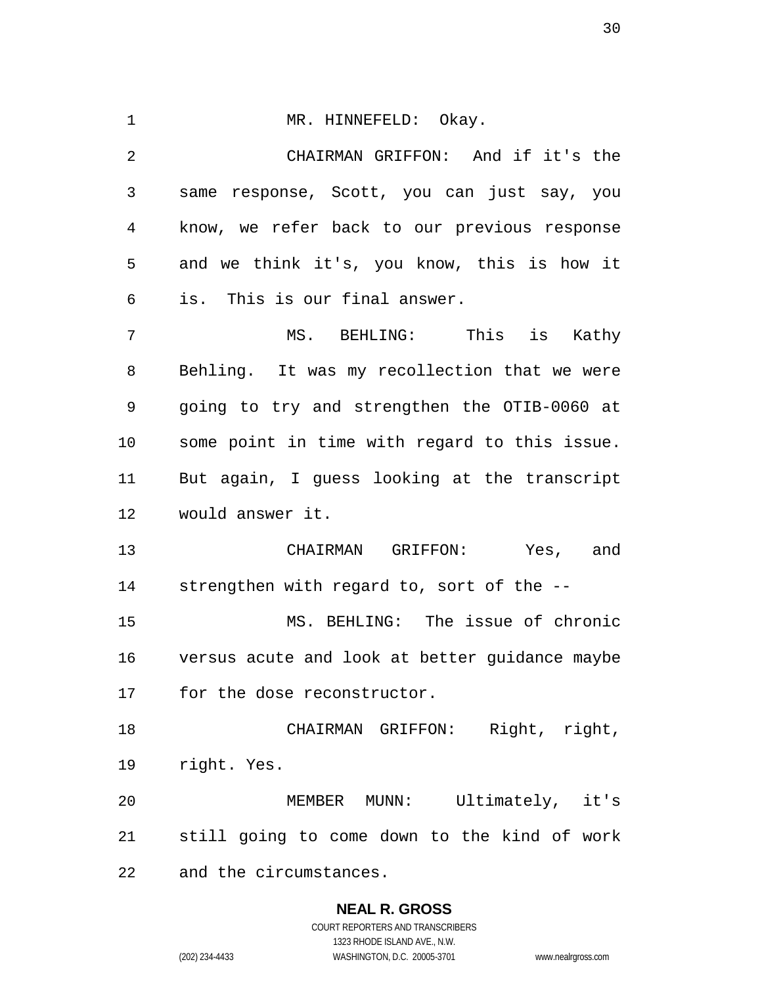1 MR. HINNEFELD: Okay. CHAIRMAN GRIFFON: And if it's the same response, Scott, you can just say, you know, we refer back to our previous response and we think it's, you know, this is how it is. This is our final answer. MS. BEHLING: This is Kathy Behling. It was my recollection that we were going to try and strengthen the OTIB-0060 at some point in time with regard to this issue. But again, I guess looking at the transcript would answer it. CHAIRMAN GRIFFON: Yes, and strengthen with regard to, sort of the -- MS. BEHLING: The issue of chronic versus acute and look at better guidance maybe for the dose reconstructor. CHAIRMAN GRIFFON: Right, right, right. Yes. MEMBER MUNN: Ultimately, it's still going to come down to the kind of work and the circumstances.

# **NEAL R. GROSS**

COURT REPORTERS AND TRANSCRIBERS 1323 RHODE ISLAND AVE., N.W. (202) 234-4433 WASHINGTON, D.C. 20005-3701 www.nealrgross.com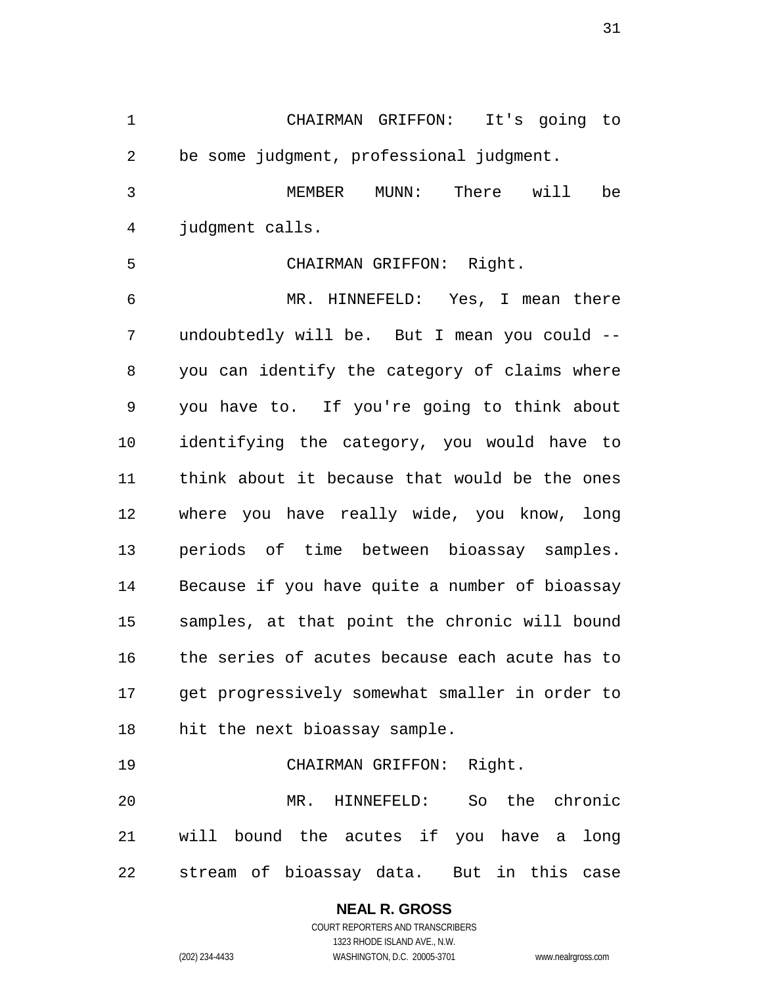CHAIRMAN GRIFFON: It's going to be some judgment, professional judgment. MEMBER MUNN: There will be judgment calls. CHAIRMAN GRIFFON: Right. MR. HINNEFELD: Yes, I mean there undoubtedly will be. But I mean you could -- you can identify the category of claims where you have to. If you're going to think about identifying the category, you would have to think about it because that would be the ones where you have really wide, you know, long periods of time between bioassay samples. Because if you have quite a number of bioassay samples, at that point the chronic will bound the series of acutes because each acute has to get progressively somewhat smaller in order to hit the next bioassay sample. CHAIRMAN GRIFFON: Right.

 MR. HINNEFELD: So the chronic will bound the acutes if you have a long stream of bioassay data. But in this case

#### **NEAL R. GROSS** COURT REPORTERS AND TRANSCRIBERS

1323 RHODE ISLAND AVE., N.W. (202) 234-4433 WASHINGTON, D.C. 20005-3701 www.nealrgross.com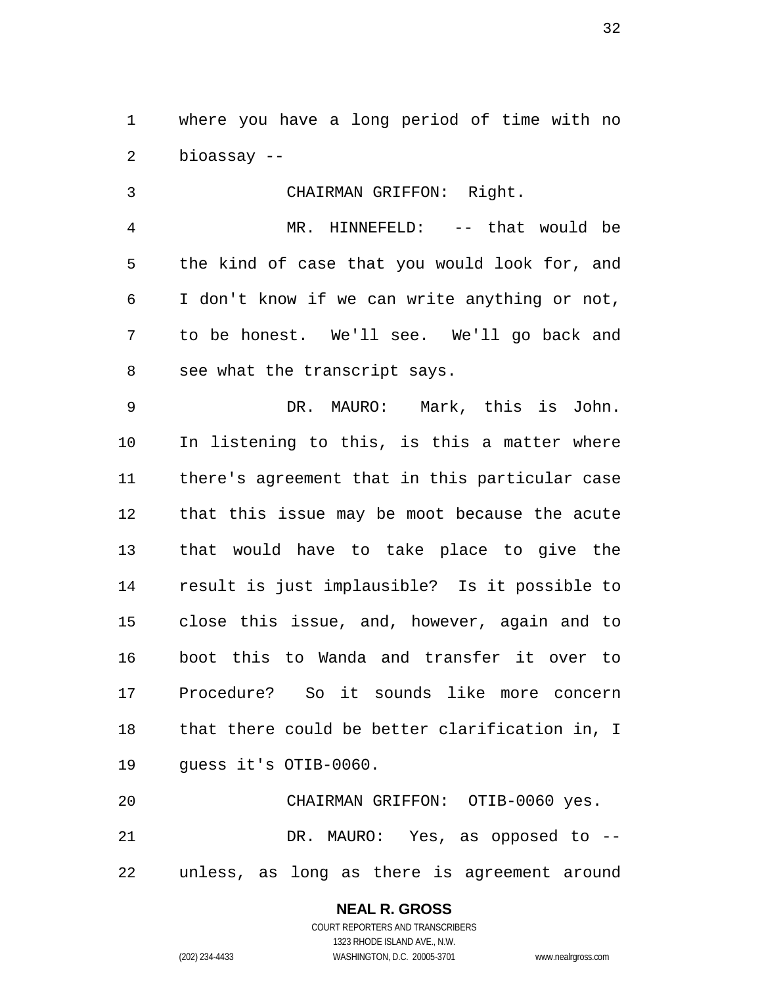where you have a long period of time with no bioassay --

 CHAIRMAN GRIFFON: Right. MR. HINNEFELD: -- that would be the kind of case that you would look for, and I don't know if we can write anything or not, to be honest. We'll see. We'll go back and see what the transcript says.

 DR. MAURO: Mark, this is John. In listening to this, is this a matter where there's agreement that in this particular case that this issue may be moot because the acute that would have to take place to give the result is just implausible? Is it possible to close this issue, and, however, again and to boot this to Wanda and transfer it over to Procedure? So it sounds like more concern that there could be better clarification in, I guess it's OTIB-0060.

 CHAIRMAN GRIFFON: OTIB-0060 yes. DR. MAURO: Yes, as opposed to -- unless, as long as there is agreement around

#### **NEAL R. GROSS**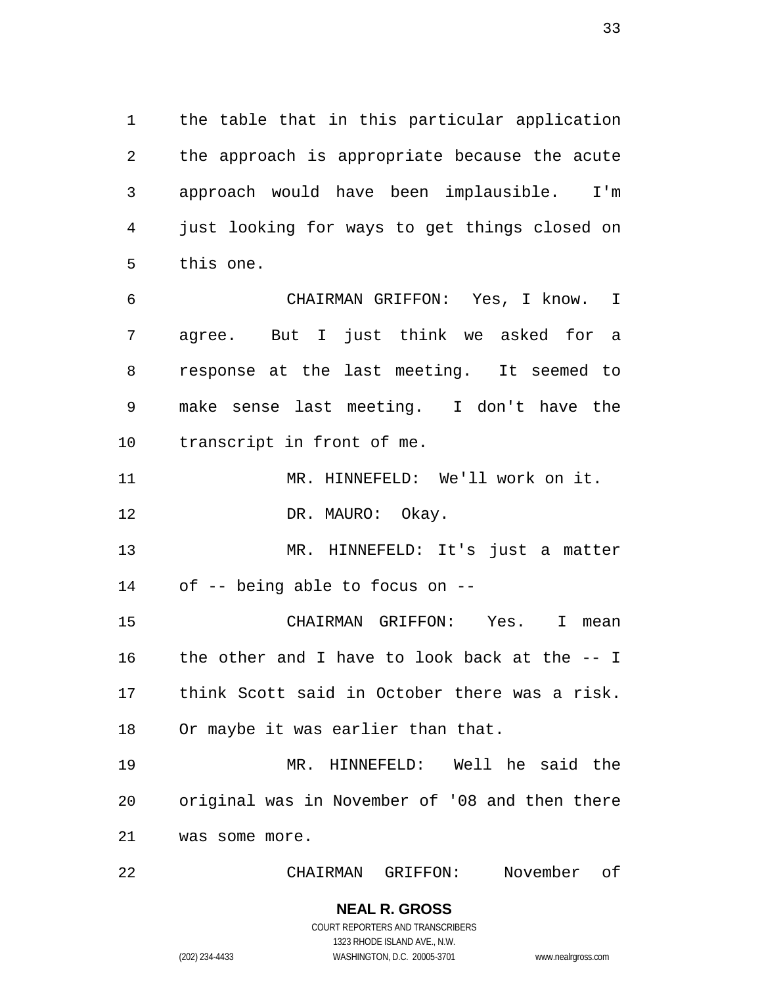the table that in this particular application the approach is appropriate because the acute approach would have been implausible. I'm just looking for ways to get things closed on this one.

 CHAIRMAN GRIFFON: Yes, I know. I agree. But I just think we asked for a response at the last meeting. It seemed to make sense last meeting. I don't have the transcript in front of me.

MR. HINNEFELD: We'll work on it.

12 DR. MAURO: Okay.

 MR. HINNEFELD: It's just a matter of -- being able to focus on --

 CHAIRMAN GRIFFON: Yes. I mean the other and I have to look back at the -- I think Scott said in October there was a risk. 18 Or maybe it was earlier than that.

 MR. HINNEFELD: Well he said the original was in November of '08 and then there was some more.

CHAIRMAN GRIFFON: November of

**NEAL R. GROSS** COURT REPORTERS AND TRANSCRIBERS

1323 RHODE ISLAND AVE., N.W.

(202) 234-4433 WASHINGTON, D.C. 20005-3701 www.nealrgross.com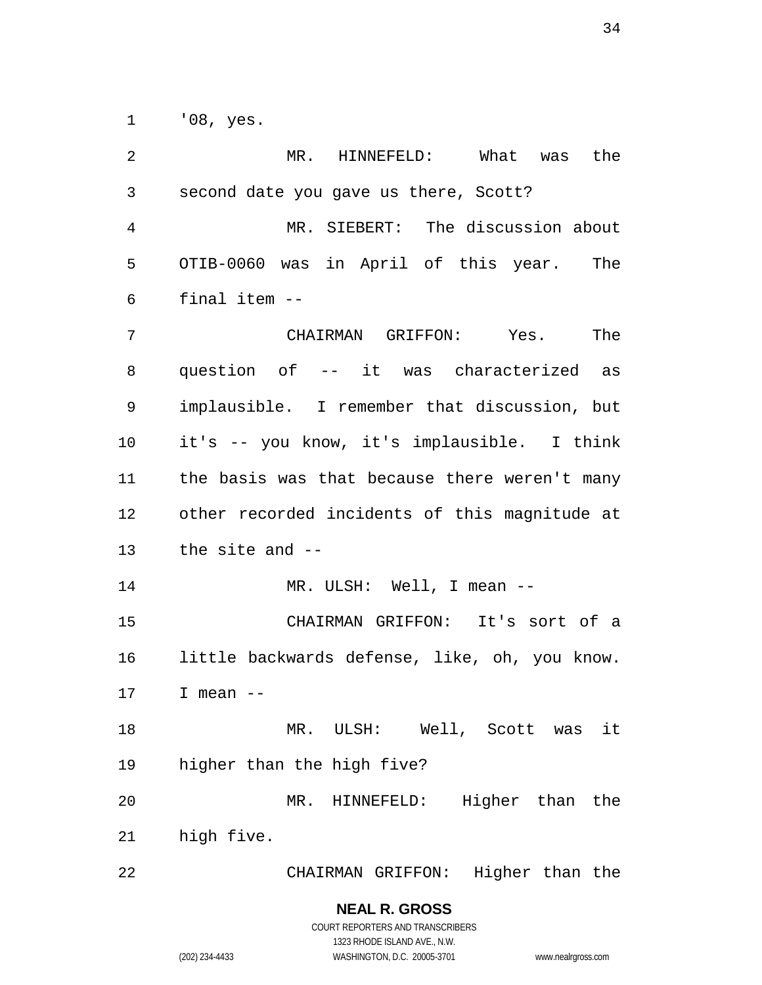'08, yes.

| 2  | MR.<br>HINNEFELD: What<br>the<br>was          |
|----|-----------------------------------------------|
| 3  | second date you gave us there, Scott?         |
| 4  | MR. SIEBERT: The discussion about             |
| 5  | OTIB-0060 was in April of this year. The      |
| 6  | final item --                                 |
| 7  | CHAIRMAN GRIFFON: Yes.<br>The                 |
| 8  | question of -- it was characterized as        |
| 9  | implausible. I remember that discussion, but  |
| 10 | it's -- you know, it's implausible. I think   |
| 11 | the basis was that because there weren't many |
| 12 | other recorded incidents of this magnitude at |
| 13 | the site and --                               |
| 14 | MR. ULSH: Well, I mean --                     |
| 15 | CHAIRMAN GRIFFON: It's sort of a              |
| 16 | little backwards defense, like, oh, you know. |
| 17 | I mean $--$                                   |
| 18 | it<br>MR. ULSH: Well, Scott was               |
| 19 | higher than the high five?                    |
| 20 | MR. HINNEFELD: Higher than the                |
| 21 | high five.                                    |
| 22 | CHAIRMAN GRIFFON: Higher than the             |
|    | <b>NEAL R. GROSS</b>                          |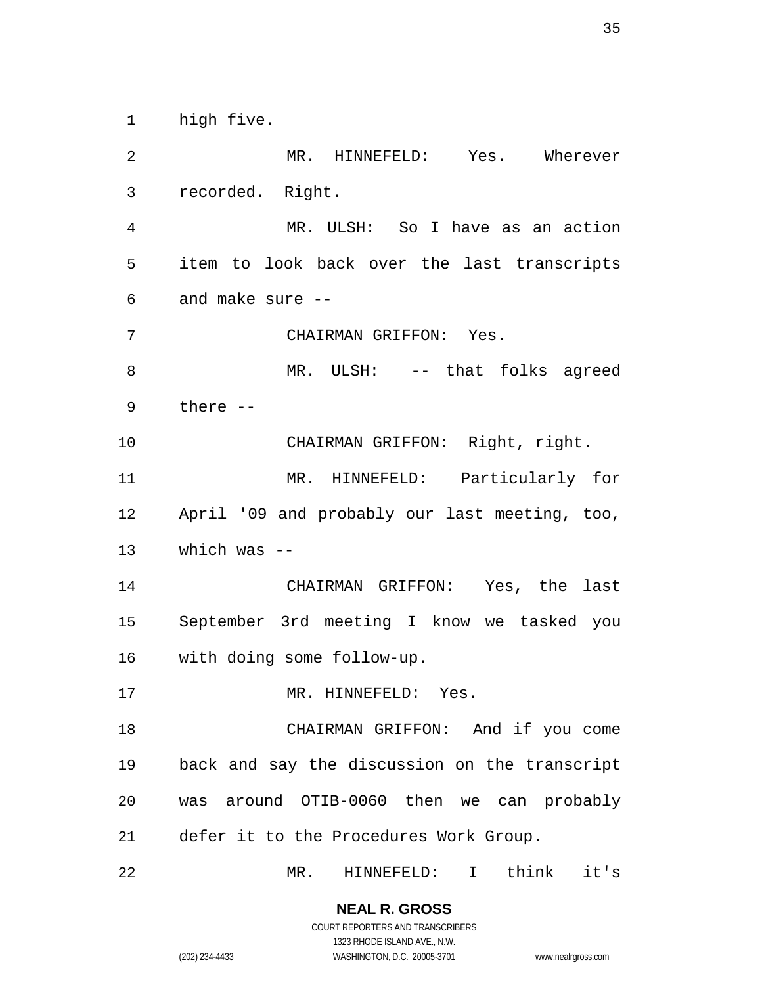high five.

 MR. HINNEFELD: Yes. Wherever recorded. Right. MR. ULSH: So I have as an action item to look back over the last transcripts and make sure -- CHAIRMAN GRIFFON: Yes. 8 MR. ULSH: -- that folks agreed there -- CHAIRMAN GRIFFON: Right, right. MR. HINNEFELD: Particularly for April '09 and probably our last meeting, too, which was -- CHAIRMAN GRIFFON: Yes, the last September 3rd meeting I know we tasked you with doing some follow-up. 17 MR. HINNEFELD: Yes. CHAIRMAN GRIFFON: And if you come back and say the discussion on the transcript was around OTIB-0060 then we can probably defer it to the Procedures Work Group. MR. HINNEFELD: I think it's

**NEAL R. GROSS** COURT REPORTERS AND TRANSCRIBERS

1323 RHODE ISLAND AVE., N.W. (202) 234-4433 WASHINGTON, D.C. 20005-3701 www.nealrgross.com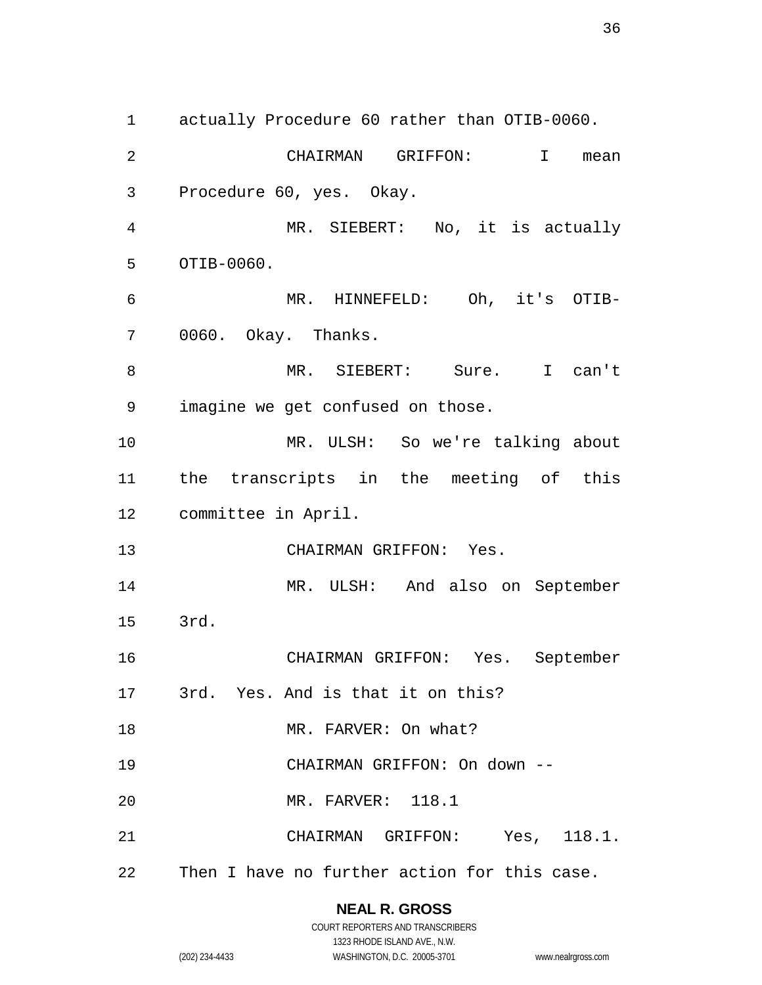actually Procedure 60 rather than OTIB-0060. CHAIRMAN GRIFFON: I mean Procedure 60, yes. Okay. MR. SIEBERT: No, it is actually OTIB-0060. MR. HINNEFELD: Oh, it's OTIB- 0060. Okay. Thanks. MR. SIEBERT: Sure. I can't imagine we get confused on those. MR. ULSH: So we're talking about the transcripts in the meeting of this committee in April. CHAIRMAN GRIFFON: Yes. MR. ULSH: And also on September 3rd. CHAIRMAN GRIFFON: Yes. September 3rd. Yes. And is that it on this? 18 MR. FARVER: On what? CHAIRMAN GRIFFON: On down -- MR. FARVER: 118.1 CHAIRMAN GRIFFON: Yes, 118.1. Then I have no further action for this case.

#### **NEAL R. GROSS**

COURT REPORTERS AND TRANSCRIBERS 1323 RHODE ISLAND AVE., N.W. (202) 234-4433 WASHINGTON, D.C. 20005-3701 www.nealrgross.com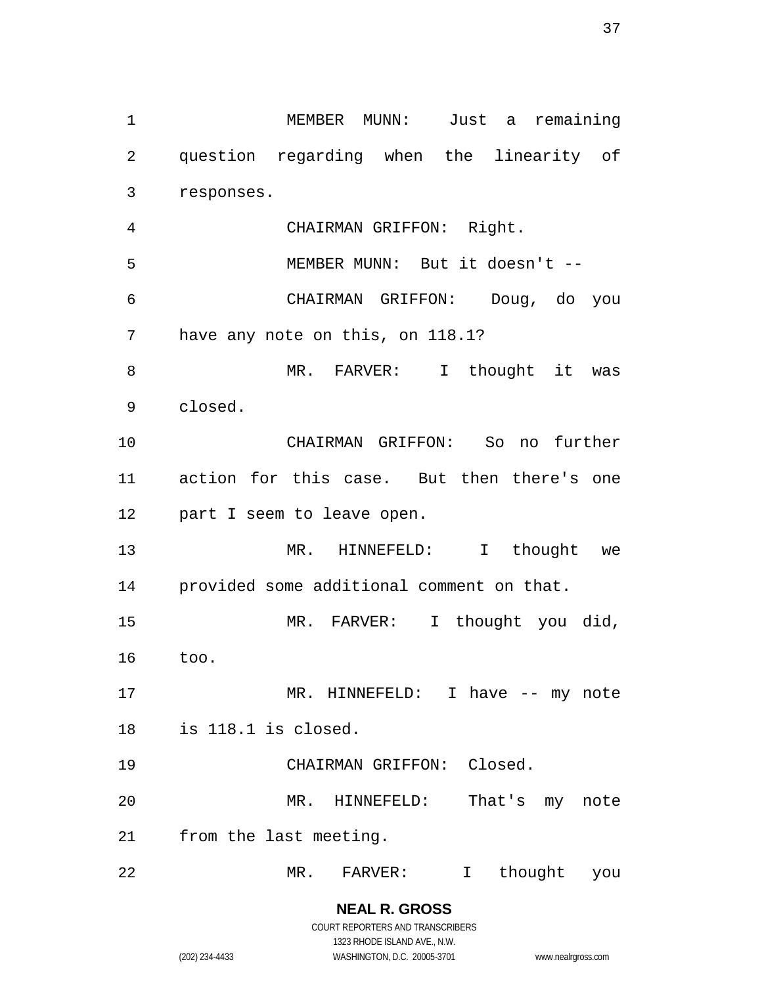MEMBER MUNN: Just a remaining question regarding when the linearity of responses. CHAIRMAN GRIFFON: Right. MEMBER MUNN: But it doesn't -- CHAIRMAN GRIFFON: Doug, do you have any note on this, on 118.1? 8 MR. FARVER: I thought it was closed. CHAIRMAN GRIFFON: So no further action for this case. But then there's one part I seem to leave open. MR. HINNEFELD: I thought we provided some additional comment on that. 15 MR. FARVER: I thought you did, too. 17 MR. HINNEFELD: I have -- my note is 118.1 is closed. CHAIRMAN GRIFFON: Closed. MR. HINNEFELD: That's my note from the last meeting. MR. FARVER: I thought you

> **NEAL R. GROSS** COURT REPORTERS AND TRANSCRIBERS 1323 RHODE ISLAND AVE., N.W.

(202) 234-4433 WASHINGTON, D.C. 20005-3701 www.nealrgross.com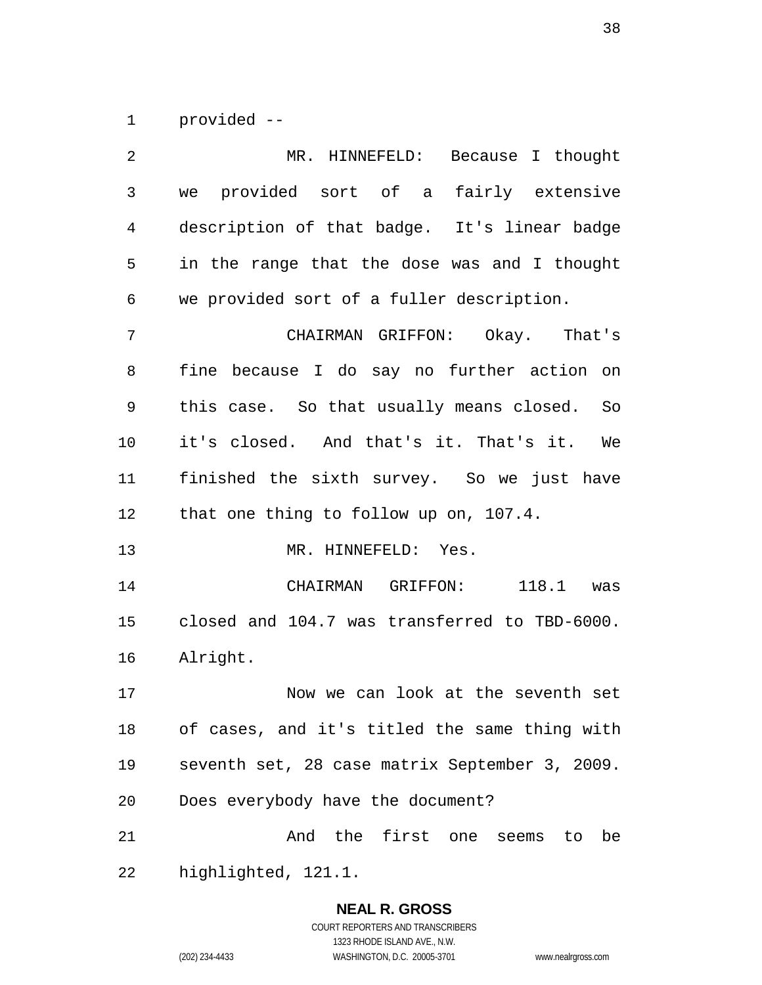provided --

| MR. HINNEFELD: Because I thought               |  |  |  |  |
|------------------------------------------------|--|--|--|--|
| we provided sort of a fairly extensive         |  |  |  |  |
| description of that badge. It's linear badge   |  |  |  |  |
| in the range that the dose was and I thought   |  |  |  |  |
| we provided sort of a fuller description.      |  |  |  |  |
| CHAIRMAN GRIFFON: Okay. That's                 |  |  |  |  |
| fine because I do say no further action on     |  |  |  |  |
| this case. So that usually means closed. So    |  |  |  |  |
| it's closed. And that's it. That's it. We      |  |  |  |  |
| finished the sixth survey. So we just have     |  |  |  |  |
| that one thing to follow up on, 107.4.         |  |  |  |  |
| MR. HINNEFELD: Yes.                            |  |  |  |  |
|                                                |  |  |  |  |
| CHAIRMAN GRIFFON:<br>$118.1$ was               |  |  |  |  |
| closed and 104.7 was transferred to TBD-6000.  |  |  |  |  |
| Alright.                                       |  |  |  |  |
| Now we can look at the seventh set             |  |  |  |  |
| of cases, and it's titled the same thing with  |  |  |  |  |
| seventh set, 28 case matrix September 3, 2009. |  |  |  |  |
| Does everybody have the document?              |  |  |  |  |
| And the first one seems to be                  |  |  |  |  |
|                                                |  |  |  |  |

# **NEAL R. GROSS**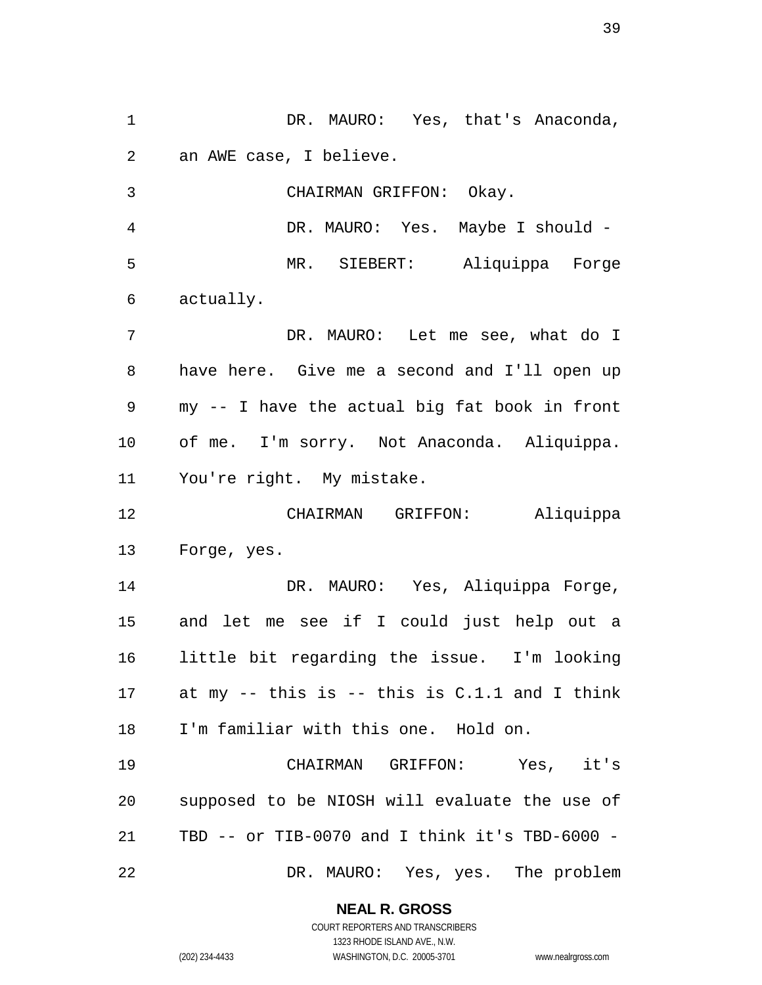**NEAL R. GROSS** an AWE case, I believe. CHAIRMAN GRIFFON: Okay. DR. MAURO: Yes. Maybe I should - MR. SIEBERT: Aliquippa Forge actually. DR. MAURO: Let me see, what do I have here. Give me a second and I'll open up my -- I have the actual big fat book in front of me. I'm sorry. Not Anaconda. Aliquippa. You're right. My mistake. CHAIRMAN GRIFFON: Aliquippa Forge, yes. DR. MAURO: Yes, Aliquippa Forge, and let me see if I could just help out a little bit regarding the issue. I'm looking at my -- this is -- this is C.1.1 and I think I'm familiar with this one. Hold on. CHAIRMAN GRIFFON: Yes, it's supposed to be NIOSH will evaluate the use of TBD -- or TIB-0070 and I think it's TBD-6000 - DR. MAURO: Yes, yes. The problem

1 DR. MAURO: Yes, that's Anaconda,

COURT REPORTERS AND TRANSCRIBERS 1323 RHODE ISLAND AVE., N.W. (202) 234-4433 WASHINGTON, D.C. 20005-3701 www.nealrgross.com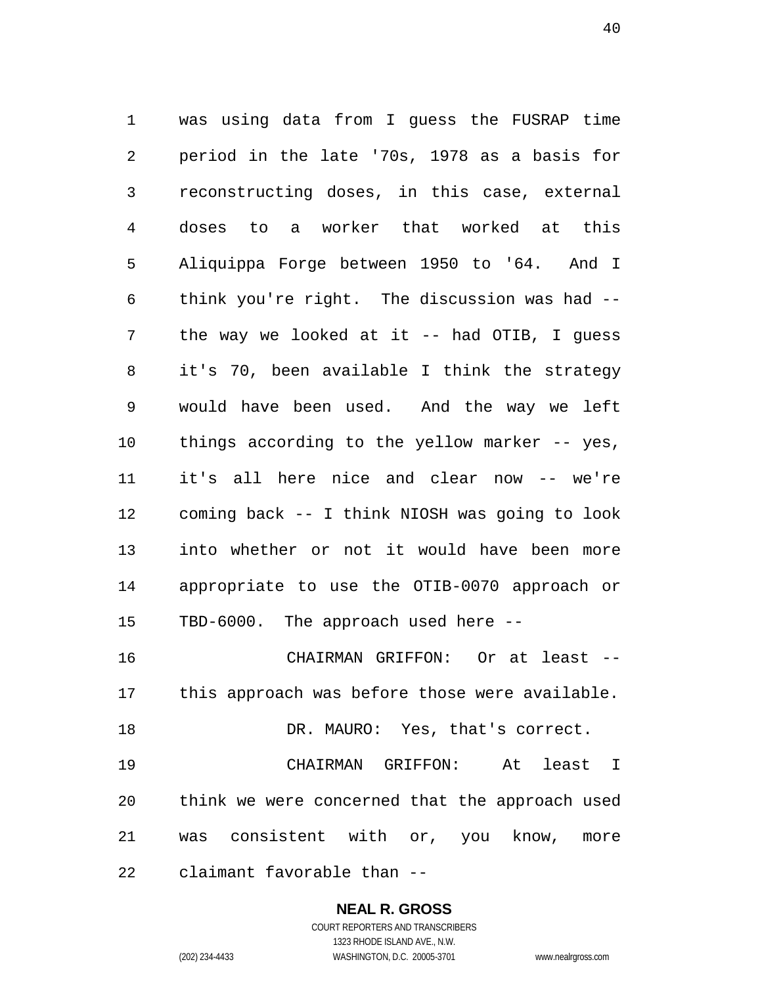was using data from I guess the FUSRAP time period in the late '70s, 1978 as a basis for reconstructing doses, in this case, external doses to a worker that worked at this Aliquippa Forge between 1950 to '64. And I think you're right. The discussion was had -- the way we looked at it -- had OTIB, I guess it's 70, been available I think the strategy would have been used. And the way we left things according to the yellow marker -- yes, it's all here nice and clear now -- we're coming back -- I think NIOSH was going to look into whether or not it would have been more appropriate to use the OTIB-0070 approach or TBD-6000. The approach used here -- CHAIRMAN GRIFFON: Or at least --

 this approach was before those were available. 18 DR. MAURO: Yes, that's correct. CHAIRMAN GRIFFON: At least I think we were concerned that the approach used

was consistent with or, you know, more

claimant favorable than --

# **NEAL R. GROSS**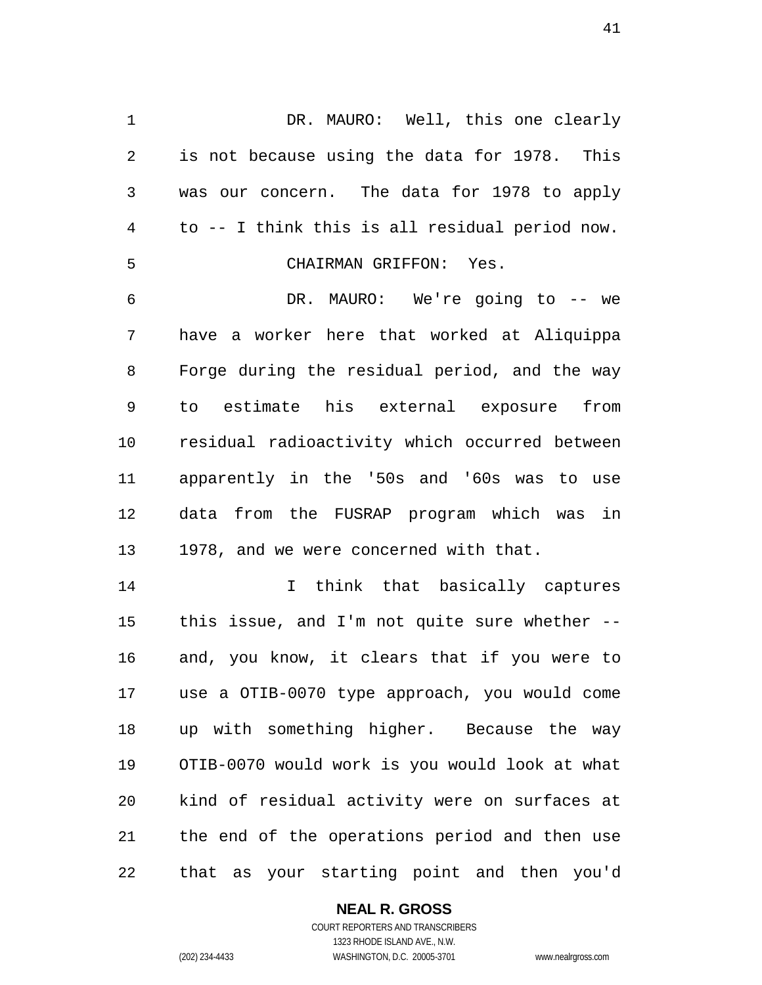DR. MAURO: Well, this one clearly is not because using the data for 1978. This was our concern. The data for 1978 to apply to -- I think this is all residual period now. CHAIRMAN GRIFFON: Yes. DR. MAURO: We're going to -- we have a worker here that worked at Aliquippa Forge during the residual period, and the way to estimate his external exposure from residual radioactivity which occurred between apparently in the '50s and '60s was to use data from the FUSRAP program which was in 1978, and we were concerned with that.

 I think that basically captures this issue, and I'm not quite sure whether -- and, you know, it clears that if you were to use a OTIB-0070 type approach, you would come up with something higher. Because the way OTIB-0070 would work is you would look at what kind of residual activity were on surfaces at the end of the operations period and then use that as your starting point and then you'd

# **NEAL R. GROSS**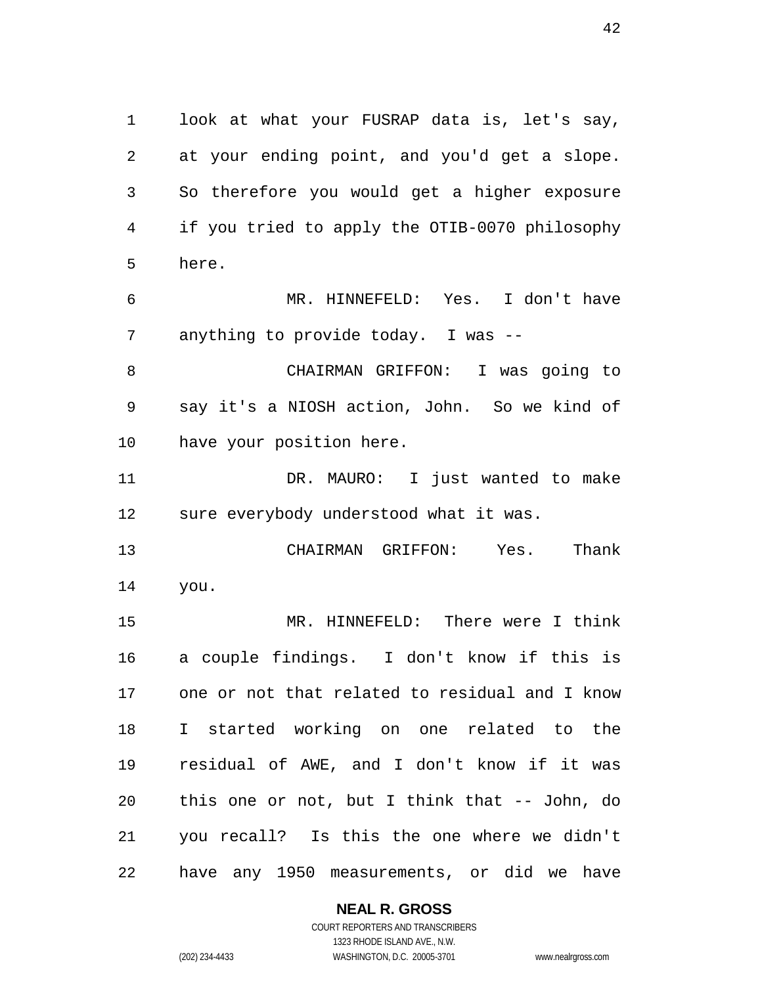look at what your FUSRAP data is, let's say, at your ending point, and you'd get a slope. So therefore you would get a higher exposure if you tried to apply the OTIB-0070 philosophy here.

 MR. HINNEFELD: Yes. I don't have anything to provide today. I was --

 CHAIRMAN GRIFFON: I was going to say it's a NIOSH action, John. So we kind of have your position here.

 DR. MAURO: I just wanted to make sure everybody understood what it was.

 CHAIRMAN GRIFFON: Yes. Thank you.

 MR. HINNEFELD: There were I think a couple findings. I don't know if this is one or not that related to residual and I know I started working on one related to the residual of AWE, and I don't know if it was this one or not, but I think that -- John, do you recall? Is this the one where we didn't have any 1950 measurements, or did we have

#### **NEAL R. GROSS**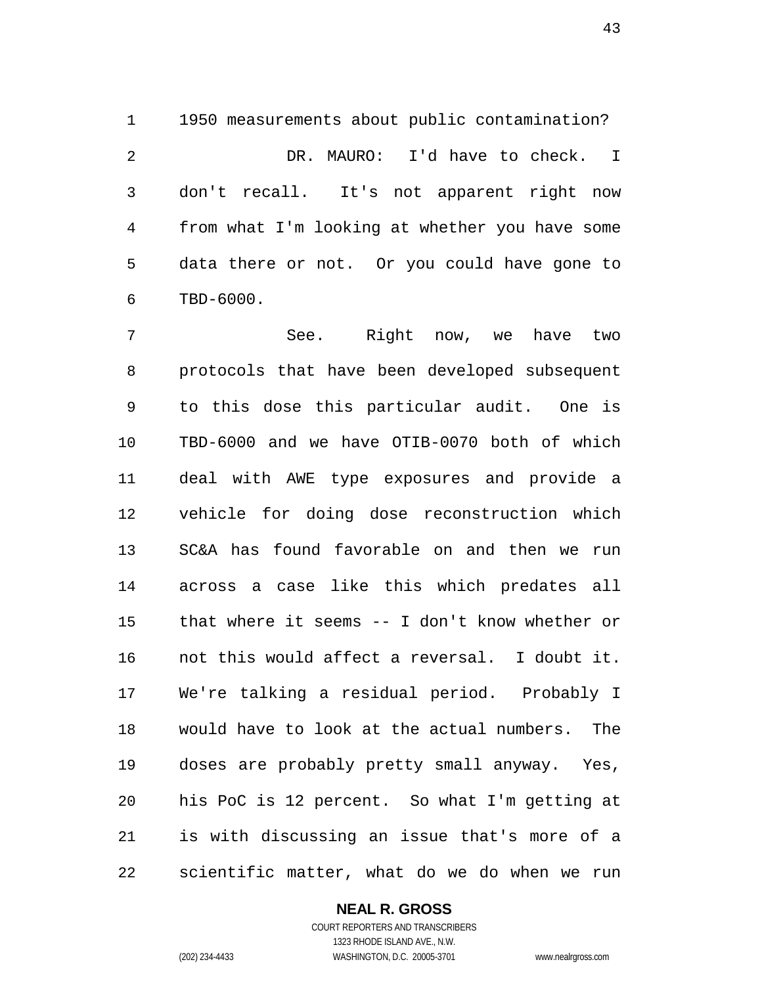1950 measurements about public contamination? DR. MAURO: I'd have to check. I don't recall. It's not apparent right now from what I'm looking at whether you have some data there or not. Or you could have gone to TBD-6000.

 See. Right now, we have two protocols that have been developed subsequent to this dose this particular audit. One is TBD-6000 and we have OTIB-0070 both of which deal with AWE type exposures and provide a vehicle for doing dose reconstruction which SC&A has found favorable on and then we run across a case like this which predates all that where it seems -- I don't know whether or not this would affect a reversal. I doubt it. We're talking a residual period. Probably I would have to look at the actual numbers. The doses are probably pretty small anyway. Yes, his PoC is 12 percent. So what I'm getting at is with discussing an issue that's more of a scientific matter, what do we do when we run

#### **NEAL R. GROSS**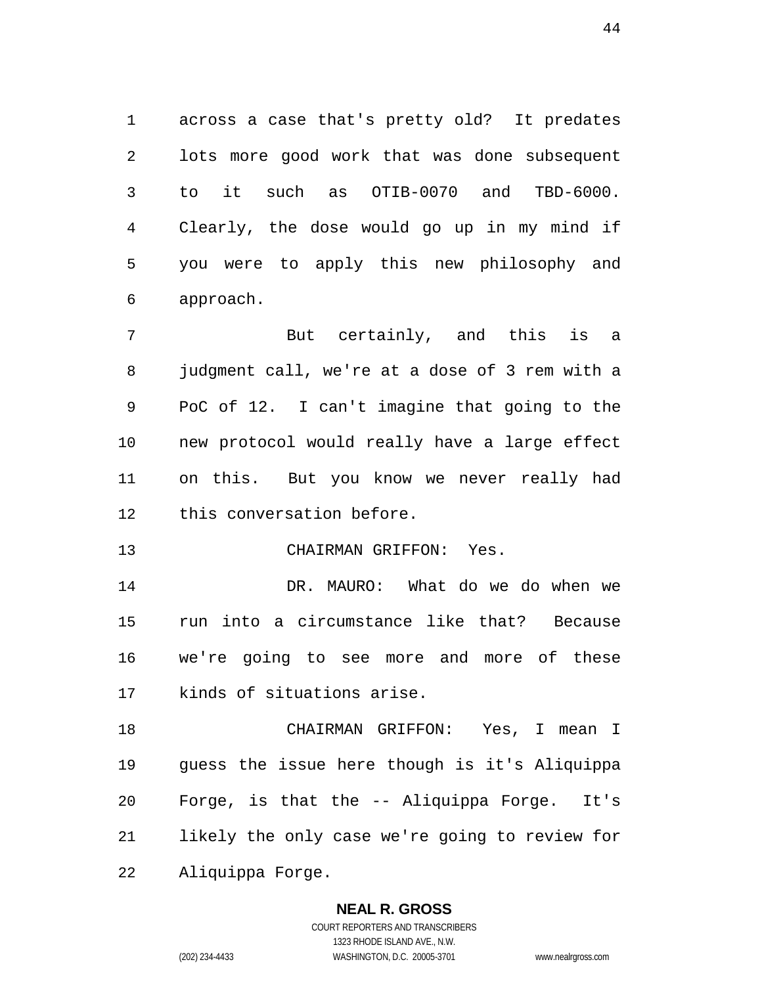across a case that's pretty old? It predates lots more good work that was done subsequent to it such as OTIB-0070 and TBD-6000. Clearly, the dose would go up in my mind if you were to apply this new philosophy and approach.

 But certainly, and this is a judgment call, we're at a dose of 3 rem with a PoC of 12. I can't imagine that going to the new protocol would really have a large effect on this. But you know we never really had this conversation before.

CHAIRMAN GRIFFON: Yes.

 DR. MAURO: What do we do when we run into a circumstance like that? Because we're going to see more and more of these kinds of situations arise.

 CHAIRMAN GRIFFON: Yes, I mean I guess the issue here though is it's Aliquippa Forge, is that the -- Aliquippa Forge. It's likely the only case we're going to review for Aliquippa Forge.

#### **NEAL R. GROSS**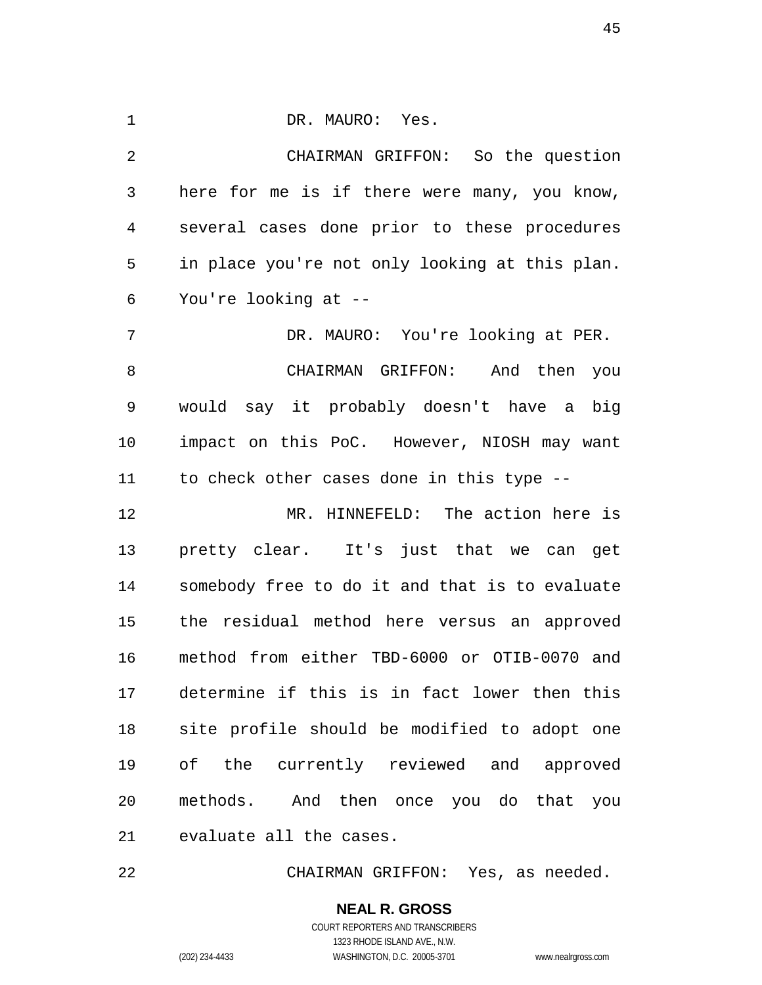DR. MAURO: Yes. CHAIRMAN GRIFFON: So the question here for me is if there were many, you know, several cases done prior to these procedures in place you're not only looking at this plan. You're looking at -- DR. MAURO: You're looking at PER. CHAIRMAN GRIFFON: And then you would say it probably doesn't have a big impact on this PoC. However, NIOSH may want to check other cases done in this type -- MR. HINNEFELD: The action here is

 pretty clear. It's just that we can get somebody free to do it and that is to evaluate the residual method here versus an approved method from either TBD-6000 or OTIB-0070 and determine if this is in fact lower then this site profile should be modified to adopt one of the currently reviewed and approved methods. And then once you do that you evaluate all the cases.

CHAIRMAN GRIFFON: Yes, as needed.

COURT REPORTERS AND TRANSCRIBERS 1323 RHODE ISLAND AVE., N.W. (202) 234-4433 WASHINGTON, D.C. 20005-3701 www.nealrgross.com

**NEAL R. GROSS**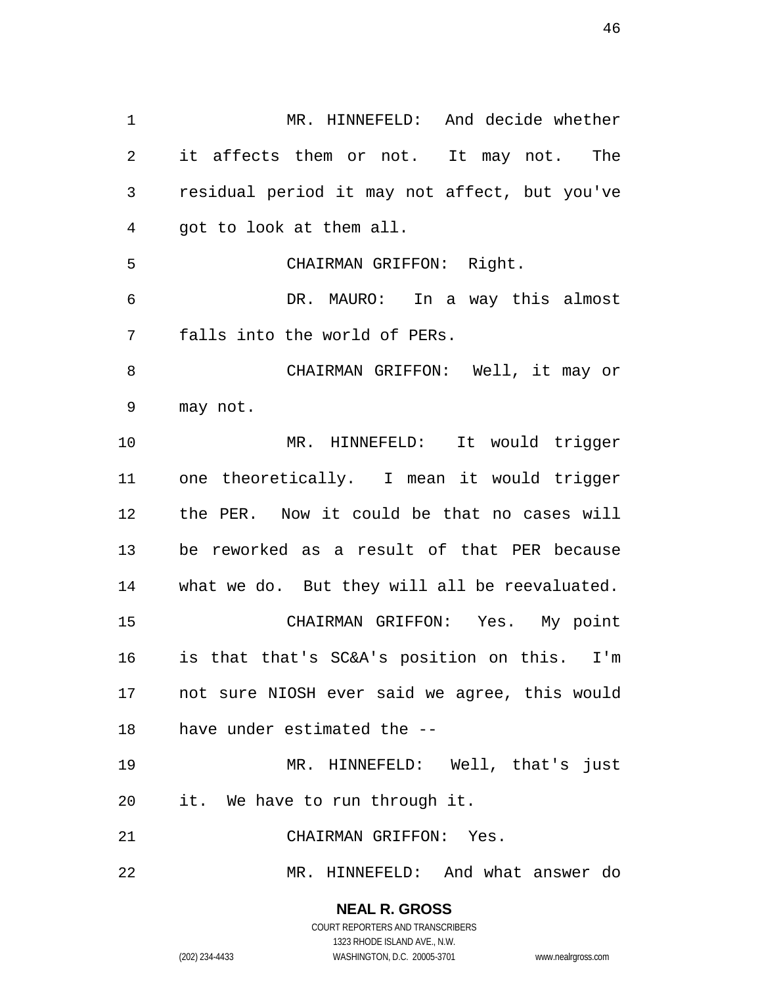MR. HINNEFELD: And decide whether it affects them or not. It may not. The residual period it may not affect, but you've got to look at them all. CHAIRMAN GRIFFON: Right. DR. MAURO: In a way this almost falls into the world of PERs. CHAIRMAN GRIFFON: Well, it may or may not. MR. HINNEFELD: It would trigger one theoretically. I mean it would trigger the PER. Now it could be that no cases will be reworked as a result of that PER because what we do. But they will all be reevaluated. CHAIRMAN GRIFFON: Yes. My point is that that's SC&A's position on this. I'm not sure NIOSH ever said we agree, this would have under estimated the -- MR. HINNEFELD: Well, that's just it. We have to run through it. CHAIRMAN GRIFFON: Yes. MR. HINNEFELD: And what answer do

> **NEAL R. GROSS** COURT REPORTERS AND TRANSCRIBERS

> > 1323 RHODE ISLAND AVE., N.W.

(202) 234-4433 WASHINGTON, D.C. 20005-3701 www.nealrgross.com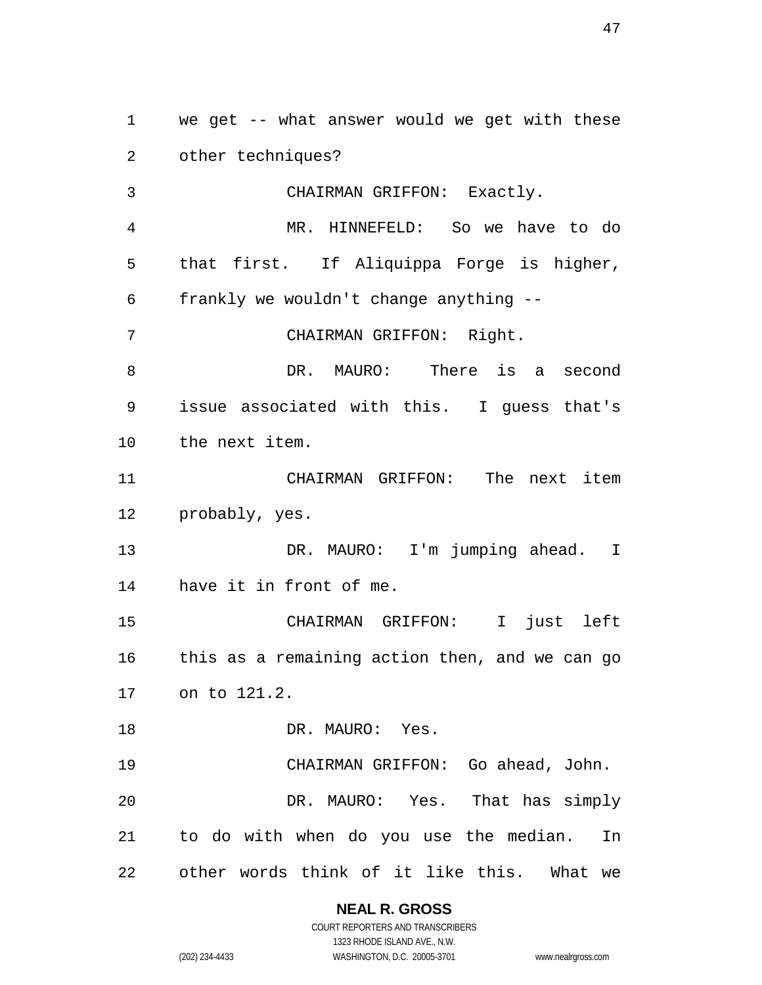we get -- what answer would we get with these other techniques? CHAIRMAN GRIFFON: Exactly. MR. HINNEFELD: So we have to do that first. If Aliquippa Forge is higher, frankly we wouldn't change anything -- CHAIRMAN GRIFFON: Right. DR. MAURO: There is a second issue associated with this. I guess that's the next item. CHAIRMAN GRIFFON: The next item probably, yes. 13 DR. MAURO: I'm jumping ahead. I have it in front of me. CHAIRMAN GRIFFON: I just left this as a remaining action then, and we can go on to 121.2. 18 DR. MAURO: Yes. CHAIRMAN GRIFFON: Go ahead, John. DR. MAURO: Yes. That has simply to do with when do you use the median. In other words think of it like this. What we

# **NEAL R. GROSS**

COURT REPORTERS AND TRANSCRIBERS 1323 RHODE ISLAND AVE., N.W. (202) 234-4433 WASHINGTON, D.C. 20005-3701 www.nealrgross.com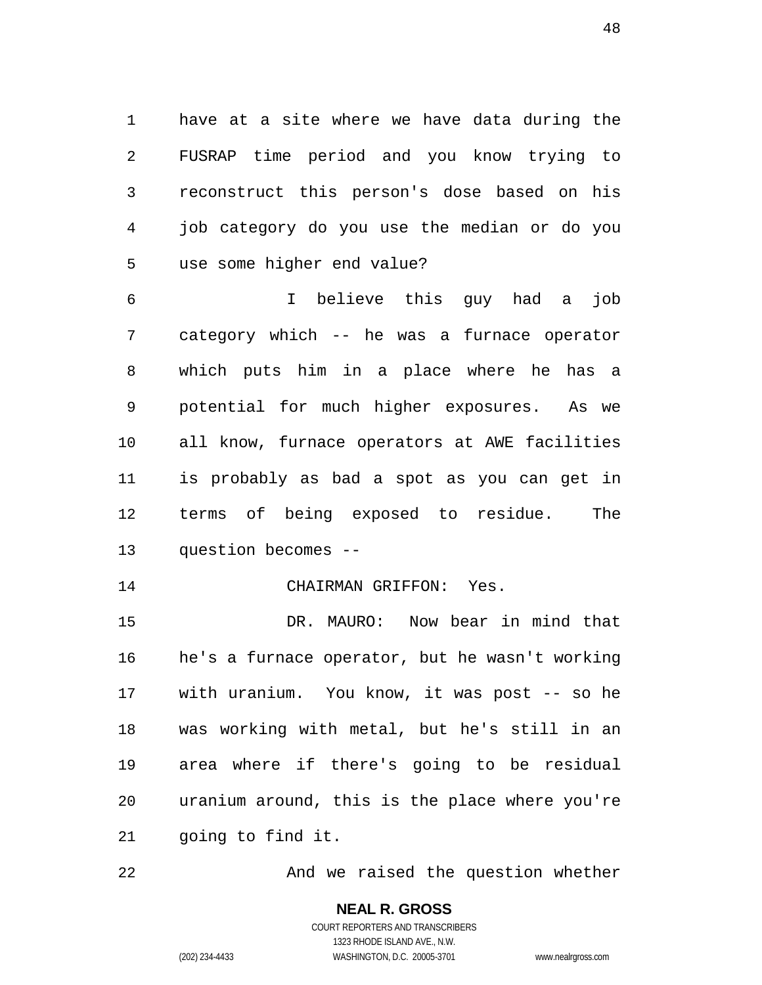have at a site where we have data during the FUSRAP time period and you know trying to reconstruct this person's dose based on his job category do you use the median or do you use some higher end value?

 I believe this guy had a job category which -- he was a furnace operator which puts him in a place where he has a potential for much higher exposures. As we all know, furnace operators at AWE facilities is probably as bad a spot as you can get in terms of being exposed to residue. The question becomes --

#### CHAIRMAN GRIFFON: Yes.

 DR. MAURO: Now bear in mind that he's a furnace operator, but he wasn't working with uranium. You know, it was post -- so he was working with metal, but he's still in an area where if there's going to be residual uranium around, this is the place where you're going to find it.

22 And we raised the question whether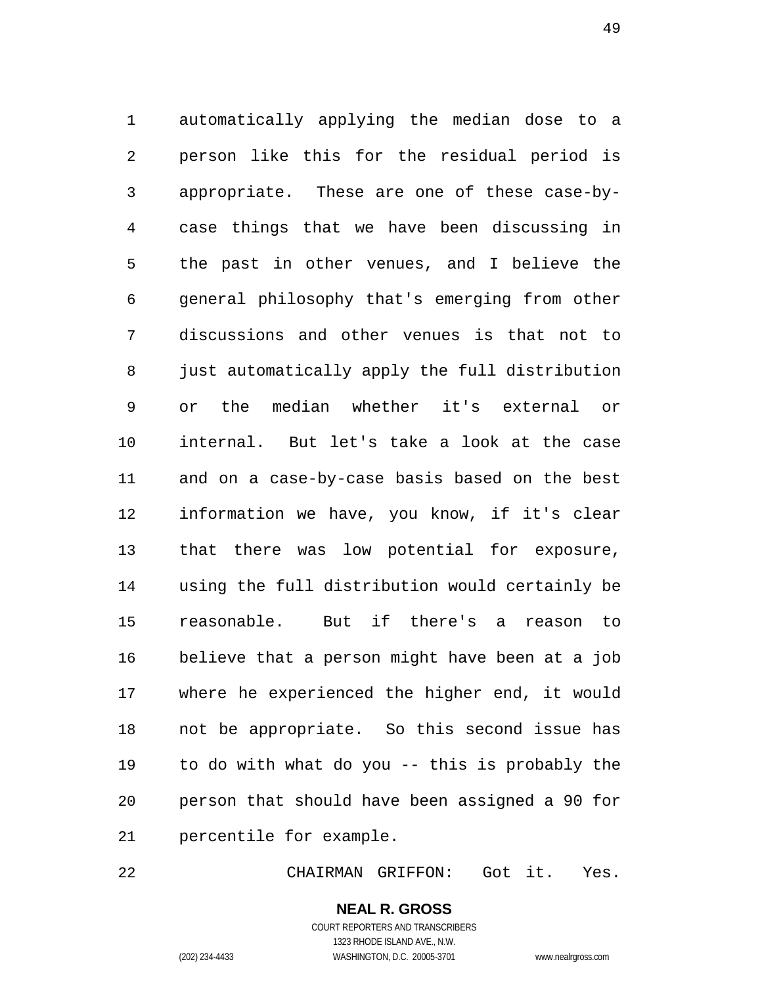automatically applying the median dose to a person like this for the residual period is appropriate. These are one of these case-by- case things that we have been discussing in the past in other venues, and I believe the general philosophy that's emerging from other discussions and other venues is that not to just automatically apply the full distribution or the median whether it's external or internal. But let's take a look at the case and on a case-by-case basis based on the best information we have, you know, if it's clear that there was low potential for exposure, using the full distribution would certainly be reasonable. But if there's a reason to believe that a person might have been at a job where he experienced the higher end, it would not be appropriate. So this second issue has to do with what do you -- this is probably the person that should have been assigned a 90 for percentile for example.

CHAIRMAN GRIFFON: Got it. Yes.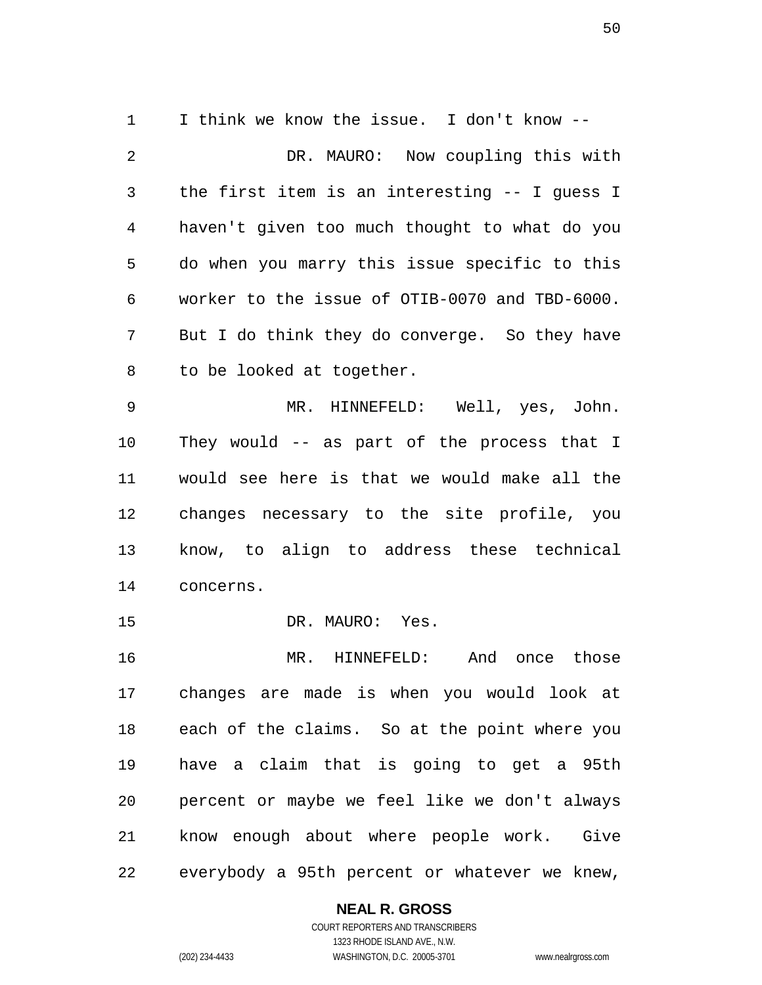I think we know the issue. I don't know -- DR. MAURO: Now coupling this with the first item is an interesting -- I guess I haven't given too much thought to what do you do when you marry this issue specific to this worker to the issue of OTIB-0070 and TBD-6000. But I do think they do converge. So they have to be looked at together.

 MR. HINNEFELD: Well, yes, John. They would -- as part of the process that I would see here is that we would make all the changes necessary to the site profile, you know, to align to address these technical concerns.

15 DR. MAURO: Yes.

 MR. HINNEFELD: And once those changes are made is when you would look at each of the claims. So at the point where you have a claim that is going to get a 95th percent or maybe we feel like we don't always know enough about where people work. Give everybody a 95th percent or whatever we knew,

#### **NEAL R. GROSS**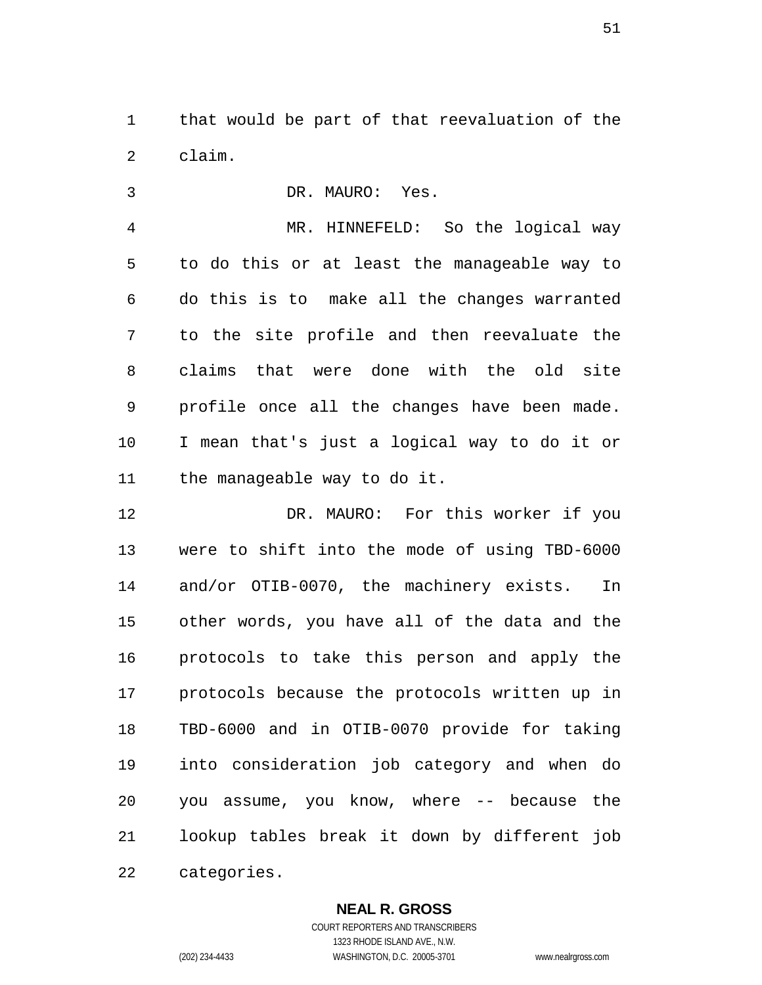that would be part of that reevaluation of the claim.

 DR. MAURO: Yes. MR. HINNEFELD: So the logical way to do this or at least the manageable way to do this is to make all the changes warranted to the site profile and then reevaluate the claims that were done with the old site profile once all the changes have been made. I mean that's just a logical way to do it or the manageable way to do it.

 DR. MAURO: For this worker if you were to shift into the mode of using TBD-6000 and/or OTIB-0070, the machinery exists. In other words, you have all of the data and the protocols to take this person and apply the protocols because the protocols written up in TBD-6000 and in OTIB-0070 provide for taking into consideration job category and when do you assume, you know, where -- because the lookup tables break it down by different job categories.

**NEAL R. GROSS**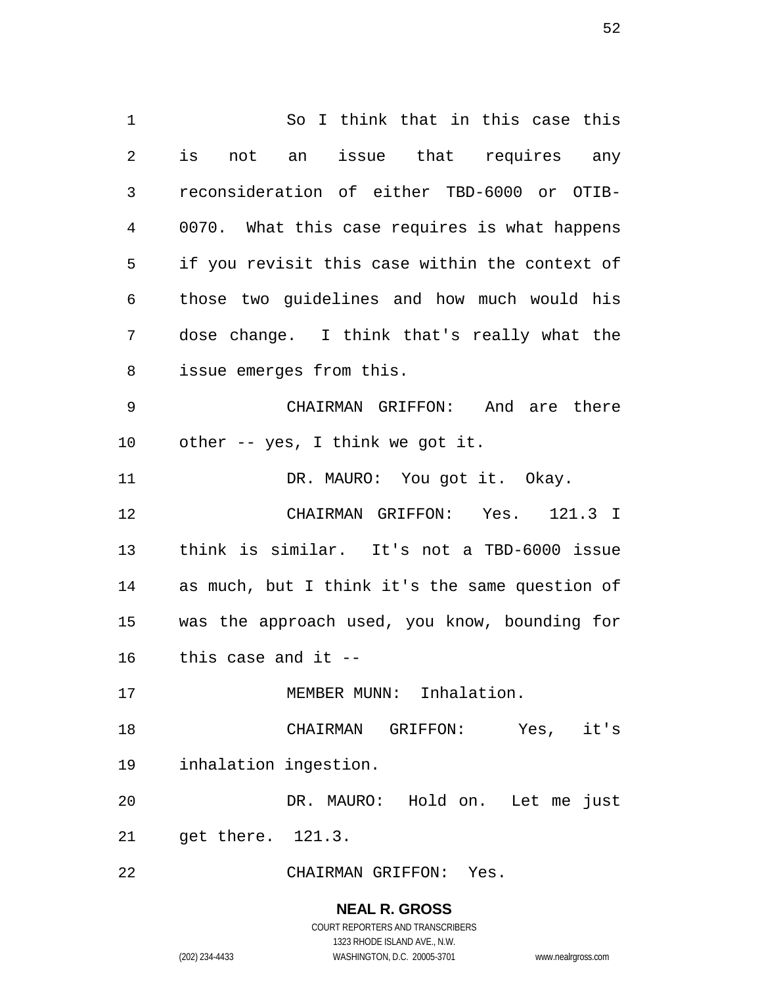So I think that in this case this is not an issue that requires any reconsideration of either TBD-6000 or OTIB- 0070. What this case requires is what happens if you revisit this case within the context of those two guidelines and how much would his dose change. I think that's really what the issue emerges from this. CHAIRMAN GRIFFON: And are there other -- yes, I think we got it. 11 DR. MAURO: You got it. Okay. CHAIRMAN GRIFFON: Yes. 121.3 I think is similar. It's not a TBD-6000 issue as much, but I think it's the same question of was the approach used, you know, bounding for this case and it -- 17 MEMBER MUNN: Inhalation. CHAIRMAN GRIFFON: Yes, it's inhalation ingestion. DR. MAURO: Hold on. Let me just get there. 121.3. CHAIRMAN GRIFFON: Yes.

> **NEAL R. GROSS** COURT REPORTERS AND TRANSCRIBERS

1323 RHODE ISLAND AVE., N.W. (202) 234-4433 WASHINGTON, D.C. 20005-3701 www.nealrgross.com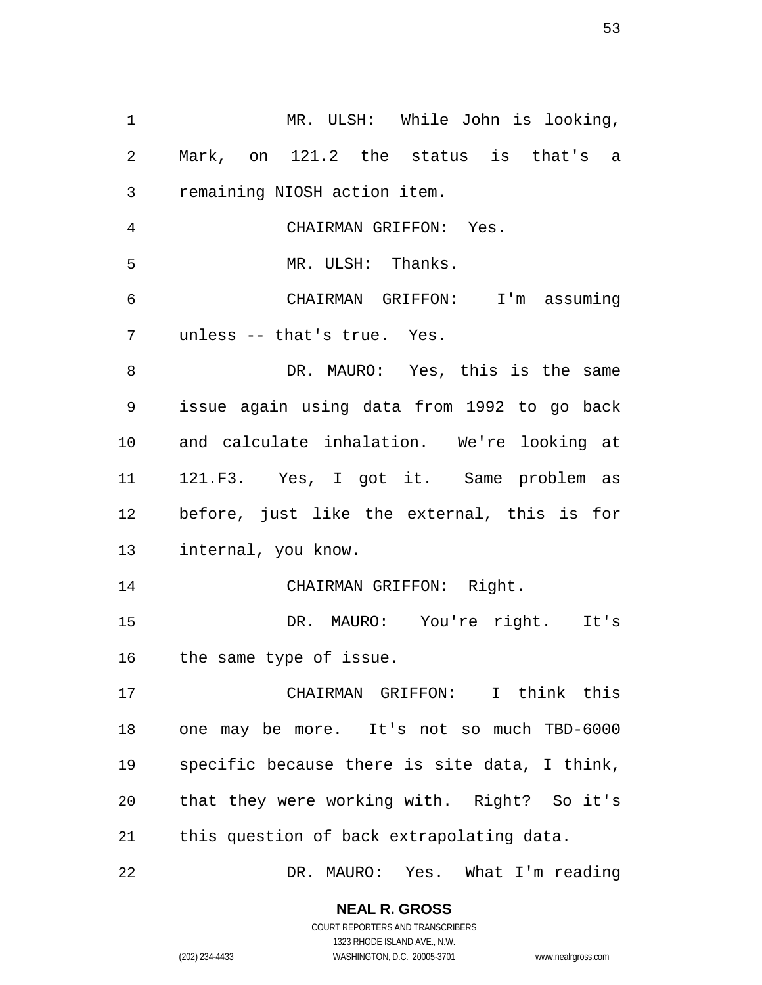| 1  | MR. ULSH: While John is looking,              |  |  |  |
|----|-----------------------------------------------|--|--|--|
| 2  | Mark, on 121.2 the status is that's a         |  |  |  |
| 3  | remaining NIOSH action item.                  |  |  |  |
| 4  | CHAIRMAN GRIFFON: Yes.                        |  |  |  |
| 5  | MR. ULSH: Thanks.                             |  |  |  |
| 6  | CHAIRMAN GRIFFON: I'm assuming                |  |  |  |
| 7  | unless -- that's true. Yes.                   |  |  |  |
| 8  | DR. MAURO: Yes, this is the same              |  |  |  |
| 9  | issue again using data from 1992 to go back   |  |  |  |
| 10 | and calculate inhalation. We're looking at    |  |  |  |
| 11 | 121.F3. Yes, I got it. Same problem as        |  |  |  |
| 12 | before, just like the external, this is for   |  |  |  |
| 13 | internal, you know.                           |  |  |  |
| 14 | CHAIRMAN GRIFFON: Right.                      |  |  |  |
| 15 | DR. MAURO: You're right. It's                 |  |  |  |
|    | 16 the same type of issue.                    |  |  |  |
| 17 | CHAIRMAN GRIFFON: I think this                |  |  |  |
| 18 | one may be more. It's not so much TBD-6000    |  |  |  |
| 19 | specific because there is site data, I think, |  |  |  |
| 20 | that they were working with. Right? So it's   |  |  |  |
| 21 | this question of back extrapolating data.     |  |  |  |
| 22 | DR. MAURO: Yes. What I'm reading              |  |  |  |

**NEAL R. GROSS**

COURT REPORTERS AND TRANSCRIBERS 1323 RHODE ISLAND AVE., N.W. (202) 234-4433 WASHINGTON, D.C. 20005-3701 www.nealrgross.com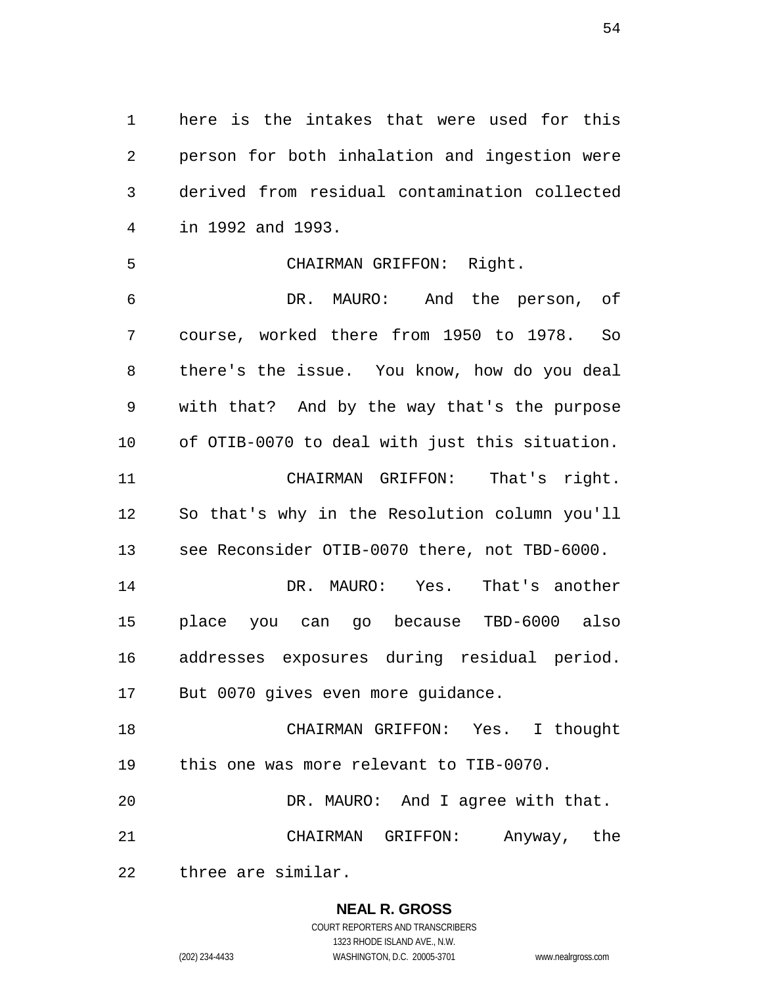here is the intakes that were used for this person for both inhalation and ingestion were derived from residual contamination collected in 1992 and 1993.

#### CHAIRMAN GRIFFON: Right.

 DR. MAURO: And the person, of course, worked there from 1950 to 1978. So there's the issue. You know, how do you deal with that? And by the way that's the purpose of OTIB-0070 to deal with just this situation. CHAIRMAN GRIFFON: That's right. So that's why in the Resolution column you'll see Reconsider OTIB-0070 there, not TBD-6000. DR. MAURO: Yes. That's another place you can go because TBD-6000 also addresses exposures during residual period. But 0070 gives even more guidance. CHAIRMAN GRIFFON: Yes. I thought this one was more relevant to TIB-0070. DR. MAURO: And I agree with that.

CHAIRMAN GRIFFON: Anyway, the

three are similar.

#### **NEAL R. GROSS**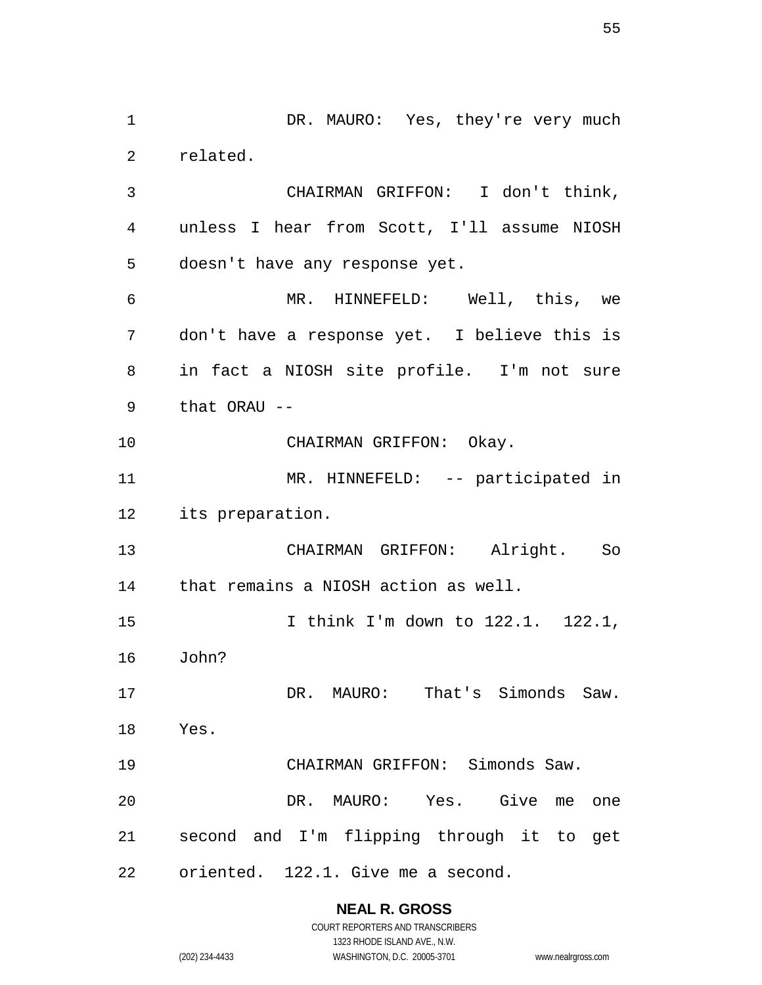1 DR. MAURO: Yes, they're very much related. CHAIRMAN GRIFFON: I don't think, unless I hear from Scott, I'll assume NIOSH doesn't have any response yet. MR. HINNEFELD: Well, this, we don't have a response yet. I believe this is in fact a NIOSH site profile. I'm not sure that ORAU -- 10 CHAIRMAN GRIFFON: Okay. MR. HINNEFELD: -- participated in its preparation. CHAIRMAN GRIFFON: Alright. So that remains a NIOSH action as well. I think I'm down to 122.1. 122.1, John? DR. MAURO: That's Simonds Saw. Yes. CHAIRMAN GRIFFON: Simonds Saw. DR. MAURO: Yes. Give me one second and I'm flipping through it to get oriented. 122.1. Give me a second.

#### **NEAL R. GROSS**

| 234-4433 |  |  |
|----------|--|--|

COURT REPORTERS AND TRANSCRIBERS 1323 RHODE ISLAND AVE., N.W. (202) 234-4433 WASHINGTON, D.C. 20005-3701 www.nealrgross.com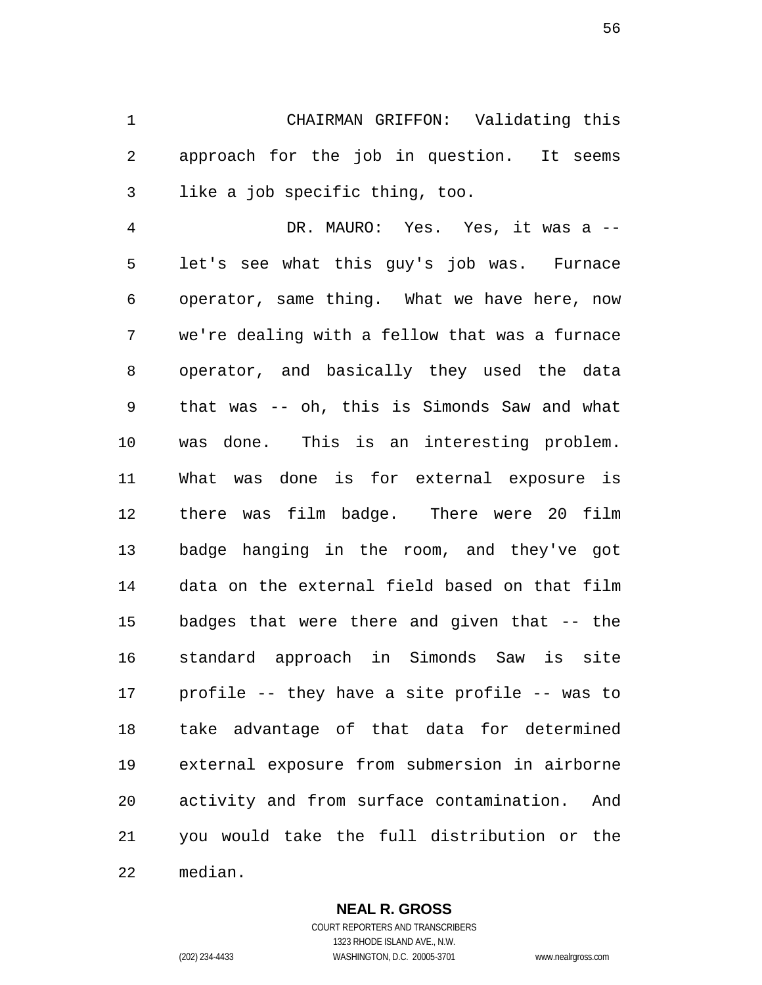CHAIRMAN GRIFFON: Validating this approach for the job in question. It seems like a job specific thing, too.

 DR. MAURO: Yes. Yes, it was a -- let's see what this guy's job was. Furnace operator, same thing. What we have here, now we're dealing with a fellow that was a furnace operator, and basically they used the data that was -- oh, this is Simonds Saw and what was done. This is an interesting problem. What was done is for external exposure is there was film badge. There were 20 film badge hanging in the room, and they've got data on the external field based on that film badges that were there and given that -- the standard approach in Simonds Saw is site profile -- they have a site profile -- was to take advantage of that data for determined external exposure from submersion in airborne activity and from surface contamination. And you would take the full distribution or the median.

> **NEAL R. GROSS** COURT REPORTERS AND TRANSCRIBERS

1323 RHODE ISLAND AVE., N.W. (202) 234-4433 WASHINGTON, D.C. 20005-3701 www.nealrgross.com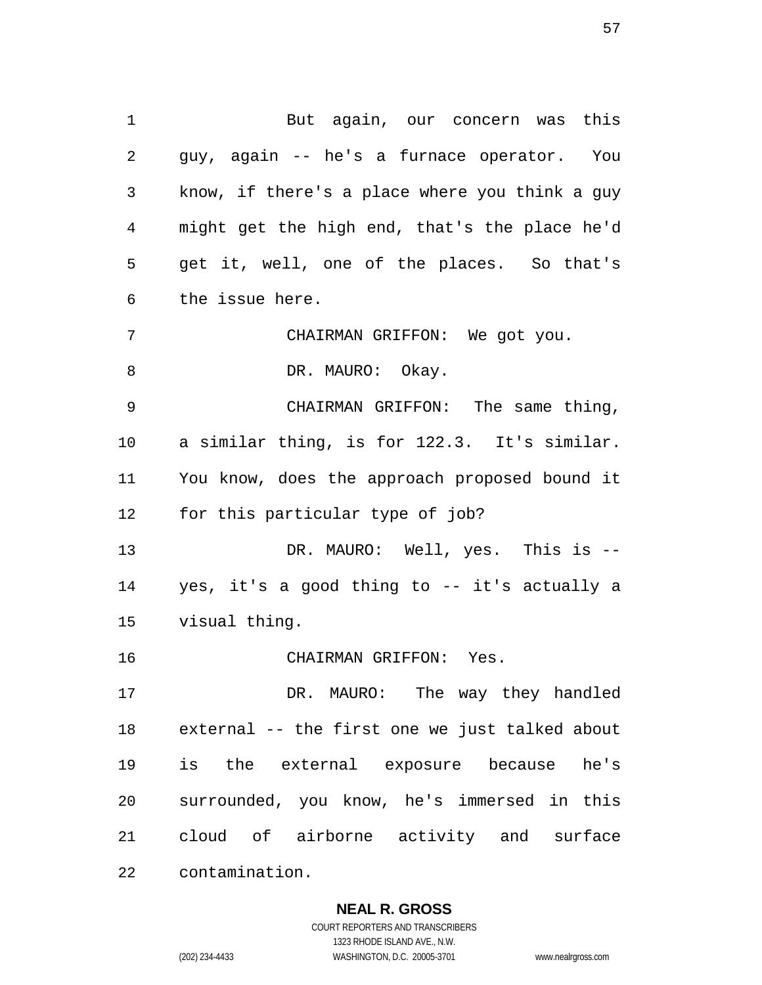But again, our concern was this guy, again -- he's a furnace operator. You know, if there's a place where you think a guy might get the high end, that's the place he'd get it, well, one of the places. So that's the issue here. CHAIRMAN GRIFFON: We got you. 8 DR. MAURO: Okay. CHAIRMAN GRIFFON: The same thing, a similar thing, is for 122.3. It's similar. You know, does the approach proposed bound it for this particular type of job? DR. MAURO: Well, yes. This is -- yes, it's a good thing to -- it's actually a visual thing. CHAIRMAN GRIFFON: Yes. DR. MAURO: The way they handled external -- the first one we just talked about

 is the external exposure because he's surrounded, you know, he's immersed in this cloud of airborne activity and surface contamination.

**NEAL R. GROSS**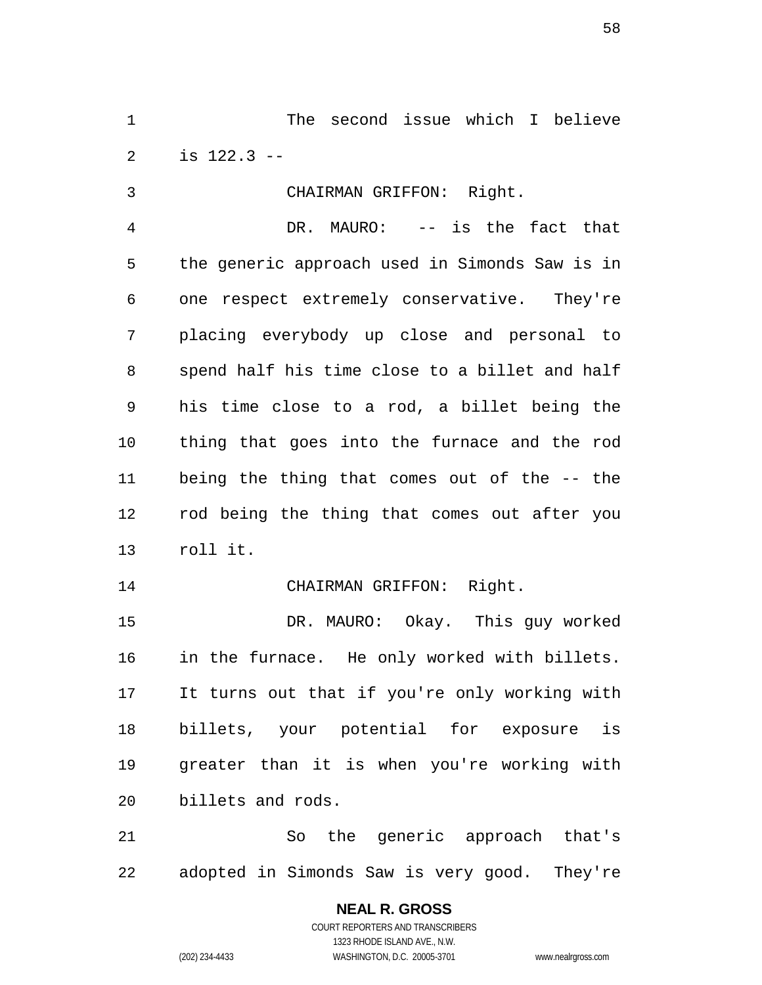The second issue which I believe is 122.3 --

 CHAIRMAN GRIFFON: Right. DR. MAURO: -- is the fact that the generic approach used in Simonds Saw is in one respect extremely conservative. They're placing everybody up close and personal to spend half his time close to a billet and half his time close to a rod, a billet being the thing that goes into the furnace and the rod being the thing that comes out of the -- the rod being the thing that comes out after you roll it.

14 CHAIRMAN GRIFFON: Right.

 DR. MAURO: Okay. This guy worked in the furnace. He only worked with billets. It turns out that if you're only working with billets, your potential for exposure is greater than it is when you're working with billets and rods.

 So the generic approach that's adopted in Simonds Saw is very good. They're

# **NEAL R. GROSS**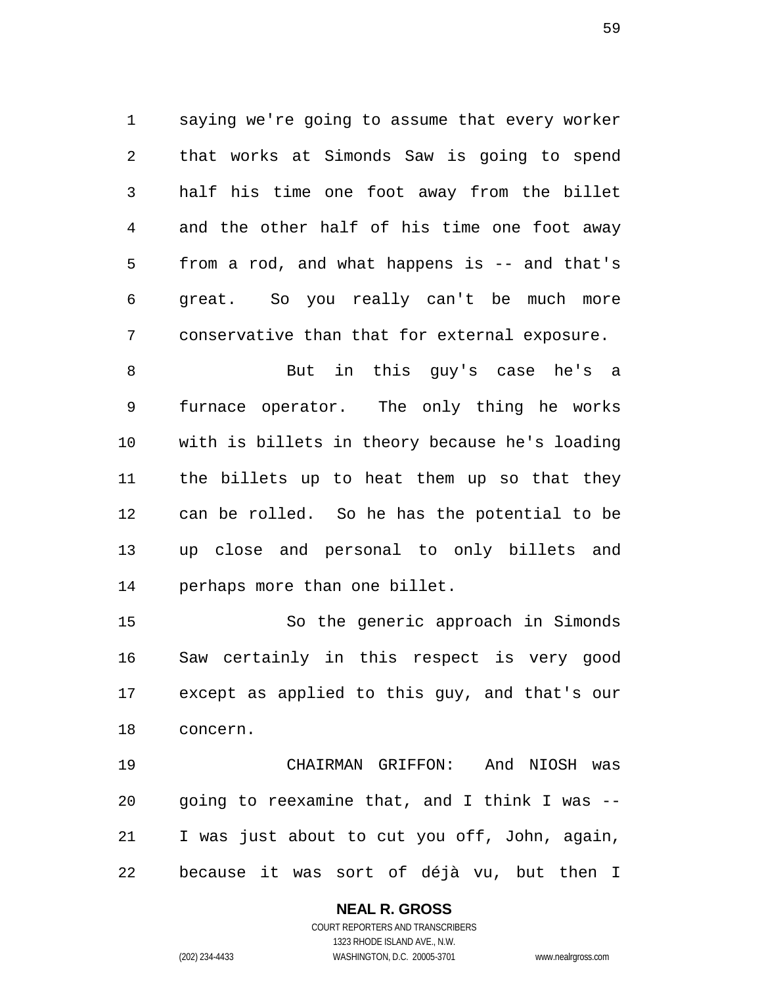saying we're going to assume that every worker that works at Simonds Saw is going to spend half his time one foot away from the billet and the other half of his time one foot away from a rod, and what happens is -- and that's great. So you really can't be much more conservative than that for external exposure.

 But in this guy's case he's a furnace operator. The only thing he works with is billets in theory because he's loading the billets up to heat them up so that they can be rolled. So he has the potential to be up close and personal to only billets and perhaps more than one billet.

 So the generic approach in Simonds Saw certainly in this respect is very good except as applied to this guy, and that's our concern.

 CHAIRMAN GRIFFON: And NIOSH was going to reexamine that, and I think I was -- I was just about to cut you off, John, again, because it was sort of déjà vu, but then I

# **NEAL R. GROSS**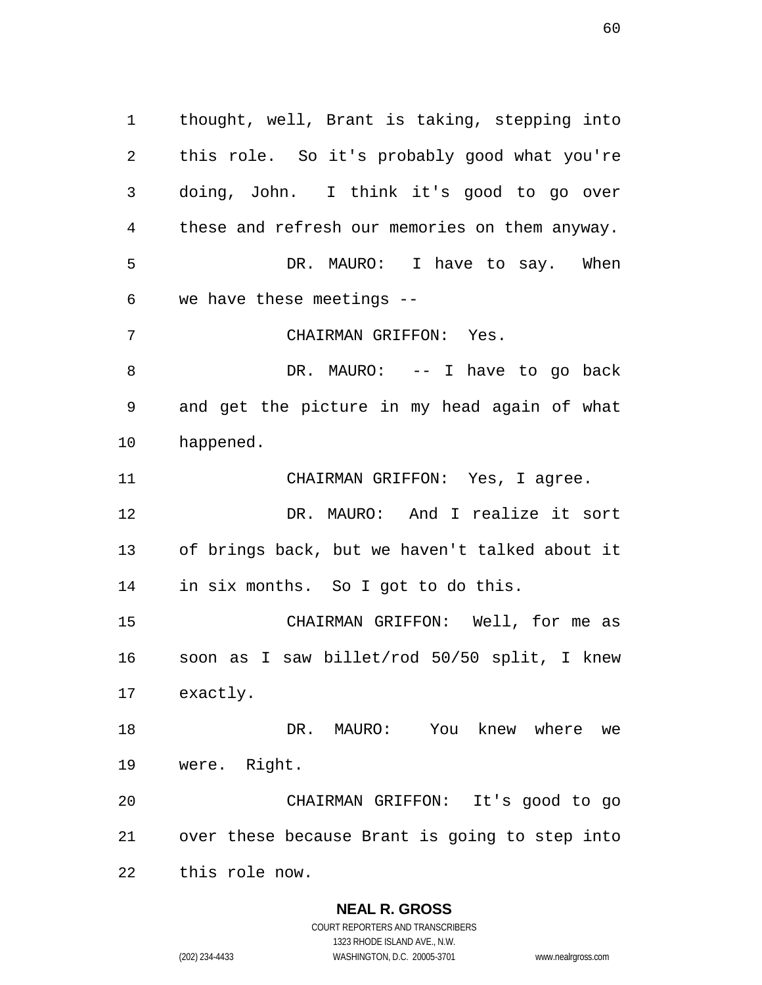thought, well, Brant is taking, stepping into this role. So it's probably good what you're doing, John. I think it's good to go over these and refresh our memories on them anyway. DR. MAURO: I have to say. When we have these meetings -- CHAIRMAN GRIFFON: Yes. 8 DR. MAURO: -- I have to go back and get the picture in my head again of what happened. CHAIRMAN GRIFFON: Yes, I agree. DR. MAURO: And I realize it sort of brings back, but we haven't talked about it in six months. So I got to do this. CHAIRMAN GRIFFON: Well, for me as soon as I saw billet/rod 50/50 split, I knew exactly. DR. MAURO: You knew where we were. Right. CHAIRMAN GRIFFON: It's good to go over these because Brant is going to step into this role now.

#### **NEAL R. GROSS**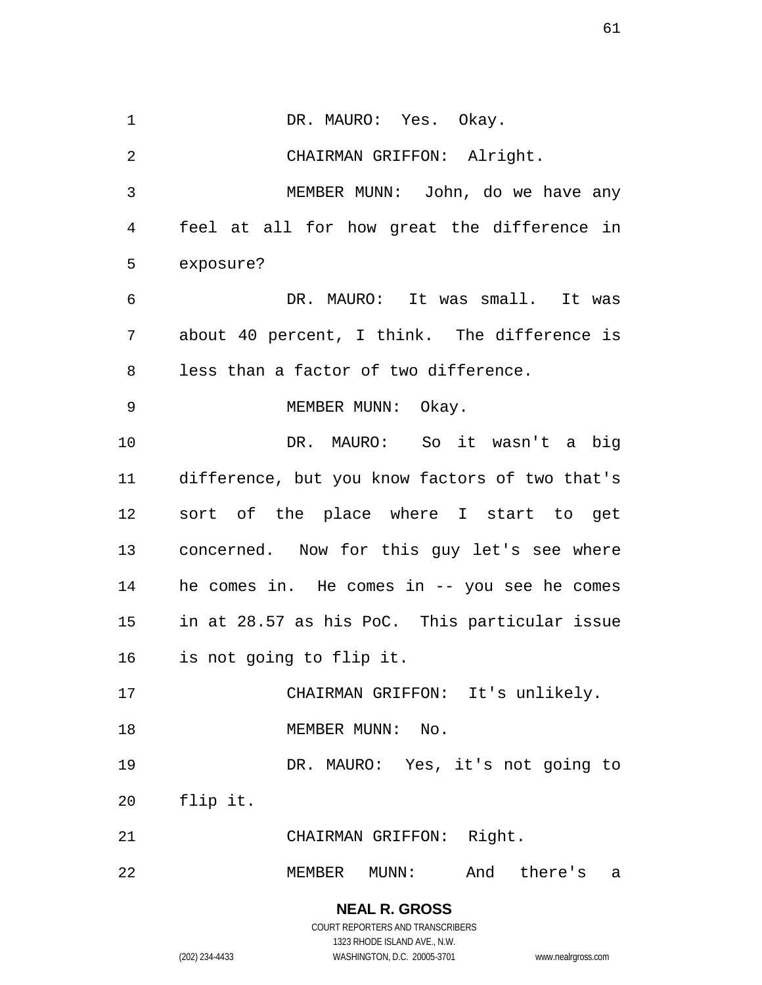1 DR. MAURO: Yes. Okay. CHAIRMAN GRIFFON: Alright. MEMBER MUNN: John, do we have any feel at all for how great the difference in exposure? DR. MAURO: It was small. It was about 40 percent, I think. The difference is less than a factor of two difference. 9 MEMBER MUNN: Okay. DR. MAURO: So it wasn't a big difference, but you know factors of two that's sort of the place where I start to get concerned. Now for this guy let's see where he comes in. He comes in -- you see he comes in at 28.57 as his PoC. This particular issue is not going to flip it. CHAIRMAN GRIFFON: It's unlikely. 18 MEMBER MUNN: No. DR. MAURO: Yes, it's not going to flip it. CHAIRMAN GRIFFON: Right. MEMBER MUNN: And there's a

> COURT REPORTERS AND TRANSCRIBERS 1323 RHODE ISLAND AVE., N.W. (202) 234-4433 WASHINGTON, D.C. 20005-3701 www.nealrgross.com

**NEAL R. GROSS**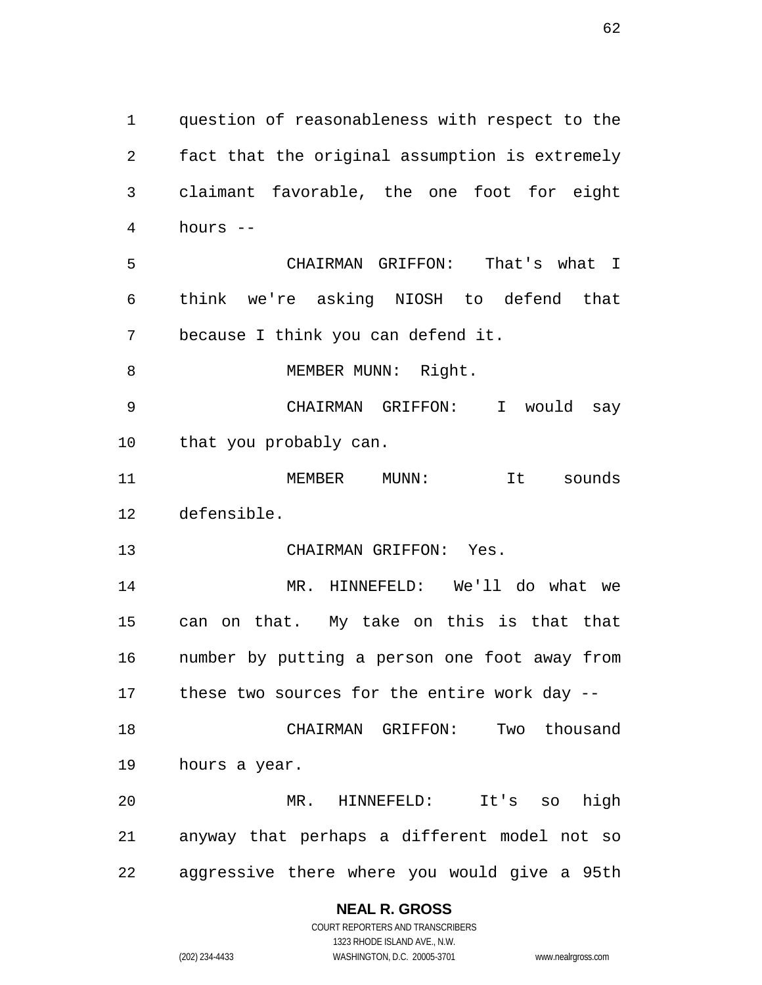question of reasonableness with respect to the fact that the original assumption is extremely claimant favorable, the one foot for eight hours -- CHAIRMAN GRIFFON: That's what I think we're asking NIOSH to defend that because I think you can defend it. 8 MEMBER MUNN: Right. CHAIRMAN GRIFFON: I would say that you probably can. MEMBER MUNN: It sounds defensible. CHAIRMAN GRIFFON: Yes. MR. HINNEFELD: We'll do what we can on that. My take on this is that that number by putting a person one foot away from these two sources for the entire work day -- CHAIRMAN GRIFFON: Two thousand hours a year. MR. HINNEFELD: It's so high anyway that perhaps a different model not so aggressive there where you would give a 95th

#### **NEAL R. GROSS** COURT REPORTERS AND TRANSCRIBERS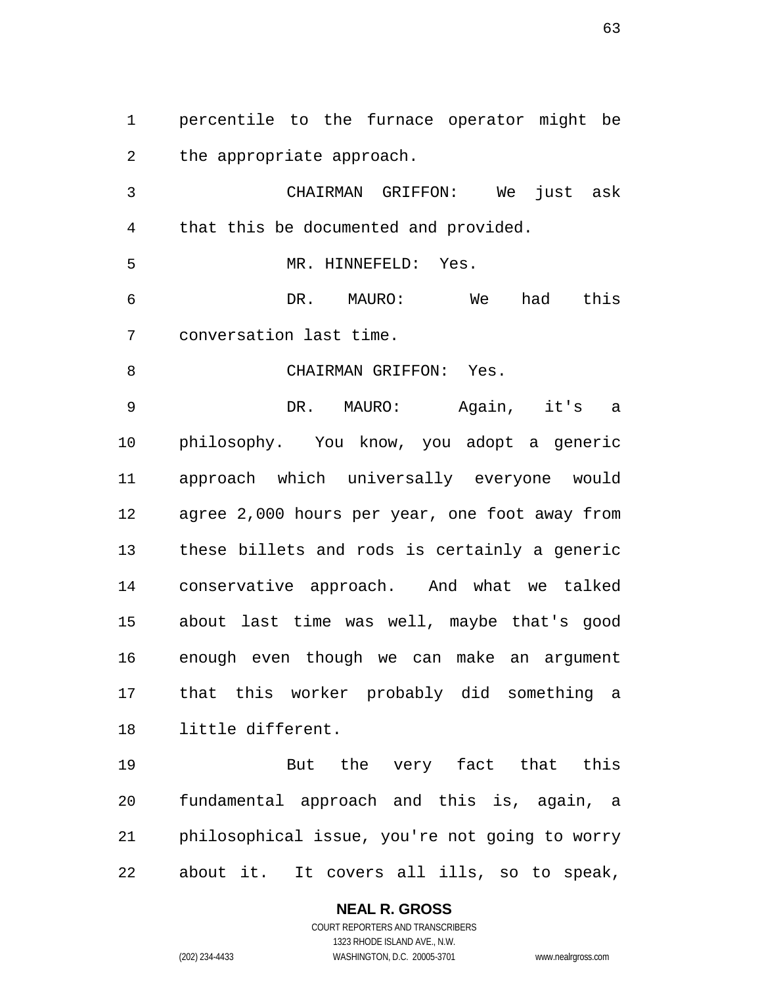percentile to the furnace operator might be the appropriate approach.

 CHAIRMAN GRIFFON: We just ask that this be documented and provided.

MR. HINNEFELD: Yes.

 DR. MAURO: We had this conversation last time.

8 CHAIRMAN GRIFFON: Yes.

 DR. MAURO: Again, it's a philosophy. You know, you adopt a generic approach which universally everyone would agree 2,000 hours per year, one foot away from these billets and rods is certainly a generic conservative approach. And what we talked about last time was well, maybe that's good enough even though we can make an argument that this worker probably did something a little different.

 But the very fact that this fundamental approach and this is, again, a philosophical issue, you're not going to worry about it. It covers all ills, so to speak,

#### **NEAL R. GROSS**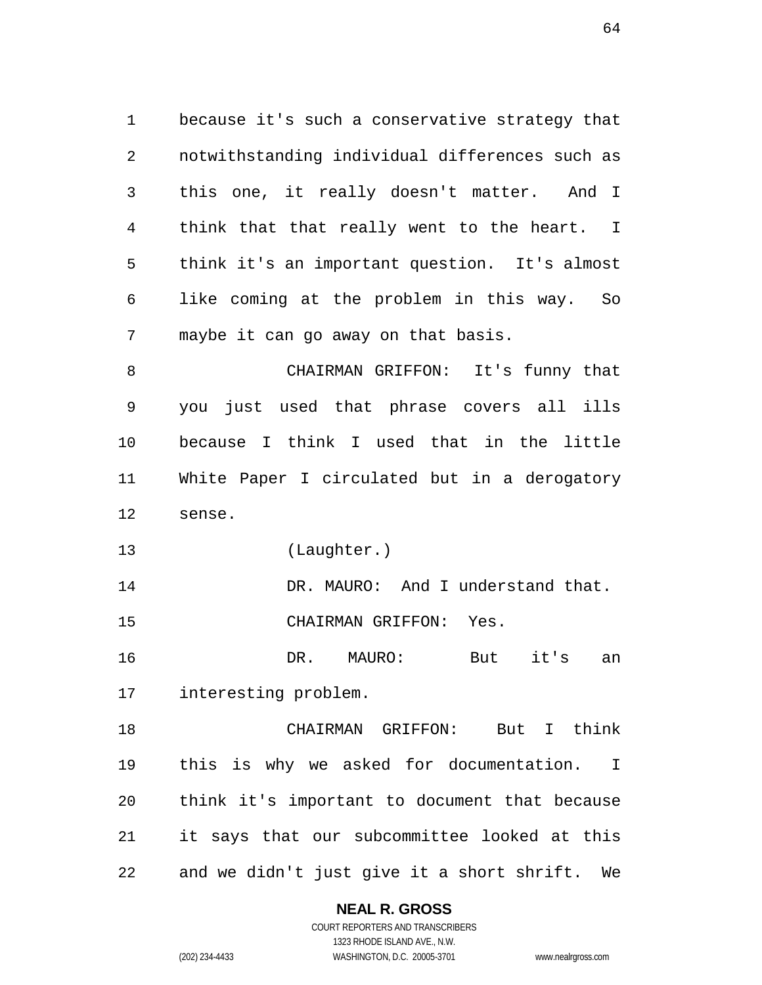because it's such a conservative strategy that notwithstanding individual differences such as this one, it really doesn't matter. And I think that that really went to the heart. I think it's an important question. It's almost like coming at the problem in this way. So maybe it can go away on that basis.

 CHAIRMAN GRIFFON: It's funny that you just used that phrase covers all ills because I think I used that in the little White Paper I circulated but in a derogatory sense.

(Laughter.)

14 DR. MAURO: And I understand that. CHAIRMAN GRIFFON: Yes.

 DR. MAURO: But it's an interesting problem.

 CHAIRMAN GRIFFON: But I think this is why we asked for documentation. I think it's important to document that because it says that our subcommittee looked at this and we didn't just give it a short shrift. We

#### **NEAL R. GROSS**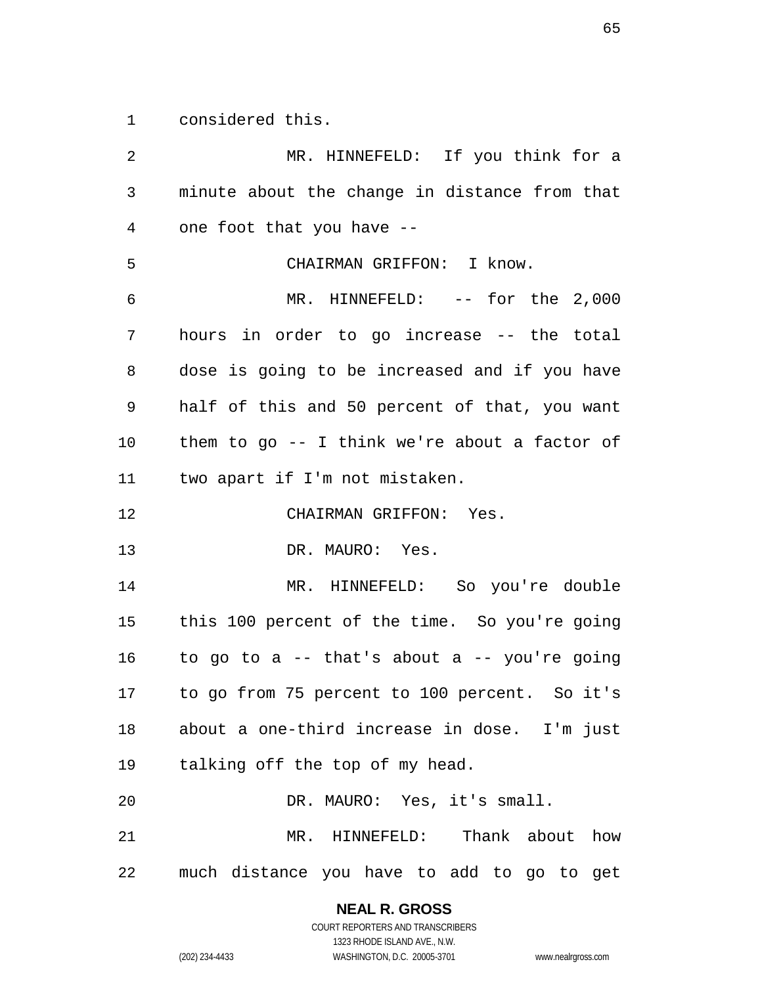considered this.

 MR. HINNEFELD: If you think for a minute about the change in distance from that one foot that you have -- CHAIRMAN GRIFFON: I know. MR. HINNEFELD: -- for the 2,000 hours in order to go increase -- the total dose is going to be increased and if you have half of this and 50 percent of that, you want them to go -- I think we're about a factor of two apart if I'm not mistaken. CHAIRMAN GRIFFON: Yes. DR. MAURO: Yes. MR. HINNEFELD: So you're double this 100 percent of the time. So you're going 16 to go to a  $-$  that's about a  $-$  you're going to go from 75 percent to 100 percent. So it's about a one-third increase in dose. I'm just talking off the top of my head. DR. MAURO: Yes, it's small. MR. HINNEFELD: Thank about how much distance you have to add to go to get

**NEAL R. GROSS**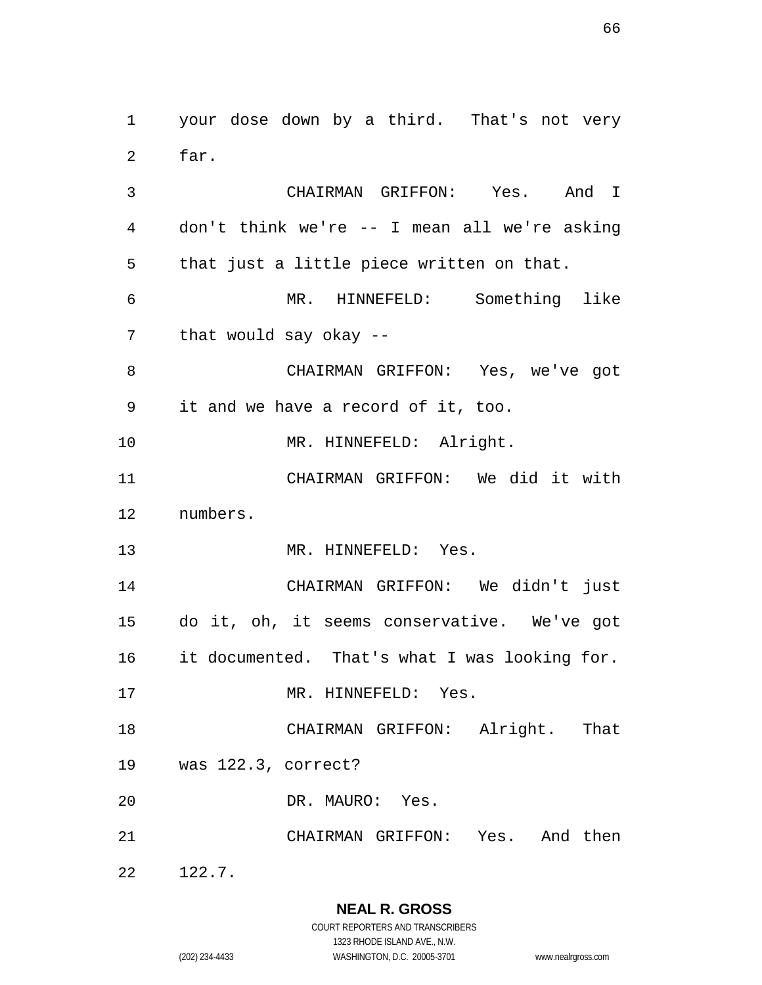your dose down by a third. That's not very far.

CHAIRMAN GRIFFON: Yes. And I

 don't think we're -- I mean all we're asking that just a little piece written on that. MR. HINNEFELD: Something like that would say okay -- CHAIRMAN GRIFFON: Yes, we've got it and we have a record of it, too. 10 MR. HINNEFELD: Alright. CHAIRMAN GRIFFON: We did it with numbers. MR. HINNEFELD: Yes. CHAIRMAN GRIFFON: We didn't just do it, oh, it seems conservative. We've got it documented. That's what I was looking for. 17 MR. HINNEFELD: Yes. CHAIRMAN GRIFFON: Alright. That was 122.3, correct? DR. MAURO: Yes. CHAIRMAN GRIFFON: Yes. And then 122.7.

**NEAL R. GROSS**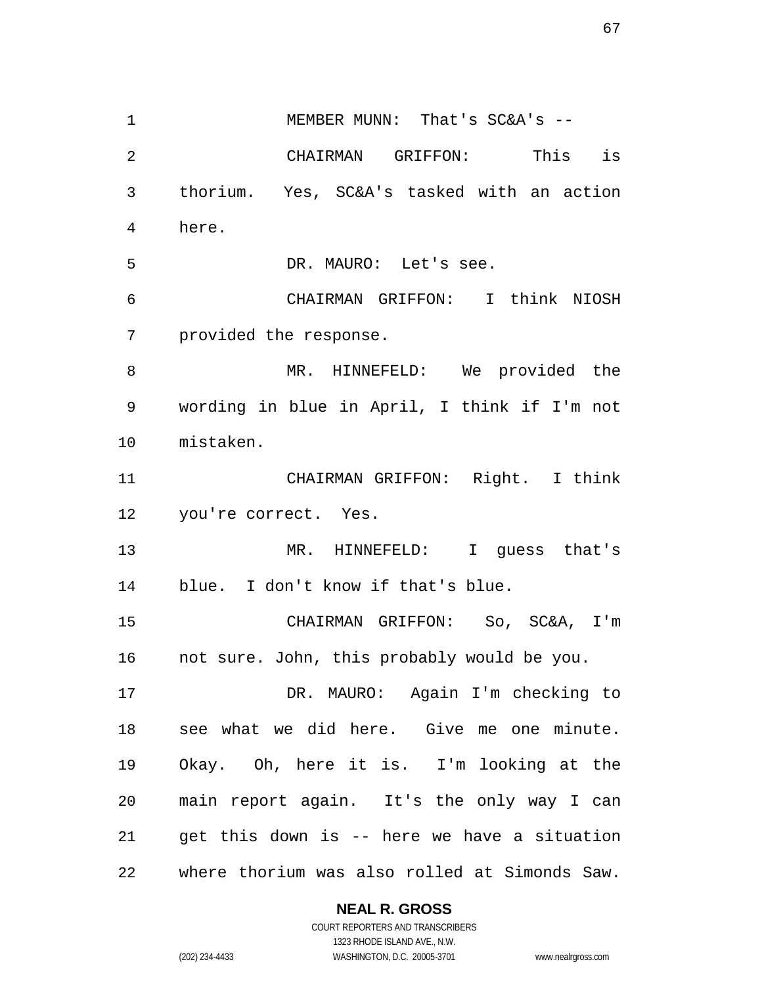1 MEMBER MUNN: That's SC&A's -- CHAIRMAN GRIFFON: This is thorium. Yes, SC&A's tasked with an action here. DR. MAURO: Let's see. CHAIRMAN GRIFFON: I think NIOSH provided the response. MR. HINNEFELD: We provided the wording in blue in April, I think if I'm not mistaken. CHAIRMAN GRIFFON: Right. I think you're correct. Yes. MR. HINNEFELD: I guess that's blue. I don't know if that's blue. CHAIRMAN GRIFFON: So, SC&A, I'm not sure. John, this probably would be you. DR. MAURO: Again I'm checking to see what we did here. Give me one minute. Okay. Oh, here it is. I'm looking at the main report again. It's the only way I can get this down is -- here we have a situation where thorium was also rolled at Simonds Saw.

**NEAL R. GROSS**

COURT REPORTERS AND TRANSCRIBERS 1323 RHODE ISLAND AVE., N.W. (202) 234-4433 WASHINGTON, D.C. 20005-3701 www.nealrgross.com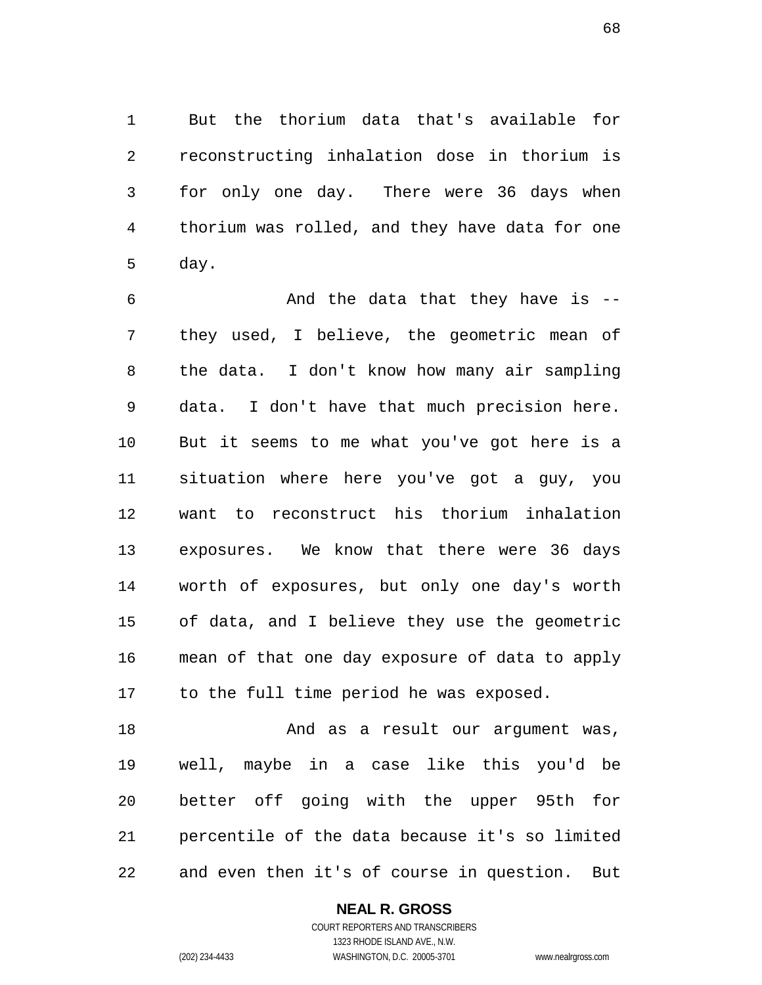But the thorium data that's available for reconstructing inhalation dose in thorium is for only one day. There were 36 days when thorium was rolled, and they have data for one day.

 And the data that they have is -- they used, I believe, the geometric mean of the data. I don't know how many air sampling data. I don't have that much precision here. But it seems to me what you've got here is a situation where here you've got a guy, you want to reconstruct his thorium inhalation exposures. We know that there were 36 days worth of exposures, but only one day's worth of data, and I believe they use the geometric mean of that one day exposure of data to apply to the full time period he was exposed.

18 And as a result our argument was, well, maybe in a case like this you'd be better off going with the upper 95th for percentile of the data because it's so limited and even then it's of course in question. But

#### **NEAL R. GROSS**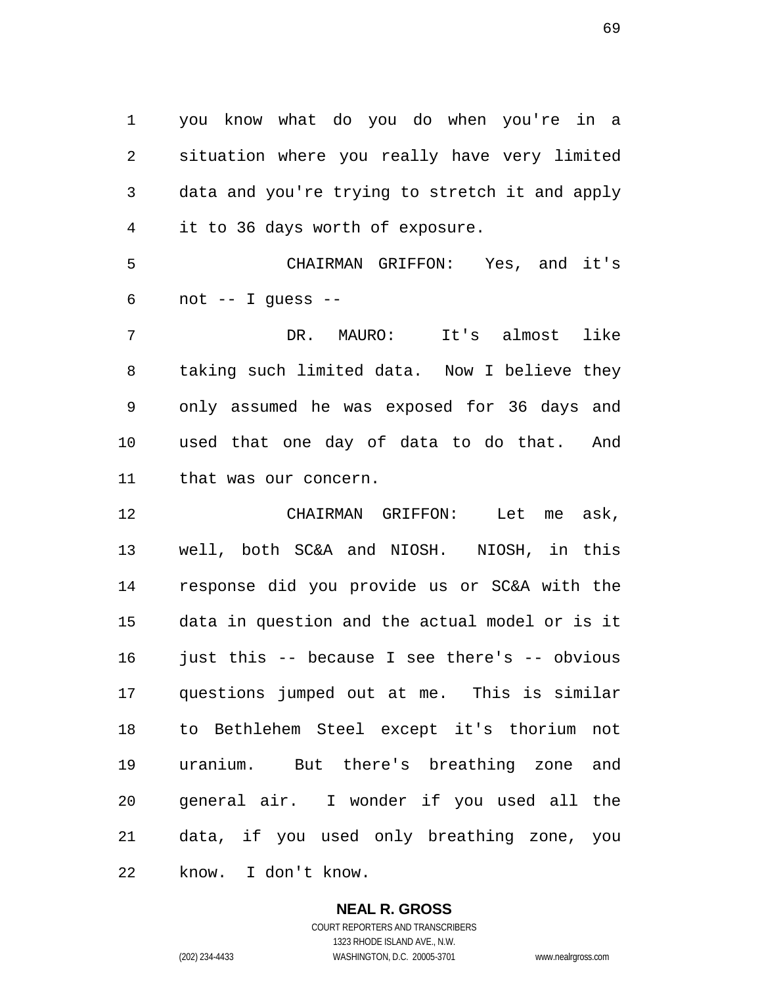you know what do you do when you're in a situation where you really have very limited data and you're trying to stretch it and apply it to 36 days worth of exposure.

 CHAIRMAN GRIFFON: Yes, and it's not  $-$  I quess  $-$ 

 DR. MAURO: It's almost like taking such limited data. Now I believe they only assumed he was exposed for 36 days and used that one day of data to do that. And that was our concern.

 CHAIRMAN GRIFFON: Let me ask, well, both SC&A and NIOSH. NIOSH, in this response did you provide us or SC&A with the data in question and the actual model or is it 16 just this -- because I see there's -- obvious questions jumped out at me. This is similar to Bethlehem Steel except it's thorium not uranium. But there's breathing zone and general air. I wonder if you used all the data, if you used only breathing zone, you know. I don't know.

#### **NEAL R. GROSS**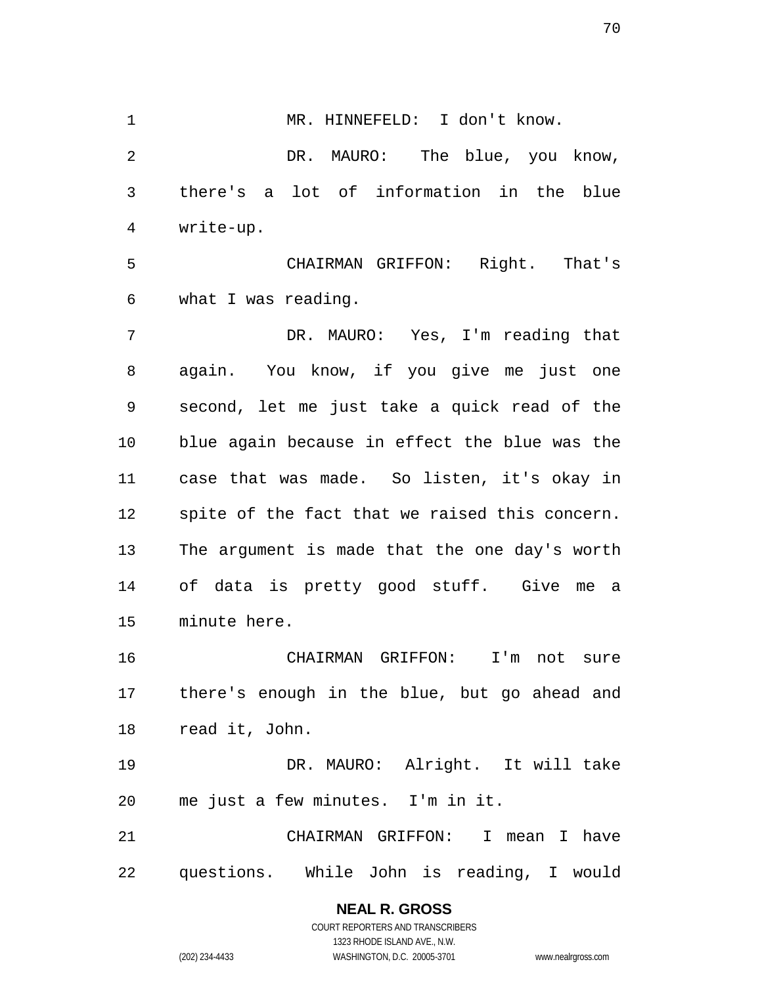1 MR. HINNEFELD: I don't know. DR. MAURO: The blue, you know, there's a lot of information in the blue write-up. CHAIRMAN GRIFFON: Right. That's

what I was reading.

 DR. MAURO: Yes, I'm reading that again. You know, if you give me just one second, let me just take a quick read of the blue again because in effect the blue was the case that was made. So listen, it's okay in spite of the fact that we raised this concern. The argument is made that the one day's worth of data is pretty good stuff. Give me a minute here.

 CHAIRMAN GRIFFON: I'm not sure there's enough in the blue, but go ahead and read it, John.

 DR. MAURO: Alright. It will take me just a few minutes. I'm in it.

 CHAIRMAN GRIFFON: I mean I have questions. While John is reading, I would

> COURT REPORTERS AND TRANSCRIBERS 1323 RHODE ISLAND AVE., N.W. (202) 234-4433 WASHINGTON, D.C. 20005-3701 www.nealrgross.com

**NEAL R. GROSS**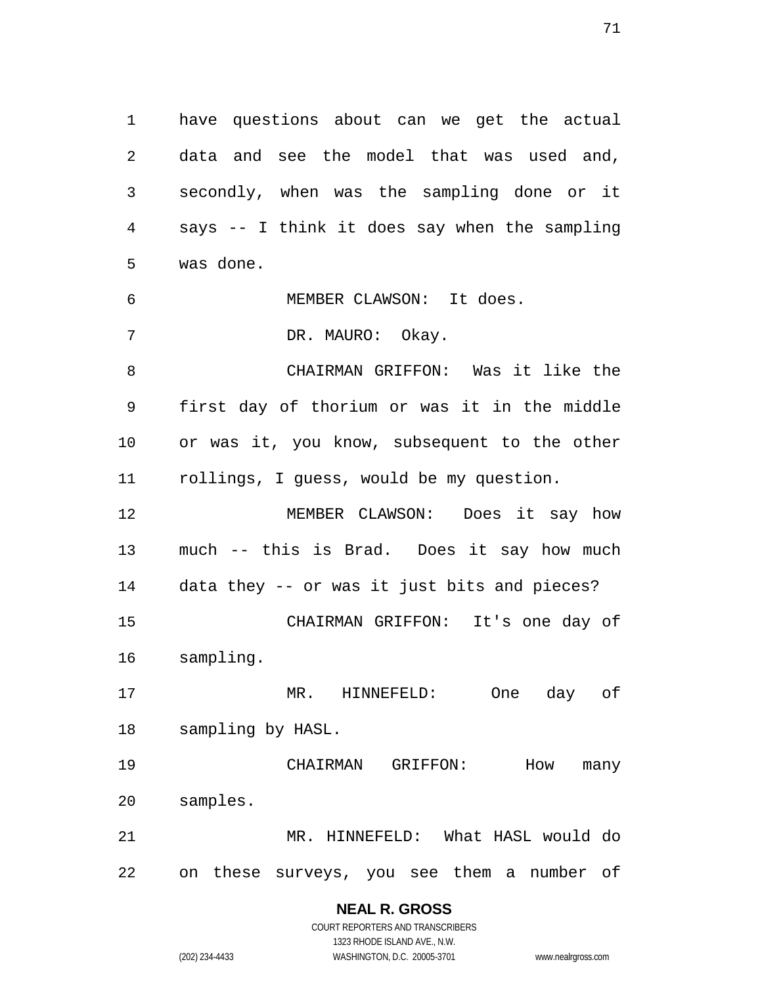have questions about can we get the actual data and see the model that was used and, secondly, when was the sampling done or it says -- I think it does say when the sampling was done.

MEMBER CLAWSON: It does.

7 DR. MAURO: Okay.

 CHAIRMAN GRIFFON: Was it like the first day of thorium or was it in the middle or was it, you know, subsequent to the other rollings, I guess, would be my question.

 MEMBER CLAWSON: Does it say how much -- this is Brad. Does it say how much data they -- or was it just bits and pieces? CHAIRMAN GRIFFON: It's one day of sampling.

 MR. HINNEFELD: One day of sampling by HASL.

 CHAIRMAN GRIFFON: How many samples. MR. HINNEFELD: What HASL would do

on these surveys, you see them a number of

**NEAL R. GROSS** COURT REPORTERS AND TRANSCRIBERS

1323 RHODE ISLAND AVE., N.W. (202) 234-4433 WASHINGTON, D.C. 20005-3701 www.nealrgross.com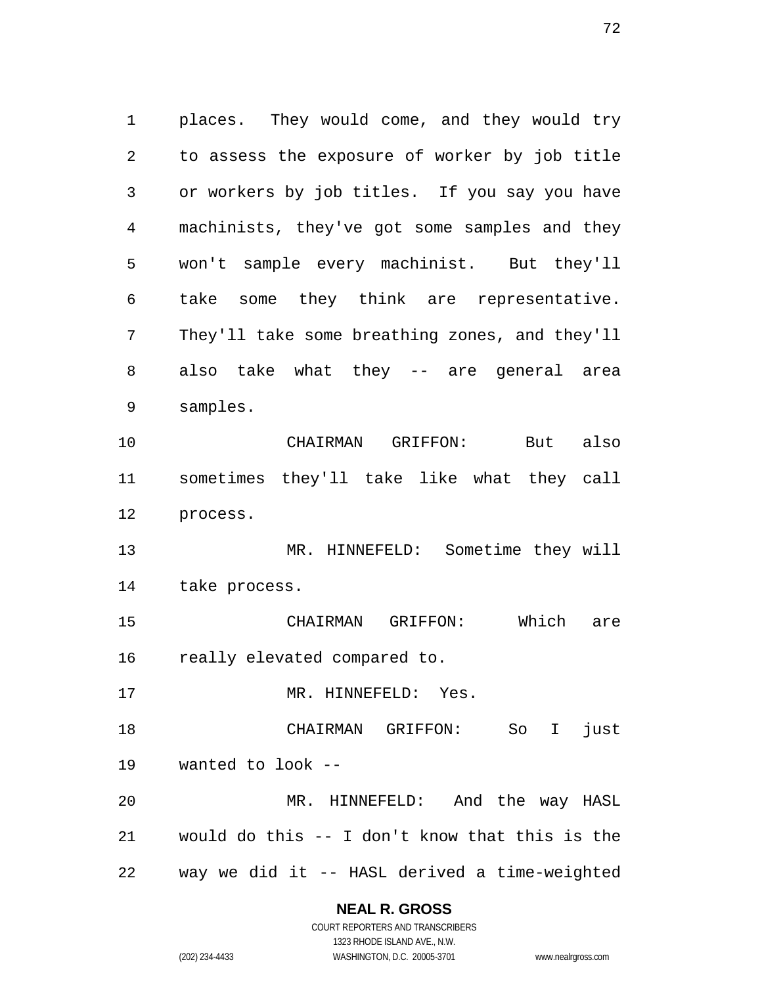places. They would come, and they would try to assess the exposure of worker by job title or workers by job titles. If you say you have machinists, they've got some samples and they won't sample every machinist. But they'll take some they think are representative. They'll take some breathing zones, and they'll also take what they -- are general area samples. CHAIRMAN GRIFFON: But also sometimes they'll take like what they call process. MR. HINNEFELD: Sometime they will take process. CHAIRMAN GRIFFON: Which are really elevated compared to. 17 MR. HINNEFELD: Yes. CHAIRMAN GRIFFON: So I just wanted to look -- MR. HINNEFELD: And the way HASL would do this -- I don't know that this is the way we did it -- HASL derived a time-weighted

#### **NEAL R. GROSS**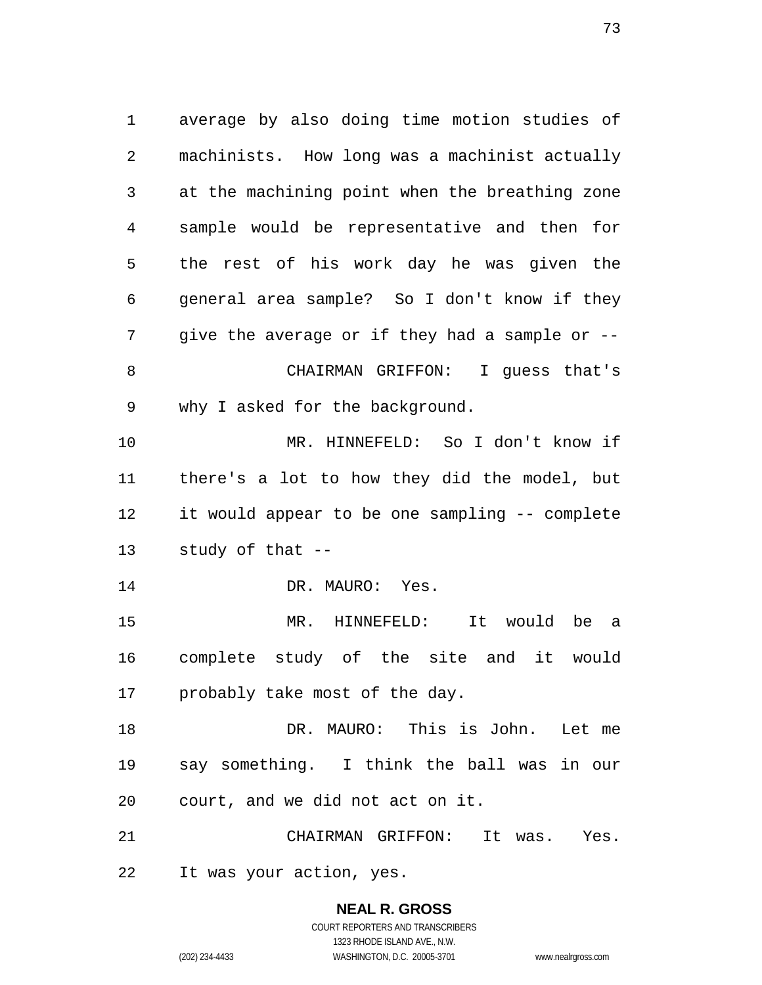average by also doing time motion studies of machinists. How long was a machinist actually at the machining point when the breathing zone sample would be representative and then for the rest of his work day he was given the general area sample? So I don't know if they 7 give the average or if they had a sample or -- CHAIRMAN GRIFFON: I guess that's why I asked for the background. MR. HINNEFELD: So I don't know if there's a lot to how they did the model, but it would appear to be one sampling -- complete study of that -- 14 DR. MAURO: Yes. MR. HINNEFELD: It would be a complete study of the site and it would probably take most of the day. DR. MAURO: This is John. Let me say something. I think the ball was in our court, and we did not act on it. CHAIRMAN GRIFFON: It was. Yes. It was your action, yes.

> **NEAL R. GROSS** COURT REPORTERS AND TRANSCRIBERS 1323 RHODE ISLAND AVE., N.W.

(202) 234-4433 WASHINGTON, D.C. 20005-3701 www.nealrgross.com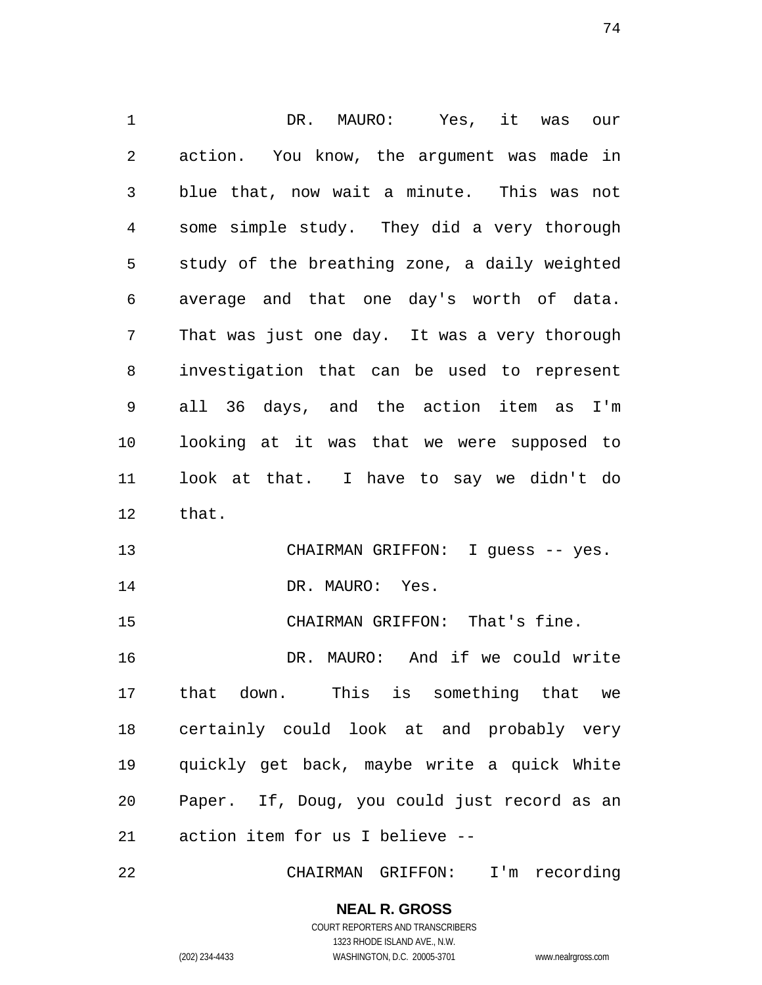DR. MAURO: Yes, it was our action. You know, the argument was made in blue that, now wait a minute. This was not some simple study. They did a very thorough study of the breathing zone, a daily weighted average and that one day's worth of data. That was just one day. It was a very thorough investigation that can be used to represent all 36 days, and the action item as I'm looking at it was that we were supposed to look at that. I have to say we didn't do that. 13 CHAIRMAN GRIFFON: I guess -- yes. 14 DR. MAURO: Yes. CHAIRMAN GRIFFON: That's fine. DR. MAURO: And if we could write that down. This is something that we certainly could look at and probably very quickly get back, maybe write a quick White Paper. If, Doug, you could just record as an action item for us I believe --

CHAIRMAN GRIFFON: I'm recording

**NEAL R. GROSS** COURT REPORTERS AND TRANSCRIBERS

1323 RHODE ISLAND AVE., N.W. (202) 234-4433 WASHINGTON, D.C. 20005-3701 www.nealrgross.com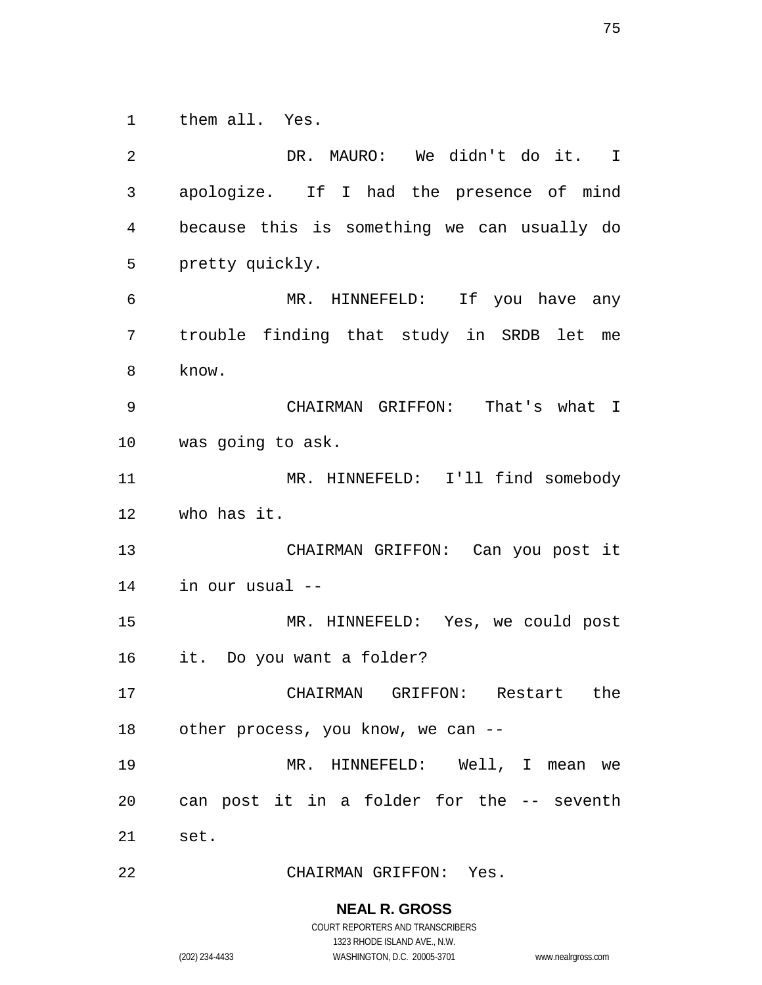them all. Yes.

 DR. MAURO: We didn't do it. I apologize. If I had the presence of mind because this is something we can usually do pretty quickly. MR. HINNEFELD: If you have any trouble finding that study in SRDB let me know. CHAIRMAN GRIFFON: That's what I was going to ask. MR. HINNEFELD: I'll find somebody who has it. CHAIRMAN GRIFFON: Can you post it in our usual -- MR. HINNEFELD: Yes, we could post it. Do you want a folder? CHAIRMAN GRIFFON: Restart the other process, you know, we can -- MR. HINNEFELD: Well, I mean we can post it in a folder for the -- seventh set. CHAIRMAN GRIFFON: Yes.

## **NEAL R. GROSS**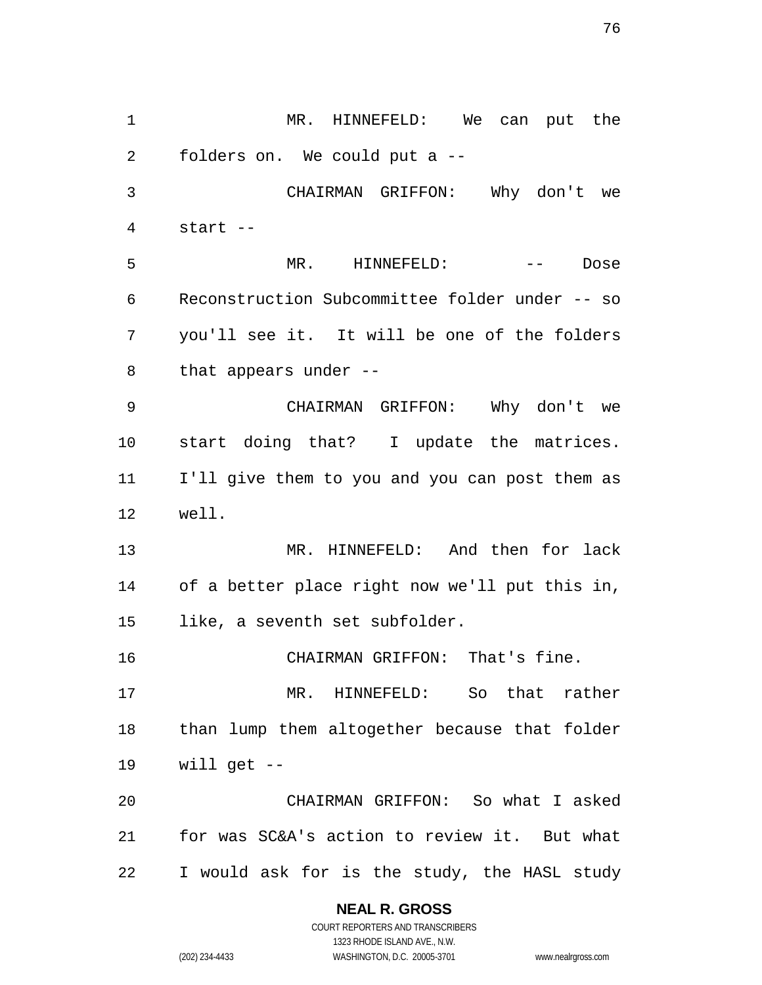MR. HINNEFELD: We can put the folders on. We could put a -- CHAIRMAN GRIFFON: Why don't we start -- MR. HINNEFELD: -- Dose Reconstruction Subcommittee folder under -- so you'll see it. It will be one of the folders that appears under -- CHAIRMAN GRIFFON: Why don't we start doing that? I update the matrices. I'll give them to you and you can post them as well. MR. HINNEFELD: And then for lack of a better place right now we'll put this in, like, a seventh set subfolder. CHAIRMAN GRIFFON: That's fine. MR. HINNEFELD: So that rather than lump them altogether because that folder will get -- CHAIRMAN GRIFFON: So what I asked for was SC&A's action to review it. But what I would ask for is the study, the HASL study

## **NEAL R. GROSS**

COURT REPORTERS AND TRANSCRIBERS 1323 RHODE ISLAND AVE., N.W. (202) 234-4433 WASHINGTON, D.C. 20005-3701 www.nealrgross.com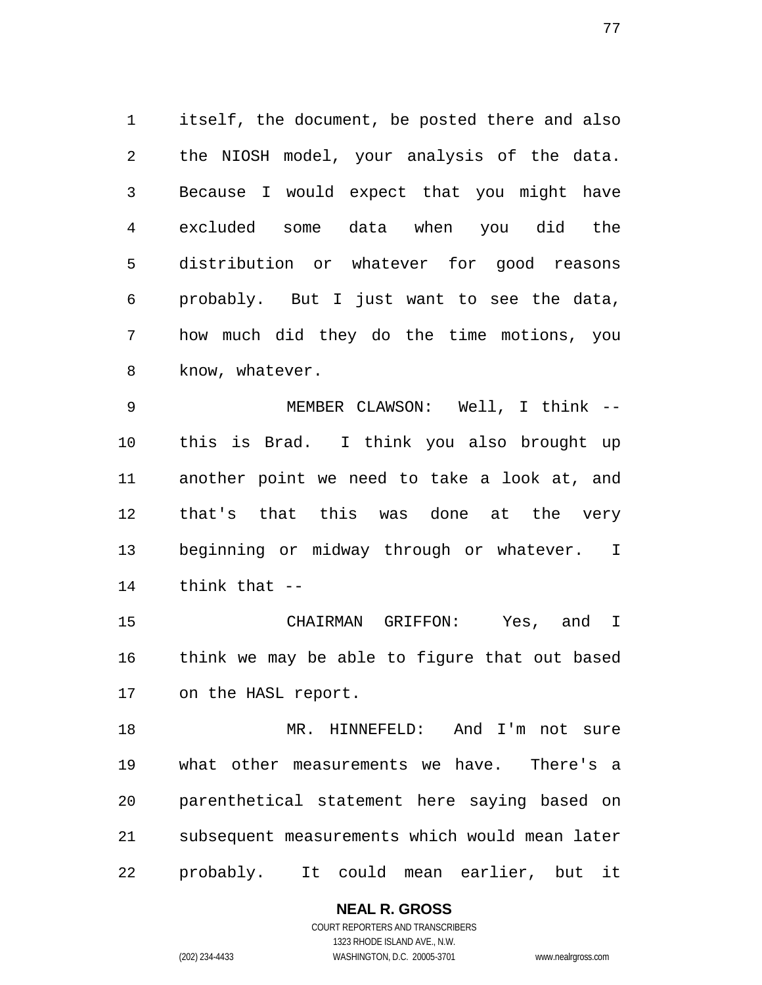itself, the document, be posted there and also the NIOSH model, your analysis of the data. Because I would expect that you might have excluded some data when you did the distribution or whatever for good reasons probably. But I just want to see the data, how much did they do the time motions, you know, whatever.

 MEMBER CLAWSON: Well, I think -- this is Brad. I think you also brought up another point we need to take a look at, and that's that this was done at the very beginning or midway through or whatever. I think that --

 CHAIRMAN GRIFFON: Yes, and I think we may be able to figure that out based on the HASL report.

 MR. HINNEFELD: And I'm not sure what other measurements we have. There's a parenthetical statement here saying based on subsequent measurements which would mean later probably. It could mean earlier, but it

> COURT REPORTERS AND TRANSCRIBERS 1323 RHODE ISLAND AVE., N.W. (202) 234-4433 WASHINGTON, D.C. 20005-3701 www.nealrgross.com

**NEAL R. GROSS**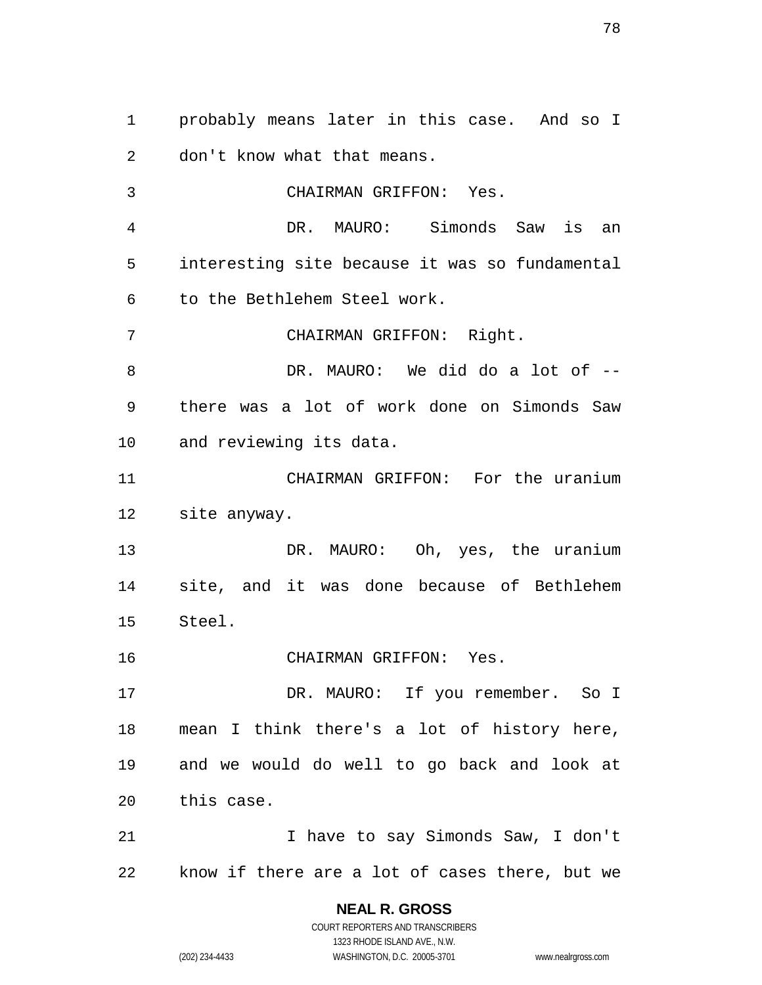probably means later in this case. And so I don't know what that means. CHAIRMAN GRIFFON: Yes. DR. MAURO: Simonds Saw is an interesting site because it was so fundamental to the Bethlehem Steel work. CHAIRMAN GRIFFON: Right. DR. MAURO: We did do a lot of -- there was a lot of work done on Simonds Saw and reviewing its data. CHAIRMAN GRIFFON: For the uranium site anyway. DR. MAURO: Oh, yes, the uranium site, and it was done because of Bethlehem Steel. CHAIRMAN GRIFFON: Yes. 17 DR. MAURO: If you remember. So I mean I think there's a lot of history here, and we would do well to go back and look at this case. 21 1 I have to say Simonds Saw, I don't know if there are a lot of cases there, but we

> **NEAL R. GROSS** COURT REPORTERS AND TRANSCRIBERS 1323 RHODE ISLAND AVE., N.W.

(202) 234-4433 WASHINGTON, D.C. 20005-3701 www.nealrgross.com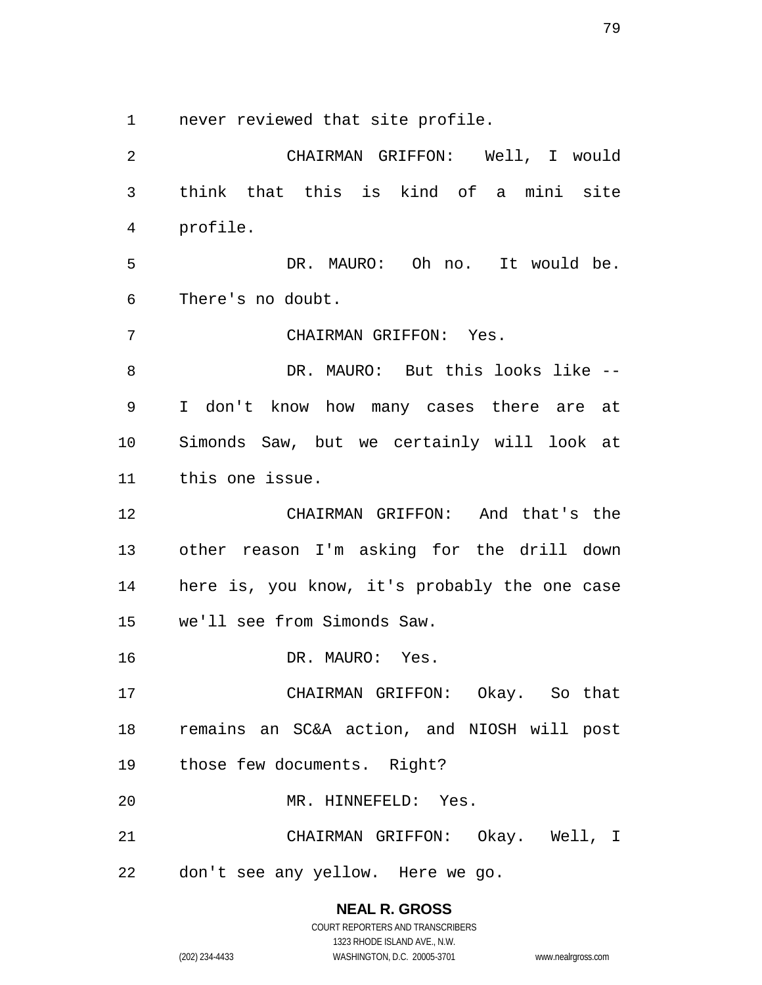never reviewed that site profile.

 CHAIRMAN GRIFFON: Well, I would think that this is kind of a mini site profile. DR. MAURO: Oh no. It would be. There's no doubt. CHAIRMAN GRIFFON: Yes. DR. MAURO: But this looks like -- I don't know how many cases there are at Simonds Saw, but we certainly will look at this one issue. CHAIRMAN GRIFFON: And that's the other reason I'm asking for the drill down here is, you know, it's probably the one case we'll see from Simonds Saw. 16 DR. MAURO: Yes. CHAIRMAN GRIFFON: Okay. So that remains an SC&A action, and NIOSH will post those few documents. Right? MR. HINNEFELD: Yes. CHAIRMAN GRIFFON: Okay. Well, I don't see any yellow. Here we go.

> **NEAL R. GROSS** COURT REPORTERS AND TRANSCRIBERS

> > 1323 RHODE ISLAND AVE., N.W.

(202) 234-4433 WASHINGTON, D.C. 20005-3701 www.nealrgross.com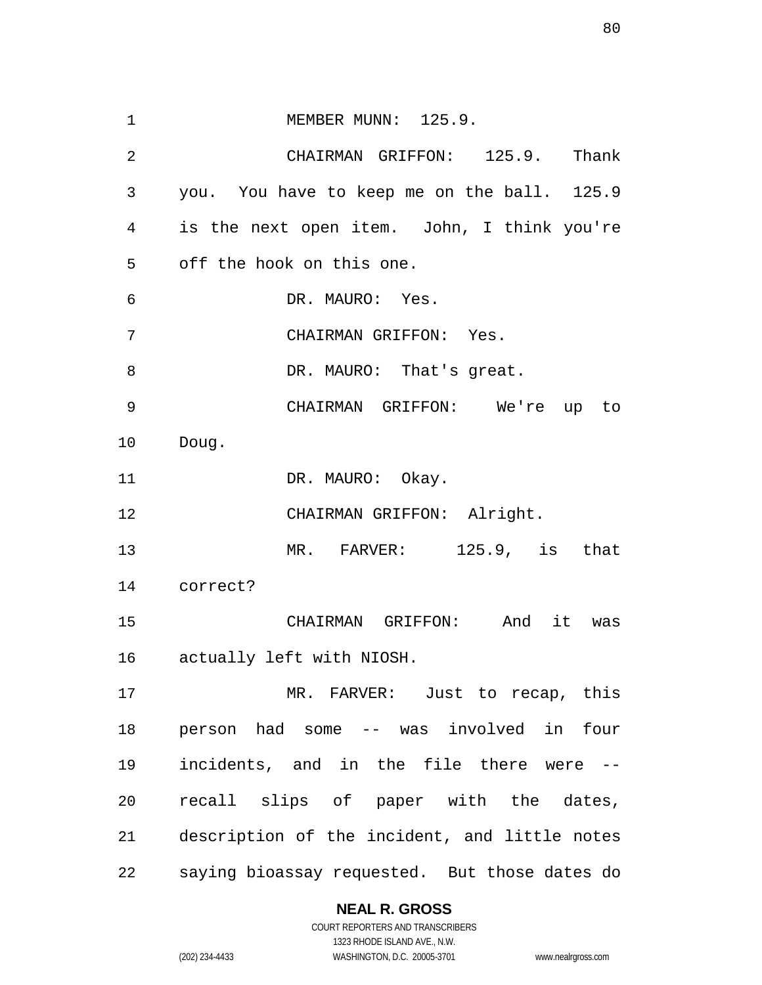1 MEMBER MUNN: 125.9. CHAIRMAN GRIFFON: 125.9. Thank you. You have to keep me on the ball. 125.9 is the next open item. John, I think you're off the hook on this one. DR. MAURO: Yes. CHAIRMAN GRIFFON: Yes. 8 DR. MAURO: That's great. CHAIRMAN GRIFFON: We're up to Doug. 11 DR. MAURO: Okay. CHAIRMAN GRIFFON: Alright. MR. FARVER: 125.9, is that correct? CHAIRMAN GRIFFON: And it was actually left with NIOSH. MR. FARVER: Just to recap, this person had some -- was involved in four incidents, and in the file there were -- recall slips of paper with the dates, description of the incident, and little notes saying bioassay requested. But those dates do

## **NEAL R. GROSS**

COURT REPORTERS AND TRANSCRIBERS 1323 RHODE ISLAND AVE., N.W. (202) 234-4433 WASHINGTON, D.C. 20005-3701 www.nealrgross.com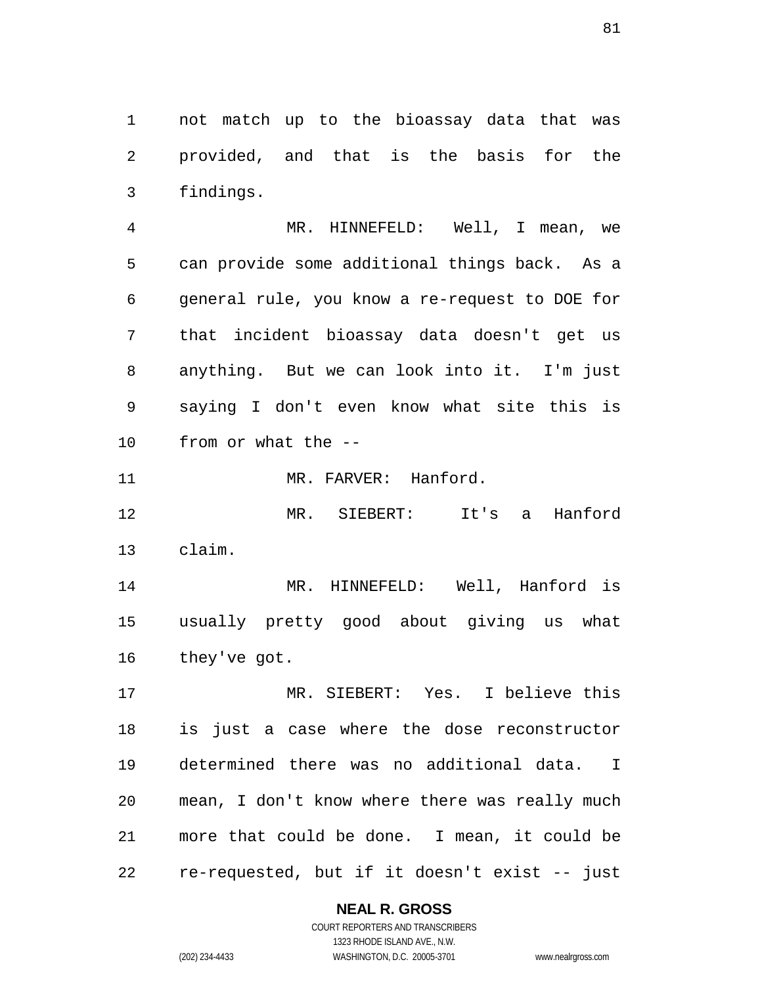not match up to the bioassay data that was provided, and that is the basis for the findings.

 MR. HINNEFELD: Well, I mean, we can provide some additional things back. As a general rule, you know a re-request to DOE for that incident bioassay data doesn't get us anything. But we can look into it. I'm just saying I don't even know what site this is from or what the --

11 MR. FARVER: Hanford.

 MR. SIEBERT: It's a Hanford claim.

 MR. HINNEFELD: Well, Hanford is usually pretty good about giving us what they've got.

 MR. SIEBERT: Yes. I believe this is just a case where the dose reconstructor determined there was no additional data. I mean, I don't know where there was really much more that could be done. I mean, it could be re-requested, but if it doesn't exist -- just

**NEAL R. GROSS**

COURT REPORTERS AND TRANSCRIBERS 1323 RHODE ISLAND AVE., N.W. (202) 234-4433 WASHINGTON, D.C. 20005-3701 www.nealrgross.com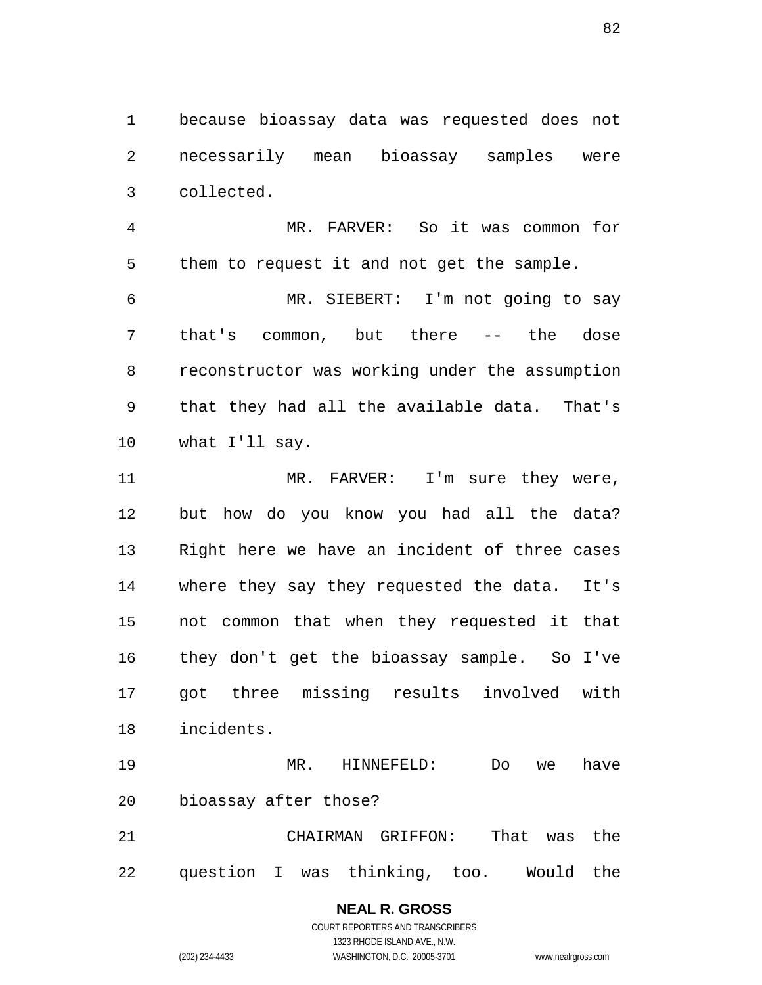because bioassay data was requested does not necessarily mean bioassay samples were collected.

 MR. FARVER: So it was common for them to request it and not get the sample.

 MR. SIEBERT: I'm not going to say that's common, but there -- the dose reconstructor was working under the assumption that they had all the available data. That's what I'll say.

11 MR. FARVER: I'm sure they were, but how do you know you had all the data? Right here we have an incident of three cases where they say they requested the data. It's not common that when they requested it that they don't get the bioassay sample. So I've got three missing results involved with incidents.

 MR. HINNEFELD: Do we have bioassay after those?

 CHAIRMAN GRIFFON: That was the question I was thinking, too. Would the

## **NEAL R. GROSS**

COURT REPORTERS AND TRANSCRIBERS 1323 RHODE ISLAND AVE., N.W. (202) 234-4433 WASHINGTON, D.C. 20005-3701 www.nealrgross.com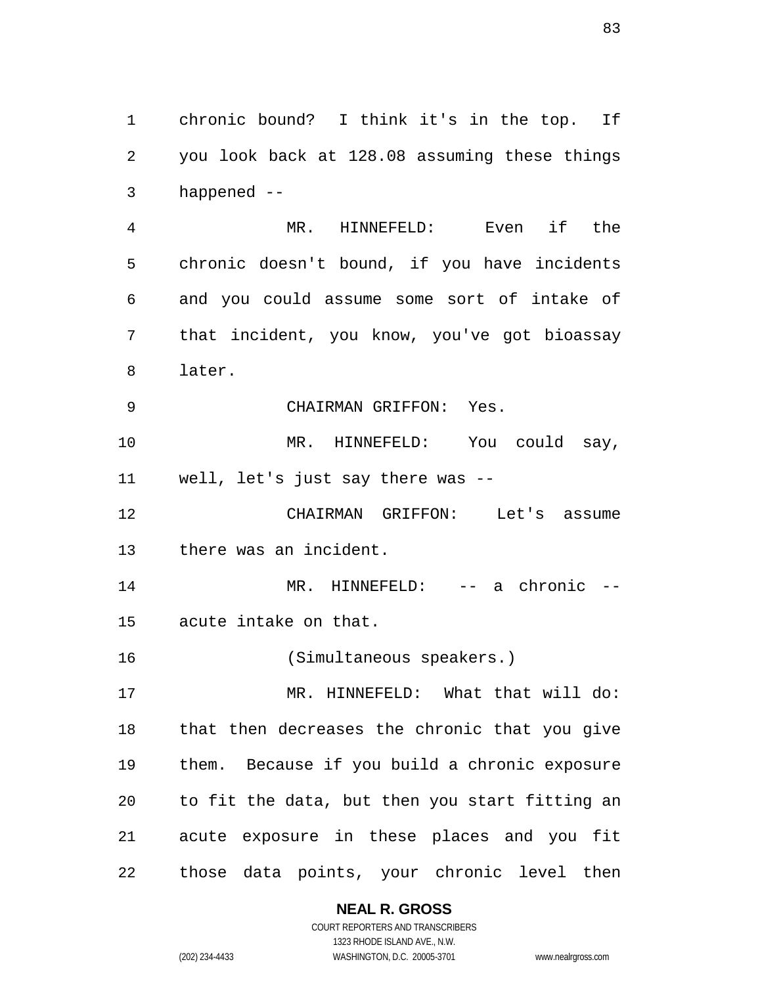chronic bound? I think it's in the top. If you look back at 128.08 assuming these things happened --

 MR. HINNEFELD: Even if the chronic doesn't bound, if you have incidents and you could assume some sort of intake of that incident, you know, you've got bioassay later.

CHAIRMAN GRIFFON: Yes.

 MR. HINNEFELD: You could say, well, let's just say there was --

 CHAIRMAN GRIFFON: Let's assume there was an incident.

14 MR. HINNEFELD: -- a chronic --

acute intake on that.

(Simultaneous speakers.)

 MR. HINNEFELD: What that will do: that then decreases the chronic that you give them. Because if you build a chronic exposure to fit the data, but then you start fitting an acute exposure in these places and you fit those data points, your chronic level then

## **NEAL R. GROSS**

COURT REPORTERS AND TRANSCRIBERS 1323 RHODE ISLAND AVE., N.W. (202) 234-4433 WASHINGTON, D.C. 20005-3701 www.nealrgross.com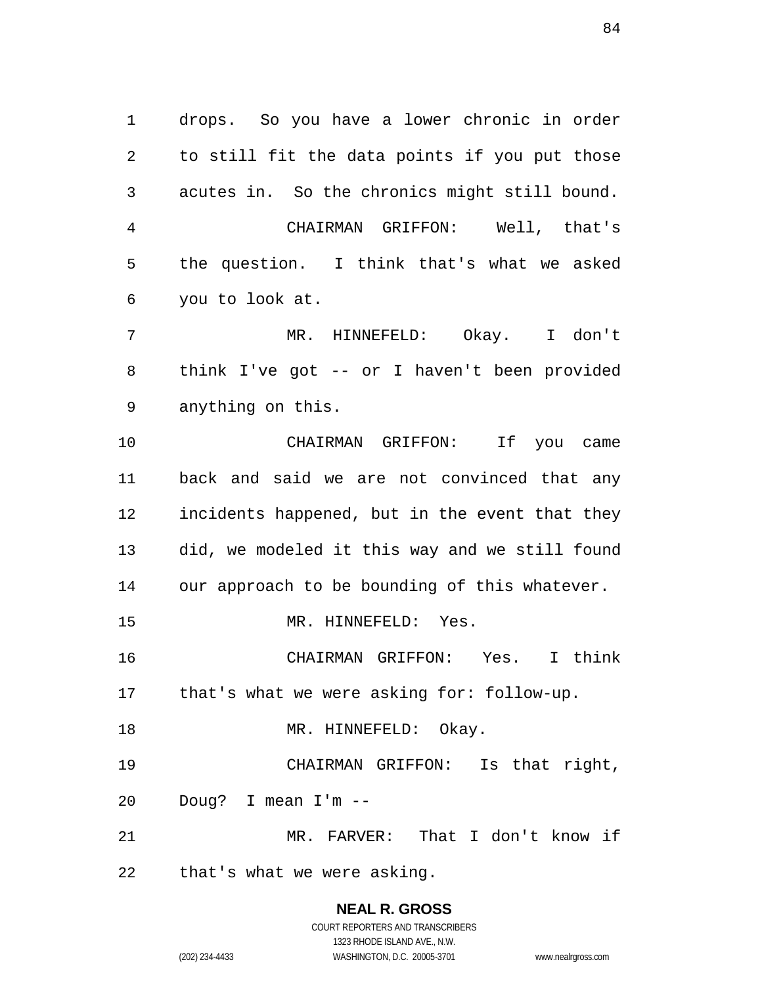drops. So you have a lower chronic in order to still fit the data points if you put those acutes in. So the chronics might still bound. CHAIRMAN GRIFFON: Well, that's the question. I think that's what we asked you to look at. MR. HINNEFELD: Okay. I don't think I've got -- or I haven't been provided anything on this. CHAIRMAN GRIFFON: If you came back and said we are not convinced that any incidents happened, but in the event that they did, we modeled it this way and we still found our approach to be bounding of this whatever. MR. HINNEFELD: Yes. CHAIRMAN GRIFFON: Yes. I think that's what we were asking for: follow-up. 18 MR. HINNEFELD: Okay. CHAIRMAN GRIFFON: Is that right, Doug? I mean I'm -- MR. FARVER: That I don't know if that's what we were asking.

# **NEAL R. GROSS**

COURT REPORTERS AND TRANSCRIBERS 1323 RHODE ISLAND AVE., N.W. (202) 234-4433 WASHINGTON, D.C. 20005-3701 www.nealrgross.com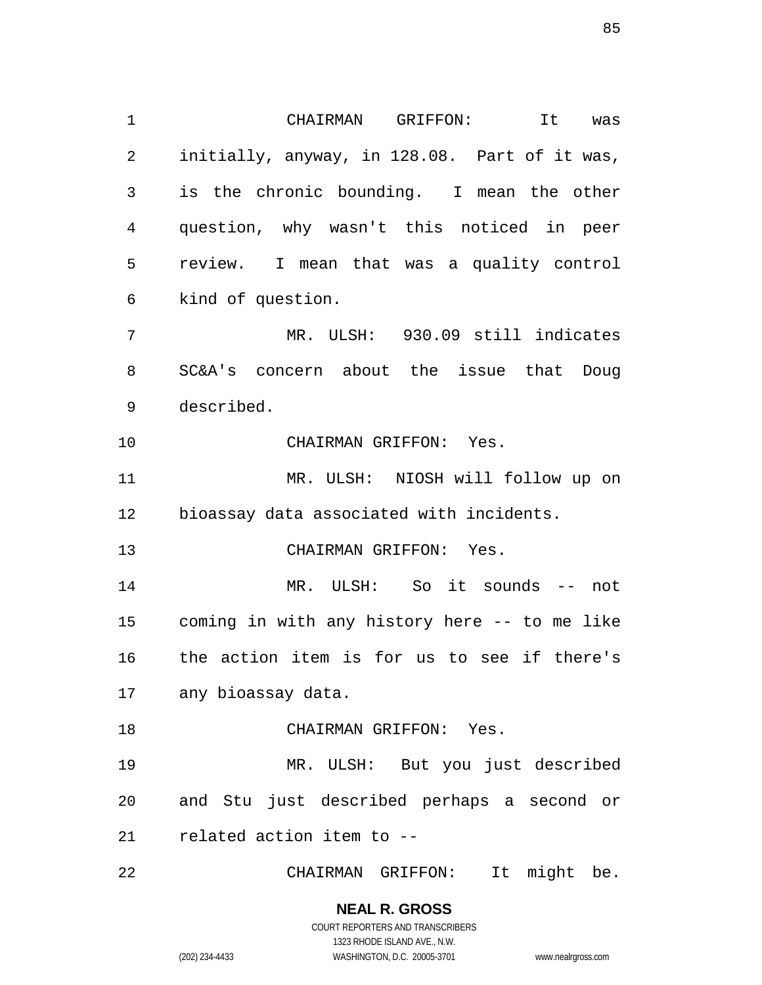CHAIRMAN GRIFFON: It was initially, anyway, in 128.08. Part of it was, is the chronic bounding. I mean the other question, why wasn't this noticed in peer review. I mean that was a quality control kind of question. MR. ULSH: 930.09 still indicates SC&A's concern about the issue that Doug described. CHAIRMAN GRIFFON: Yes. MR. ULSH: NIOSH will follow up on bioassay data associated with incidents. CHAIRMAN GRIFFON: Yes. MR. ULSH: So it sounds -- not coming in with any history here -- to me like the action item is for us to see if there's any bioassay data. CHAIRMAN GRIFFON: Yes. MR. ULSH: But you just described and Stu just described perhaps a second or related action item to -- CHAIRMAN GRIFFON: It might be.

> **NEAL R. GROSS** COURT REPORTERS AND TRANSCRIBERS 1323 RHODE ISLAND AVE., N.W.

(202) 234-4433 WASHINGTON, D.C. 20005-3701 www.nealrgross.com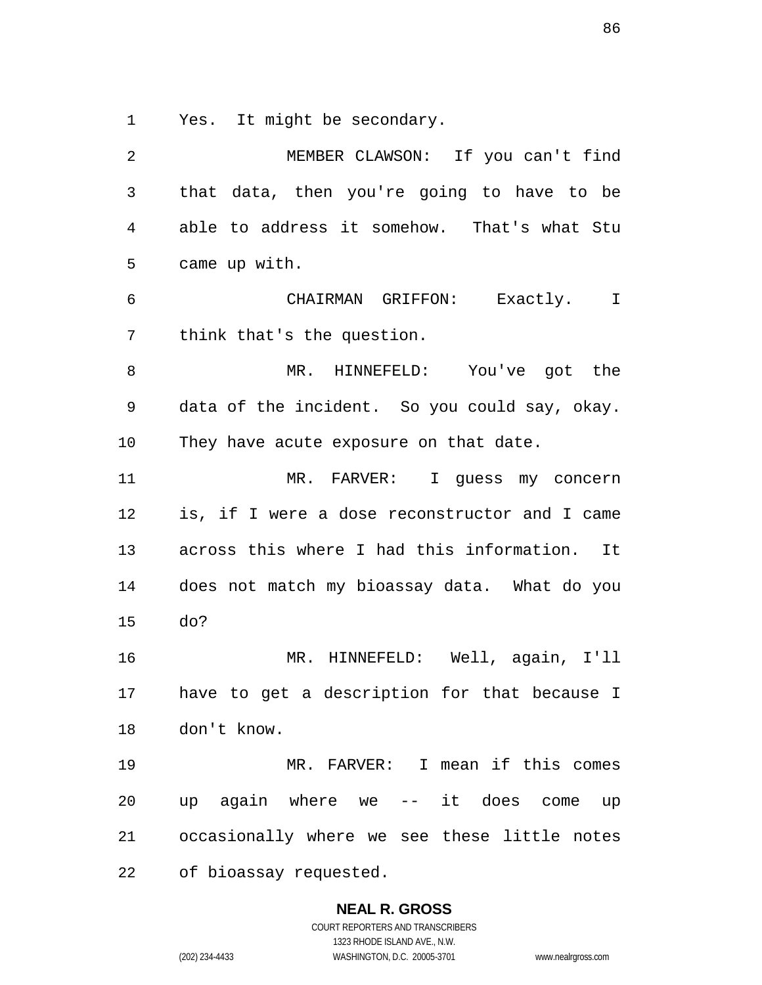Yes. It might be secondary.

 MEMBER CLAWSON: If you can't find that data, then you're going to have to be able to address it somehow. That's what Stu came up with. CHAIRMAN GRIFFON: Exactly. I think that's the question. MR. HINNEFELD: You've got the data of the incident. So you could say, okay. They have acute exposure on that date. MR. FARVER: I guess my concern is, if I were a dose reconstructor and I came across this where I had this information. It does not match my bioassay data. What do you do? MR. HINNEFELD: Well, again, I'll have to get a description for that because I don't know. MR. FARVER: I mean if this comes up again where we -- it does come up occasionally where we see these little notes of bioassay requested.

**NEAL R. GROSS**

COURT REPORTERS AND TRANSCRIBERS 1323 RHODE ISLAND AVE., N.W. (202) 234-4433 WASHINGTON, D.C. 20005-3701 www.nealrgross.com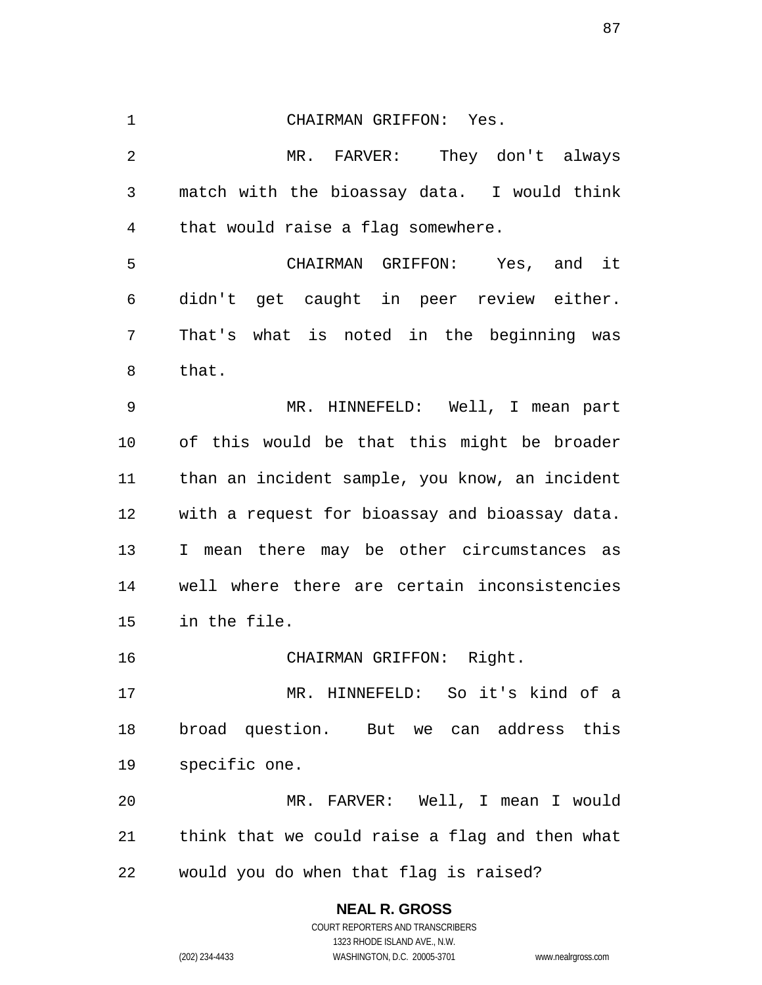CHAIRMAN GRIFFON: Yes. MR. FARVER: They don't always match with the bioassay data. I would think that would raise a flag somewhere. CHAIRMAN GRIFFON: Yes, and it didn't get caught in peer review either. That's what is noted in the beginning was that. MR. HINNEFELD: Well, I mean part of this would be that this might be broader than an incident sample, you know, an incident with a request for bioassay and bioassay data. I mean there may be other circumstances as well where there are certain inconsistencies in the file. CHAIRMAN GRIFFON: Right. MR. HINNEFELD: So it's kind of a broad question. But we can address this specific one. MR. FARVER: Well, I mean I would think that we could raise a flag and then what would you do when that flag is raised?

> **NEAL R. GROSS** COURT REPORTERS AND TRANSCRIBERS 1323 RHODE ISLAND AVE., N.W. (202) 234-4433 WASHINGTON, D.C. 20005-3701 www.nealrgross.com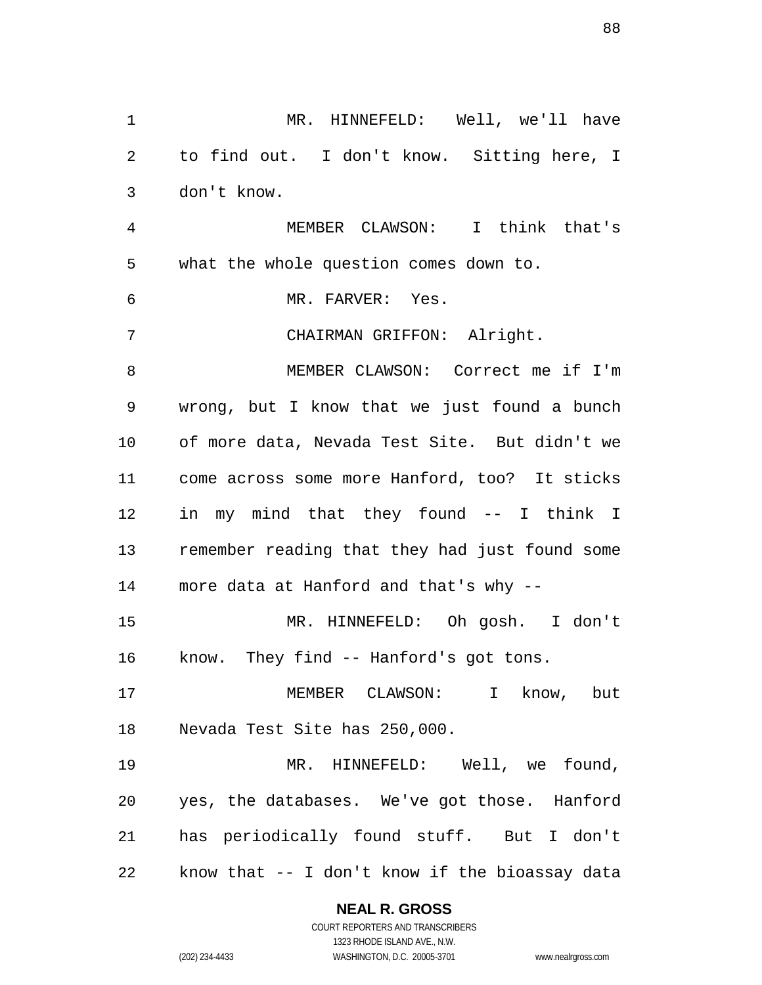MR. HINNEFELD: Well, we'll have to find out. I don't know. Sitting here, I don't know. MEMBER CLAWSON: I think that's what the whole question comes down to. MR. FARVER: Yes. CHAIRMAN GRIFFON: Alright. MEMBER CLAWSON: Correct me if I'm wrong, but I know that we just found a bunch of more data, Nevada Test Site. But didn't we come across some more Hanford, too? It sticks in my mind that they found -- I think I remember reading that they had just found some more data at Hanford and that's why -- MR. HINNEFELD: Oh gosh. I don't know. They find -- Hanford's got tons. MEMBER CLAWSON: I know, but Nevada Test Site has 250,000. MR. HINNEFELD: Well, we found, yes, the databases. We've got those. Hanford has periodically found stuff. But I don't know that -- I don't know if the bioassay data

## **NEAL R. GROSS**

COURT REPORTERS AND TRANSCRIBERS 1323 RHODE ISLAND AVE., N.W. (202) 234-4433 WASHINGTON, D.C. 20005-3701 www.nealrgross.com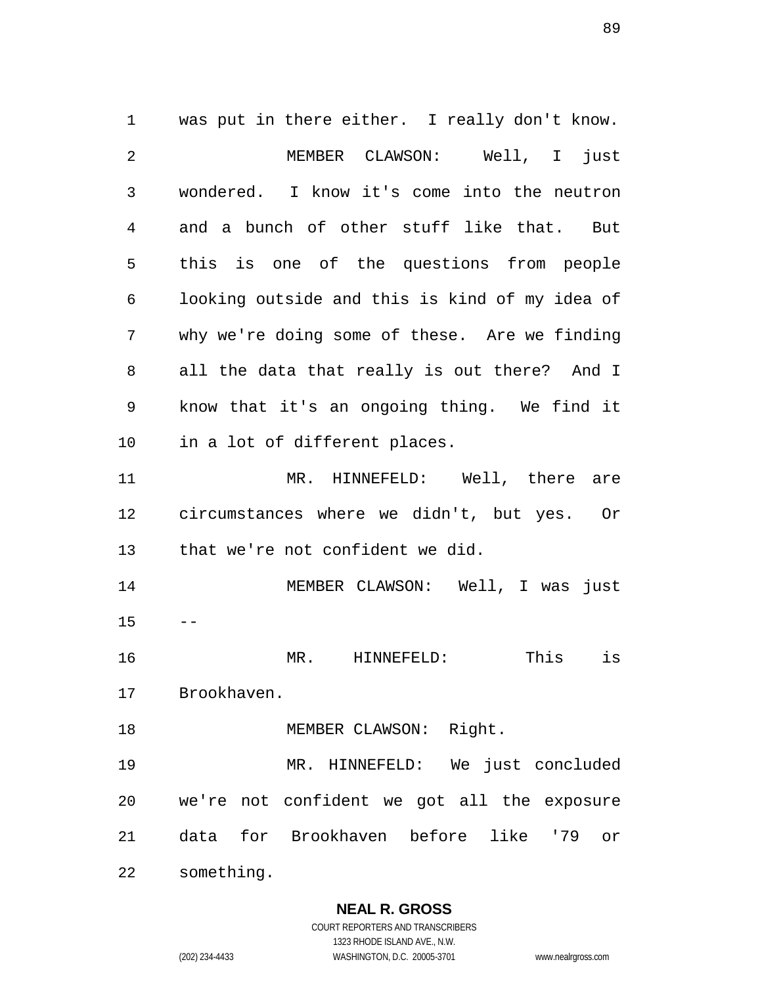was put in there either. I really don't know. MEMBER CLAWSON: Well, I just wondered. I know it's come into the neutron and a bunch of other stuff like that. But this is one of the questions from people looking outside and this is kind of my idea of why we're doing some of these. Are we finding all the data that really is out there? And I know that it's an ongoing thing. We find it in a lot of different places. MR. HINNEFELD: Well, there are circumstances where we didn't, but yes. Or that we're not confident we did. MEMBER CLAWSON: Well, I was just  $15 - -$  MR. HINNEFELD: This is Brookhaven. 18 MEMBER CLAWSON: Right. MR. HINNEFELD: We just concluded we're not confident we got all the exposure data for Brookhaven before like '79 or something.

> **NEAL R. GROSS** COURT REPORTERS AND TRANSCRIBERS

1323 RHODE ISLAND AVE., N.W. (202) 234-4433 WASHINGTON, D.C. 20005-3701 www.nealrgross.com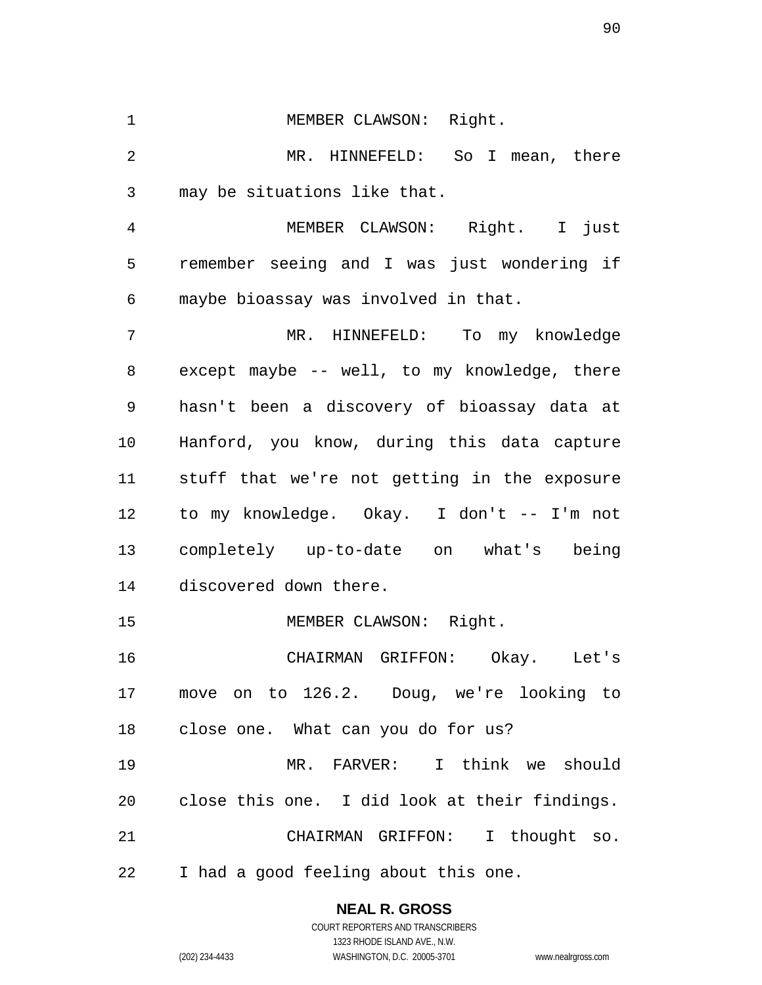1 MEMBER CLAWSON: Right. MR. HINNEFELD: So I mean, there may be situations like that.

 MEMBER CLAWSON: Right. I just remember seeing and I was just wondering if maybe bioassay was involved in that.

 MR. HINNEFELD: To my knowledge except maybe -- well, to my knowledge, there hasn't been a discovery of bioassay data at Hanford, you know, during this data capture stuff that we're not getting in the exposure to my knowledge. Okay. I don't -- I'm not completely up-to-date on what's being discovered down there.

15 MEMBER CLAWSON: Right.

 CHAIRMAN GRIFFON: Okay. Let's move on to 126.2. Doug, we're looking to close one. What can you do for us?

 MR. FARVER: I think we should close this one. I did look at their findings. CHAIRMAN GRIFFON: I thought so. I had a good feeling about this one.

> **NEAL R. GROSS** COURT REPORTERS AND TRANSCRIBERS

> > 1323 RHODE ISLAND AVE., N.W.

(202) 234-4433 WASHINGTON, D.C. 20005-3701 www.nealrgross.com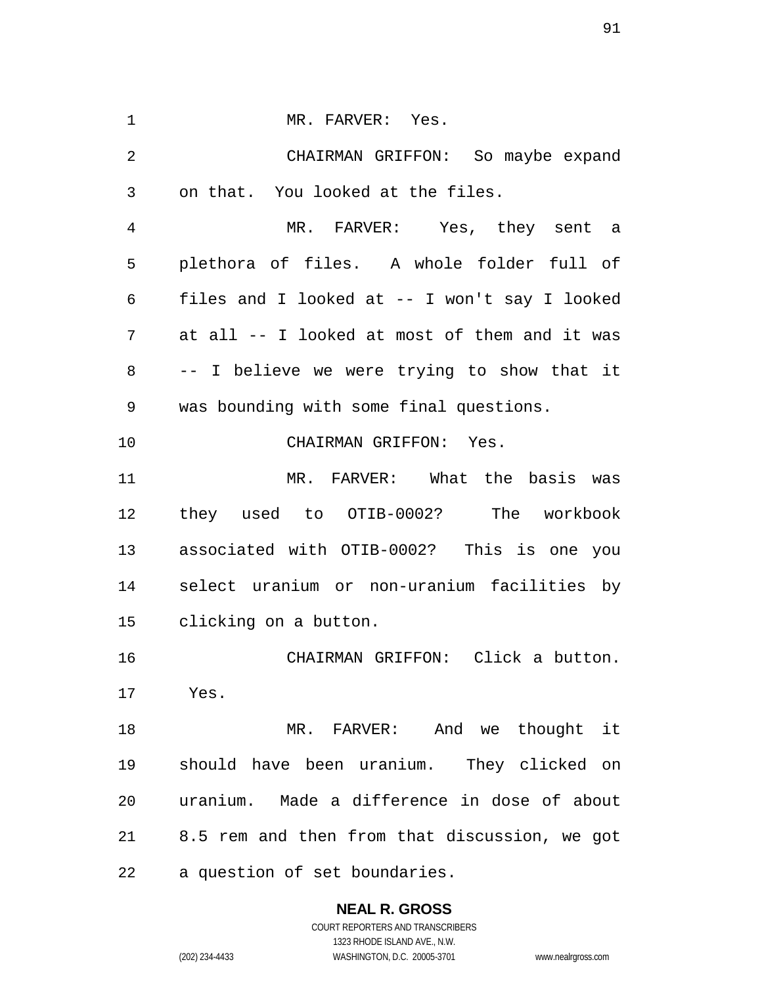1 MR. FARVER: Yes. CHAIRMAN GRIFFON: So maybe expand on that. You looked at the files. MR. FARVER: Yes, they sent a plethora of files. A whole folder full of files and I looked at -- I won't say I looked at all -- I looked at most of them and it was -- I believe we were trying to show that it was bounding with some final questions. CHAIRMAN GRIFFON: Yes. MR. FARVER: What the basis was they used to OTIB-0002? The workbook associated with OTIB-0002? This is one you select uranium or non-uranium facilities by clicking on a button. CHAIRMAN GRIFFON: Click a button. Yes. MR. FARVER: And we thought it should have been uranium. They clicked on uranium. Made a difference in dose of about 8.5 rem and then from that discussion, we got a question of set boundaries.

**NEAL R. GROSS**

COURT REPORTERS AND TRANSCRIBERS 1323 RHODE ISLAND AVE., N.W. (202) 234-4433 WASHINGTON, D.C. 20005-3701 www.nealrgross.com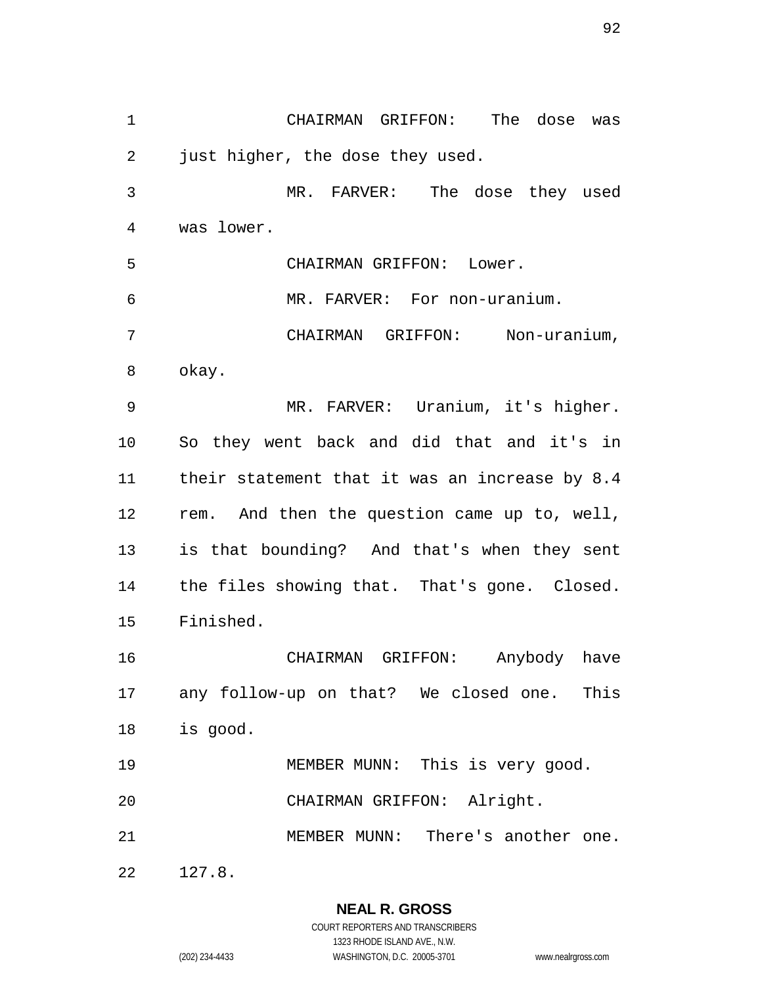CHAIRMAN GRIFFON: The dose was just higher, the dose they used. MR. FARVER: The dose they used was lower. CHAIRMAN GRIFFON: Lower. MR. FARVER: For non-uranium. CHAIRMAN GRIFFON: Non-uranium, okay. MR. FARVER: Uranium, it's higher. So they went back and did that and it's in their statement that it was an increase by 8.4 rem. And then the question came up to, well, is that bounding? And that's when they sent the files showing that. That's gone. Closed. Finished. CHAIRMAN GRIFFON: Anybody have any follow-up on that? We closed one. This is good. MEMBER MUNN: This is very good. CHAIRMAN GRIFFON: Alright. MEMBER MUNN: There's another one. 127.8.

> **NEAL R. GROSS** COURT REPORTERS AND TRANSCRIBERS 1323 RHODE ISLAND AVE., N.W. (202) 234-4433 WASHINGTON, D.C. 20005-3701 www.nealrgross.com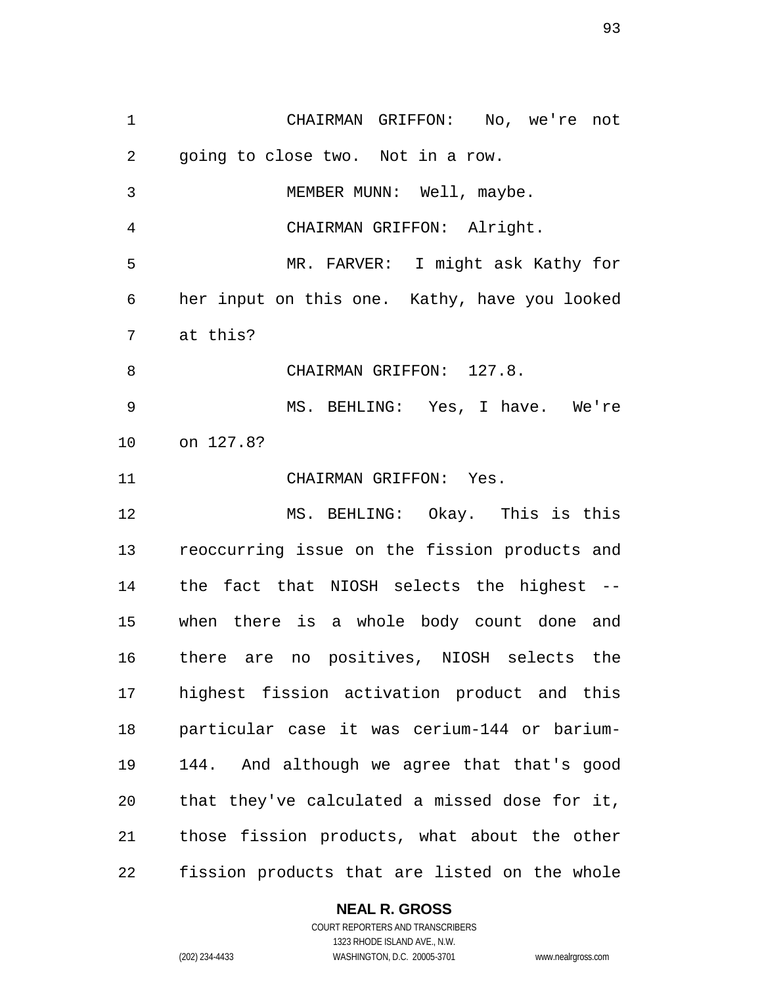CHAIRMAN GRIFFON: No, we're not going to close two. Not in a row. MEMBER MUNN: Well, maybe. CHAIRMAN GRIFFON: Alright. MR. FARVER: I might ask Kathy for her input on this one. Kathy, have you looked at this? 8 CHAIRMAN GRIFFON: 127.8. MS. BEHLING: Yes, I have. We're on 127.8? CHAIRMAN GRIFFON: Yes. MS. BEHLING: Okay. This is this reoccurring issue on the fission products and the fact that NIOSH selects the highest -- when there is a whole body count done and there are no positives, NIOSH selects the highest fission activation product and this particular case it was cerium-144 or barium- 144. And although we agree that that's good that they've calculated a missed dose for it, those fission products, what about the other fission products that are listed on the whole

#### **NEAL R. GROSS**

COURT REPORTERS AND TRANSCRIBERS 1323 RHODE ISLAND AVE., N.W. (202) 234-4433 WASHINGTON, D.C. 20005-3701 www.nealrgross.com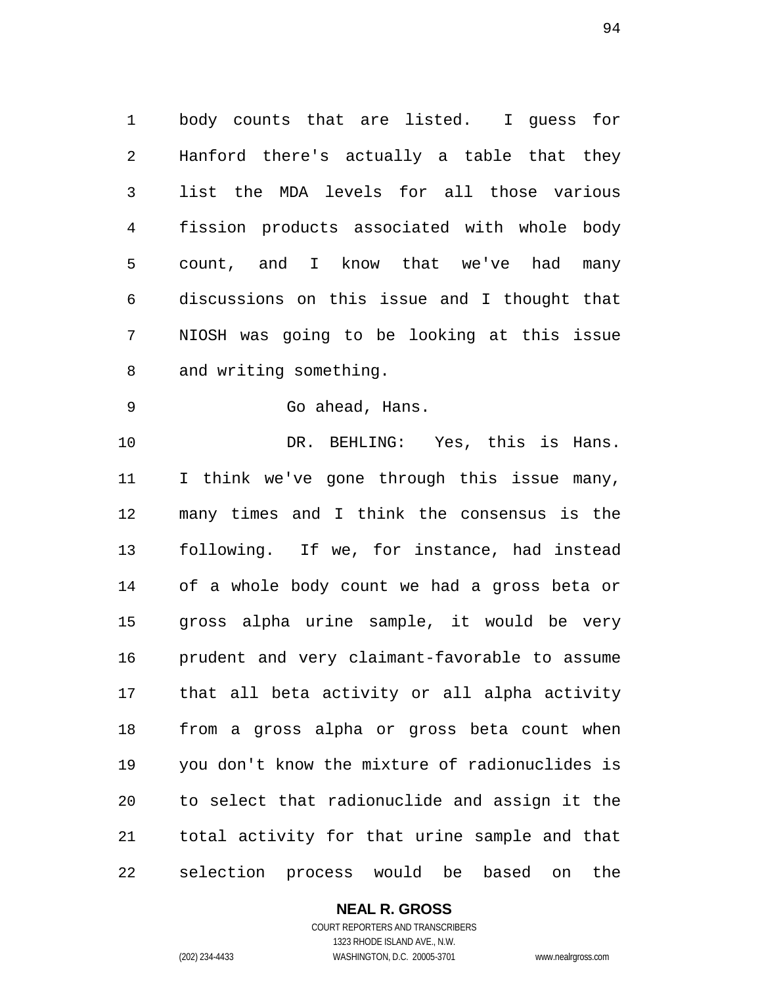body counts that are listed. I guess for Hanford there's actually a table that they list the MDA levels for all those various fission products associated with whole body count, and I know that we've had many discussions on this issue and I thought that NIOSH was going to be looking at this issue and writing something.

Go ahead, Hans.

10 DR. BEHLING: Yes, this is Hans. I think we've gone through this issue many, many times and I think the consensus is the following. If we, for instance, had instead of a whole body count we had a gross beta or gross alpha urine sample, it would be very prudent and very claimant-favorable to assume that all beta activity or all alpha activity from a gross alpha or gross beta count when you don't know the mixture of radionuclides is to select that radionuclide and assign it the total activity for that urine sample and that selection process would be based on the

## **NEAL R. GROSS**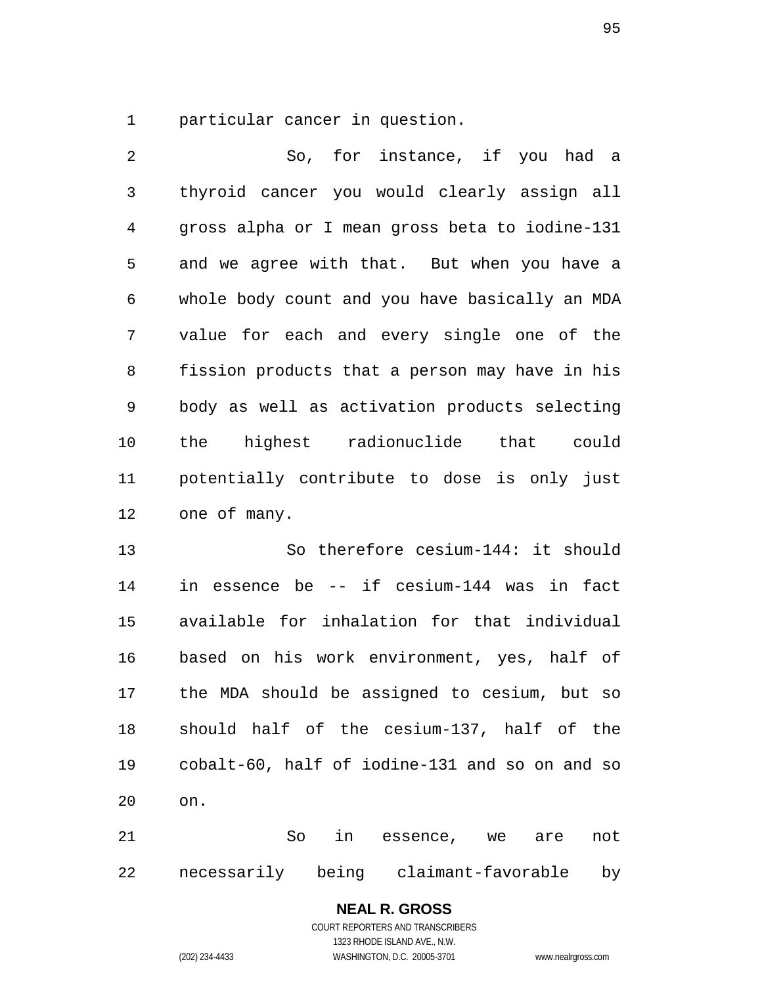particular cancer in question.

 So, for instance, if you had a thyroid cancer you would clearly assign all gross alpha or I mean gross beta to iodine-131 and we agree with that. But when you have a whole body count and you have basically an MDA value for each and every single one of the fission products that a person may have in his body as well as activation products selecting the highest radionuclide that could potentially contribute to dose is only just one of many.

 So therefore cesium-144: it should in essence be -- if cesium-144 was in fact available for inhalation for that individual based on his work environment, yes, half of the MDA should be assigned to cesium, but so should half of the cesium-137, half of the cobalt-60, half of iodine-131 and so on and so on.

 So in essence, we are not necessarily being claimant-favorable by

## **NEAL R. GROSS**

COURT REPORTERS AND TRANSCRIBERS 1323 RHODE ISLAND AVE., N.W. (202) 234-4433 WASHINGTON, D.C. 20005-3701 www.nealrgross.com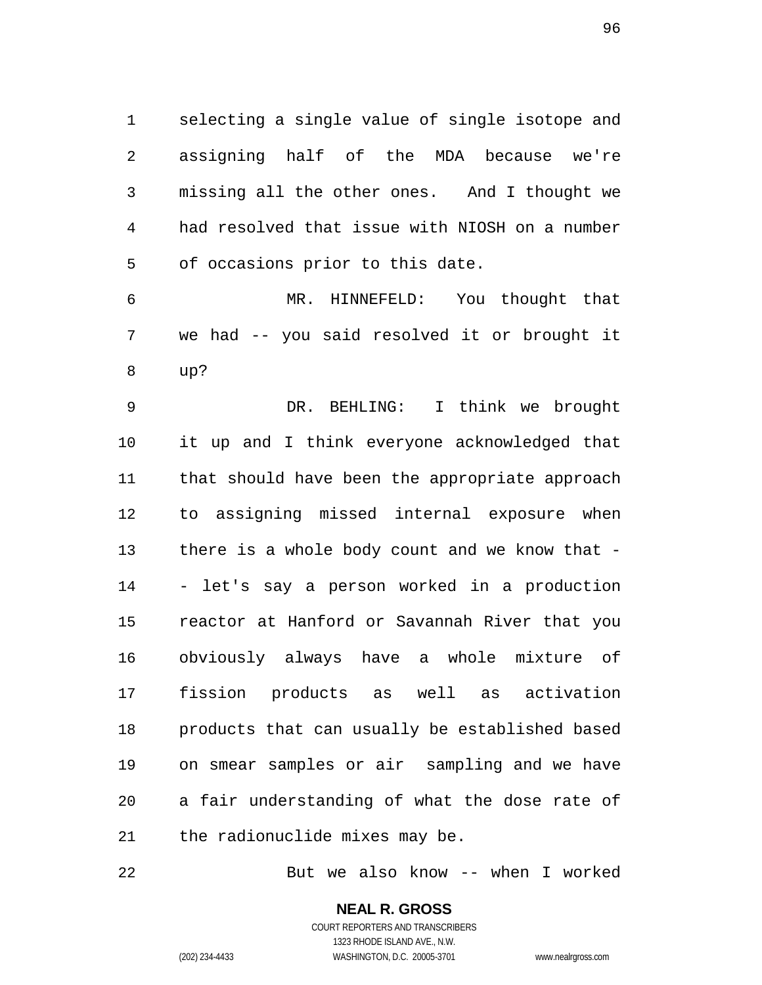selecting a single value of single isotope and assigning half of the MDA because we're missing all the other ones. And I thought we had resolved that issue with NIOSH on a number of occasions prior to this date.

 MR. HINNEFELD: You thought that we had -- you said resolved it or brought it up?

 DR. BEHLING: I think we brought it up and I think everyone acknowledged that that should have been the appropriate approach to assigning missed internal exposure when there is a whole body count and we know that - - let's say a person worked in a production reactor at Hanford or Savannah River that you obviously always have a whole mixture of fission products as well as activation products that can usually be established based on smear samples or air sampling and we have a fair understanding of what the dose rate of the radionuclide mixes may be.

But we also know -- when I worked

**NEAL R. GROSS** COURT REPORTERS AND TRANSCRIBERS

1323 RHODE ISLAND AVE., N.W.

(202) 234-4433 WASHINGTON, D.C. 20005-3701 www.nealrgross.com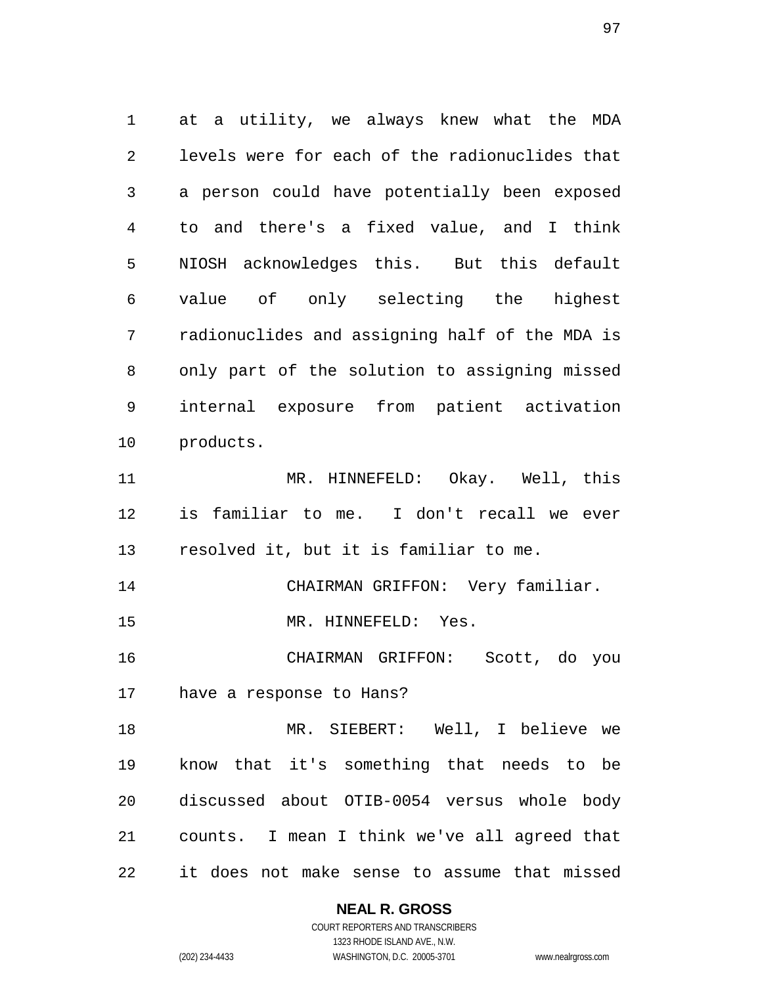at a utility, we always knew what the MDA levels were for each of the radionuclides that a person could have potentially been exposed to and there's a fixed value, and I think NIOSH acknowledges this. But this default value of only selecting the highest radionuclides and assigning half of the MDA is only part of the solution to assigning missed internal exposure from patient activation products. MR. HINNEFELD: Okay. Well, this is familiar to me. I don't recall we ever resolved it, but it is familiar to me. CHAIRMAN GRIFFON: Very familiar. MR. HINNEFELD: Yes. CHAIRMAN GRIFFON: Scott, do you have a response to Hans? MR. SIEBERT: Well, I believe we know that it's something that needs to be discussed about OTIB-0054 versus whole body counts. I mean I think we've all agreed that it does not make sense to assume that missed

## **NEAL R. GROSS**

COURT REPORTERS AND TRANSCRIBERS 1323 RHODE ISLAND AVE., N.W. (202) 234-4433 WASHINGTON, D.C. 20005-3701 www.nealrgross.com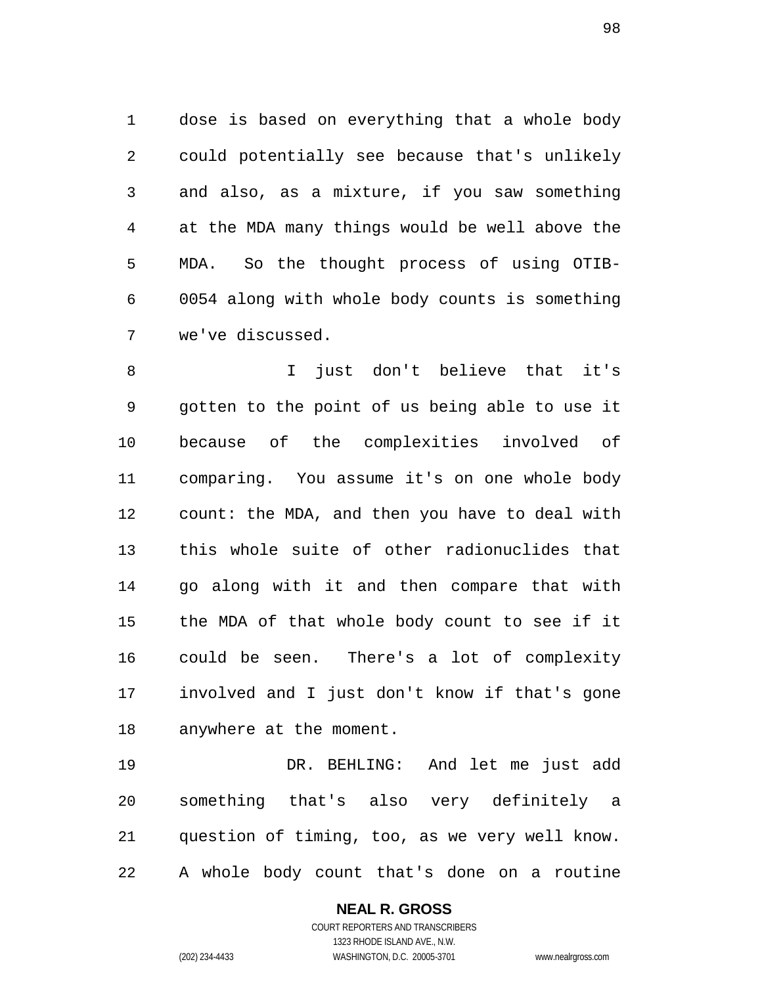dose is based on everything that a whole body could potentially see because that's unlikely and also, as a mixture, if you saw something at the MDA many things would be well above the MDA. So the thought process of using OTIB- 0054 along with whole body counts is something we've discussed.

 I just don't believe that it's gotten to the point of us being able to use it because of the complexities involved of comparing. You assume it's on one whole body count: the MDA, and then you have to deal with this whole suite of other radionuclides that go along with it and then compare that with the MDA of that whole body count to see if it could be seen. There's a lot of complexity involved and I just don't know if that's gone anywhere at the moment.

 DR. BEHLING: And let me just add something that's also very definitely a question of timing, too, as we very well know. A whole body count that's done on a routine

> **NEAL R. GROSS** COURT REPORTERS AND TRANSCRIBERS 1323 RHODE ISLAND AVE., N.W. (202) 234-4433 WASHINGTON, D.C. 20005-3701 www.nealrgross.com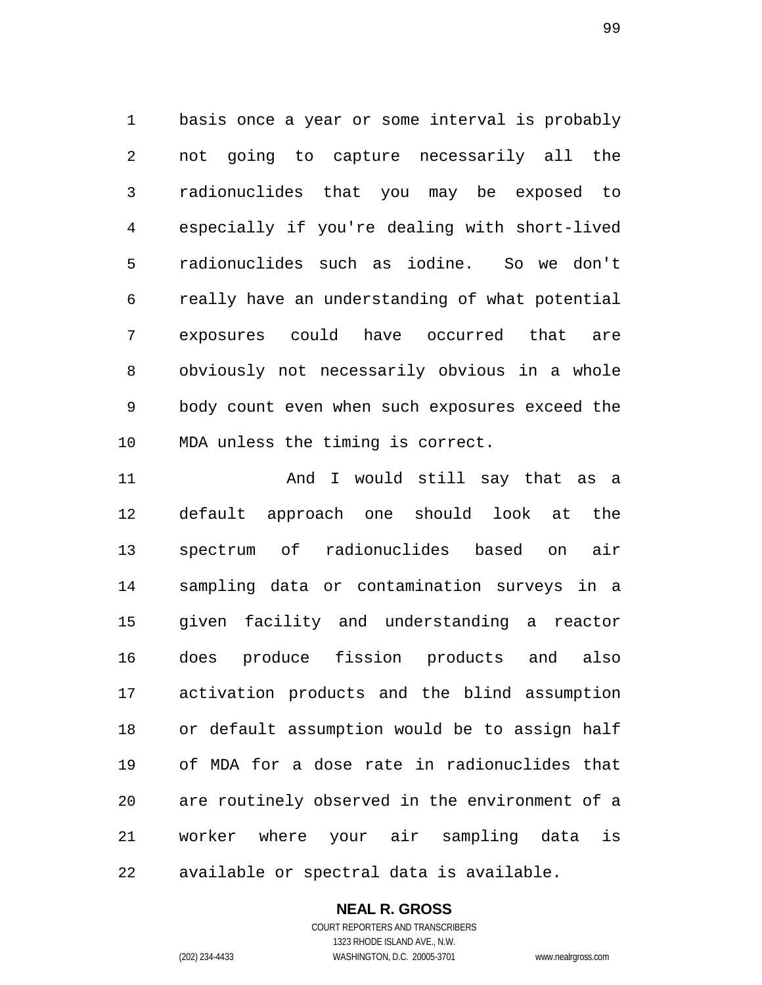basis once a year or some interval is probably not going to capture necessarily all the radionuclides that you may be exposed to especially if you're dealing with short-lived radionuclides such as iodine. So we don't really have an understanding of what potential exposures could have occurred that are obviously not necessarily obvious in a whole body count even when such exposures exceed the MDA unless the timing is correct.

11 And I would still say that as a default approach one should look at the spectrum of radionuclides based on air sampling data or contamination surveys in a given facility and understanding a reactor does produce fission products and also activation products and the blind assumption or default assumption would be to assign half of MDA for a dose rate in radionuclides that are routinely observed in the environment of a worker where your air sampling data is available or spectral data is available.

## **NEAL R. GROSS**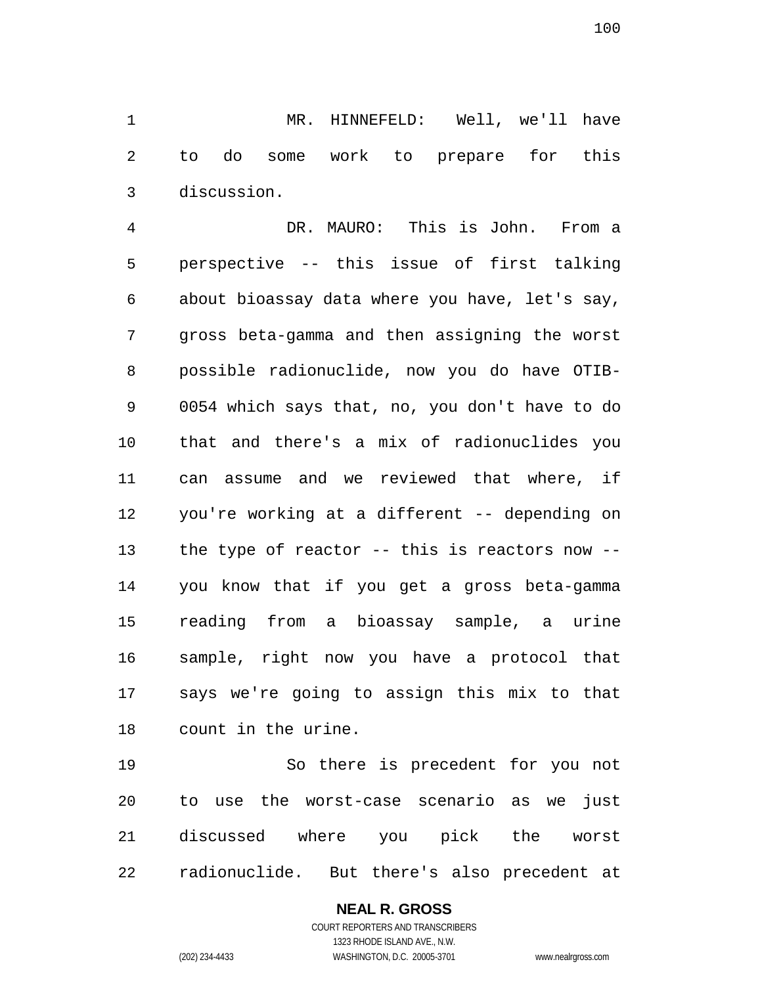MR. HINNEFELD: Well, we'll have to do some work to prepare for this discussion.

 DR. MAURO: This is John. From a perspective -- this issue of first talking about bioassay data where you have, let's say, gross beta-gamma and then assigning the worst possible radionuclide, now you do have OTIB- 0054 which says that, no, you don't have to do that and there's a mix of radionuclides you can assume and we reviewed that where, if you're working at a different -- depending on the type of reactor -- this is reactors now -- you know that if you get a gross beta-gamma reading from a bioassay sample, a urine sample, right now you have a protocol that says we're going to assign this mix to that count in the urine.

 So there is precedent for you not to use the worst-case scenario as we just discussed where you pick the worst radionuclide. But there's also precedent at

## **NEAL R. GROSS**

COURT REPORTERS AND TRANSCRIBERS 1323 RHODE ISLAND AVE., N.W. (202) 234-4433 WASHINGTON, D.C. 20005-3701 www.nealrgross.com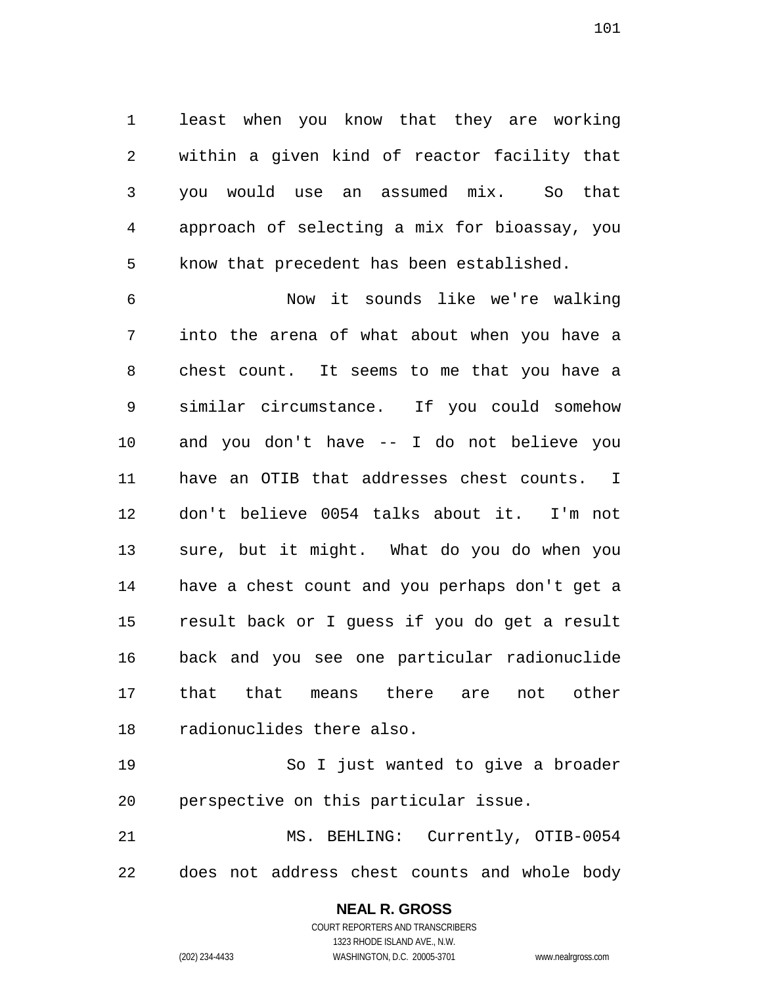least when you know that they are working within a given kind of reactor facility that you would use an assumed mix. So that approach of selecting a mix for bioassay, you know that precedent has been established.

 Now it sounds like we're walking into the arena of what about when you have a chest count. It seems to me that you have a similar circumstance. If you could somehow and you don't have -- I do not believe you have an OTIB that addresses chest counts. I don't believe 0054 talks about it. I'm not sure, but it might. What do you do when you have a chest count and you perhaps don't get a result back or I guess if you do get a result back and you see one particular radionuclide that that means there are not other radionuclides there also.

 So I just wanted to give a broader perspective on this particular issue.

 MS. BEHLING: Currently, OTIB-0054 does not address chest counts and whole body

> **NEAL R. GROSS** COURT REPORTERS AND TRANSCRIBERS 1323 RHODE ISLAND AVE., N.W. (202) 234-4433 WASHINGTON, D.C. 20005-3701 www.nealrgross.com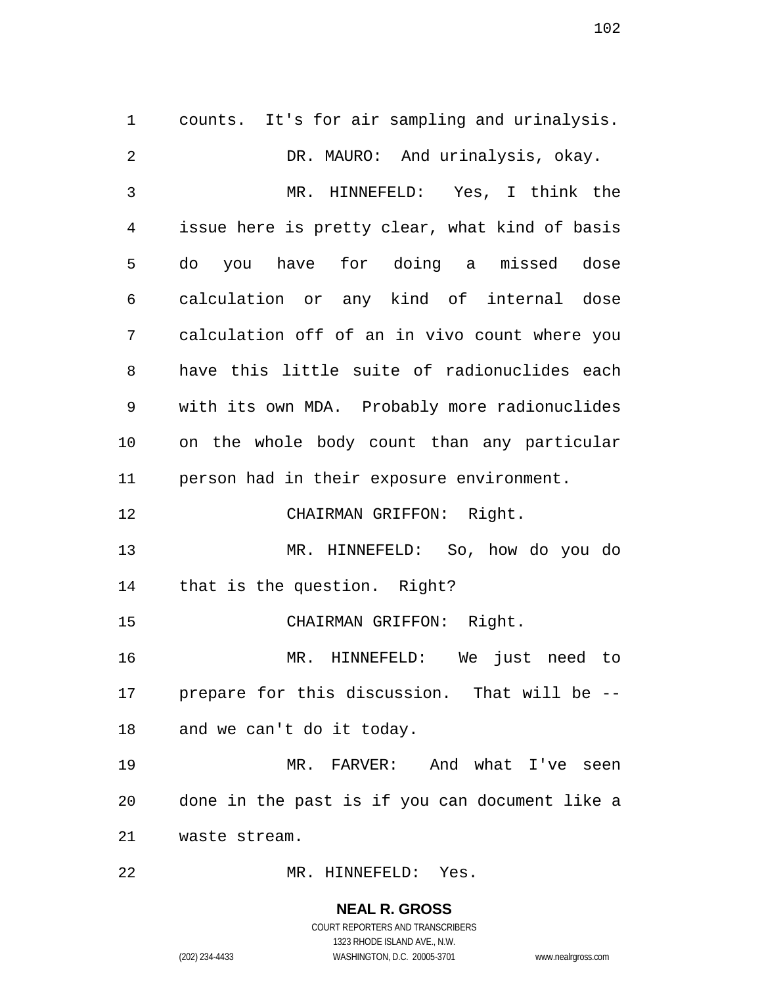counts. It's for air sampling and urinalysis. DR. MAURO: And urinalysis, okay. MR. HINNEFELD: Yes, I think the issue here is pretty clear, what kind of basis do you have for doing a missed dose calculation or any kind of internal dose calculation off of an in vivo count where you have this little suite of radionuclides each with its own MDA. Probably more radionuclides on the whole body count than any particular person had in their exposure environment. CHAIRMAN GRIFFON: Right. MR. HINNEFELD: So, how do you do that is the question. Right? CHAIRMAN GRIFFON: Right. MR. HINNEFELD: We just need to prepare for this discussion. That will be -- and we can't do it today. MR. FARVER: And what I've seen done in the past is if you can document like a waste stream. MR. HINNEFELD: Yes.

> **NEAL R. GROSS** COURT REPORTERS AND TRANSCRIBERS 1323 RHODE ISLAND AVE., N.W.

(202) 234-4433 WASHINGTON, D.C. 20005-3701 www.nealrgross.com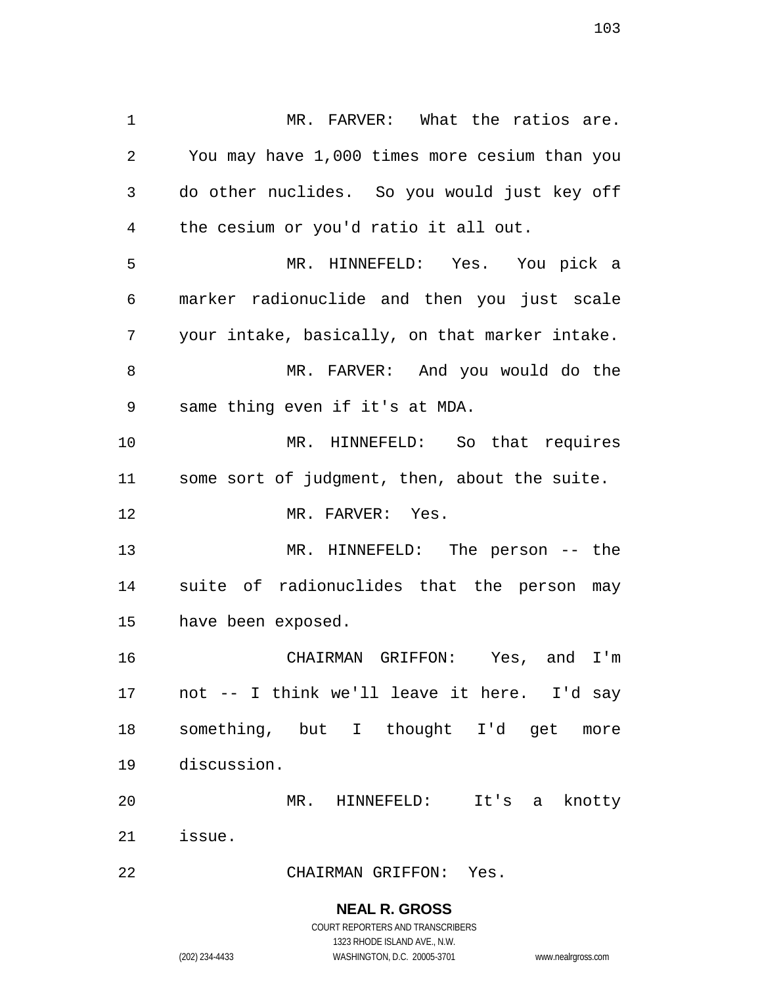MR. FARVER: What the ratios are. You may have 1,000 times more cesium than you do other nuclides. So you would just key off the cesium or you'd ratio it all out. MR. HINNEFELD: Yes. You pick a marker radionuclide and then you just scale your intake, basically, on that marker intake. MR. FARVER: And you would do the same thing even if it's at MDA. MR. HINNEFELD: So that requires some sort of judgment, then, about the suite. 12 MR. FARVER: Yes. MR. HINNEFELD: The person -- the suite of radionuclides that the person may have been exposed. CHAIRMAN GRIFFON: Yes, and I'm not -- I think we'll leave it here. I'd say something, but I thought I'd get more discussion. MR. HINNEFELD: It's a knotty issue. CHAIRMAN GRIFFON: Yes.

> **NEAL R. GROSS** COURT REPORTERS AND TRANSCRIBERS

> > 1323 RHODE ISLAND AVE., N.W.

(202) 234-4433 WASHINGTON, D.C. 20005-3701 www.nealrgross.com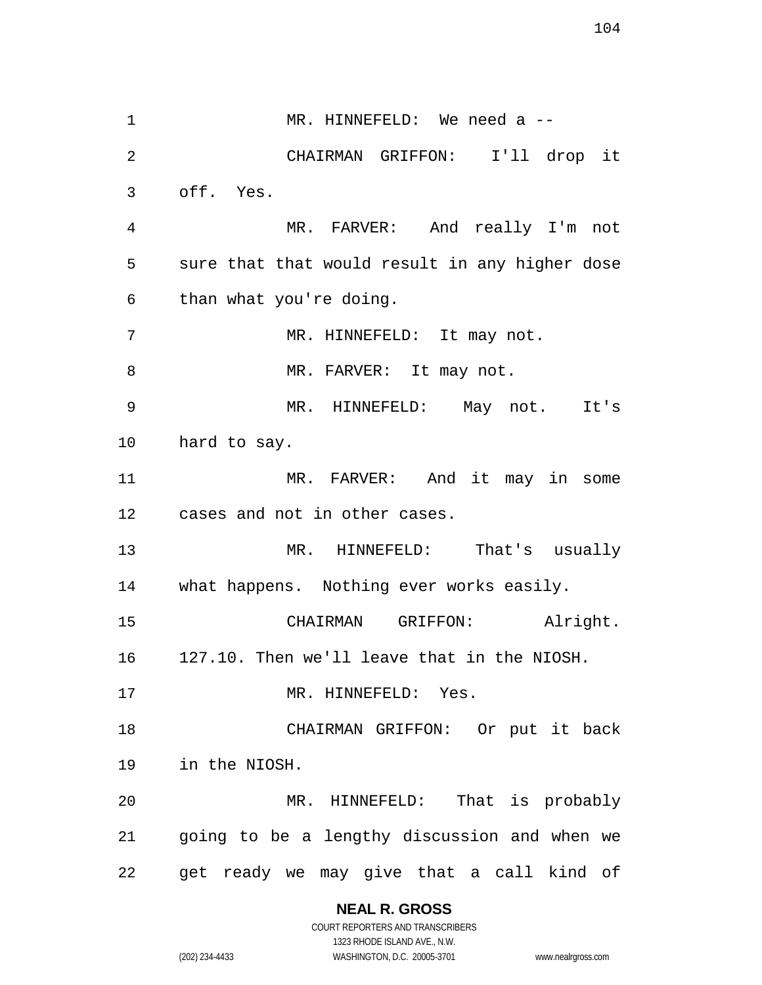1 MR. HINNEFELD: We need a -- CHAIRMAN GRIFFON: I'll drop it off. Yes. MR. FARVER: And really I'm not sure that that would result in any higher dose than what you're doing. MR. HINNEFELD: It may not. 8 MR. FARVER: It may not. MR. HINNEFELD: May not. It's hard to say. MR. FARVER: And it may in some cases and not in other cases. MR. HINNEFELD: That's usually what happens. Nothing ever works easily. CHAIRMAN GRIFFON: Alright. 127.10. Then we'll leave that in the NIOSH. 17 MR. HINNEFELD: Yes. CHAIRMAN GRIFFON: Or put it back in the NIOSH. MR. HINNEFELD: That is probably going to be a lengthy discussion and when we get ready we may give that a call kind of

> **NEAL R. GROSS** COURT REPORTERS AND TRANSCRIBERS

1323 RHODE ISLAND AVE., N.W. (202) 234-4433 WASHINGTON, D.C. 20005-3701 www.nealrgross.com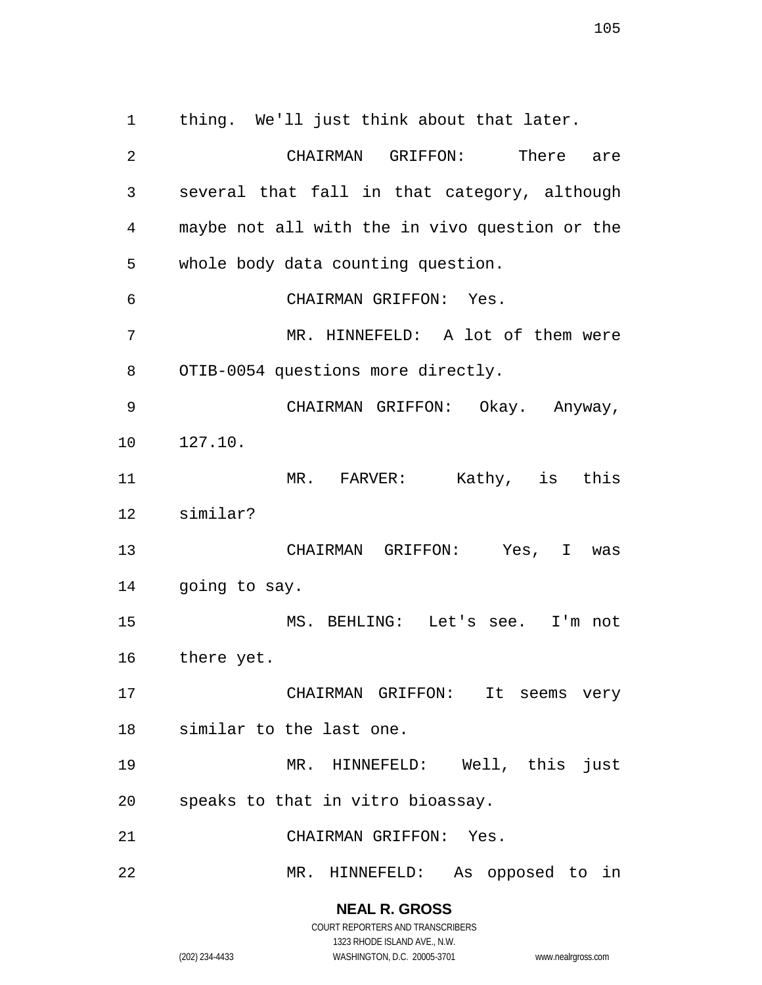several that fall in that category, although maybe not all with the in vivo question or the whole body data counting question. CHAIRMAN GRIFFON: Yes. MR. HINNEFELD: A lot of them were 8 OTIB-0054 questions more directly. CHAIRMAN GRIFFON: Okay. Anyway, 127.10. MR. FARVER: Kathy, is this similar? CHAIRMAN GRIFFON: Yes, I was going to say. MS. BEHLING: Let's see. I'm not there yet. CHAIRMAN GRIFFON: It seems very similar to the last one.

thing. We'll just think about that later.

CHAIRMAN GRIFFON: There are

speaks to that in vitro bioassay.

MR. HINNEFELD: As opposed to in

**NEAL R. GROSS** COURT REPORTERS AND TRANSCRIBERS

1323 RHODE ISLAND AVE., N.W.

(202) 234-4433 WASHINGTON, D.C. 20005-3701 www.nealrgross.com

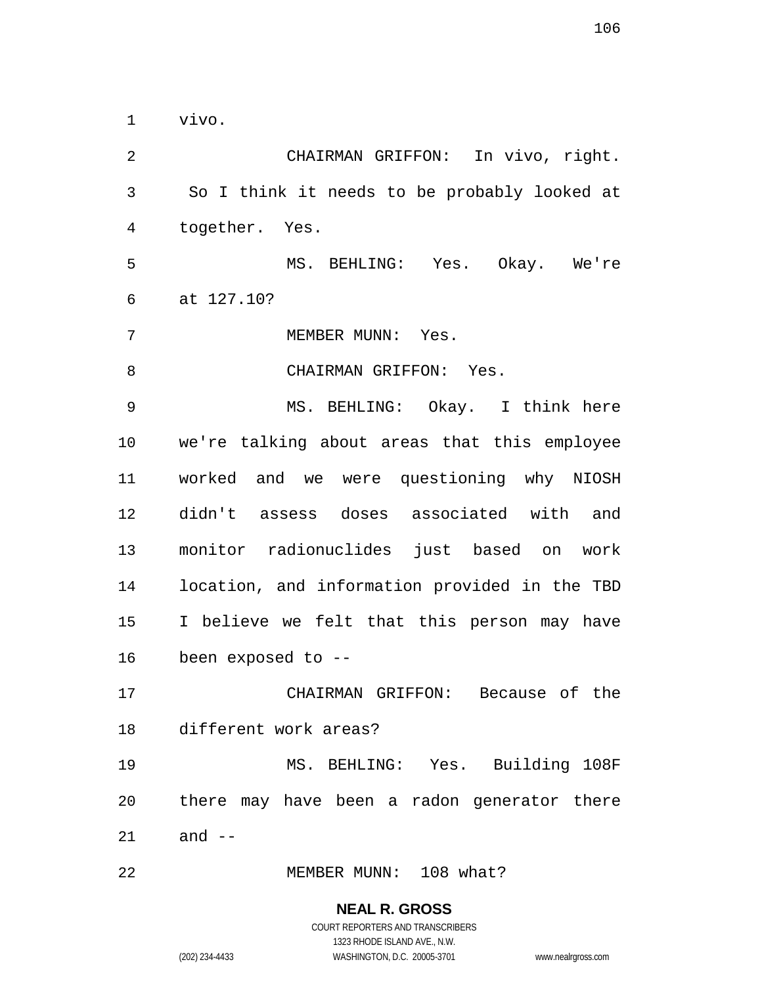vivo.

 CHAIRMAN GRIFFON: In vivo, right. So I think it needs to be probably looked at together. Yes. MS. BEHLING: Yes. Okay. We're at 127.10? 7 MEMBER MUNN: Yes. 8 CHAIRMAN GRIFFON: Yes. MS. BEHLING: Okay. I think here we're talking about areas that this employee worked and we were questioning why NIOSH didn't assess doses associated with and monitor radionuclides just based on work location, and information provided in the TBD I believe we felt that this person may have been exposed to -- CHAIRMAN GRIFFON: Because of the different work areas? MS. BEHLING: Yes. Building 108F there may have been a radon generator there and -- MEMBER MUNN: 108 what?

> **NEAL R. GROSS** COURT REPORTERS AND TRANSCRIBERS

1323 RHODE ISLAND AVE., N.W. (202) 234-4433 WASHINGTON, D.C. 20005-3701 www.nealrgross.com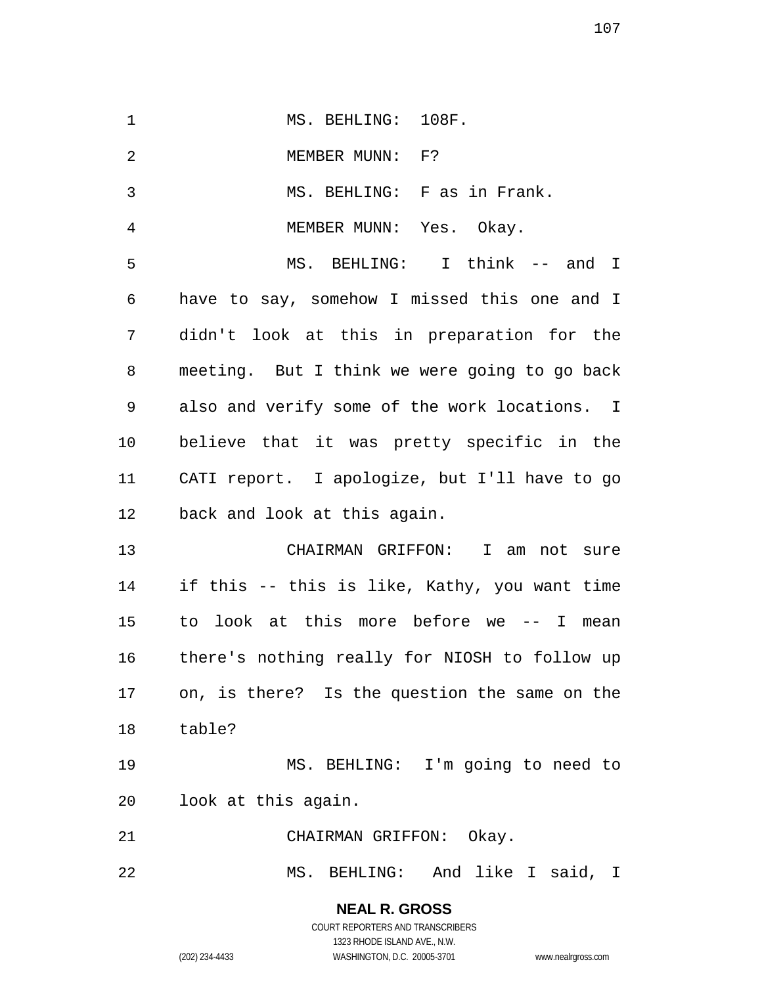1 MS. BEHLING: 108F. 2 MEMBER MUNN: F? MS. BEHLING: F as in Frank. MEMBER MUNN: Yes. Okay. MS. BEHLING: I think -- and I have to say, somehow I missed this one and I didn't look at this in preparation for the meeting. But I think we were going to go back also and verify some of the work locations. I believe that it was pretty specific in the CATI report. I apologize, but I'll have to go back and look at this again. CHAIRMAN GRIFFON: I am not sure if this -- this is like, Kathy, you want time to look at this more before we -- I mean there's nothing really for NIOSH to follow up on, is there? Is the question the same on the table? MS. BEHLING: I'm going to need to look at this again. CHAIRMAN GRIFFON: Okay. MS. BEHLING: And like I said, I

**NEAL R. GROSS**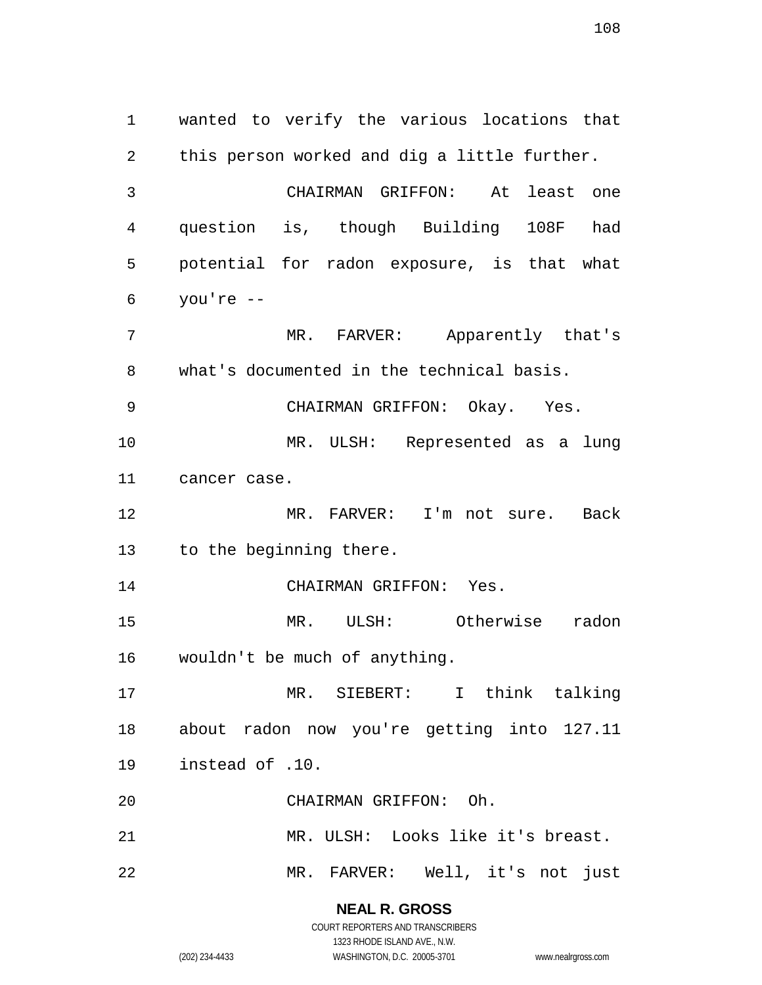wanted to verify the various locations that this person worked and dig a little further. CHAIRMAN GRIFFON: At least one question is, though Building 108F had potential for radon exposure, is that what you're -- MR. FARVER: Apparently that's what's documented in the technical basis. CHAIRMAN GRIFFON: Okay. Yes. MR. ULSH: Represented as a lung cancer case. MR. FARVER: I'm not sure. Back to the beginning there. CHAIRMAN GRIFFON: Yes. MR. ULSH: Otherwise radon wouldn't be much of anything. MR. SIEBERT: I think talking about radon now you're getting into 127.11 instead of .10. CHAIRMAN GRIFFON: Oh. MR. ULSH: Looks like it's breast. MR. FARVER: Well, it's not just

> **NEAL R. GROSS** COURT REPORTERS AND TRANSCRIBERS

1323 RHODE ISLAND AVE., N.W. (202) 234-4433 WASHINGTON, D.C. 20005-3701 www.nealrgross.com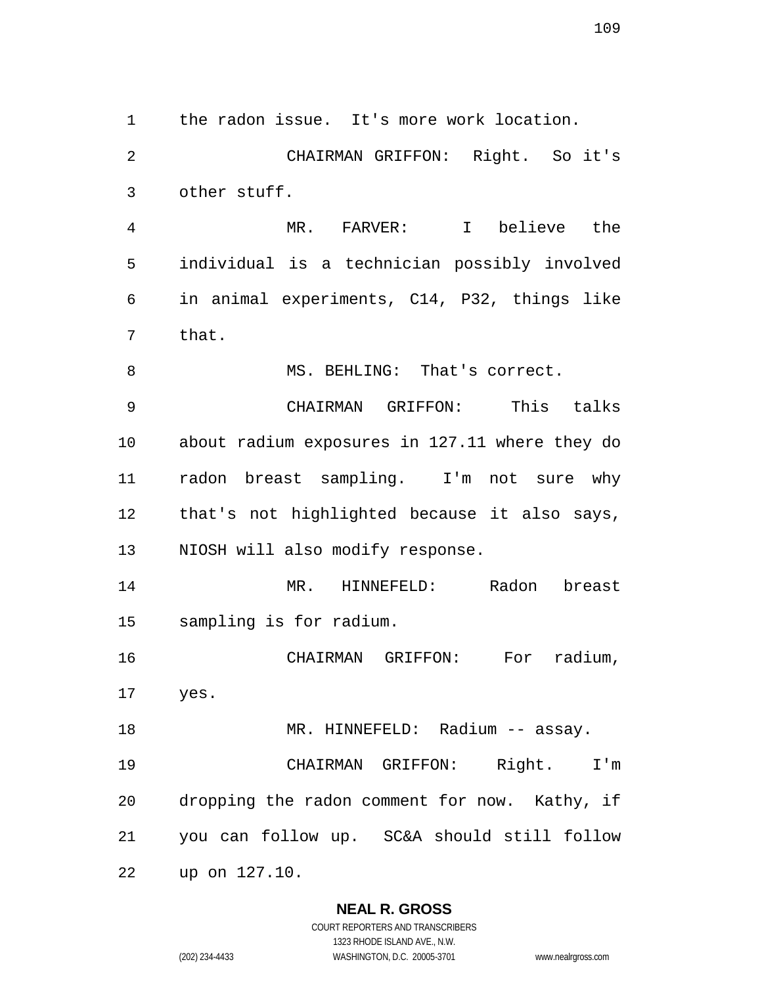the radon issue. It's more work location.

 CHAIRMAN GRIFFON: Right. So it's other stuff.

 MR. FARVER: I believe the individual is a technician possibly involved in animal experiments, C14, P32, things like that.

8 MS. BEHLING: That's correct.

 CHAIRMAN GRIFFON: This talks about radium exposures in 127.11 where they do radon breast sampling. I'm not sure why that's not highlighted because it also says, NIOSH will also modify response.

 MR. HINNEFELD: Radon breast sampling is for radium.

 CHAIRMAN GRIFFON: For radium, yes. 18 MR. HINNEFELD: Radium -- assay.

 CHAIRMAN GRIFFON: Right. I'm dropping the radon comment for now. Kathy, if you can follow up. SC&A should still follow

up on 127.10.

#### **NEAL R. GROSS**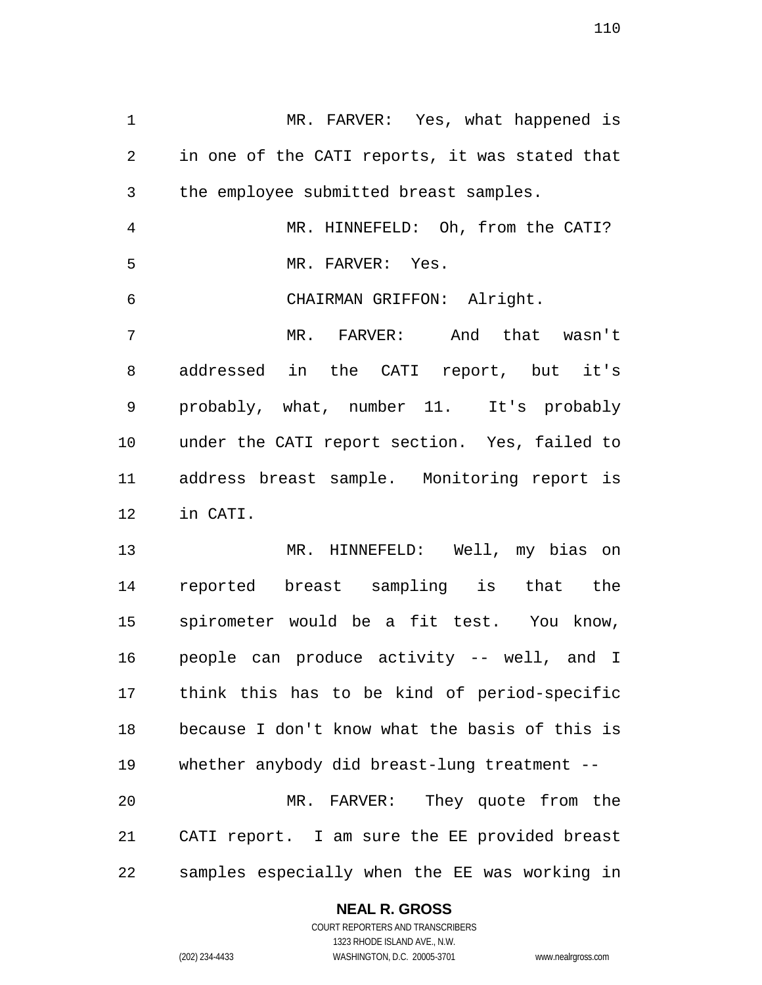MR. FARVER: Yes, what happened is in one of the CATI reports, it was stated that the employee submitted breast samples. MR. HINNEFELD: Oh, from the CATI? MR. FARVER: Yes. CHAIRMAN GRIFFON: Alright. MR. FARVER: And that wasn't addressed in the CATI report, but it's probably, what, number 11. It's probably under the CATI report section. Yes, failed to address breast sample. Monitoring report is in CATI.

 MR. HINNEFELD: Well, my bias on reported breast sampling is that the spirometer would be a fit test. You know, people can produce activity -- well, and I think this has to be kind of period-specific because I don't know what the basis of this is whether anybody did breast-lung treatment -- MR. FARVER: They quote from the CATI report. I am sure the EE provided breast samples especially when the EE was working in

# **NEAL R. GROSS**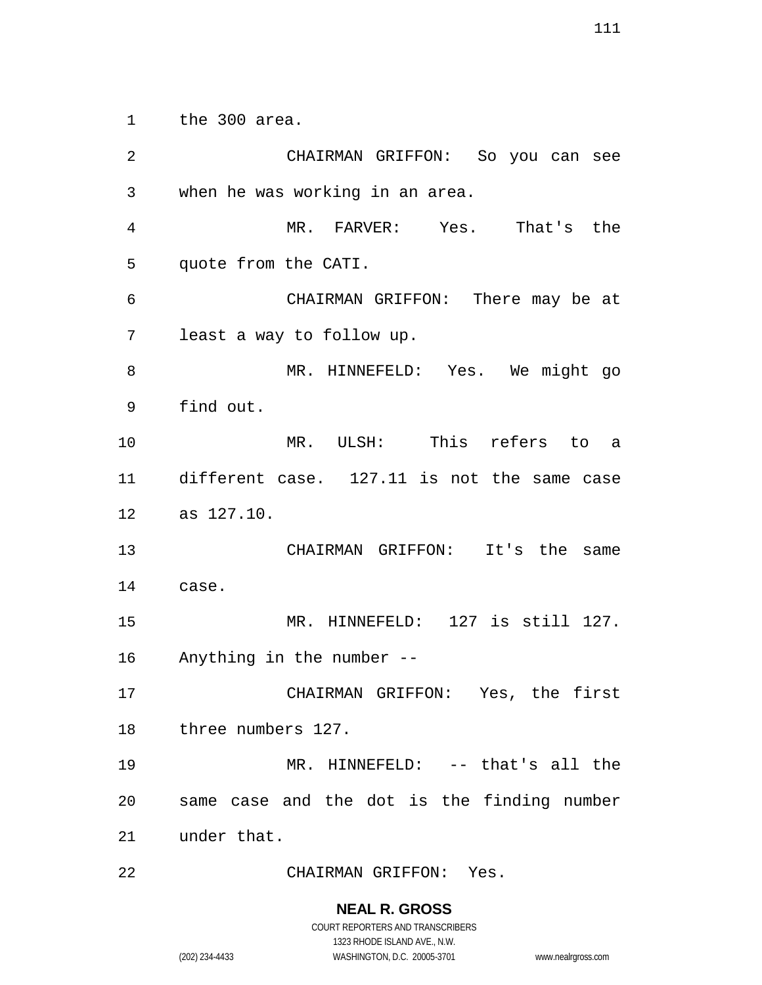the 300 area.

 CHAIRMAN GRIFFON: So you can see when he was working in an area. MR. FARVER: Yes. That's the quote from the CATI. CHAIRMAN GRIFFON: There may be at least a way to follow up. MR. HINNEFELD: Yes. We might go find out. MR. ULSH: This refers to a different case. 127.11 is not the same case as 127.10. CHAIRMAN GRIFFON: It's the same case. Anything in the number -- CHAIRMAN GRIFFON: Yes, the first three numbers 127. MR. HINNEFELD: -- that's all the same case and the dot is the finding number under that. CHAIRMAN GRIFFON: Yes.

MR. HINNEFELD: 127 is still 127.

# **NEAL R. GROSS**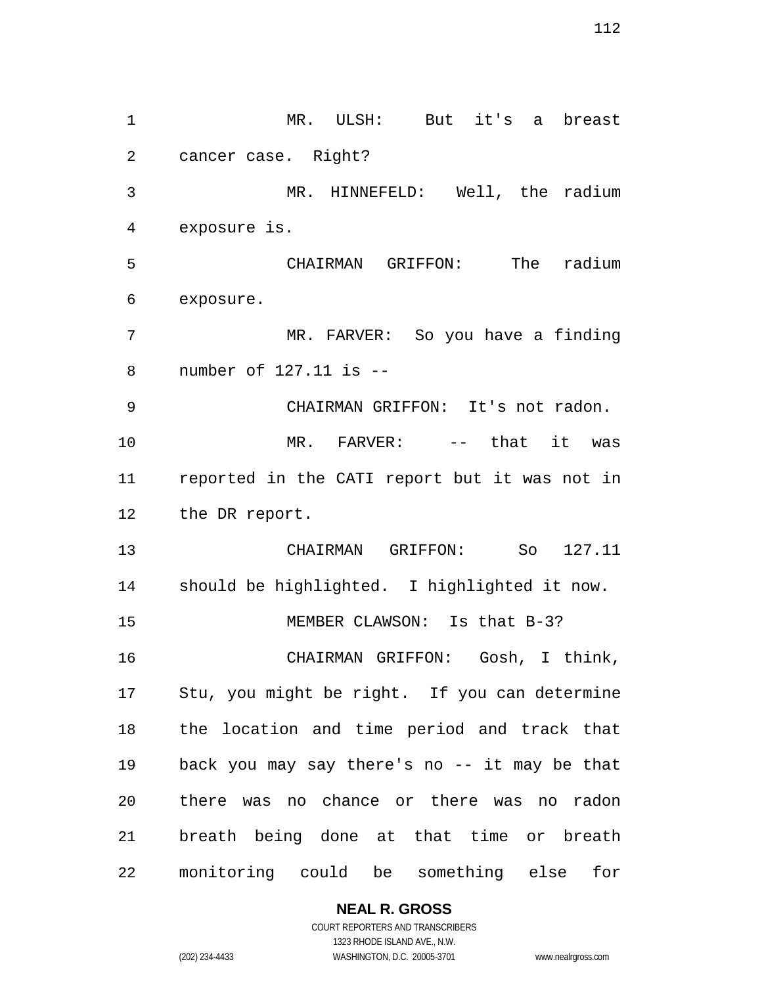MR. ULSH: But it's a breast cancer case. Right? MR. HINNEFELD: Well, the radium exposure is. CHAIRMAN GRIFFON: The radium exposure. MR. FARVER: So you have a finding number of 127.11 is -- CHAIRMAN GRIFFON: It's not radon. MR. FARVER: -- that it was reported in the CATI report but it was not in the DR report. CHAIRMAN GRIFFON: So 127.11 should be highlighted. I highlighted it now. 15 MEMBER CLAWSON: Is that B-3? CHAIRMAN GRIFFON: Gosh, I think, Stu, you might be right. If you can determine the location and time period and track that back you may say there's no -- it may be that there was no chance or there was no radon breath being done at that time or breath monitoring could be something else for

**NEAL R. GROSS**

COURT REPORTERS AND TRANSCRIBERS 1323 RHODE ISLAND AVE., N.W. (202) 234-4433 WASHINGTON, D.C. 20005-3701 www.nealrgross.com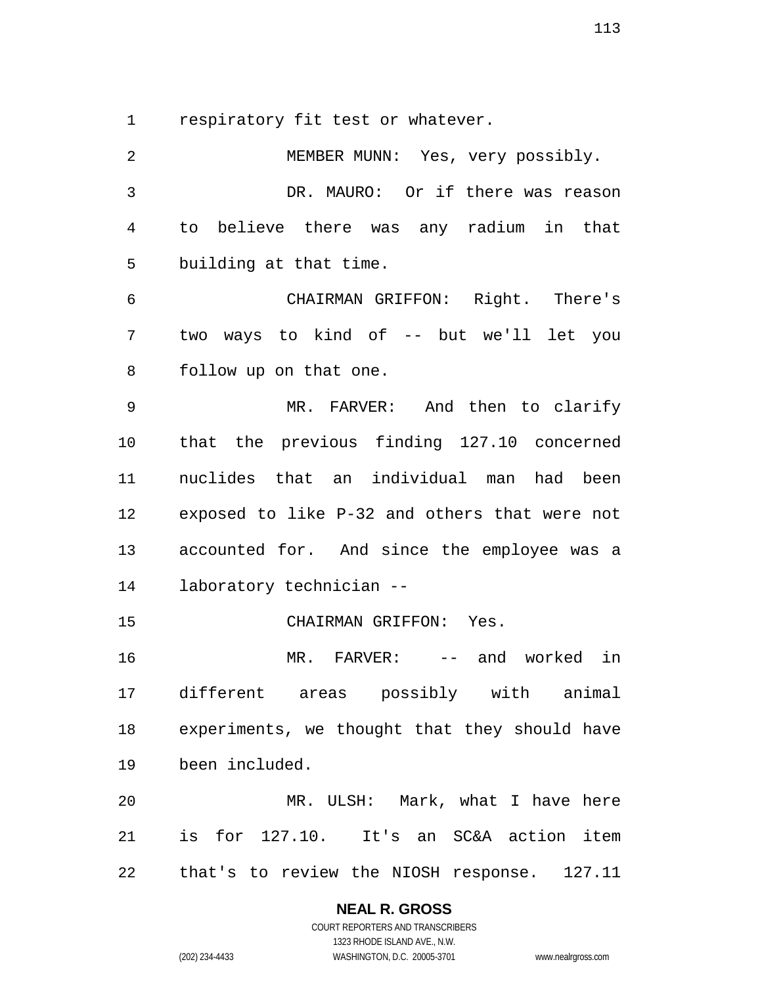respiratory fit test or whatever.

 MEMBER MUNN: Yes, very possibly. DR. MAURO: Or if there was reason to believe there was any radium in that building at that time. CHAIRMAN GRIFFON: Right. There's two ways to kind of -- but we'll let you follow up on that one. MR. FARVER: And then to clarify that the previous finding 127.10 concerned nuclides that an individual man had been exposed to like P-32 and others that were not accounted for. And since the employee was a laboratory technician -- CHAIRMAN GRIFFON: Yes. MR. FARVER: -- and worked in different areas possibly with animal experiments, we thought that they should have been included. MR. ULSH: Mark, what I have here is for 127.10. It's an SC&A action item that's to review the NIOSH response. 127.11

### **NEAL R. GROSS** COURT REPORTERS AND TRANSCRIBERS

1323 RHODE ISLAND AVE., N.W. (202) 234-4433 WASHINGTON, D.C. 20005-3701 www.nealrgross.com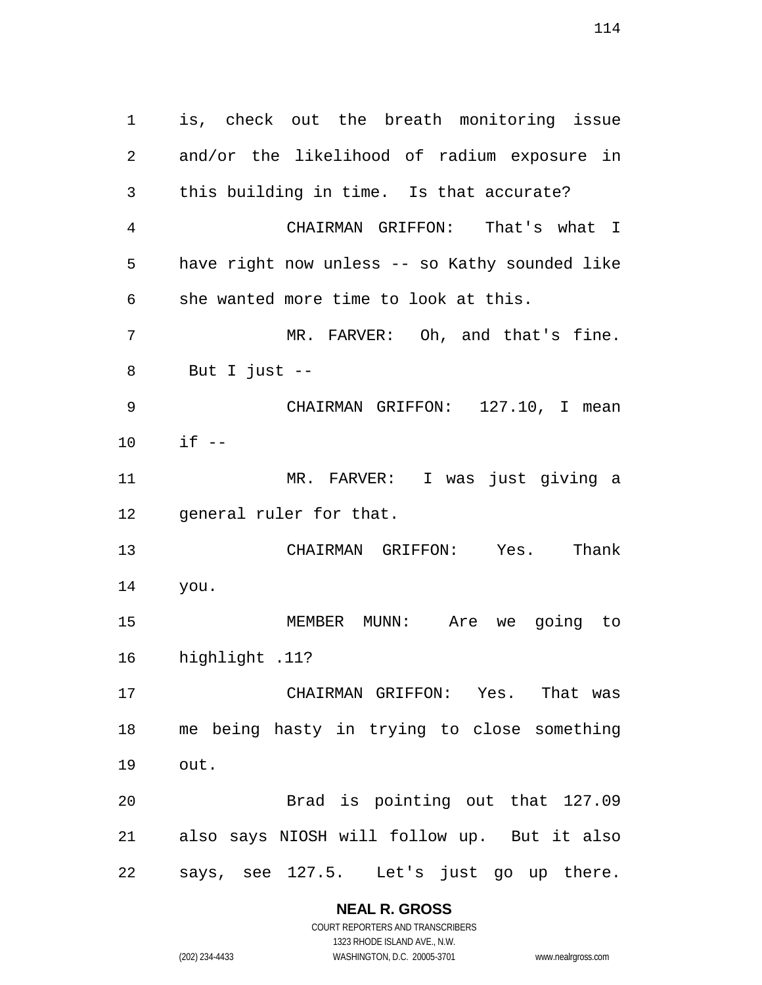is, check out the breath monitoring issue and/or the likelihood of radium exposure in this building in time. Is that accurate? CHAIRMAN GRIFFON: That's what I have right now unless -- so Kathy sounded like she wanted more time to look at this. MR. FARVER: Oh, and that's fine. But I just -- CHAIRMAN GRIFFON: 127.10, I mean if -- MR. FARVER: I was just giving a general ruler for that. CHAIRMAN GRIFFON: Yes. Thank you. MEMBER MUNN: Are we going to highlight .11? CHAIRMAN GRIFFON: Yes. That was me being hasty in trying to close something out. Brad is pointing out that 127.09 also says NIOSH will follow up. But it also says, see 127.5. Let's just go up there.

> **NEAL R. GROSS** COURT REPORTERS AND TRANSCRIBERS

1323 RHODE ISLAND AVE., N.W. (202) 234-4433 WASHINGTON, D.C. 20005-3701 www.nealrgross.com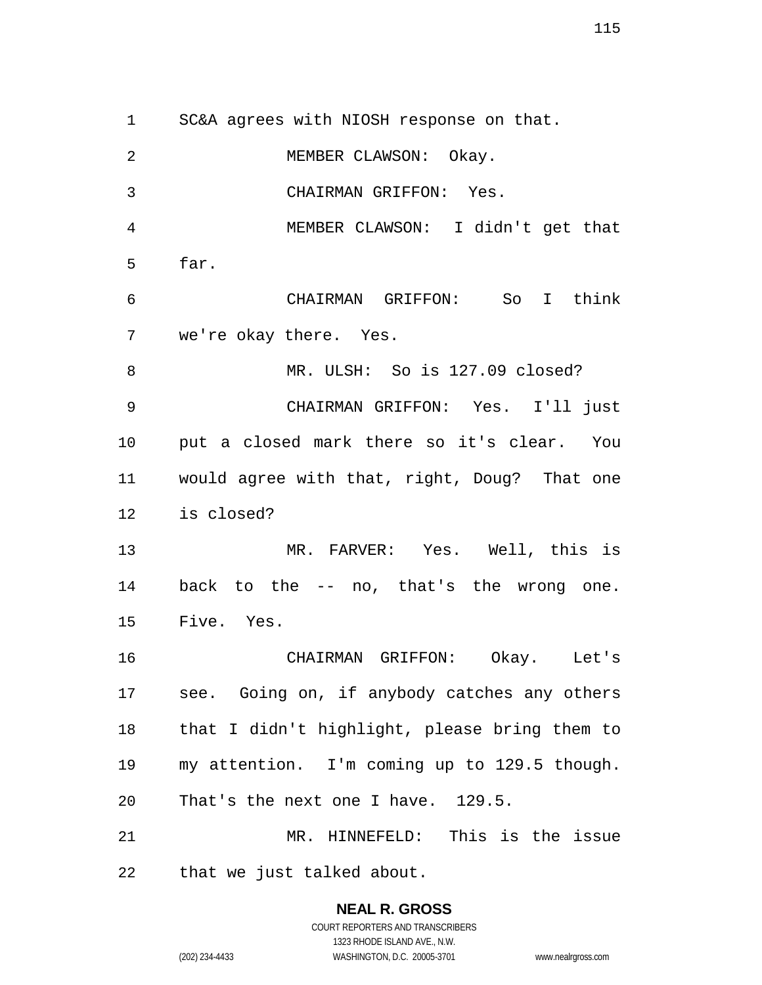SC&A agrees with NIOSH response on that. MEMBER CLAWSON: Okay. CHAIRMAN GRIFFON: Yes. MEMBER CLAWSON: I didn't get that far. CHAIRMAN GRIFFON: So I think we're okay there. Yes. MR. ULSH: So is 127.09 closed? CHAIRMAN GRIFFON: Yes. I'll just put a closed mark there so it's clear. You would agree with that, right, Doug? That one is closed? MR. FARVER: Yes. Well, this is back to the -- no, that's the wrong one. Five. Yes. CHAIRMAN GRIFFON: Okay. Let's see. Going on, if anybody catches any others that I didn't highlight, please bring them to my attention. I'm coming up to 129.5 though. That's the next one I have. 129.5. MR. HINNEFELD: This is the issue that we just talked about.

### **NEAL R. GROSS** COURT REPORTERS AND TRANSCRIBERS 1323 RHODE ISLAND AVE., N.W.

(202) 234-4433 WASHINGTON, D.C. 20005-3701 www.nealrgross.com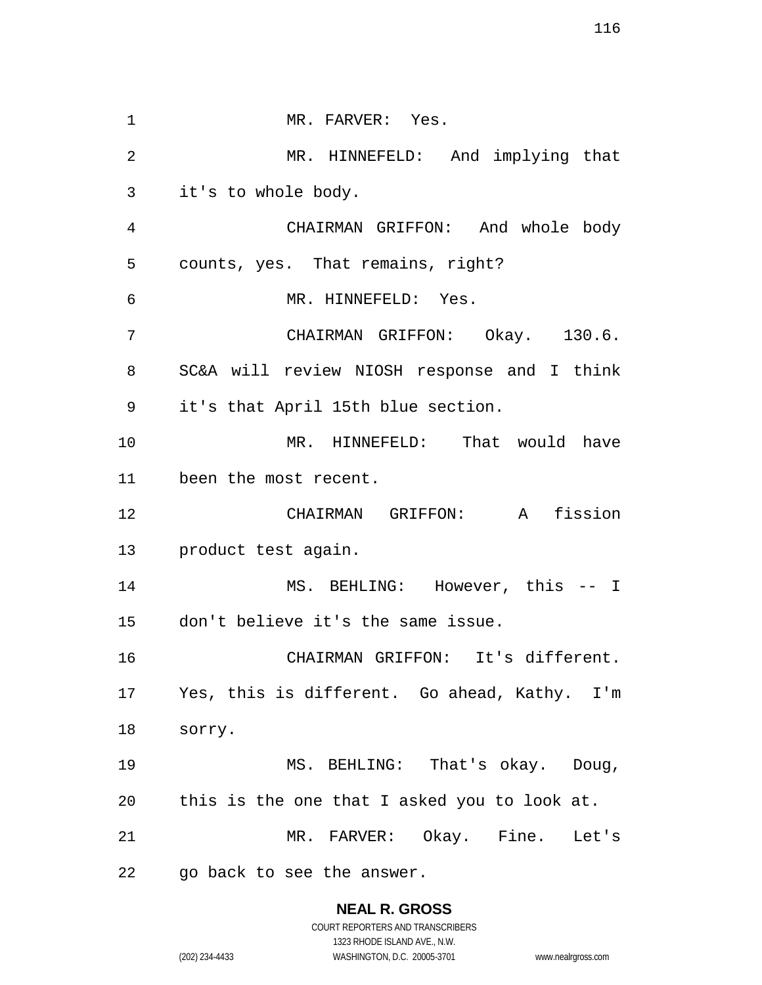1 MR. FARVER: Yes. MR. HINNEFELD: And implying that it's to whole body. CHAIRMAN GRIFFON: And whole body counts, yes. That remains, right? MR. HINNEFELD: Yes. CHAIRMAN GRIFFON: Okay. 130.6. SC&A will review NIOSH response and I think it's that April 15th blue section. MR. HINNEFELD: That would have been the most recent. CHAIRMAN GRIFFON: A fission product test again. MS. BEHLING: However, this -- I don't believe it's the same issue. CHAIRMAN GRIFFON: It's different. Yes, this is different. Go ahead, Kathy. I'm sorry. MS. BEHLING: That's okay. Doug, this is the one that I asked you to look at. MR. FARVER: Okay. Fine. Let's go back to see the answer.

# **NEAL R. GROSS**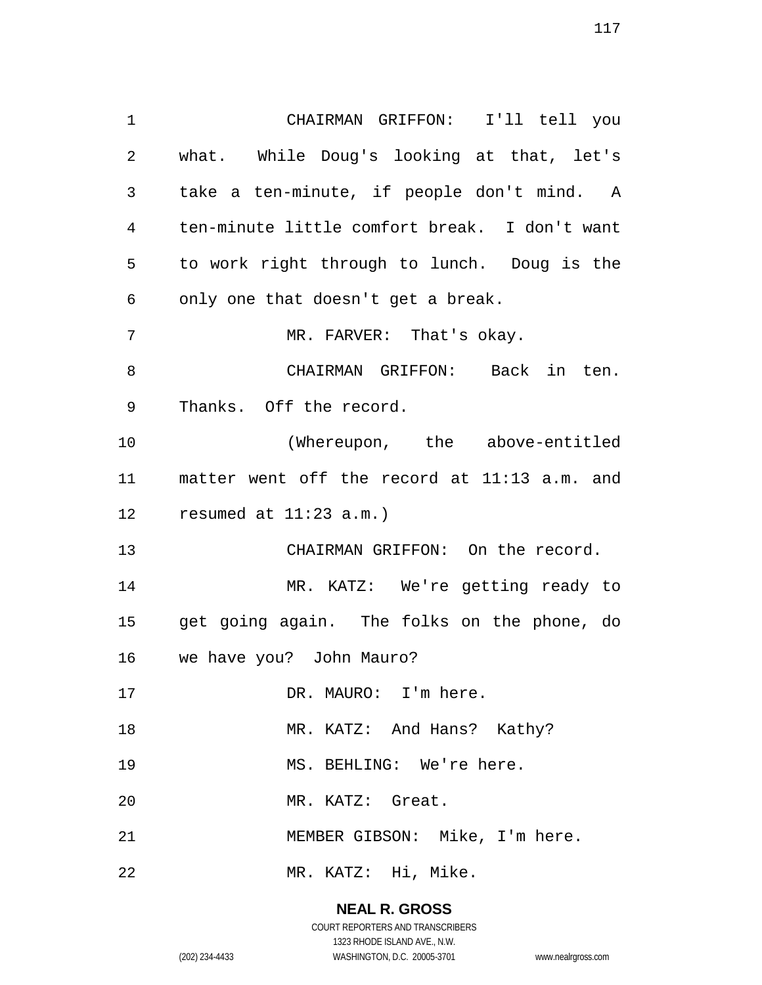CHAIRMAN GRIFFON: I'll tell you what. While Doug's looking at that, let's take a ten-minute, if people don't mind. A ten-minute little comfort break. I don't want to work right through to lunch. Doug is the only one that doesn't get a break. 7 MR. FARVER: That's okay. CHAIRMAN GRIFFON: Back in ten. Thanks. Off the record. (Whereupon, the above-entitled matter went off the record at 11:13 a.m. and resumed at 11:23 a.m.) CHAIRMAN GRIFFON: On the record. MR. KATZ: We're getting ready to get going again. The folks on the phone, do we have you? John Mauro? 17 DR. MAURO: I'm here. 18 MR. KATZ: And Hans? Kathy? 19 MS. BEHLING: We're here. MR. KATZ: Great. MEMBER GIBSON: Mike, I'm here. MR. KATZ: Hi, Mike.

#### **NEAL R. GROSS**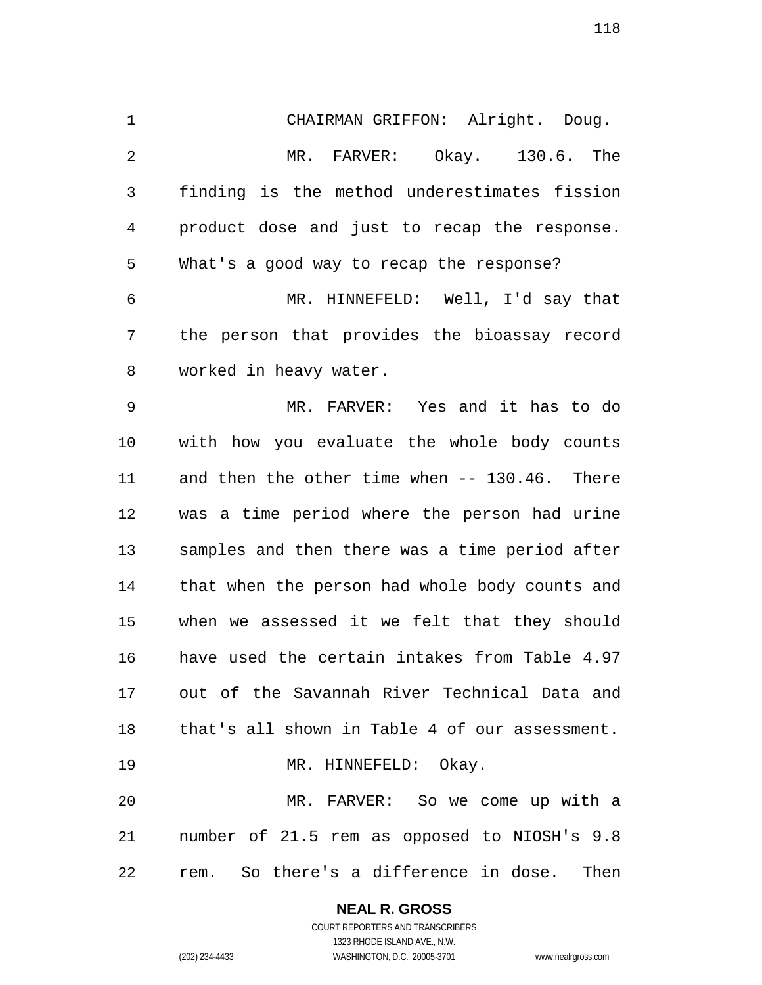CHAIRMAN GRIFFON: Alright. Doug. MR. FARVER: Okay. 130.6. The finding is the method underestimates fission product dose and just to recap the response. What's a good way to recap the response? MR. HINNEFELD: Well, I'd say that the person that provides the bioassay record worked in heavy water. MR. FARVER: Yes and it has to do with how you evaluate the whole body counts and then the other time when -- 130.46. There was a time period where the person had urine samples and then there was a time period after that when the person had whole body counts and when we assessed it we felt that they should have used the certain intakes from Table 4.97 out of the Savannah River Technical Data and that's all shown in Table 4 of our assessment. 19 MR. HINNEFELD: Okay. MR. FARVER: So we come up with a number of 21.5 rem as opposed to NIOSH's 9.8

rem. So there's a difference in dose. Then

**NEAL R. GROSS** COURT REPORTERS AND TRANSCRIBERS

1323 RHODE ISLAND AVE., N.W. (202) 234-4433 WASHINGTON, D.C. 20005-3701 www.nealrgross.com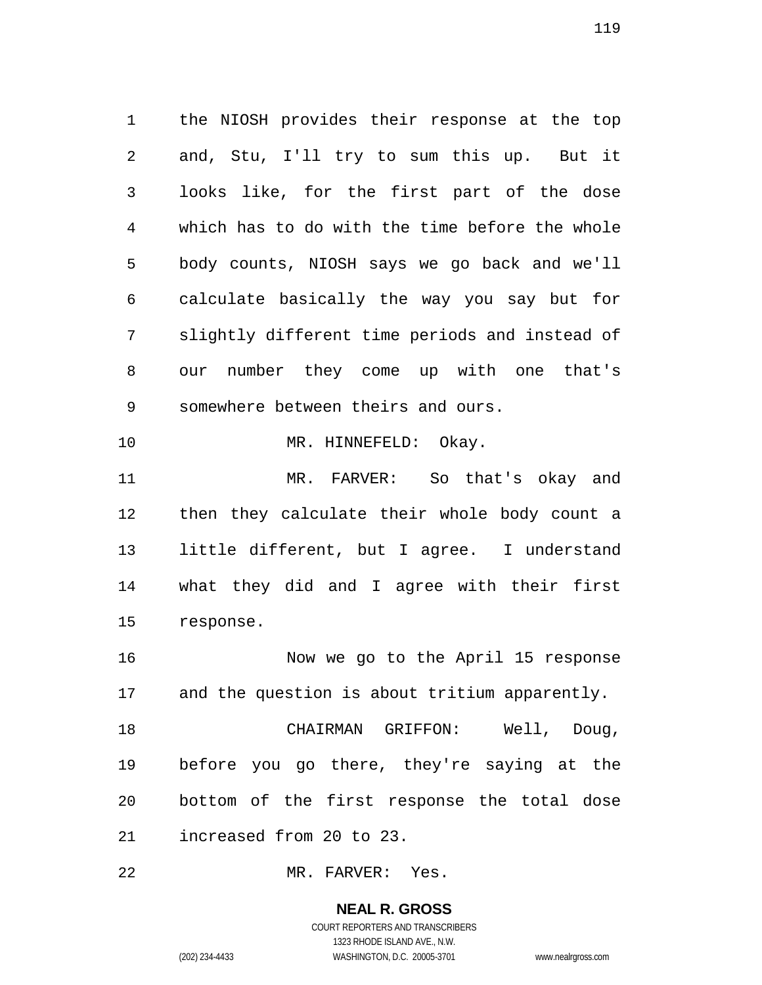the NIOSH provides their response at the top and, Stu, I'll try to sum this up. But it looks like, for the first part of the dose which has to do with the time before the whole body counts, NIOSH says we go back and we'll calculate basically the way you say but for slightly different time periods and instead of our number they come up with one that's somewhere between theirs and ours. 10 MR. HINNEFELD: Okay. MR. FARVER: So that's okay and then they calculate their whole body count a little different, but I agree. I understand what they did and I agree with their first response. Now we go to the April 15 response and the question is about tritium apparently. CHAIRMAN GRIFFON: Well, Doug, before you go there, they're saying at the

increased from 20 to 23.

MR. FARVER: Yes.

**NEAL R. GROSS** COURT REPORTERS AND TRANSCRIBERS

bottom of the first response the total dose

1323 RHODE ISLAND AVE., N.W.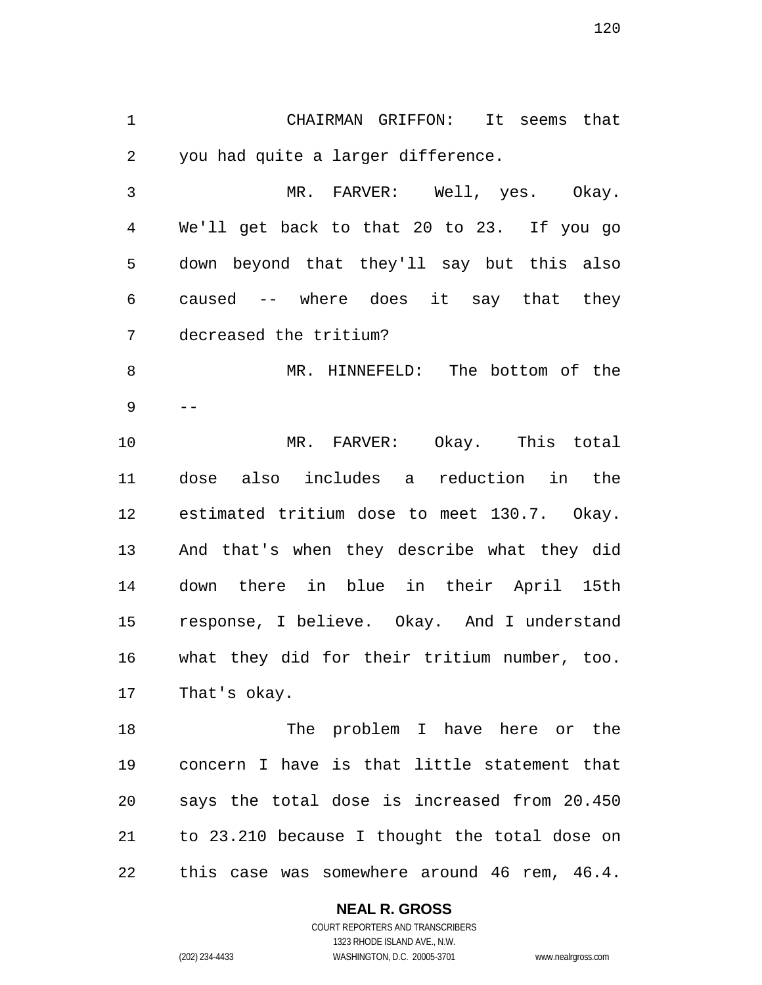CHAIRMAN GRIFFON: It seems that you had quite a larger difference.

 MR. FARVER: Well, yes. Okay. We'll get back to that 20 to 23. If you go down beyond that they'll say but this also caused -- where does it say that they decreased the tritium? MR. HINNEFELD: The bottom of the

--

 MR. FARVER: Okay. This total dose also includes a reduction in the estimated tritium dose to meet 130.7. Okay. And that's when they describe what they did down there in blue in their April 15th response, I believe. Okay. And I understand what they did for their tritium number, too. That's okay.

 The problem I have here or the concern I have is that little statement that says the total dose is increased from 20.450 to 23.210 because I thought the total dose on this case was somewhere around 46 rem, 46.4.

# **NEAL R. GROSS**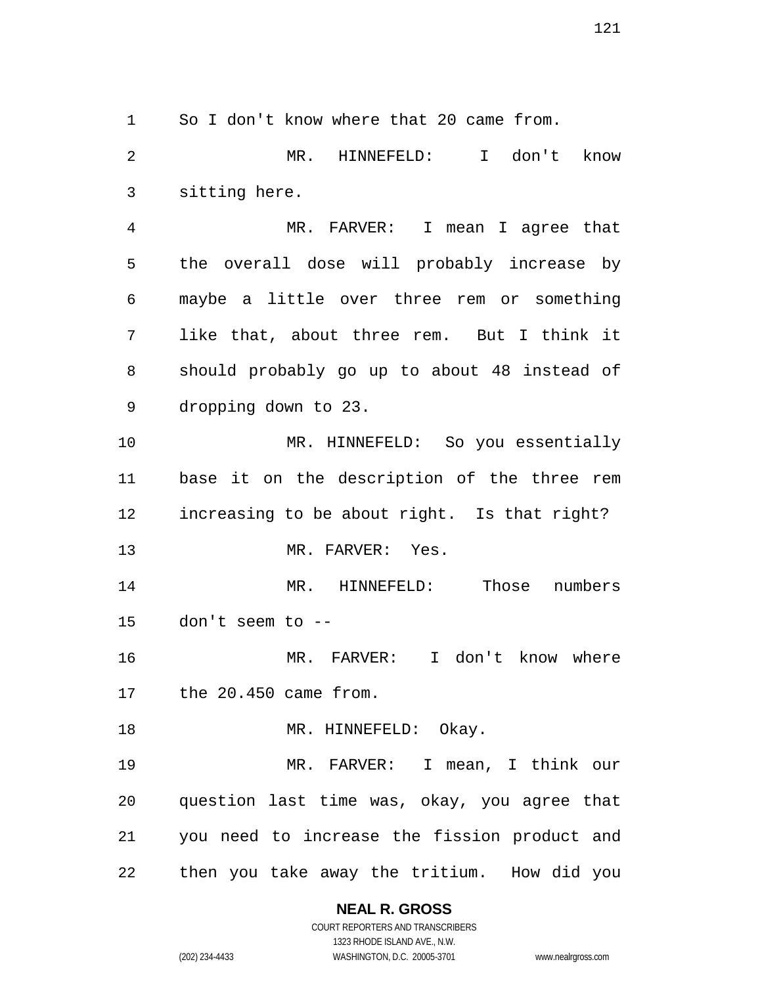So I don't know where that 20 came from.

 MR. HINNEFELD: I don't know sitting here.

 MR. FARVER: I mean I agree that the overall dose will probably increase by maybe a little over three rem or something like that, about three rem. But I think it should probably go up to about 48 instead of dropping down to 23.

 MR. HINNEFELD: So you essentially base it on the description of the three rem increasing to be about right. Is that right? MR. FARVER: Yes.

 MR. HINNEFELD: Those numbers don't seem to --

 MR. FARVER: I don't know where the 20.450 came from.

18 MR. HINNEFELD: Okay.

 MR. FARVER: I mean, I think our question last time was, okay, you agree that you need to increase the fission product and then you take away the tritium. How did you

# **NEAL R. GROSS**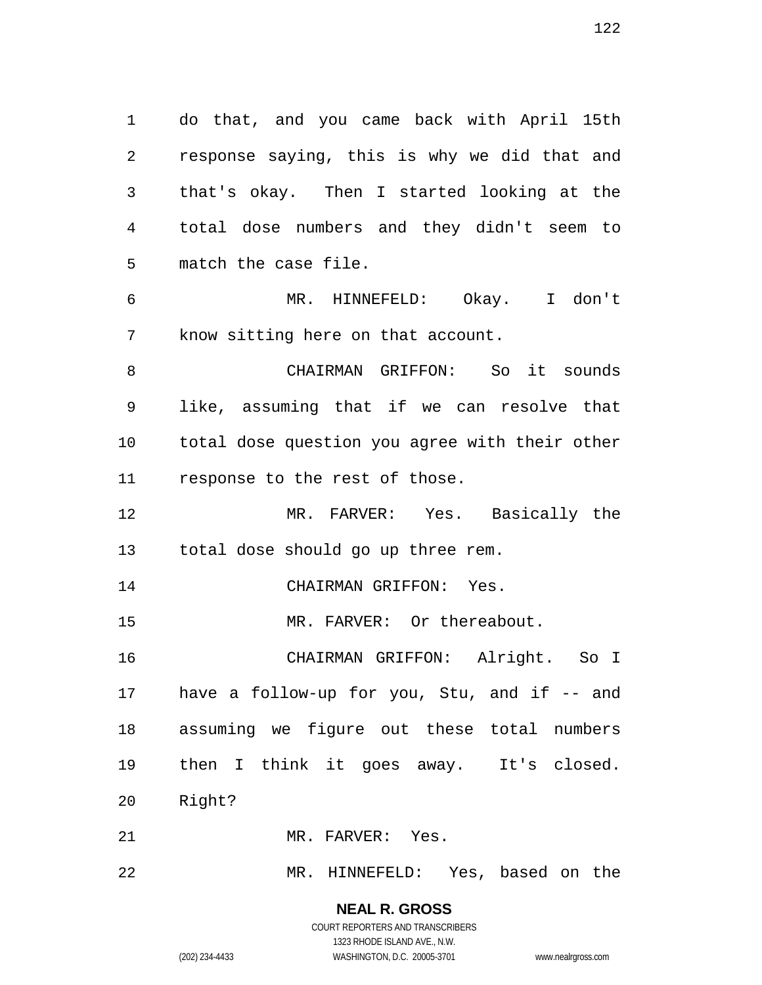do that, and you came back with April 15th response saying, this is why we did that and that's okay. Then I started looking at the total dose numbers and they didn't seem to match the case file. MR. HINNEFELD: Okay. I don't

know sitting here on that account.

 CHAIRMAN GRIFFON: So it sounds like, assuming that if we can resolve that total dose question you agree with their other response to the rest of those.

 MR. FARVER: Yes. Basically the total dose should go up three rem.

CHAIRMAN GRIFFON: Yes.

15 MR. FARVER: Or thereabout.

 CHAIRMAN GRIFFON: Alright. So I have a follow-up for you, Stu, and if -- and assuming we figure out these total numbers then I think it goes away. It's closed. Right?

MR. FARVER: Yes.

MR. HINNEFELD: Yes, based on the

**NEAL R. GROSS** COURT REPORTERS AND TRANSCRIBERS

1323 RHODE ISLAND AVE., N.W.

(202) 234-4433 WASHINGTON, D.C. 20005-3701 www.nealrgross.com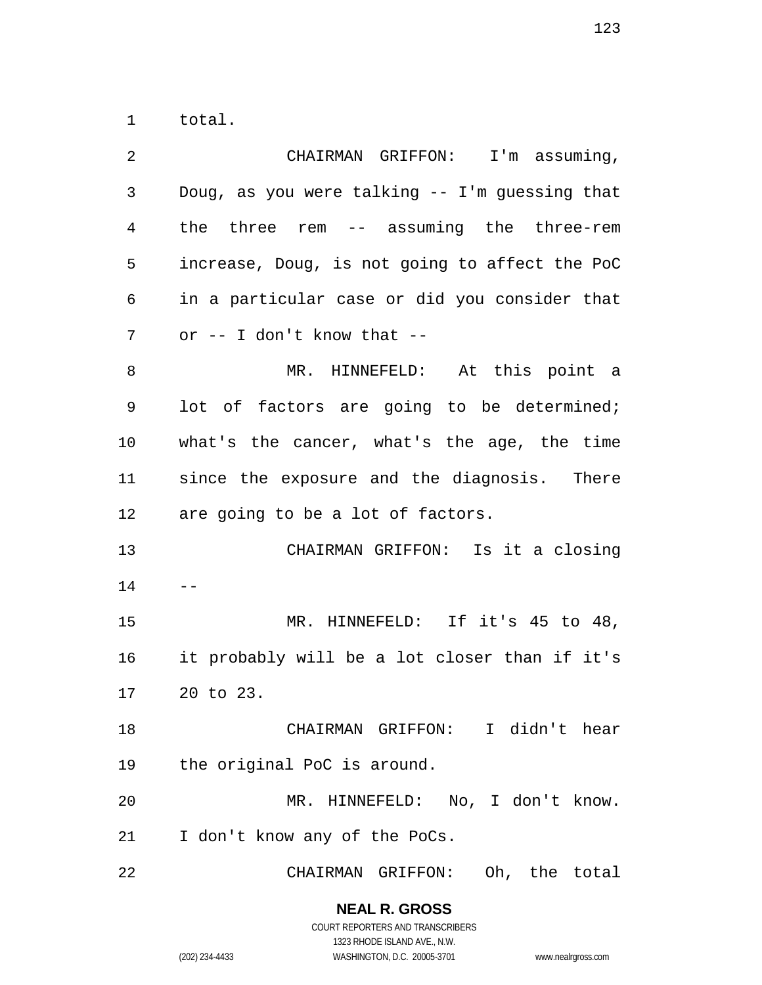total.

| 2  | CHAIRMAN GRIFFON: I'm assuming,                |
|----|------------------------------------------------|
| 3  | Doug, as you were talking -- I'm guessing that |
| 4  | the three rem -- assuming the three-rem        |
| 5  | increase, Doug, is not going to affect the PoC |
| 6  | in a particular case or did you consider that  |
| 7  | or $--$ I don't know that $--$                 |
| 8  | MR. HINNEFELD: At this point a                 |
| 9  | lot of factors are going to be determined;     |
| 10 | what's the cancer, what's the age, the time    |
| 11 | since the exposure and the diagnosis. There    |
| 12 | are going to be a lot of factors.              |
| 13 | CHAIRMAN GRIFFON: Is it a closing              |
| 14 |                                                |
| 15 | MR. HINNEFELD: If it's 45 to 48,               |
| 16 | it probably will be a lot closer than if it's  |
| 17 | 20 to 23.                                      |
| 18 | CHAIRMAN GRIFFON: I didn't hear                |
| 19 | the original PoC is around.                    |
| 20 | MR. HINNEFELD: No, I don't know.               |
| 21 | I don't know any of the PoCs.                  |
| 22 | CHAIRMAN GRIFFON:<br>Oh, the total             |

**NEAL R. GROSS** COURT REPORTERS AND TRANSCRIBERS 1323 RHODE ISLAND AVE., N.W.

(202) 234-4433 WASHINGTON, D.C. 20005-3701 www.nealrgross.com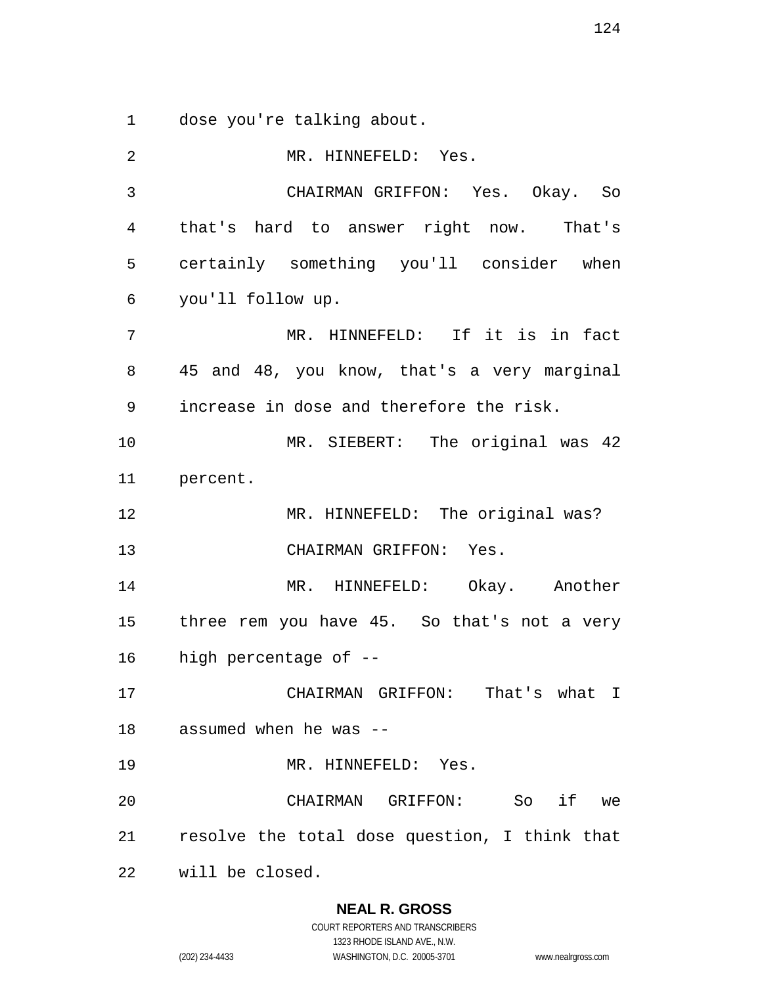dose you're talking about.

 MR. HINNEFELD: Yes. CHAIRMAN GRIFFON: Yes. Okay. So that's hard to answer right now. That's certainly something you'll consider when you'll follow up. MR. HINNEFELD: If it is in fact 45 and 48, you know, that's a very marginal increase in dose and therefore the risk. MR. SIEBERT: The original was 42 percent. MR. HINNEFELD: The original was? CHAIRMAN GRIFFON: Yes. MR. HINNEFELD: Okay. Another three rem you have 45. So that's not a very high percentage of -- CHAIRMAN GRIFFON: That's what I assumed when he was -- MR. HINNEFELD: Yes. CHAIRMAN GRIFFON: So if we resolve the total dose question, I think that will be closed.

# **NEAL R. GROSS**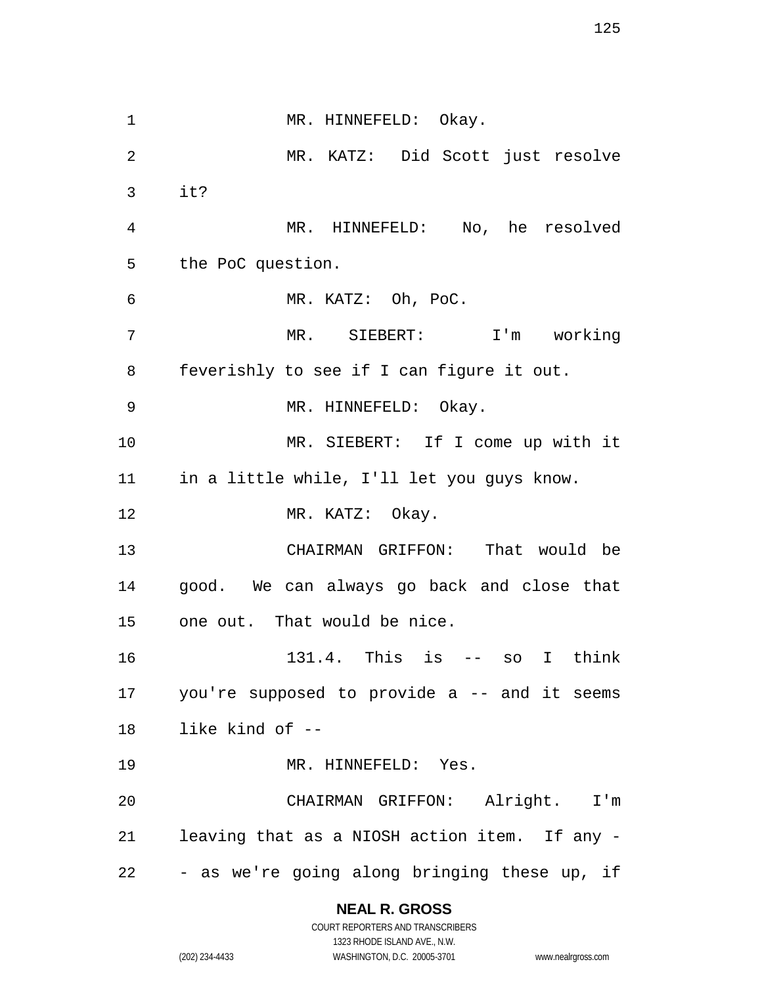1 MR. HINNEFELD: Okay. MR. KATZ: Did Scott just resolve it? MR. HINNEFELD: No, he resolved the PoC question. MR. KATZ: Oh, PoC. MR. SIEBERT: I'm working feverishly to see if I can figure it out. MR. HINNEFELD: Okay. MR. SIEBERT: If I come up with it in a little while, I'll let you guys know. 12 MR. KATZ: Okay. CHAIRMAN GRIFFON: That would be good. We can always go back and close that one out. That would be nice. 131.4. This is -- so I think you're supposed to provide a -- and it seems like kind of -- 19 MR. HINNEFELD: Yes. CHAIRMAN GRIFFON: Alright. I'm leaving that as a NIOSH action item. If any - - as we're going along bringing these up, if

# **NEAL R. GROSS**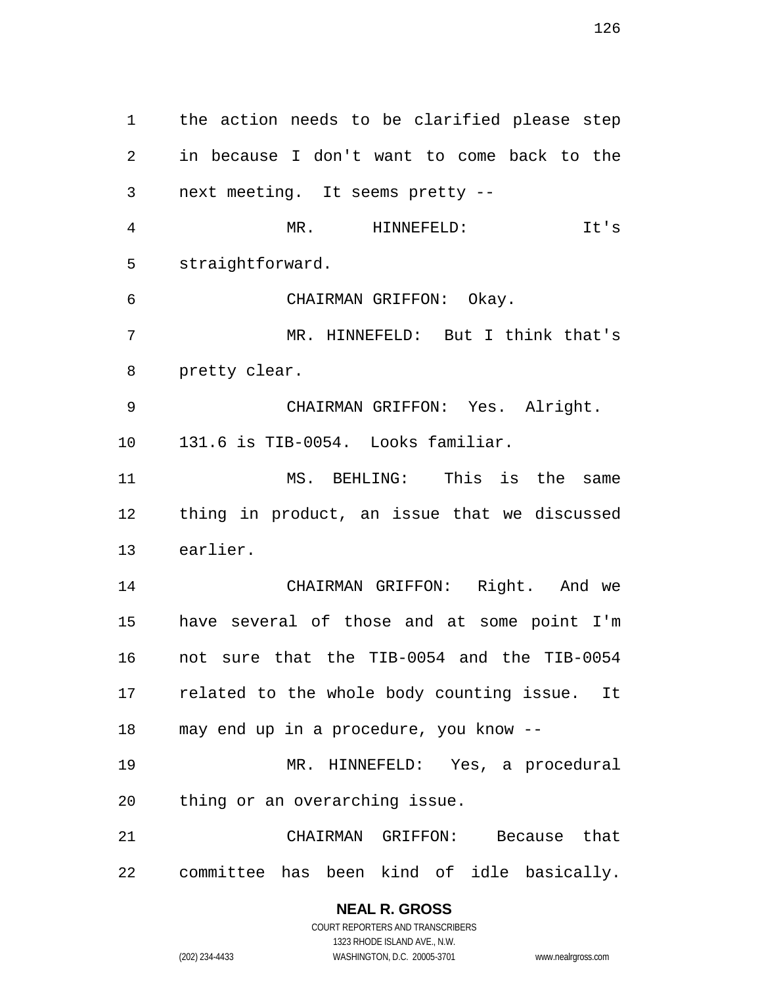the action needs to be clarified please step in because I don't want to come back to the next meeting. It seems pretty -- MR. HINNEFELD: It's straightforward. CHAIRMAN GRIFFON: Okay. MR. HINNEFELD: But I think that's pretty clear. CHAIRMAN GRIFFON: Yes. Alright. 131.6 is TIB-0054. Looks familiar. MS. BEHLING: This is the same thing in product, an issue that we discussed earlier. CHAIRMAN GRIFFON: Right. And we have several of those and at some point I'm not sure that the TIB-0054 and the TIB-0054 related to the whole body counting issue. It may end up in a procedure, you know -- MR. HINNEFELD: Yes, a procedural thing or an overarching issue. CHAIRMAN GRIFFON: Because that committee has been kind of idle basically.

> **NEAL R. GROSS** COURT REPORTERS AND TRANSCRIBERS

1323 RHODE ISLAND AVE., N.W. (202) 234-4433 WASHINGTON, D.C. 20005-3701 www.nealrgross.com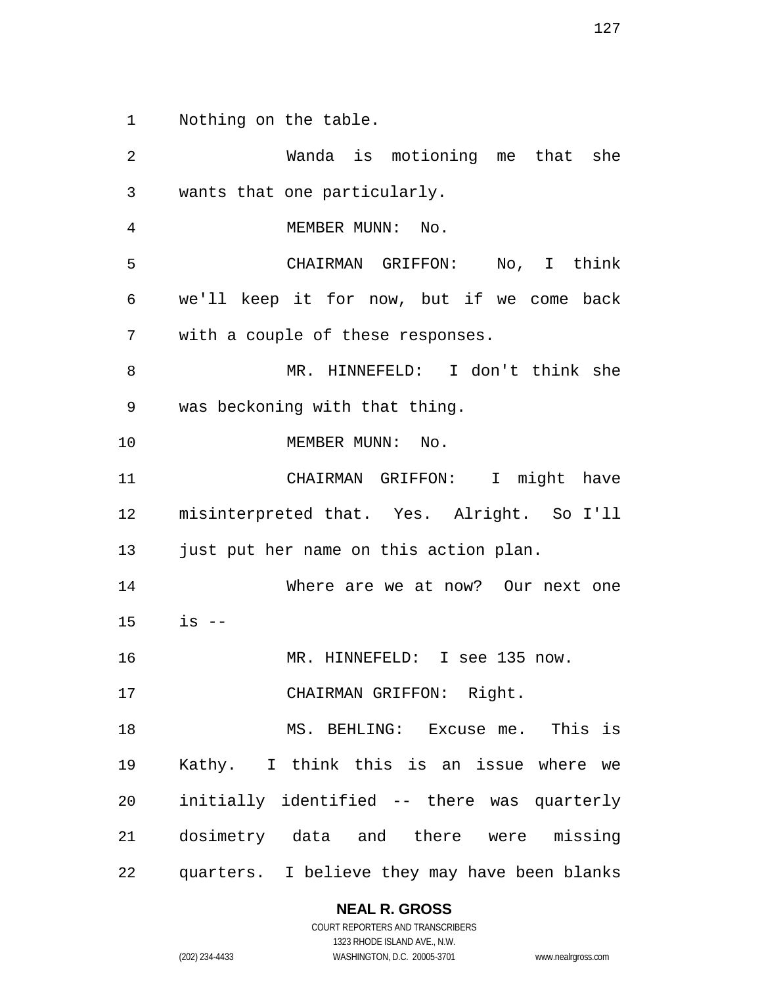Nothing on the table.

 Wanda is motioning me that she wants that one particularly. 4 MEMBER MUNN: No. CHAIRMAN GRIFFON: No, I think we'll keep it for now, but if we come back with a couple of these responses. MR. HINNEFELD: I don't think she was beckoning with that thing. 10 MEMBER MUNN: No. CHAIRMAN GRIFFON: I might have misinterpreted that. Yes. Alright. So I'll just put her name on this action plan. Where are we at now? Our next one is -- 16 MR. HINNEFELD: I see 135 now. CHAIRMAN GRIFFON: Right. MS. BEHLING: Excuse me. This is Kathy. I think this is an issue where we initially identified -- there was quarterly dosimetry data and there were missing quarters. I believe they may have been blanks

#### **NEAL R. GROSS** COURT REPORTERS AND TRANSCRIBERS

1323 RHODE ISLAND AVE., N.W.

(202) 234-4433 WASHINGTON, D.C. 20005-3701 www.nealrgross.com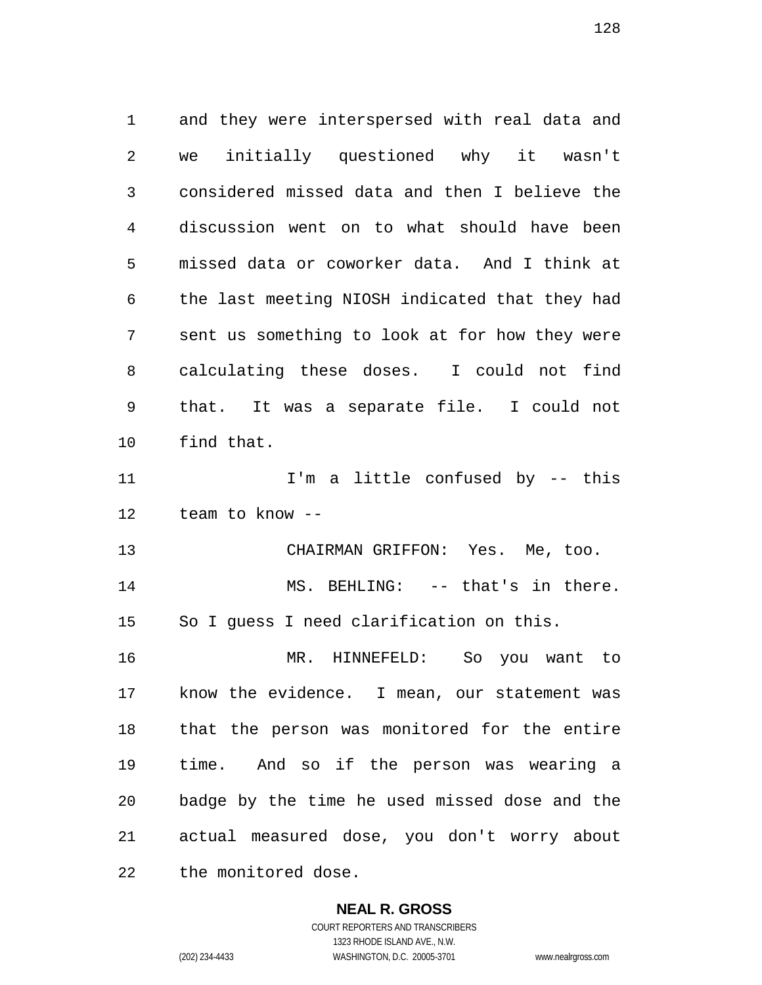and they were interspersed with real data and we initially questioned why it wasn't considered missed data and then I believe the discussion went on to what should have been missed data or coworker data. And I think at the last meeting NIOSH indicated that they had sent us something to look at for how they were calculating these doses. I could not find that. It was a separate file. I could not find that. I'm a little confused by -- this team to know -- CHAIRMAN GRIFFON: Yes. Me, too. 14 MS. BEHLING: -- that's in there. So I guess I need clarification on this. MR. HINNEFELD: So you want to know the evidence. I mean, our statement was that the person was monitored for the entire time. And so if the person was wearing a badge by the time he used missed dose and the actual measured dose, you don't worry about the monitored dose.

**NEAL R. GROSS**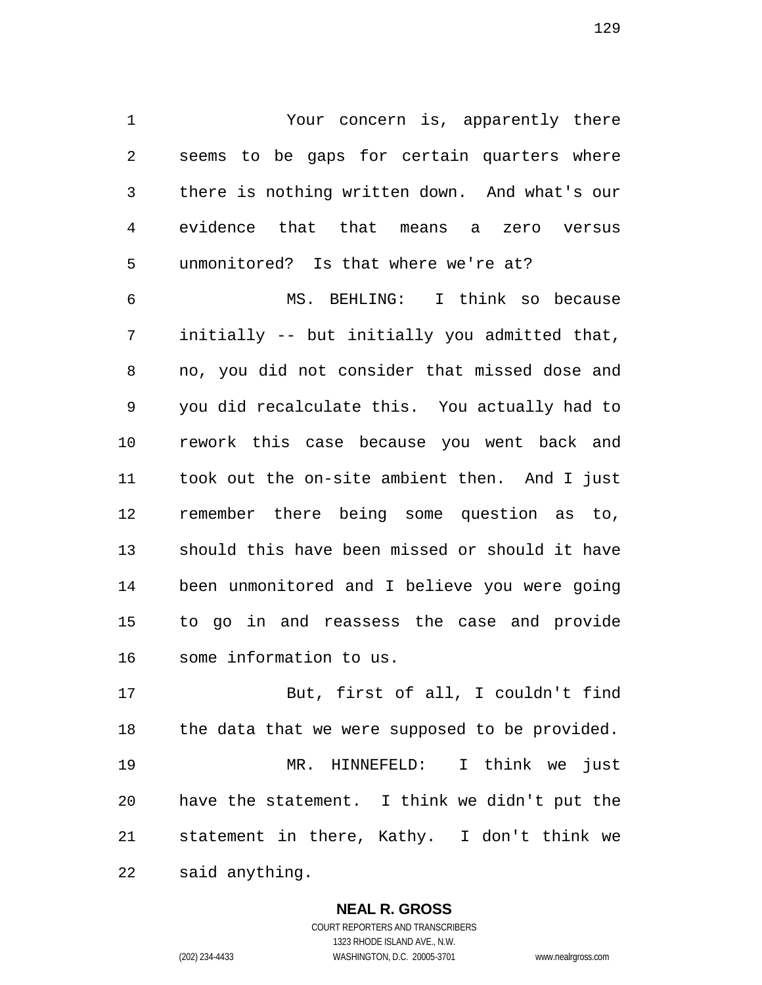Your concern is, apparently there seems to be gaps for certain quarters where there is nothing written down. And what's our evidence that that means a zero versus unmonitored? Is that where we're at?

 MS. BEHLING: I think so because initially -- but initially you admitted that, no, you did not consider that missed dose and you did recalculate this. You actually had to rework this case because you went back and took out the on-site ambient then. And I just remember there being some question as to, should this have been missed or should it have been unmonitored and I believe you were going to go in and reassess the case and provide some information to us.

 But, first of all, I couldn't find 18 the data that we were supposed to be provided. MR. HINNEFELD: I think we just have the statement. I think we didn't put the statement in there, Kathy. I don't think we said anything.

#### **NEAL R. GROSS**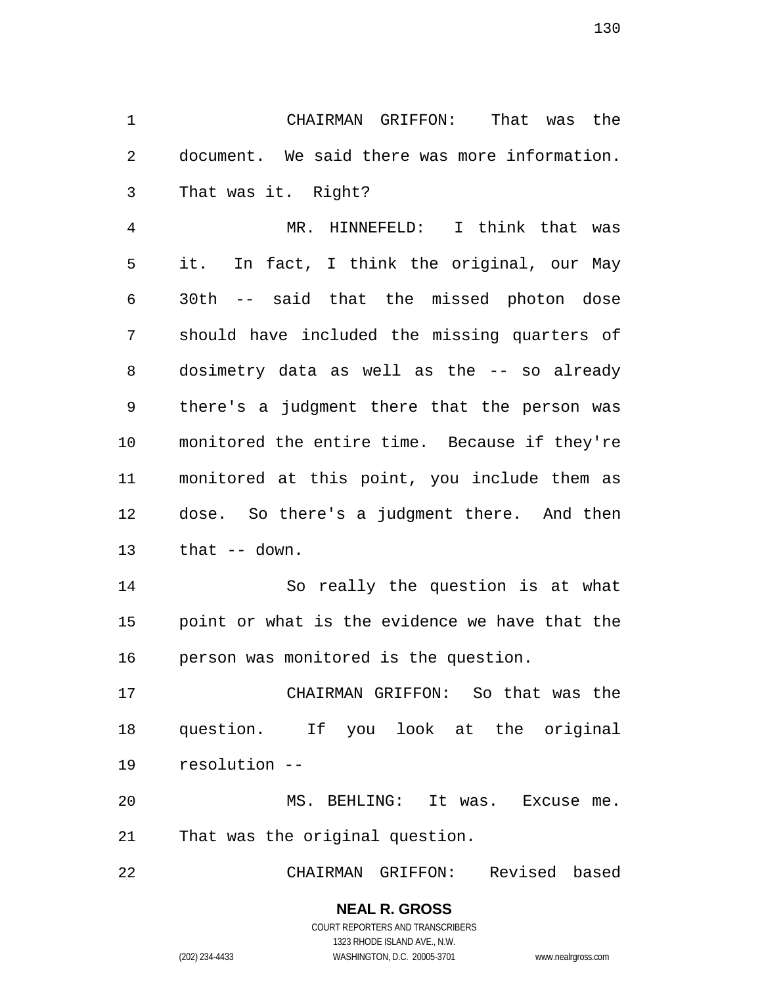CHAIRMAN GRIFFON: That was the document. We said there was more information. That was it. Right?

 MR. HINNEFELD: I think that was it. In fact, I think the original, our May 30th -- said that the missed photon dose should have included the missing quarters of dosimetry data as well as the -- so already there's a judgment there that the person was monitored the entire time. Because if they're monitored at this point, you include them as dose. So there's a judgment there. And then that -- down.

 So really the question is at what point or what is the evidence we have that the person was monitored is the question.

 CHAIRMAN GRIFFON: So that was the question. If you look at the original resolution --

 MS. BEHLING: It was. Excuse me. That was the original question.

CHAIRMAN GRIFFON: Revised based

# **NEAL R. GROSS**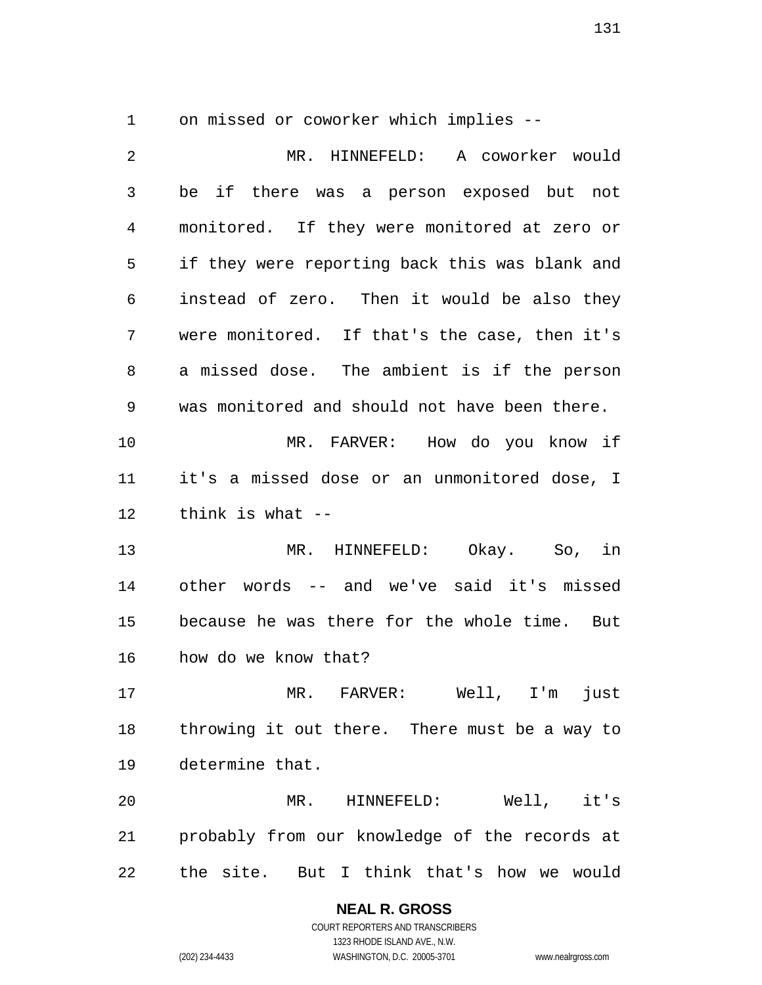on missed or coworker which implies --

 MR. HINNEFELD: A coworker would be if there was a person exposed but not monitored. If they were monitored at zero or if they were reporting back this was blank and instead of zero. Then it would be also they were monitored. If that's the case, then it's a missed dose. The ambient is if the person was monitored and should not have been there. MR. FARVER: How do you know if it's a missed dose or an unmonitored dose, I think is what -- MR. HINNEFELD: Okay. So, in other words -- and we've said it's missed because he was there for the whole time. But how do we know that? MR. FARVER: Well, I'm just throwing it out there. There must be a way to determine that. MR. HINNEFELD: Well, it's probably from our knowledge of the records at the site. But I think that's how we would

# **NEAL R. GROSS**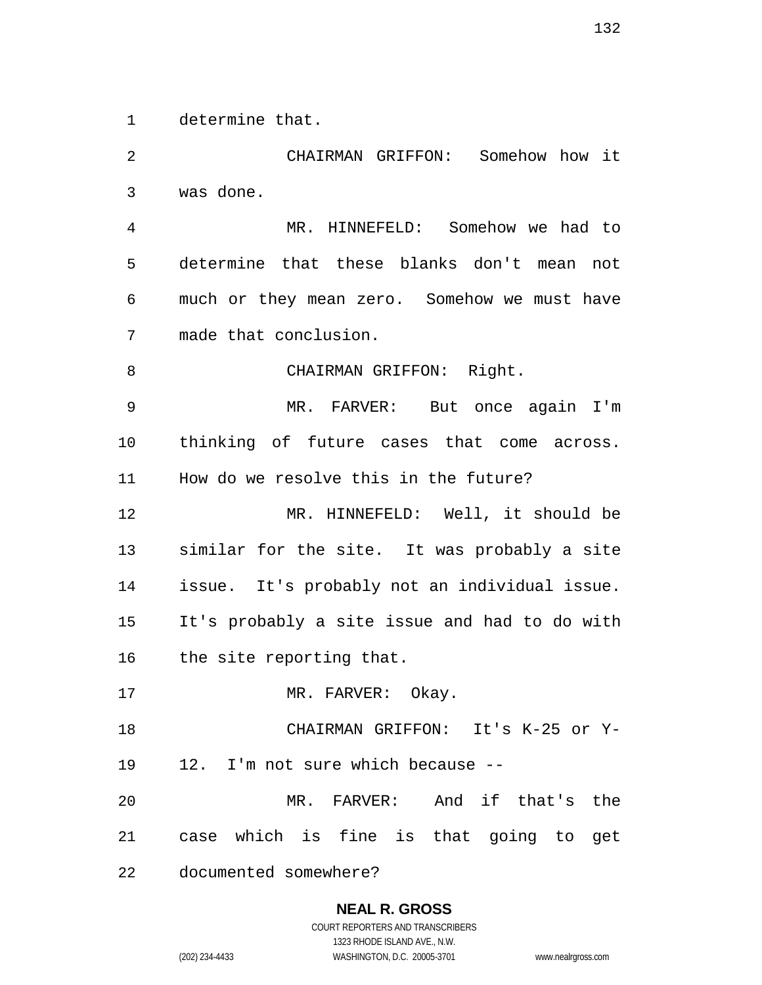determine that.

 CHAIRMAN GRIFFON: Somehow how it was done. MR. HINNEFELD: Somehow we had to determine that these blanks don't mean not much or they mean zero. Somehow we must have made that conclusion. 8 CHAIRMAN GRIFFON: Right. MR. FARVER: But once again I'm thinking of future cases that come across. How do we resolve this in the future? MR. HINNEFELD: Well, it should be similar for the site. It was probably a site issue. It's probably not an individual issue. It's probably a site issue and had to do with the site reporting that. 17 MR. FARVER: Okay. CHAIRMAN GRIFFON: It's K-25 or Y- 12. I'm not sure which because -- MR. FARVER: And if that's the case which is fine is that going to get documented somewhere?

# **NEAL R. GROSS**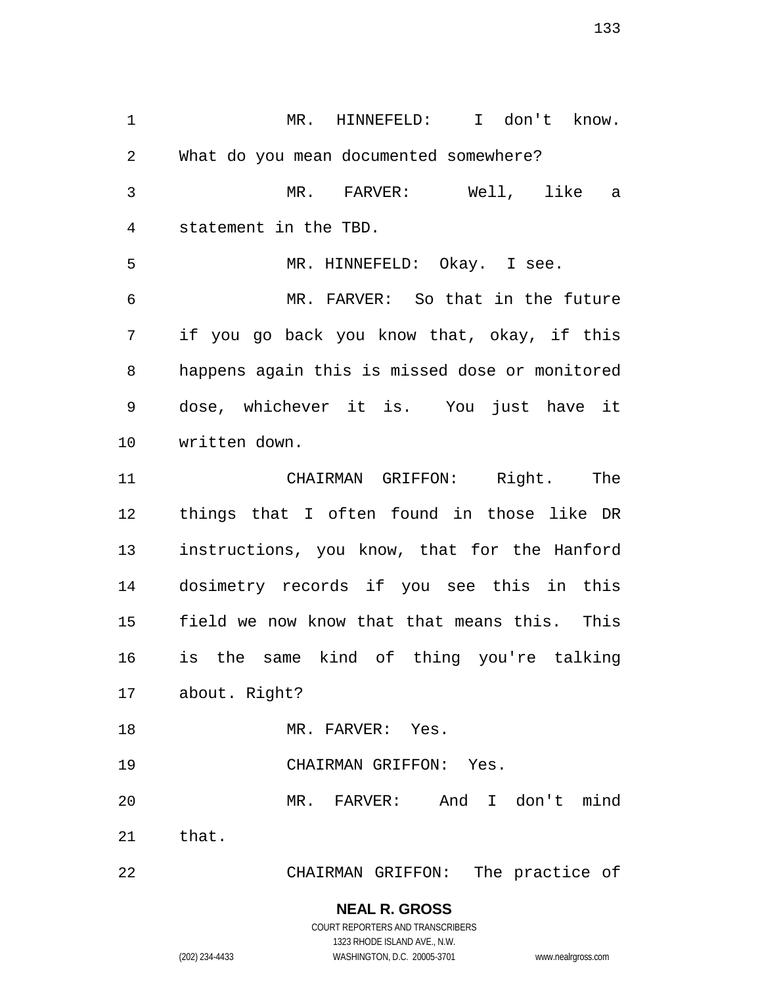MR. HINNEFELD: I don't know. What do you mean documented somewhere? MR. FARVER: Well, like a statement in the TBD. MR. HINNEFELD: Okay. I see. MR. FARVER: So that in the future if you go back you know that, okay, if this happens again this is missed dose or monitored dose, whichever it is. You just have it written down. CHAIRMAN GRIFFON: Right. The things that I often found in those like DR instructions, you know, that for the Hanford dosimetry records if you see this in this field we now know that that means this. This is the same kind of thing you're talking about. Right? 18 MR. FARVER: Yes. CHAIRMAN GRIFFON: Yes. MR. FARVER: And I don't mind that. CHAIRMAN GRIFFON: The practice of

# **NEAL R. GROSS**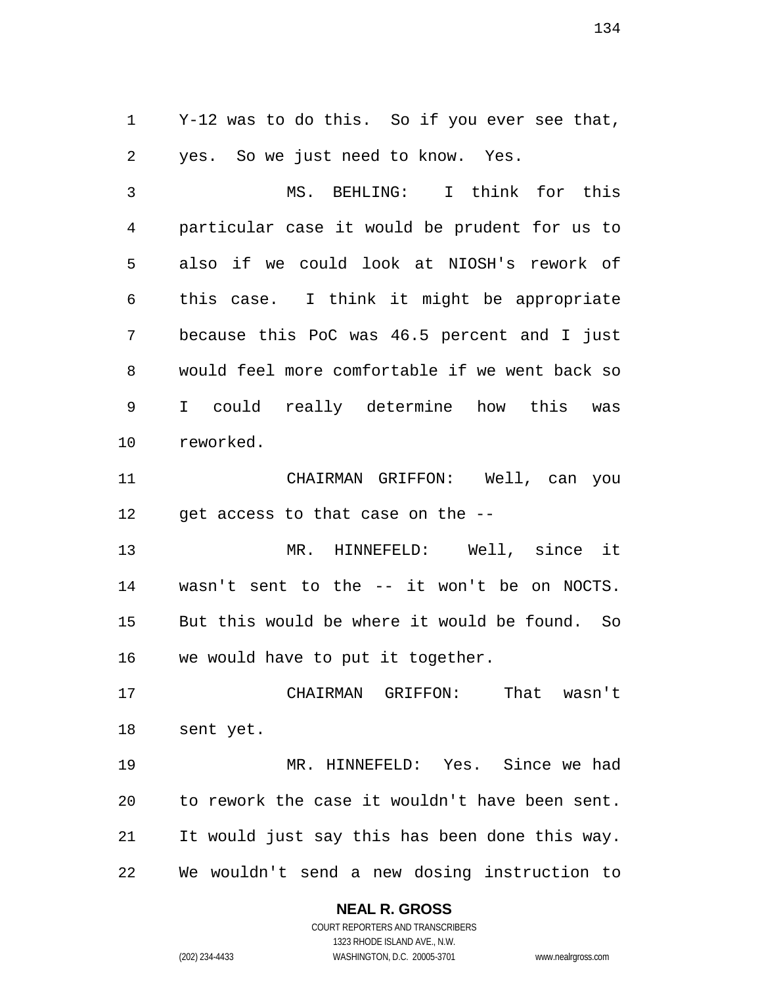Y-12 was to do this. So if you ever see that, yes. So we just need to know. Yes.

 MS. BEHLING: I think for this particular case it would be prudent for us to also if we could look at NIOSH's rework of this case. I think it might be appropriate because this PoC was 46.5 percent and I just would feel more comfortable if we went back so I could really determine how this was reworked.

 CHAIRMAN GRIFFON: Well, can you 12 get access to that case on the --

 MR. HINNEFELD: Well, since it wasn't sent to the -- it won't be on NOCTS. But this would be where it would be found. So we would have to put it together.

 CHAIRMAN GRIFFON: That wasn't sent yet.

 MR. HINNEFELD: Yes. Since we had to rework the case it wouldn't have been sent. It would just say this has been done this way. We wouldn't send a new dosing instruction to

# **NEAL R. GROSS**

COURT REPORTERS AND TRANSCRIBERS 1323 RHODE ISLAND AVE., N.W. (202) 234-4433 WASHINGTON, D.C. 20005-3701 www.nealrgross.com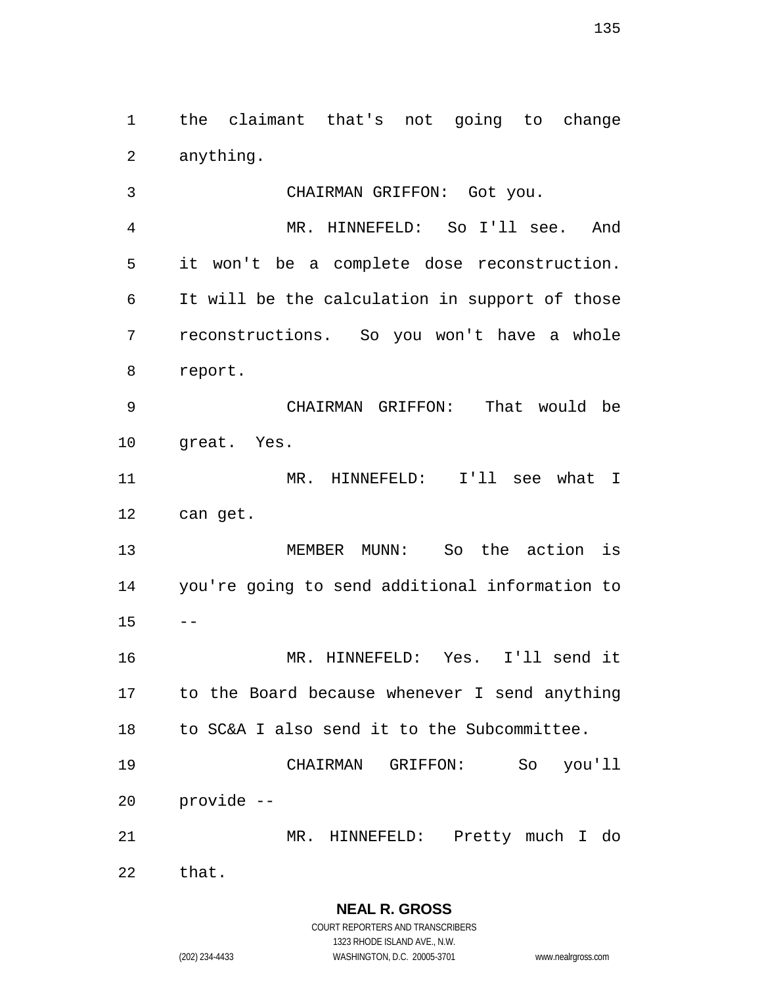the claimant that's not going to change anything.

 CHAIRMAN GRIFFON: Got you. MR. HINNEFELD: So I'll see. And it won't be a complete dose reconstruction. It will be the calculation in support of those reconstructions. So you won't have a whole report. CHAIRMAN GRIFFON: That would be great. Yes. MR. HINNEFELD: I'll see what I can get. MEMBER MUNN: So the action is you're going to send additional information to  $15 - -$  MR. HINNEFELD: Yes. I'll send it to the Board because whenever I send anything to SC&A I also send it to the Subcommittee. CHAIRMAN GRIFFON: So you'll provide -- MR. HINNEFELD: Pretty much I do that.

**NEAL R. GROSS** COURT REPORTERS AND TRANSCRIBERS 1323 RHODE ISLAND AVE., N.W.

(202) 234-4433 WASHINGTON, D.C. 20005-3701 www.nealrgross.com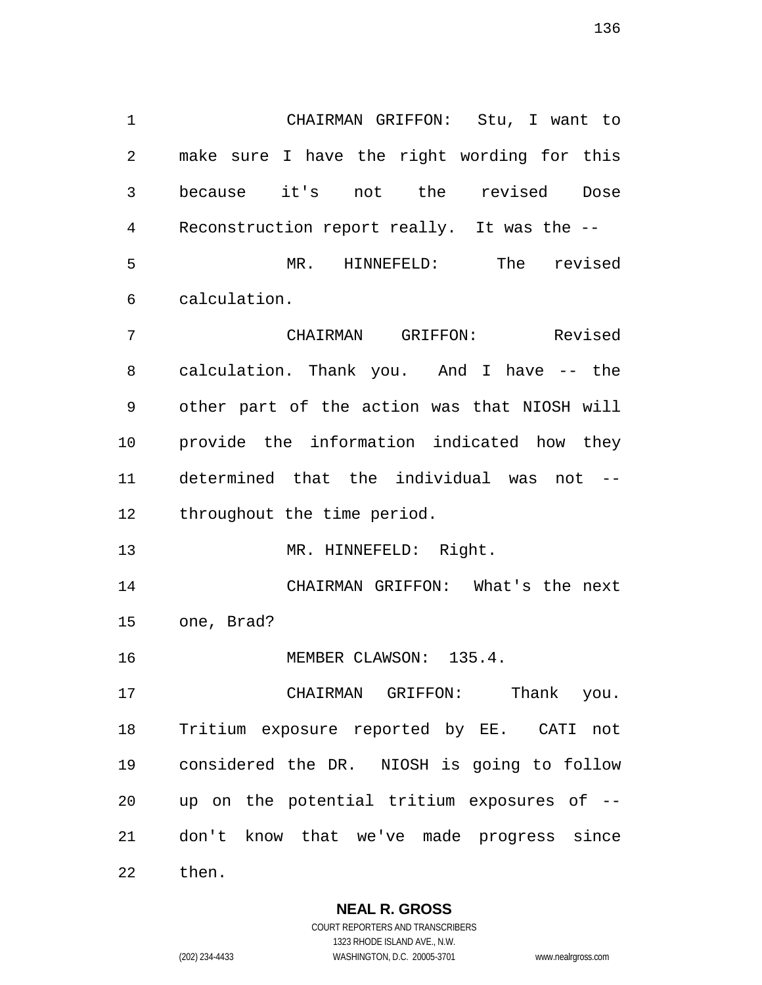CHAIRMAN GRIFFON: Stu, I want to make sure I have the right wording for this because it's not the revised Dose Reconstruction report really. It was the -- MR. HINNEFELD: The revised calculation. CHAIRMAN GRIFFON: Revised calculation. Thank you. And I have -- the other part of the action was that NIOSH will provide the information indicated how they determined that the individual was not -- throughout the time period. 13 MR. HINNEFELD: Right.

 CHAIRMAN GRIFFON: What's the next one, Brad?

MEMBER CLAWSON: 135.4.

 CHAIRMAN GRIFFON: Thank you. Tritium exposure reported by EE. CATI not considered the DR. NIOSH is going to follow up on the potential tritium exposures of -- don't know that we've made progress since then.

> **NEAL R. GROSS** COURT REPORTERS AND TRANSCRIBERS

> > 1323 RHODE ISLAND AVE., N.W.

(202) 234-4433 WASHINGTON, D.C. 20005-3701 www.nealrgross.com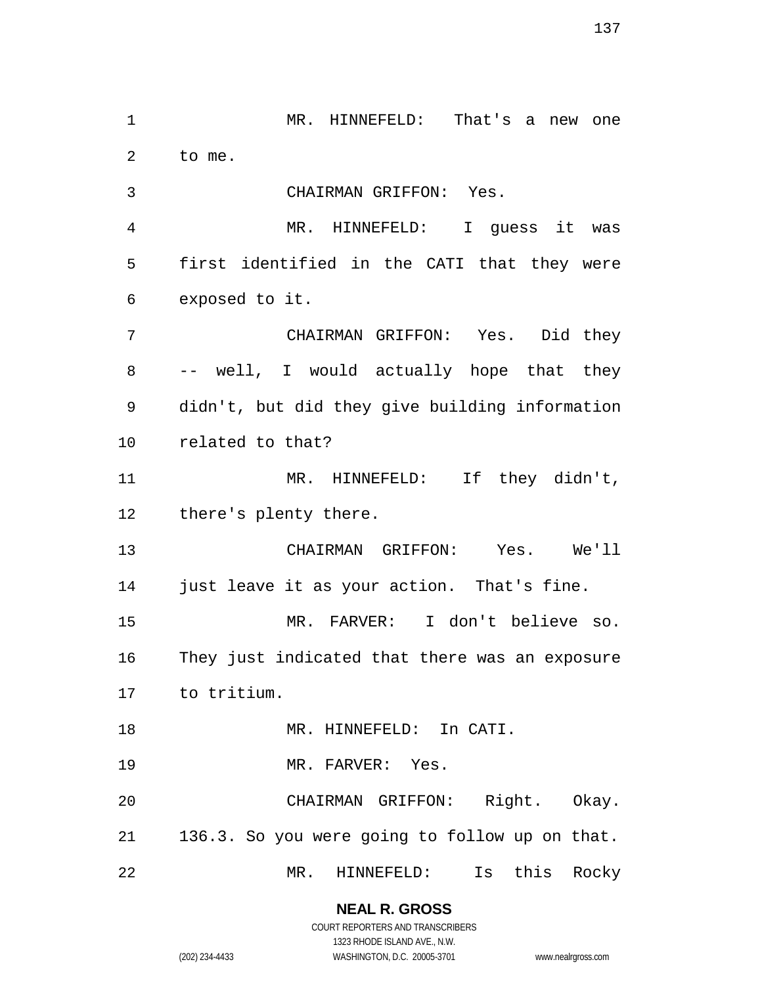MR. HINNEFELD: That's a new one to me. CHAIRMAN GRIFFON: Yes. MR. HINNEFELD: I guess it was first identified in the CATI that they were exposed to it. CHAIRMAN GRIFFON: Yes. Did they -- well, I would actually hope that they didn't, but did they give building information related to that? 11 MR. HINNEFELD: If they didn't, there's plenty there. CHAIRMAN GRIFFON: Yes. We'll just leave it as your action. That's fine. MR. FARVER: I don't believe so. They just indicated that there was an exposure to tritium. 18 MR. HINNEFELD: In CATI. 19 MR. FARVER: Yes. CHAIRMAN GRIFFON: Right. Okay. 136.3. So you were going to follow up on that. MR. HINNEFELD: Is this Rocky

> **NEAL R. GROSS** COURT REPORTERS AND TRANSCRIBERS

1323 RHODE ISLAND AVE., N.W. (202) 234-4433 WASHINGTON, D.C. 20005-3701 www.nealrgross.com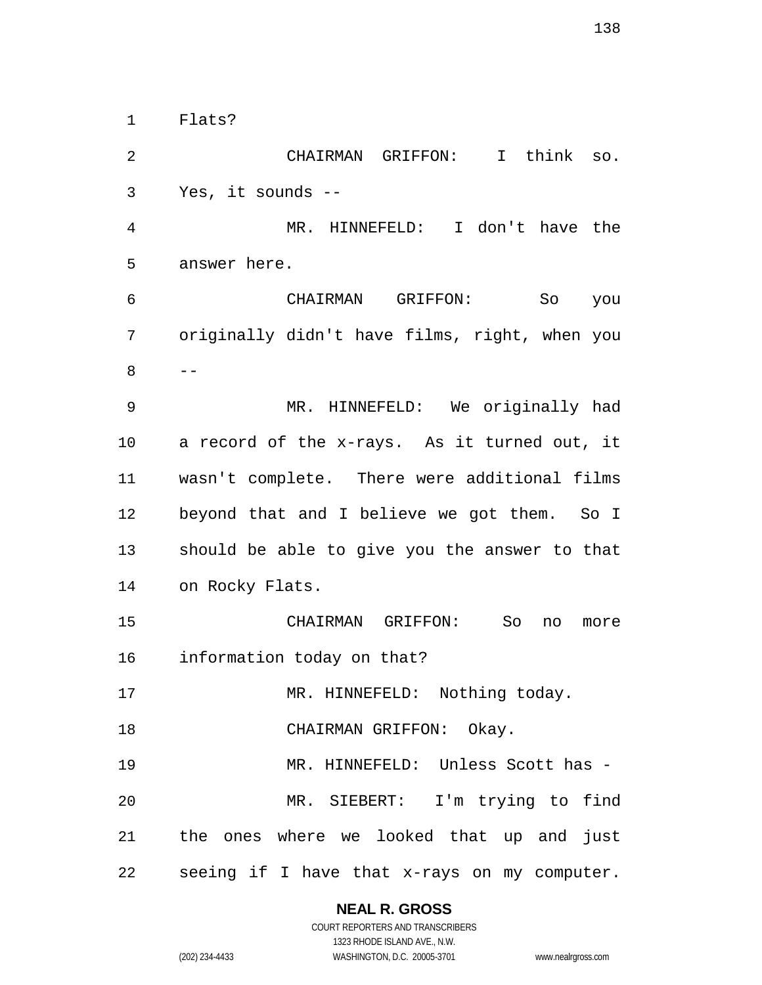Flats?

 CHAIRMAN GRIFFON: I think so. Yes, it sounds -- MR. HINNEFELD: I don't have the answer here. CHAIRMAN GRIFFON: So you originally didn't have films, right, when you  $-$  MR. HINNEFELD: We originally had a record of the x-rays. As it turned out, it wasn't complete. There were additional films beyond that and I believe we got them. So I should be able to give you the answer to that on Rocky Flats. CHAIRMAN GRIFFON: So no more information today on that? 17 MR. HINNEFELD: Nothing today. 18 CHAIRMAN GRIFFON: Okay. MR. HINNEFELD: Unless Scott has - MR. SIEBERT: I'm trying to find the ones where we looked that up and just seeing if I have that x-rays on my computer.

**NEAL R. GROSS**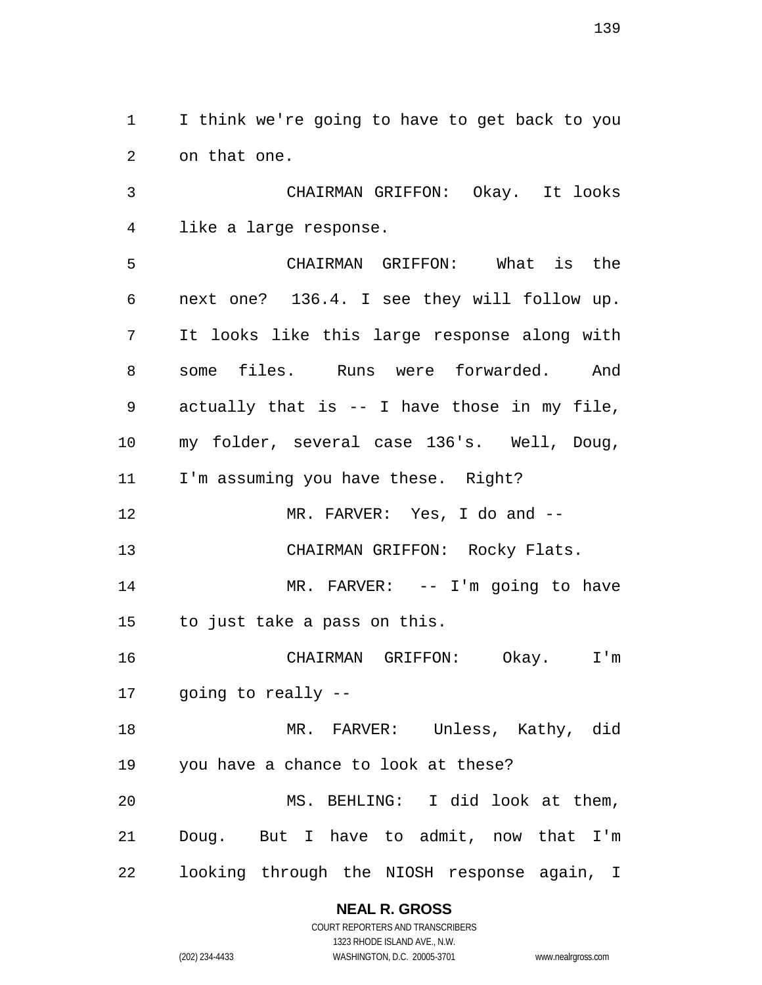I think we're going to have to get back to you on that one.

 CHAIRMAN GRIFFON: Okay. It looks like a large response.

 CHAIRMAN GRIFFON: What is the next one? 136.4. I see they will follow up. It looks like this large response along with some files. Runs were forwarded. And actually that is -- I have those in my file, my folder, several case 136's. Well, Doug, I'm assuming you have these. Right? MR. FARVER: Yes, I do and -- CHAIRMAN GRIFFON: Rocky Flats. MR. FARVER: -- I'm going to have to just take a pass on this. CHAIRMAN GRIFFON: Okay. I'm going to really -- MR. FARVER: Unless, Kathy, did you have a chance to look at these? MS. BEHLING: I did look at them, Doug. But I have to admit, now that I'm looking through the NIOSH response again, I

# **NEAL R. GROSS**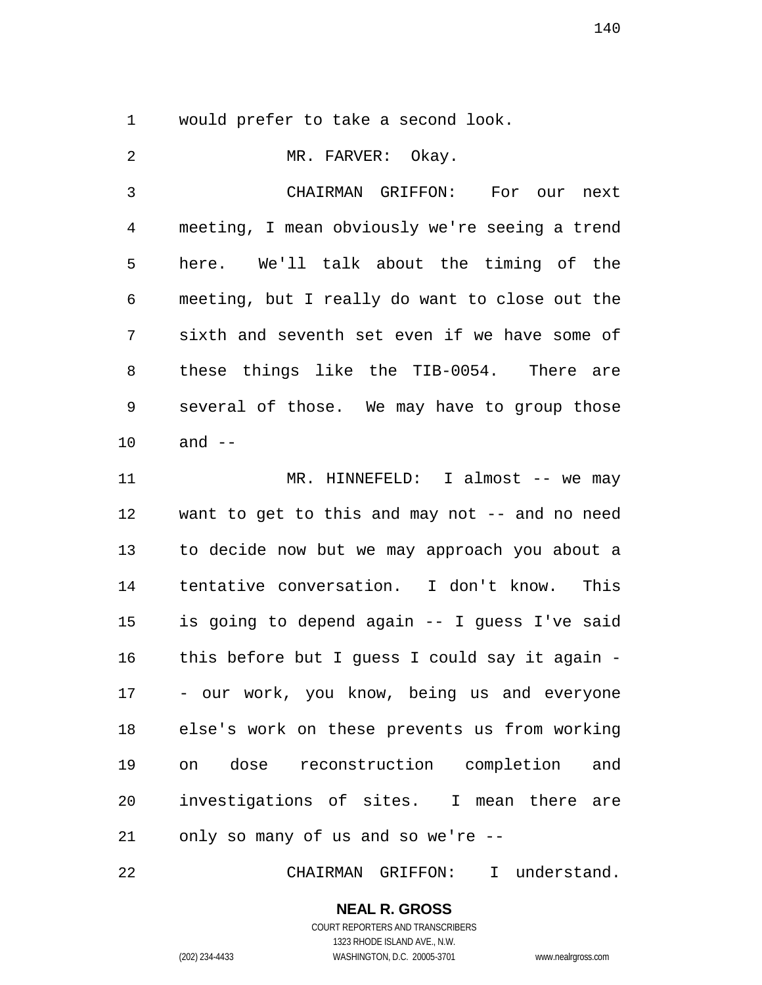would prefer to take a second look.

2 MR. FARVER: Okay. CHAIRMAN GRIFFON: For our next meeting, I mean obviously we're seeing a trend here. We'll talk about the timing of the meeting, but I really do want to close out the sixth and seventh set even if we have some of these things like the TIB-0054. There are several of those. We may have to group those and -- MR. HINNEFELD: I almost -- we may want to get to this and may not -- and no need to decide now but we may approach you about a tentative conversation. I don't know. This is going to depend again -- I guess I've said this before but I guess I could say it again - - our work, you know, being us and everyone else's work on these prevents us from working on dose reconstruction completion and investigations of sites. I mean there are only so many of us and so we're --

CHAIRMAN GRIFFON: I understand.

# **NEAL R. GROSS**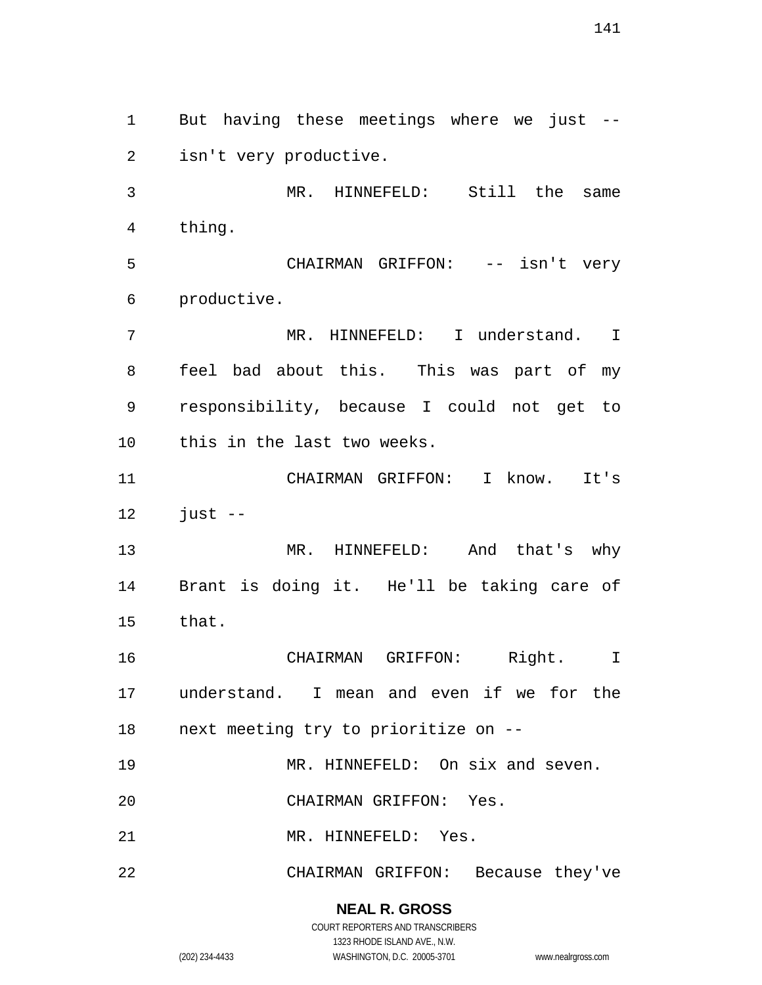But having these meetings where we just -- isn't very productive. MR. HINNEFELD: Still the same thing. CHAIRMAN GRIFFON: -- isn't very productive. MR. HINNEFELD: I understand. I feel bad about this. This was part of my responsibility, because I could not get to this in the last two weeks. CHAIRMAN GRIFFON: I know. It's just  $-$  MR. HINNEFELD: And that's why Brant is doing it. He'll be taking care of that. CHAIRMAN GRIFFON: Right. I understand. I mean and even if we for the next meeting try to prioritize on -- 19 MR. HINNEFELD: On six and seven. CHAIRMAN GRIFFON: Yes. MR. HINNEFELD: Yes. CHAIRMAN GRIFFON: Because they've

> **NEAL R. GROSS** COURT REPORTERS AND TRANSCRIBERS

> > 1323 RHODE ISLAND AVE., N.W.

(202) 234-4433 WASHINGTON, D.C. 20005-3701 www.nealrgross.com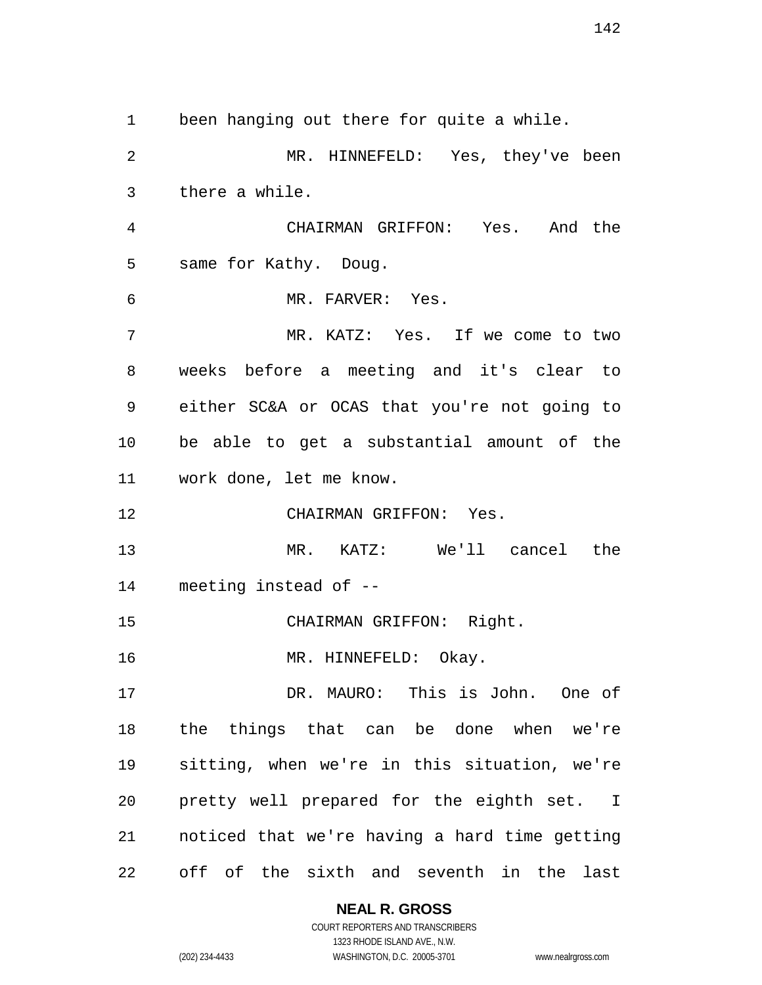been hanging out there for quite a while. MR. HINNEFELD: Yes, they've been there a while. CHAIRMAN GRIFFON: Yes. And the same for Kathy. Doug. MR. FARVER: Yes. MR. KATZ: Yes. If we come to two weeks before a meeting and it's clear to either SC&A or OCAS that you're not going to be able to get a substantial amount of the work done, let me know. CHAIRMAN GRIFFON: Yes. MR. KATZ: We'll cancel the meeting instead of -- CHAIRMAN GRIFFON: Right. 16 MR. HINNEFELD: Okay. DR. MAURO: This is John. One of the things that can be done when we're sitting, when we're in this situation, we're pretty well prepared for the eighth set. I noticed that we're having a hard time getting off of the sixth and seventh in the last

# **NEAL R. GROSS**

COURT REPORTERS AND TRANSCRIBERS 1323 RHODE ISLAND AVE., N.W. (202) 234-4433 WASHINGTON, D.C. 20005-3701 www.nealrgross.com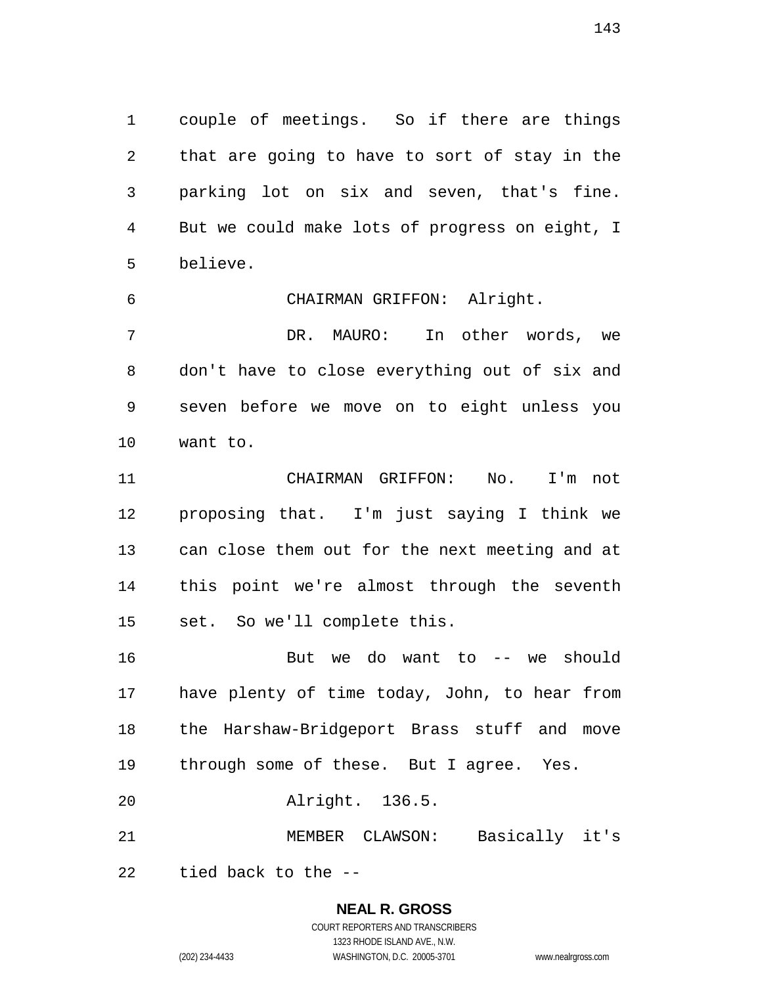couple of meetings. So if there are things that are going to have to sort of stay in the parking lot on six and seven, that's fine. But we could make lots of progress on eight, I believe.

 CHAIRMAN GRIFFON: Alright. DR. MAURO: In other words, we don't have to close everything out of six and seven before we move on to eight unless you want to.

 CHAIRMAN GRIFFON: No. I'm not proposing that. I'm just saying I think we can close them out for the next meeting and at this point we're almost through the seventh set. So we'll complete this.

 But we do want to -- we should have plenty of time today, John, to hear from the Harshaw-Bridgeport Brass stuff and move through some of these. But I agree. Yes. Alright. 136.5.

MEMBER CLAWSON: Basically it's

tied back to the --

**NEAL R. GROSS** COURT REPORTERS AND TRANSCRIBERS

1323 RHODE ISLAND AVE., N.W.

(202) 234-4433 WASHINGTON, D.C. 20005-3701 www.nealrgross.com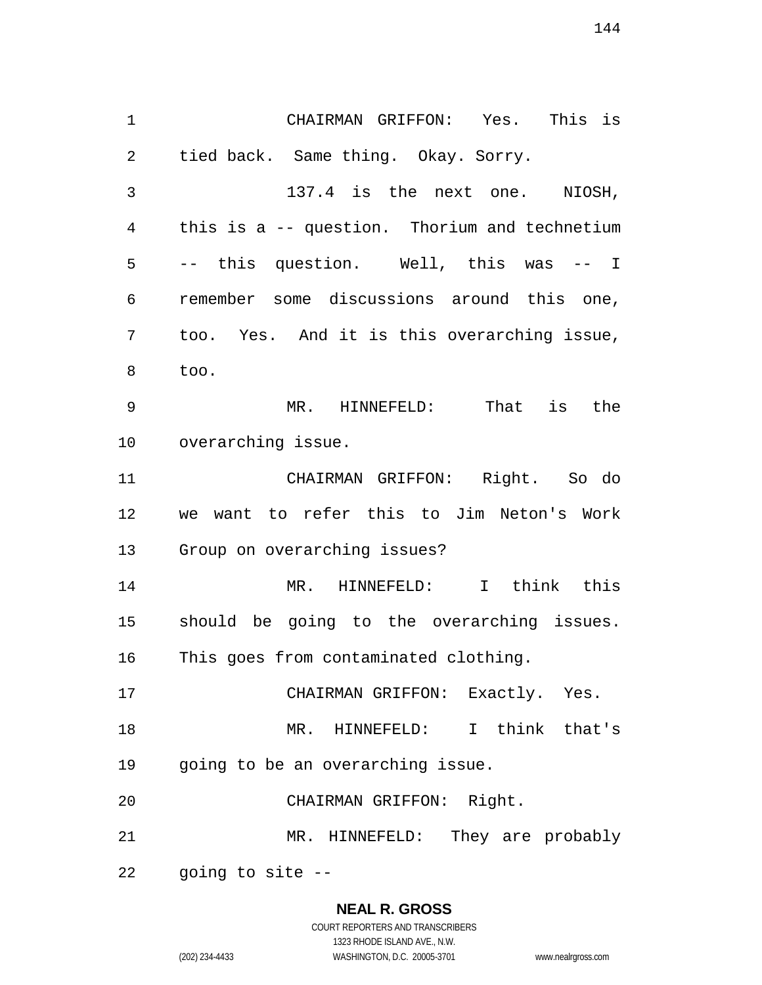CHAIRMAN GRIFFON: Yes. This is tied back. Same thing. Okay. Sorry. 137.4 is the next one. NIOSH, this is a -- question. Thorium and technetium -- this question. Well, this was -- I remember some discussions around this one, too. Yes. And it is this overarching issue, too. MR. HINNEFELD: That is the overarching issue. CHAIRMAN GRIFFON: Right. So do we want to refer this to Jim Neton's Work Group on overarching issues? MR. HINNEFELD: I think this should be going to the overarching issues. This goes from contaminated clothing. CHAIRMAN GRIFFON: Exactly. Yes. MR. HINNEFELD: I think that's going to be an overarching issue. CHAIRMAN GRIFFON: Right. MR. HINNEFELD: They are probably going to site --

#### **NEAL R. GROSS**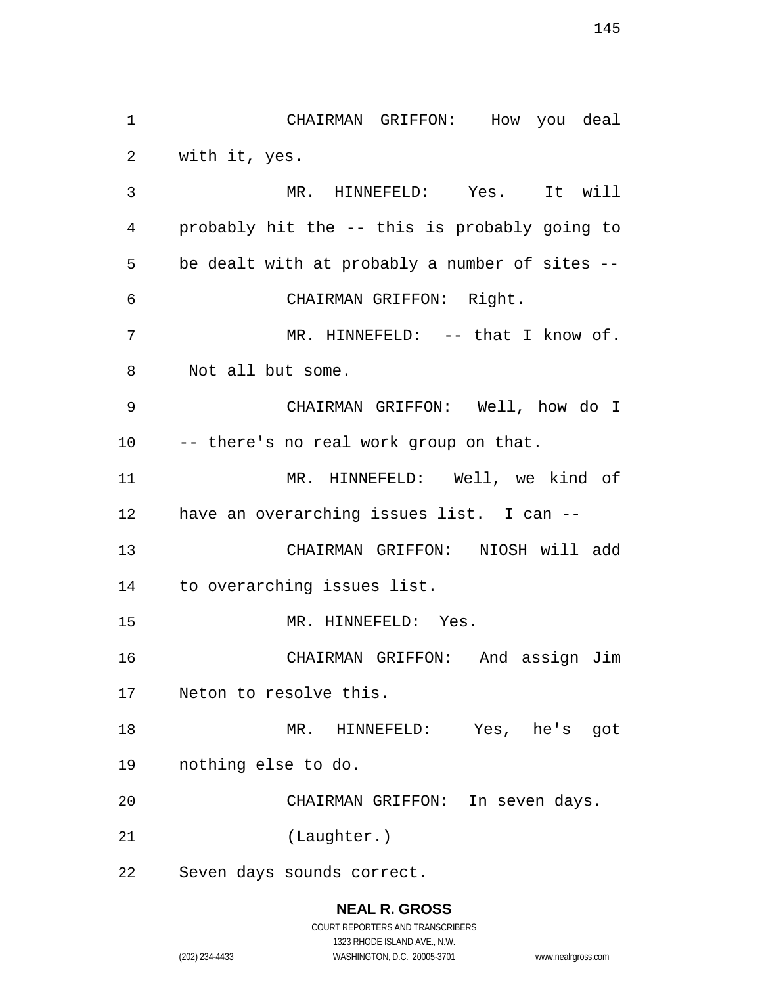CHAIRMAN GRIFFON: How you deal with it, yes. MR. HINNEFELD: Yes. It will probably hit the -- this is probably going to be dealt with at probably a number of sites -- CHAIRMAN GRIFFON: Right. 7 MR. HINNEFELD: -- that I know of. Not all but some. CHAIRMAN GRIFFON: Well, how do I -- there's no real work group on that. MR. HINNEFELD: Well, we kind of have an overarching issues list. I can -- CHAIRMAN GRIFFON: NIOSH will add to overarching issues list. MR. HINNEFELD: Yes. CHAIRMAN GRIFFON: And assign Jim Neton to resolve this. MR. HINNEFELD: Yes, he's got nothing else to do. CHAIRMAN GRIFFON: In seven days. (Laughter.) Seven days sounds correct.

### **NEAL R. GROSS**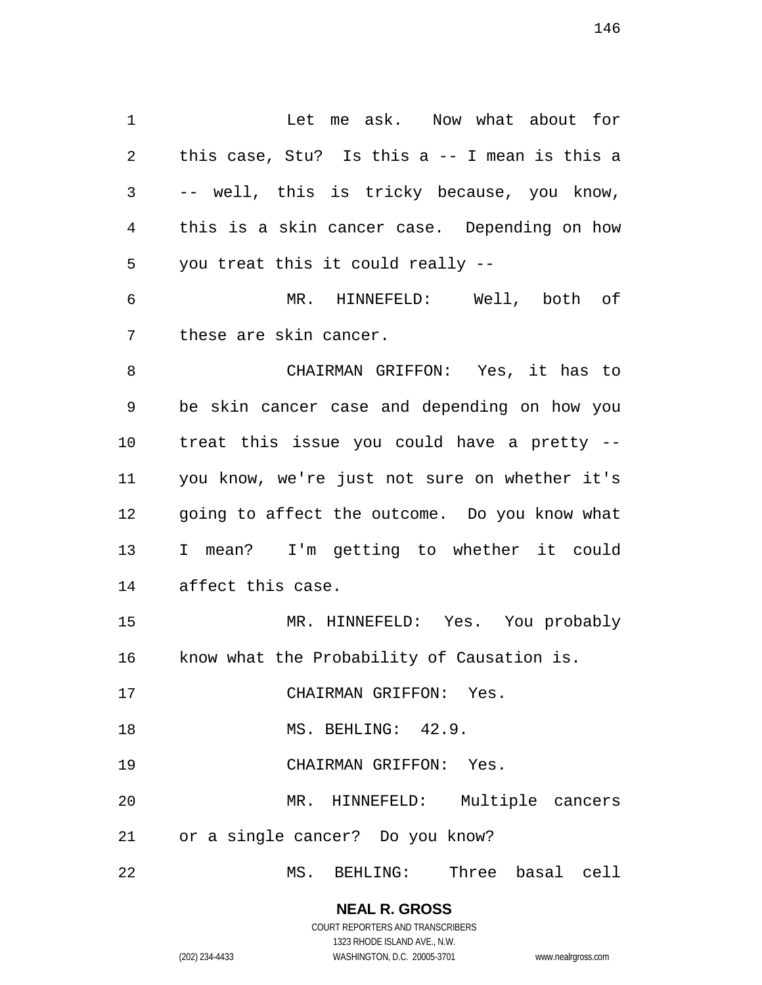1 Let me ask. Now what about for this case, Stu? Is this a -- I mean is this a -- well, this is tricky because, you know, this is a skin cancer case. Depending on how you treat this it could really -- MR. HINNEFELD: Well, both of these are skin cancer. CHAIRMAN GRIFFON: Yes, it has to be skin cancer case and depending on how you treat this issue you could have a pretty -- you know, we're just not sure on whether it's going to affect the outcome. Do you know what I mean? I'm getting to whether it could affect this case. MR. HINNEFELD: Yes. You probably know what the Probability of Causation is.

CHAIRMAN GRIFFON: Yes.

MS. BEHLING: 42.9.

CHAIRMAN GRIFFON: Yes.

 MR. HINNEFELD: Multiple cancers or a single cancer? Do you know?

MS. BEHLING: Three basal cell

# **NEAL R. GROSS**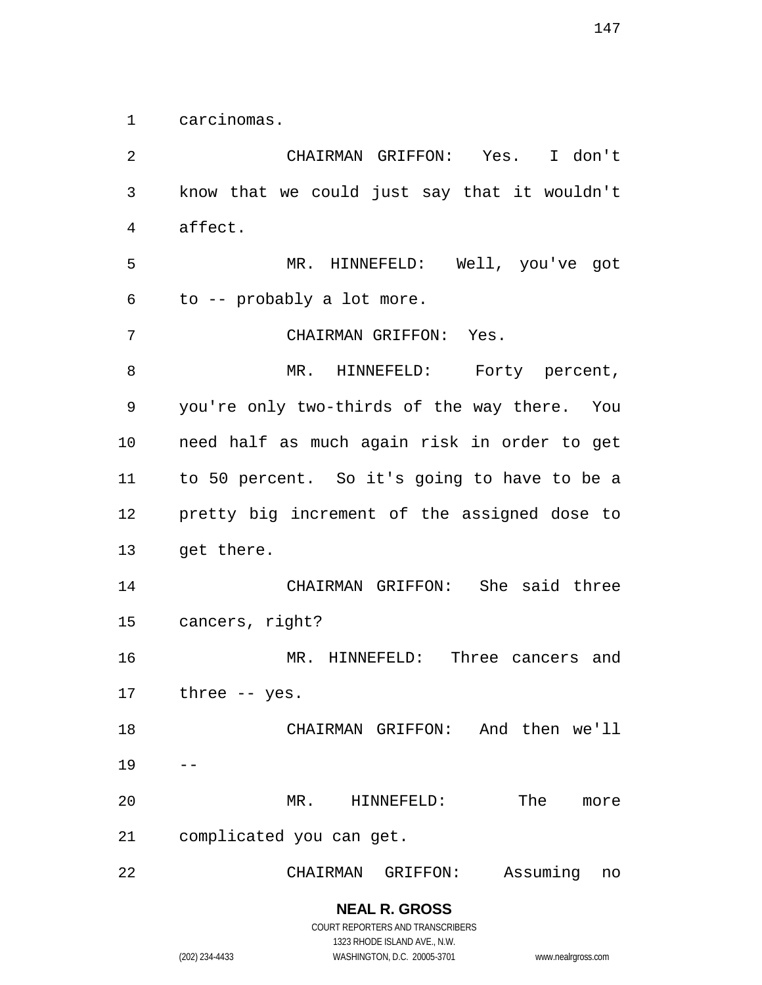carcinomas.

 CHAIRMAN GRIFFON: Yes. I don't know that we could just say that it wouldn't affect. MR. HINNEFELD: Well, you've got to -- probably a lot more. CHAIRMAN GRIFFON: Yes. 8 MR. HINNEFELD: Forty percent, you're only two-thirds of the way there. You need half as much again risk in order to get to 50 percent. So it's going to have to be a pretty big increment of the assigned dose to get there. CHAIRMAN GRIFFON: She said three cancers, right? MR. HINNEFELD: Three cancers and three -- yes. CHAIRMAN GRIFFON: And then we'll MR. HINNEFELD: The more complicated you can get. CHAIRMAN GRIFFON: Assuming no

> **NEAL R. GROSS** COURT REPORTERS AND TRANSCRIBERS 1323 RHODE ISLAND AVE., N.W.

(202) 234-4433 WASHINGTON, D.C. 20005-3701 www.nealrgross.com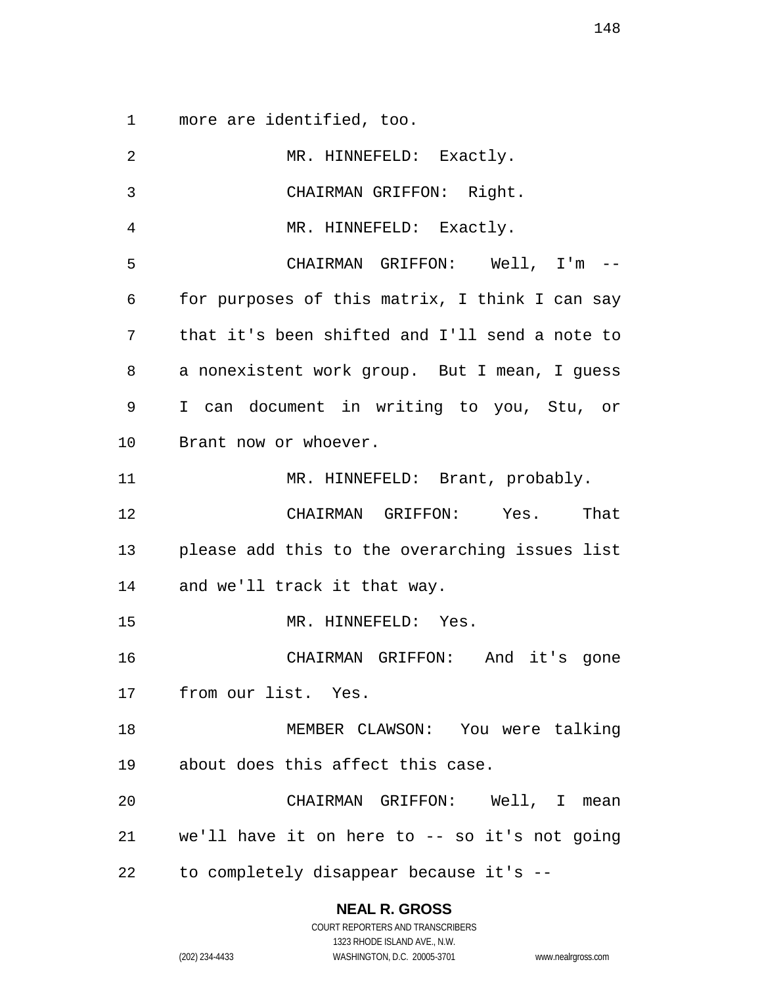more are identified, too.

| $\overline{2}$ | MR. HINNEFELD: Exactly.                        |
|----------------|------------------------------------------------|
| 3              | CHAIRMAN GRIFFON: Right.                       |
| 4              | MR. HINNEFELD: Exactly.                        |
| 5              | CHAIRMAN GRIFFON: Well, I'm --                 |
| 6              | for purposes of this matrix, I think I can say |
| 7              | that it's been shifted and I'll send a note to |
| 8              | a nonexistent work group. But I mean, I guess  |
| 9              | I can document in writing to you, Stu, or      |
| 10             | Brant now or whoever.                          |
| 11             | MR. HINNEFELD: Brant, probably.                |
| 12             | CHAIRMAN GRIFFON: Yes. That                    |
| 13             | please add this to the overarching issues list |
|                | 14 and we'll track it that way.                |
| 15             | MR. HINNEFELD: Yes.                            |
| 16             | CHAIRMAN GRIFFON: And it's gone                |
|                | 17 from our list. Yes.                         |
| 18             | MEMBER CLAWSON: You were talking               |
| 19             | about does this affect this case.              |
| 20             | CHAIRMAN GRIFFON: Well, I mean                 |
| 21             | we'll have it on here to -- so it's not going  |
| 22             | to completely disappear because it's --        |

## **NEAL R. GROSS**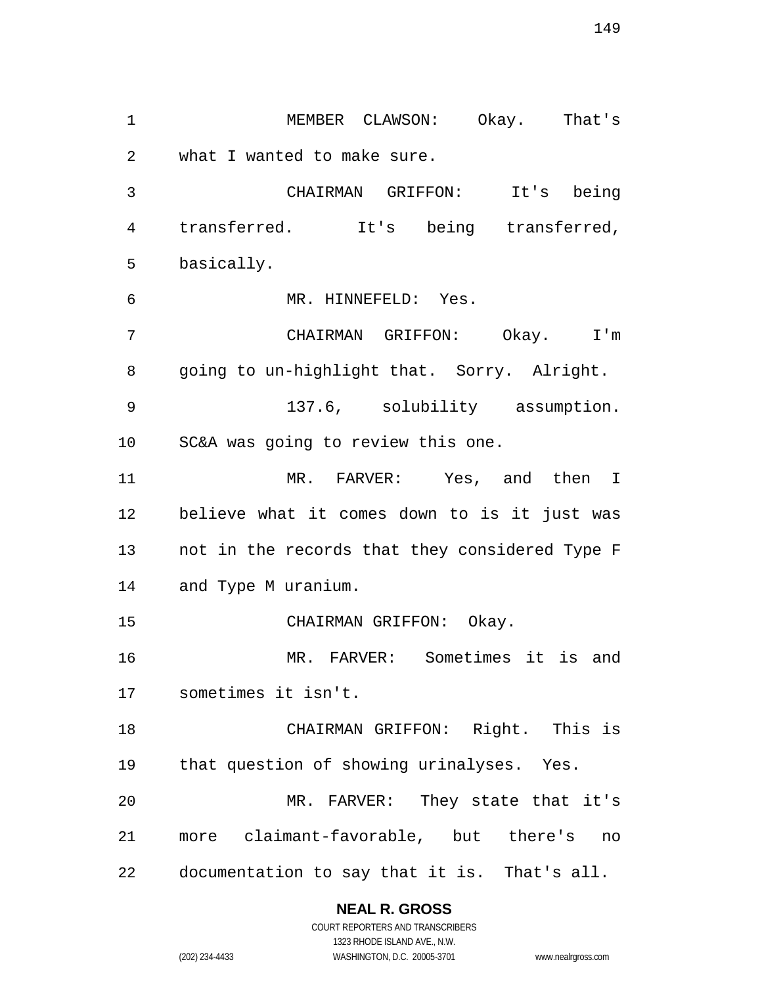MEMBER CLAWSON: Okay. That's what I wanted to make sure. CHAIRMAN GRIFFON: It's being transferred. It's being transferred, basically. MR. HINNEFELD: Yes. CHAIRMAN GRIFFON: Okay. I'm going to un-highlight that. Sorry. Alright. 137.6, solubility assumption. SC&A was going to review this one. MR. FARVER: Yes, and then I believe what it comes down to is it just was not in the records that they considered Type F and Type M uranium. CHAIRMAN GRIFFON: Okay. MR. FARVER: Sometimes it is and sometimes it isn't. CHAIRMAN GRIFFON: Right. This is that question of showing urinalyses. Yes. MR. FARVER: They state that it's more claimant-favorable, but there's no documentation to say that it is. That's all.

### **NEAL R. GROSS**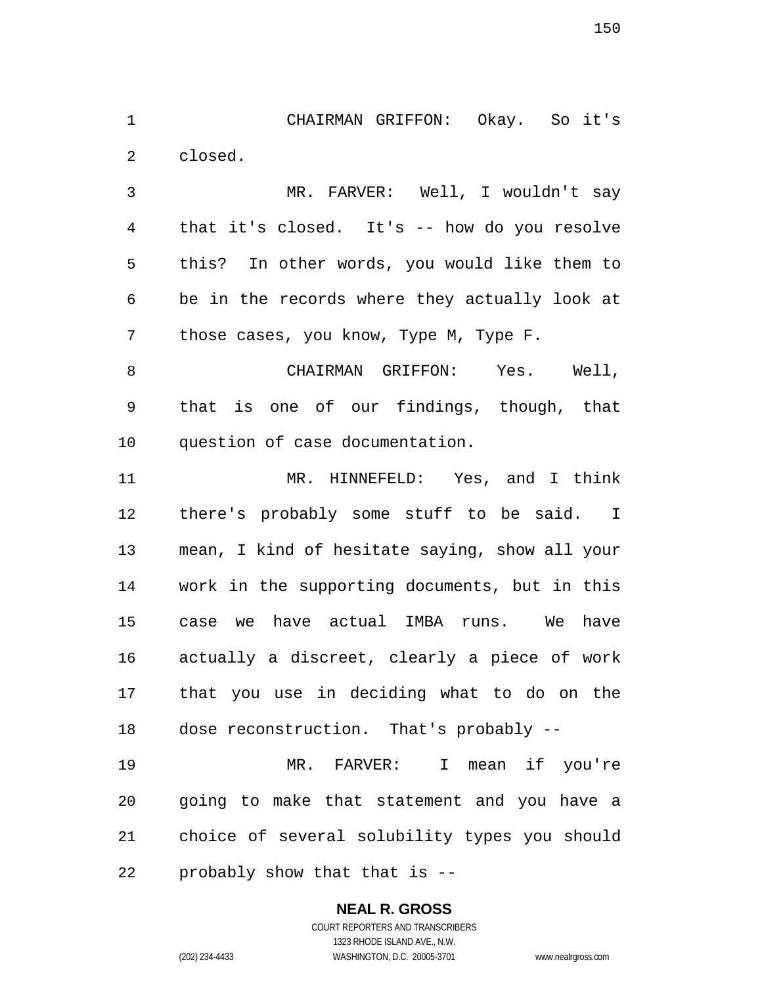CHAIRMAN GRIFFON: Okay. So it's closed.

 MR. FARVER: Well, I wouldn't say that it's closed. It's -- how do you resolve this? In other words, you would like them to be in the records where they actually look at those cases, you know, Type M, Type F.

 CHAIRMAN GRIFFON: Yes. Well, that is one of our findings, though, that question of case documentation.

 MR. HINNEFELD: Yes, and I think there's probably some stuff to be said. I mean, I kind of hesitate saying, show all your work in the supporting documents, but in this case we have actual IMBA runs. We have actually a discreet, clearly a piece of work that you use in deciding what to do on the dose reconstruction. That's probably --

 MR. FARVER: I mean if you're going to make that statement and you have a choice of several solubility types you should probably show that that is --

### **NEAL R. GROSS**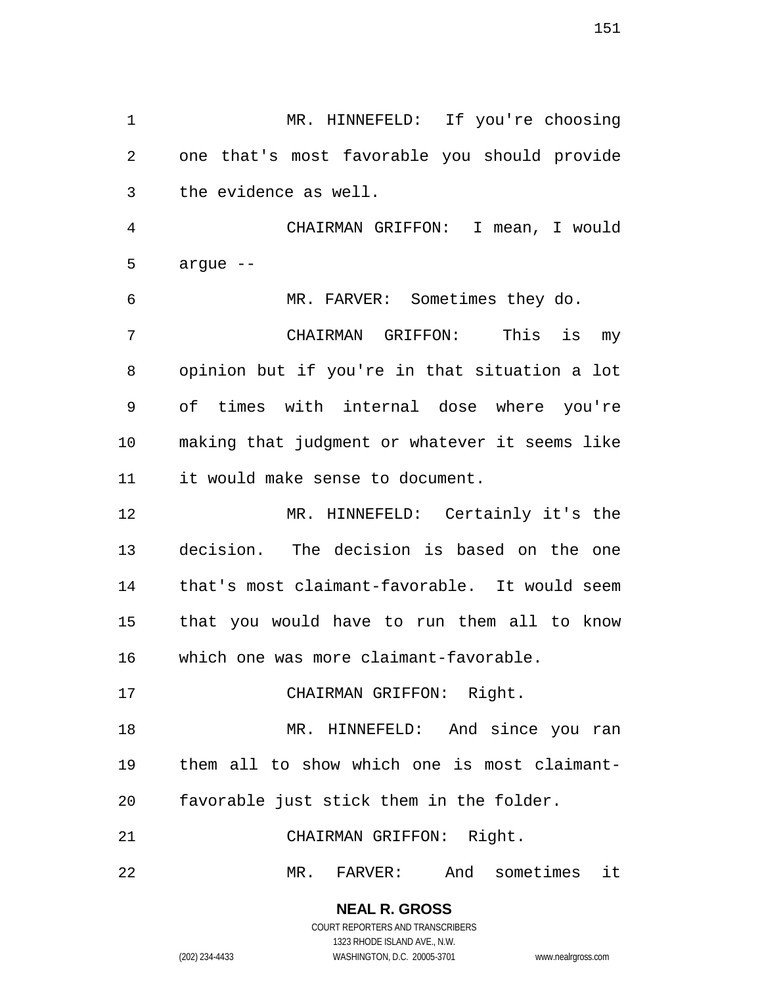MR. HINNEFELD: If you're choosing one that's most favorable you should provide the evidence as well.

 CHAIRMAN GRIFFON: I mean, I would argue --

 MR. FARVER: Sometimes they do. CHAIRMAN GRIFFON: This is my opinion but if you're in that situation a lot of times with internal dose where you're making that judgment or whatever it seems like it would make sense to document.

 MR. HINNEFELD: Certainly it's the decision. The decision is based on the one that's most claimant-favorable. It would seem that you would have to run them all to know which one was more claimant-favorable.

CHAIRMAN GRIFFON: Right.

 MR. HINNEFELD: And since you ran them all to show which one is most claimant-favorable just stick them in the folder.

CHAIRMAN GRIFFON: Right.

MR. FARVER: And sometimes it

**NEAL R. GROSS** COURT REPORTERS AND TRANSCRIBERS

1323 RHODE ISLAND AVE., N.W.

(202) 234-4433 WASHINGTON, D.C. 20005-3701 www.nealrgross.com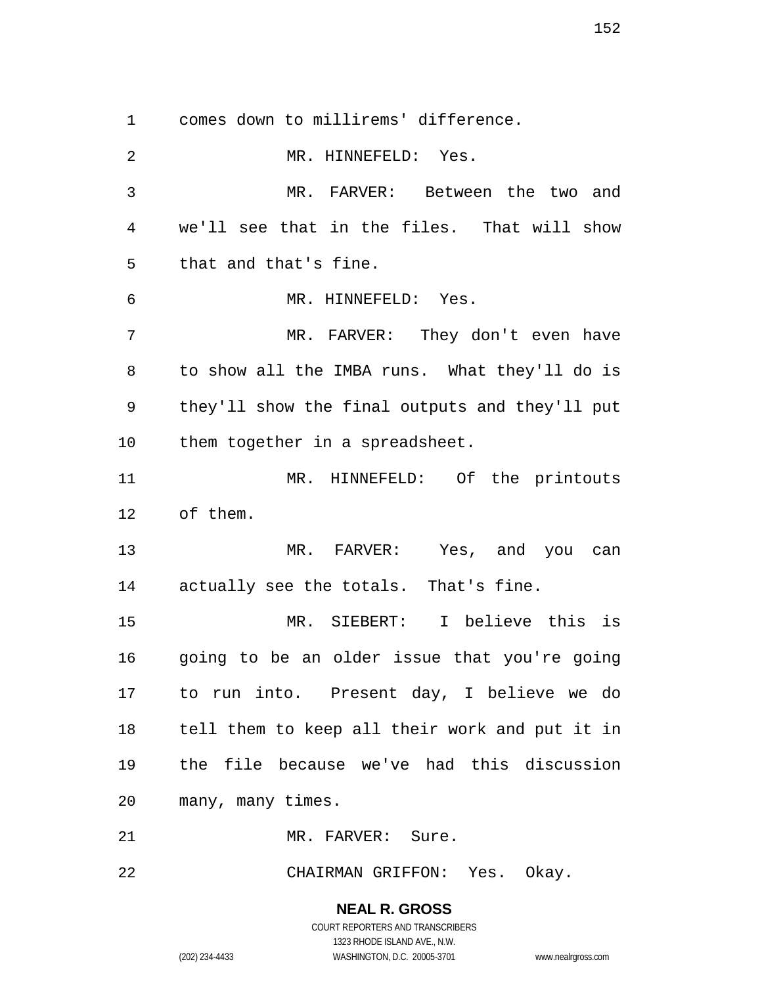comes down to millirems' difference.

 MR. HINNEFELD: Yes. MR. FARVER: Between the two and we'll see that in the files. That will show that and that's fine. MR. HINNEFELD: Yes. MR. FARVER: They don't even have to show all the IMBA runs. What they'll do is they'll show the final outputs and they'll put them together in a spreadsheet. MR. HINNEFELD: Of the printouts of them. MR. FARVER: Yes, and you can actually see the totals. That's fine. MR. SIEBERT: I believe this is going to be an older issue that you're going to run into. Present day, I believe we do tell them to keep all their work and put it in the file because we've had this discussion many, many times. MR. FARVER: Sure.

CHAIRMAN GRIFFON: Yes. Okay.

**NEAL R. GROSS**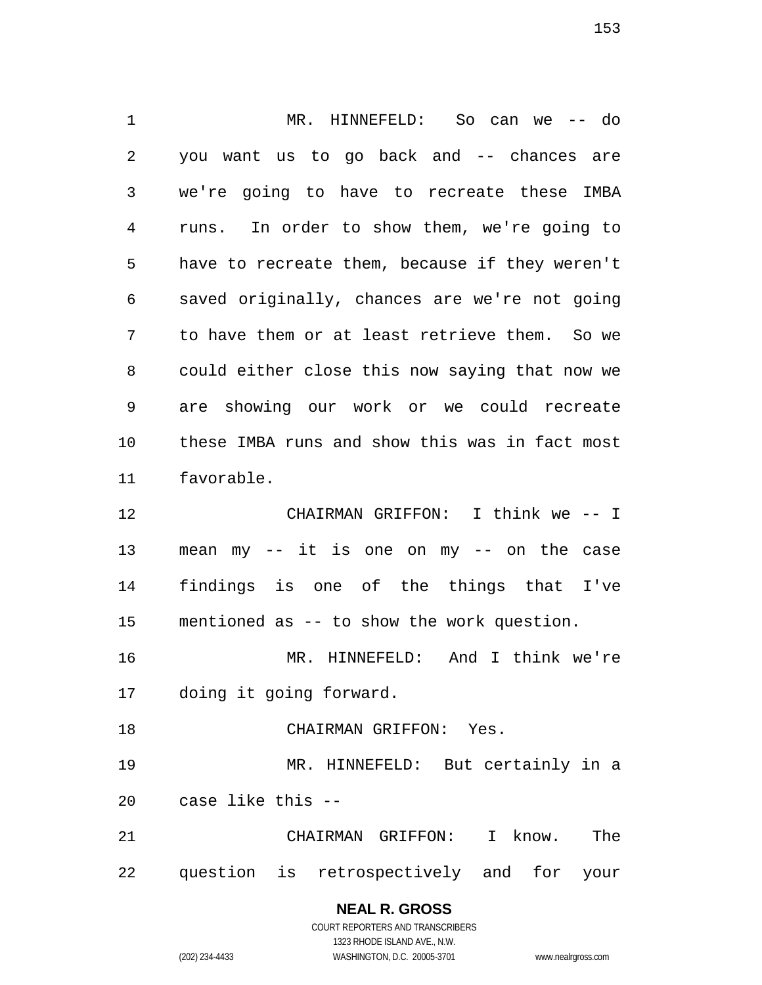MR. HINNEFELD: So can we -- do you want us to go back and -- chances are we're going to have to recreate these IMBA runs. In order to show them, we're going to have to recreate them, because if they weren't saved originally, chances are we're not going to have them or at least retrieve them. So we could either close this now saying that now we are showing our work or we could recreate these IMBA runs and show this was in fact most favorable. CHAIRMAN GRIFFON: I think we -- I mean my -- it is one on my -- on the case findings is one of the things that I've mentioned as -- to show the work question. MR. HINNEFELD: And I think we're doing it going forward. CHAIRMAN GRIFFON: Yes. MR. HINNEFELD: But certainly in a case like this -- CHAIRMAN GRIFFON: I know. The question is retrospectively and for your

## **NEAL R. GROSS**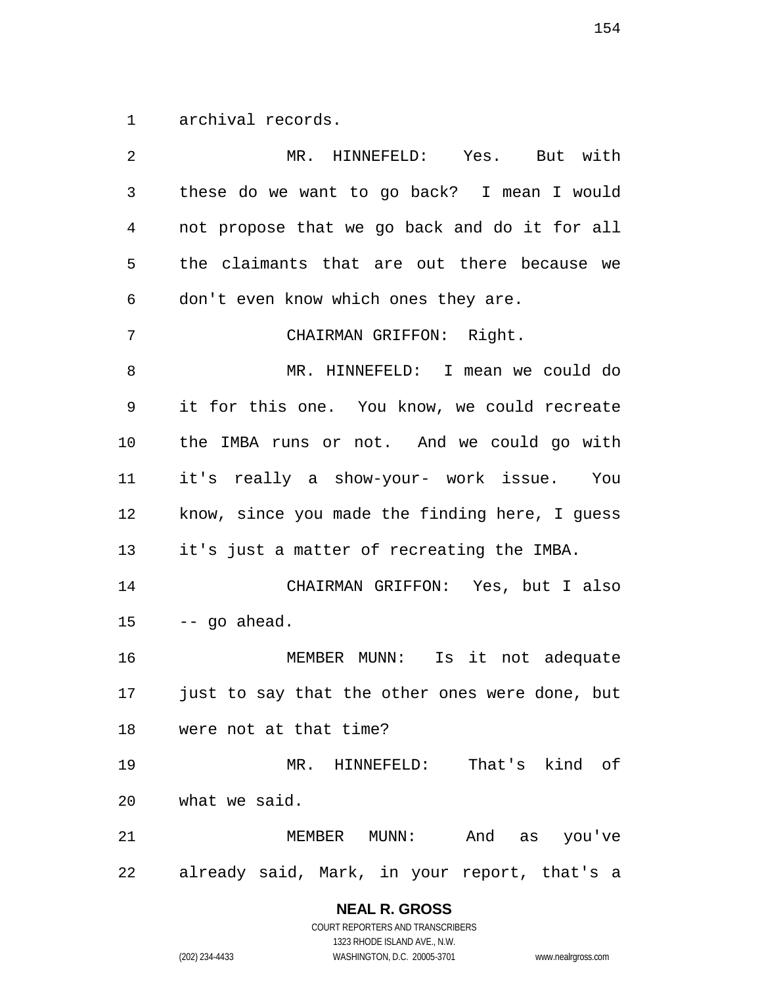archival records.

| 2  | MR. HINNEFELD: Yes. But with                   |
|----|------------------------------------------------|
| 3  | these do we want to go back? I mean I would    |
| 4  | not propose that we go back and do it for all  |
| 5  | the claimants that are out there because we    |
| 6  | don't even know which ones they are.           |
| 7  | CHAIRMAN GRIFFON: Right.                       |
| 8  | MR. HINNEFELD: I mean we could do              |
| 9  | it for this one. You know, we could recreate   |
| 10 | the IMBA runs or not. And we could go with     |
| 11 | it's really a show-your- work issue. You       |
| 12 | know, since you made the finding here, I guess |
| 13 | it's just a matter of recreating the IMBA.     |
| 14 | CHAIRMAN GRIFFON: Yes, but I also              |
| 15 | -- go ahead.                                   |
| 16 | MEMBER MUNN: Is it not adequate                |
| 17 | just to say that the other ones were done, but |
| 18 | were not at that time?                         |
| 19 | MR. HINNEFELD: That's kind of                  |
| 20 | what we said.                                  |
| 21 | MEMBER MUNN: And as you've                     |
| 22 | already said, Mark, in your report, that's a   |

**NEAL R. GROSS**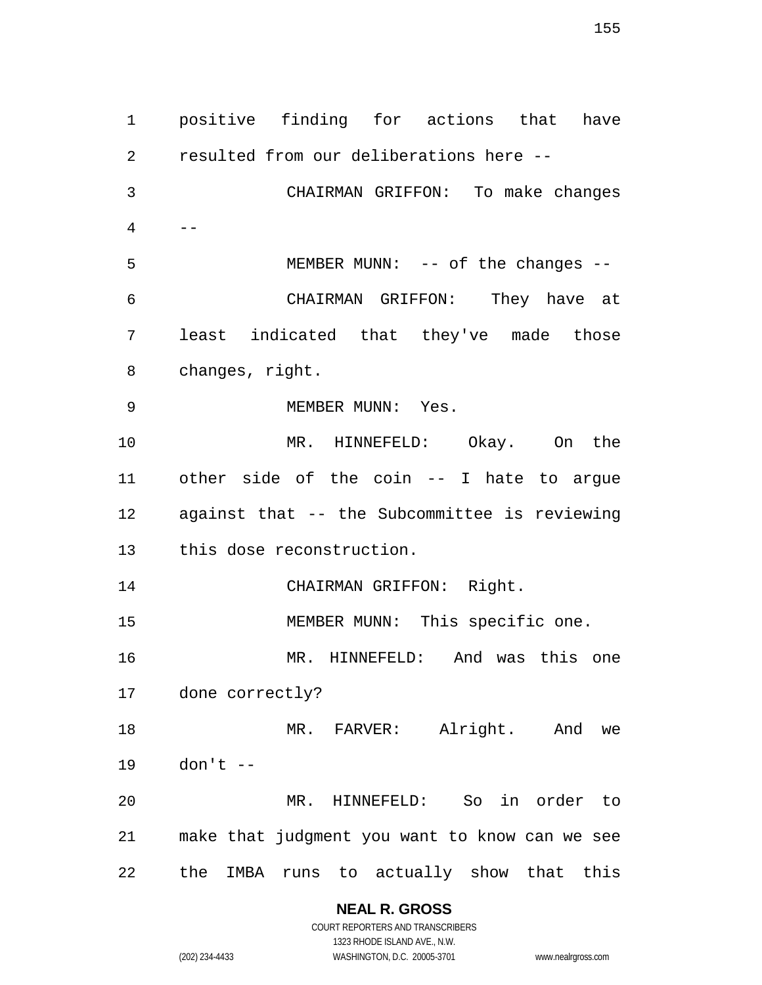positive finding for actions that have resulted from our deliberations here -- CHAIRMAN GRIFFON: To make changes  $4 \qquad --$ 5 MEMBER MUNN: -- of the changes -- CHAIRMAN GRIFFON: They have at least indicated that they've made those changes, right. 9 MEMBER MUNN: Yes. MR. HINNEFELD: Okay. On the other side of the coin -- I hate to argue against that -- the Subcommittee is reviewing this dose reconstruction. CHAIRMAN GRIFFON: Right. MEMBER MUNN: This specific one. MR. HINNEFELD: And was this one done correctly? 18 MR. FARVER: Alright. And we don't -- MR. HINNEFELD: So in order to make that judgment you want to know can we see the IMBA runs to actually show that this

> **NEAL R. GROSS** COURT REPORTERS AND TRANSCRIBERS

1323 RHODE ISLAND AVE., N.W. (202) 234-4433 WASHINGTON, D.C. 20005-3701 www.nealrgross.com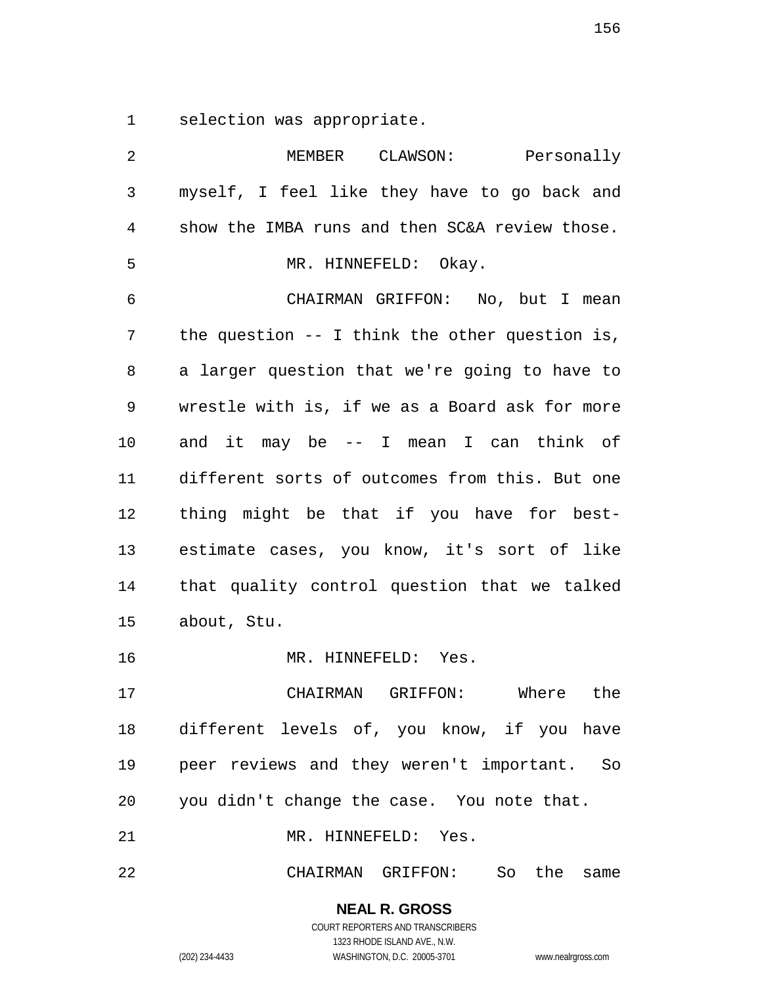selection was appropriate.

| 2  | MEMBER CLAWSON: Personally                       |
|----|--------------------------------------------------|
| 3  | myself, I feel like they have to go back and     |
| 4  | show the IMBA runs and then SC&A review those.   |
| 5  | MR. HINNEFELD: Okay.                             |
| 6  | CHAIRMAN GRIFFON: No, but I mean                 |
| 7  | the question $--$ I think the other question is, |
| 8  | a larger question that we're going to have to    |
| 9  | wrestle with is, if we as a Board ask for more   |
| 10 | and it may be -- I mean I can think of           |
| 11 | different sorts of outcomes from this. But one   |
| 12 | thing might be that if you have for best-        |
| 13 | estimate cases, you know, it's sort of like      |
| 14 | that quality control question that we talked     |
| 15 | about, Stu.                                      |
| 16 | MR. HINNEFELD: Yes.                              |
| 17 | CHAIRMAN GRIFFON:<br>Where the                   |
|    | 18 different levels of, you know, if you have    |
| 19 | peer reviews and they weren't important. So      |
| 20 | you didn't change the case. You note that.       |
| 21 | MR. HINNEFELD: Yes.                              |

CHAIRMAN GRIFFON: So the same

### **NEAL R. GROSS** COURT REPORTERS AND TRANSCRIBERS

1323 RHODE ISLAND AVE., N.W.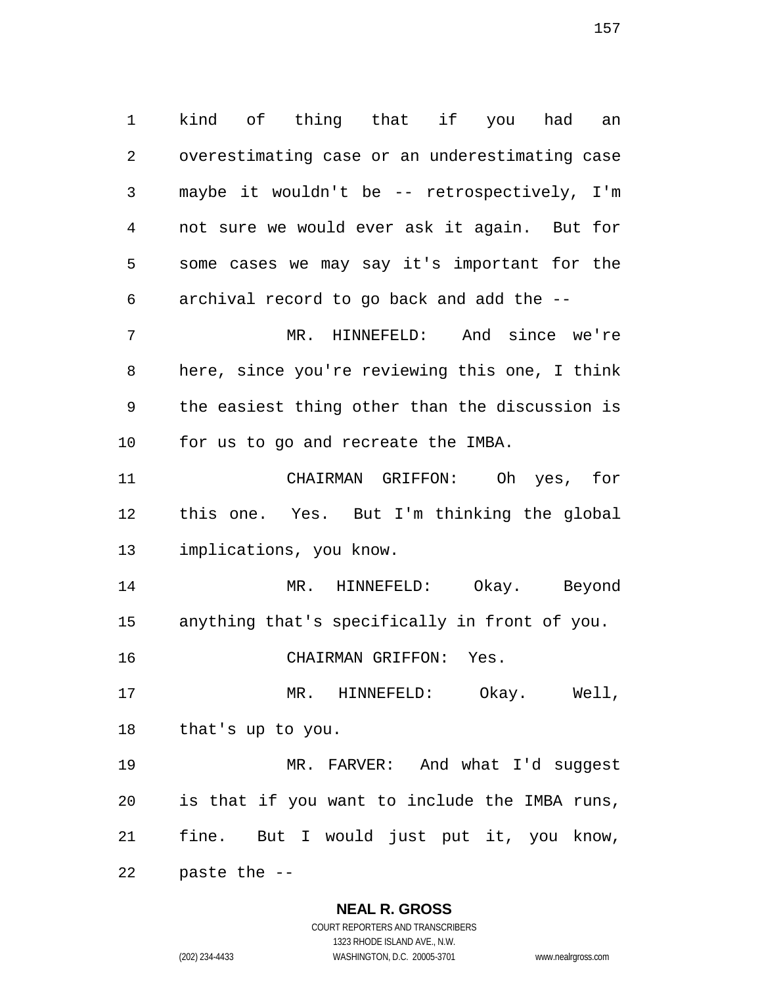kind of thing that if you had an overestimating case or an underestimating case maybe it wouldn't be -- retrospectively, I'm not sure we would ever ask it again. But for some cases we may say it's important for the archival record to go back and add the -- MR. HINNEFELD: And since we're here, since you're reviewing this one, I think the easiest thing other than the discussion is for us to go and recreate the IMBA.

 CHAIRMAN GRIFFON: Oh yes, for this one. Yes. But I'm thinking the global implications, you know.

 MR. HINNEFELD: Okay. Beyond anything that's specifically in front of you.

CHAIRMAN GRIFFON: Yes.

 MR. HINNEFELD: Okay. Well, that's up to you.

 MR. FARVER: And what I'd suggest is that if you want to include the IMBA runs, fine. But I would just put it, you know,

paste the --

#### **NEAL R. GROSS**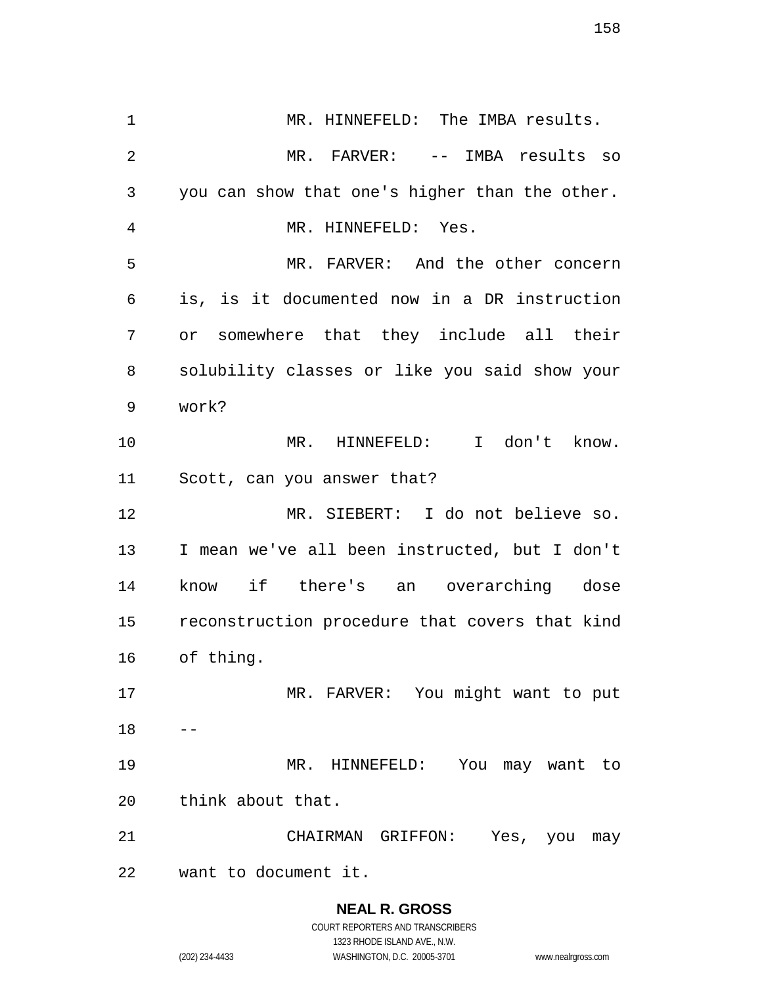1 MR. HINNEFELD: The IMBA results. MR. FARVER: -- IMBA results so you can show that one's higher than the other. MR. HINNEFELD: Yes. MR. FARVER: And the other concern is, is it documented now in a DR instruction or somewhere that they include all their solubility classes or like you said show your work? MR. HINNEFELD: I don't know. Scott, can you answer that? MR. SIEBERT: I do not believe so. I mean we've all been instructed, but I don't know if there's an overarching dose reconstruction procedure that covers that kind of thing. MR. FARVER: You might want to put MR. HINNEFELD: You may want to think about that. CHAIRMAN GRIFFON: Yes, you may want to document it.

> **NEAL R. GROSS** COURT REPORTERS AND TRANSCRIBERS

> > 1323 RHODE ISLAND AVE., N.W.

(202) 234-4433 WASHINGTON, D.C. 20005-3701 www.nealrgross.com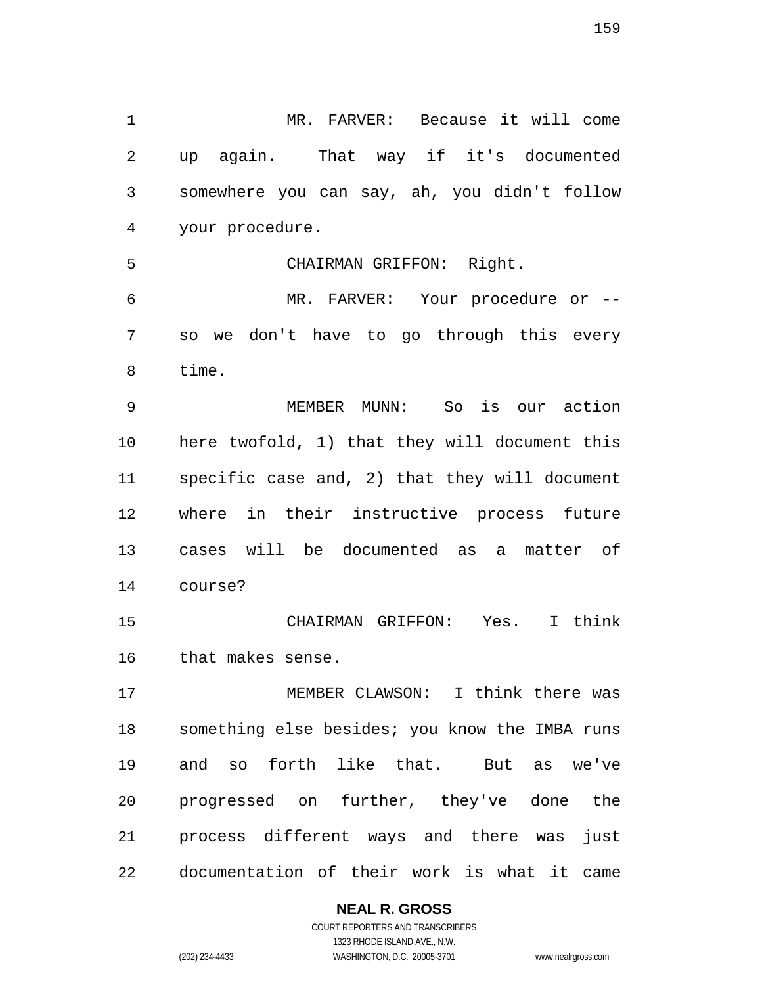MR. FARVER: Because it will come up again. That way if it's documented somewhere you can say, ah, you didn't follow your procedure. CHAIRMAN GRIFFON: Right. MR. FARVER: Your procedure or -- so we don't have to go through this every time. MEMBER MUNN: So is our action here twofold, 1) that they will document this specific case and, 2) that they will document where in their instructive process future cases will be documented as a matter of course? CHAIRMAN GRIFFON: Yes. I think that makes sense. MEMBER CLAWSON: I think there was something else besides; you know the IMBA runs and so forth like that. But as we've progressed on further, they've done the process different ways and there was just

documentation of their work is what it came

**NEAL R. GROSS**

COURT REPORTERS AND TRANSCRIBERS 1323 RHODE ISLAND AVE., N.W. (202) 234-4433 WASHINGTON, D.C. 20005-3701 www.nealrgross.com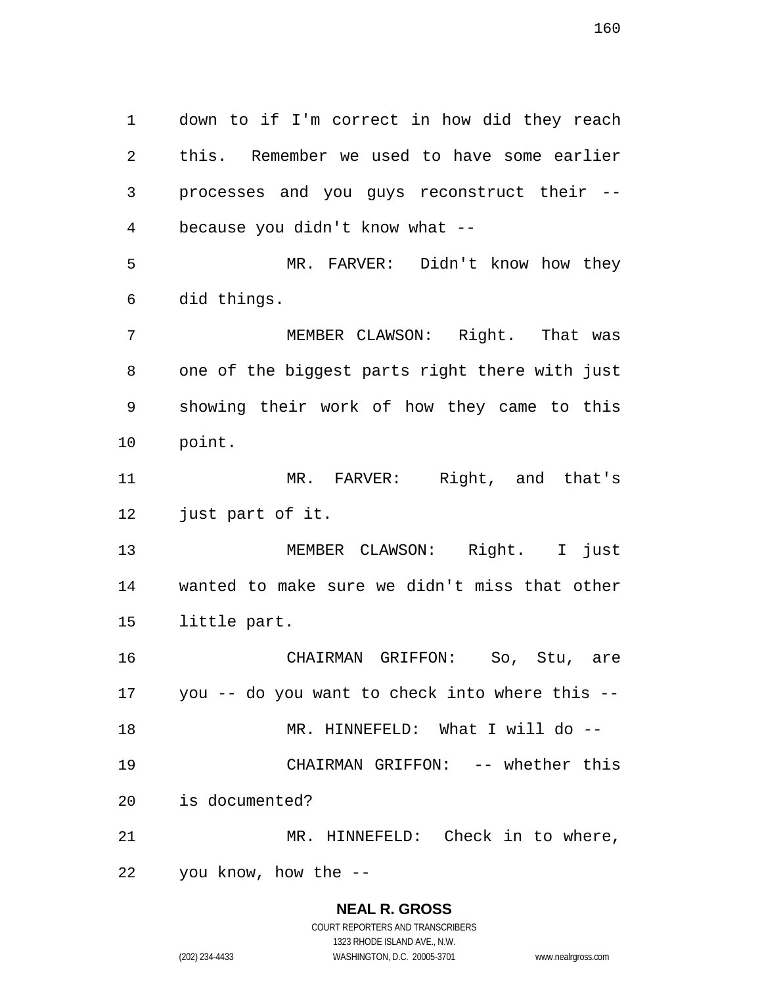down to if I'm correct in how did they reach this. Remember we used to have some earlier processes and you guys reconstruct their -- because you didn't know what -- MR. FARVER: Didn't know how they did things. MEMBER CLAWSON: Right. That was one of the biggest parts right there with just showing their work of how they came to this point. 11 MR. FARVER: Right, and that's just part of it. MEMBER CLAWSON: Right. I just wanted to make sure we didn't miss that other little part. CHAIRMAN GRIFFON: So, Stu, are you -- do you want to check into where this -- 18 MR. HINNEFELD: What I will do -- CHAIRMAN GRIFFON: -- whether this is documented? MR. HINNEFELD: Check in to where, you know, how the --

#### **NEAL R. GROSS** COURT REPORTERS AND TRANSCRIBERS

1323 RHODE ISLAND AVE., N.W. (202) 234-4433 WASHINGTON, D.C. 20005-3701 www.nealrgross.com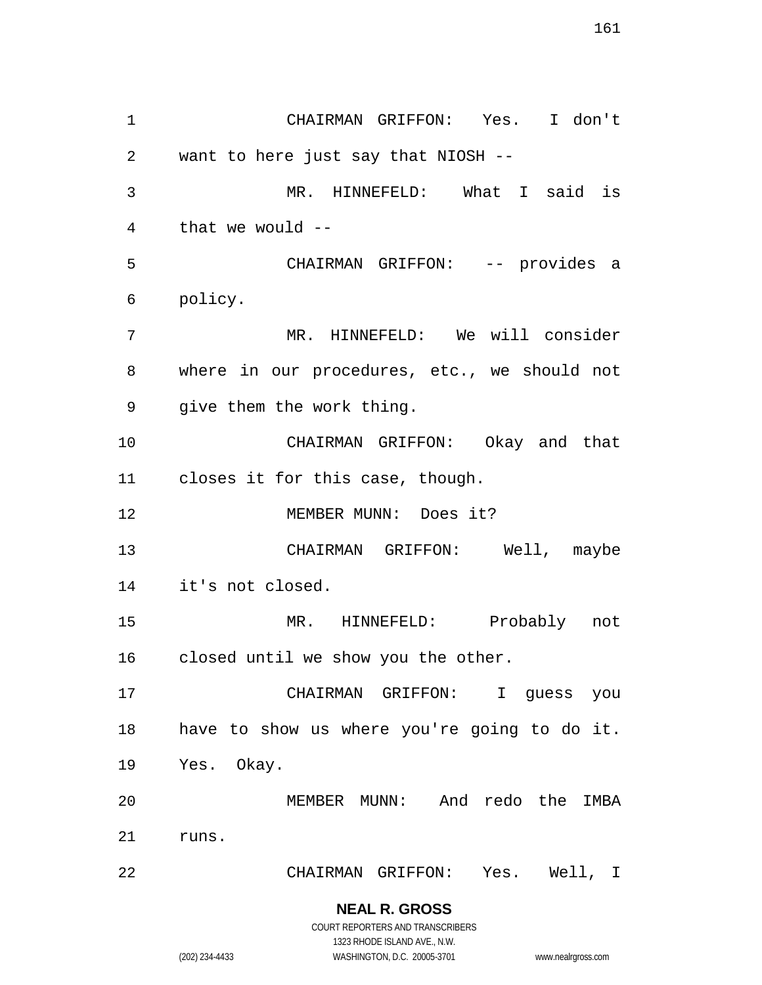CHAIRMAN GRIFFON: Yes. I don't want to here just say that NIOSH -- MR. HINNEFELD: What I said is that we would -- CHAIRMAN GRIFFON: -- provides a policy. MR. HINNEFELD: We will consider where in our procedures, etc., we should not give them the work thing. CHAIRMAN GRIFFON: Okay and that closes it for this case, though. MEMBER MUNN: Does it? CHAIRMAN GRIFFON: Well, maybe it's not closed. MR. HINNEFELD: Probably not closed until we show you the other. CHAIRMAN GRIFFON: I guess you have to show us where you're going to do it. Yes. Okay. MEMBER MUNN: And redo the IMBA runs. CHAIRMAN GRIFFON: Yes. Well, I

> **NEAL R. GROSS** COURT REPORTERS AND TRANSCRIBERS

1323 RHODE ISLAND AVE., N.W. (202) 234-4433 WASHINGTON, D.C. 20005-3701 www.nealrgross.com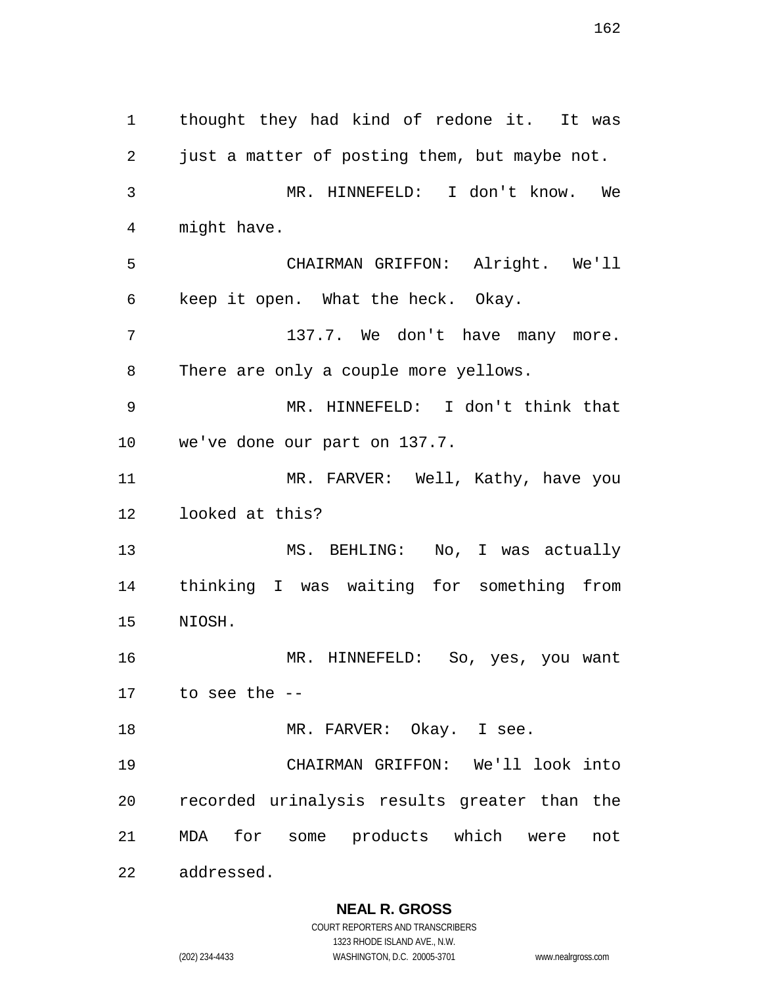thought they had kind of redone it. It was just a matter of posting them, but maybe not. MR. HINNEFELD: I don't know. We might have. CHAIRMAN GRIFFON: Alright. We'll keep it open. What the heck. Okay. 137.7. We don't have many more. There are only a couple more yellows. MR. HINNEFELD: I don't think that we've done our part on 137.7. MR. FARVER: Well, Kathy, have you looked at this? MS. BEHLING: No, I was actually thinking I was waiting for something from NIOSH. MR. HINNEFELD: So, yes, you want to see the -- 18 MR. FARVER: Okay. I see. CHAIRMAN GRIFFON: We'll look into recorded urinalysis results greater than the MDA for some products which were not addressed.

### **NEAL R. GROSS**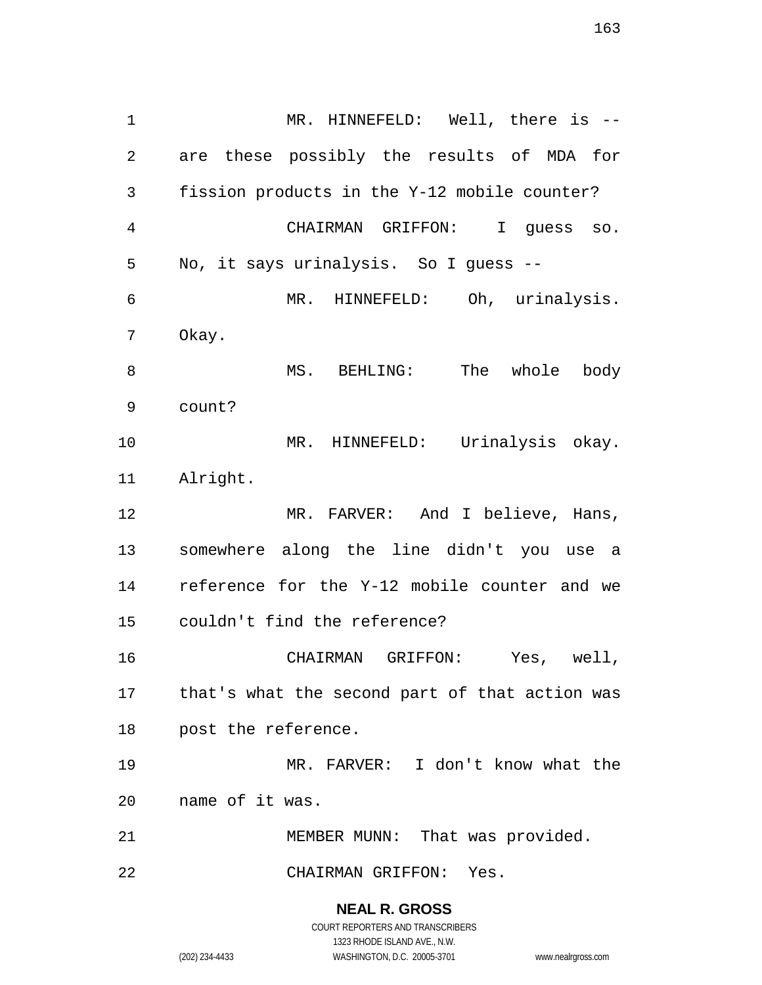MR. HINNEFELD: Well, there is -- are these possibly the results of MDA for fission products in the Y-12 mobile counter? CHAIRMAN GRIFFON: I guess so. No, it says urinalysis. So I guess -- MR. HINNEFELD: Oh, urinalysis. Okay. 8 MS. BEHLING: The whole body count? MR. HINNEFELD: Urinalysis okay. Alright. MR. FARVER: And I believe, Hans, somewhere along the line didn't you use a reference for the Y-12 mobile counter and we couldn't find the reference? CHAIRMAN GRIFFON: Yes, well, that's what the second part of that action was post the reference. MR. FARVER: I don't know what the name of it was. MEMBER MUNN: That was provided. CHAIRMAN GRIFFON: Yes.

> **NEAL R. GROSS** COURT REPORTERS AND TRANSCRIBERS

1323 RHODE ISLAND AVE., N.W. (202) 234-4433 WASHINGTON, D.C. 20005-3701 www.nealrgross.com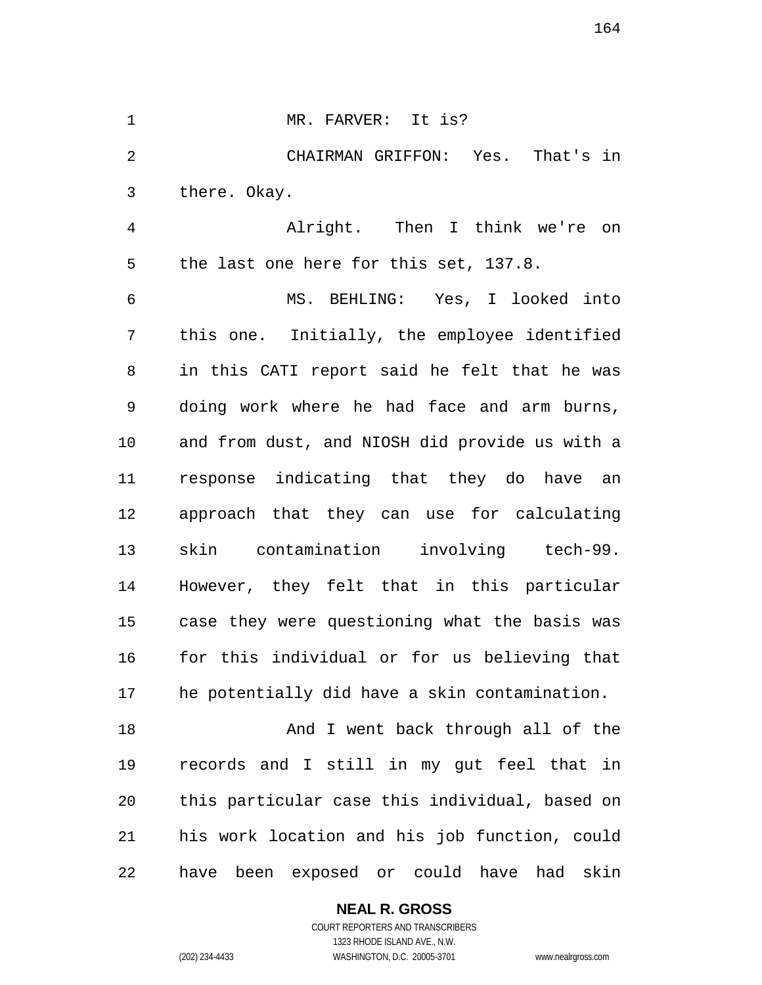1 MR. FARVER: It is? CHAIRMAN GRIFFON: Yes. That's in there. Okay. Alright. Then I think we're on the last one here for this set, 137.8. MS. BEHLING: Yes, I looked into

 this one. Initially, the employee identified in this CATI report said he felt that he was doing work where he had face and arm burns, and from dust, and NIOSH did provide us with a response indicating that they do have an approach that they can use for calculating skin contamination involving tech-99. However, they felt that in this particular case they were questioning what the basis was for this individual or for us believing that he potentially did have a skin contamination.

18 And I went back through all of the records and I still in my gut feel that in this particular case this individual, based on his work location and his job function, could have been exposed or could have had skin

> **NEAL R. GROSS** COURT REPORTERS AND TRANSCRIBERS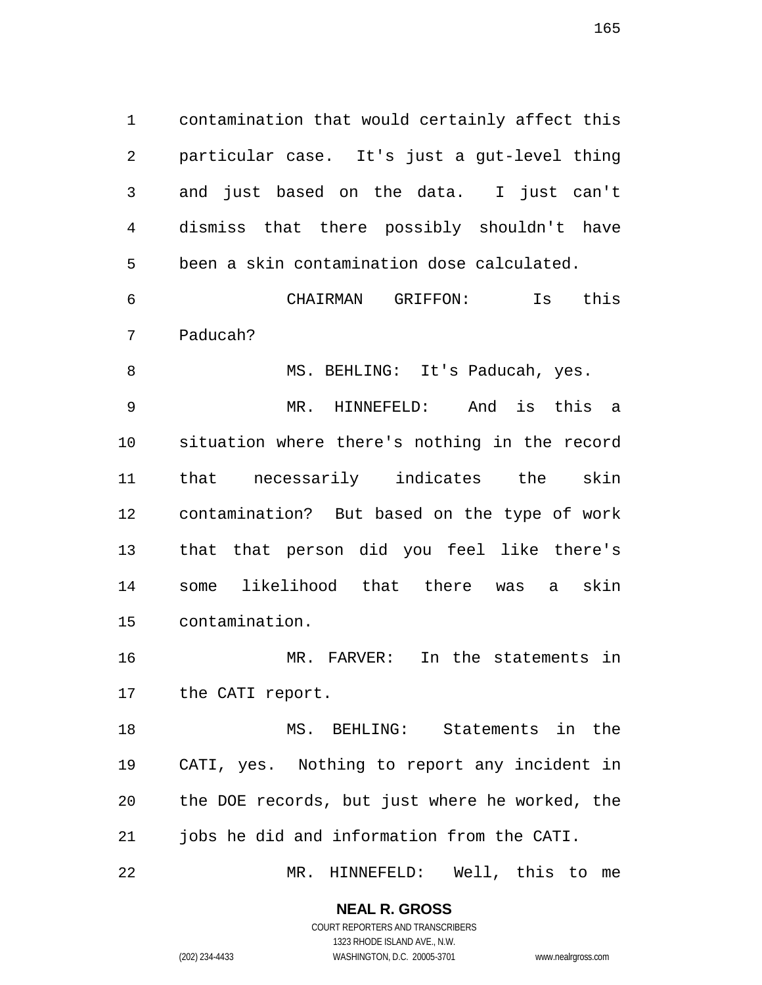contamination that would certainly affect this particular case. It's just a gut-level thing and just based on the data. I just can't dismiss that there possibly shouldn't have been a skin contamination dose calculated.

 CHAIRMAN GRIFFON: Is this Paducah?

8 MS. BEHLING: It's Paducah, yes. MR. HINNEFELD: And is this a situation where there's nothing in the record that necessarily indicates the skin contamination? But based on the type of work that that person did you feel like there's some likelihood that there was a skin contamination.

 MR. FARVER: In the statements in the CATI report.

 MS. BEHLING: Statements in the CATI, yes. Nothing to report any incident in the DOE records, but just where he worked, the jobs he did and information from the CATI.

MR. HINNEFELD: Well, this to me

### **NEAL R. GROSS**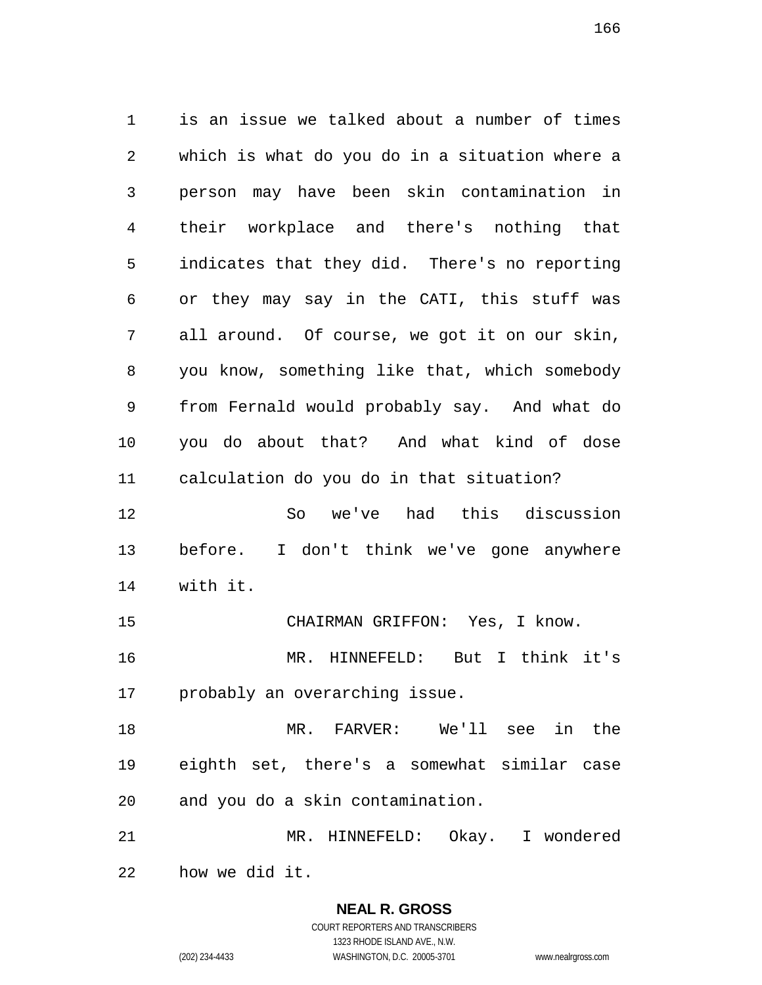is an issue we talked about a number of times which is what do you do in a situation where a person may have been skin contamination in their workplace and there's nothing that indicates that they did. There's no reporting or they may say in the CATI, this stuff was all around. Of course, we got it on our skin, you know, something like that, which somebody from Fernald would probably say. And what do you do about that? And what kind of dose calculation do you do in that situation? So we've had this discussion before. I don't think we've gone anywhere with it. CHAIRMAN GRIFFON: Yes, I know. MR. HINNEFELD: But I think it's probably an overarching issue. MR. FARVER: We'll see in the eighth set, there's a somewhat similar case and you do a skin contamination.

 MR. HINNEFELD: Okay. I wondered how we did it.

### **NEAL R. GROSS**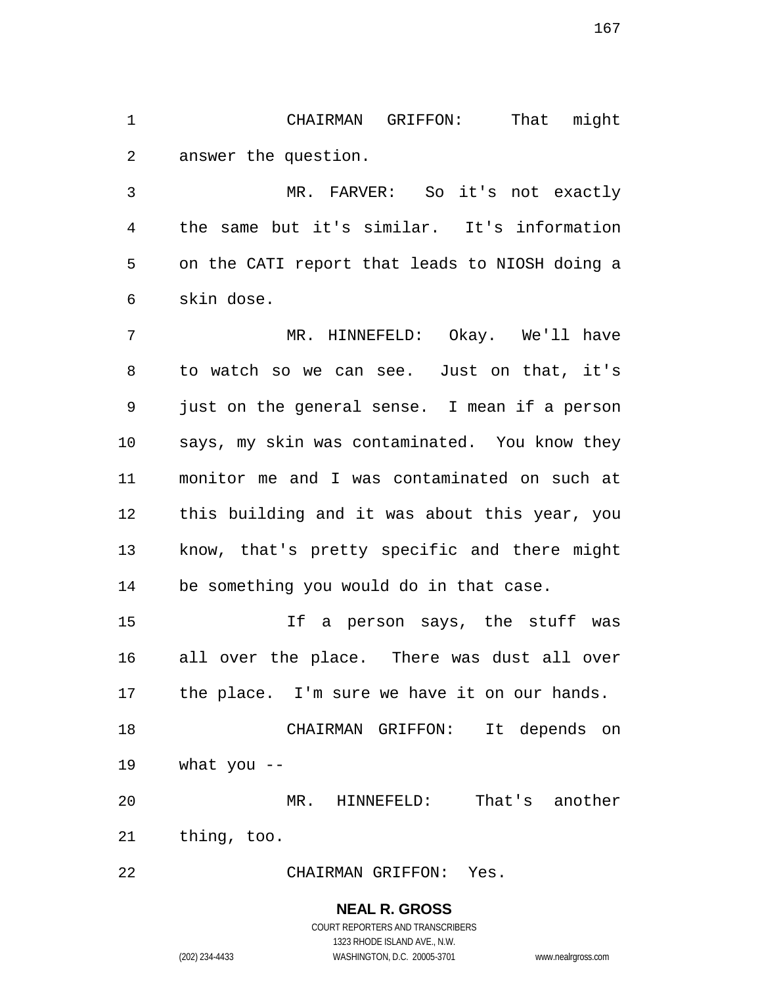CHAIRMAN GRIFFON: That might answer the question.

 MR. FARVER: So it's not exactly the same but it's similar. It's information on the CATI report that leads to NIOSH doing a skin dose.

 MR. HINNEFELD: Okay. We'll have to watch so we can see. Just on that, it's just on the general sense. I mean if a person says, my skin was contaminated. You know they monitor me and I was contaminated on such at this building and it was about this year, you know, that's pretty specific and there might be something you would do in that case.

 If a person says, the stuff was all over the place. There was dust all over the place. I'm sure we have it on our hands.

 CHAIRMAN GRIFFON: It depends on what you --

 MR. HINNEFELD: That's another thing, too.

CHAIRMAN GRIFFON: Yes.

**NEAL R. GROSS** COURT REPORTERS AND TRANSCRIBERS

1323 RHODE ISLAND AVE., N.W.

(202) 234-4433 WASHINGTON, D.C. 20005-3701 www.nealrgross.com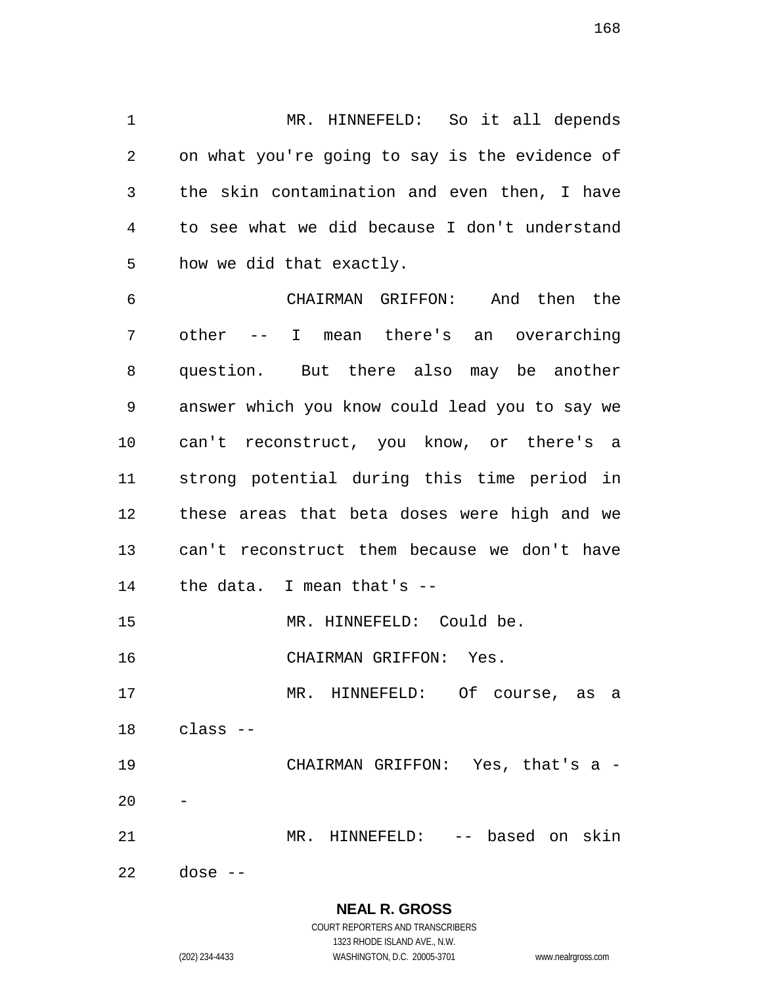MR. HINNEFELD: So it all depends on what you're going to say is the evidence of the skin contamination and even then, I have to see what we did because I don't understand how we did that exactly.

 CHAIRMAN GRIFFON: And then the other -- I mean there's an overarching question. But there also may be another answer which you know could lead you to say we can't reconstruct, you know, or there's a strong potential during this time period in these areas that beta doses were high and we can't reconstruct them because we don't have the data. I mean that's -- MR. HINNEFELD: Could be. CHAIRMAN GRIFFON: Yes. MR. HINNEFELD: Of course, as a class -- CHAIRMAN GRIFFON: Yes, that's a - MR. HINNEFELD: -- based on skin

dose --

**NEAL R. GROSS** COURT REPORTERS AND TRANSCRIBERS

1323 RHODE ISLAND AVE., N.W. (202) 234-4433 WASHINGTON, D.C. 20005-3701 www.nealrgross.com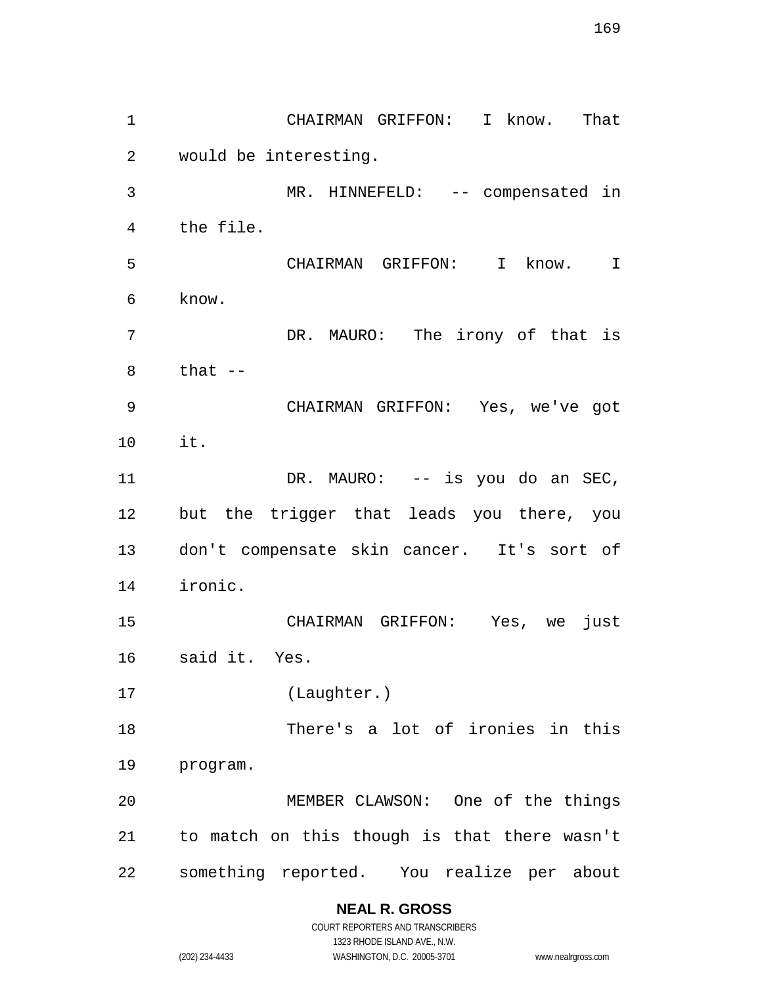CHAIRMAN GRIFFON: I know. That would be interesting. MR. HINNEFELD: -- compensated in the file. CHAIRMAN GRIFFON: I know. I know. DR. MAURO: The irony of that is that  $-$  CHAIRMAN GRIFFON: Yes, we've got it. 11 DR. MAURO: -- is you do an SEC, but the trigger that leads you there, you don't compensate skin cancer. It's sort of ironic. CHAIRMAN GRIFFON: Yes, we just said it. Yes. (Laughter.) There's a lot of ironies in this program. MEMBER CLAWSON: One of the things to match on this though is that there wasn't something reported. You realize per about

## **NEAL R. GROSS**

COURT REPORTERS AND TRANSCRIBERS 1323 RHODE ISLAND AVE., N.W. (202) 234-4433 WASHINGTON, D.C. 20005-3701 www.nealrgross.com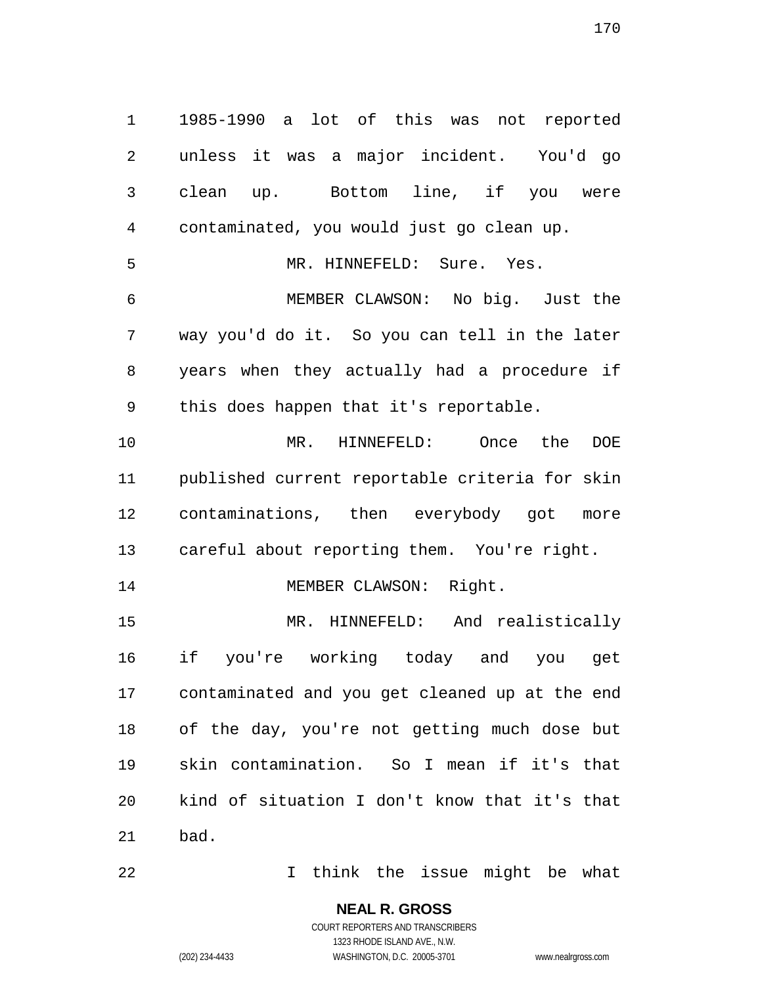1985-1990 a lot of this was not reported unless it was a major incident. You'd go clean up. Bottom line, if you were contaminated, you would just go clean up. MR. HINNEFELD: Sure. Yes. MEMBER CLAWSON: No big. Just the way you'd do it. So you can tell in the later years when they actually had a procedure if this does happen that it's reportable. MR. HINNEFELD: Once the DOE published current reportable criteria for skin contaminations, then everybody got more careful about reporting them. You're right. 14 MEMBER CLAWSON: Right. MR. HINNEFELD: And realistically if you're working today and you get contaminated and you get cleaned up at the end of the day, you're not getting much dose but skin contamination. So I mean if it's that kind of situation I don't know that it's that bad.

I think the issue might be what

**NEAL R. GROSS**

COURT REPORTERS AND TRANSCRIBERS 1323 RHODE ISLAND AVE., N.W.

(202) 234-4433 WASHINGTON, D.C. 20005-3701 www.nealrgross.com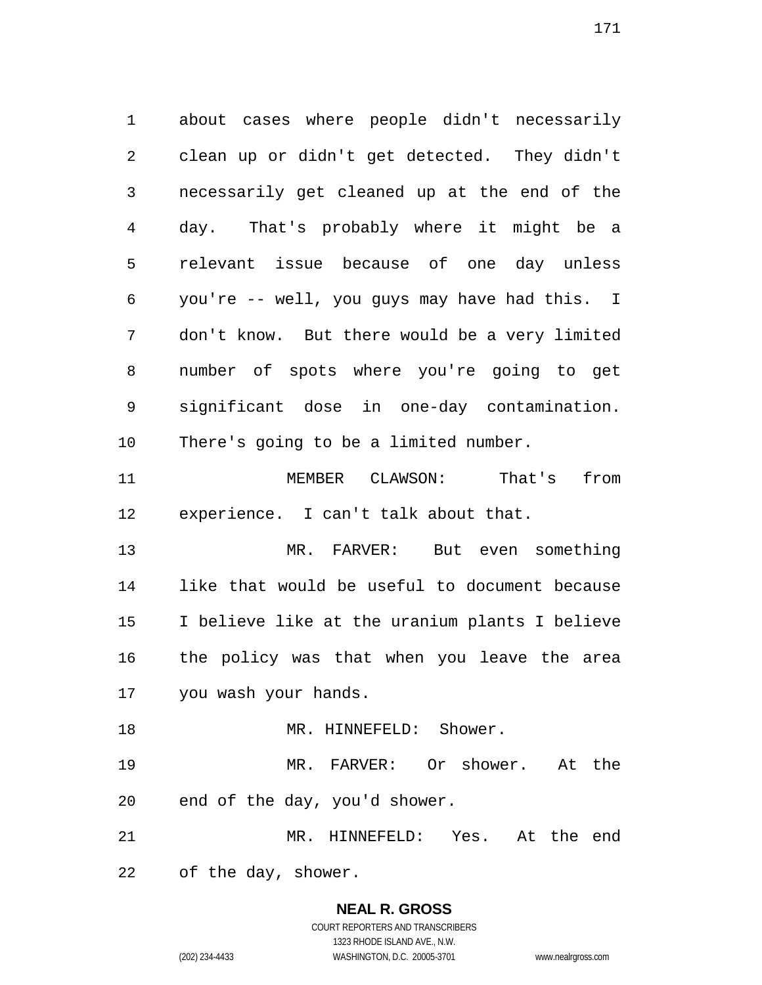about cases where people didn't necessarily clean up or didn't get detected. They didn't necessarily get cleaned up at the end of the day. That's probably where it might be a relevant issue because of one day unless you're -- well, you guys may have had this. I don't know. But there would be a very limited number of spots where you're going to get significant dose in one-day contamination. There's going to be a limited number. MEMBER CLAWSON: That's from experience. I can't talk about that. MR. FARVER: But even something like that would be useful to document because I believe like at the uranium plants I believe the policy was that when you leave the area you wash your hands. 18 MR. HINNEFELD: Shower. MR. FARVER: Or shower. At the end of the day, you'd shower. MR. HINNEFELD: Yes. At the end

of the day, shower.

## **NEAL R. GROSS**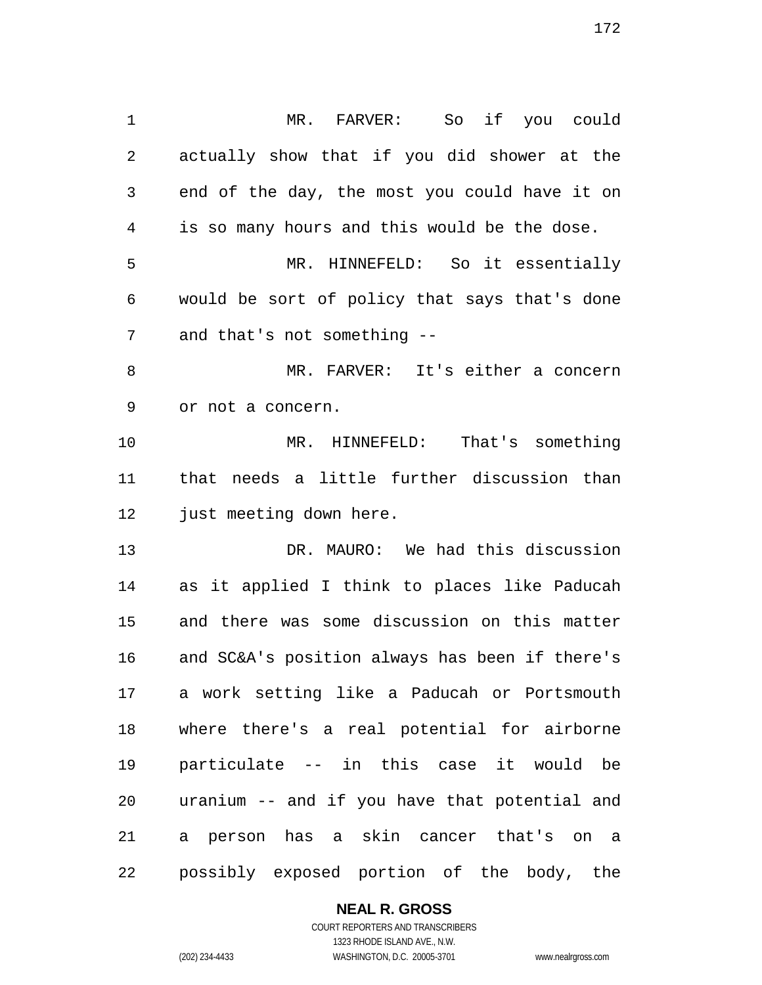MR. FARVER: So if you could actually show that if you did shower at the end of the day, the most you could have it on is so many hours and this would be the dose. MR. HINNEFELD: So it essentially would be sort of policy that says that's done and that's not something -- MR. FARVER: It's either a concern or not a concern. MR. HINNEFELD: That's something that needs a little further discussion than 12 just meeting down here. DR. MAURO: We had this discussion as it applied I think to places like Paducah and there was some discussion on this matter and SC&A's position always has been if there's a work setting like a Paducah or Portsmouth where there's a real potential for airborne particulate -- in this case it would be uranium -- and if you have that potential and a person has a skin cancer that's on a possibly exposed portion of the body, the

#### **NEAL R. GROSS**

COURT REPORTERS AND TRANSCRIBERS 1323 RHODE ISLAND AVE., N.W. (202) 234-4433 WASHINGTON, D.C. 20005-3701 www.nealrgross.com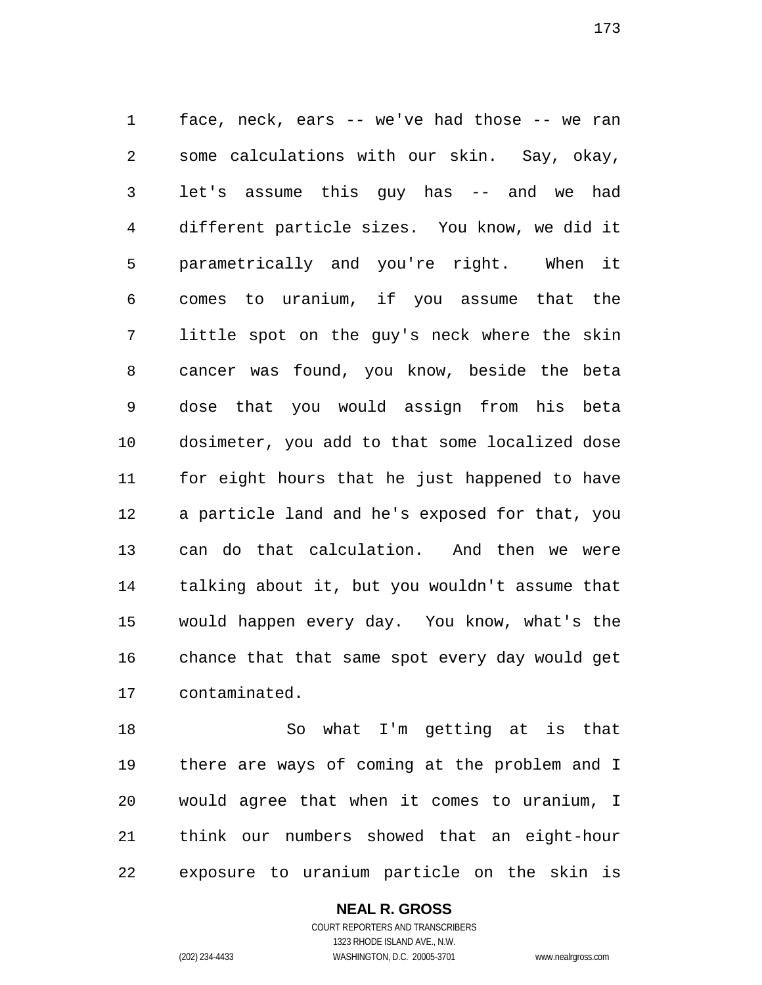face, neck, ears -- we've had those -- we ran some calculations with our skin. Say, okay, let's assume this guy has -- and we had different particle sizes. You know, we did it parametrically and you're right. When it comes to uranium, if you assume that the little spot on the guy's neck where the skin cancer was found, you know, beside the beta dose that you would assign from his beta dosimeter, you add to that some localized dose for eight hours that he just happened to have a particle land and he's exposed for that, you can do that calculation. And then we were talking about it, but you wouldn't assume that would happen every day. You know, what's the chance that that same spot every day would get contaminated.

 So what I'm getting at is that there are ways of coming at the problem and I would agree that when it comes to uranium, I think our numbers showed that an eight-hour exposure to uranium particle on the skin is

### **NEAL R. GROSS**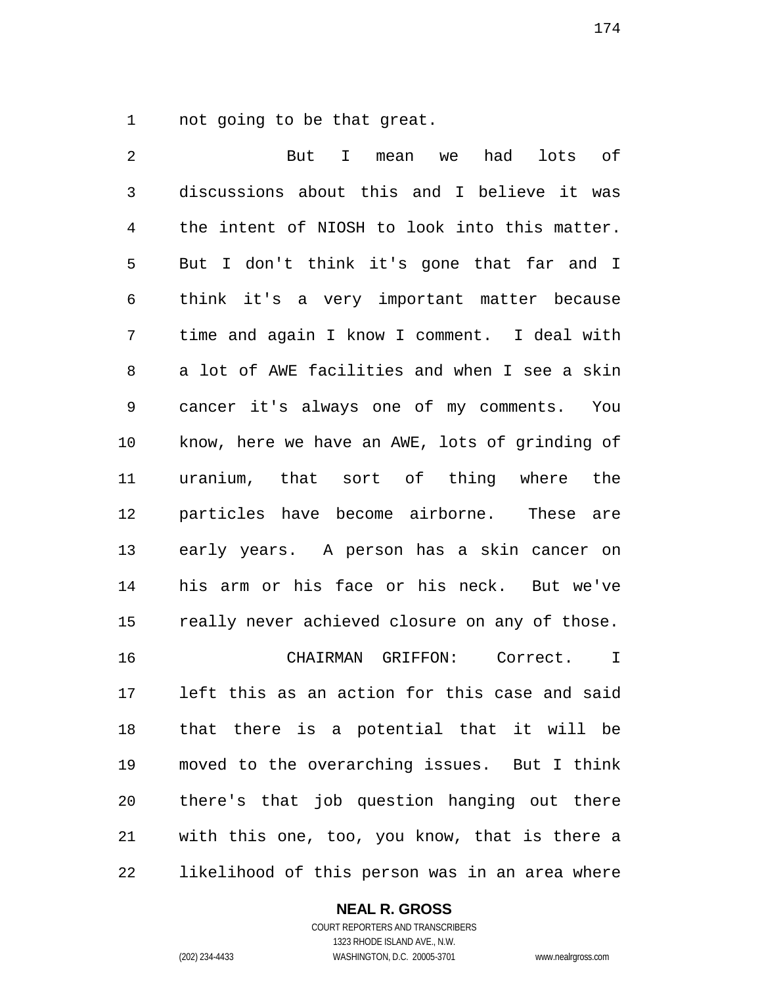not going to be that great.

 But I mean we had lots of discussions about this and I believe it was the intent of NIOSH to look into this matter. But I don't think it's gone that far and I think it's a very important matter because time and again I know I comment. I deal with a lot of AWE facilities and when I see a skin cancer it's always one of my comments. You know, here we have an AWE, lots of grinding of uranium, that sort of thing where the particles have become airborne. These are early years. A person has a skin cancer on his arm or his face or his neck. But we've really never achieved closure on any of those. CHAIRMAN GRIFFON: Correct. I left this as an action for this case and said that there is a potential that it will be moved to the overarching issues. But I think there's that job question hanging out there with this one, too, you know, that is there a likelihood of this person was in an area where

#### **NEAL R. GROSS**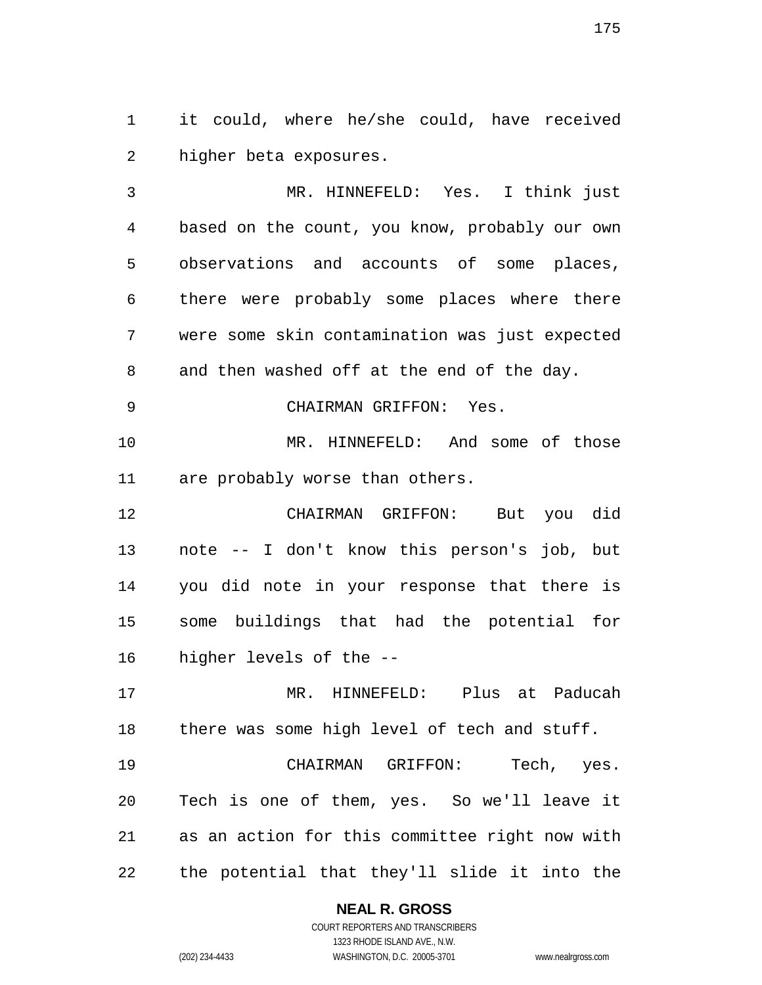it could, where he/she could, have received higher beta exposures.

 MR. HINNEFELD: Yes. I think just based on the count, you know, probably our own observations and accounts of some places, there were probably some places where there were some skin contamination was just expected and then washed off at the end of the day.

CHAIRMAN GRIFFON: Yes.

 MR. HINNEFELD: And some of those are probably worse than others.

 CHAIRMAN GRIFFON: But you did note -- I don't know this person's job, but you did note in your response that there is some buildings that had the potential for higher levels of the --

 MR. HINNEFELD: Plus at Paducah there was some high level of tech and stuff.

 CHAIRMAN GRIFFON: Tech, yes. Tech is one of them, yes. So we'll leave it as an action for this committee right now with the potential that they'll slide it into the

### **NEAL R. GROSS**

COURT REPORTERS AND TRANSCRIBERS 1323 RHODE ISLAND AVE., N.W. (202) 234-4433 WASHINGTON, D.C. 20005-3701 www.nealrgross.com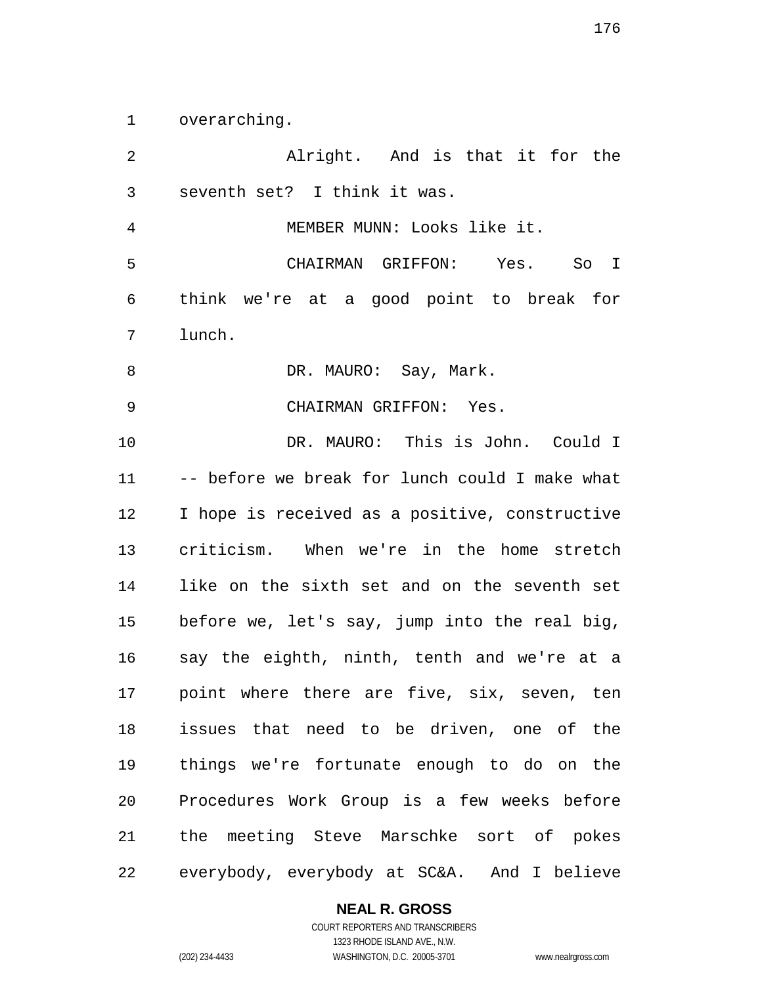overarching.

 Alright. And is that it for the seventh set? I think it was. MEMBER MUNN: Looks like it. CHAIRMAN GRIFFON: Yes. So I think we're at a good point to break for lunch. 8 DR. MAURO: Say, Mark. CHAIRMAN GRIFFON: Yes. DR. MAURO: This is John. Could I -- before we break for lunch could I make what I hope is received as a positive, constructive criticism. When we're in the home stretch like on the sixth set and on the seventh set before we, let's say, jump into the real big, say the eighth, ninth, tenth and we're at a point where there are five, six, seven, ten issues that need to be driven, one of the things we're fortunate enough to do on the Procedures Work Group is a few weeks before the meeting Steve Marschke sort of pokes everybody, everybody at SC&A. And I believe

#### **NEAL R. GROSS**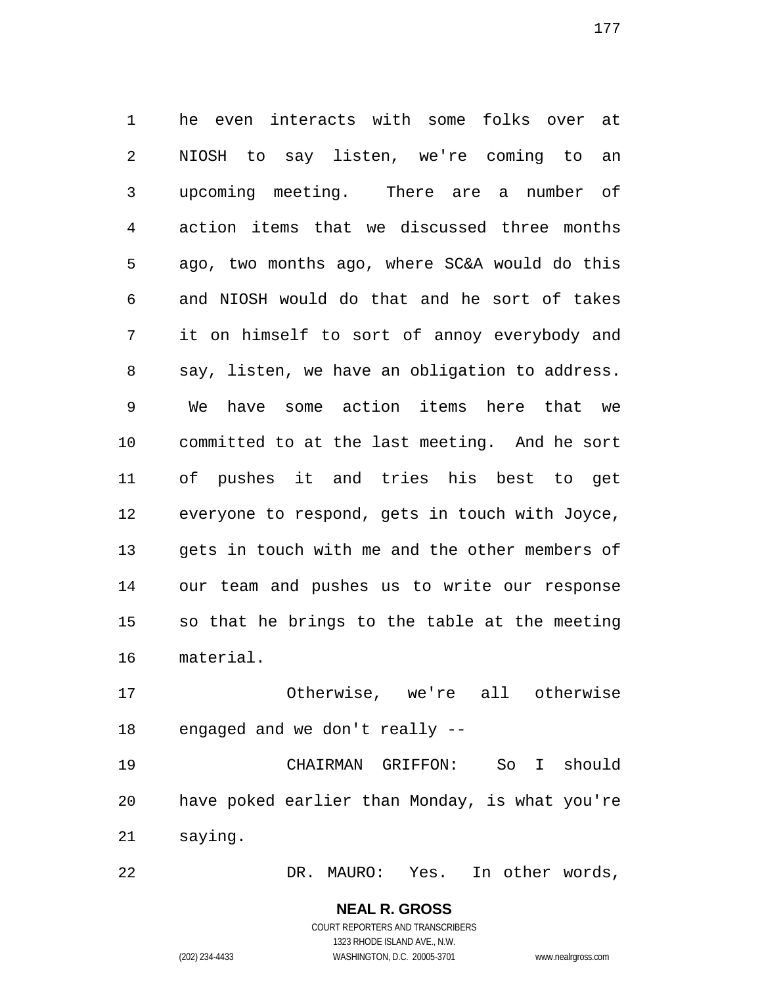he even interacts with some folks over at NIOSH to say listen, we're coming to an upcoming meeting. There are a number of action items that we discussed three months ago, two months ago, where SC&A would do this and NIOSH would do that and he sort of takes it on himself to sort of annoy everybody and say, listen, we have an obligation to address. We have some action items here that we committed to at the last meeting. And he sort of pushes it and tries his best to get everyone to respond, gets in touch with Joyce, gets in touch with me and the other members of our team and pushes us to write our response so that he brings to the table at the meeting material.

 Otherwise, we're all otherwise engaged and we don't really --

 CHAIRMAN GRIFFON: So I should have poked earlier than Monday, is what you're saying.

DR. MAURO: Yes. In other words,

# **NEAL R. GROSS**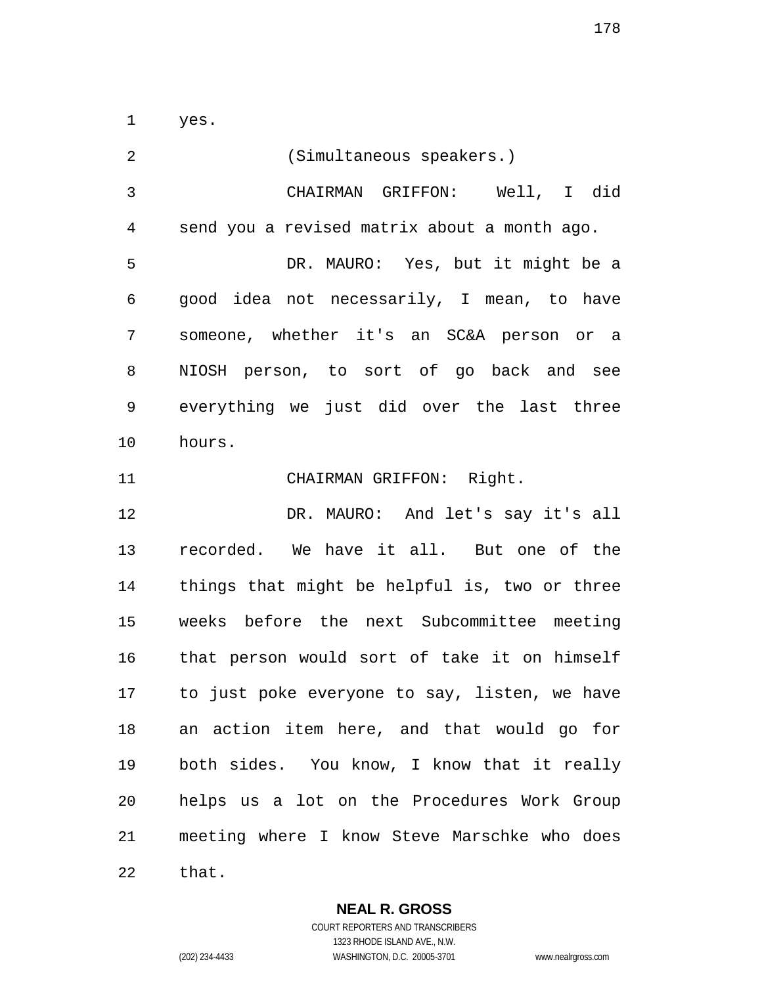yes.

 (Simultaneous speakers.) CHAIRMAN GRIFFON: Well, I did send you a revised matrix about a month ago. DR. MAURO: Yes, but it might be a good idea not necessarily, I mean, to have someone, whether it's an SC&A person or a NIOSH person, to sort of go back and see everything we just did over the last three hours. CHAIRMAN GRIFFON: Right. DR. MAURO: And let's say it's all recorded. We have it all. But one of the things that might be helpful is, two or three weeks before the next Subcommittee meeting that person would sort of take it on himself to just poke everyone to say, listen, we have an action item here, and that would go for both sides. You know, I know that it really helps us a lot on the Procedures Work Group meeting where I know Steve Marschke who does that.

**NEAL R. GROSS**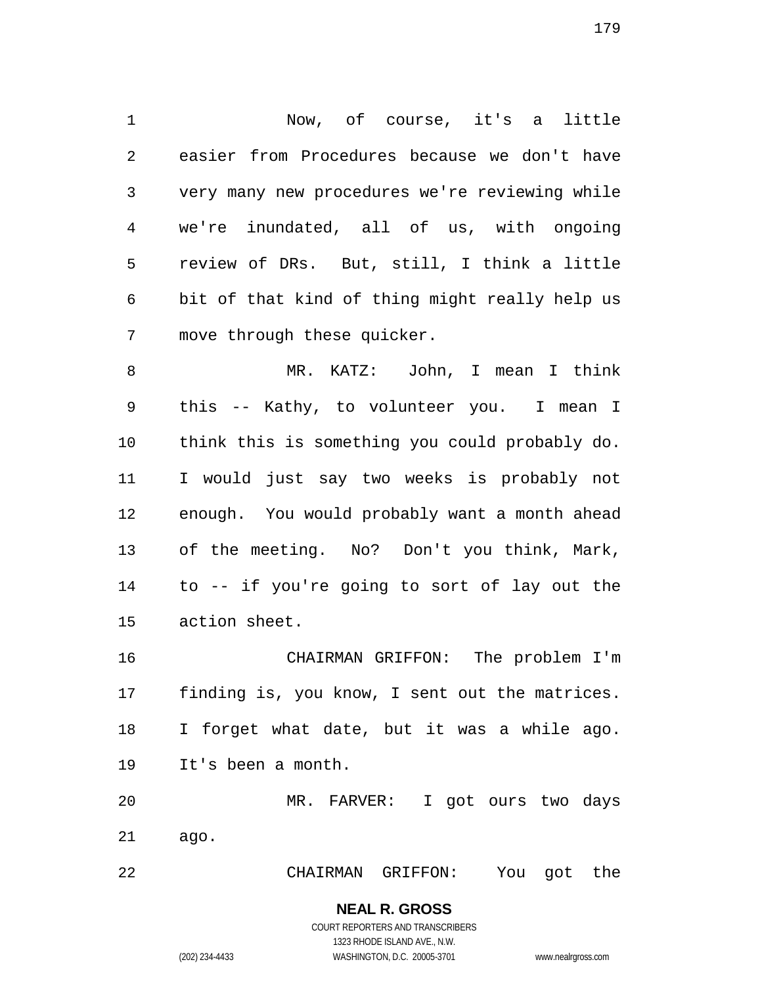Now, of course, it's a little easier from Procedures because we don't have very many new procedures we're reviewing while we're inundated, all of us, with ongoing review of DRs. But, still, I think a little bit of that kind of thing might really help us move through these quicker.

 MR. KATZ: John, I mean I think this -- Kathy, to volunteer you. I mean I think this is something you could probably do. I would just say two weeks is probably not enough. You would probably want a month ahead of the meeting. No? Don't you think, Mark, to -- if you're going to sort of lay out the action sheet.

 CHAIRMAN GRIFFON: The problem I'm finding is, you know, I sent out the matrices. I forget what date, but it was a while ago. It's been a month.

 MR. FARVER: I got ours two days ago.

CHAIRMAN GRIFFON: You got the

**NEAL R. GROSS** COURT REPORTERS AND TRANSCRIBERS

1323 RHODE ISLAND AVE., N.W.

(202) 234-4433 WASHINGTON, D.C. 20005-3701 www.nealrgross.com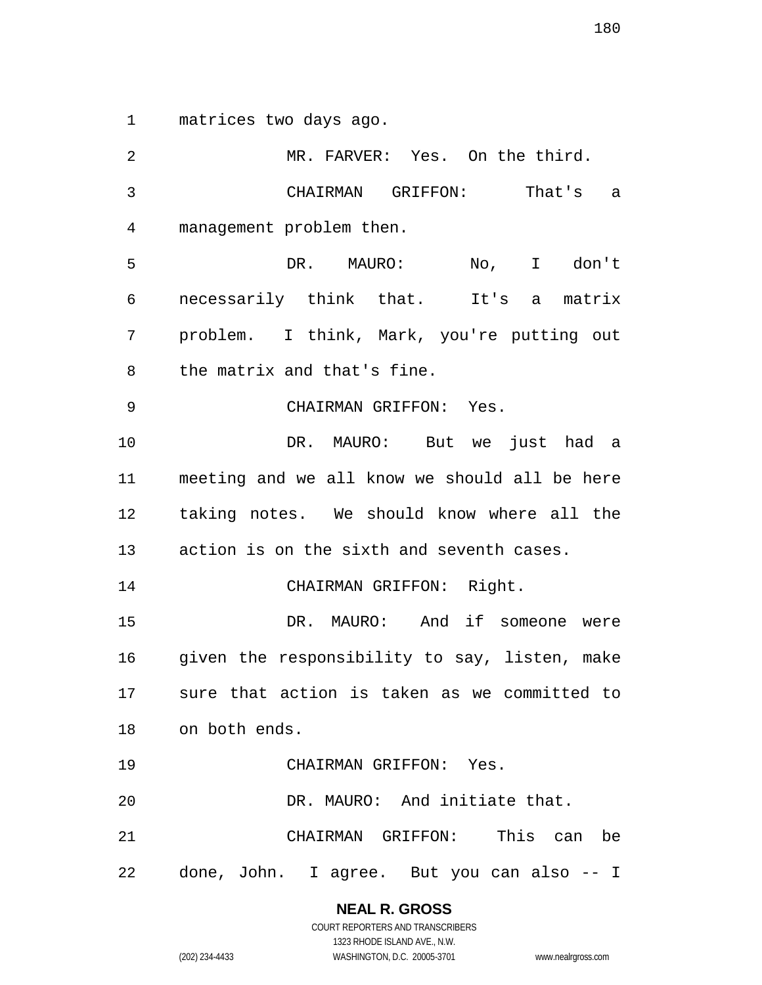matrices two days ago.

 MR. FARVER: Yes. On the third. CHAIRMAN GRIFFON: That's a management problem then. DR. MAURO: No, I don't necessarily think that. It's a matrix problem. I think, Mark, you're putting out the matrix and that's fine. CHAIRMAN GRIFFON: Yes. DR. MAURO: But we just had a meeting and we all know we should all be here taking notes. We should know where all the action is on the sixth and seventh cases. CHAIRMAN GRIFFON: Right. DR. MAURO: And if someone were given the responsibility to say, listen, make sure that action is taken as we committed to on both ends. CHAIRMAN GRIFFON: Yes. DR. MAURO: And initiate that. CHAIRMAN GRIFFON: This can be done, John. I agree. But you can also -- I

> **NEAL R. GROSS** COURT REPORTERS AND TRANSCRIBERS

1323 RHODE ISLAND AVE., N.W. (202) 234-4433 WASHINGTON, D.C. 20005-3701 www.nealrgross.com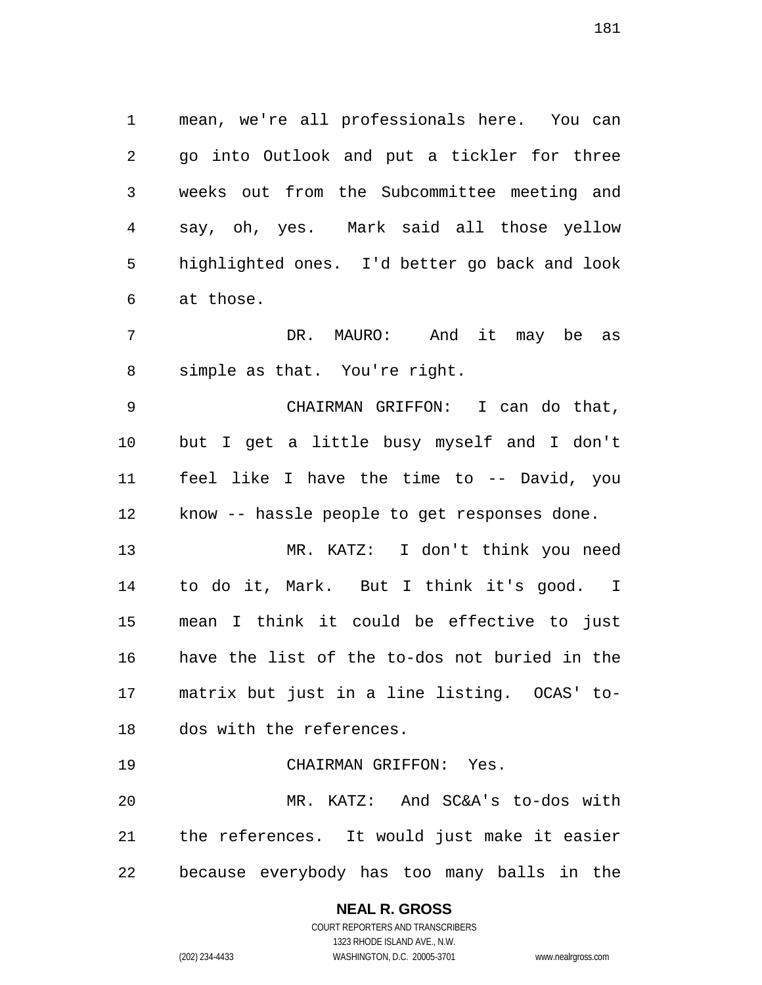mean, we're all professionals here. You can go into Outlook and put a tickler for three weeks out from the Subcommittee meeting and say, oh, yes. Mark said all those yellow highlighted ones. I'd better go back and look at those.

 DR. MAURO: And it may be as simple as that. You're right.

 CHAIRMAN GRIFFON: I can do that, but I get a little busy myself and I don't feel like I have the time to -- David, you know -- hassle people to get responses done.

 MR. KATZ: I don't think you need to do it, Mark. But I think it's good. I mean I think it could be effective to just have the list of the to-dos not buried in the matrix but just in a line listing. OCAS' to-dos with the references.

CHAIRMAN GRIFFON: Yes.

 MR. KATZ: And SC&A's to-dos with the references. It would just make it easier because everybody has too many balls in the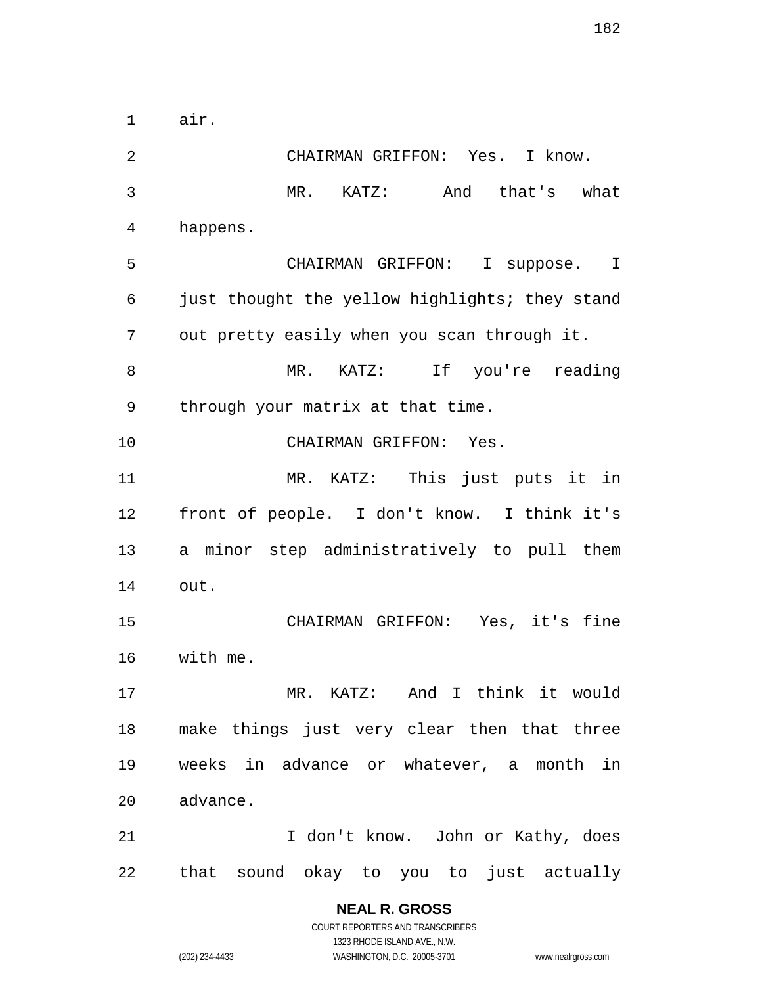air.

 CHAIRMAN GRIFFON: Yes. I know. MR. KATZ: And that's what happens. CHAIRMAN GRIFFON: I suppose. I just thought the yellow highlights; they stand out pretty easily when you scan through it. MR. KATZ: If you're reading through your matrix at that time. CHAIRMAN GRIFFON: Yes. MR. KATZ: This just puts it in front of people. I don't know. I think it's a minor step administratively to pull them out. CHAIRMAN GRIFFON: Yes, it's fine with me. MR. KATZ: And I think it would make things just very clear then that three weeks in advance or whatever, a month in advance. 21 I don't know. John or Kathy, does that sound okay to you to just actually

> **NEAL R. GROSS** COURT REPORTERS AND TRANSCRIBERS 1323 RHODE ISLAND AVE., N.W. (202) 234-4433 WASHINGTON, D.C. 20005-3701 www.nealrgross.com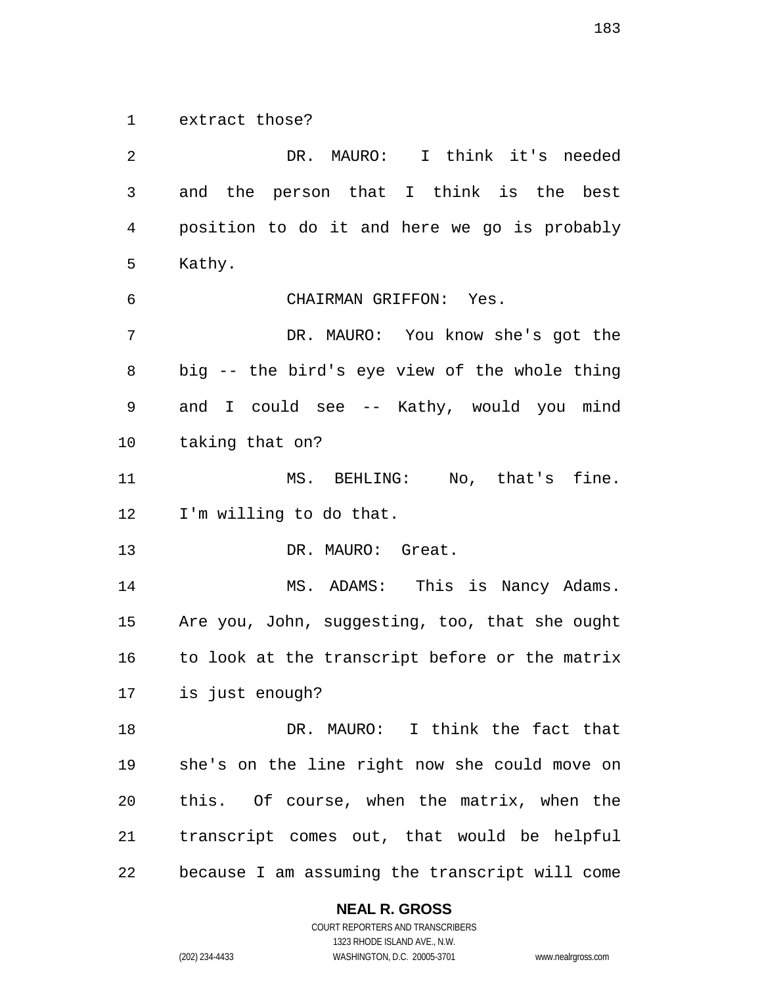extract those?

 DR. MAURO: I think it's needed and the person that I think is the best position to do it and here we go is probably Kathy. CHAIRMAN GRIFFON: Yes. DR. MAURO: You know she's got the big -- the bird's eye view of the whole thing and I could see -- Kathy, would you mind taking that on? MS. BEHLING: No, that's fine. I'm willing to do that. 13 DR. MAURO: Great. 14 MS. ADAMS: This is Nancy Adams. Are you, John, suggesting, too, that she ought to look at the transcript before or the matrix is just enough? 18 DR. MAURO: I think the fact that she's on the line right now she could move on this. Of course, when the matrix, when the transcript comes out, that would be helpful because I am assuming the transcript will come

**NEAL R. GROSS**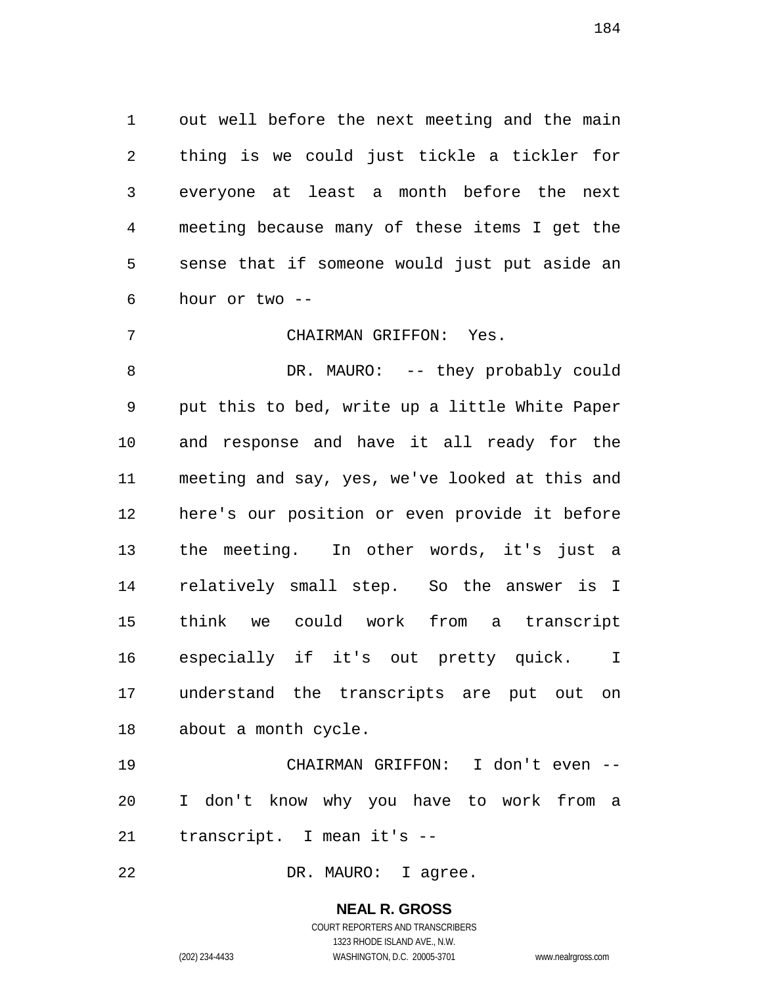out well before the next meeting and the main thing is we could just tickle a tickler for everyone at least a month before the next meeting because many of these items I get the sense that if someone would just put aside an hour or two --

CHAIRMAN GRIFFON: Yes.

8 DR. MAURO: -- they probably could put this to bed, write up a little White Paper and response and have it all ready for the meeting and say, yes, we've looked at this and here's our position or even provide it before the meeting. In other words, it's just a relatively small step. So the answer is I think we could work from a transcript especially if it's out pretty quick. I understand the transcripts are put out on about a month cycle.

 CHAIRMAN GRIFFON: I don't even -- I don't know why you have to work from a transcript. I mean it's --

DR. MAURO: I agree.

# **NEAL R. GROSS**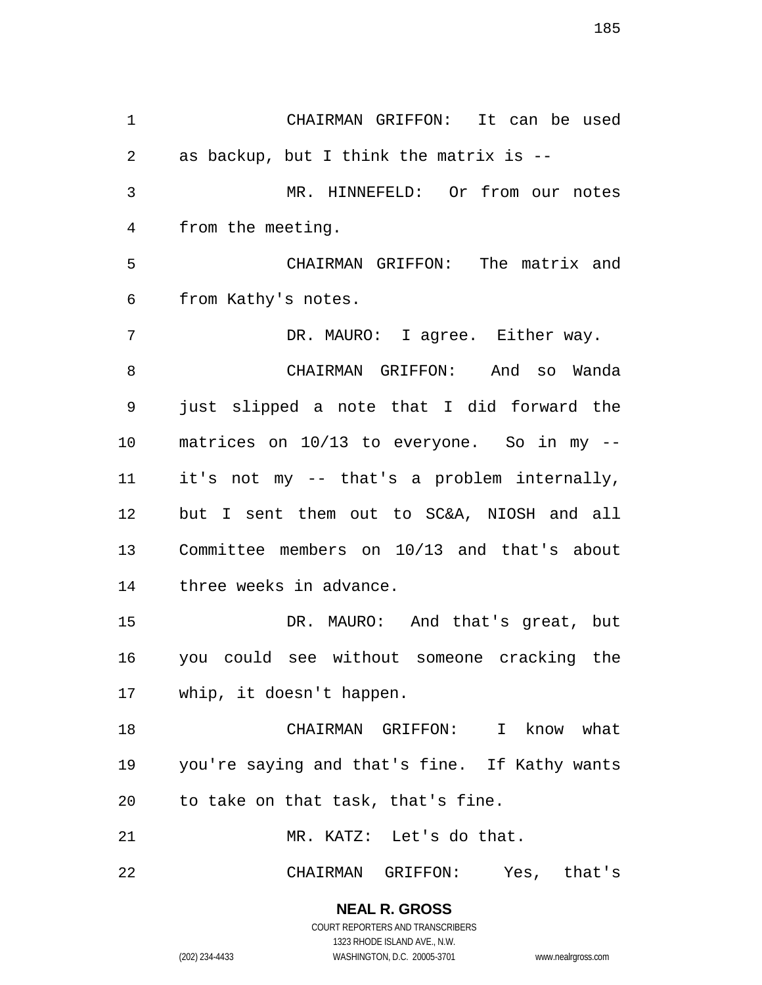CHAIRMAN GRIFFON: It can be used as backup, but I think the matrix is -- MR. HINNEFELD: Or from our notes from the meeting. CHAIRMAN GRIFFON: The matrix and from Kathy's notes. DR. MAURO: I agree. Either way. CHAIRMAN GRIFFON: And so Wanda just slipped a note that I did forward the matrices on 10/13 to everyone. So in my -- it's not my -- that's a problem internally, but I sent them out to SC&A, NIOSH and all Committee members on 10/13 and that's about three weeks in advance. DR. MAURO: And that's great, but you could see without someone cracking the whip, it doesn't happen. CHAIRMAN GRIFFON: I know what you're saying and that's fine. If Kathy wants to take on that task, that's fine. MR. KATZ: Let's do that. CHAIRMAN GRIFFON: Yes, that's

> **NEAL R. GROSS** COURT REPORTERS AND TRANSCRIBERS

> > 1323 RHODE ISLAND AVE., N.W.

(202) 234-4433 WASHINGTON, D.C. 20005-3701 www.nealrgross.com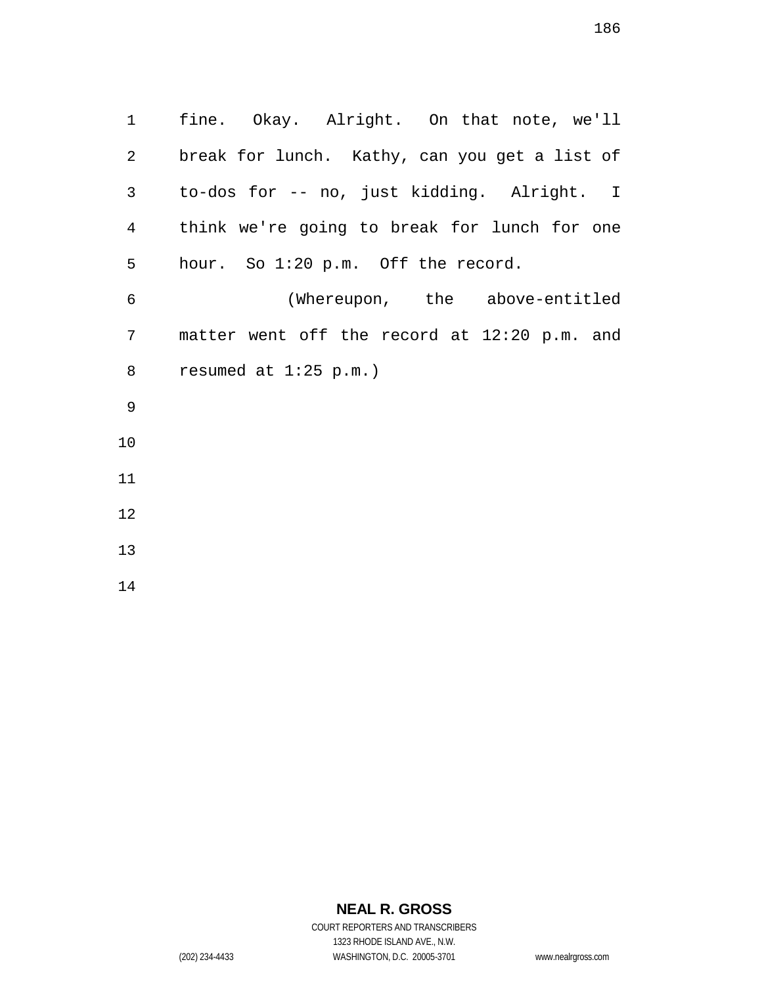fine. Okay. Alright. On that note, we'll break for lunch. Kathy, can you get a list of to-dos for -- no, just kidding. Alright. I think we're going to break for lunch for one hour. So 1:20 p.m. Off the record. (Whereupon, the above-entitled matter went off the record at 12:20 p.m. and resumed at 1:25 p.m.) 

# **NEAL R. GROSS**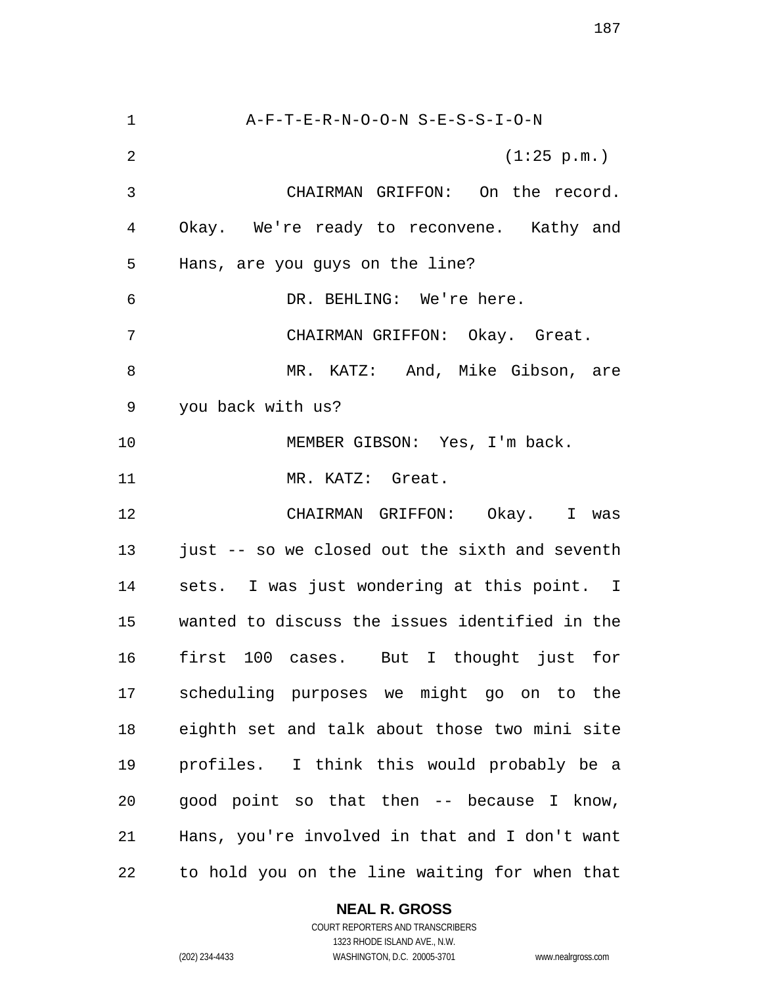A-F-T-E-R-N-O-O-N S-E-S-S-I-O-N (1:25 p.m.) CHAIRMAN GRIFFON: On the record. Okay. We're ready to reconvene. Kathy and Hans, are you guys on the line? DR. BEHLING: We're here. CHAIRMAN GRIFFON: Okay. Great. MR. KATZ: And, Mike Gibson, are you back with us? 10 MEMBER GIBSON: Yes, I'm back. MR. KATZ: Great. CHAIRMAN GRIFFON: Okay. I was just -- so we closed out the sixth and seventh sets. I was just wondering at this point. I wanted to discuss the issues identified in the first 100 cases. But I thought just for scheduling purposes we might go on to the eighth set and talk about those two mini site profiles. I think this would probably be a good point so that then -- because I know, Hans, you're involved in that and I don't want to hold you on the line waiting for when that

## **NEAL R. GROSS**

COURT REPORTERS AND TRANSCRIBERS 1323 RHODE ISLAND AVE., N.W. (202) 234-4433 WASHINGTON, D.C. 20005-3701 www.nealrgross.com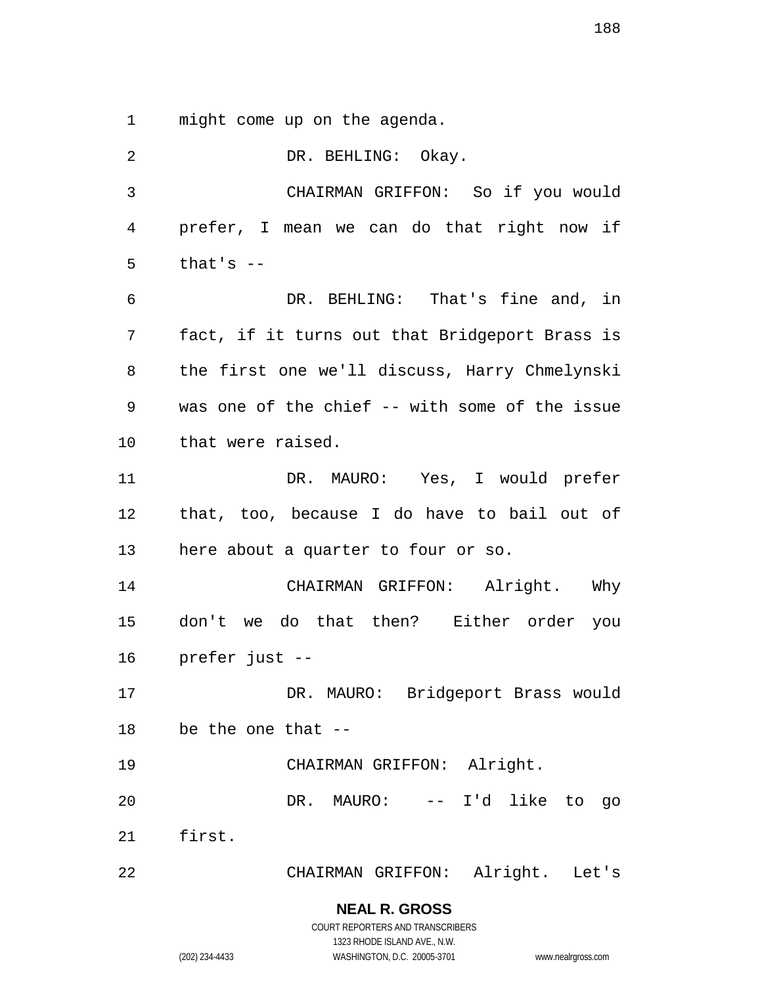might come up on the agenda.

| 2  | DR. BEHLING: Okay.                             |
|----|------------------------------------------------|
| 3  | CHAIRMAN GRIFFON: So if you would              |
| 4  | prefer, I mean we can do that right now if     |
| 5  | that's $-$                                     |
| 6  | DR. BEHLING: That's fine and, in               |
| 7  | fact, if it turns out that Bridgeport Brass is |
| 8  | the first one we'll discuss, Harry Chmelynski  |
| 9  | was one of the chief -- with some of the issue |
| 10 | that were raised.                              |
| 11 | DR. MAURO: Yes, I would prefer                 |
| 12 | that, too, because I do have to bail out of    |
| 13 | here about a quarter to four or so.            |
| 14 | CHAIRMAN GRIFFON: Alright. Why                 |
| 15 | don't we do that then? Either order you        |
| 16 | prefer just --                                 |
| 17 | DR. MAURO: Bridgeport Brass would              |
|    | 18 be the one that --                          |
| 19 | CHAIRMAN GRIFFON: Alright.                     |
| 20 | DR. MAURO: -- I'd like to<br>go                |
|    | 21 first.                                      |
| 22 | CHAIRMAN GRIFFON: Alright. Let's               |
|    | <b>NEAL R. GROSS</b>                           |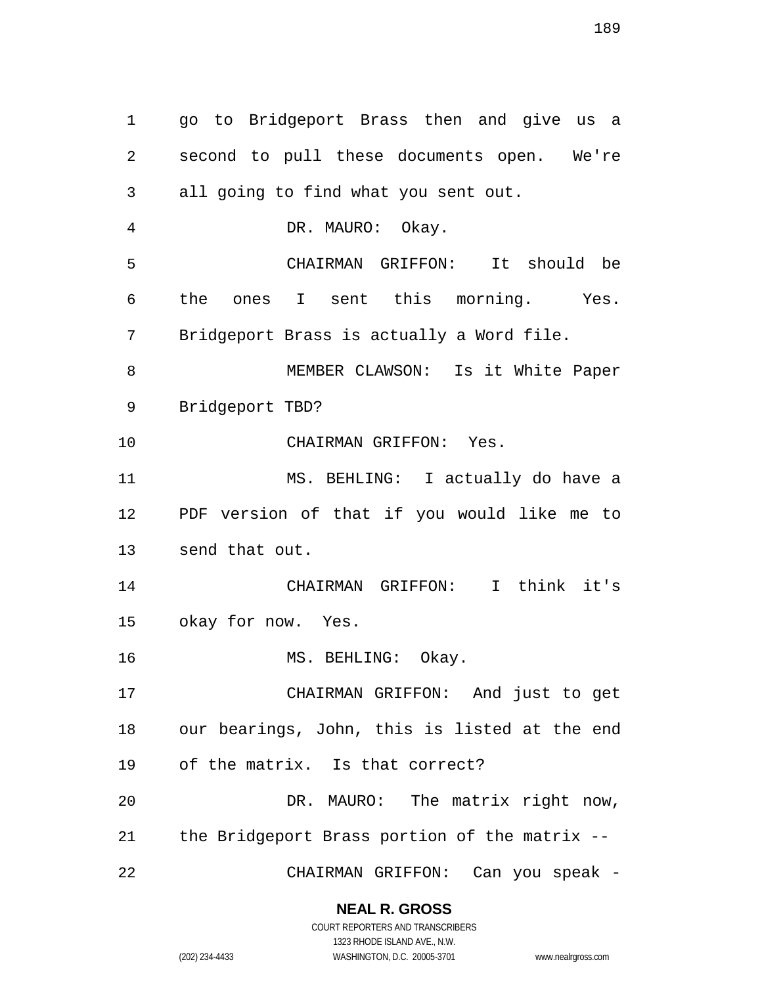go to Bridgeport Brass then and give us a second to pull these documents open. We're all going to find what you sent out. DR. MAURO: Okay. CHAIRMAN GRIFFON: It should be the ones I sent this morning. Yes. Bridgeport Brass is actually a Word file. MEMBER CLAWSON: Is it White Paper Bridgeport TBD? CHAIRMAN GRIFFON: Yes. MS. BEHLING: I actually do have a PDF version of that if you would like me to send that out. CHAIRMAN GRIFFON: I think it's okay for now. Yes. 16 MS. BEHLING: Okay. CHAIRMAN GRIFFON: And just to get our bearings, John, this is listed at the end of the matrix. Is that correct? DR. MAURO: The matrix right now, the Bridgeport Brass portion of the matrix -- CHAIRMAN GRIFFON: Can you speak -

#### **NEAL R. GROSS**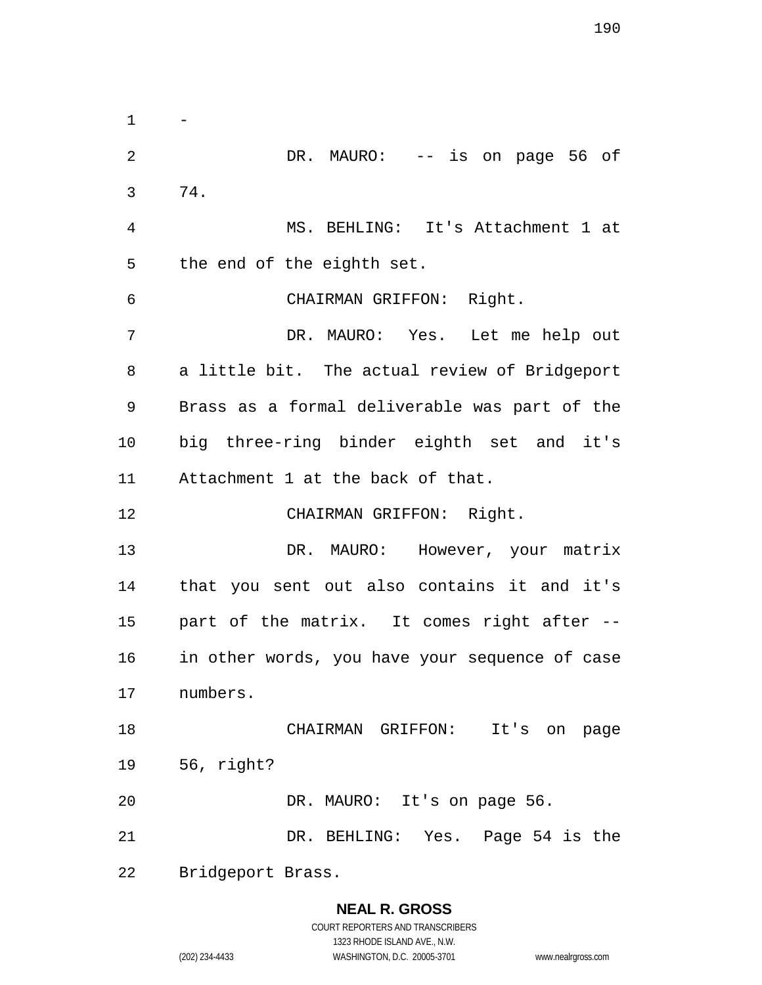$\mathbf{1}$ 2 DR. MAURO: -- is on page 56 of 74. MS. BEHLING: It's Attachment 1 at the end of the eighth set. CHAIRMAN GRIFFON: Right. DR. MAURO: Yes. Let me help out a little bit. The actual review of Bridgeport Brass as a formal deliverable was part of the big three-ring binder eighth set and it's Attachment 1 at the back of that. CHAIRMAN GRIFFON: Right. 13 DR. MAURO: However, your matrix that you sent out also contains it and it's part of the matrix. It comes right after -- in other words, you have your sequence of case numbers. CHAIRMAN GRIFFON: It's on page 56, right? DR. MAURO: It's on page 56. DR. BEHLING: Yes. Page 54 is the Bridgeport Brass.

## **NEAL R. GROSS** COURT REPORTERS AND TRANSCRIBERS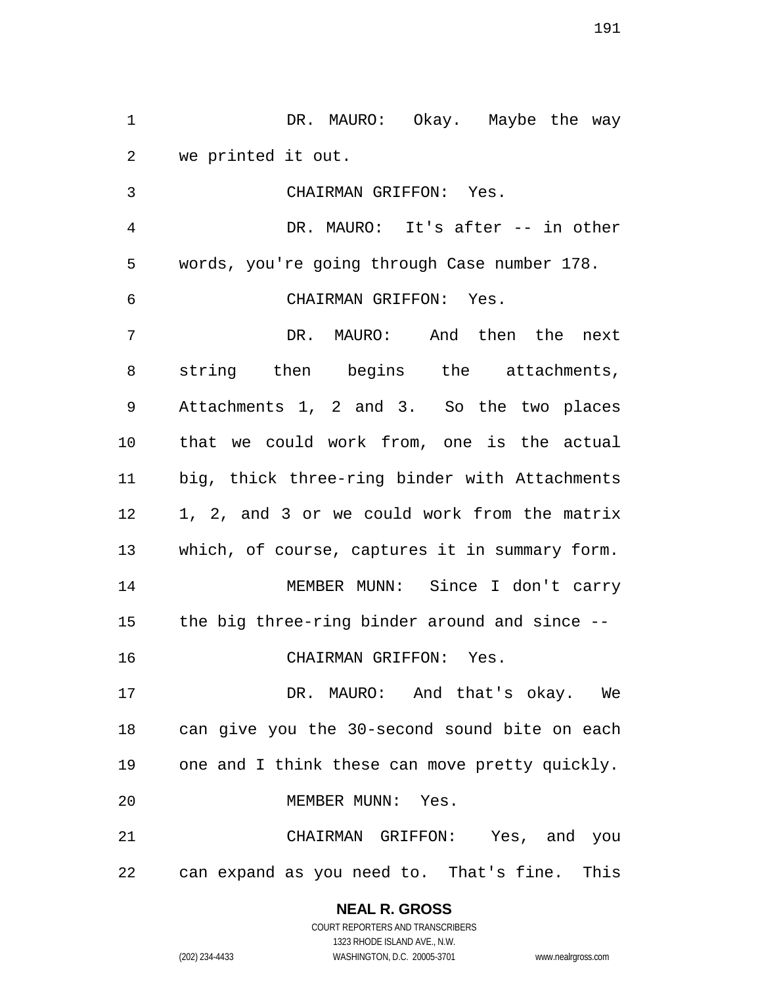1 DR. MAURO: Okay. Maybe the way we printed it out.

 CHAIRMAN GRIFFON: Yes. DR. MAURO: It's after -- in other words, you're going through Case number 178. CHAIRMAN GRIFFON: Yes. DR. MAURO: And then the next string then begins the attachments, Attachments 1, 2 and 3. So the two places that we could work from, one is the actual big, thick three-ring binder with Attachments 1, 2, and 3 or we could work from the matrix which, of course, captures it in summary form. MEMBER MUNN: Since I don't carry the big three-ring binder around and since -- CHAIRMAN GRIFFON: Yes. DR. MAURO: And that's okay. We can give you the 30-second sound bite on each one and I think these can move pretty quickly. MEMBER MUNN: Yes.

 CHAIRMAN GRIFFON: Yes, and you can expand as you need to. That's fine. This

# **NEAL R. GROSS**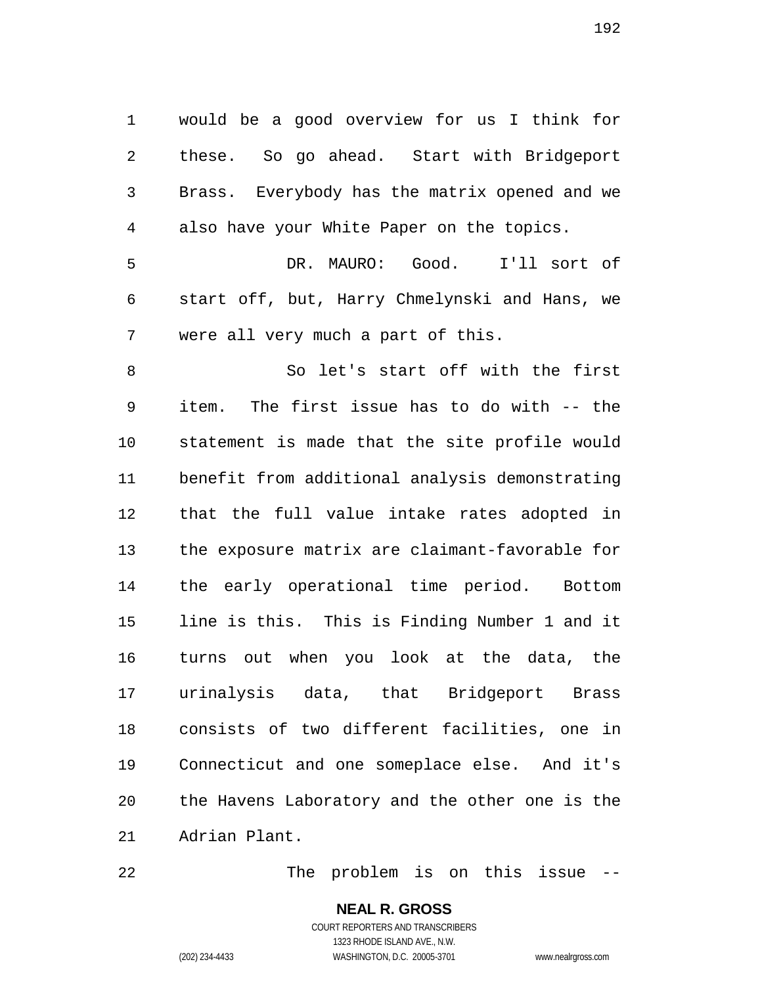would be a good overview for us I think for these. So go ahead. Start with Bridgeport Brass. Everybody has the matrix opened and we also have your White Paper on the topics.

 DR. MAURO: Good. I'll sort of start off, but, Harry Chmelynski and Hans, we were all very much a part of this.

 So let's start off with the first item. The first issue has to do with -- the statement is made that the site profile would benefit from additional analysis demonstrating that the full value intake rates adopted in the exposure matrix are claimant-favorable for the early operational time period. Bottom line is this. This is Finding Number 1 and it turns out when you look at the data, the urinalysis data, that Bridgeport Brass consists of two different facilities, one in Connecticut and one someplace else. And it's the Havens Laboratory and the other one is the Adrian Plant.

The problem is on this issue --

## **NEAL R. GROSS** COURT REPORTERS AND TRANSCRIBERS 1323 RHODE ISLAND AVE., N.W.

(202) 234-4433 WASHINGTON, D.C. 20005-3701 www.nealrgross.com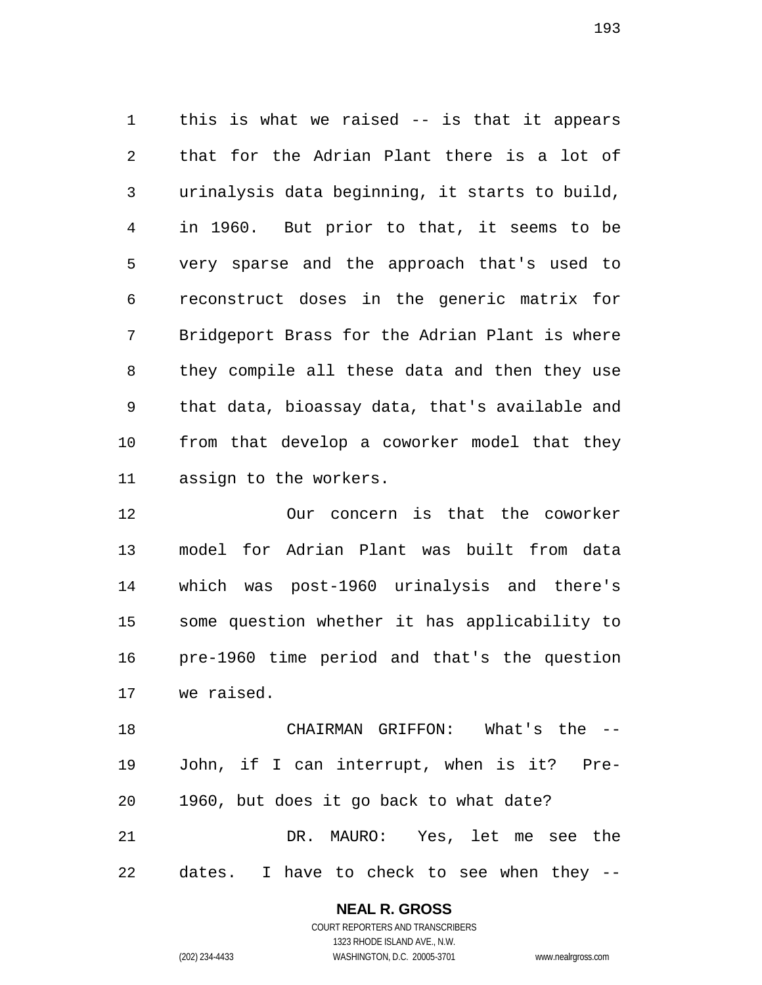this is what we raised -- is that it appears that for the Adrian Plant there is a lot of urinalysis data beginning, it starts to build, in 1960. But prior to that, it seems to be very sparse and the approach that's used to reconstruct doses in the generic matrix for Bridgeport Brass for the Adrian Plant is where they compile all these data and then they use that data, bioassay data, that's available and from that develop a coworker model that they assign to the workers.

 Our concern is that the coworker model for Adrian Plant was built from data which was post-1960 urinalysis and there's some question whether it has applicability to pre-1960 time period and that's the question we raised.

 CHAIRMAN GRIFFON: What's the -- John, if I can interrupt, when is it? Pre- 1960, but does it go back to what date? DR. MAURO: Yes, let me see the dates. I have to check to see when they --

> **NEAL R. GROSS** COURT REPORTERS AND TRANSCRIBERS

> > 1323 RHODE ISLAND AVE., N.W.

(202) 234-4433 WASHINGTON, D.C. 20005-3701 www.nealrgross.com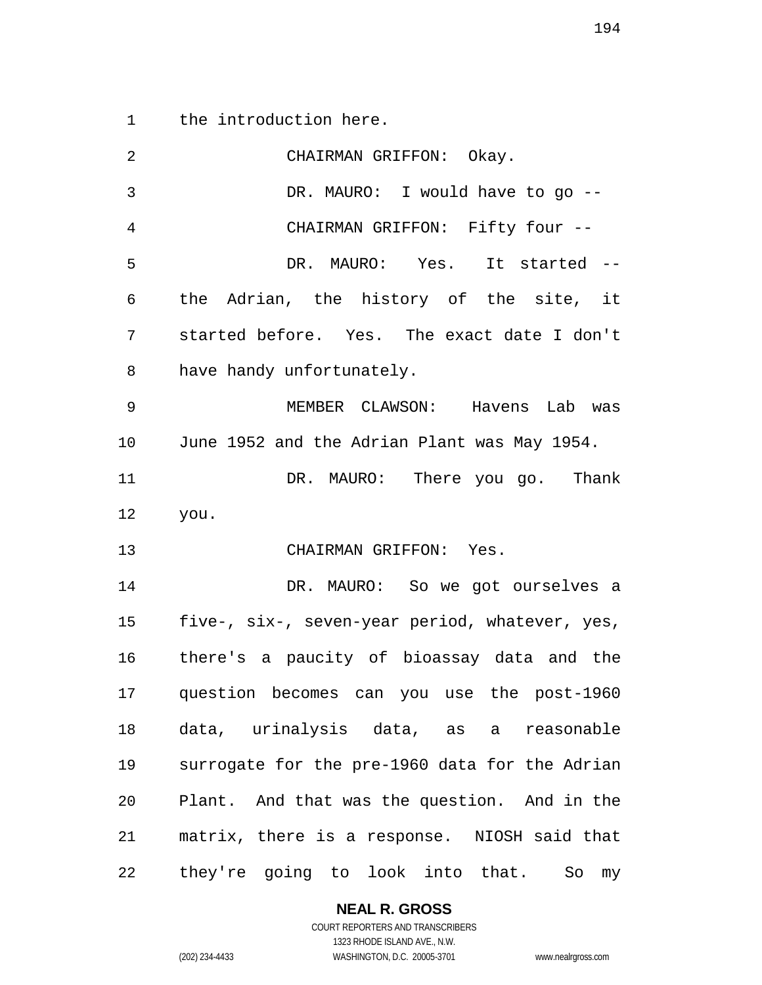the introduction here.

| 2  | CHAIRMAN GRIFFON: Okay.                        |
|----|------------------------------------------------|
| 3  | DR. MAURO: I would have to go --               |
| 4  | CHAIRMAN GRIFFON: Fifty four --                |
| 5  | DR. MAURO: Yes. It started --                  |
| 6  | the Adrian, the history of the site, it        |
| 7  | started before. Yes. The exact date I don't    |
| 8  | have handy unfortunately.                      |
| 9  | MEMBER CLAWSON: Havens Lab was                 |
| 10 | June 1952 and the Adrian Plant was May 1954.   |
| 11 | DR. MAURO: There you go. Thank                 |
| 12 | you.                                           |
| 13 | CHAIRMAN GRIFFON: Yes.                         |
| 14 | DR. MAURO: So we got ourselves a               |
| 15 | five-, six-, seven-year period, whatever, yes, |
| 16 | there's a paucity of bioassay data and the     |
| 17 | question becomes can you use the post-1960     |
| 18 | data, urinalysis data, as a reasonable         |
| 19 | surrogate for the pre-1960 data for the Adrian |
| 20 | Plant. And that was the question. And in the   |
| 21 | matrix, there is a response. NIOSH said that   |
| 22 | they're going to look into that.<br>So<br>my   |

1323 RHODE ISLAND AVE., N.W. (202) 234-4433 WASHINGTON, D.C. 20005-3701 www.nealrgross.com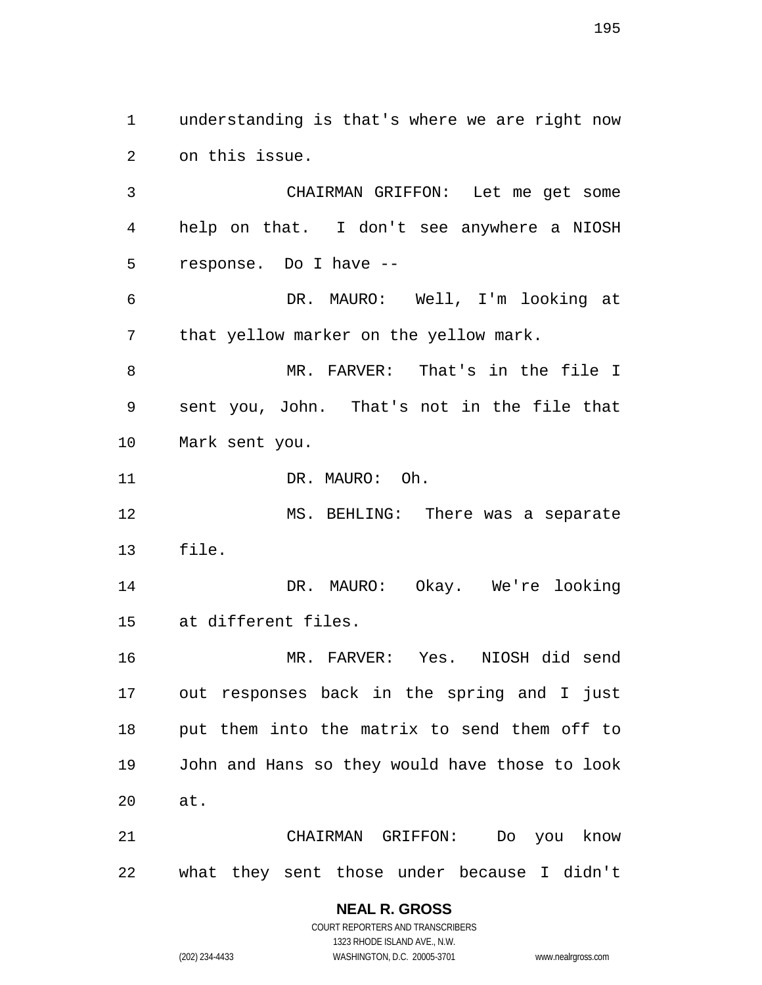understanding is that's where we are right now on this issue. CHAIRMAN GRIFFON: Let me get some help on that. I don't see anywhere a NIOSH response. Do I have -- DR. MAURO: Well, I'm looking at that yellow marker on the yellow mark. MR. FARVER: That's in the file I sent you, John. That's not in the file that Mark sent you. DR. MAURO: Oh. MS. BEHLING: There was a separate file. DR. MAURO: Okay. We're looking at different files. MR. FARVER: Yes. NIOSH did send out responses back in the spring and I just put them into the matrix to send them off to John and Hans so they would have those to look at. CHAIRMAN GRIFFON: Do you know what they sent those under because I didn't

## **NEAL R. GROSS**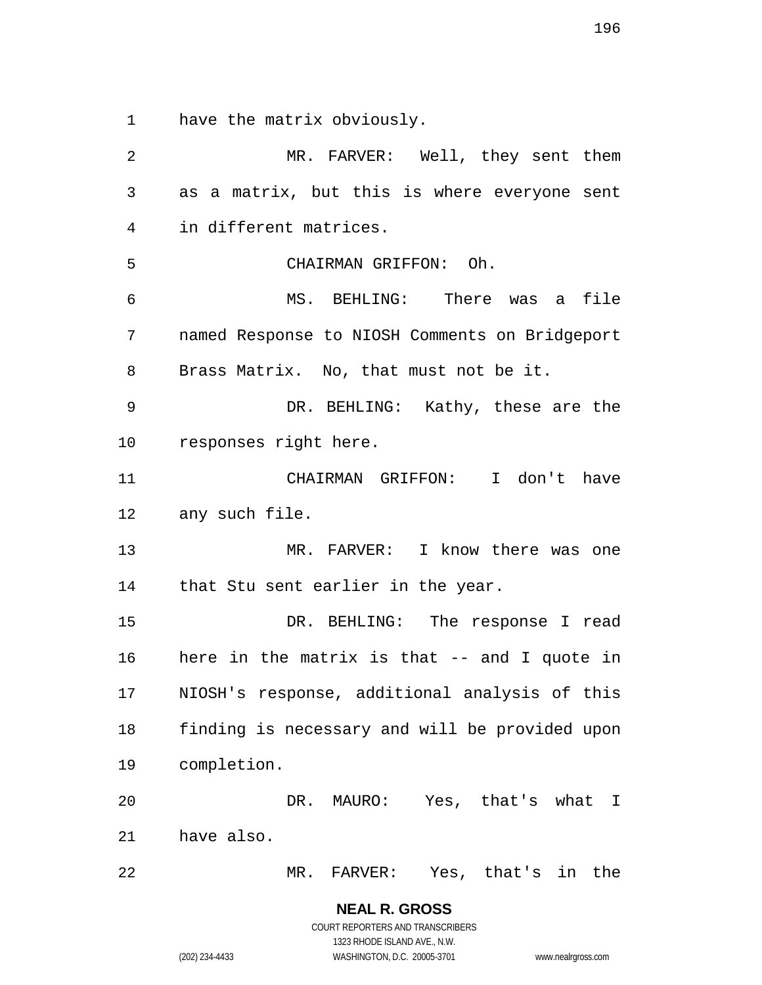have the matrix obviously.

 MR. FARVER: Well, they sent them as a matrix, but this is where everyone sent in different matrices. CHAIRMAN GRIFFON: Oh. MS. BEHLING: There was a file named Response to NIOSH Comments on Bridgeport Brass Matrix. No, that must not be it. DR. BEHLING: Kathy, these are the responses right here. CHAIRMAN GRIFFON: I don't have any such file. 13 MR. FARVER: I know there was one that Stu sent earlier in the year. DR. BEHLING: The response I read here in the matrix is that -- and I quote in NIOSH's response, additional analysis of this finding is necessary and will be provided upon completion. DR. MAURO: Yes, that's what I have also. MR. FARVER: Yes, that's in the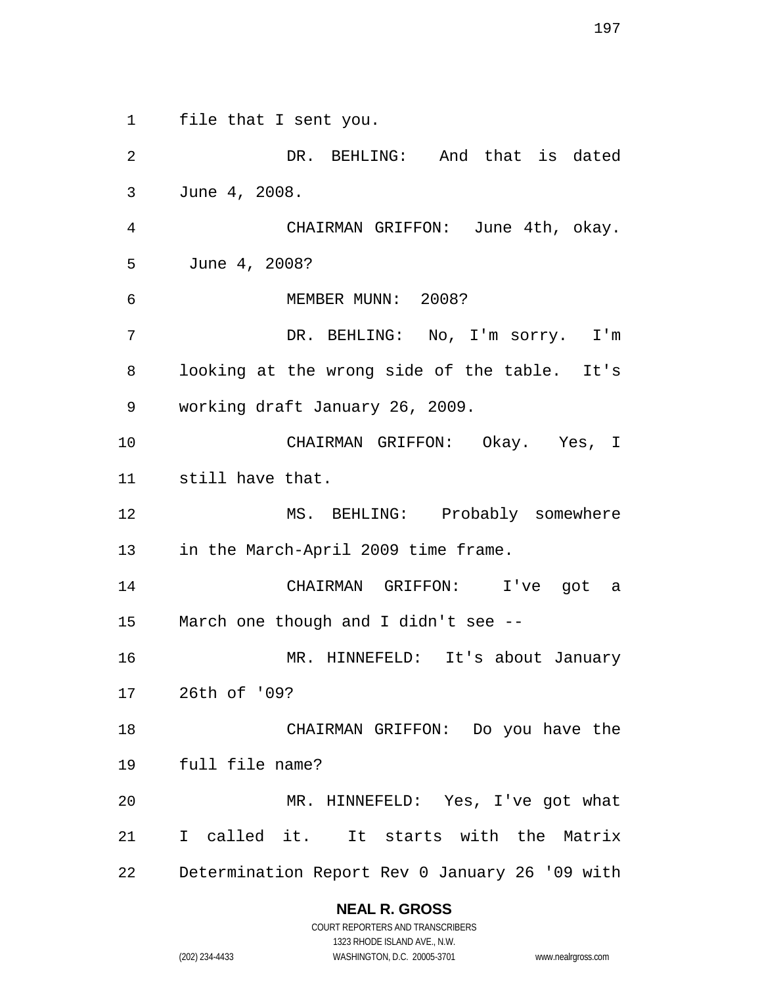file that I sent you. DR. BEHLING: And that is dated June 4, 2008. CHAIRMAN GRIFFON: June 4th, okay. June 4, 2008? MEMBER MUNN: 2008? DR. BEHLING: No, I'm sorry. I'm looking at the wrong side of the table. It's working draft January 26, 2009. CHAIRMAN GRIFFON: Okay. Yes, I still have that. 12 MS. BEHLING: Probably somewhere in the March-April 2009 time frame. CHAIRMAN GRIFFON: I've got a March one though and I didn't see -- MR. HINNEFELD: It's about January 26th of '09? CHAIRMAN GRIFFON: Do you have the full file name? MR. HINNEFELD: Yes, I've got what I called it. It starts with the Matrix

Determination Report Rev 0 January 26 '09 with

#### **NEAL R. GROSS**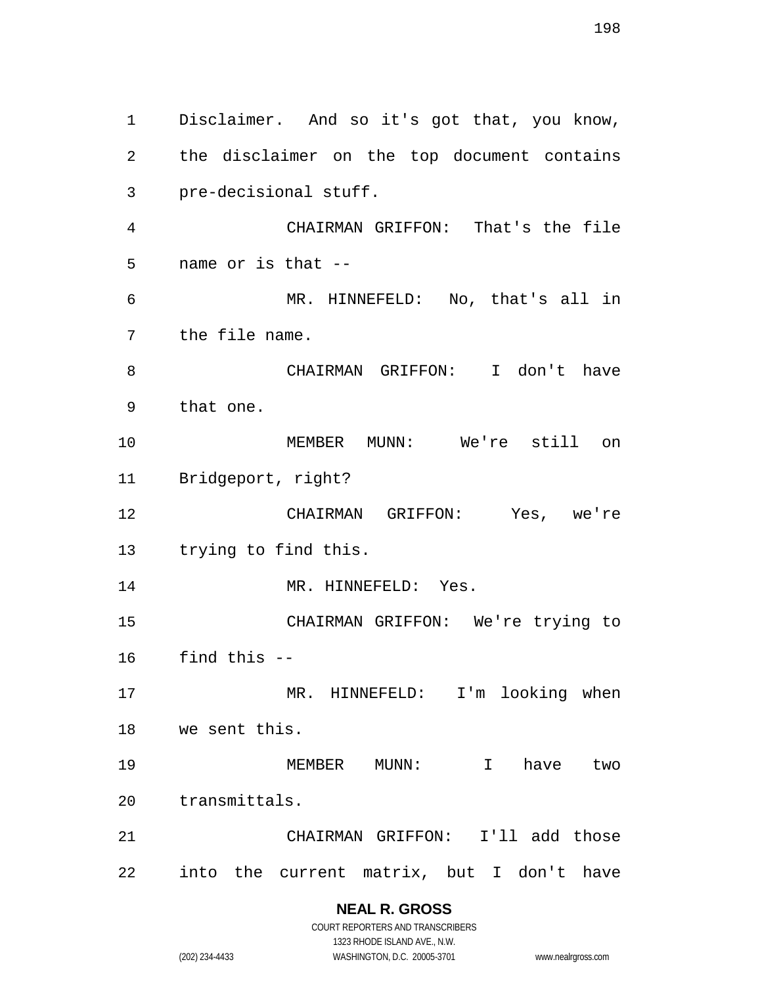Disclaimer. And so it's got that, you know, the disclaimer on the top document contains pre-decisional stuff. CHAIRMAN GRIFFON: That's the file name or is that -- MR. HINNEFELD: No, that's all in the file name. CHAIRMAN GRIFFON: I don't have that one. MEMBER MUNN: We're still on Bridgeport, right? CHAIRMAN GRIFFON: Yes, we're trying to find this. 14 MR. HINNEFELD: Yes. CHAIRMAN GRIFFON: We're trying to find this -- MR. HINNEFELD: I'm looking when we sent this. 19 MEMBER MUNN: I have two transmittals. CHAIRMAN GRIFFON: I'll add those into the current matrix, but I don't have

### **NEAL R. GROSS** COURT REPORTERS AND TRANSCRIBERS

1323 RHODE ISLAND AVE., N.W.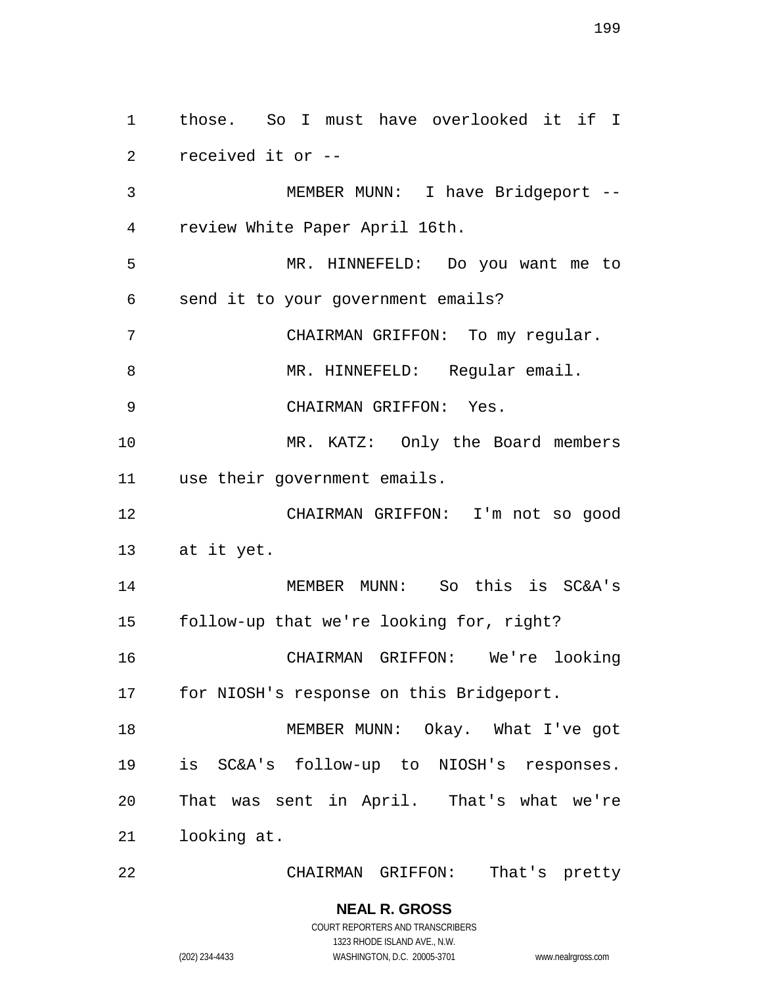those. So I must have overlooked it if I received it or -- MEMBER MUNN: I have Bridgeport -- review White Paper April 16th. MR. HINNEFELD: Do you want me to send it to your government emails? CHAIRMAN GRIFFON: To my regular. 8 MR. HINNEFELD: Reqular email. CHAIRMAN GRIFFON: Yes. 10 MR. KATZ: Only the Board members use their government emails. CHAIRMAN GRIFFON: I'm not so good at it yet. MEMBER MUNN: So this is SC&A's follow-up that we're looking for, right? CHAIRMAN GRIFFON: We're looking for NIOSH's response on this Bridgeport. 18 MEMBER MUNN: Okay. What I've got is SC&A's follow-up to NIOSH's responses. That was sent in April. That's what we're looking at.

CHAIRMAN GRIFFON: That's pretty

1323 RHODE ISLAND AVE., N.W.

(202) 234-4433 WASHINGTON, D.C. 20005-3701 www.nealrgross.com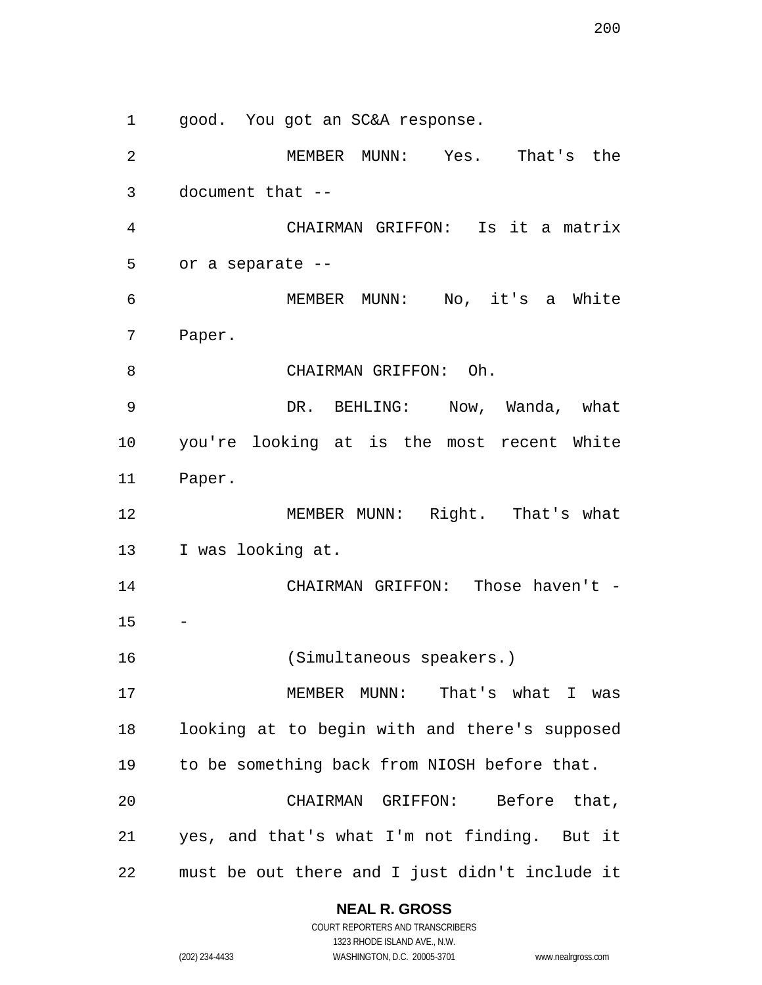good. You got an SC&A response. MEMBER MUNN: Yes. That's the document that -- CHAIRMAN GRIFFON: Is it a matrix or a separate -- MEMBER MUNN: No, it's a White Paper. CHAIRMAN GRIFFON: Oh. DR. BEHLING: Now, Wanda, what you're looking at is the most recent White Paper. 12 MEMBER MUNN: Right. That's what I was looking at. 14 CHAIRMAN GRIFFON: Those haven't - (Simultaneous speakers.) MEMBER MUNN: That's what I was looking at to begin with and there's supposed to be something back from NIOSH before that. CHAIRMAN GRIFFON: Before that, yes, and that's what I'm not finding. But it

must be out there and I just didn't include it

#### **NEAL R. GROSS**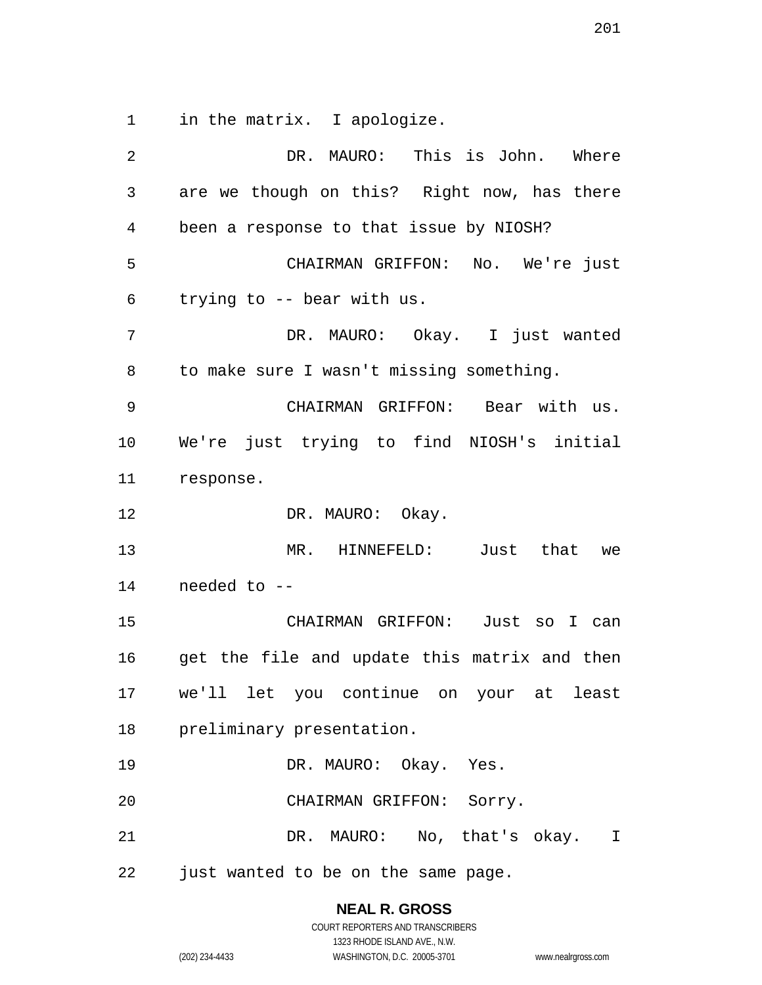in the matrix. I apologize.

 DR. MAURO: This is John. Where are we though on this? Right now, has there been a response to that issue by NIOSH? CHAIRMAN GRIFFON: No. We're just trying to -- bear with us. DR. MAURO: Okay. I just wanted to make sure I wasn't missing something. CHAIRMAN GRIFFON: Bear with us. We're just trying to find NIOSH's initial response. 12 DR. MAURO: Okay. MR. HINNEFELD: Just that we needed to -- CHAIRMAN GRIFFON: Just so I can get the file and update this matrix and then we'll let you continue on your at least preliminary presentation. DR. MAURO: Okay. Yes. CHAIRMAN GRIFFON: Sorry. DR. MAURO: No, that's okay. I just wanted to be on the same page.

> **NEAL R. GROSS** COURT REPORTERS AND TRANSCRIBERS

1323 RHODE ISLAND AVE., N.W. (202) 234-4433 WASHINGTON, D.C. 20005-3701 www.nealrgross.com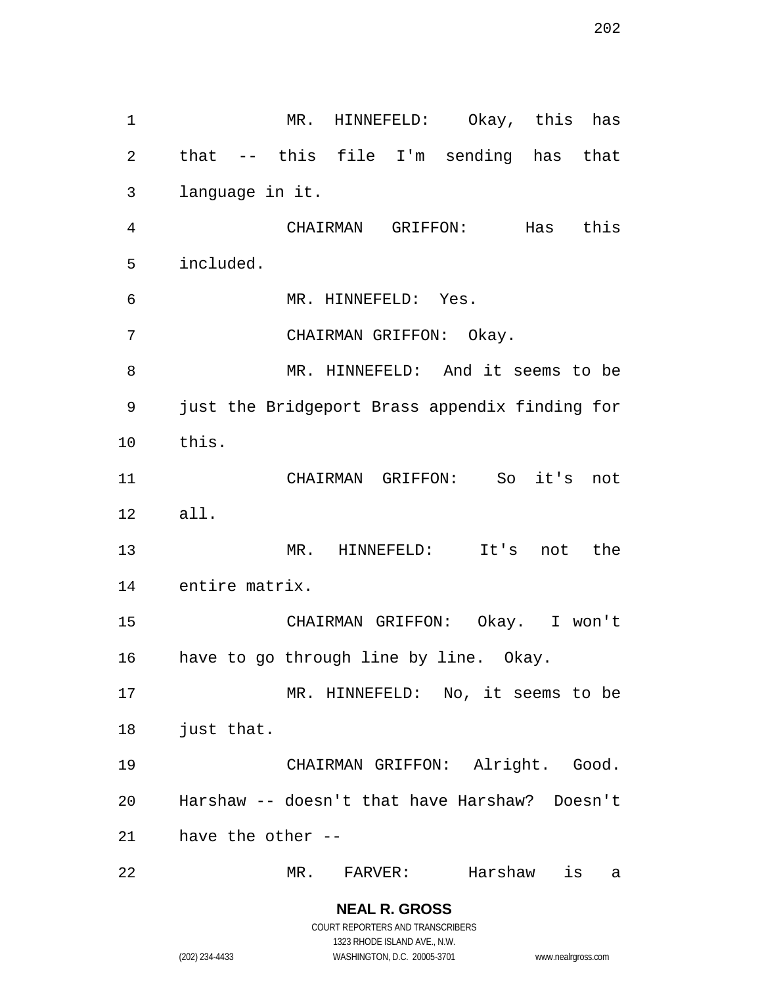MR. HINNEFELD: Okay, this has that -- this file I'm sending has that language in it. CHAIRMAN GRIFFON: Has this included. MR. HINNEFELD: Yes. CHAIRMAN GRIFFON: Okay. MR. HINNEFELD: And it seems to be just the Bridgeport Brass appendix finding for this. CHAIRMAN GRIFFON: So it's not all. MR. HINNEFELD: It's not the entire matrix. CHAIRMAN GRIFFON: Okay. I won't have to go through line by line. Okay. MR. HINNEFELD: No, it seems to be just that. CHAIRMAN GRIFFON: Alright. Good. Harshaw -- doesn't that have Harshaw? Doesn't have the other -- MR. FARVER: Harshaw is a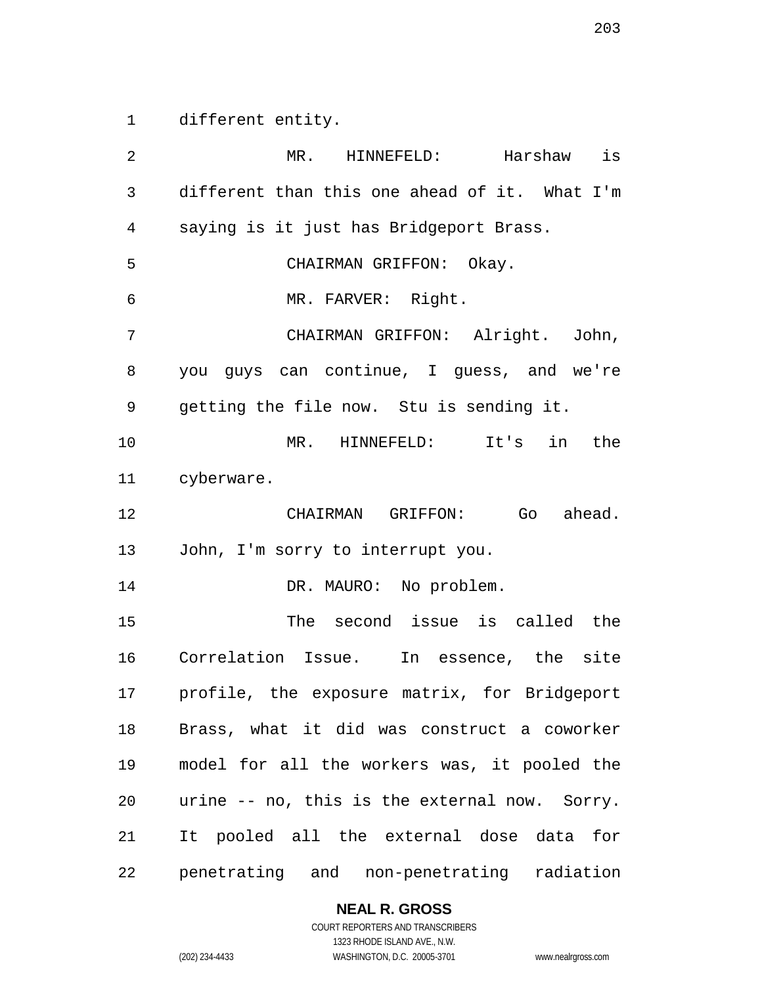different entity.

 MR. HINNEFELD: Harshaw is different than this one ahead of it. What I'm saying is it just has Bridgeport Brass. CHAIRMAN GRIFFON: Okay. MR. FARVER: Right. CHAIRMAN GRIFFON: Alright. John, you guys can continue, I guess, and we're getting the file now. Stu is sending it. MR. HINNEFELD: It's in the cyberware. CHAIRMAN GRIFFON: Go ahead. John, I'm sorry to interrupt you. 14 DR. MAURO: No problem. The second issue is called the Correlation Issue. In essence, the site profile, the exposure matrix, for Bridgeport Brass, what it did was construct a coworker model for all the workers was, it pooled the urine -- no, this is the external now. Sorry. It pooled all the external dose data for penetrating and non-penetrating radiation

#### **NEAL R. GROSS**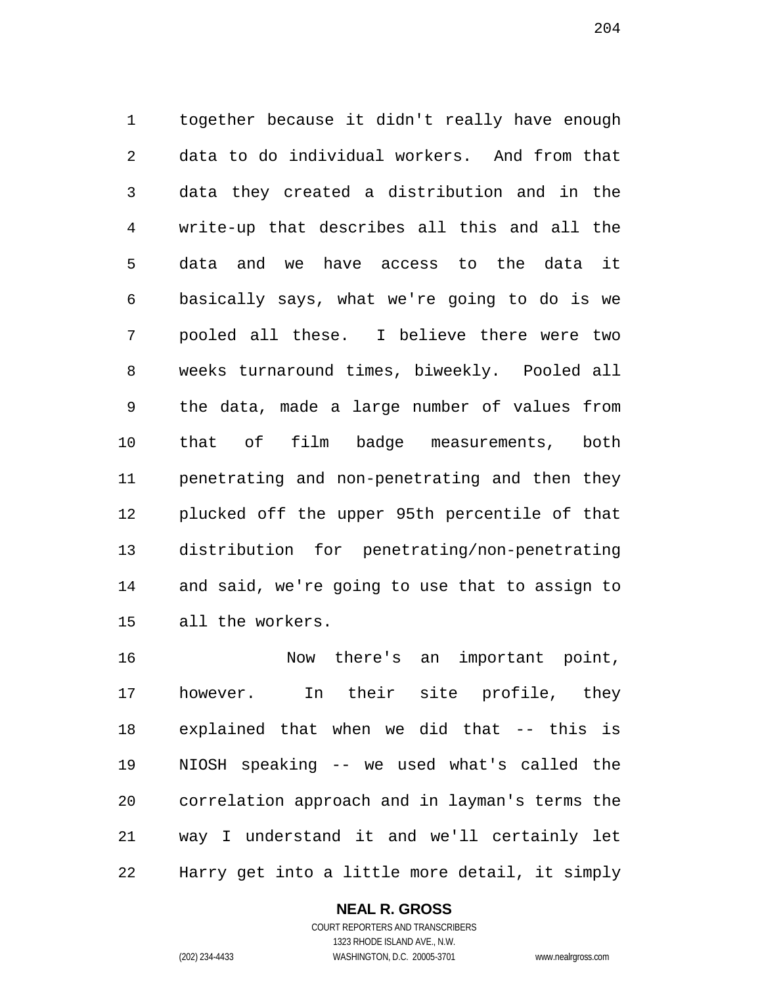together because it didn't really have enough data to do individual workers. And from that data they created a distribution and in the write-up that describes all this and all the data and we have access to the data it basically says, what we're going to do is we pooled all these. I believe there were two weeks turnaround times, biweekly. Pooled all the data, made a large number of values from that of film badge measurements, both penetrating and non-penetrating and then they plucked off the upper 95th percentile of that distribution for penetrating/non-penetrating and said, we're going to use that to assign to all the workers.

 Now there's an important point, however. In their site profile, they explained that when we did that -- this is NIOSH speaking -- we used what's called the correlation approach and in layman's terms the way I understand it and we'll certainly let Harry get into a little more detail, it simply

#### **NEAL R. GROSS**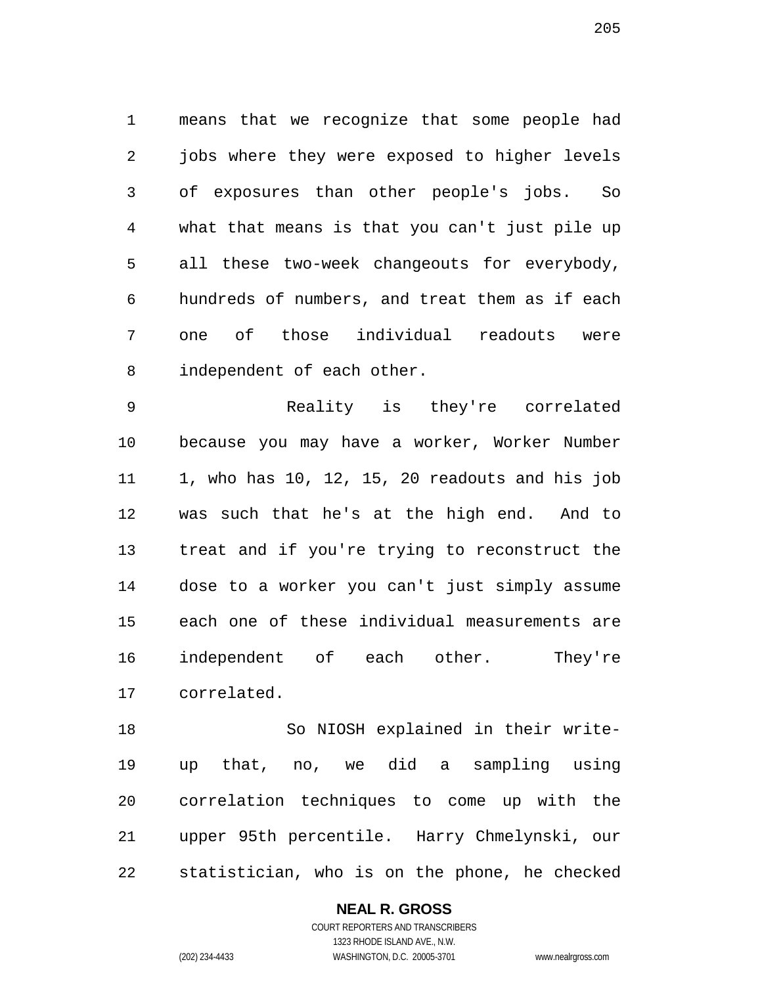means that we recognize that some people had jobs where they were exposed to higher levels of exposures than other people's jobs. So what that means is that you can't just pile up all these two-week changeouts for everybody, hundreds of numbers, and treat them as if each one of those individual readouts were independent of each other.

 Reality is they're correlated because you may have a worker, Worker Number 1, who has 10, 12, 15, 20 readouts and his job was such that he's at the high end. And to treat and if you're trying to reconstruct the dose to a worker you can't just simply assume each one of these individual measurements are independent of each other. They're correlated.

 So NIOSH explained in their write- up that, no, we did a sampling using correlation techniques to come up with the upper 95th percentile. Harry Chmelynski, our statistician, who is on the phone, he checked

**NEAL R. GROSS**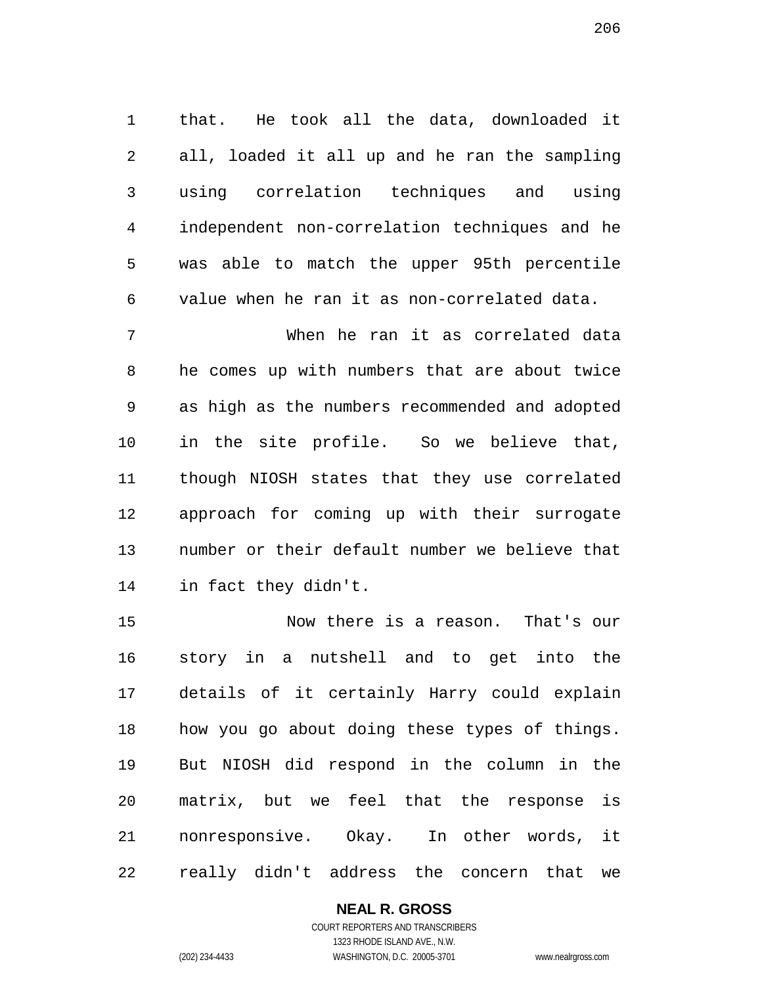that. He took all the data, downloaded it all, loaded it all up and he ran the sampling using correlation techniques and using independent non-correlation techniques and he was able to match the upper 95th percentile value when he ran it as non-correlated data.

 When he ran it as correlated data he comes up with numbers that are about twice as high as the numbers recommended and adopted in the site profile. So we believe that, though NIOSH states that they use correlated approach for coming up with their surrogate number or their default number we believe that in fact they didn't.

 Now there is a reason. That's our story in a nutshell and to get into the details of it certainly Harry could explain how you go about doing these types of things. But NIOSH did respond in the column in the matrix, but we feel that the response is nonresponsive. Okay. In other words, it really didn't address the concern that we

#### **NEAL R. GROSS** COURT REPORTERS AND TRANSCRIBERS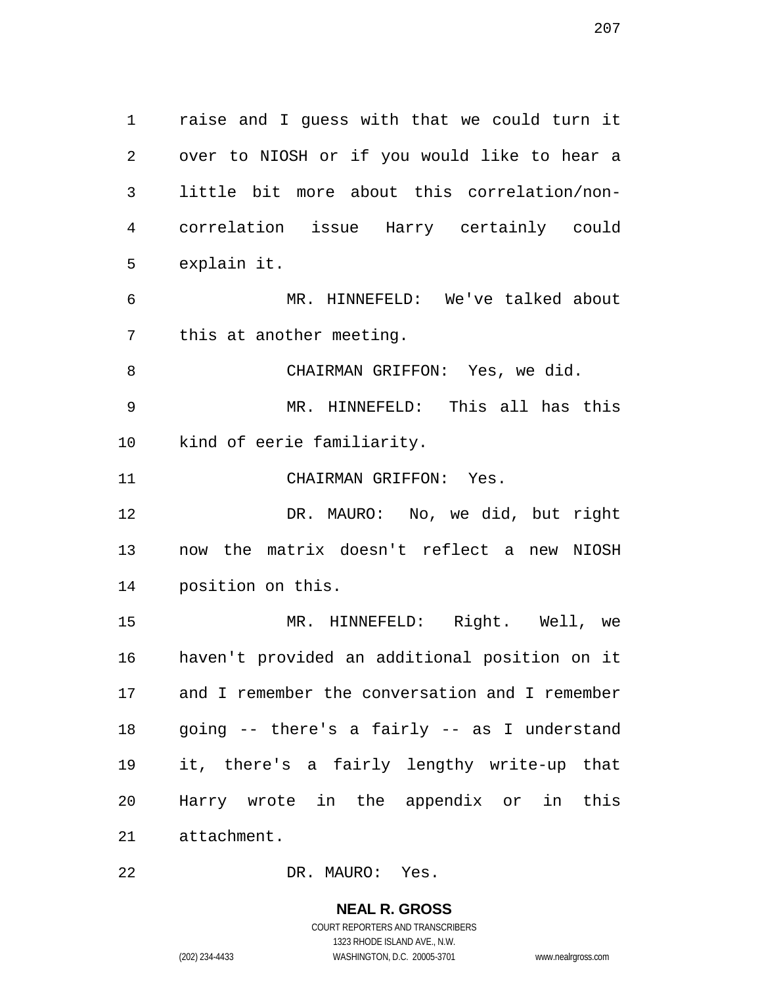raise and I guess with that we could turn it over to NIOSH or if you would like to hear a little bit more about this correlation/non- correlation issue Harry certainly could explain it.

 MR. HINNEFELD: We've talked about this at another meeting.

CHAIRMAN GRIFFON: Yes, we did.

 MR. HINNEFELD: This all has this kind of eerie familiarity.

CHAIRMAN GRIFFON: Yes.

 DR. MAURO: No, we did, but right now the matrix doesn't reflect a new NIOSH position on this.

 MR. HINNEFELD: Right. Well, we haven't provided an additional position on it and I remember the conversation and I remember going -- there's a fairly -- as I understand it, there's a fairly lengthy write-up that Harry wrote in the appendix or in this attachment.

DR. MAURO: Yes.

**NEAL R. GROSS** COURT REPORTERS AND TRANSCRIBERS 1323 RHODE ISLAND AVE., N.W.

(202) 234-4433 WASHINGTON, D.C. 20005-3701 www.nealrgross.com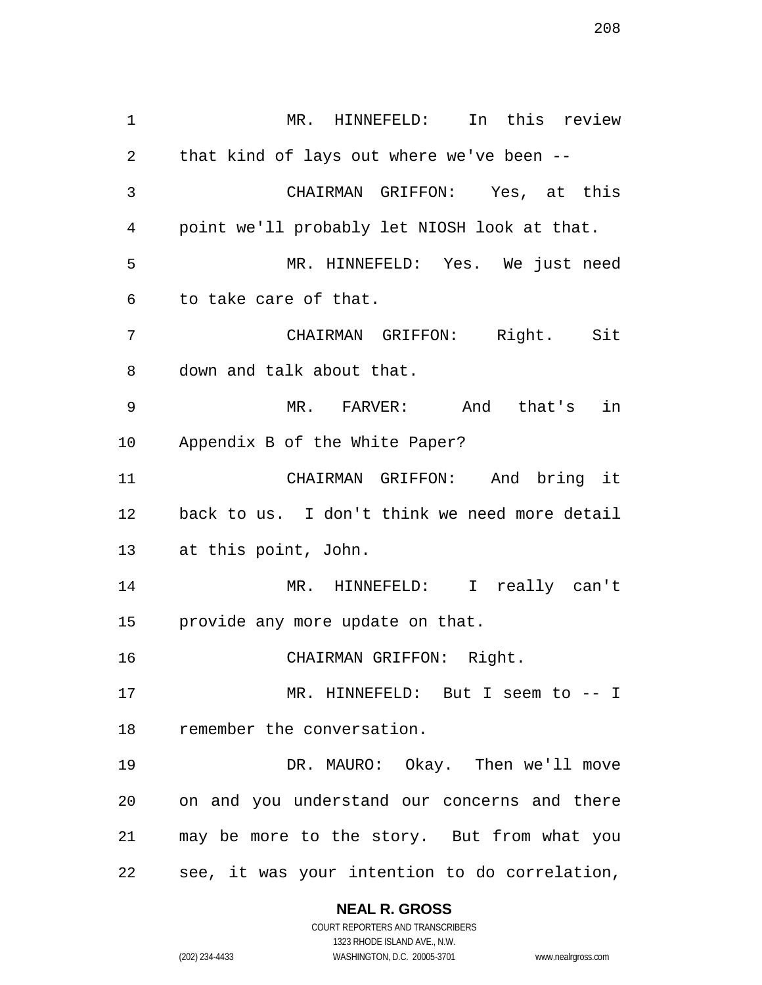MR. HINNEFELD: In this review that kind of lays out where we've been -- CHAIRMAN GRIFFON: Yes, at this point we'll probably let NIOSH look at that. MR. HINNEFELD: Yes. We just need to take care of that. CHAIRMAN GRIFFON: Right. Sit down and talk about that. MR. FARVER: And that's in Appendix B of the White Paper? CHAIRMAN GRIFFON: And bring it back to us. I don't think we need more detail at this point, John. MR. HINNEFELD: I really can't provide any more update on that. CHAIRMAN GRIFFON: Right. MR. HINNEFELD: But I seem to -- I remember the conversation. DR. MAURO: Okay. Then we'll move on and you understand our concerns and there may be more to the story. But from what you see, it was your intention to do correlation,

## **NEAL R. GROSS**

COURT REPORTERS AND TRANSCRIBERS 1323 RHODE ISLAND AVE., N.W. (202) 234-4433 WASHINGTON, D.C. 20005-3701 www.nealrgross.com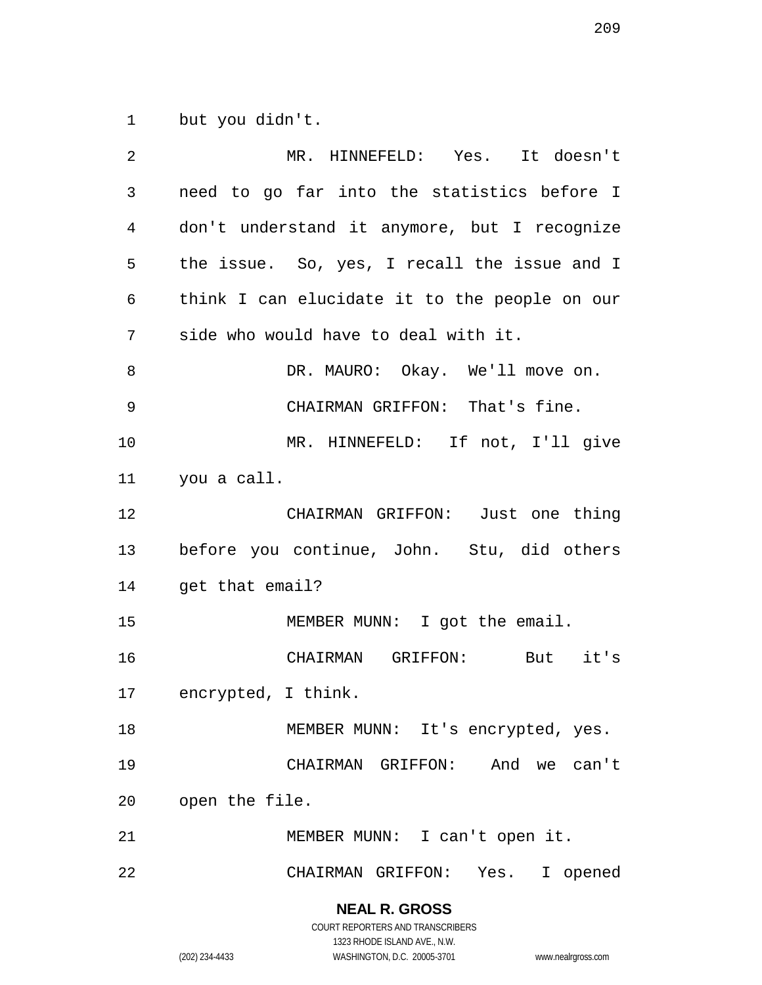but you didn't.

| 2       | MR. HINNEFELD: Yes. It doesn't                |
|---------|-----------------------------------------------|
| 3       | need to go far into the statistics before I   |
| 4       | don't understand it anymore, but I recognize  |
| 5       | the issue. So, yes, I recall the issue and I  |
| 6       | think I can elucidate it to the people on our |
| 7       | side who would have to deal with it.          |
| $\,8\,$ | DR. MAURO: Okay. We'll move on.               |
| 9       | CHAIRMAN GRIFFON: That's fine.                |
| 10      | MR. HINNEFELD: If not, I'll give              |
| 11      | you a call.                                   |
| 12      | CHAIRMAN GRIFFON: Just one thing              |
| 13      | before you continue, John. Stu, did others    |
| 14      | get that email?                               |
| 15      | MEMBER MUNN: I got the email.                 |
| 16      | CHAIRMAN GRIFFON: But it's                    |
| 17      | encrypted, I think.                           |
| 18      | MEMBER MUNN: It's encrypted, yes.             |
| 19      | CHAIRMAN GRIFFON: And we can't                |
| 20      | open the file.                                |
| 21      | MEMBER MUNN: I can't open it.                 |
|         |                                               |

COURT REPORTERS AND TRANSCRIBERS 1323 RHODE ISLAND AVE., N.W.

**NEAL R. GROSS**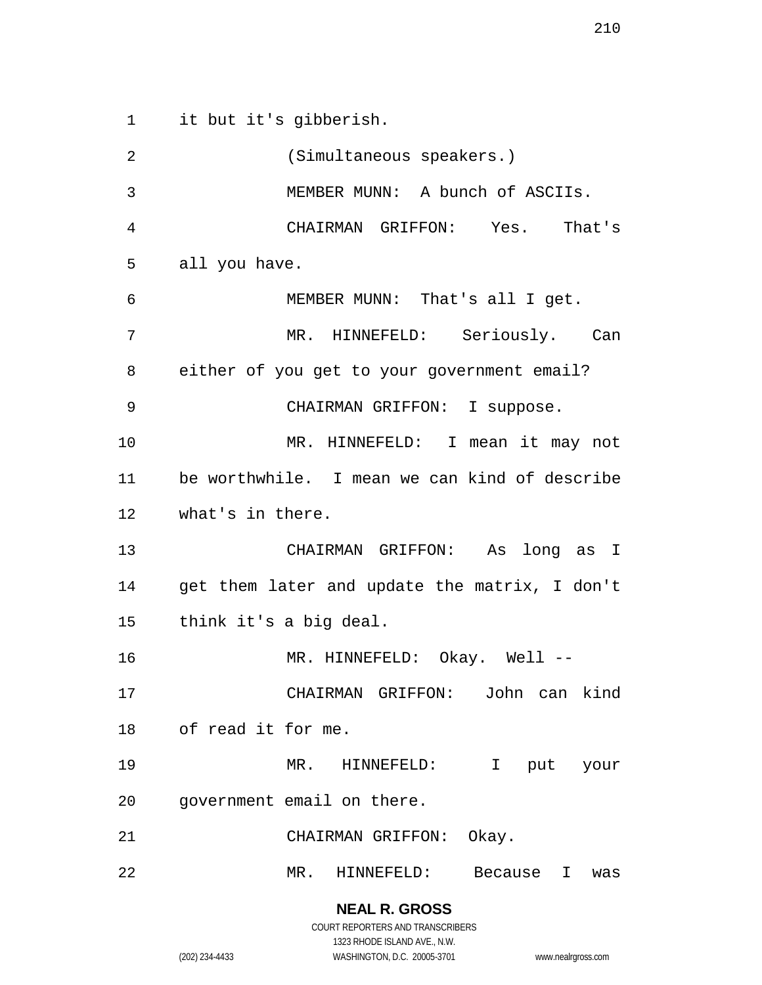it but it's gibberish. (Simultaneous speakers.) MEMBER MUNN: A bunch of ASCIIs. CHAIRMAN GRIFFON: Yes. That's all you have. MEMBER MUNN: That's all I get. MR. HINNEFELD: Seriously. Can either of you get to your government email? CHAIRMAN GRIFFON: I suppose. MR. HINNEFELD: I mean it may not be worthwhile. I mean we can kind of describe what's in there. CHAIRMAN GRIFFON: As long as I get them later and update the matrix, I don't think it's a big deal. 16 MR. HINNEFELD: Okay. Well -- CHAIRMAN GRIFFON: John can kind of read it for me. MR. HINNEFELD: I put your government email on there. CHAIRMAN GRIFFON: Okay. MR. HINNEFELD: Because I was

(202) 234-4433 WASHINGTON, D.C. 20005-3701 www.nealrgross.com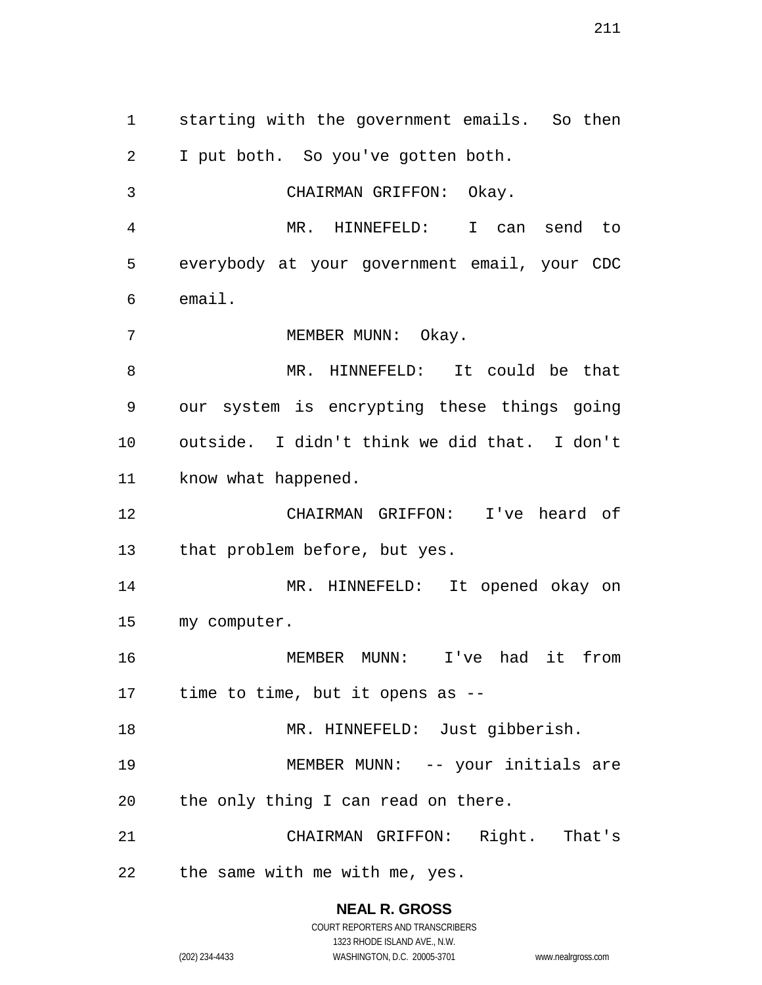starting with the government emails. So then I put both. So you've gotten both. CHAIRMAN GRIFFON: Okay. MR. HINNEFELD: I can send to everybody at your government email, your CDC email. 7 MEMBER MUNN: Okay. MR. HINNEFELD: It could be that our system is encrypting these things going outside. I didn't think we did that. I don't 11 know what happened. CHAIRMAN GRIFFON: I've heard of that problem before, but yes. MR. HINNEFELD: It opened okay on my computer. MEMBER MUNN: I've had it from time to time, but it opens as -- MR. HINNEFELD: Just gibberish. MEMBER MUNN: -- your initials are the only thing I can read on there. CHAIRMAN GRIFFON: Right. That's the same with me with me, yes.

> **NEAL R. GROSS** COURT REPORTERS AND TRANSCRIBERS 1323 RHODE ISLAND AVE., N.W.

(202) 234-4433 WASHINGTON, D.C. 20005-3701 www.nealrgross.com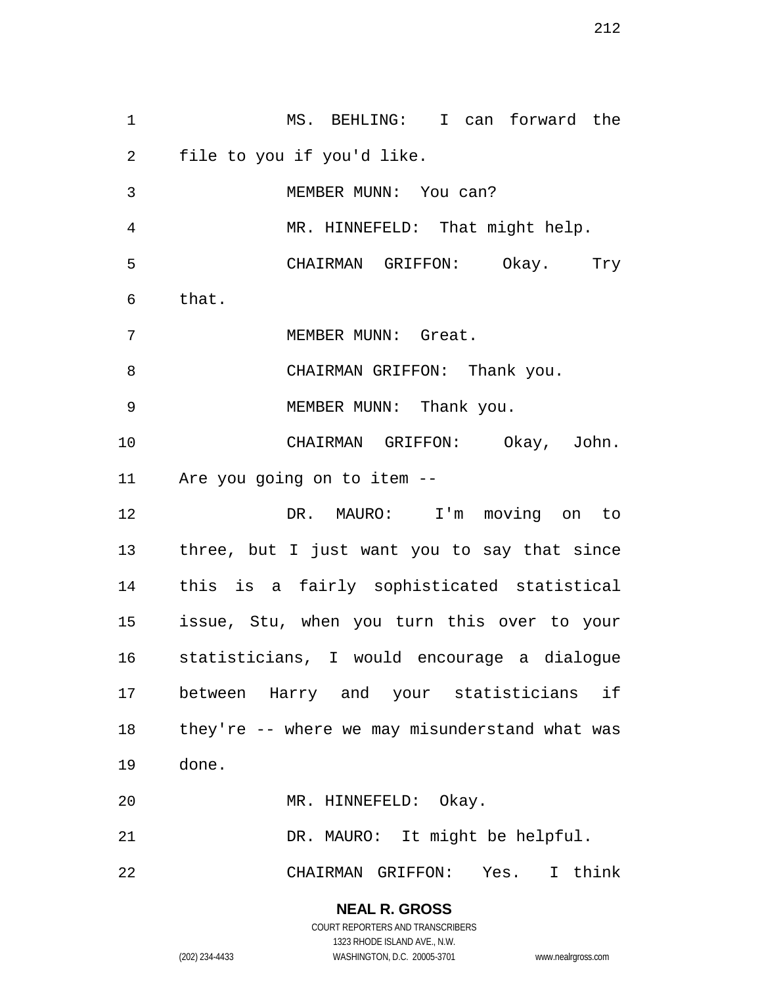MS. BEHLING: I can forward the file to you if you'd like. MEMBER MUNN: You can? MR. HINNEFELD: That might help. CHAIRMAN GRIFFON: Okay. Try that. MEMBER MUNN: Great. 8 CHAIRMAN GRIFFON: Thank you. MEMBER MUNN: Thank you. CHAIRMAN GRIFFON: Okay, John. Are you going on to item -- DR. MAURO: I'm moving on to three, but I just want you to say that since this is a fairly sophisticated statistical issue, Stu, when you turn this over to your statisticians, I would encourage a dialogue between Harry and your statisticians if they're -- where we may misunderstand what was done. MR. HINNEFELD: Okay. DR. MAURO: It might be helpful. CHAIRMAN GRIFFON: Yes. I think

> **NEAL R. GROSS** COURT REPORTERS AND TRANSCRIBERS

1323 RHODE ISLAND AVE., N.W. (202) 234-4433 WASHINGTON, D.C. 20005-3701 www.nealrgross.com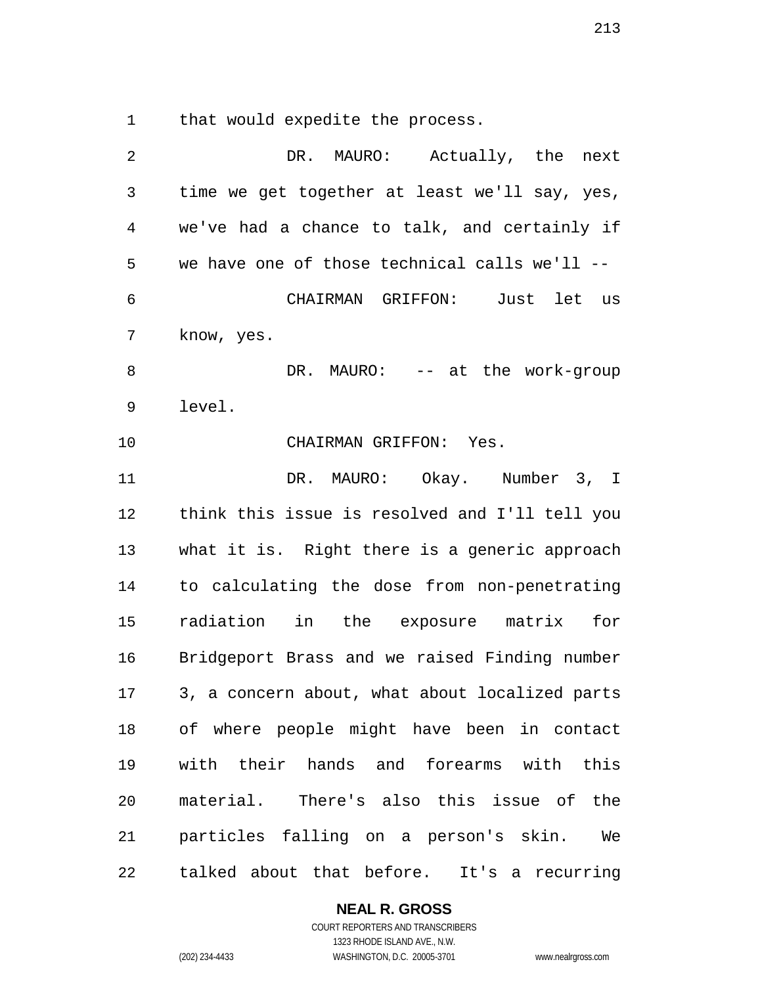that would expedite the process.

| 2              | DR.<br>MAURO: Actually, the next               |
|----------------|------------------------------------------------|
| 3              | time we get together at least we'll say, yes,  |
| $\overline{4}$ | we've had a chance to talk, and certainly if   |
| 5              | we have one of those technical calls we'll --  |
| 6              | CHAIRMAN GRIFFON: Just let us                  |
| 7              | know, yes.                                     |
| 8              | DR. MAURO: -- at the work-group                |
| 9              | level.                                         |
| 10             | CHAIRMAN GRIFFON: Yes.                         |
| 11             | DR. MAURO: Okay. Number 3, I                   |
| 12             | think this issue is resolved and I'll tell you |
| 13             | what it is. Right there is a generic approach  |
| 14             | to calculating the dose from non-penetrating   |
| 15             | radiation in the exposure matrix for           |
| 16             | Bridgeport Brass and we raised Finding number  |
| 17             | 3, a concern about, what about localized parts |
|                | 18 of where people might have been in contact  |
| 19             | with their hands and forearms with this        |
| 20             | material. There's also this issue of the       |
| 21             | particles falling on a person's skin. We       |
| 22             | talked about that before. It's a recurring     |

# **NEAL R. GROSS**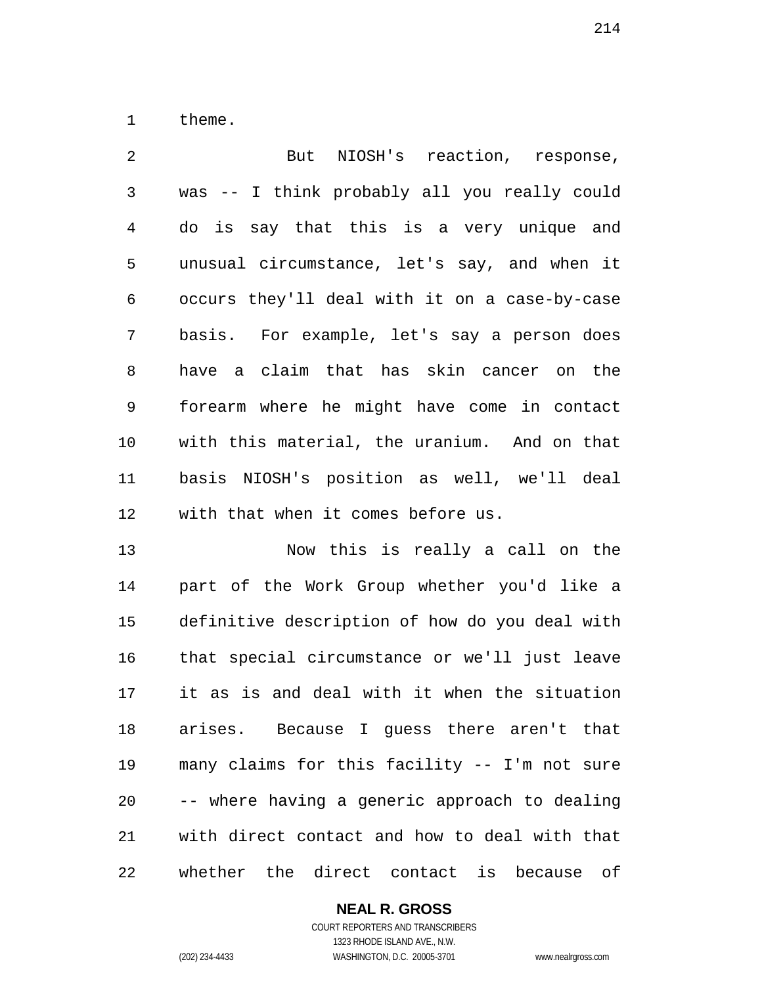theme.

 But NIOSH's reaction, response, was -- I think probably all you really could do is say that this is a very unique and unusual circumstance, let's say, and when it occurs they'll deal with it on a case-by-case basis. For example, let's say a person does have a claim that has skin cancer on the forearm where he might have come in contact with this material, the uranium. And on that basis NIOSH's position as well, we'll deal with that when it comes before us.

 Now this is really a call on the part of the Work Group whether you'd like a definitive description of how do you deal with that special circumstance or we'll just leave it as is and deal with it when the situation arises. Because I guess there aren't that many claims for this facility -- I'm not sure -- where having a generic approach to dealing with direct contact and how to deal with that whether the direct contact is because of

## **NEAL R. GROSS**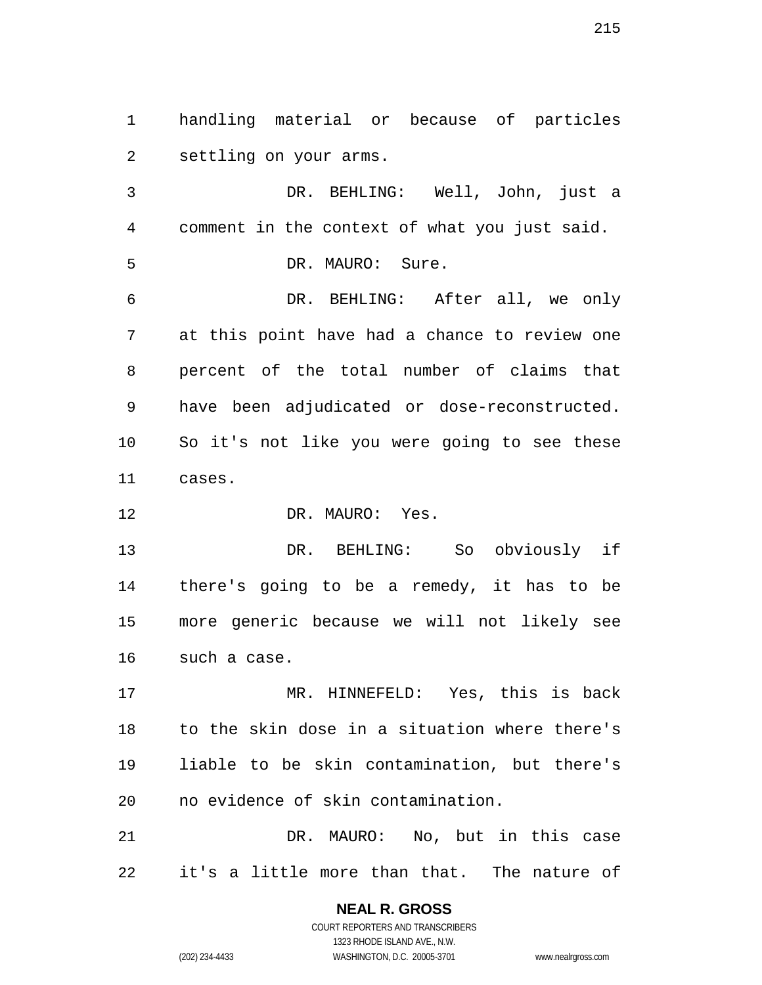handling material or because of particles settling on your arms.

 DR. BEHLING: Well, John, just a comment in the context of what you just said.

DR. MAURO: Sure.

 DR. BEHLING: After all, we only at this point have had a chance to review one percent of the total number of claims that have been adjudicated or dose-reconstructed. So it's not like you were going to see these cases.

12 DR. MAURO: Yes.

 DR. BEHLING: So obviously if there's going to be a remedy, it has to be more generic because we will not likely see such a case.

 MR. HINNEFELD: Yes, this is back to the skin dose in a situation where there's liable to be skin contamination, but there's no evidence of skin contamination.

 DR. MAURO: No, but in this case it's a little more than that. The nature of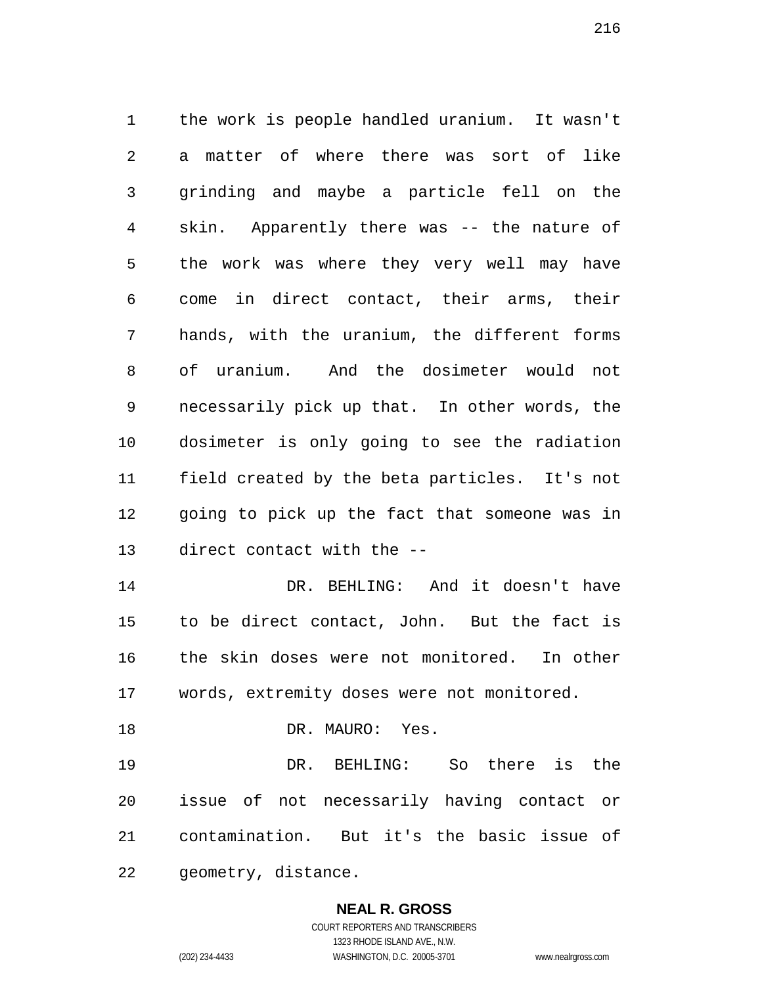the work is people handled uranium. It wasn't a matter of where there was sort of like grinding and maybe a particle fell on the skin. Apparently there was -- the nature of the work was where they very well may have come in direct contact, their arms, their hands, with the uranium, the different forms of uranium. And the dosimeter would not necessarily pick up that. In other words, the dosimeter is only going to see the radiation field created by the beta particles. It's not going to pick up the fact that someone was in direct contact with the -- DR. BEHLING: And it doesn't have to be direct contact, John. But the fact is

 the skin doses were not monitored. In other words, extremity doses were not monitored.

18 DR. MAURO: Yes.

 DR. BEHLING: So there is the issue of not necessarily having contact or contamination. But it's the basic issue of geometry, distance.

> **NEAL R. GROSS** COURT REPORTERS AND TRANSCRIBERS

1323 RHODE ISLAND AVE., N.W. (202) 234-4433 WASHINGTON, D.C. 20005-3701 www.nealrgross.com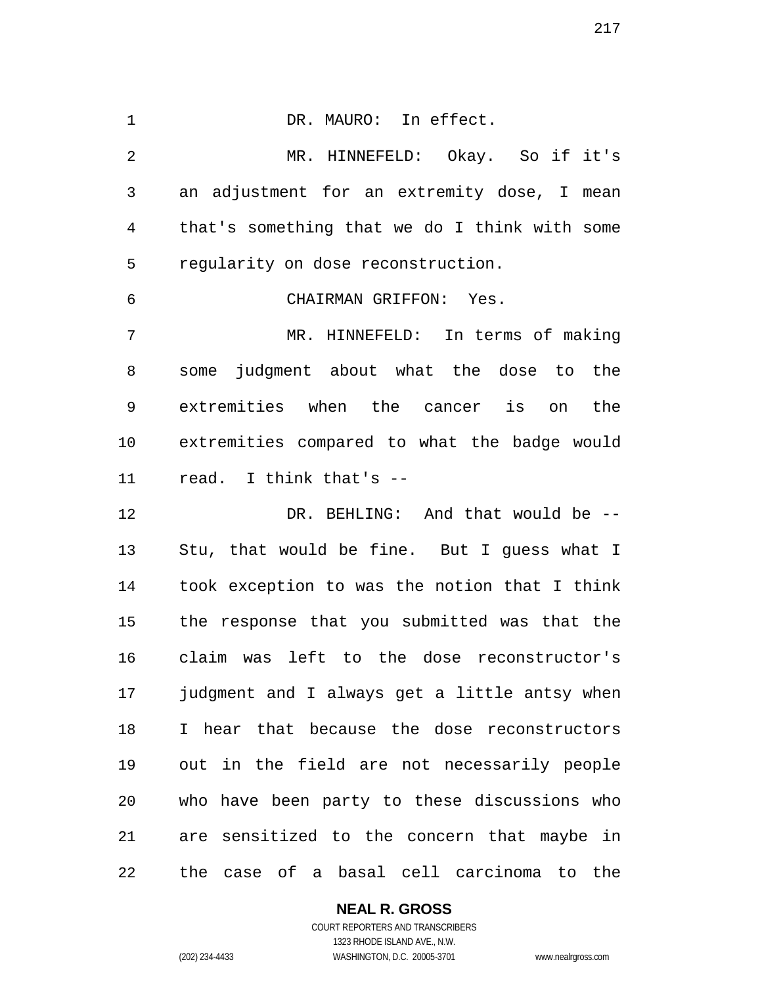DR. MAURO: In effect. MR. HINNEFELD: Okay. So if it's an adjustment for an extremity dose, I mean that's something that we do I think with some regularity on dose reconstruction. CHAIRMAN GRIFFON: Yes. MR. HINNEFELD: In terms of making some judgment about what the dose to the extremities when the cancer is on the extremities compared to what the badge would read. I think that's -- DR. BEHLING: And that would be -- Stu, that would be fine. But I guess what I took exception to was the notion that I think the response that you submitted was that the claim was left to the dose reconstructor's judgment and I always get a little antsy when I hear that because the dose reconstructors out in the field are not necessarily people who have been party to these discussions who are sensitized to the concern that maybe in the case of a basal cell carcinoma to the

#### **NEAL R. GROSS**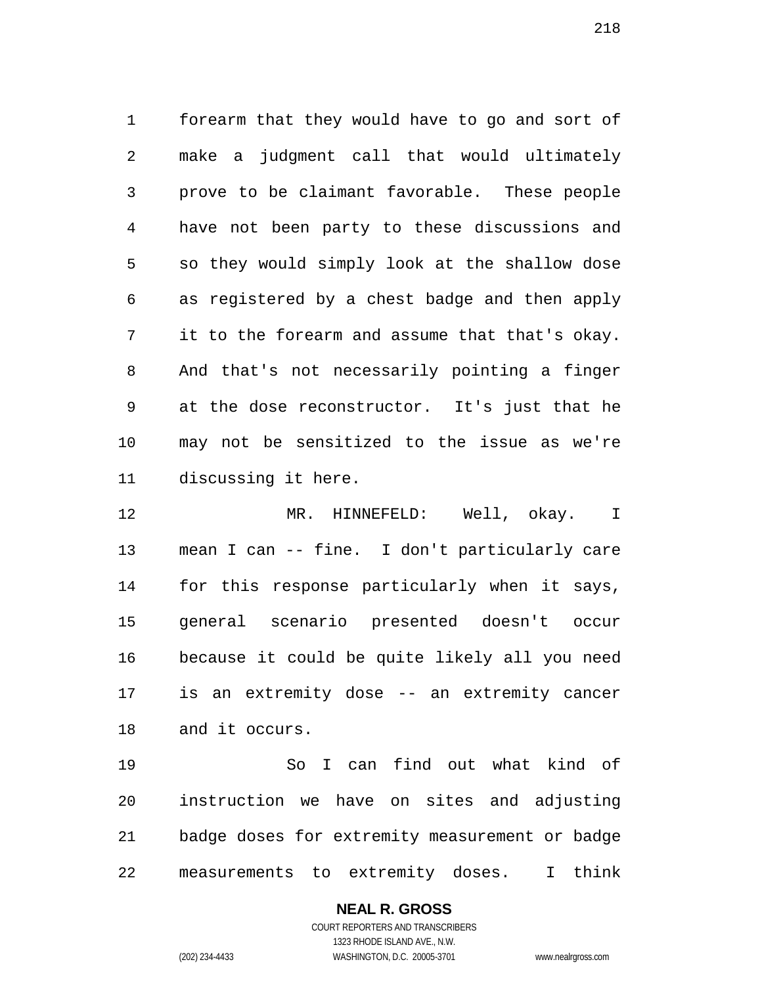forearm that they would have to go and sort of make a judgment call that would ultimately prove to be claimant favorable. These people have not been party to these discussions and so they would simply look at the shallow dose as registered by a chest badge and then apply it to the forearm and assume that that's okay. And that's not necessarily pointing a finger at the dose reconstructor. It's just that he may not be sensitized to the issue as we're discussing it here.

 MR. HINNEFELD: Well, okay. I mean I can -- fine. I don't particularly care for this response particularly when it says, general scenario presented doesn't occur because it could be quite likely all you need is an extremity dose -- an extremity cancer and it occurs.

 So I can find out what kind of instruction we have on sites and adjusting badge doses for extremity measurement or badge measurements to extremity doses. I think

**NEAL R. GROSS**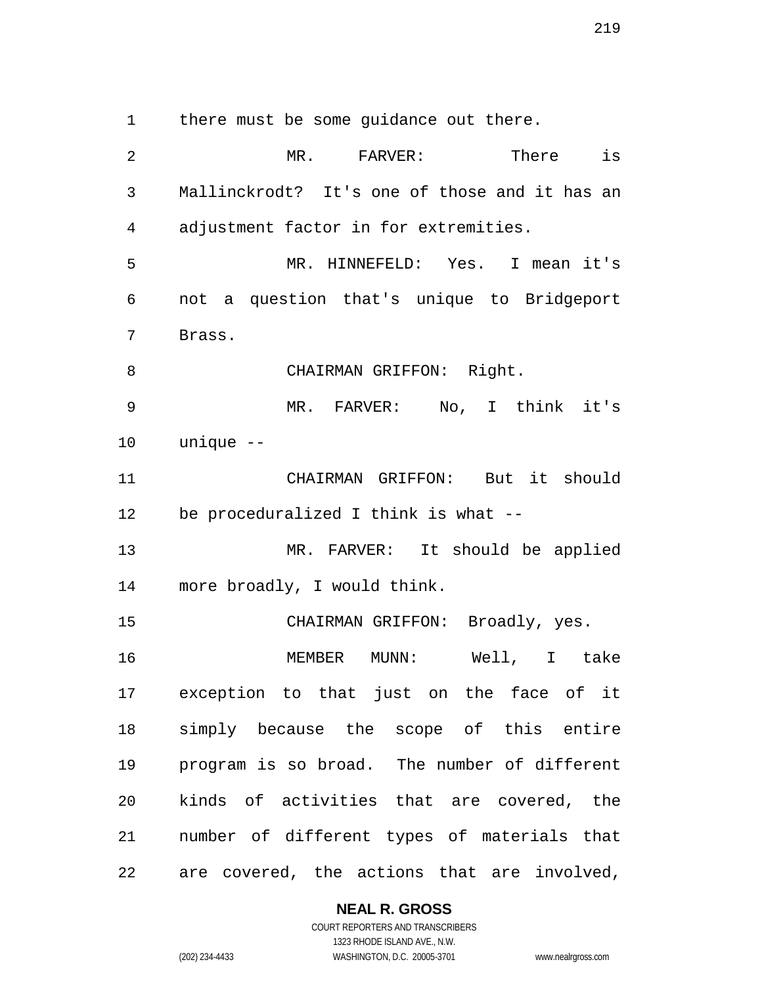there must be some guidance out there.

2 MR. FARVER: There is Mallinckrodt? It's one of those and it has an adjustment factor in for extremities. MR. HINNEFELD: Yes. I mean it's not a question that's unique to Bridgeport Brass. 8 CHAIRMAN GRIFFON: Right. MR. FARVER: No, I think it's unique -- CHAIRMAN GRIFFON: But it should be proceduralized I think is what -- MR. FARVER: It should be applied more broadly, I would think. CHAIRMAN GRIFFON: Broadly, yes. MEMBER MUNN: Well, I take exception to that just on the face of it simply because the scope of this entire program is so broad. The number of different kinds of activities that are covered, the number of different types of materials that are covered, the actions that are involved,

### **NEAL R. GROSS**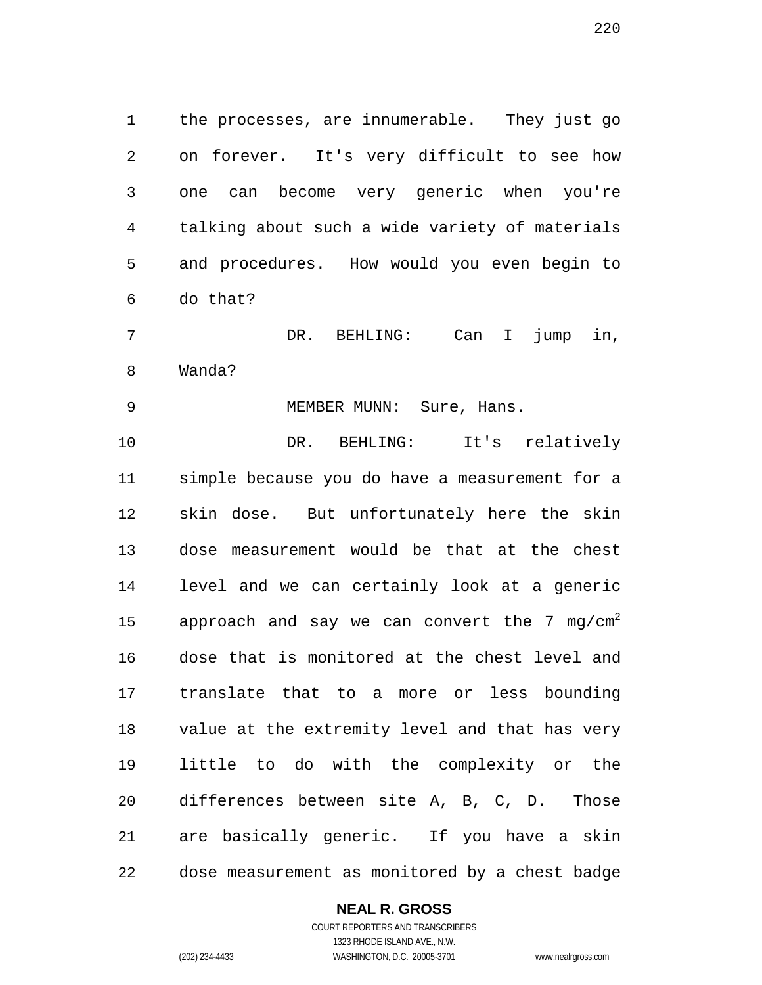the processes, are innumerable. They just go on forever. It's very difficult to see how one can become very generic when you're talking about such a wide variety of materials and procedures. How would you even begin to do that?

 DR. BEHLING: Can I jump in, Wanda?

9 MEMBER MUNN: Sure, Hans.

 DR. BEHLING: It's relatively simple because you do have a measurement for a skin dose. But unfortunately here the skin dose measurement would be that at the chest level and we can certainly look at a generic 15 approach and say we can convert the 7 mg/cm<sup>2</sup> dose that is monitored at the chest level and translate that to a more or less bounding value at the extremity level and that has very little to do with the complexity or the differences between site A, B, C, D. Those are basically generic. If you have a skin dose measurement as monitored by a chest badge

**NEAL R. GROSS**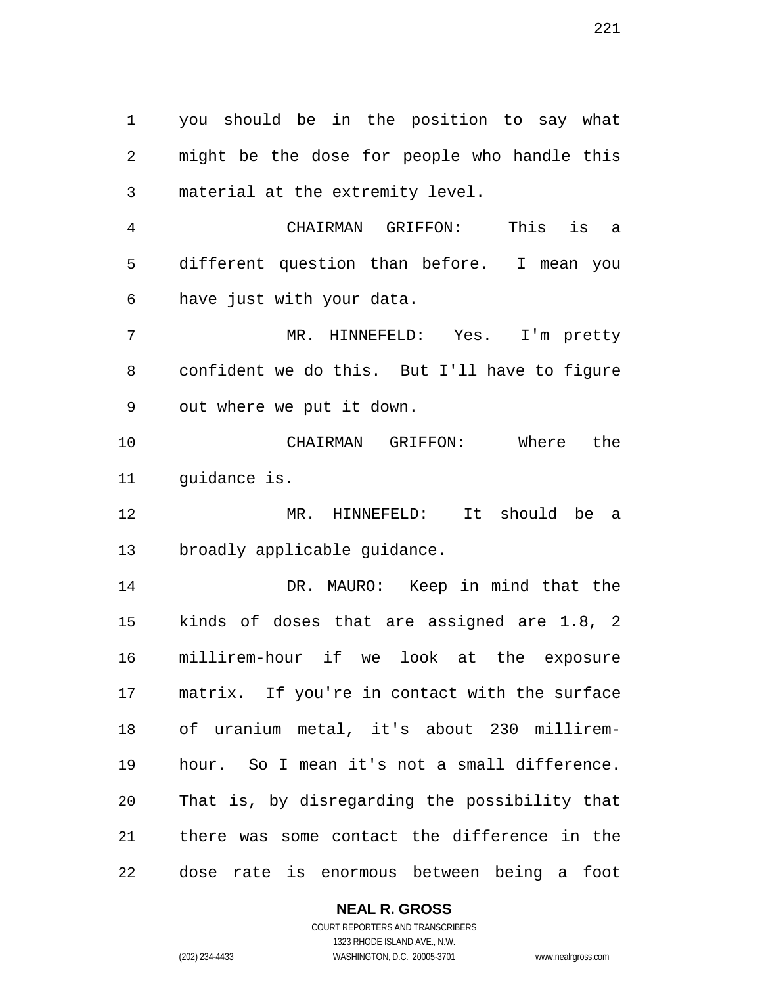you should be in the position to say what might be the dose for people who handle this material at the extremity level.

 CHAIRMAN GRIFFON: This is a different question than before. I mean you have just with your data.

 MR. HINNEFELD: Yes. I'm pretty confident we do this. But I'll have to figure out where we put it down.

 CHAIRMAN GRIFFON: Where the 11 quidance is.

 MR. HINNEFELD: It should be a broadly applicable guidance.

 DR. MAURO: Keep in mind that the kinds of doses that are assigned are 1.8, 2 millirem-hour if we look at the exposure matrix. If you're in contact with the surface of uranium metal, it's about 230 millirem- hour. So I mean it's not a small difference. That is, by disregarding the possibility that there was some contact the difference in the dose rate is enormous between being a foot

# **NEAL R. GROSS**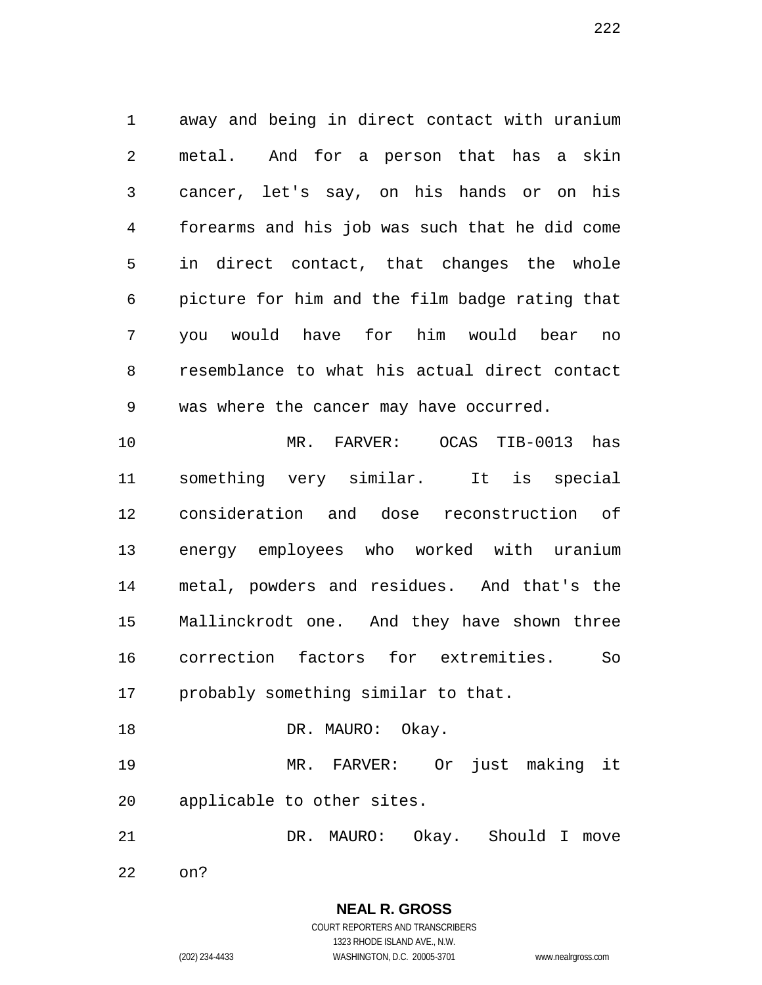away and being in direct contact with uranium metal. And for a person that has a skin cancer, let's say, on his hands or on his forearms and his job was such that he did come in direct contact, that changes the whole picture for him and the film badge rating that you would have for him would bear no resemblance to what his actual direct contact was where the cancer may have occurred.

 MR. FARVER: OCAS TIB-0013 has something very similar. It is special consideration and dose reconstruction of energy employees who worked with uranium metal, powders and residues. And that's the Mallinckrodt one. And they have shown three correction factors for extremities. So probably something similar to that.

18 DR. MAURO: Okay. MR. FARVER: Or just making it

applicable to other sites.

DR. MAURO: Okay. Should I move

**NEAL R. GROSS**

on?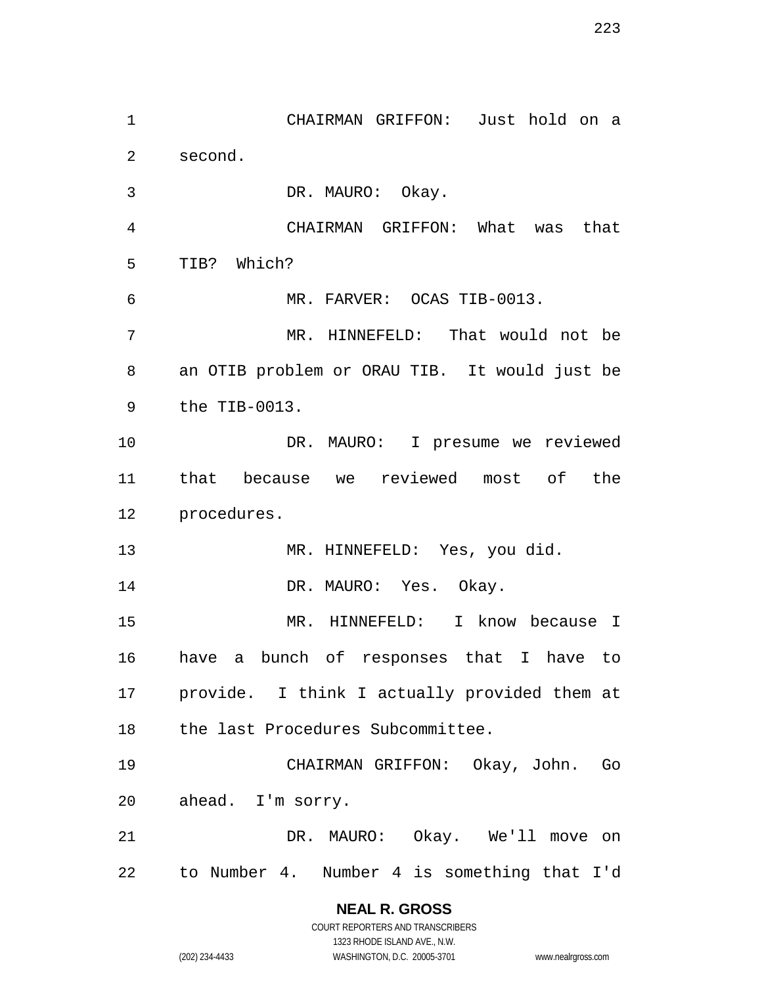CHAIRMAN GRIFFON: Just hold on a second. DR. MAURO: Okay. CHAIRMAN GRIFFON: What was that TIB? Which? MR. FARVER: OCAS TIB-0013. MR. HINNEFELD: That would not be an OTIB problem or ORAU TIB. It would just be the TIB-0013. DR. MAURO: I presume we reviewed that because we reviewed most of the procedures. 13 MR. HINNEFELD: Yes, you did. 14 DR. MAURO: Yes. Okay. MR. HINNEFELD: I know because I have a bunch of responses that I have to provide. I think I actually provided them at the last Procedures Subcommittee. CHAIRMAN GRIFFON: Okay, John. Go ahead. I'm sorry. DR. MAURO: Okay. We'll move on to Number 4. Number 4 is something that I'd

> **NEAL R. GROSS** COURT REPORTERS AND TRANSCRIBERS

> > 1323 RHODE ISLAND AVE., N.W.

(202) 234-4433 WASHINGTON, D.C. 20005-3701 www.nealrgross.com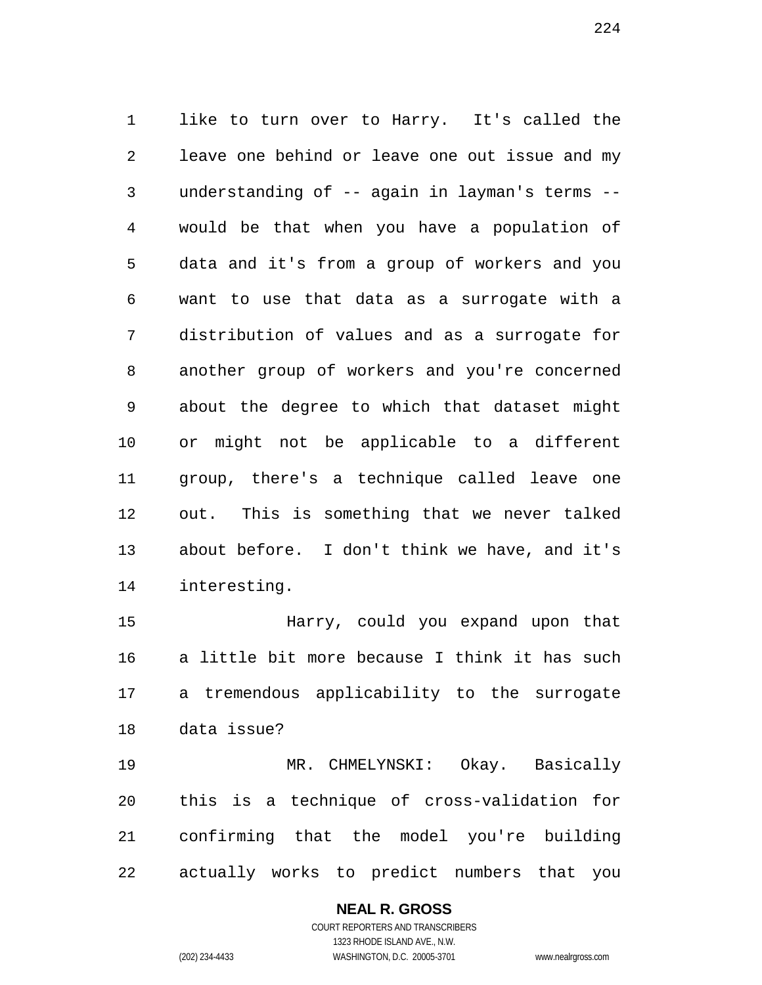like to turn over to Harry. It's called the leave one behind or leave one out issue and my understanding of -- again in layman's terms -- would be that when you have a population of data and it's from a group of workers and you want to use that data as a surrogate with a distribution of values and as a surrogate for another group of workers and you're concerned about the degree to which that dataset might or might not be applicable to a different group, there's a technique called leave one out. This is something that we never talked about before. I don't think we have, and it's interesting.

 Harry, could you expand upon that a little bit more because I think it has such a tremendous applicability to the surrogate data issue?

 MR. CHMELYNSKI: Okay. Basically this is a technique of cross-validation for confirming that the model you're building actually works to predict numbers that you

# **NEAL R. GROSS**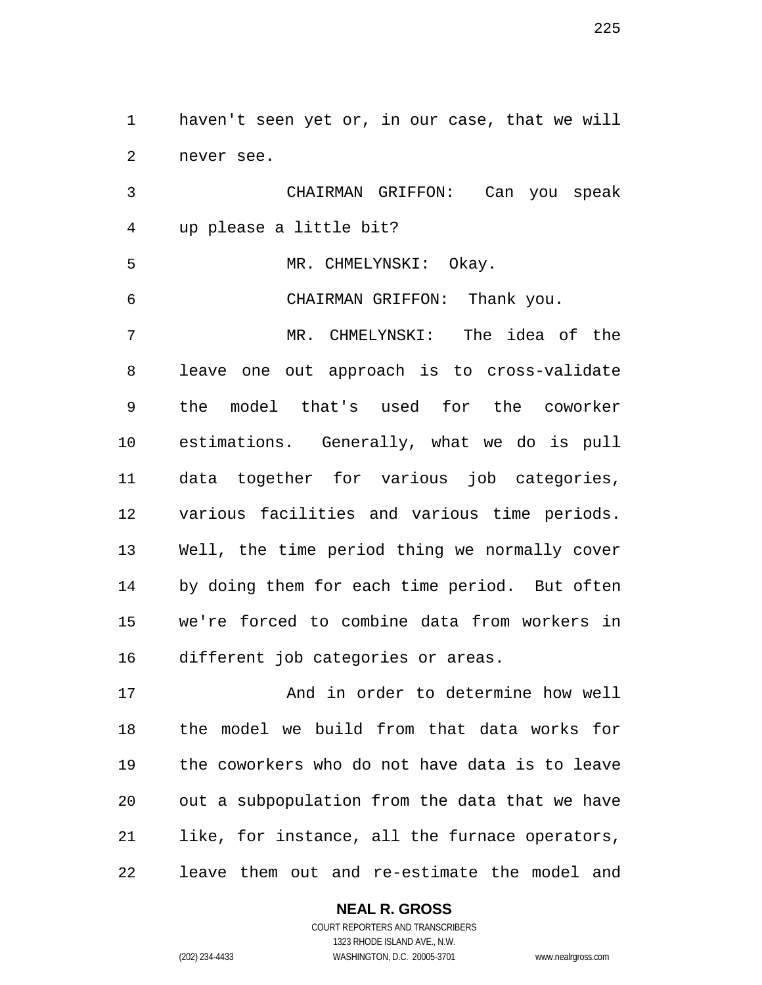haven't seen yet or, in our case, that we will never see.

 CHAIRMAN GRIFFON: Can you speak up please a little bit?

MR. CHMELYNSKI: Okay.

CHAIRMAN GRIFFON: Thank you.

 MR. CHMELYNSKI: The idea of the leave one out approach is to cross-validate the model that's used for the coworker estimations. Generally, what we do is pull data together for various job categories, various facilities and various time periods. Well, the time period thing we normally cover by doing them for each time period. But often we're forced to combine data from workers in different job categories or areas.

 And in order to determine how well the model we build from that data works for the coworkers who do not have data is to leave out a subpopulation from the data that we have like, for instance, all the furnace operators, leave them out and re-estimate the model and

### **NEAL R. GROSS**

COURT REPORTERS AND TRANSCRIBERS 1323 RHODE ISLAND AVE., N.W. (202) 234-4433 WASHINGTON, D.C. 20005-3701 www.nealrgross.com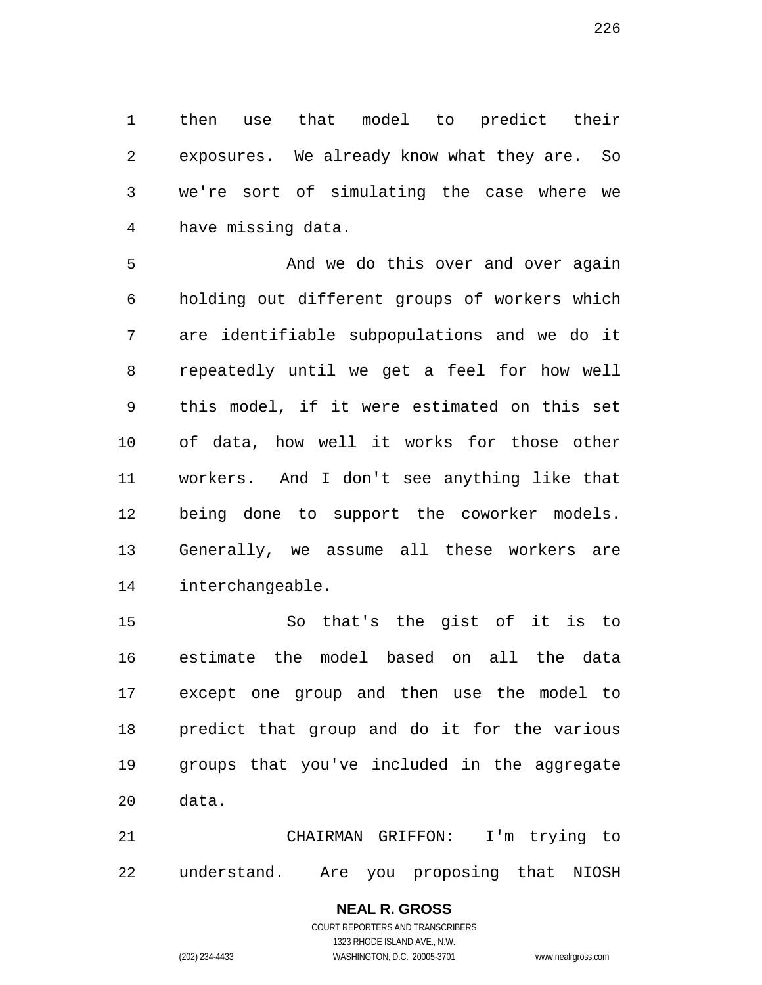then use that model to predict their exposures. We already know what they are. So we're sort of simulating the case where we have missing data.

 And we do this over and over again holding out different groups of workers which are identifiable subpopulations and we do it repeatedly until we get a feel for how well this model, if it were estimated on this set of data, how well it works for those other workers. And I don't see anything like that being done to support the coworker models. Generally, we assume all these workers are interchangeable.

 So that's the gist of it is to estimate the model based on all the data except one group and then use the model to predict that group and do it for the various groups that you've included in the aggregate data.

 CHAIRMAN GRIFFON: I'm trying to understand. Are you proposing that NIOSH

> **NEAL R. GROSS** COURT REPORTERS AND TRANSCRIBERS 1323 RHODE ISLAND AVE., N.W. (202) 234-4433 WASHINGTON, D.C. 20005-3701 www.nealrgross.com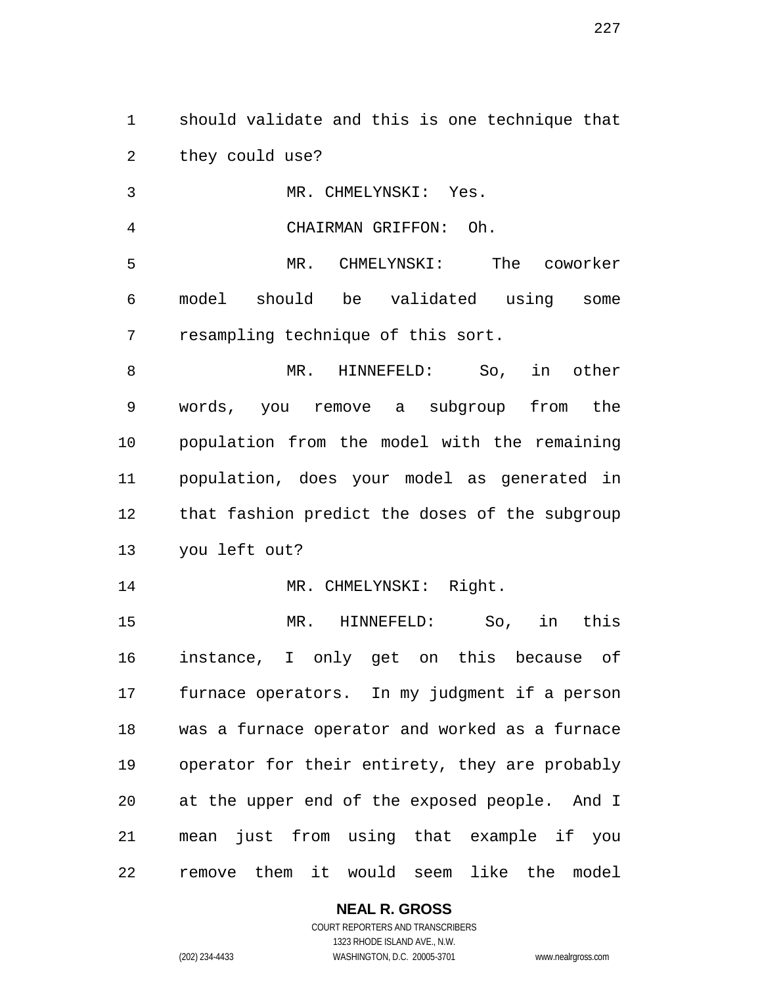should validate and this is one technique that they could use?

MR. CHMELYNSKI: Yes.

CHAIRMAN GRIFFON: Oh.

 MR. CHMELYNSKI: The coworker model should be validated using some resampling technique of this sort.

 MR. HINNEFELD: So, in other words, you remove a subgroup from the population from the model with the remaining population, does your model as generated in that fashion predict the doses of the subgroup you left out?

14 MR. CHMELYNSKI: Right.

 MR. HINNEFELD: So, in this instance, I only get on this because of furnace operators. In my judgment if a person was a furnace operator and worked as a furnace operator for their entirety, they are probably at the upper end of the exposed people. And I mean just from using that example if you remove them it would seem like the model

**NEAL R. GROSS**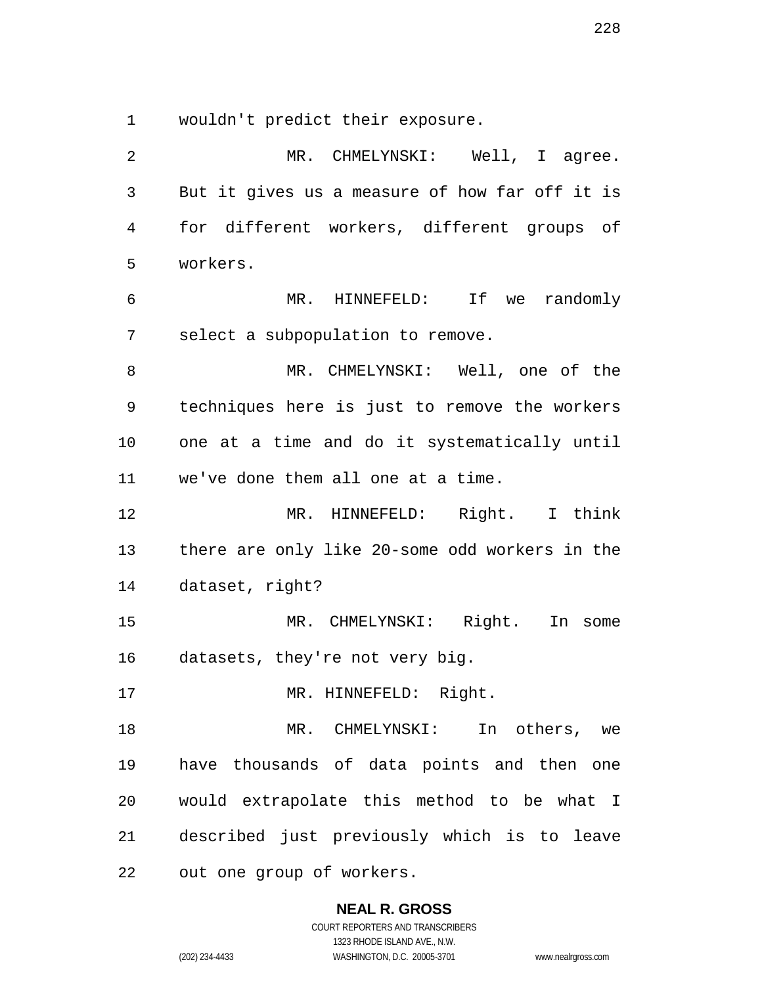wouldn't predict their exposure.

2 MR. CHMELYNSKI: Well, I agree. But it gives us a measure of how far off it is for different workers, different groups of workers. MR. HINNEFELD: If we randomly select a subpopulation to remove. MR. CHMELYNSKI: Well, one of the techniques here is just to remove the workers one at a time and do it systematically until we've done them all one at a time. MR. HINNEFELD: Right. I think there are only like 20-some odd workers in the dataset, right? MR. CHMELYNSKI: Right. In some datasets, they're not very big. 17 MR. HINNEFELD: Right. MR. CHMELYNSKI: In others, we have thousands of data points and then one would extrapolate this method to be what I described just previously which is to leave out one group of workers.

**NEAL R. GROSS**

COURT REPORTERS AND TRANSCRIBERS 1323 RHODE ISLAND AVE., N.W. (202) 234-4433 WASHINGTON, D.C. 20005-3701 www.nealrgross.com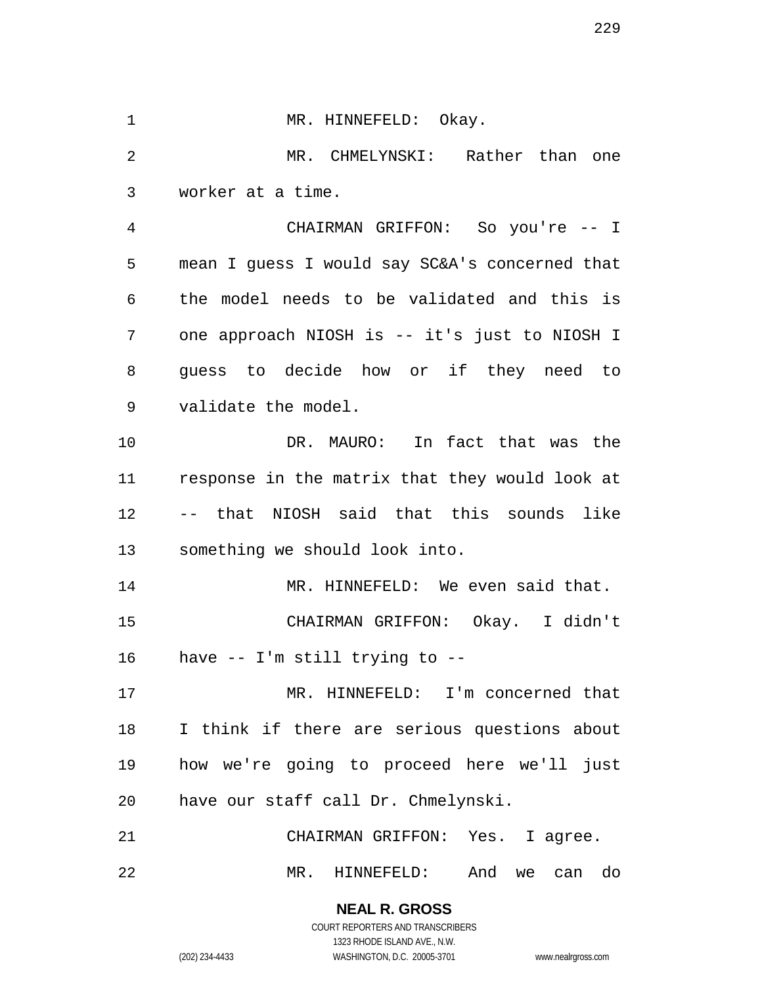1 MR. HINNEFELD: Okay. MR. CHMELYNSKI: Rather than one worker at a time. CHAIRMAN GRIFFON: So you're -- I mean I guess I would say SC&A's concerned that the model needs to be validated and this is one approach NIOSH is -- it's just to NIOSH I guess to decide how or if they need to validate the model. DR. MAURO: In fact that was the response in the matrix that they would look at -- that NIOSH said that this sounds like something we should look into. MR. HINNEFELD: We even said that. CHAIRMAN GRIFFON: Okay. I didn't have -- I'm still trying to -- MR. HINNEFELD: I'm concerned that I think if there are serious questions about how we're going to proceed here we'll just have our staff call Dr. Chmelynski. CHAIRMAN GRIFFON: Yes. I agree. MR. HINNEFELD: And we can do

> **NEAL R. GROSS** COURT REPORTERS AND TRANSCRIBERS

> > 1323 RHODE ISLAND AVE., N.W.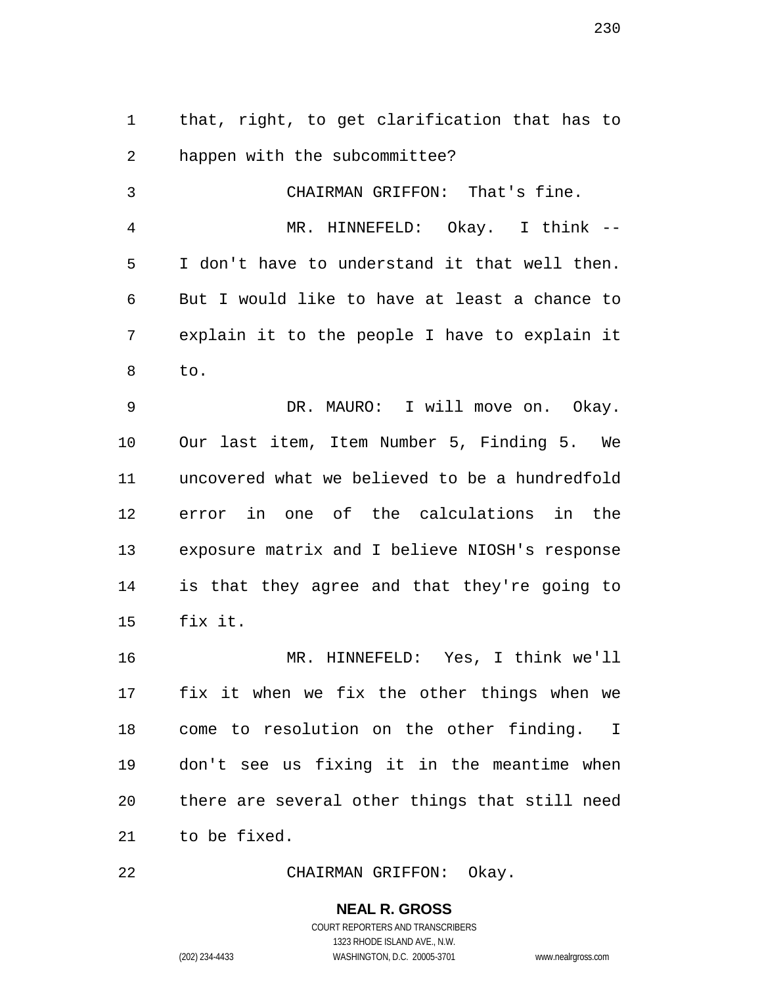that, right, to get clarification that has to happen with the subcommittee?

 CHAIRMAN GRIFFON: That's fine. MR. HINNEFELD: Okay. I think -- I don't have to understand it that well then. But I would like to have at least a chance to explain it to the people I have to explain it to.

 DR. MAURO: I will move on. Okay. Our last item, Item Number 5, Finding 5. We uncovered what we believed to be a hundredfold error in one of the calculations in the exposure matrix and I believe NIOSH's response is that they agree and that they're going to fix it.

 MR. HINNEFELD: Yes, I think we'll fix it when we fix the other things when we come to resolution on the other finding. I don't see us fixing it in the meantime when there are several other things that still need to be fixed.

CHAIRMAN GRIFFON: Okay.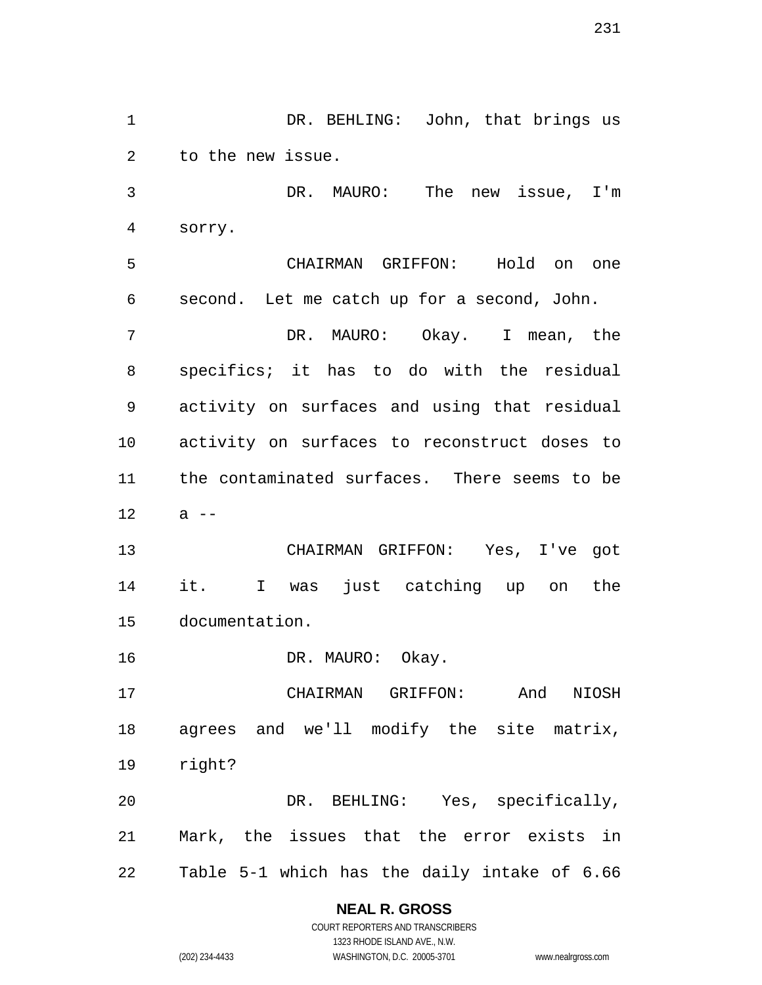1 DR. BEHLING: John, that brings us to the new issue. DR. MAURO: The new issue, I'm sorry. CHAIRMAN GRIFFON: Hold on one second. Let me catch up for a second, John. DR. MAURO: Okay. I mean, the specifics; it has to do with the residual activity on surfaces and using that residual activity on surfaces to reconstruct doses to the contaminated surfaces. There seems to be a  $-$  CHAIRMAN GRIFFON: Yes, I've got it. I was just catching up on the documentation. 16 DR. MAURO: Okay. CHAIRMAN GRIFFON: And NIOSH agrees and we'll modify the site matrix, right? DR. BEHLING: Yes, specifically, Mark, the issues that the error exists in Table 5-1 which has the daily intake of 6.66

# **NEAL R. GROSS**

COURT REPORTERS AND TRANSCRIBERS 1323 RHODE ISLAND AVE., N.W. (202) 234-4433 WASHINGTON, D.C. 20005-3701 www.nealrgross.com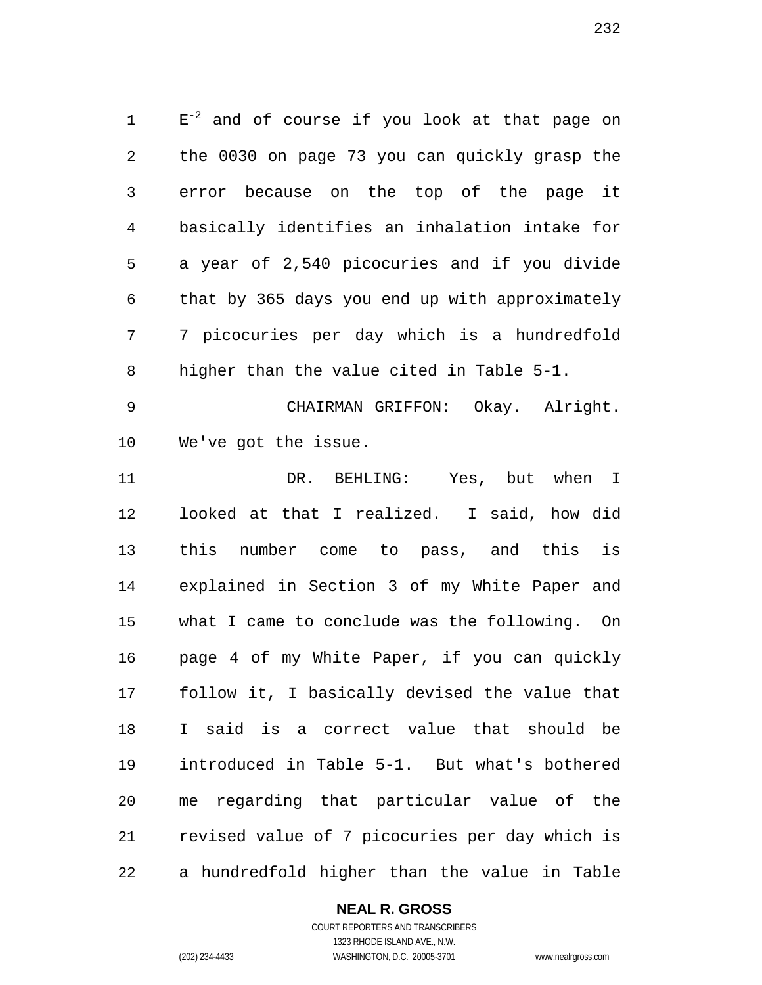$E^{-2}$  and of course if you look at that page on the 0030 on page 73 you can quickly grasp the error because on the top of the page it basically identifies an inhalation intake for a year of 2,540 picocuries and if you divide that by 365 days you end up with approximately 7 picocuries per day which is a hundredfold higher than the value cited in Table 5-1.

 CHAIRMAN GRIFFON: Okay. Alright. We've got the issue.

 DR. BEHLING: Yes, but when I looked at that I realized. I said, how did this number come to pass, and this is explained in Section 3 of my White Paper and what I came to conclude was the following. On page 4 of my White Paper, if you can quickly follow it, I basically devised the value that I said is a correct value that should be introduced in Table 5-1. But what's bothered me regarding that particular value of the revised value of 7 picocuries per day which is a hundredfold higher than the value in Table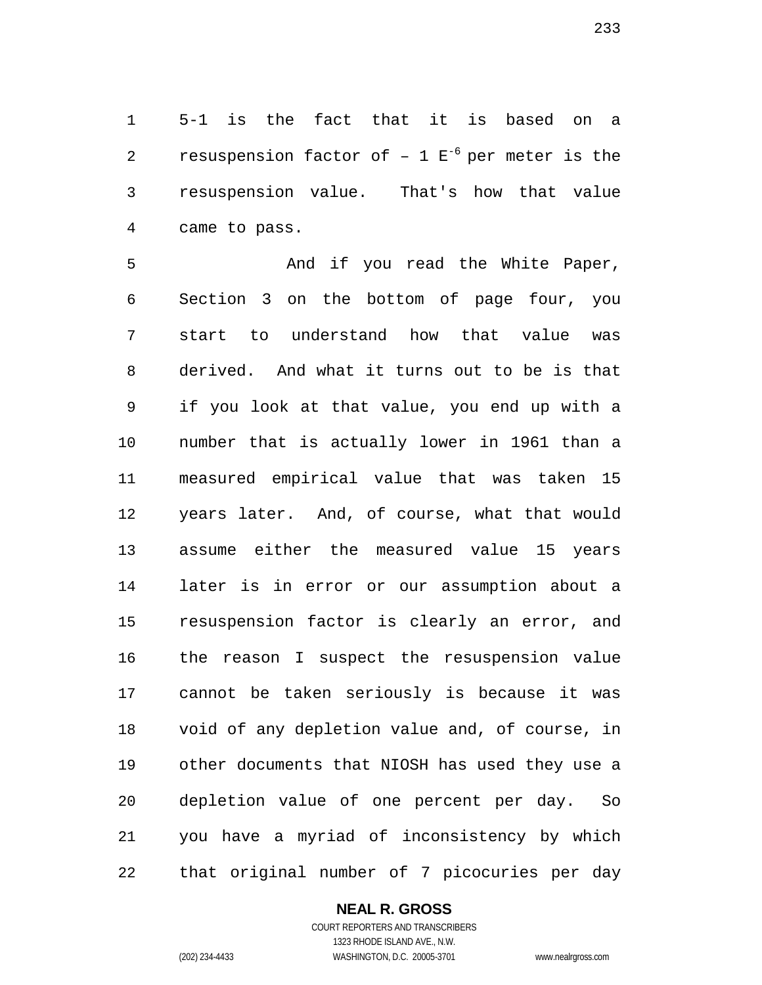5-1 is the fact that it is based on a 2 resuspension factor of  $-1 E^{-6}$  per meter is the resuspension value. That's how that value came to pass.

5 And if you read the White Paper, Section 3 on the bottom of page four, you start to understand how that value was derived. And what it turns out to be is that if you look at that value, you end up with a number that is actually lower in 1961 than a measured empirical value that was taken 15 years later. And, of course, what that would assume either the measured value 15 years later is in error or our assumption about a resuspension factor is clearly an error, and the reason I suspect the resuspension value cannot be taken seriously is because it was void of any depletion value and, of course, in other documents that NIOSH has used they use a depletion value of one percent per day. So you have a myriad of inconsistency by which that original number of 7 picocuries per day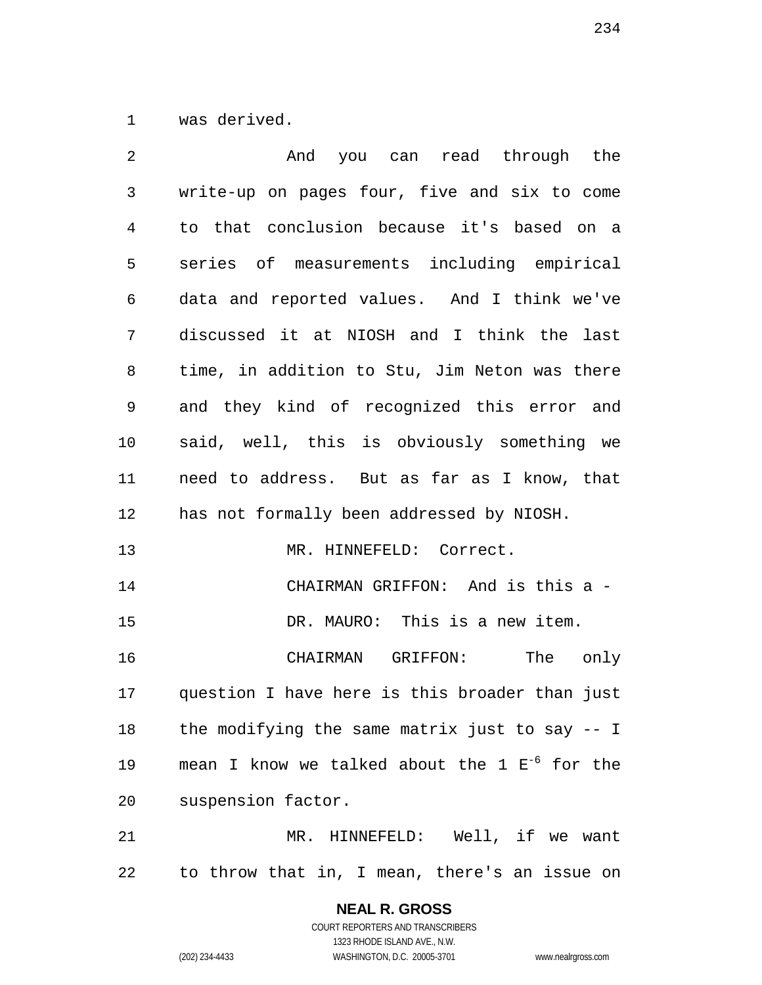was derived.

| 2  | And you can read through the                       |
|----|----------------------------------------------------|
| 3  | write-up on pages four, five and six to come       |
| 4  | to that conclusion because it's based on a         |
| 5  | series of measurements including empirical         |
| 6  | data and reported values. And I think we've        |
| 7  | discussed it at NIOSH and I think the last         |
| 8  | time, in addition to Stu, Jim Neton was there      |
| 9  | and they kind of recognized this error and         |
| 10 | said, well, this is obviously something we         |
| 11 | need to address. But as far as I know, that        |
| 12 | has not formally been addressed by NIOSH.          |
| 13 | MR. HINNEFELD: Correct.                            |
| 14 | CHAIRMAN GRIFFON: And is this a -                  |
| 15 | DR. MAURO: This is a new item.                     |
| 16 | CHAIRMAN GRIFFON: The only                         |
|    | 17 question I have here is this broader than just  |
| 18 | the modifying the same matrix just to say -- I     |
| 19 | mean I know we talked about the 1 $E^{-6}$ for the |
| 20 | suspension factor.                                 |
| 21 | MR. HINNEFELD: Well, if we want                    |
| 22 | to throw that in, I mean, there's an issue on      |

COURT REPORTERS AND TRANSCRIBERS 1323 RHODE ISLAND AVE., N.W. (202) 234-4433 WASHINGTON, D.C. 20005-3701 www.nealrgross.com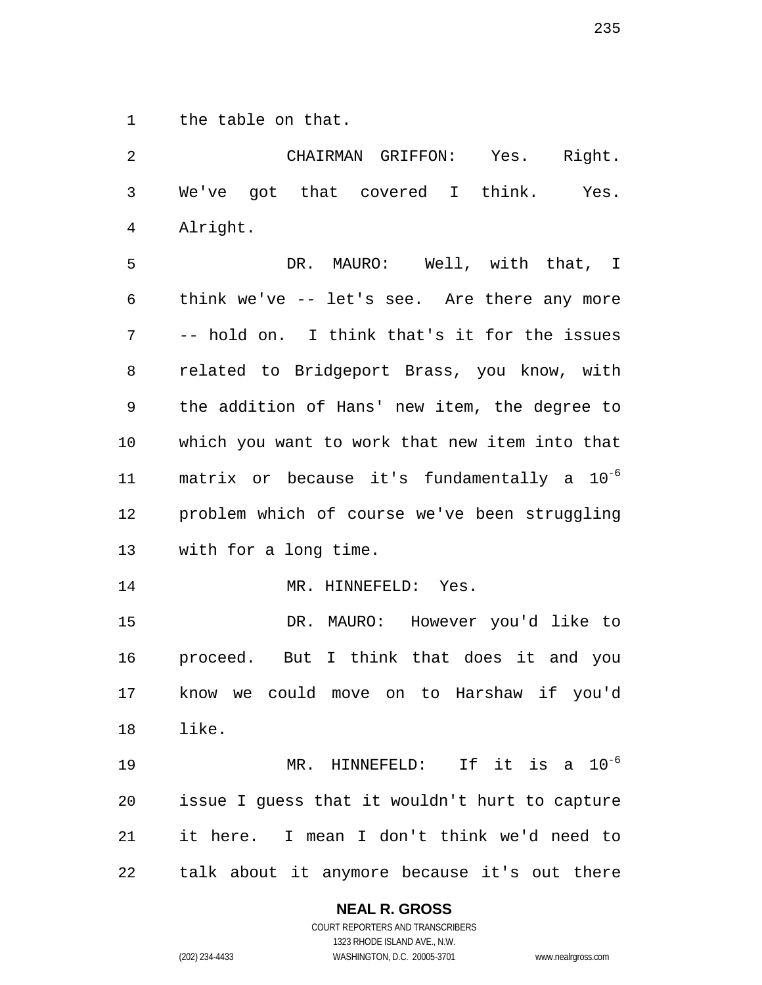the table on that.

| 2              | CHAIRMAN GRIFFON:<br>Yes. Right.                        |
|----------------|---------------------------------------------------------|
| 3              | We've got that covered I think.<br>Yes.                 |
| $\overline{4}$ | Alright.                                                |
| 5              | DR. MAURO: Well, with that, I                           |
| 6              | think we've -- let's see. Are there any more            |
| 7              | -- hold on. I think that's it for the issues            |
| 8              | related to Bridgeport Brass, you know, with             |
| 9              | the addition of Hans' new item, the degree to           |
| 10             | which you want to work that new item into that          |
| 11             | matrix or because it's fundamentally a 10 <sup>-6</sup> |
| 12             | problem which of course we've been struggling           |
| 13             | with for a long time.                                   |
| 14             | MR. HINNEFELD: Yes.                                     |
| 15             | DR. MAURO: However you'd like to                        |
| 16             | proceed. But I think that does it and you               |
| 17             | know we could move on to Harshaw if you'd               |
|                | 18 like.                                                |
| 19             | MR. HINNEFELD: If it is a $10^{-6}$                     |
| 20             | issue I guess that it wouldn't hurt to capture          |
| 21             | it here. I mean I don't think we'd need to              |
| 22             | talk about it anymore because it's out there            |

**NEAL R. GROSS**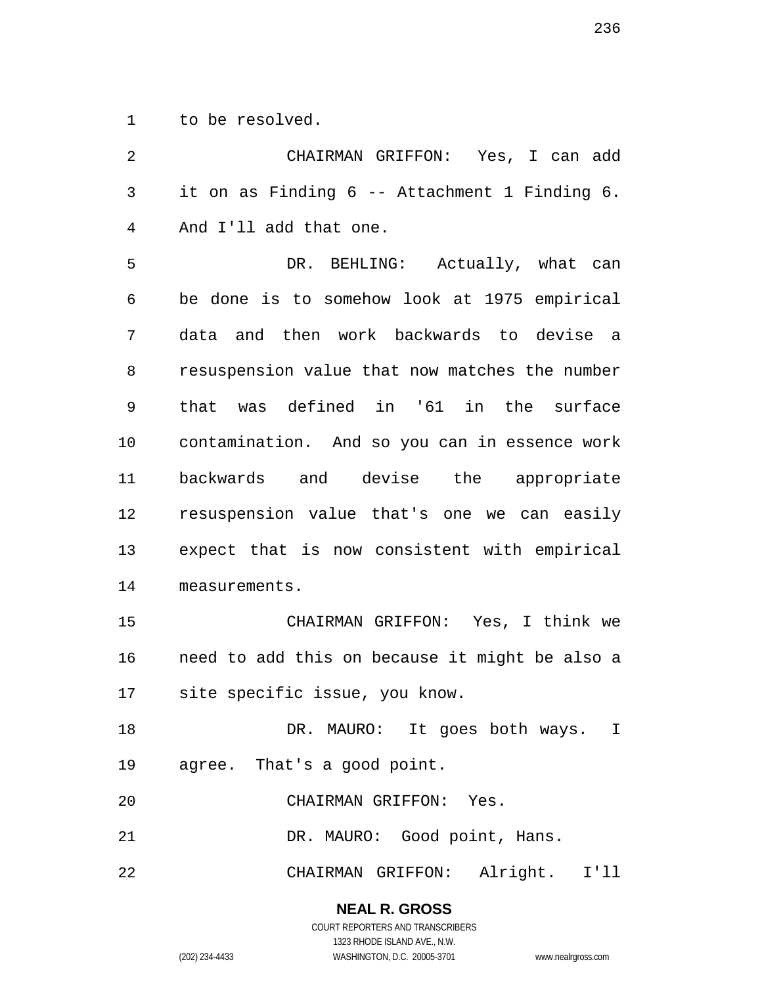to be resolved.

 CHAIRMAN GRIFFON: Yes, I can add it on as Finding 6 -- Attachment 1 Finding 6. And I'll add that one. DR. BEHLING: Actually, what can be done is to somehow look at 1975 empirical data and then work backwards to devise a resuspension value that now matches the number that was defined in '61 in the surface contamination. And so you can in essence work backwards and devise the appropriate resuspension value that's one we can easily expect that is now consistent with empirical measurements. CHAIRMAN GRIFFON: Yes, I think we need to add this on because it might be also a site specific issue, you know. 18 DR. MAURO: It goes both ways. I agree. That's a good point. CHAIRMAN GRIFFON: Yes. 21 DR. MAURO: Good point, Hans. CHAIRMAN GRIFFON: Alright. I'll

**NEAL R. GROSS**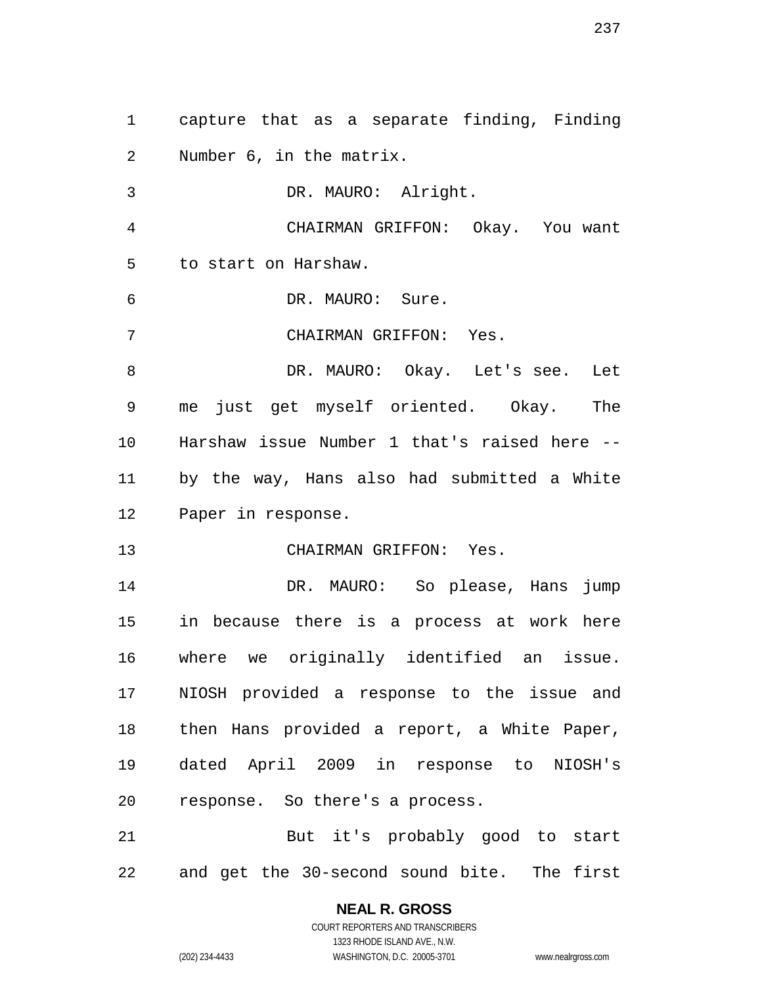capture that as a separate finding, Finding Number 6, in the matrix. DR. MAURO: Alright. CHAIRMAN GRIFFON: Okay. You want to start on Harshaw. DR. MAURO: Sure. CHAIRMAN GRIFFON: Yes. 8 DR. MAURO: Okay. Let's see. Let me just get myself oriented. Okay. The Harshaw issue Number 1 that's raised here -- by the way, Hans also had submitted a White Paper in response. CHAIRMAN GRIFFON: Yes. DR. MAURO: So please, Hans jump in because there is a process at work here where we originally identified an issue. NIOSH provided a response to the issue and then Hans provided a report, a White Paper, dated April 2009 in response to NIOSH's response. So there's a process. But it's probably good to start and get the 30-second sound bite. The first

### **NEAL R. GROSS**

COURT REPORTERS AND TRANSCRIBERS 1323 RHODE ISLAND AVE., N.W. (202) 234-4433 WASHINGTON, D.C. 20005-3701 www.nealrgross.com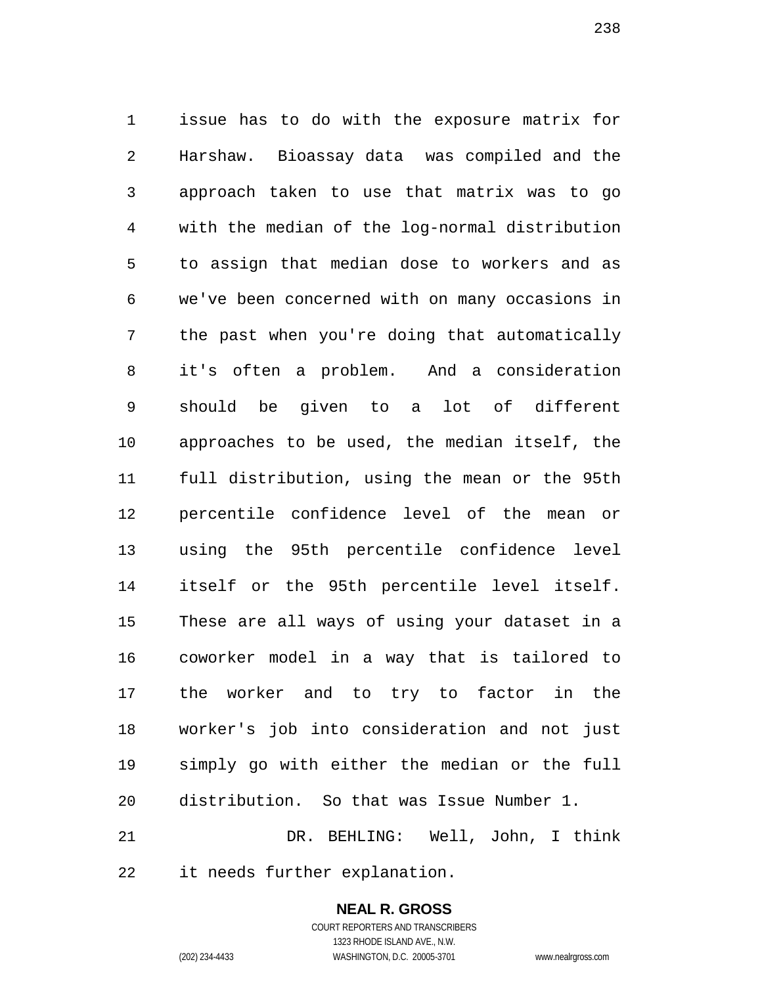issue has to do with the exposure matrix for Harshaw. Bioassay data was compiled and the approach taken to use that matrix was to go with the median of the log-normal distribution to assign that median dose to workers and as we've been concerned with on many occasions in the past when you're doing that automatically it's often a problem. And a consideration should be given to a lot of different approaches to be used, the median itself, the full distribution, using the mean or the 95th percentile confidence level of the mean or using the 95th percentile confidence level itself or the 95th percentile level itself. These are all ways of using your dataset in a coworker model in a way that is tailored to the worker and to try to factor in the worker's job into consideration and not just simply go with either the median or the full distribution. So that was Issue Number 1. DR. BEHLING: Well, John, I think

it needs further explanation.

**NEAL R. GROSS** COURT REPORTERS AND TRANSCRIBERS

1323 RHODE ISLAND AVE., N.W.

(202) 234-4433 WASHINGTON, D.C. 20005-3701 www.nealrgross.com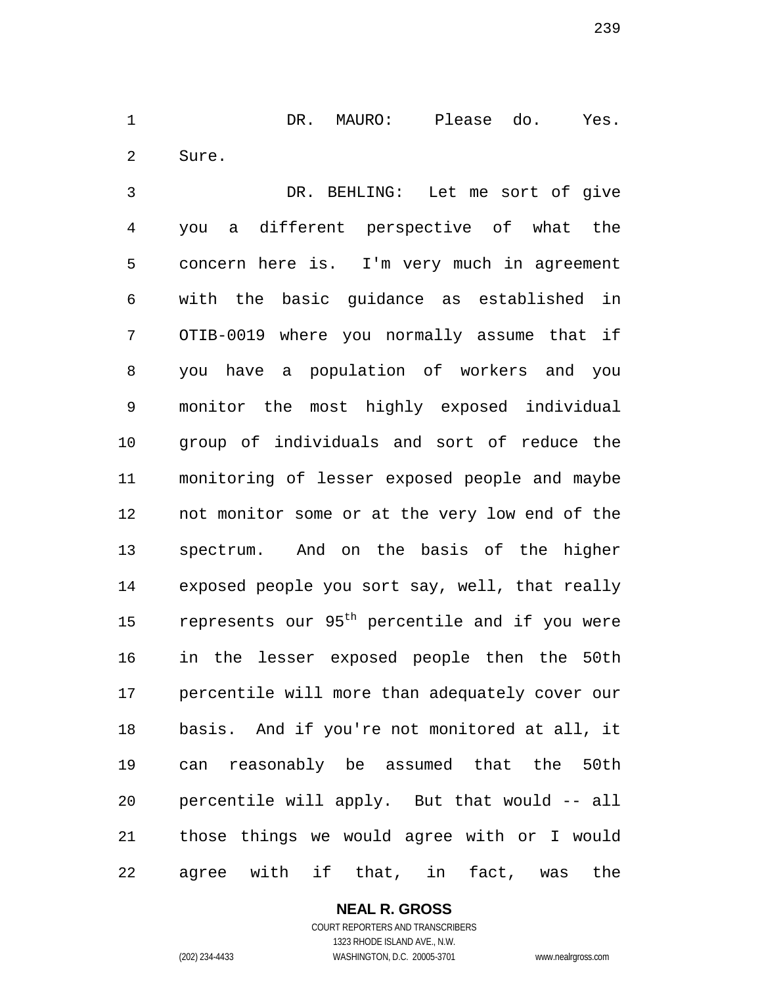DR. MAURO: Please do. Yes. Sure.

 DR. BEHLING: Let me sort of give you a different perspective of what the concern here is. I'm very much in agreement with the basic guidance as established in OTIB-0019 where you normally assume that if you have a population of workers and you monitor the most highly exposed individual group of individuals and sort of reduce the monitoring of lesser exposed people and maybe not monitor some or at the very low end of the spectrum. And on the basis of the higher exposed people you sort say, well, that really 15 represents our 95<sup>th</sup> percentile and if you were in the lesser exposed people then the 50th percentile will more than adequately cover our basis. And if you're not monitored at all, it can reasonably be assumed that the 50th percentile will apply. But that would -- all those things we would agree with or I would agree with if that, in fact, was the

**NEAL R. GROSS**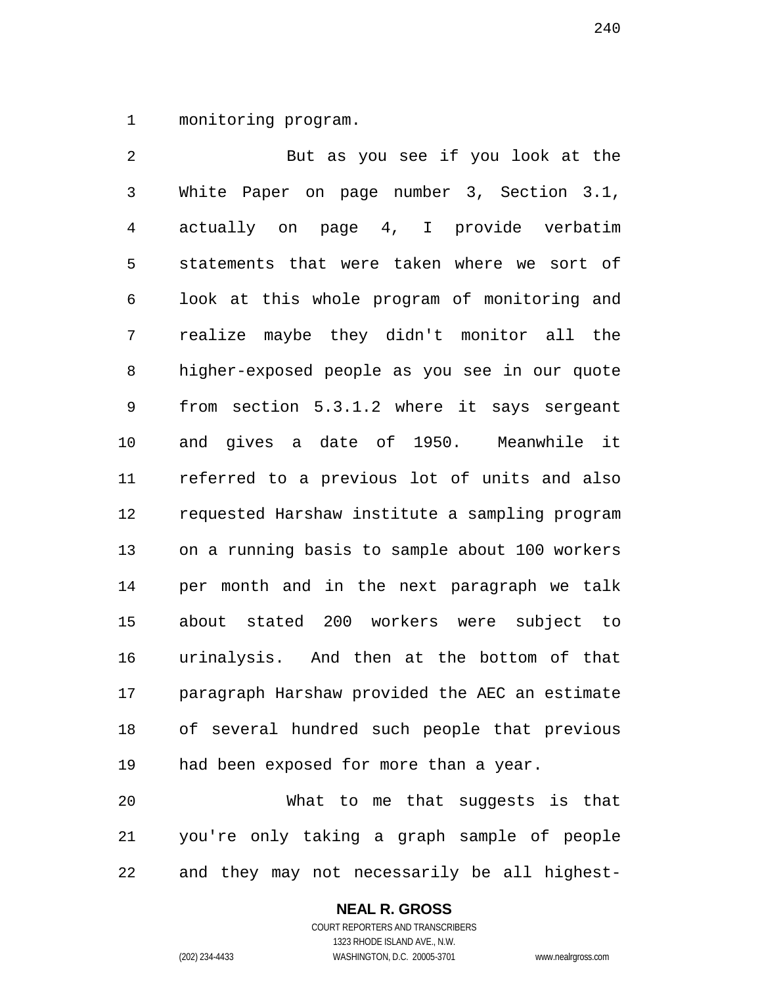monitoring program.

 But as you see if you look at the White Paper on page number 3, Section 3.1, actually on page 4, I provide verbatim statements that were taken where we sort of look at this whole program of monitoring and realize maybe they didn't monitor all the higher-exposed people as you see in our quote from section 5.3.1.2 where it says sergeant and gives a date of 1950. Meanwhile it referred to a previous lot of units and also requested Harshaw institute a sampling program on a running basis to sample about 100 workers per month and in the next paragraph we talk about stated 200 workers were subject to urinalysis. And then at the bottom of that paragraph Harshaw provided the AEC an estimate of several hundred such people that previous had been exposed for more than a year. What to me that suggests is that

 you're only taking a graph sample of people and they may not necessarily be all highest-

#### **NEAL R. GROSS** COURT REPORTERS AND TRANSCRIBERS

1323 RHODE ISLAND AVE., N.W.

(202) 234-4433 WASHINGTON, D.C. 20005-3701 www.nealrgross.com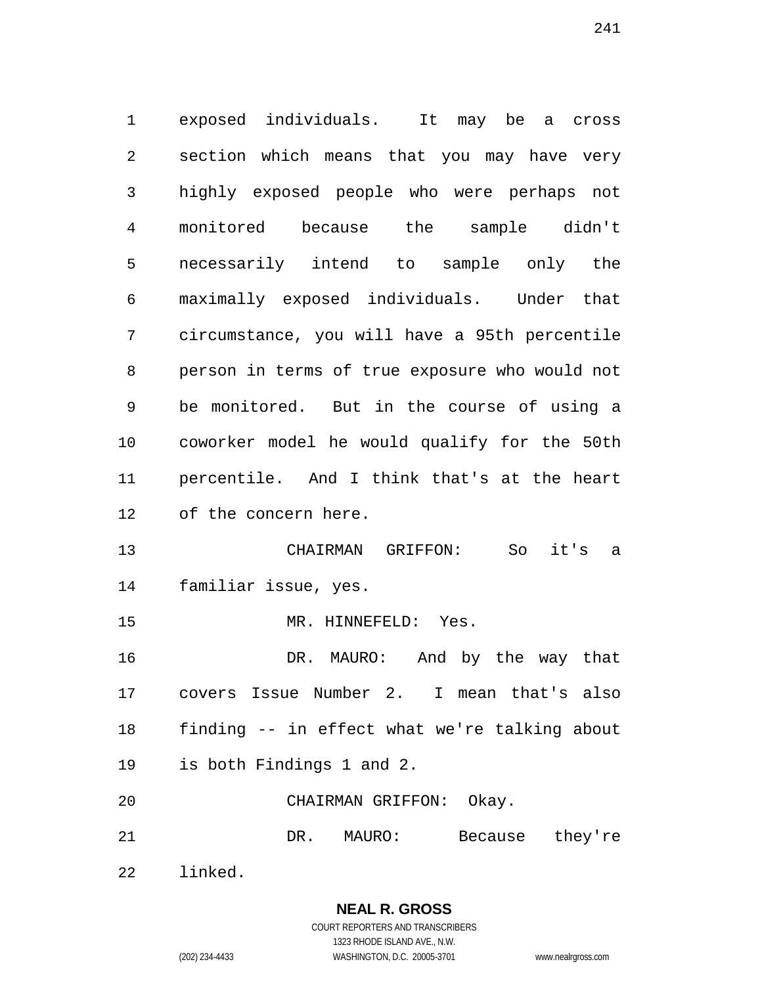exposed individuals. It may be a cross section which means that you may have very highly exposed people who were perhaps not monitored because the sample didn't necessarily intend to sample only the maximally exposed individuals. Under that circumstance, you will have a 95th percentile person in terms of true exposure who would not be monitored. But in the course of using a coworker model he would qualify for the 50th percentile. And I think that's at the heart of the concern here. CHAIRMAN GRIFFON: So it's a familiar issue, yes. MR. HINNEFELD: Yes. DR. MAURO: And by the way that covers Issue Number 2. I mean that's also finding -- in effect what we're talking about is both Findings 1 and 2. CHAIRMAN GRIFFON: Okay. DR. MAURO: Because they're

linked.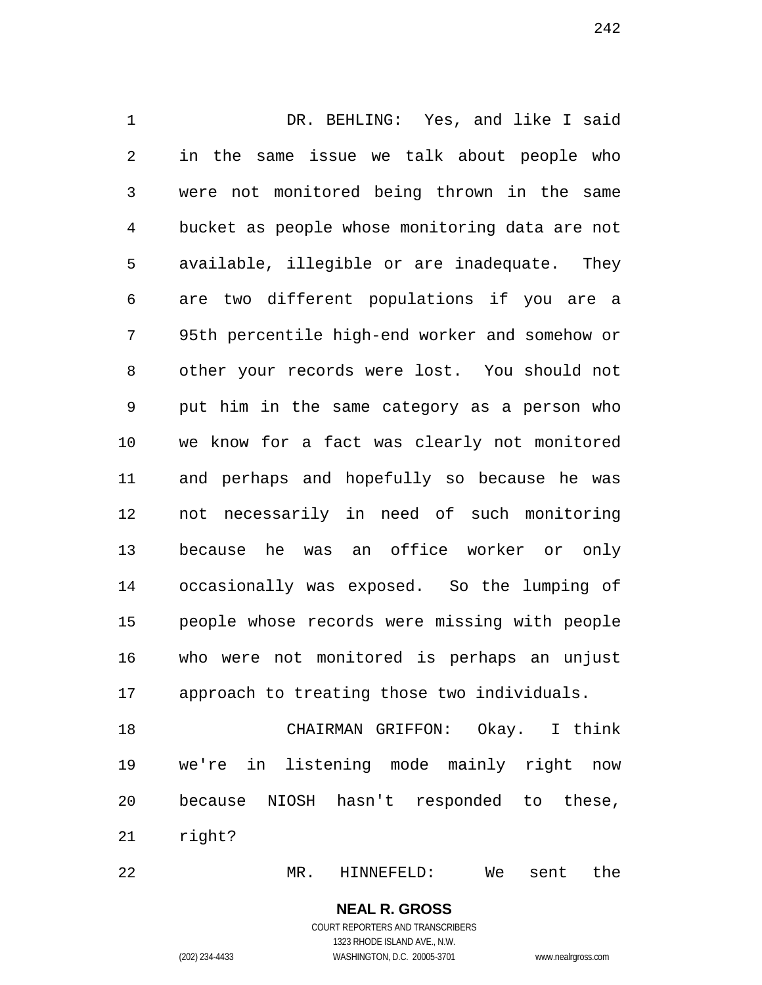DR. BEHLING: Yes, and like I said in the same issue we talk about people who were not monitored being thrown in the same bucket as people whose monitoring data are not available, illegible or are inadequate. They are two different populations if you are a 95th percentile high-end worker and somehow or other your records were lost. You should not put him in the same category as a person who we know for a fact was clearly not monitored and perhaps and hopefully so because he was not necessarily in need of such monitoring because he was an office worker or only occasionally was exposed. So the lumping of people whose records were missing with people who were not monitored is perhaps an unjust approach to treating those two individuals.

 CHAIRMAN GRIFFON: Okay. I think we're in listening mode mainly right now because NIOSH hasn't responded to these, right?

MR. HINNEFELD: We sent the

**NEAL R. GROSS** COURT REPORTERS AND TRANSCRIBERS 1323 RHODE ISLAND AVE., N.W.

(202) 234-4433 WASHINGTON, D.C. 20005-3701 www.nealrgross.com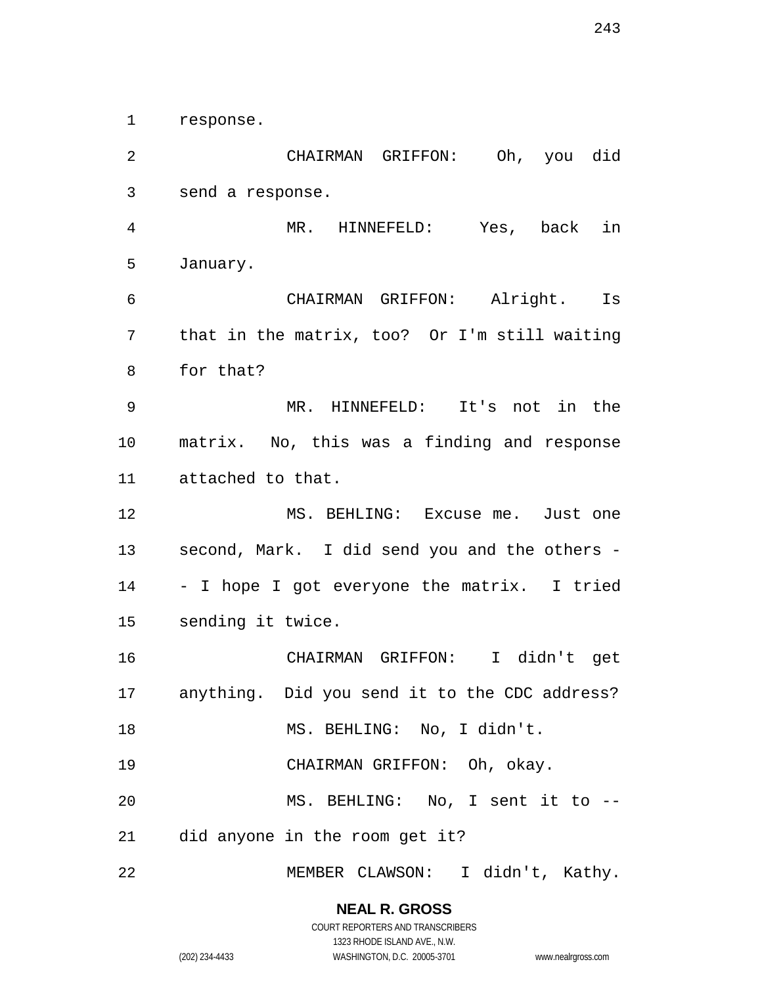response.

 CHAIRMAN GRIFFON: Oh, you did send a response. MR. HINNEFELD: Yes, back in January. CHAIRMAN GRIFFON: Alright. Is that in the matrix, too? Or I'm still waiting for that? MR. HINNEFELD: It's not in the matrix. No, this was a finding and response attached to that. MS. BEHLING: Excuse me. Just one second, Mark. I did send you and the others - - I hope I got everyone the matrix. I tried sending it twice. CHAIRMAN GRIFFON: I didn't get anything. Did you send it to the CDC address? 18 MS. BEHLING: No, I didn't. CHAIRMAN GRIFFON: Oh, okay. MS. BEHLING: No, I sent it to -- did anyone in the room get it? MEMBER CLAWSON: I didn't, Kathy.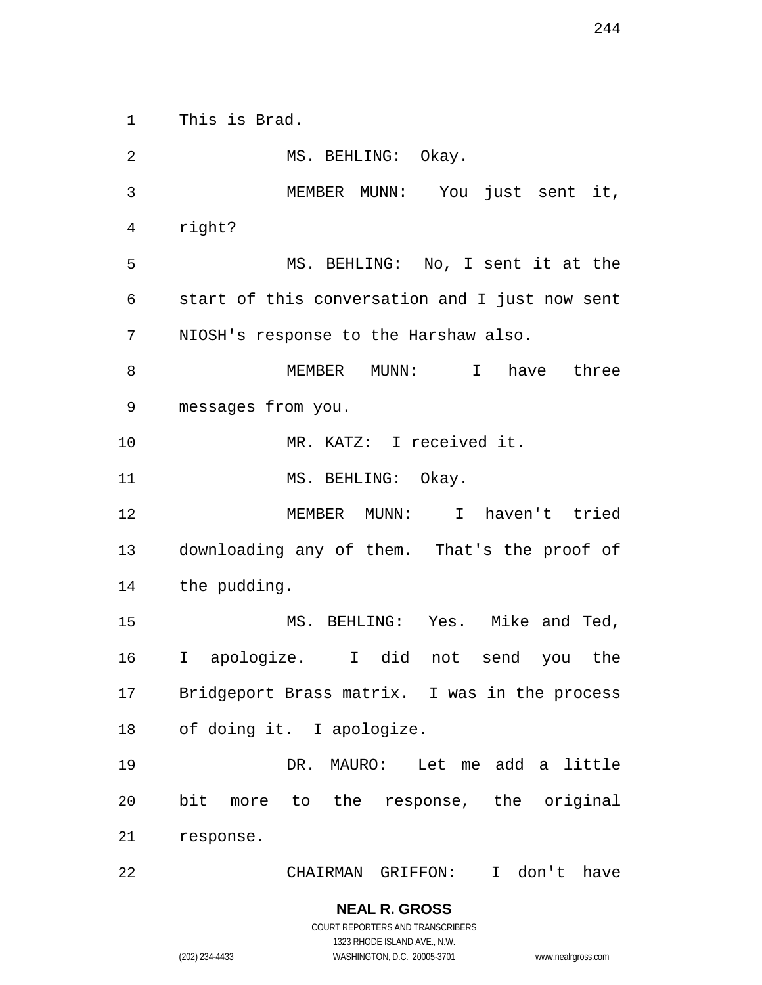This is Brad.

 MS. BEHLING: Okay. MEMBER MUNN: You just sent it, right? MS. BEHLING: No, I sent it at the start of this conversation and I just now sent NIOSH's response to the Harshaw also. MEMBER MUNN: I have three messages from you. MR. KATZ: I received it. 11 MS. BEHLING: Okay. MEMBER MUNN: I haven't tried downloading any of them. That's the proof of the pudding. MS. BEHLING: Yes. Mike and Ted, I apologize. I did not send you the Bridgeport Brass matrix. I was in the process of doing it. I apologize. DR. MAURO: Let me add a little bit more to the response, the original response. CHAIRMAN GRIFFON: I don't have

COURT REPORTERS AND TRANSCRIBERS 1323 RHODE ISLAND AVE., N.W. (202) 234-4433 WASHINGTON, D.C. 20005-3701 www.nealrgross.com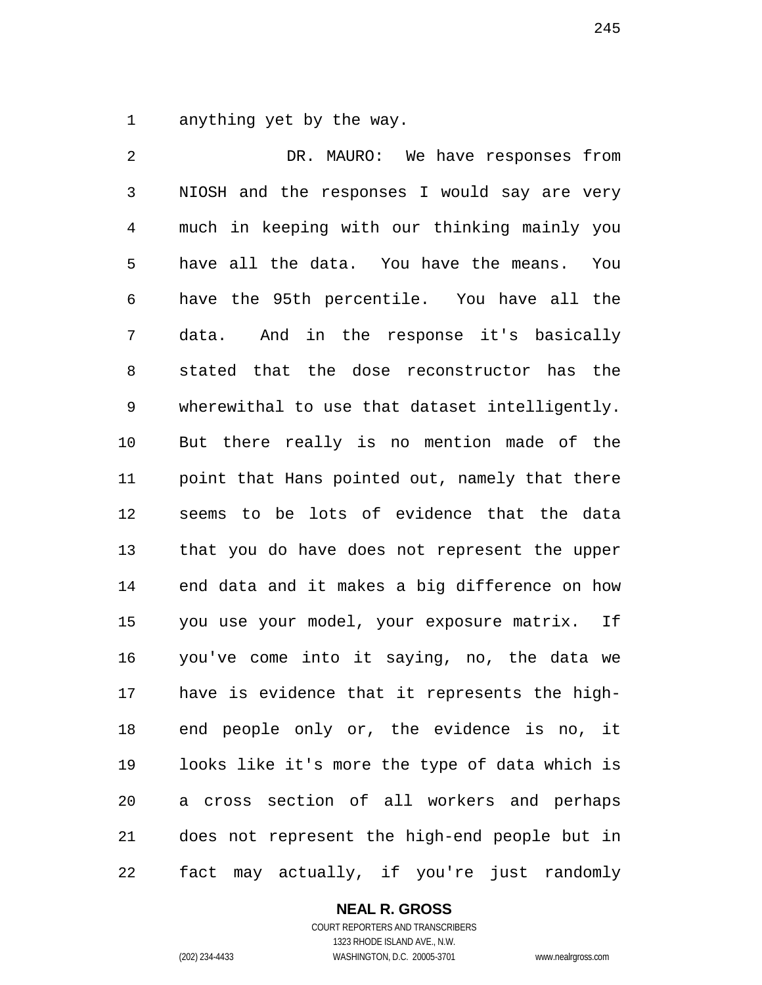anything yet by the way.

 DR. MAURO: We have responses from NIOSH and the responses I would say are very much in keeping with our thinking mainly you have all the data. You have the means. You have the 95th percentile. You have all the data. And in the response it's basically stated that the dose reconstructor has the wherewithal to use that dataset intelligently. But there really is no mention made of the point that Hans pointed out, namely that there seems to be lots of evidence that the data that you do have does not represent the upper end data and it makes a big difference on how you use your model, your exposure matrix. If you've come into it saying, no, the data we have is evidence that it represents the high- end people only or, the evidence is no, it looks like it's more the type of data which is a cross section of all workers and perhaps does not represent the high-end people but in fact may actually, if you're just randomly

### **NEAL R. GROSS**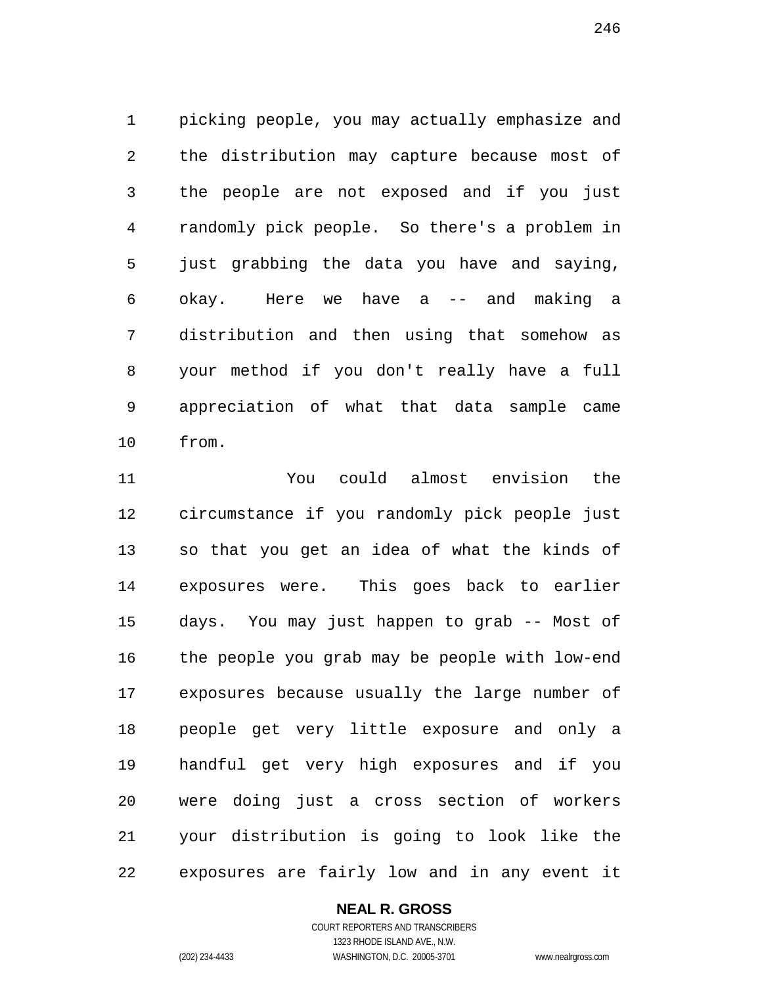picking people, you may actually emphasize and the distribution may capture because most of the people are not exposed and if you just randomly pick people. So there's a problem in just grabbing the data you have and saying, okay. Here we have a -- and making a distribution and then using that somehow as your method if you don't really have a full appreciation of what that data sample came from.

 You could almost envision the circumstance if you randomly pick people just so that you get an idea of what the kinds of exposures were. This goes back to earlier days. You may just happen to grab -- Most of the people you grab may be people with low-end exposures because usually the large number of people get very little exposure and only a handful get very high exposures and if you were doing just a cross section of workers your distribution is going to look like the exposures are fairly low and in any event it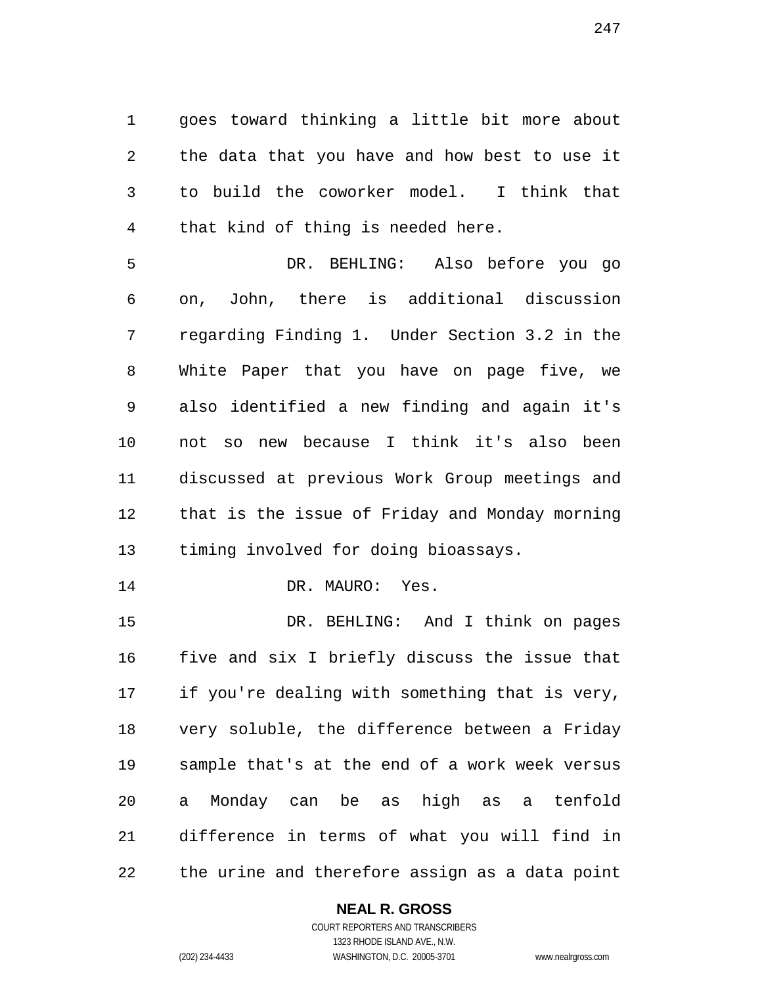goes toward thinking a little bit more about the data that you have and how best to use it to build the coworker model. I think that that kind of thing is needed here.

 DR. BEHLING: Also before you go on, John, there is additional discussion regarding Finding 1. Under Section 3.2 in the White Paper that you have on page five, we also identified a new finding and again it's not so new because I think it's also been discussed at previous Work Group meetings and that is the issue of Friday and Monday morning timing involved for doing bioassays.

14 DR. MAURO: Yes.

 DR. BEHLING: And I think on pages five and six I briefly discuss the issue that if you're dealing with something that is very, very soluble, the difference between a Friday sample that's at the end of a work week versus a Monday can be as high as a tenfold difference in terms of what you will find in the urine and therefore assign as a data point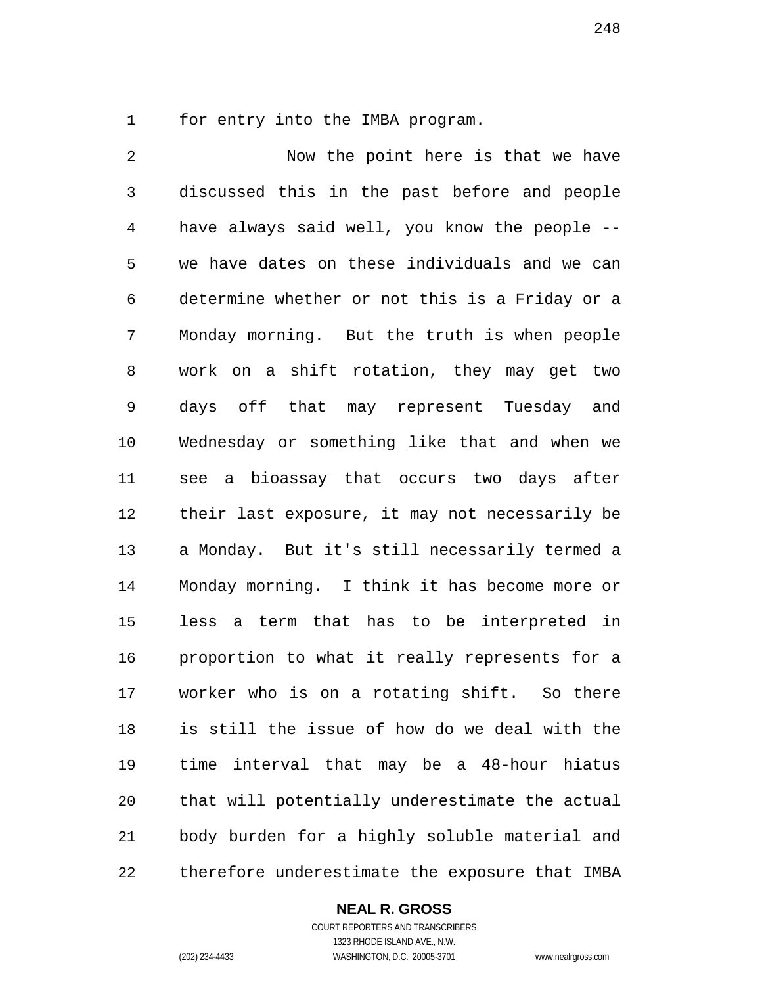for entry into the IMBA program.

 Now the point here is that we have discussed this in the past before and people have always said well, you know the people -- we have dates on these individuals and we can determine whether or not this is a Friday or a Monday morning. But the truth is when people work on a shift rotation, they may get two days off that may represent Tuesday and Wednesday or something like that and when we see a bioassay that occurs two days after their last exposure, it may not necessarily be a Monday. But it's still necessarily termed a Monday morning. I think it has become more or less a term that has to be interpreted in proportion to what it really represents for a worker who is on a rotating shift. So there is still the issue of how do we deal with the time interval that may be a 48-hour hiatus that will potentially underestimate the actual body burden for a highly soluble material and therefore underestimate the exposure that IMBA

#### **NEAL R. GROSS** COURT REPORTERS AND TRANSCRIBERS

1323 RHODE ISLAND AVE., N.W. (202) 234-4433 WASHINGTON, D.C. 20005-3701 www.nealrgross.com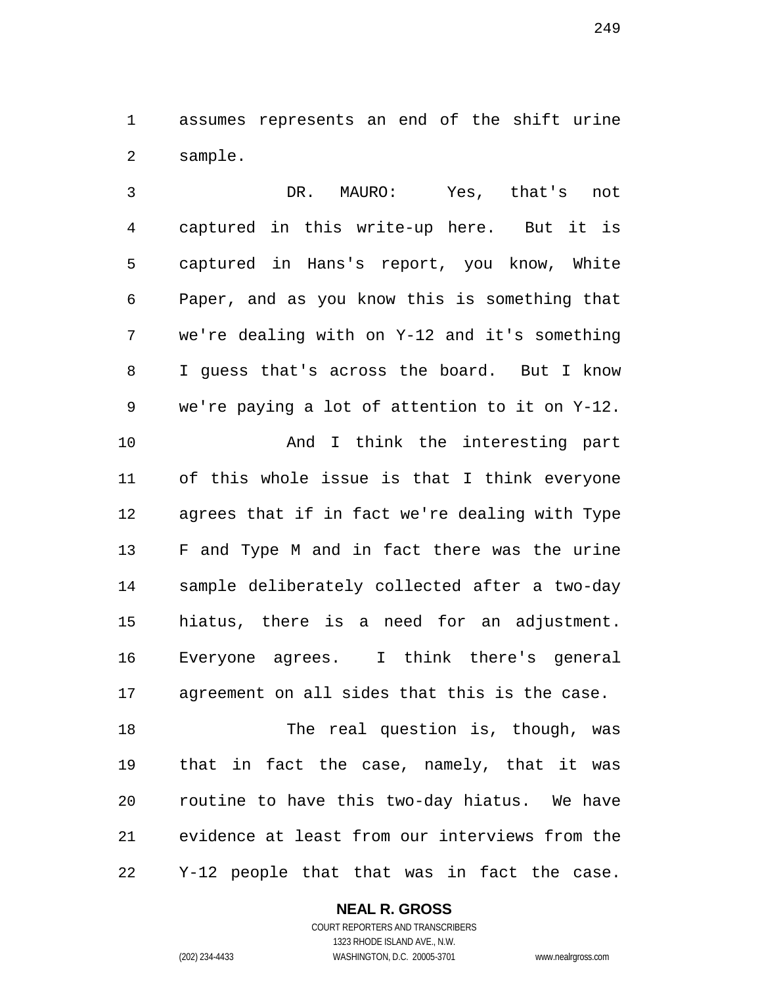assumes represents an end of the shift urine sample.

 DR. MAURO: Yes, that's not captured in this write-up here. But it is captured in Hans's report, you know, White Paper, and as you know this is something that we're dealing with on Y-12 and it's something I guess that's across the board. But I know we're paying a lot of attention to it on Y-12. 10 And I think the interesting part of this whole issue is that I think everyone agrees that if in fact we're dealing with Type F and Type M and in fact there was the urine sample deliberately collected after a two-day hiatus, there is a need for an adjustment. Everyone agrees. I think there's general agreement on all sides that this is the case. 18 The real question is, though, was that in fact the case, namely, that it was

 routine to have this two-day hiatus. We have evidence at least from our interviews from the Y-12 people that that was in fact the case.

**NEAL R. GROSS**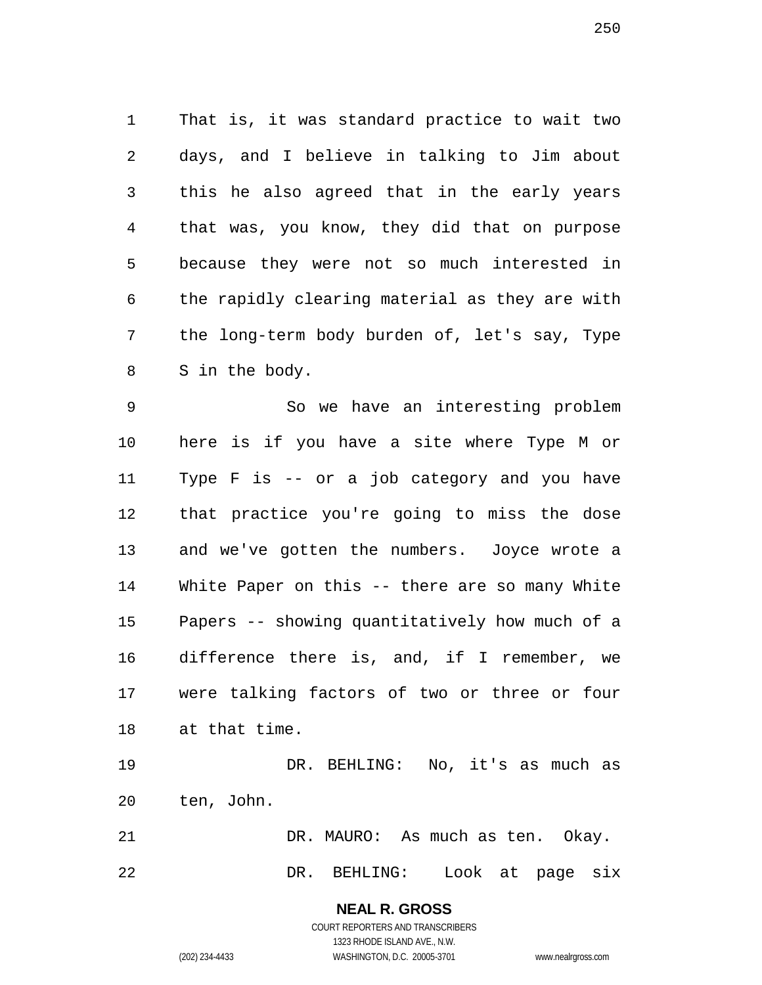That is, it was standard practice to wait two days, and I believe in talking to Jim about this he also agreed that in the early years that was, you know, they did that on purpose because they were not so much interested in the rapidly clearing material as they are with the long-term body burden of, let's say, Type S in the body.

 So we have an interesting problem here is if you have a site where Type M or Type F is -- or a job category and you have that practice you're going to miss the dose and we've gotten the numbers. Joyce wrote a White Paper on this -- there are so many White Papers -- showing quantitatively how much of a difference there is, and, if I remember, we were talking factors of two or three or four at that time.

 DR. BEHLING: No, it's as much as ten, John.

DR. MAURO: As much as ten. Okay.

DR. BEHLING: Look at page six

**NEAL R. GROSS** COURT REPORTERS AND TRANSCRIBERS

1323 RHODE ISLAND AVE., N.W.

(202) 234-4433 WASHINGTON, D.C. 20005-3701 www.nealrgross.com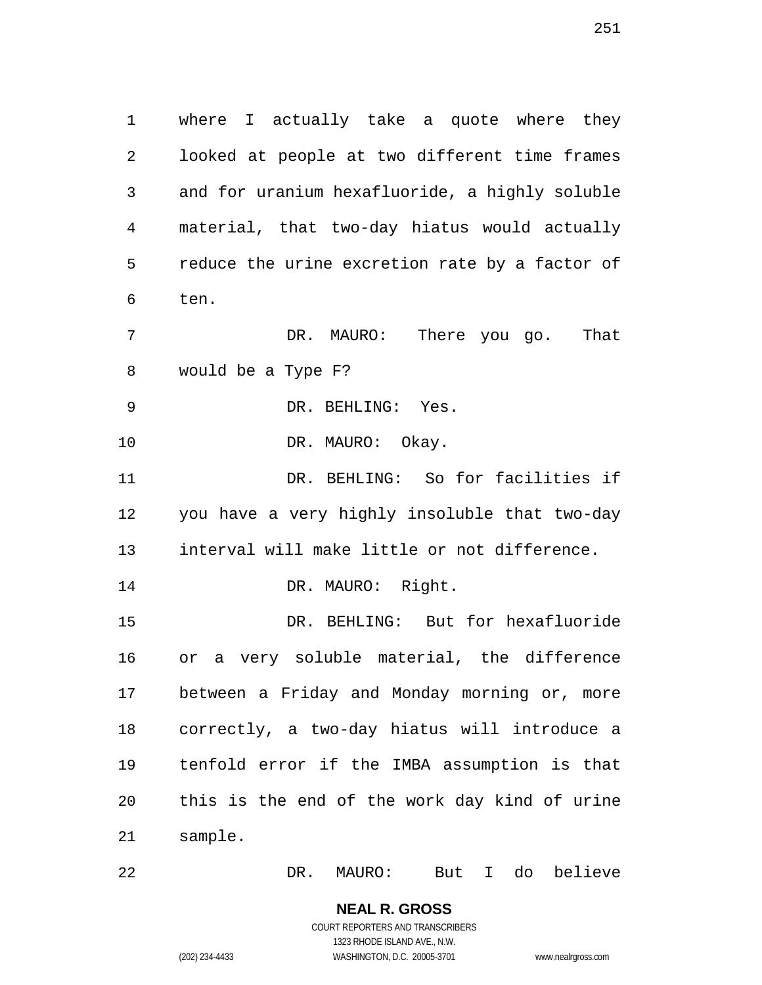where I actually take a quote where they looked at people at two different time frames and for uranium hexafluoride, a highly soluble material, that two-day hiatus would actually reduce the urine excretion rate by a factor of ten. DR. MAURO: There you go. That

would be a Type F?

DR. BEHLING: Yes.

10 DR. MAURO: Okay.

 DR. BEHLING: So for facilities if you have a very highly insoluble that two-day interval will make little or not difference.

14 DR. MAURO: Right.

 DR. BEHLING: But for hexafluoride or a very soluble material, the difference between a Friday and Monday morning or, more correctly, a two-day hiatus will introduce a tenfold error if the IMBA assumption is that this is the end of the work day kind of urine sample.

DR. MAURO: But I do believe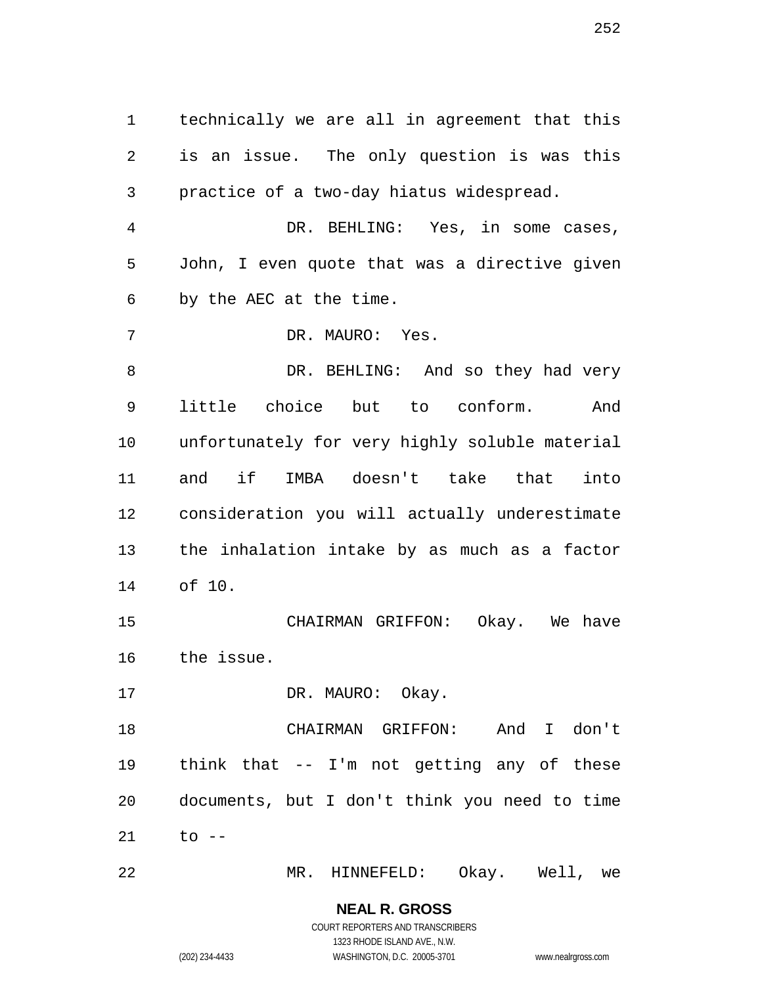technically we are all in agreement that this is an issue. The only question is was this practice of a two-day hiatus widespread. DR. BEHLING: Yes, in some cases, John, I even quote that was a directive given by the AEC at the time. DR. MAURO: Yes. 8 DR. BEHLING: And so they had very little choice but to conform. And unfortunately for very highly soluble material and if IMBA doesn't take that into consideration you will actually underestimate the inhalation intake by as much as a factor of 10. CHAIRMAN GRIFFON: Okay. We have the issue. 17 DR. MAURO: Okay. CHAIRMAN GRIFFON: And I don't

 think that -- I'm not getting any of these documents, but I don't think you need to time to  $-$ 

MR. HINNEFELD: Okay. Well, we

**NEAL R. GROSS** COURT REPORTERS AND TRANSCRIBERS

1323 RHODE ISLAND AVE., N.W.

(202) 234-4433 WASHINGTON, D.C. 20005-3701 www.nealrgross.com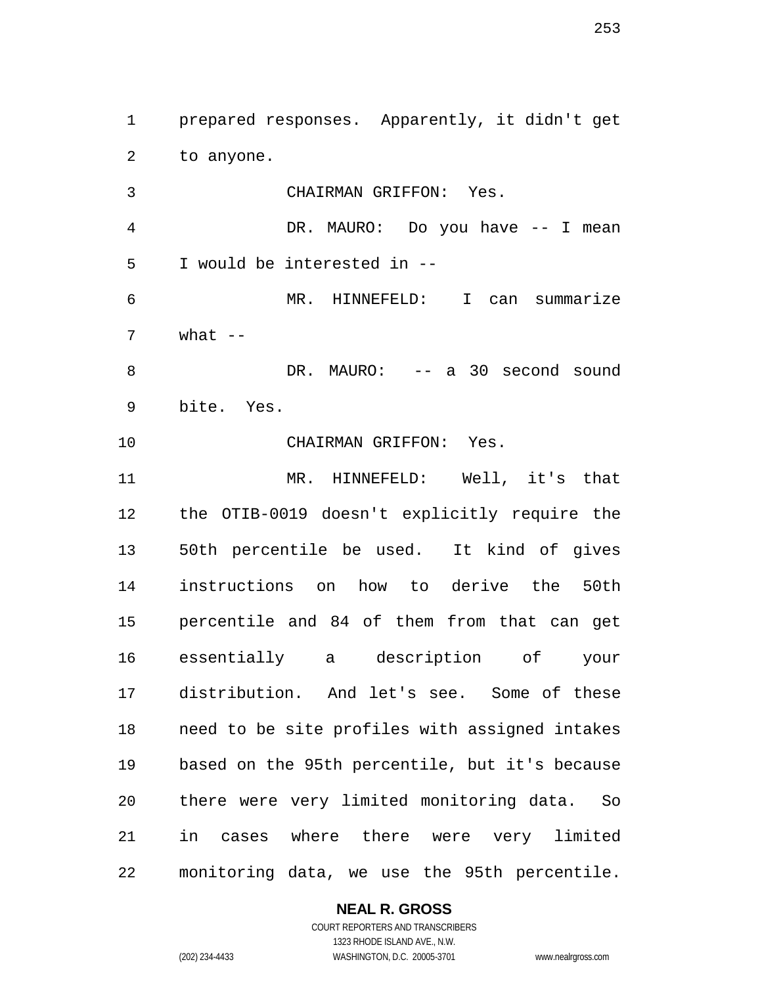prepared responses. Apparently, it didn't get to anyone.

 CHAIRMAN GRIFFON: Yes. DR. MAURO: Do you have -- I mean I would be interested in -- MR. HINNEFELD: I can summarize what  $-$  DR. MAURO: -- a 30 second sound bite. Yes. CHAIRMAN GRIFFON: Yes. MR. HINNEFELD: Well, it's that the OTIB-0019 doesn't explicitly require the 50th percentile be used. It kind of gives instructions on how to derive the 50th percentile and 84 of them from that can get essentially a description of your distribution. And let's see. Some of these need to be site profiles with assigned intakes based on the 95th percentile, but it's because there were very limited monitoring data. So in cases where there were very limited monitoring data, we use the 95th percentile.

## **NEAL R. GROSS**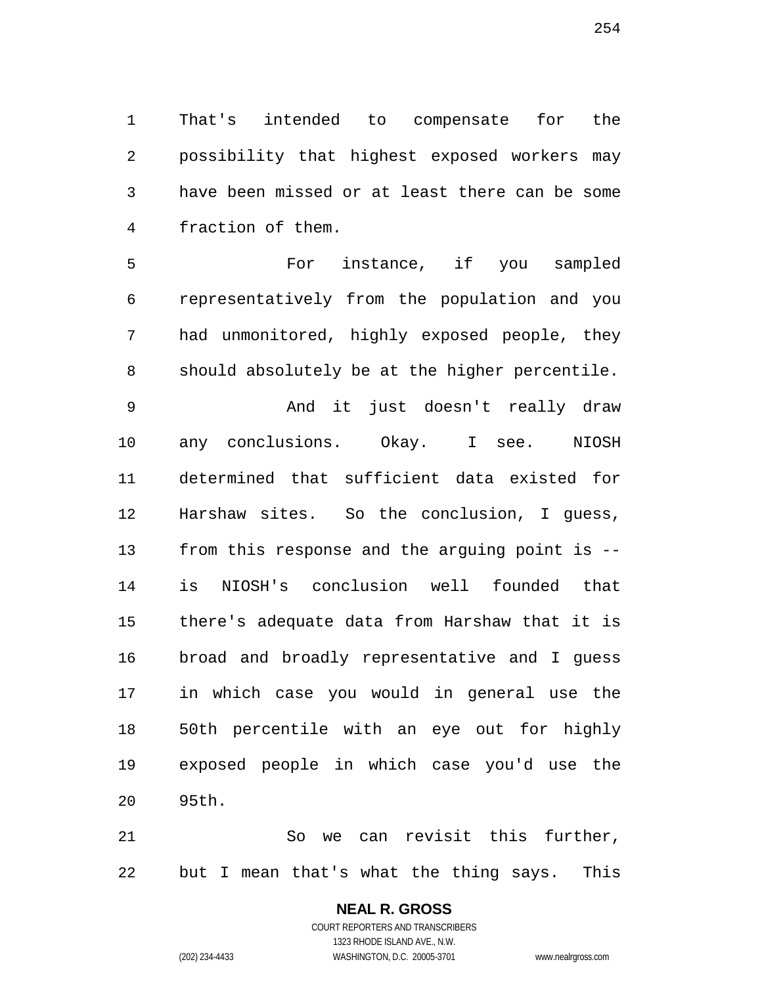That's intended to compensate for the possibility that highest exposed workers may have been missed or at least there can be some fraction of them.

 For instance, if you sampled representatively from the population and you had unmonitored, highly exposed people, they should absolutely be at the higher percentile.

 And it just doesn't really draw any conclusions. Okay. I see. NIOSH determined that sufficient data existed for Harshaw sites. So the conclusion, I guess, from this response and the arguing point is -- is NIOSH's conclusion well founded that there's adequate data from Harshaw that it is broad and broadly representative and I guess in which case you would in general use the 50th percentile with an eye out for highly exposed people in which case you'd use the 95th.

 So we can revisit this further, but I mean that's what the thing says. This

# **NEAL R. GROSS**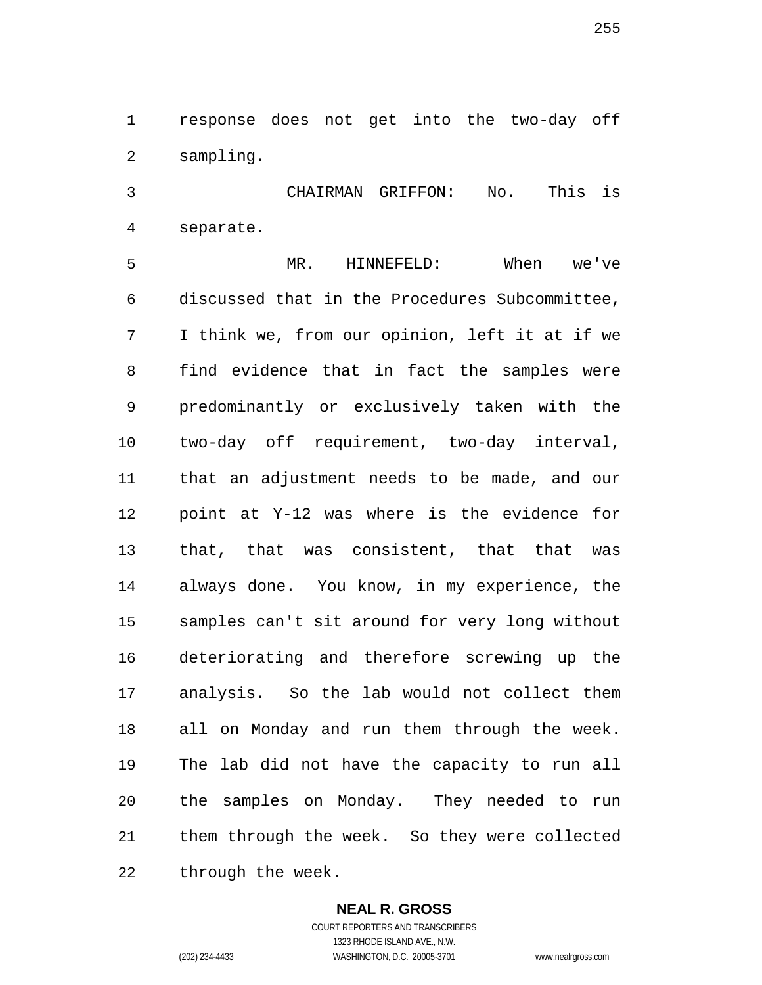response does not get into the two-day off sampling.

 CHAIRMAN GRIFFON: No. This is separate.

 MR. HINNEFELD: When we've discussed that in the Procedures Subcommittee, I think we, from our opinion, left it at if we find evidence that in fact the samples were predominantly or exclusively taken with the two-day off requirement, two-day interval, that an adjustment needs to be made, and our point at Y-12 was where is the evidence for that, that was consistent, that that was always done. You know, in my experience, the samples can't sit around for very long without deteriorating and therefore screwing up the analysis. So the lab would not collect them all on Monday and run them through the week. The lab did not have the capacity to run all the samples on Monday. They needed to run them through the week. So they were collected through the week.

#### **NEAL R. GROSS**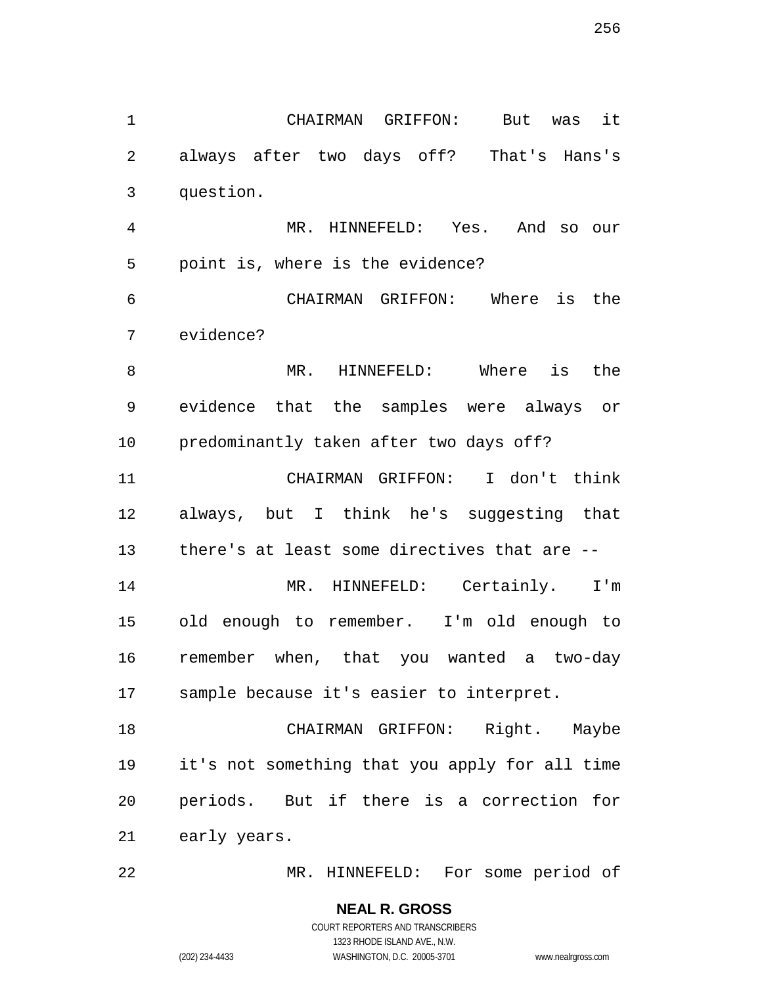CHAIRMAN GRIFFON: But was it always after two days off? That's Hans's question. MR. HINNEFELD: Yes. And so our point is, where is the evidence? CHAIRMAN GRIFFON: Where is the evidence? MR. HINNEFELD: Where is the evidence that the samples were always or predominantly taken after two days off? CHAIRMAN GRIFFON: I don't think always, but I think he's suggesting that there's at least some directives that are -- 14 MR. HINNEFELD: Certainly. I'm old enough to remember. I'm old enough to remember when, that you wanted a two-day sample because it's easier to interpret. 18 CHAIRMAN GRIFFON: Right. Maybe it's not something that you apply for all time periods. But if there is a correction for early years.

MR. HINNEFELD: For some period of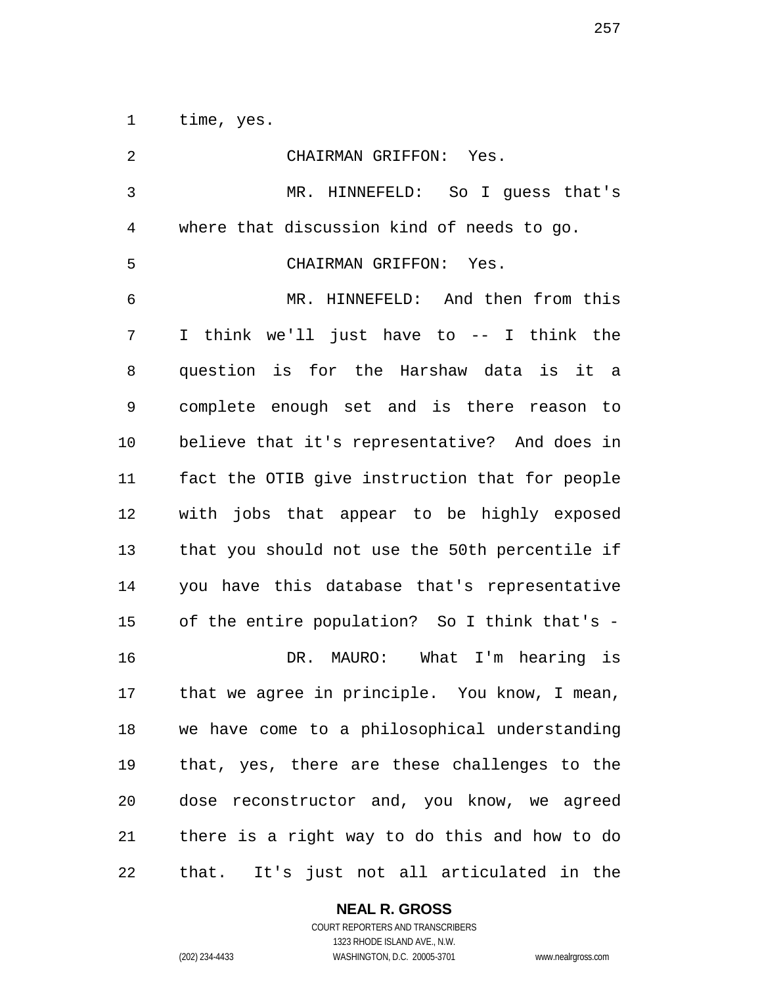time, yes.

| $\overline{2}$ | CHAIRMAN GRIFFON: Yes.                         |
|----------------|------------------------------------------------|
| 3              | MR. HINNEFELD: So I quess that's               |
| $\overline{4}$ | where that discussion kind of needs to go.     |
| 5              | CHAIRMAN GRIFFON: Yes.                         |
| 6              | MR. HINNEFELD: And then from this              |
| 7              | I think we'll just have to -- I think the      |
| 8              | question is for the Harshaw data is it a       |
| 9              | complete enough set and is there reason to     |
| 10             | believe that it's representative? And does in  |
| 11             | fact the OTIB give instruction that for people |
| 12             | with jobs that appear to be highly exposed     |
| 13             | that you should not use the 50th percentile if |
| 14             | you have this database that's representative   |
| 15             | of the entire population? So I think that's -  |
| 16             | DR. MAURO: What I'm hearing is                 |
| 17             | that we agree in principle. You know, I mean,  |
| 18             | we have come to a philosophical understanding  |
| 19             | that, yes, there are these challenges to the   |
| 20             | dose reconstructor and, you know, we agreed    |
| 21             | there is a right way to do this and how to do  |
| 22             | that. It's just not all articulated in the     |

# **NEAL R. GROSS**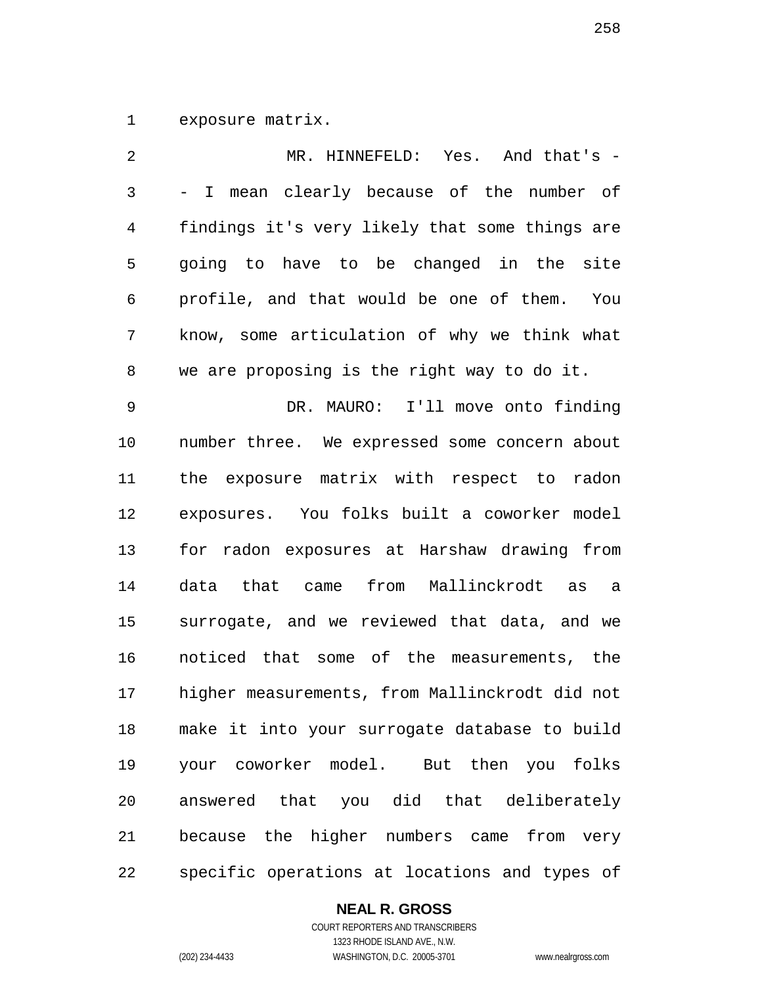exposure matrix.

| 2              | MR. HINNEFELD: Yes. And that's -               |
|----------------|------------------------------------------------|
| 3              | - I mean clearly because of the number of      |
| $\overline{4}$ | findings it's very likely that some things are |
| 5              | going to have to be changed in the site        |
| 6              | profile, and that would be one of them. You    |
| 7              | know, some articulation of why we think what   |
| 8              | we are proposing is the right way to do it.    |
| 9              | DR. MAURO: I'll move onto finding              |
| 10             | number three. We expressed some concern about  |
| 11             | the exposure matrix with respect to radon      |
| 12             | exposures. You folks built a coworker model    |
| 13             | for radon exposures at Harshaw drawing from    |
| 14             | data that came from Mallinckrodt as<br>a       |
| 15             | surrogate, and we reviewed that data, and we   |
| 16             | noticed that some of the measurements, the     |
| 17             | higher measurements, from Mallinckrodt did not |
| 18             | make it into your surrogate database to build  |
| 19             | your coworker model. But then you folks        |
| 20             | answered that you did that deliberately        |
| 21             | because the higher numbers came from very      |
| 22             | specific operations at locations and types of  |

# **NEAL R. GROSS**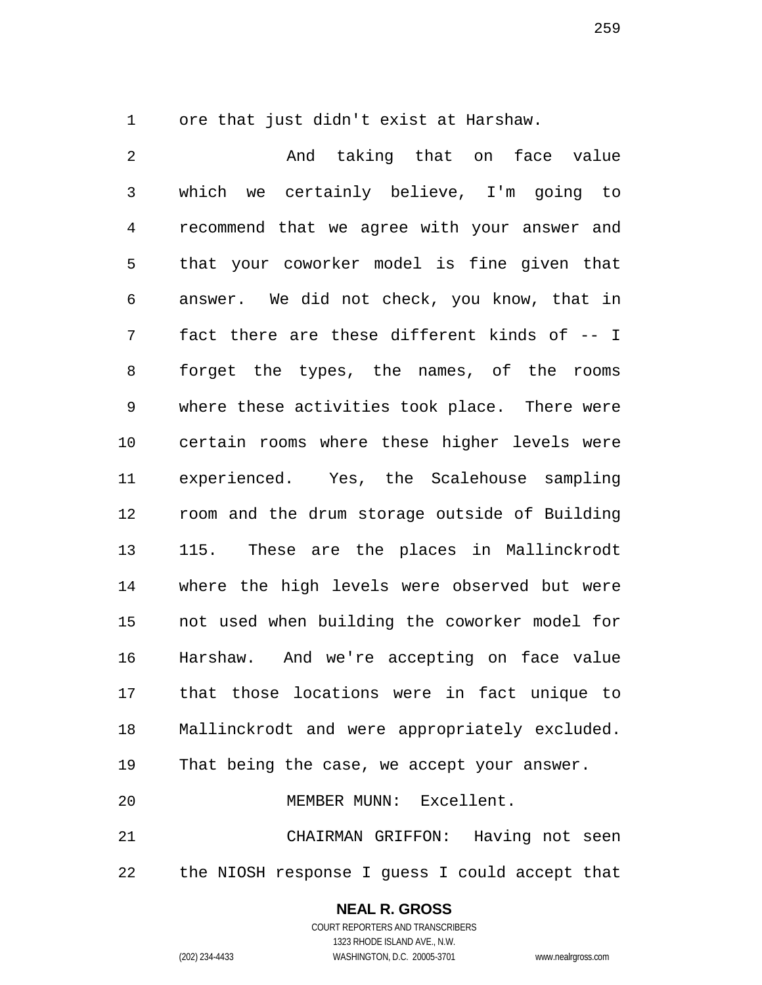ore that just didn't exist at Harshaw.

 And taking that on face value which we certainly believe, I'm going to recommend that we agree with your answer and that your coworker model is fine given that answer. We did not check, you know, that in fact there are these different kinds of -- I forget the types, the names, of the rooms where these activities took place. There were certain rooms where these higher levels were experienced. Yes, the Scalehouse sampling room and the drum storage outside of Building 115. These are the places in Mallinckrodt where the high levels were observed but were not used when building the coworker model for Harshaw. And we're accepting on face value that those locations were in fact unique to Mallinckrodt and were appropriately excluded. That being the case, we accept your answer. MEMBER MUNN: Excellent. CHAIRMAN GRIFFON: Having not seen the NIOSH response I guess I could accept that

#### **NEAL R. GROSS**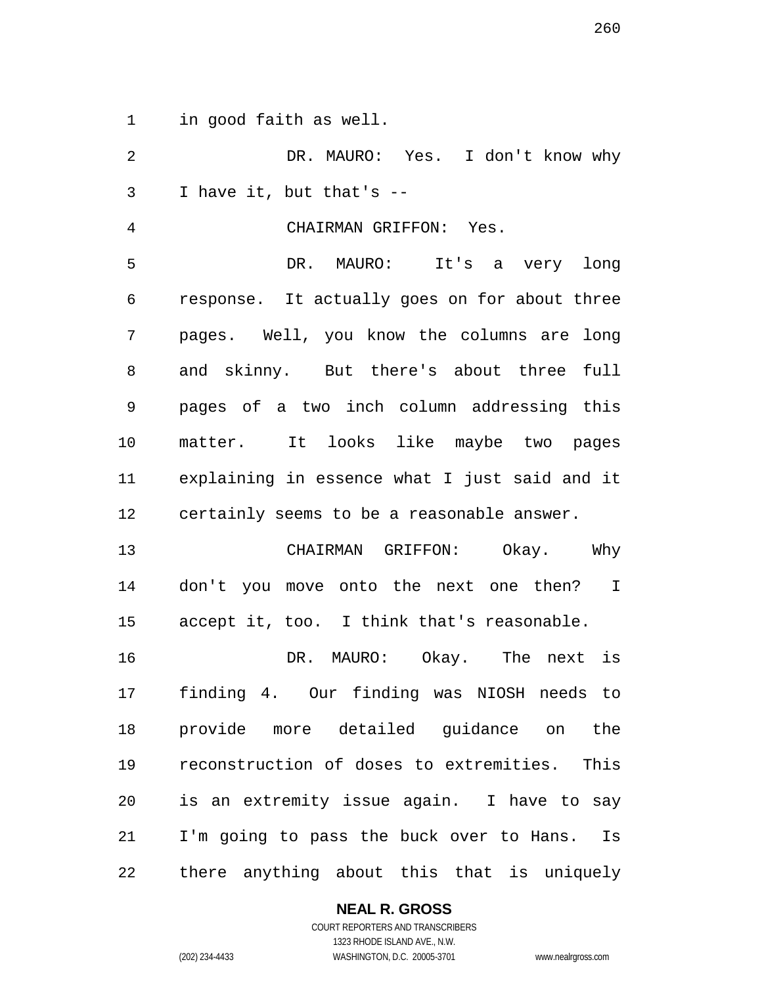in good faith as well.

 DR. MAURO: Yes. I don't know why I have it, but that's --

CHAIRMAN GRIFFON: Yes.

 DR. MAURO: It's a very long response. It actually goes on for about three pages. Well, you know the columns are long and skinny. But there's about three full pages of a two inch column addressing this matter. It looks like maybe two pages explaining in essence what I just said and it certainly seems to be a reasonable answer.

 CHAIRMAN GRIFFON: Okay. Why don't you move onto the next one then? I accept it, too. I think that's reasonable.

 DR. MAURO: Okay. The next is finding 4. Our finding was NIOSH needs to provide more detailed guidance on the reconstruction of doses to extremities. This is an extremity issue again. I have to say I'm going to pass the buck over to Hans. Is there anything about this that is uniquely

## **NEAL R. GROSS**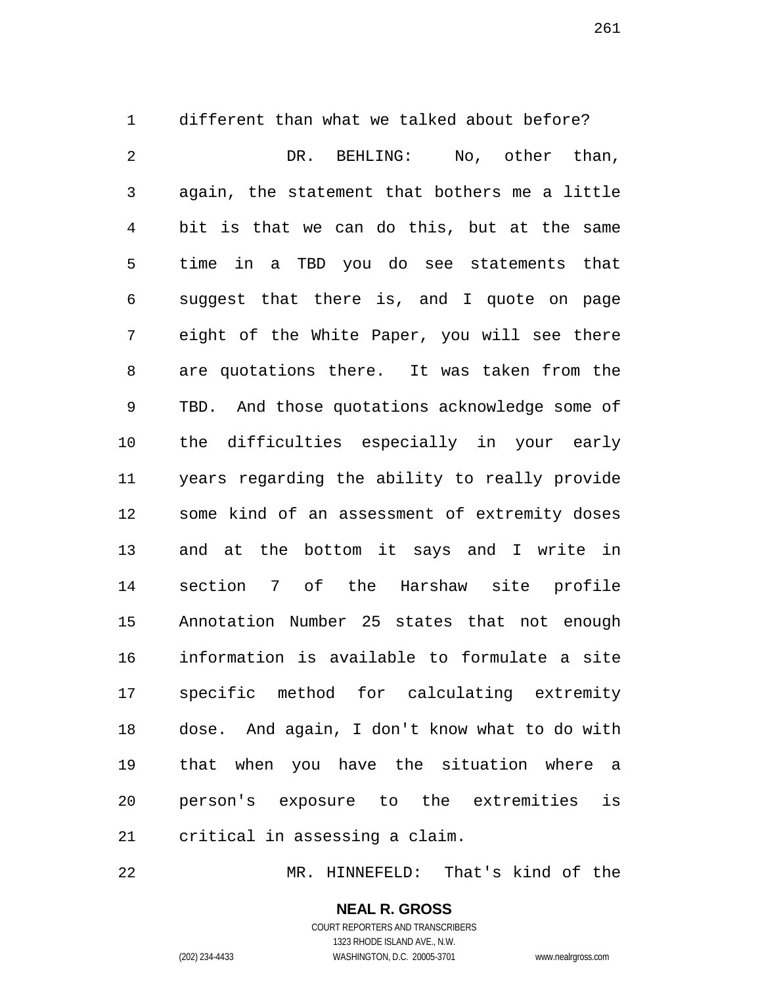different than what we talked about before? DR. BEHLING: No, other than, again, the statement that bothers me a little bit is that we can do this, but at the same time in a TBD you do see statements that suggest that there is, and I quote on page eight of the White Paper, you will see there are quotations there. It was taken from the TBD. And those quotations acknowledge some of the difficulties especially in your early years regarding the ability to really provide some kind of an assessment of extremity doses and at the bottom it says and I write in section 7 of the Harshaw site profile Annotation Number 25 states that not enough information is available to formulate a site specific method for calculating extremity dose. And again, I don't know what to do with that when you have the situation where a person's exposure to the extremities is critical in assessing a claim.

MR. HINNEFELD: That's kind of the

#### **NEAL R. GROSS** COURT REPORTERS AND TRANSCRIBERS

1323 RHODE ISLAND AVE., N.W. (202) 234-4433 WASHINGTON, D.C. 20005-3701 www.nealrgross.com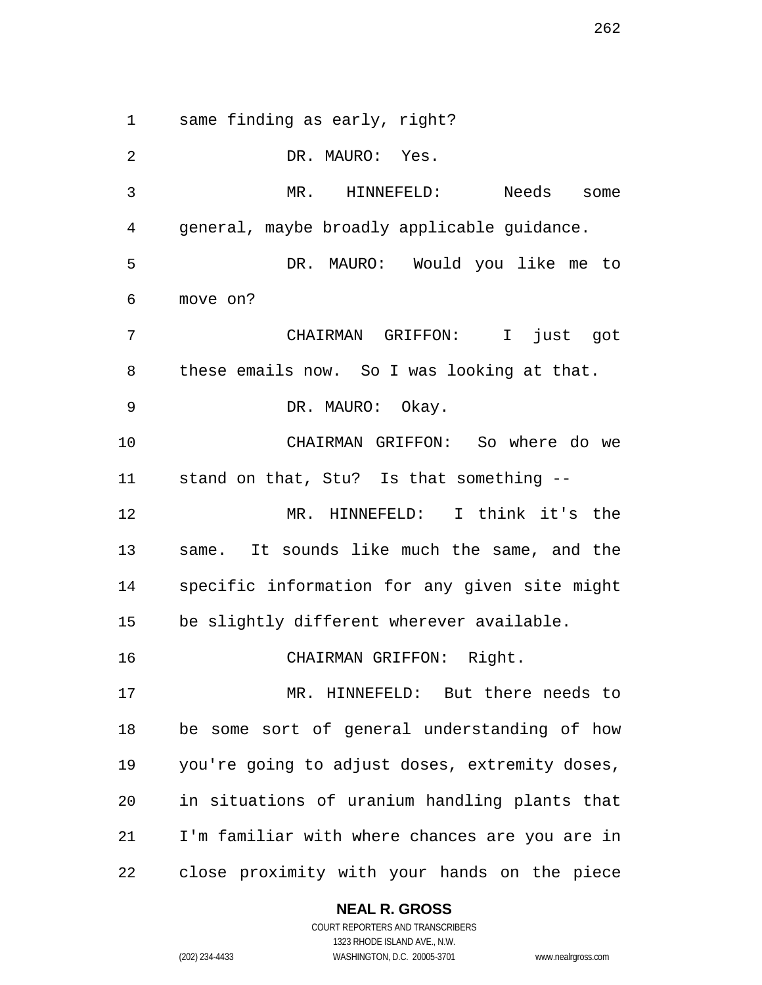same finding as early, right?

 DR. MAURO: Yes. MR. HINNEFELD: Needs some general, maybe broadly applicable guidance. DR. MAURO: Would you like me to move on? CHAIRMAN GRIFFON: I just got these emails now. So I was looking at that. DR. MAURO: Okay. CHAIRMAN GRIFFON: So where do we stand on that, Stu? Is that something -- MR. HINNEFELD: I think it's the same. It sounds like much the same, and the specific information for any given site might be slightly different wherever available. CHAIRMAN GRIFFON: Right. MR. HINNEFELD: But there needs to be some sort of general understanding of how you're going to adjust doses, extremity doses, in situations of uranium handling plants that I'm familiar with where chances are you are in close proximity with your hands on the piece

#### **NEAL R. GROSS**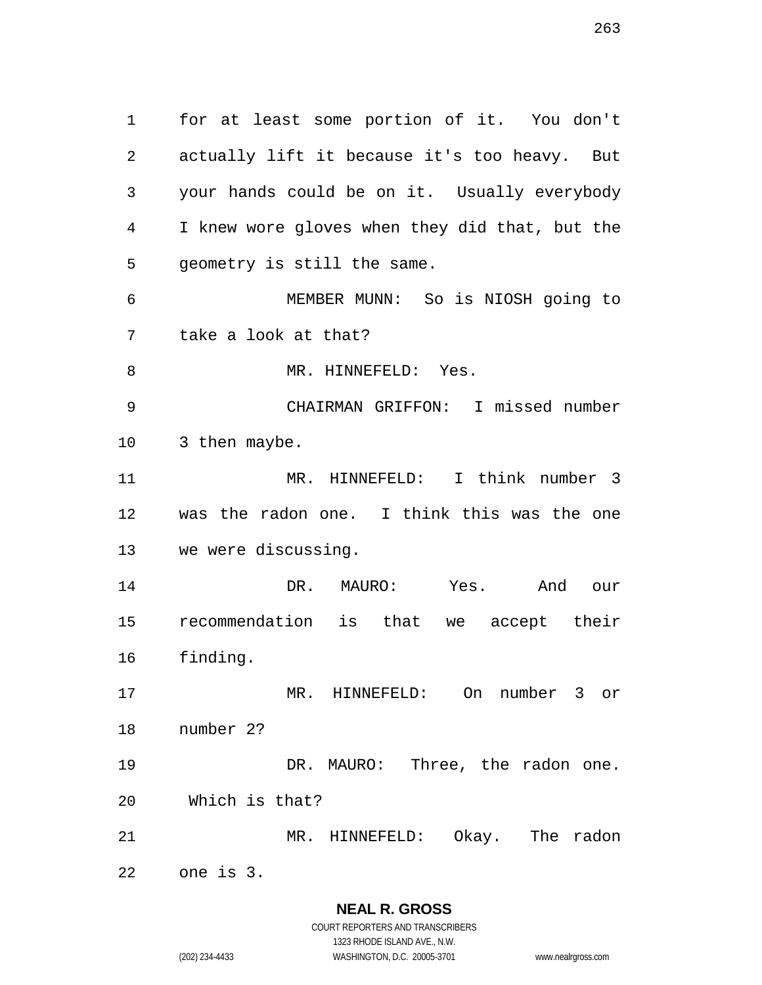for at least some portion of it. You don't actually lift it because it's too heavy. But your hands could be on it. Usually everybody I knew wore gloves when they did that, but the geometry is still the same. MEMBER MUNN: So is NIOSH going to take a look at that? 8 MR. HINNEFELD: Yes. CHAIRMAN GRIFFON: I missed number 3 then maybe. MR. HINNEFELD: I think number 3 was the radon one. I think this was the one we were discussing. DR. MAURO: Yes. And our recommendation is that we accept their finding. MR. HINNEFELD: On number 3 or number 2? 19 DR. MAURO: Three, the radon one. Which is that? MR. HINNEFELD: Okay. The radon one is 3.

**NEAL R. GROSS** COURT REPORTERS AND TRANSCRIBERS 1323 RHODE ISLAND AVE., N.W.

(202) 234-4433 WASHINGTON, D.C. 20005-3701 www.nealrgross.com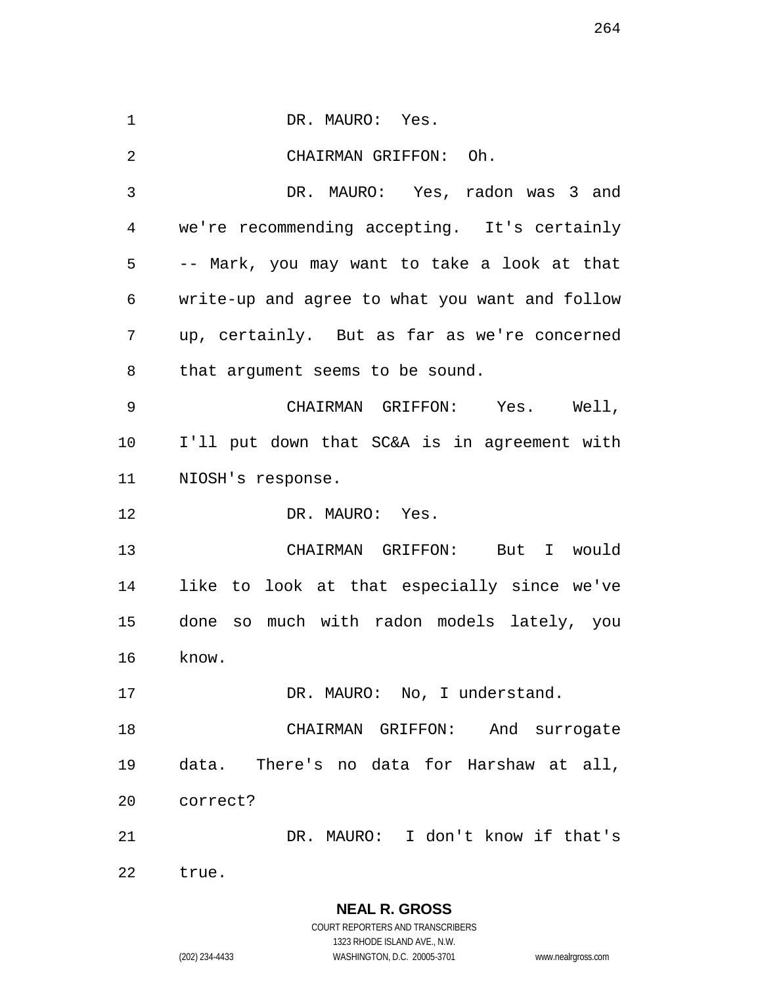1 DR. MAURO: Yes. CHAIRMAN GRIFFON: Oh. DR. MAURO: Yes, radon was 3 and we're recommending accepting. It's certainly -- Mark, you may want to take a look at that write-up and agree to what you want and follow up, certainly. But as far as we're concerned that argument seems to be sound. CHAIRMAN GRIFFON: Yes. Well, I'll put down that SC&A is in agreement with NIOSH's response. 12 DR. MAURO: Yes. CHAIRMAN GRIFFON: But I would like to look at that especially since we've done so much with radon models lately, you know. 17 DR. MAURO: No, I understand. CHAIRMAN GRIFFON: And surrogate data. There's no data for Harshaw at all, correct? DR. MAURO: I don't know if that's true.

> **NEAL R. GROSS** COURT REPORTERS AND TRANSCRIBERS 1323 RHODE ISLAND AVE., N.W.

(202) 234-4433 WASHINGTON, D.C. 20005-3701 www.nealrgross.com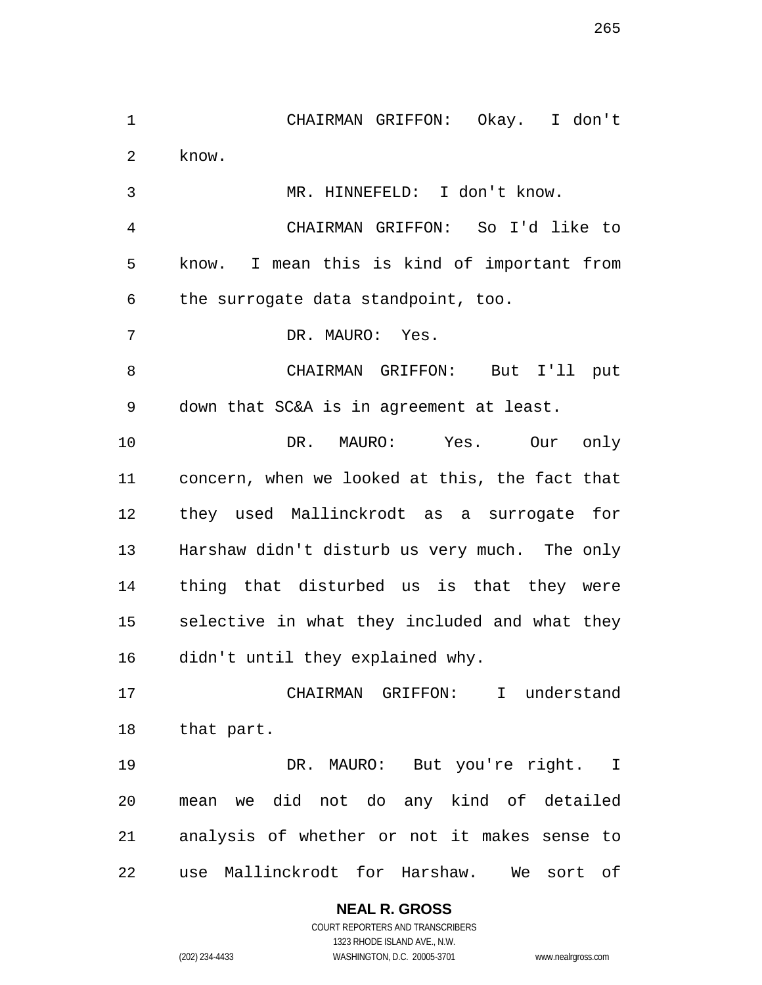CHAIRMAN GRIFFON: Okay. I don't know.

MR. HINNEFELD: I don't know.

 CHAIRMAN GRIFFON: So I'd like to know. I mean this is kind of important from the surrogate data standpoint, too.

DR. MAURO: Yes.

 CHAIRMAN GRIFFON: But I'll put down that SC&A is in agreement at least.

 DR. MAURO: Yes. Our only concern, when we looked at this, the fact that they used Mallinckrodt as a surrogate for Harshaw didn't disturb us very much. The only thing that disturbed us is that they were selective in what they included and what they didn't until they explained why.

 CHAIRMAN GRIFFON: I understand that part.

 DR. MAURO: But you're right. I mean we did not do any kind of detailed analysis of whether or not it makes sense to use Mallinckrodt for Harshaw. We sort of

> **NEAL R. GROSS** COURT REPORTERS AND TRANSCRIBERS

> > 1323 RHODE ISLAND AVE., N.W.

(202) 234-4433 WASHINGTON, D.C. 20005-3701 www.nealrgross.com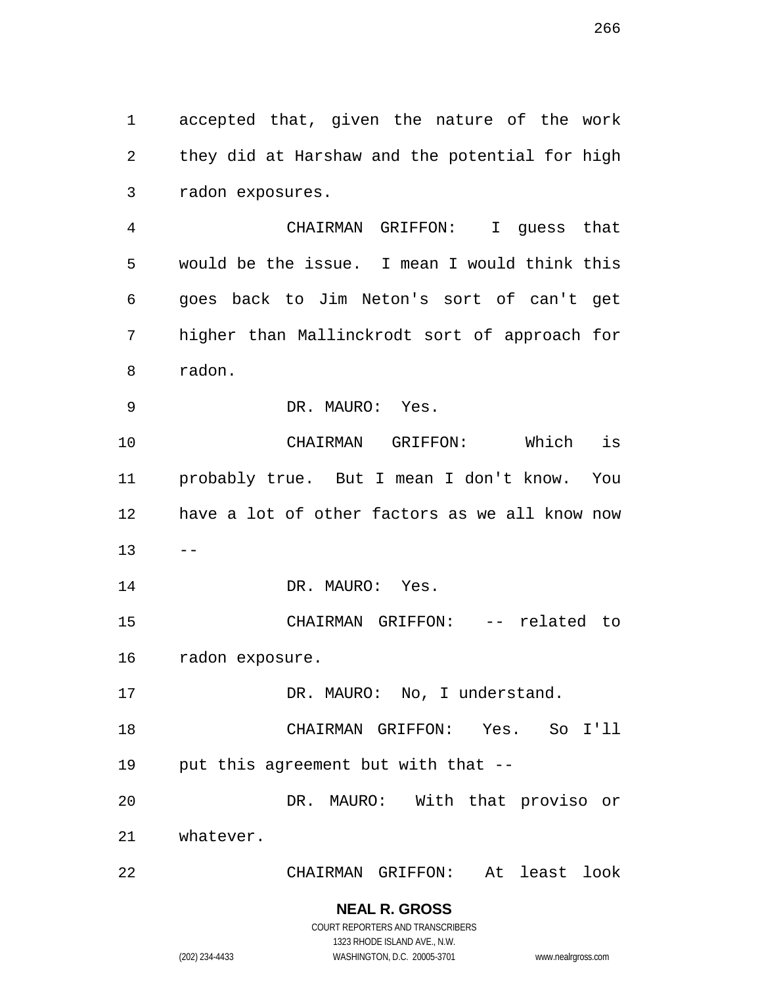accepted that, given the nature of the work they did at Harshaw and the potential for high radon exposures.

 CHAIRMAN GRIFFON: I guess that would be the issue. I mean I would think this goes back to Jim Neton's sort of can't get higher than Mallinckrodt sort of approach for radon.

DR. MAURO: Yes.

 CHAIRMAN GRIFFON: Which is probably true. But I mean I don't know. You have a lot of other factors as we all know now  $13 - -$ 14 DR. MAURO: Yes.

 CHAIRMAN GRIFFON: -- related to radon exposure.

17 DR. MAURO: No, I understand.

 CHAIRMAN GRIFFON: Yes. So I'll put this agreement but with that --

 DR. MAURO: With that proviso or whatever.

CHAIRMAN GRIFFON: At least look

# **NEAL R. GROSS**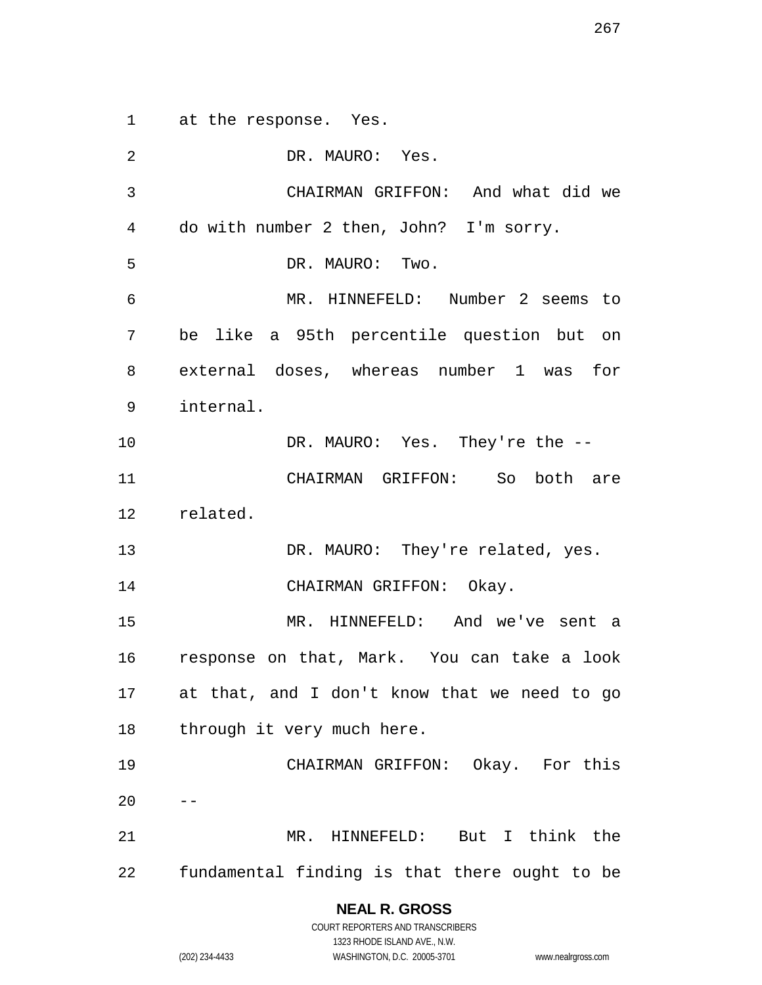at the response. Yes.

 DR. MAURO: Yes. CHAIRMAN GRIFFON: And what did we do with number 2 then, John? I'm sorry. DR. MAURO: Two. MR. HINNEFELD: Number 2 seems to be like a 95th percentile question but on external doses, whereas number 1 was for internal. 10 DR. MAURO: Yes. They're the -- CHAIRMAN GRIFFON: So both are related. 13 DR. MAURO: They're related, yes. 14 CHAIRMAN GRIFFON: Okay. MR. HINNEFELD: And we've sent a response on that, Mark. You can take a look at that, and I don't know that we need to go 18 through it very much here. CHAIRMAN GRIFFON: Okay. For this MR. HINNEFELD: But I think the fundamental finding is that there ought to be

> **NEAL R. GROSS** COURT REPORTERS AND TRANSCRIBERS

> > 1323 RHODE ISLAND AVE., N.W.

(202) 234-4433 WASHINGTON, D.C. 20005-3701 www.nealrgross.com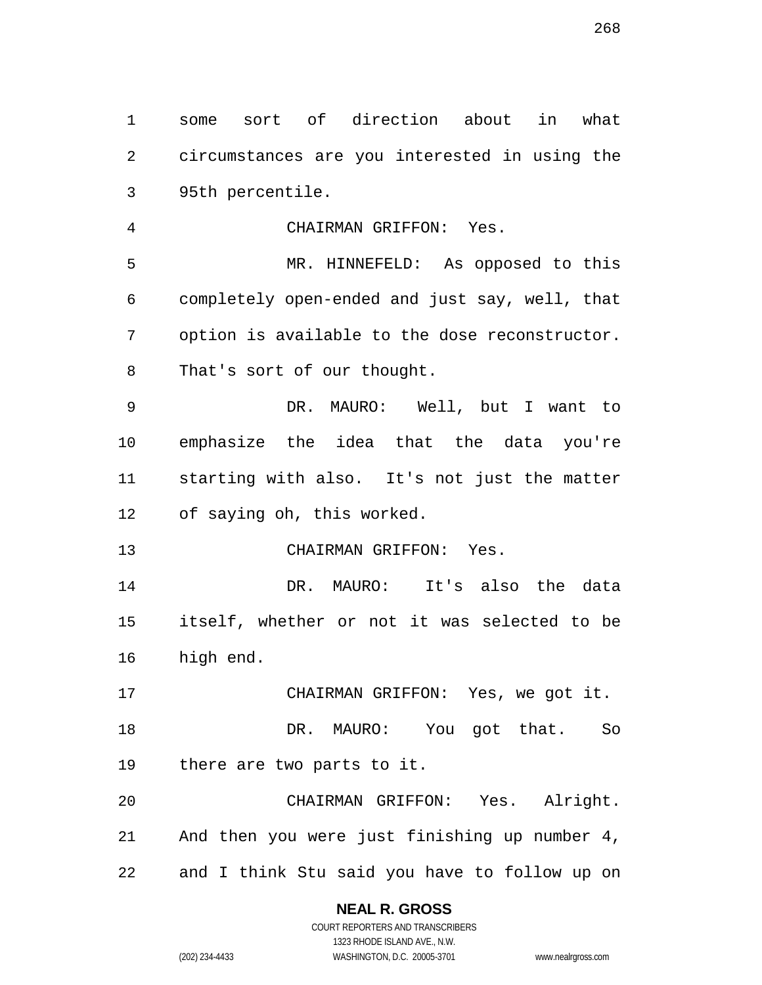some sort of direction about in what circumstances are you interested in using the 95th percentile.

CHAIRMAN GRIFFON: Yes.

 MR. HINNEFELD: As opposed to this completely open-ended and just say, well, that option is available to the dose reconstructor. That's sort of our thought.

 DR. MAURO: Well, but I want to emphasize the idea that the data you're starting with also. It's not just the matter of saying oh, this worked.

CHAIRMAN GRIFFON: Yes.

 DR. MAURO: It's also the data itself, whether or not it was selected to be high end.

 CHAIRMAN GRIFFON: Yes, we got it. DR. MAURO: You got that. So there are two parts to it.

 CHAIRMAN GRIFFON: Yes. Alright. And then you were just finishing up number 4, and I think Stu said you have to follow up on

## **NEAL R. GROSS**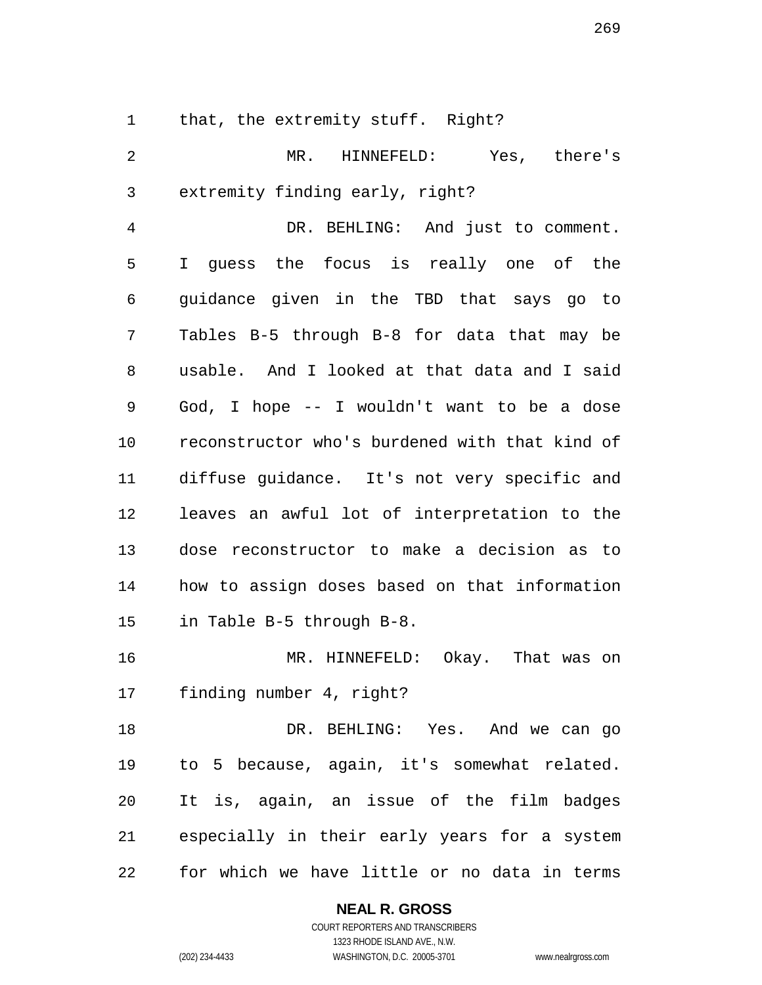that, the extremity stuff. Right?

 MR. HINNEFELD: Yes, there's extremity finding early, right? DR. BEHLING: And just to comment. I guess the focus is really one of the guidance given in the TBD that says go to Tables B-5 through B-8 for data that may be usable. And I looked at that data and I said God, I hope -- I wouldn't want to be a dose reconstructor who's burdened with that kind of diffuse guidance. It's not very specific and leaves an awful lot of interpretation to the dose reconstructor to make a decision as to how to assign doses based on that information in Table B-5 through B-8. MR. HINNEFELD: Okay. That was on finding number 4, right? DR. BEHLING: Yes. And we can go to 5 because, again, it's somewhat related. It is, again, an issue of the film badges especially in their early years for a system

for which we have little or no data in terms

#### **NEAL R. GROSS**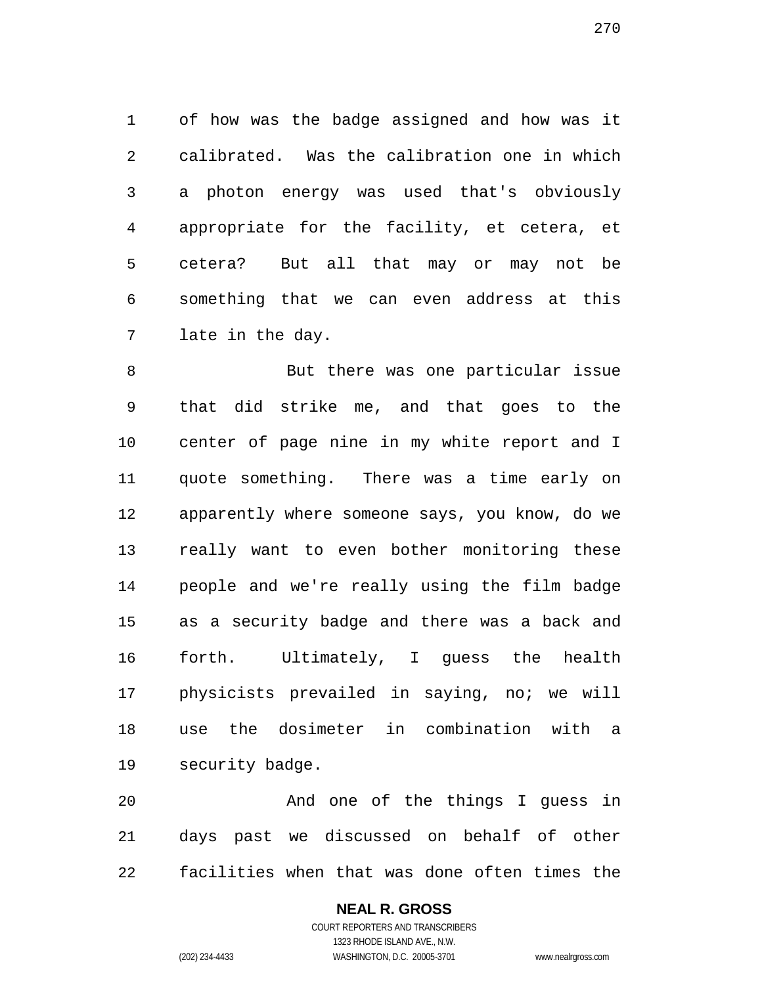of how was the badge assigned and how was it calibrated. Was the calibration one in which a photon energy was used that's obviously appropriate for the facility, et cetera, et cetera? But all that may or may not be something that we can even address at this late in the day.

 But there was one particular issue that did strike me, and that goes to the center of page nine in my white report and I quote something. There was a time early on apparently where someone says, you know, do we really want to even bother monitoring these people and we're really using the film badge as a security badge and there was a back and forth. Ultimately, I guess the health physicists prevailed in saying, no; we will use the dosimeter in combination with a security badge.

 And one of the things I guess in days past we discussed on behalf of other facilities when that was done often times the

## **NEAL R. GROSS**

COURT REPORTERS AND TRANSCRIBERS 1323 RHODE ISLAND AVE., N.W. (202) 234-4433 WASHINGTON, D.C. 20005-3701 www.nealrgross.com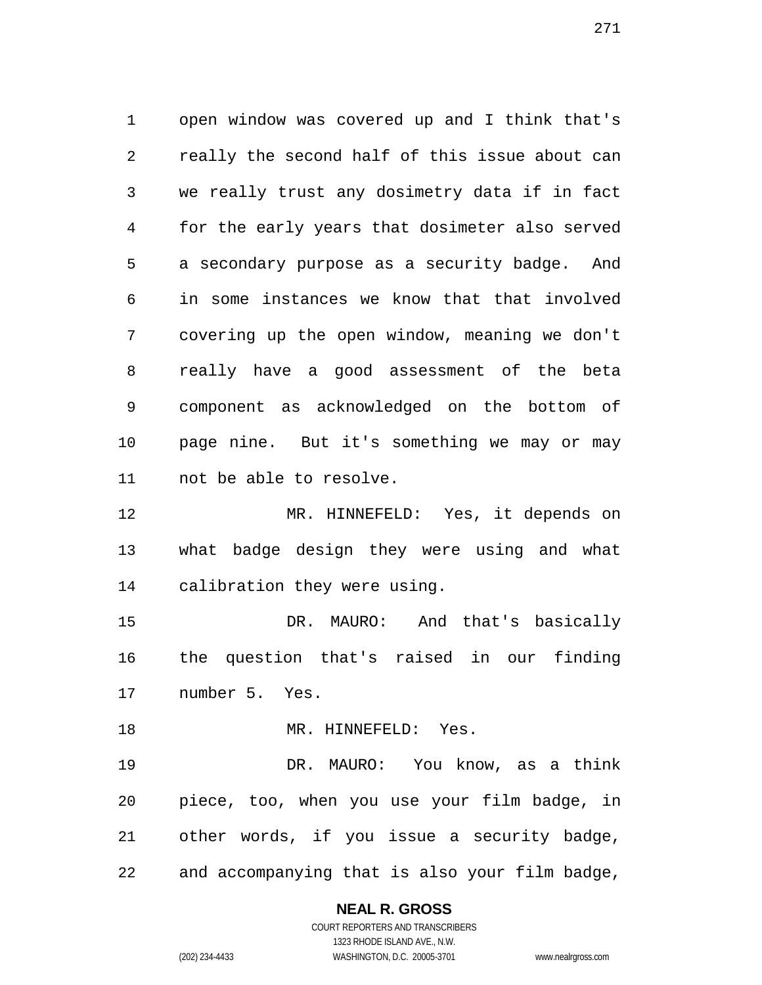open window was covered up and I think that's really the second half of this issue about can we really trust any dosimetry data if in fact for the early years that dosimeter also served a secondary purpose as a security badge. And in some instances we know that that involved covering up the open window, meaning we don't really have a good assessment of the beta component as acknowledged on the bottom of page nine. But it's something we may or may not be able to resolve.

 MR. HINNEFELD: Yes, it depends on what badge design they were using and what calibration they were using.

 DR. MAURO: And that's basically the question that's raised in our finding number 5. Yes.

18 MR. HINNEFELD: Yes.

 DR. MAURO: You know, as a think piece, too, when you use your film badge, in other words, if you issue a security badge, and accompanying that is also your film badge,

## **NEAL R. GROSS**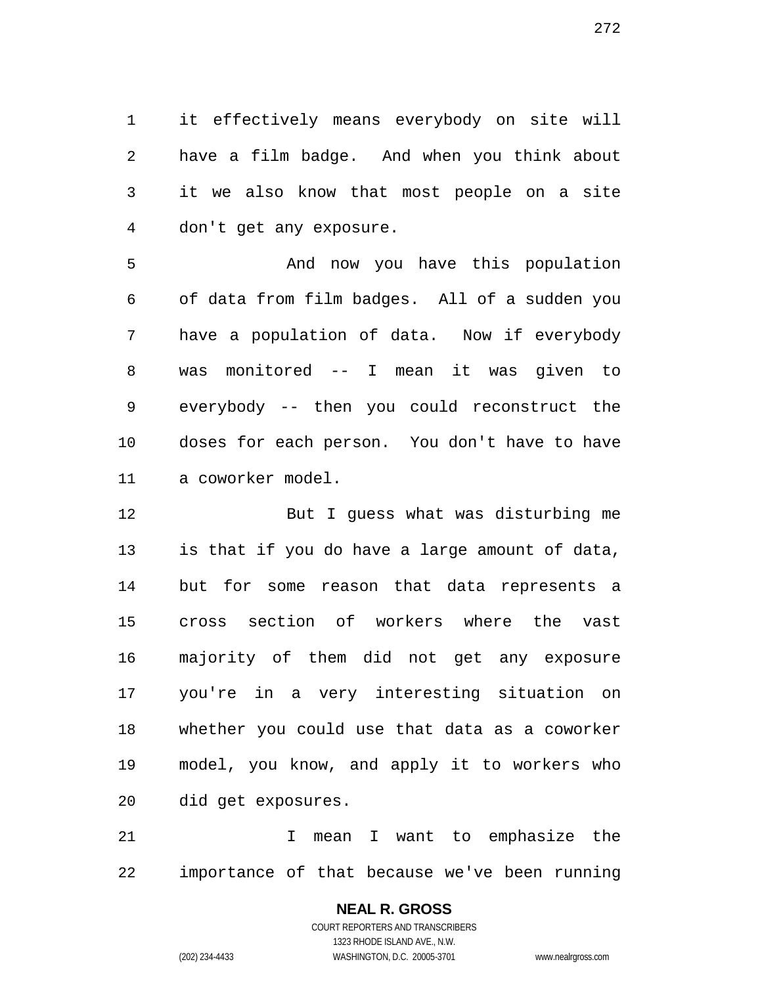it effectively means everybody on site will have a film badge. And when you think about it we also know that most people on a site don't get any exposure.

 And now you have this population of data from film badges. All of a sudden you have a population of data. Now if everybody was monitored -- I mean it was given to everybody -- then you could reconstruct the doses for each person. You don't have to have a coworker model.

 But I guess what was disturbing me is that if you do have a large amount of data, but for some reason that data represents a cross section of workers where the vast majority of them did not get any exposure you're in a very interesting situation on whether you could use that data as a coworker model, you know, and apply it to workers who did get exposures.

 I mean I want to emphasize the importance of that because we've been running

# **NEAL R. GROSS**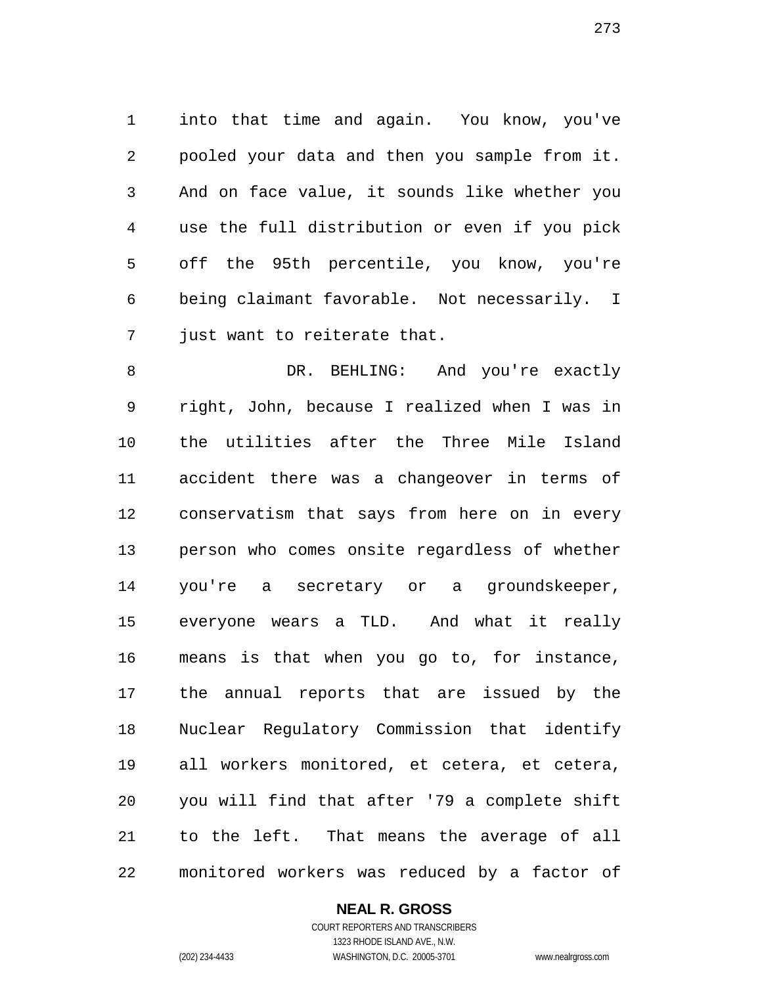into that time and again. You know, you've pooled your data and then you sample from it. And on face value, it sounds like whether you use the full distribution or even if you pick off the 95th percentile, you know, you're being claimant favorable. Not necessarily. I just want to reiterate that.

8 DR. BEHLING: And you're exactly right, John, because I realized when I was in the utilities after the Three Mile Island accident there was a changeover in terms of conservatism that says from here on in every person who comes onsite regardless of whether you're a secretary or a groundskeeper, everyone wears a TLD. And what it really means is that when you go to, for instance, the annual reports that are issued by the Nuclear Regulatory Commission that identify all workers monitored, et cetera, et cetera, you will find that after '79 a complete shift to the left. That means the average of all monitored workers was reduced by a factor of

## **NEAL R. GROSS**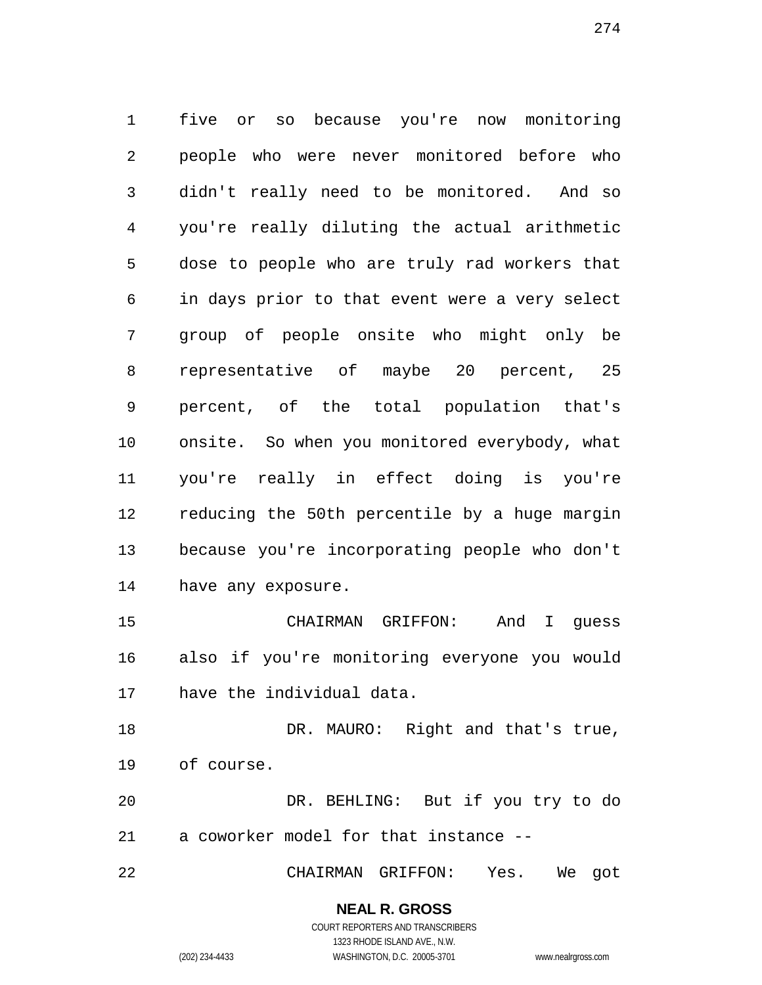five or so because you're now monitoring people who were never monitored before who didn't really need to be monitored. And so you're really diluting the actual arithmetic dose to people who are truly rad workers that in days prior to that event were a very select group of people onsite who might only be representative of maybe 20 percent, 25 percent, of the total population that's onsite. So when you monitored everybody, what you're really in effect doing is you're reducing the 50th percentile by a huge margin because you're incorporating people who don't have any exposure.

 CHAIRMAN GRIFFON: And I guess also if you're monitoring everyone you would have the individual data.

18 DR. MAURO: Right and that's true, of course.

 DR. BEHLING: But if you try to do a coworker model for that instance --

CHAIRMAN GRIFFON: Yes. We got

# **NEAL R. GROSS**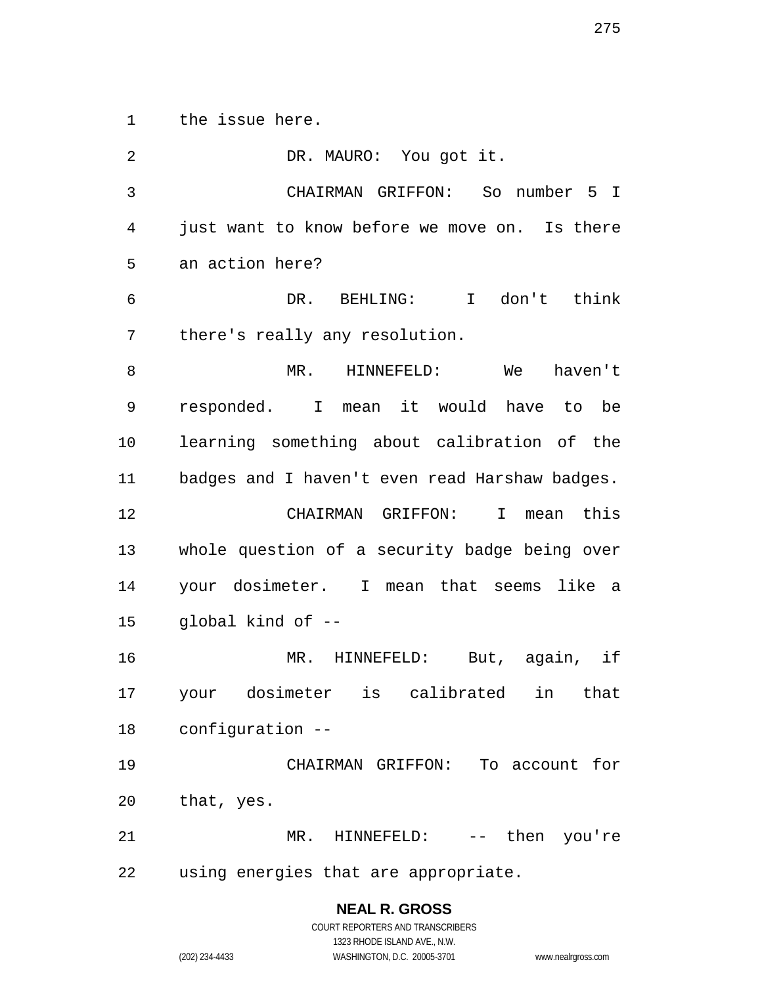the issue here.

 DR. MAURO: You got it. CHAIRMAN GRIFFON: So number 5 I just want to know before we move on. Is there an action here? DR. BEHLING: I don't think there's really any resolution. MR. HINNEFELD: We haven't responded. I mean it would have to be learning something about calibration of the badges and I haven't even read Harshaw badges. CHAIRMAN GRIFFON: I mean this whole question of a security badge being over your dosimeter. I mean that seems like a global kind of -- MR. HINNEFELD: But, again, if your dosimeter is calibrated in that configuration -- CHAIRMAN GRIFFON: To account for that, yes. MR. HINNEFELD: -- then you're using energies that are appropriate.

## **NEAL R. GROSS**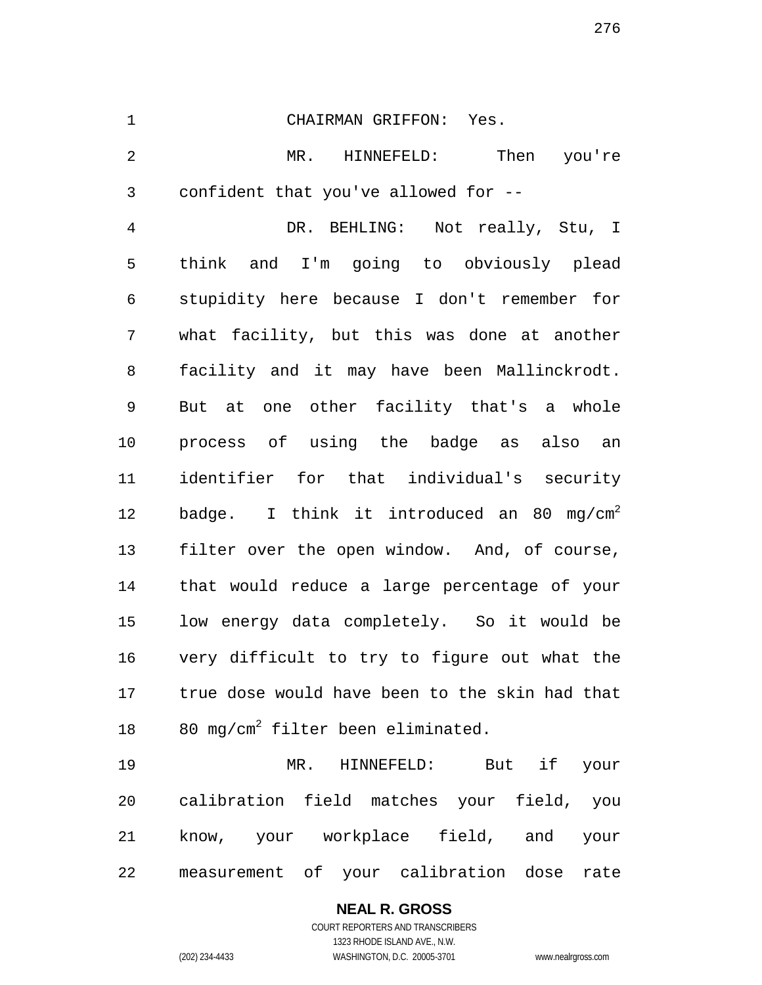#### CHAIRMAN GRIFFON: Yes.

 MR. HINNEFELD: Then you're confident that you've allowed for --

 DR. BEHLING: Not really, Stu, I think and I'm going to obviously plead stupidity here because I don't remember for what facility, but this was done at another facility and it may have been Mallinckrodt. But at one other facility that's a whole process of using the badge as also an identifier for that individual's security 12 badge. I think it introduced an 80 mg/cm<sup>2</sup> filter over the open window. And, of course, that would reduce a large percentage of your low energy data completely. So it would be very difficult to try to figure out what the true dose would have been to the skin had that  $80 \text{ mg/cm}^2$  filter been eliminated.

 MR. HINNEFELD: But if your calibration field matches your field, you know, your workplace field, and your measurement of your calibration dose rate

# **NEAL R. GROSS**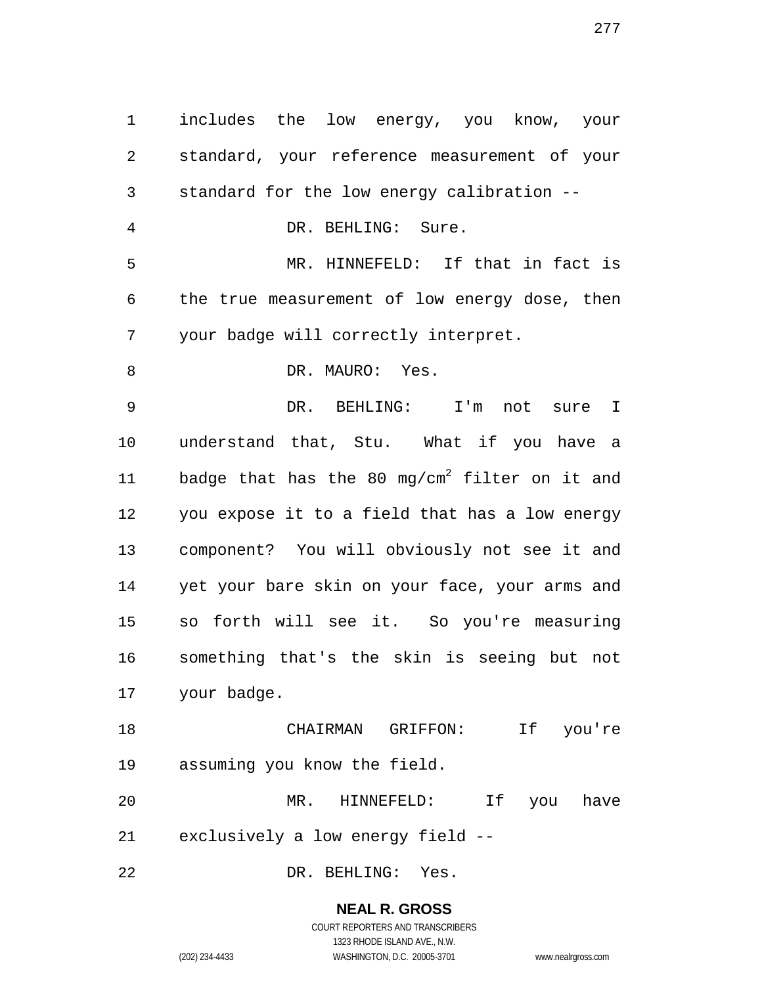includes the low energy, you know, your standard, your reference measurement of your standard for the low energy calibration -- DR. BEHLING: Sure. MR. HINNEFELD: If that in fact is the true measurement of low energy dose, then your badge will correctly interpret. 8 DR. MAURO: Yes. DR. BEHLING: I'm not sure I understand that, Stu. What if you have a 11 badge that has the 80 mg/cm<sup>2</sup> filter on it and you expose it to a field that has a low energy component? You will obviously not see it and yet your bare skin on your face, your arms and so forth will see it. So you're measuring something that's the skin is seeing but not your badge. CHAIRMAN GRIFFON: If you're assuming you know the field. MR. HINNEFELD: If you have exclusively a low energy field --

DR. BEHLING: Yes.

**NEAL R. GROSS** COURT REPORTERS AND TRANSCRIBERS

1323 RHODE ISLAND AVE., N.W. (202) 234-4433 WASHINGTON, D.C. 20005-3701 www.nealrgross.com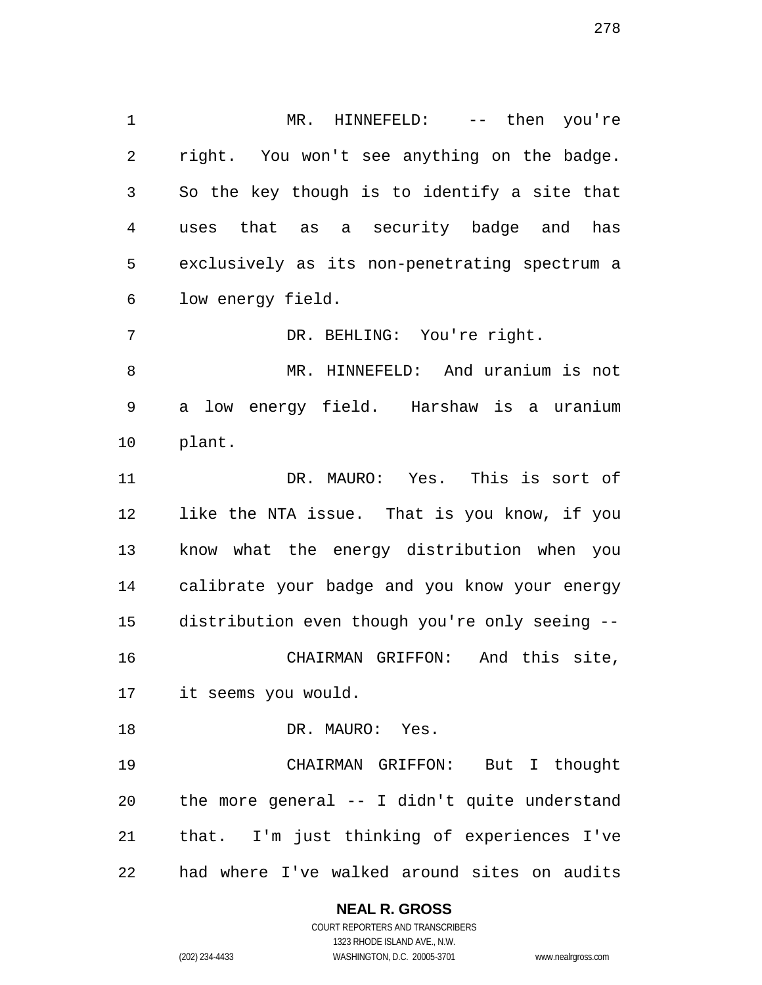MR. HINNEFELD: -- then you're right. You won't see anything on the badge. So the key though is to identify a site that uses that as a security badge and has exclusively as its non-penetrating spectrum a low energy field.

DR. BEHLING: You're right.

 MR. HINNEFELD: And uranium is not a low energy field. Harshaw is a uranium plant.

 DR. MAURO: Yes. This is sort of like the NTA issue. That is you know, if you know what the energy distribution when you calibrate your badge and you know your energy distribution even though you're only seeing -- CHAIRMAN GRIFFON: And this site, it seems you would.

 CHAIRMAN GRIFFON: But I thought the more general -- I didn't quite understand that. I'm just thinking of experiences I've

DR. MAURO: Yes.

had where I've walked around sites on audits

**NEAL R. GROSS**

COURT REPORTERS AND TRANSCRIBERS 1323 RHODE ISLAND AVE., N.W. (202) 234-4433 WASHINGTON, D.C. 20005-3701 www.nealrgross.com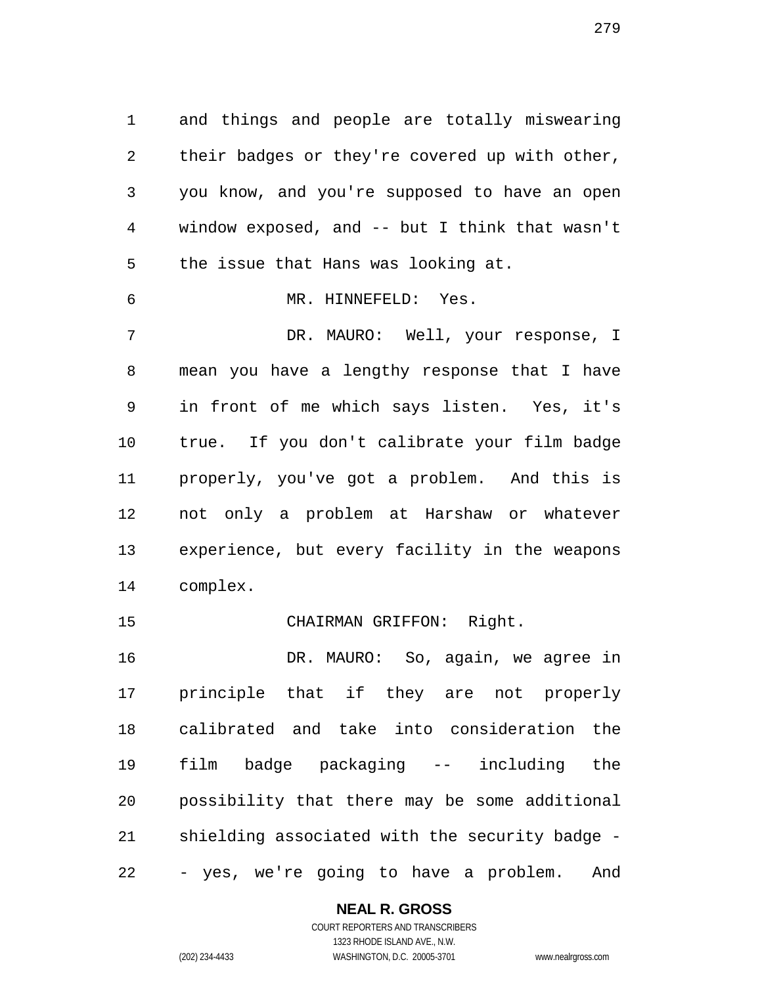and things and people are totally miswearing their badges or they're covered up with other, you know, and you're supposed to have an open window exposed, and -- but I think that wasn't the issue that Hans was looking at. MR. HINNEFELD: Yes.

 DR. MAURO: Well, your response, I mean you have a lengthy response that I have in front of me which says listen. Yes, it's true. If you don't calibrate your film badge properly, you've got a problem. And this is not only a problem at Harshaw or whatever experience, but every facility in the weapons complex.

CHAIRMAN GRIFFON: Right.

 DR. MAURO: So, again, we agree in principle that if they are not properly calibrated and take into consideration the film badge packaging -- including the possibility that there may be some additional shielding associated with the security badge - - yes, we're going to have a problem. And

## **NEAL R. GROSS**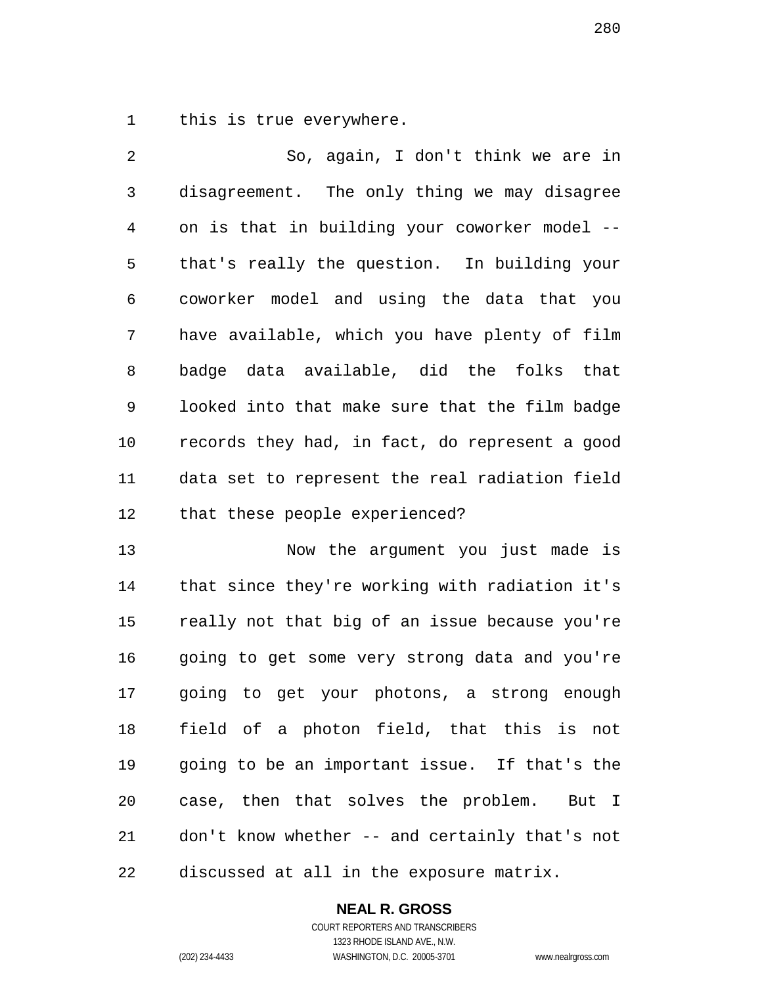this is true everywhere.

 So, again, I don't think we are in disagreement. The only thing we may disagree on is that in building your coworker model -- that's really the question. In building your coworker model and using the data that you have available, which you have plenty of film badge data available, did the folks that looked into that make sure that the film badge records they had, in fact, do represent a good data set to represent the real radiation field that these people experienced?

 Now the argument you just made is that since they're working with radiation it's really not that big of an issue because you're going to get some very strong data and you're going to get your photons, a strong enough field of a photon field, that this is not going to be an important issue. If that's the case, then that solves the problem. But I don't know whether -- and certainly that's not discussed at all in the exposure matrix.

## **NEAL R. GROSS**

COURT REPORTERS AND TRANSCRIBERS 1323 RHODE ISLAND AVE., N.W. (202) 234-4433 WASHINGTON, D.C. 20005-3701 www.nealrgross.com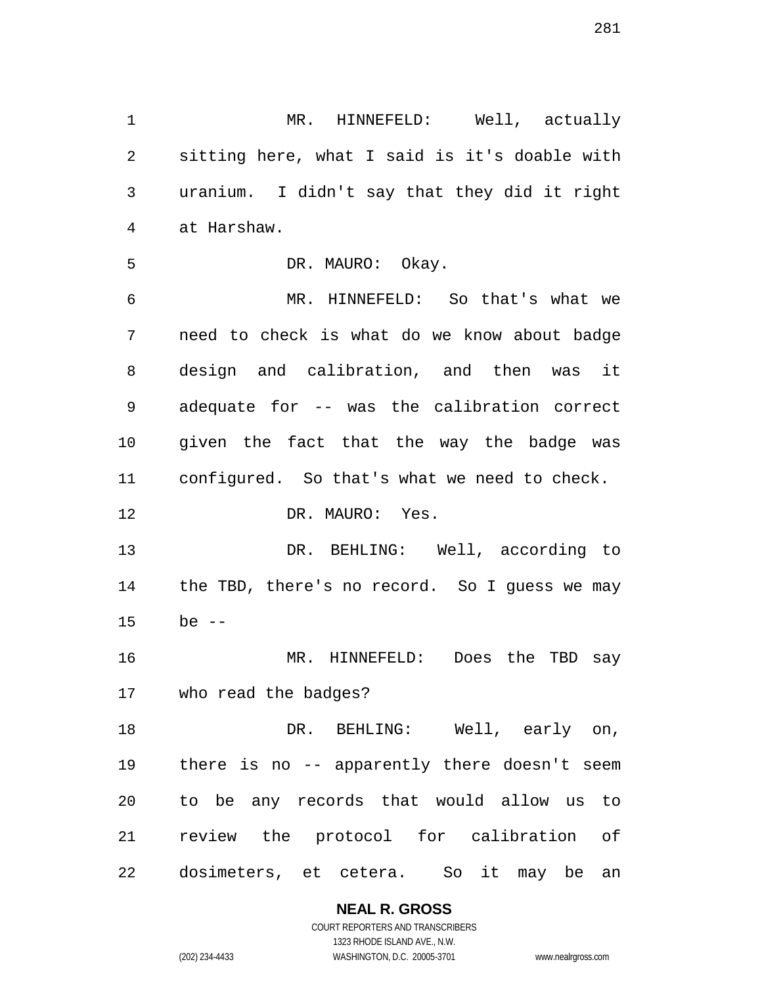sitting here, what I said is it's doable with uranium. I didn't say that they did it right at Harshaw. DR. MAURO: Okay. MR. HINNEFELD: So that's what we need to check is what do we know about badge design and calibration, and then was it adequate for -- was the calibration correct given the fact that the way the badge was configured. So that's what we need to check. 12 DR. MAURO: Yes. DR. BEHLING: Well, according to the TBD, there's no record. So I guess we may be -- MR. HINNEFELD: Does the TBD say who read the badges? DR. BEHLING: Well, early on, there is no -- apparently there doesn't seem to be any records that would allow us to

MR. HINNEFELD: Well, actually

dosimeters, et cetera. So it may be an

review the protocol for calibration of

**NEAL R. GROSS** COURT REPORTERS AND TRANSCRIBERS

1323 RHODE ISLAND AVE., N.W. (202) 234-4433 WASHINGTON, D.C. 20005-3701 www.nealrgross.com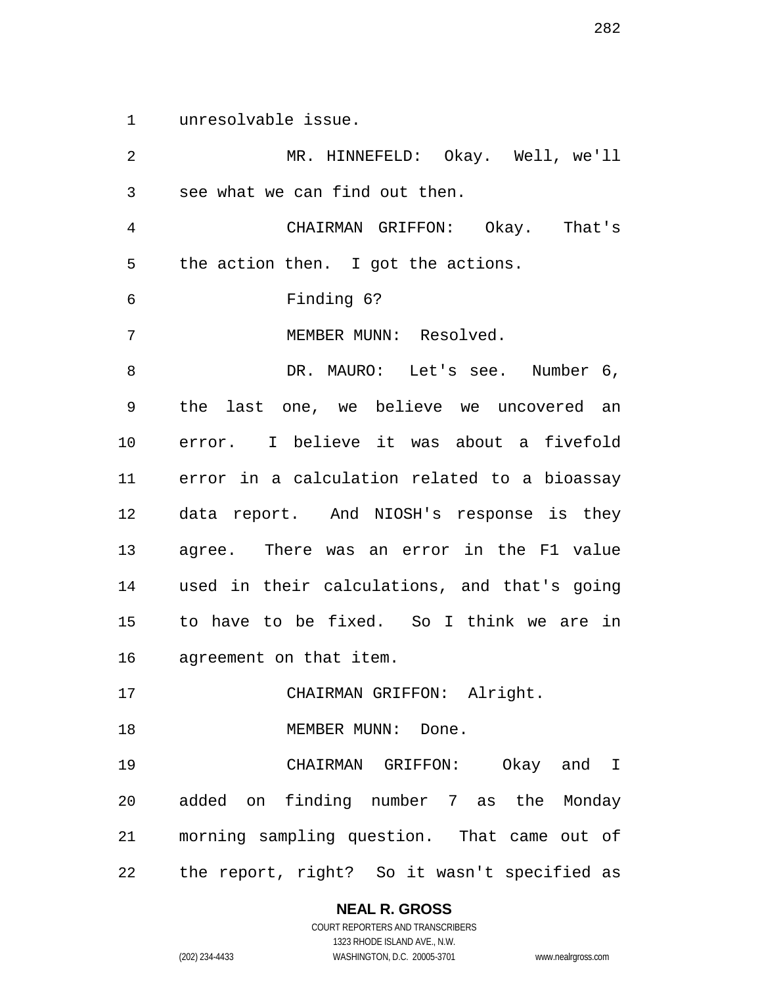unresolvable issue.

 MR. HINNEFELD: Okay. Well, we'll see what we can find out then. CHAIRMAN GRIFFON: Okay. That's the action then. I got the actions. Finding 6? MEMBER MUNN: Resolved. 8 DR. MAURO: Let's see. Number 6, the last one, we believe we uncovered an error. I believe it was about a fivefold error in a calculation related to a bioassay data report. And NIOSH's response is they agree. There was an error in the F1 value used in their calculations, and that's going to have to be fixed. So I think we are in agreement on that item. 17 CHAIRMAN GRIFFON: Alright. 18 MEMBER MUNN: Done. CHAIRMAN GRIFFON: Okay and I added on finding number 7 as the Monday morning sampling question. That came out of the report, right? So it wasn't specified as

> **NEAL R. GROSS** COURT REPORTERS AND TRANSCRIBERS

1323 RHODE ISLAND AVE., N.W. (202) 234-4433 WASHINGTON, D.C. 20005-3701 www.nealrgross.com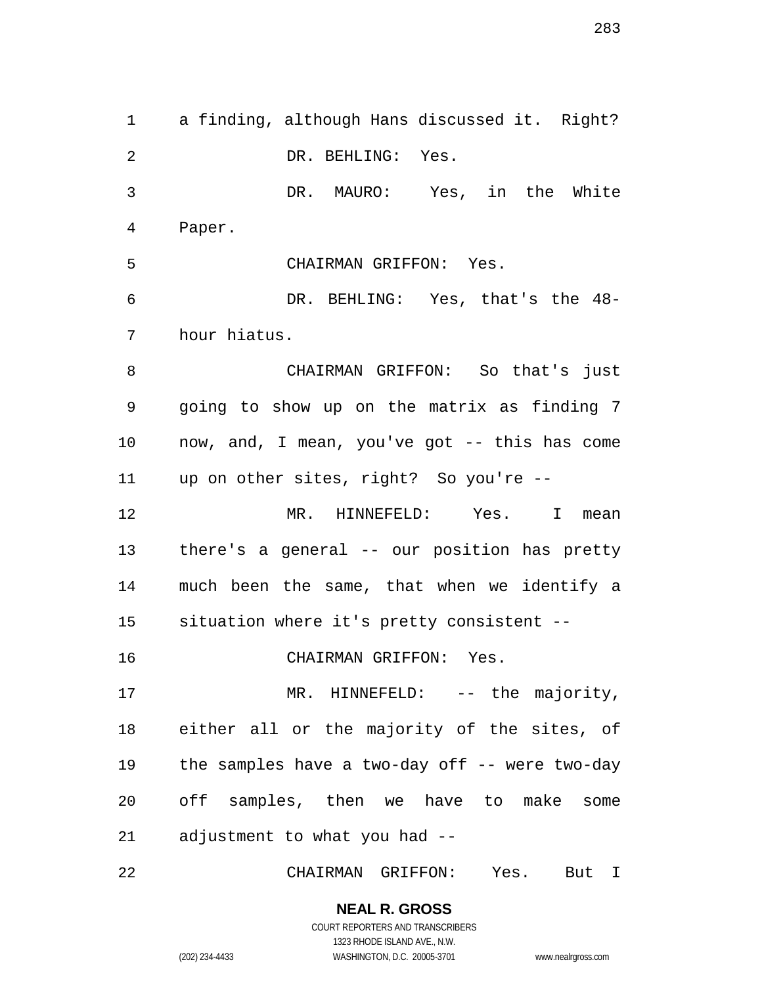a finding, although Hans discussed it. Right? DR. BEHLING: Yes. DR. MAURO: Yes, in the White Paper. CHAIRMAN GRIFFON: Yes. DR. BEHLING: Yes, that's the 48- hour hiatus. CHAIRMAN GRIFFON: So that's just going to show up on the matrix as finding 7 now, and, I mean, you've got -- this has come up on other sites, right? So you're -- MR. HINNEFELD: Yes. I mean there's a general -- our position has pretty much been the same, that when we identify a situation where it's pretty consistent -- CHAIRMAN GRIFFON: Yes. 17 MR. HINNEFELD: -- the majority, either all or the majority of the sites, of the samples have a two-day off -- were two-day off samples, then we have to make some adjustment to what you had -- CHAIRMAN GRIFFON: Yes. But I

> **NEAL R. GROSS** COURT REPORTERS AND TRANSCRIBERS 1323 RHODE ISLAND AVE., N.W. (202) 234-4433 WASHINGTON, D.C. 20005-3701 www.nealrgross.com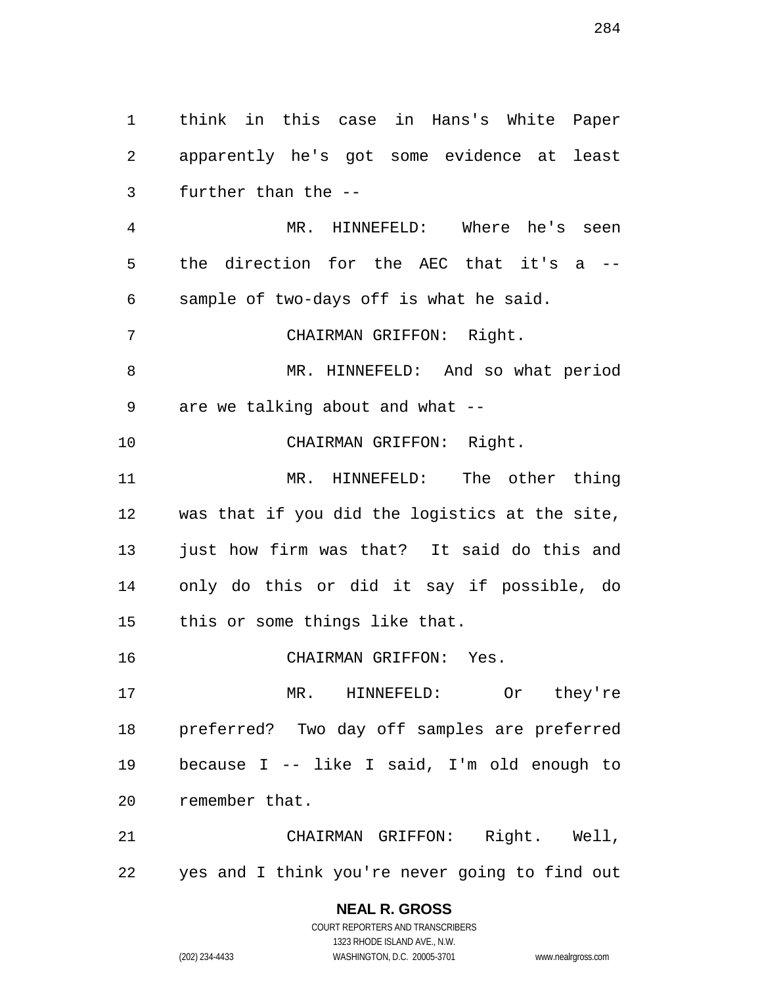think in this case in Hans's White Paper apparently he's got some evidence at least further than the --

 MR. HINNEFELD: Where he's seen the direction for the AEC that it's a -- sample of two-days off is what he said.

CHAIRMAN GRIFFON: Right.

 MR. HINNEFELD: And so what period are we talking about and what --

CHAIRMAN GRIFFON: Right.

 MR. HINNEFELD: The other thing was that if you did the logistics at the site, just how firm was that? It said do this and only do this or did it say if possible, do this or some things like that.

CHAIRMAN GRIFFON: Yes.

 MR. HINNEFELD: Or they're preferred? Two day off samples are preferred because I -- like I said, I'm old enough to remember that.

 CHAIRMAN GRIFFON: Right. Well, yes and I think you're never going to find out

> **NEAL R. GROSS** COURT REPORTERS AND TRANSCRIBERS

> > 1323 RHODE ISLAND AVE., N.W.

(202) 234-4433 WASHINGTON, D.C. 20005-3701 www.nealrgross.com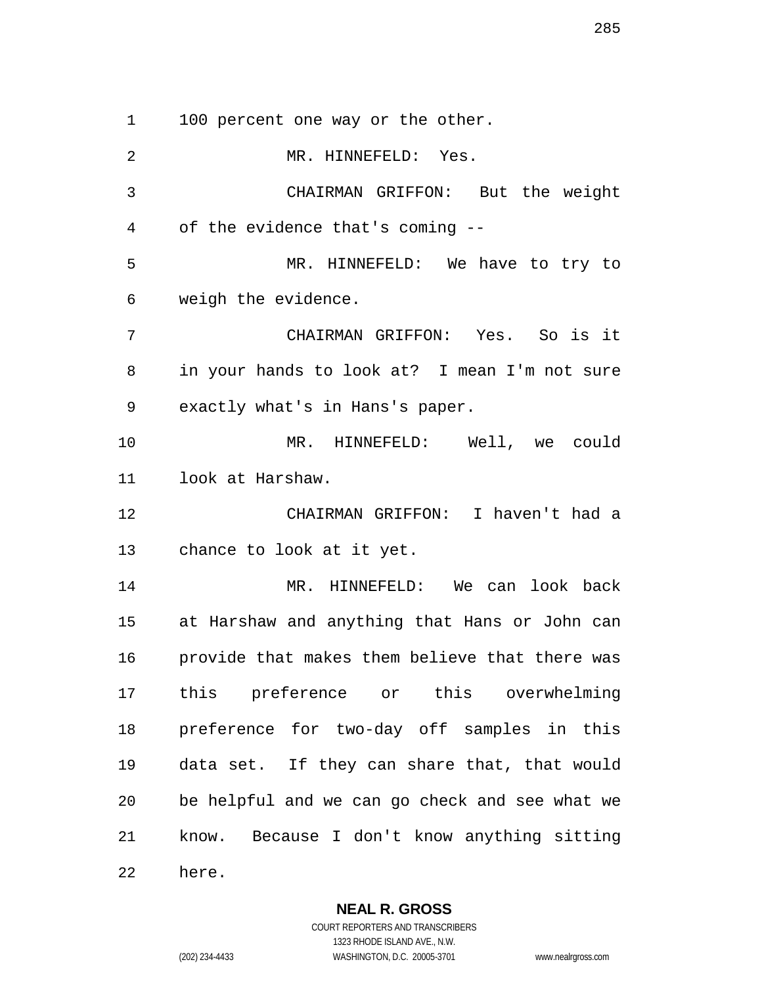1 100 percent one way or the other.

 MR. HINNEFELD: Yes. CHAIRMAN GRIFFON: But the weight of the evidence that's coming -- MR. HINNEFELD: We have to try to weigh the evidence. CHAIRMAN GRIFFON: Yes. So is it in your hands to look at? I mean I'm not sure exactly what's in Hans's paper. MR. HINNEFELD: Well, we could look at Harshaw. CHAIRMAN GRIFFON: I haven't had a chance to look at it yet. MR. HINNEFELD: We can look back at Harshaw and anything that Hans or John can provide that makes them believe that there was this preference or this overwhelming preference for two-day off samples in this data set. If they can share that, that would be helpful and we can go check and see what we know. Because I don't know anything sitting here.

**NEAL R. GROSS**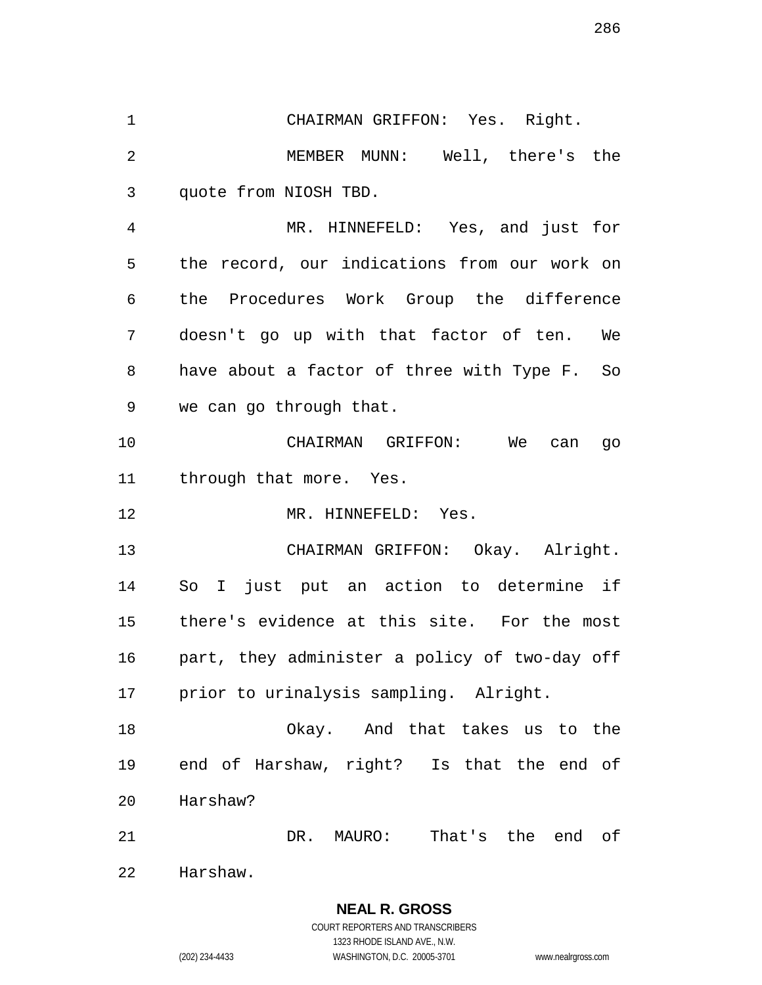CHAIRMAN GRIFFON: Yes. Right. MEMBER MUNN: Well, there's the quote from NIOSH TBD. MR. HINNEFELD: Yes, and just for

 the record, our indications from our work on the Procedures Work Group the difference doesn't go up with that factor of ten. We have about a factor of three with Type F. So we can go through that.

 CHAIRMAN GRIFFON: We can go through that more. Yes.

MR. HINNEFELD: Yes.

 CHAIRMAN GRIFFON: Okay. Alright. So I just put an action to determine if there's evidence at this site. For the most part, they administer a policy of two-day off prior to urinalysis sampling. Alright.

 Okay. And that takes us to the end of Harshaw, right? Is that the end of Harshaw?

DR. MAURO: That's the end of

Harshaw.

**NEAL R. GROSS**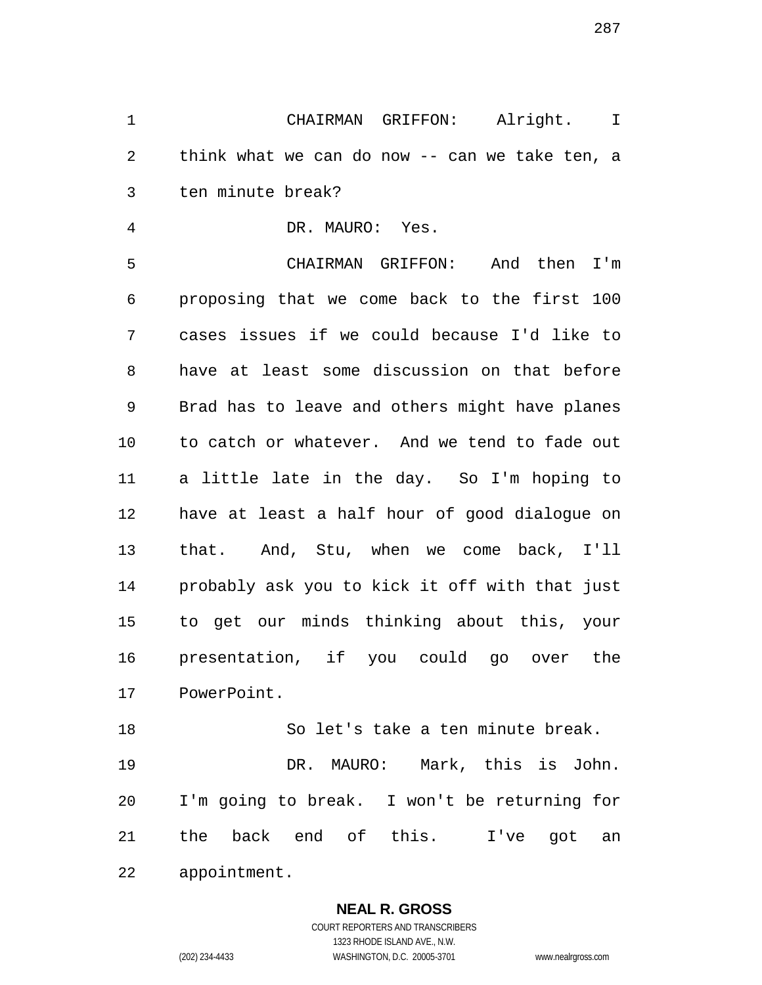CHAIRMAN GRIFFON: Alright. I think what we can do now -- can we take ten, a ten minute break?

DR. MAURO: Yes.

 CHAIRMAN GRIFFON: And then I'm proposing that we come back to the first 100 cases issues if we could because I'd like to have at least some discussion on that before Brad has to leave and others might have planes to catch or whatever. And we tend to fade out a little late in the day. So I'm hoping to have at least a half hour of good dialogue on that. And, Stu, when we come back, I'll probably ask you to kick it off with that just to get our minds thinking about this, your presentation, if you could go over the PowerPoint.

 So let's take a ten minute break. DR. MAURO: Mark, this is John. I'm going to break. I won't be returning for the back end of this. I've got an appointment.

## **NEAL R. GROSS**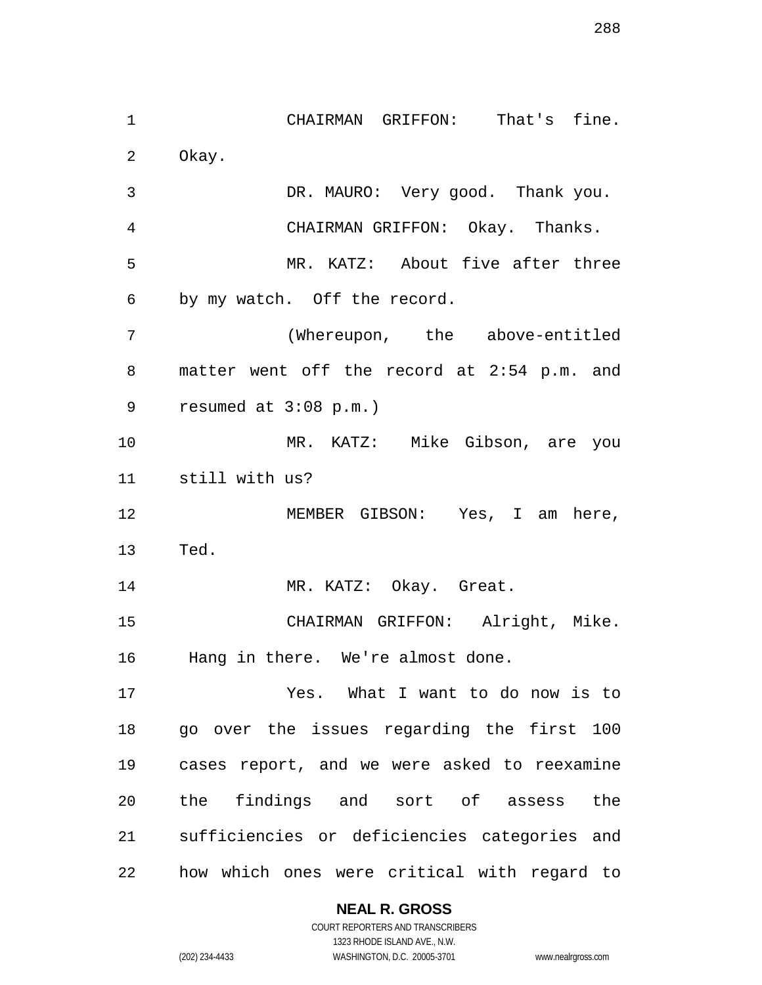CHAIRMAN GRIFFON: That's fine. Okay. DR. MAURO: Very good. Thank you. CHAIRMAN GRIFFON: Okay. Thanks. MR. KATZ: About five after three by my watch. Off the record. (Whereupon, the above-entitled matter went off the record at 2:54 p.m. and resumed at 3:08 p.m.) MR. KATZ: Mike Gibson, are you still with us? MEMBER GIBSON: Yes, I am here, Ted. MR. KATZ: Okay. Great. CHAIRMAN GRIFFON: Alright, Mike. Hang in there. We're almost done. Yes. What I want to do now is to go over the issues regarding the first 100 cases report, and we were asked to reexamine the findings and sort of assess the sufficiencies or deficiencies categories and how which ones were critical with regard to

## **NEAL R. GROSS**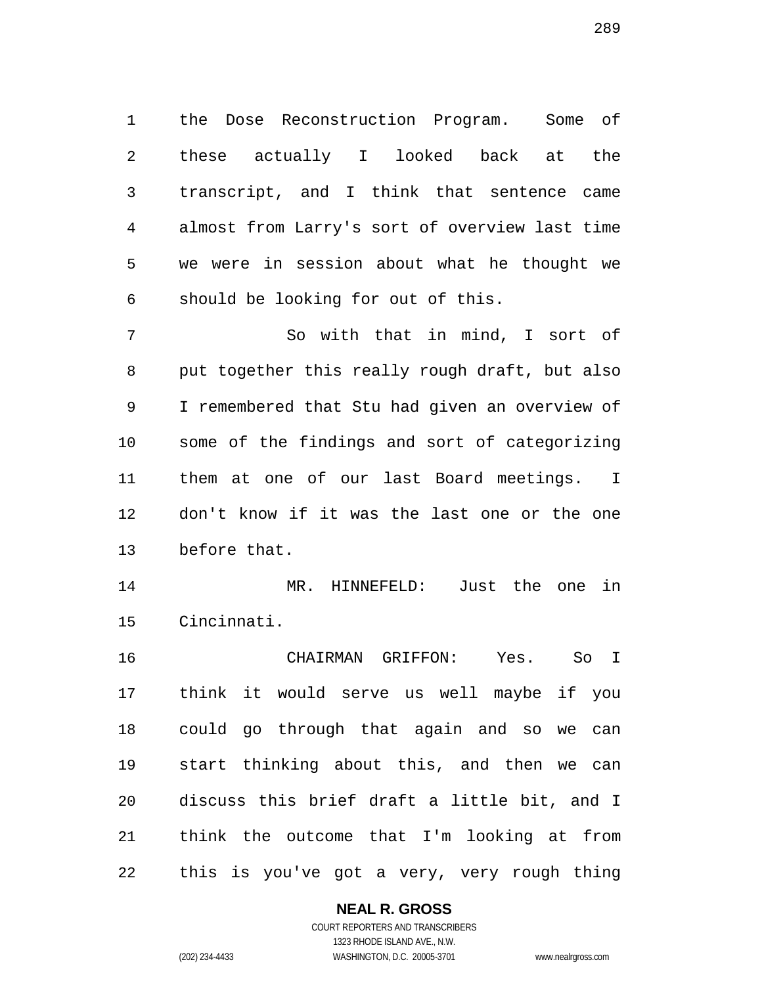the Dose Reconstruction Program. Some of these actually I looked back at the transcript, and I think that sentence came almost from Larry's sort of overview last time we were in session about what he thought we should be looking for out of this.

 So with that in mind, I sort of put together this really rough draft, but also I remembered that Stu had given an overview of some of the findings and sort of categorizing them at one of our last Board meetings. I don't know if it was the last one or the one before that.

 MR. HINNEFELD: Just the one in Cincinnati.

 CHAIRMAN GRIFFON: Yes. So I think it would serve us well maybe if you could go through that again and so we can start thinking about this, and then we can discuss this brief draft a little bit, and I think the outcome that I'm looking at from this is you've got a very, very rough thing

## **NEAL R. GROSS**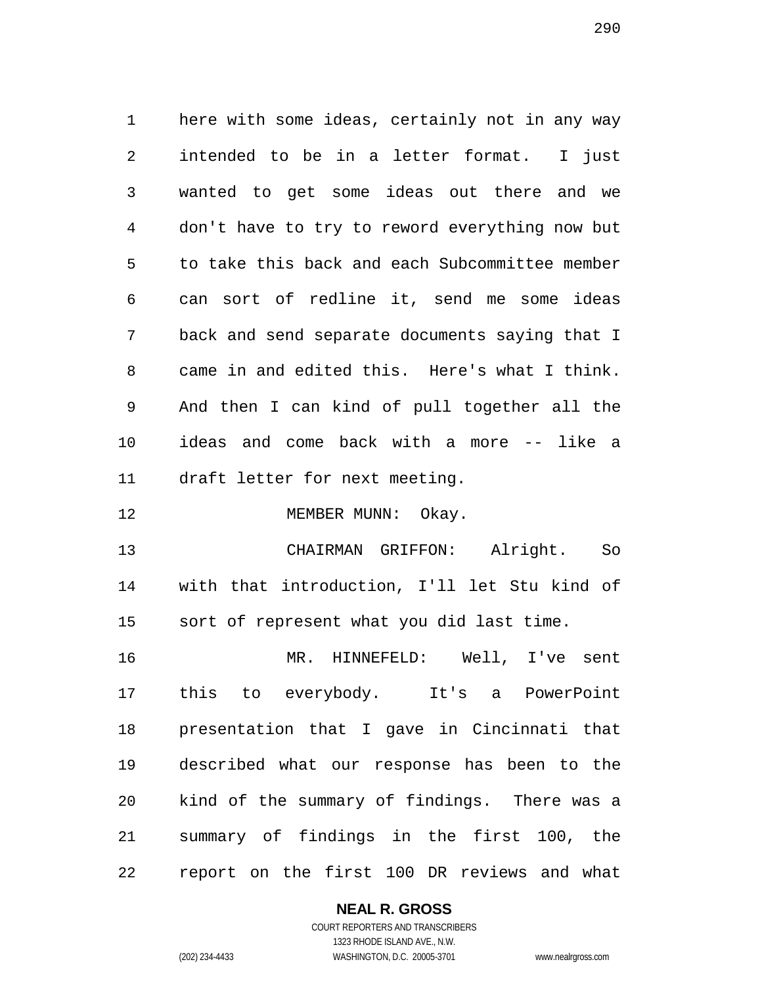here with some ideas, certainly not in any way intended to be in a letter format. I just wanted to get some ideas out there and we don't have to try to reword everything now but to take this back and each Subcommittee member can sort of redline it, send me some ideas back and send separate documents saying that I came in and edited this. Here's what I think. And then I can kind of pull together all the ideas and come back with a more -- like a draft letter for next meeting.

12 MEMBER MUNN: Okay.

 CHAIRMAN GRIFFON: Alright. So with that introduction, I'll let Stu kind of sort of represent what you did last time.

 MR. HINNEFELD: Well, I've sent this to everybody. It's a PowerPoint presentation that I gave in Cincinnati that described what our response has been to the kind of the summary of findings. There was a summary of findings in the first 100, the report on the first 100 DR reviews and what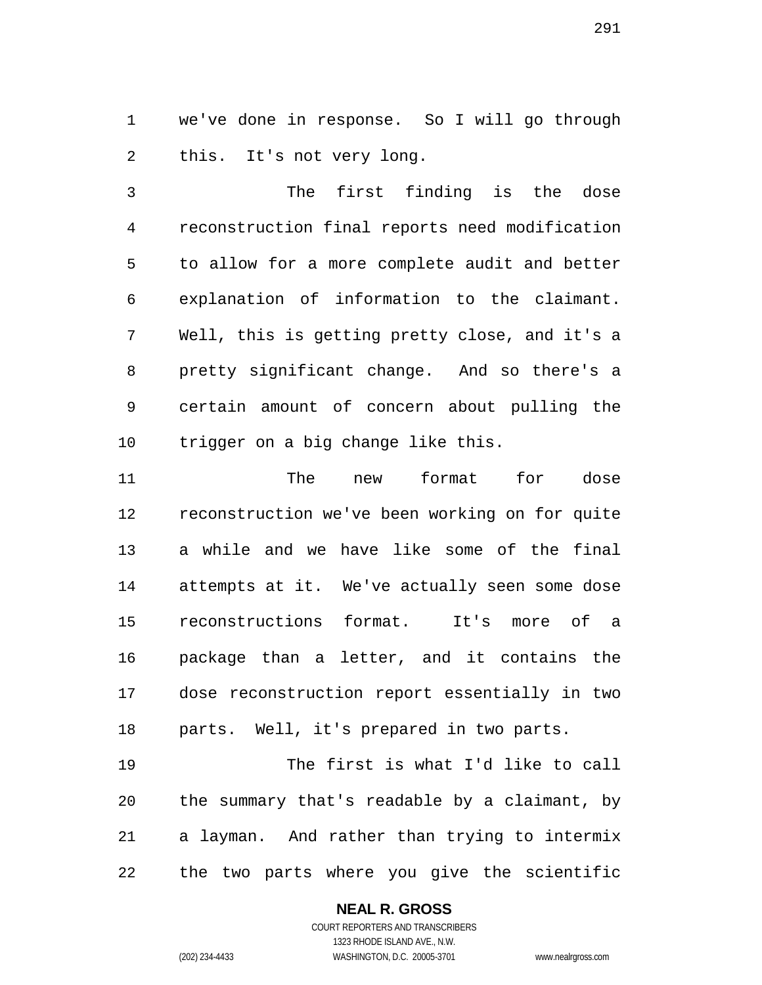we've done in response. So I will go through this. It's not very long.

 The first finding is the dose reconstruction final reports need modification to allow for a more complete audit and better explanation of information to the claimant. Well, this is getting pretty close, and it's a pretty significant change. And so there's a certain amount of concern about pulling the trigger on a big change like this.

 The new format for dose reconstruction we've been working on for quite a while and we have like some of the final attempts at it. We've actually seen some dose reconstructions format. It's more of a package than a letter, and it contains the dose reconstruction report essentially in two parts. Well, it's prepared in two parts.

 The first is what I'd like to call the summary that's readable by a claimant, by a layman. And rather than trying to intermix the two parts where you give the scientific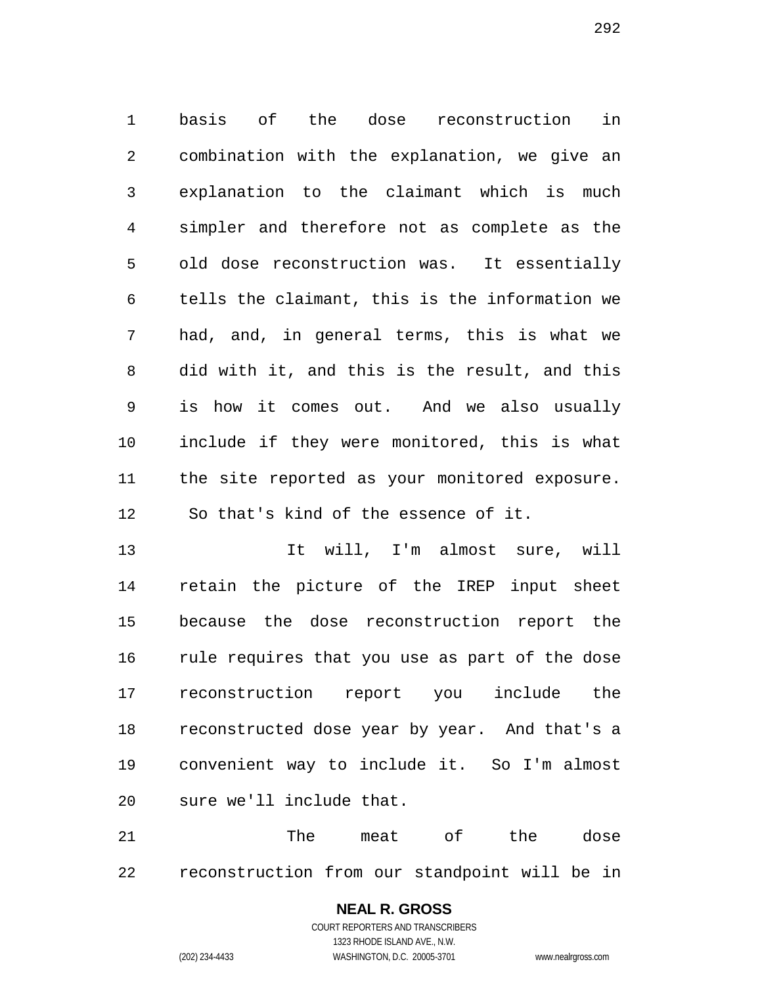basis of the dose reconstruction in combination with the explanation, we give an explanation to the claimant which is much simpler and therefore not as complete as the old dose reconstruction was. It essentially tells the claimant, this is the information we had, and, in general terms, this is what we did with it, and this is the result, and this is how it comes out. And we also usually include if they were monitored, this is what the site reported as your monitored exposure. So that's kind of the essence of it.

 It will, I'm almost sure, will retain the picture of the IREP input sheet because the dose reconstruction report the rule requires that you use as part of the dose reconstruction report you include the reconstructed dose year by year. And that's a convenient way to include it. So I'm almost sure we'll include that.

21 The meat of the dose reconstruction from our standpoint will be in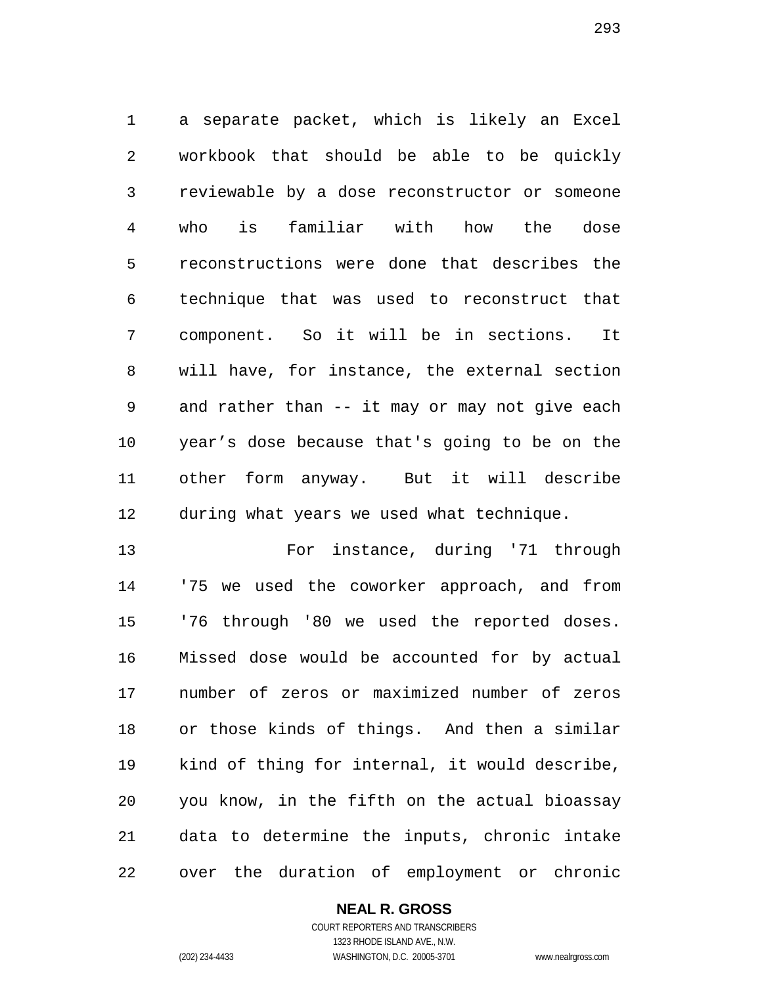a separate packet, which is likely an Excel workbook that should be able to be quickly reviewable by a dose reconstructor or someone who is familiar with how the dose reconstructions were done that describes the technique that was used to reconstruct that component. So it will be in sections. It will have, for instance, the external section and rather than -- it may or may not give each year's dose because that's going to be on the other form anyway. But it will describe during what years we used what technique.

 For instance, during '71 through '75 we used the coworker approach, and from '76 through '80 we used the reported doses. Missed dose would be accounted for by actual number of zeros or maximized number of zeros or those kinds of things. And then a similar kind of thing for internal, it would describe, you know, in the fifth on the actual bioassay data to determine the inputs, chronic intake over the duration of employment or chronic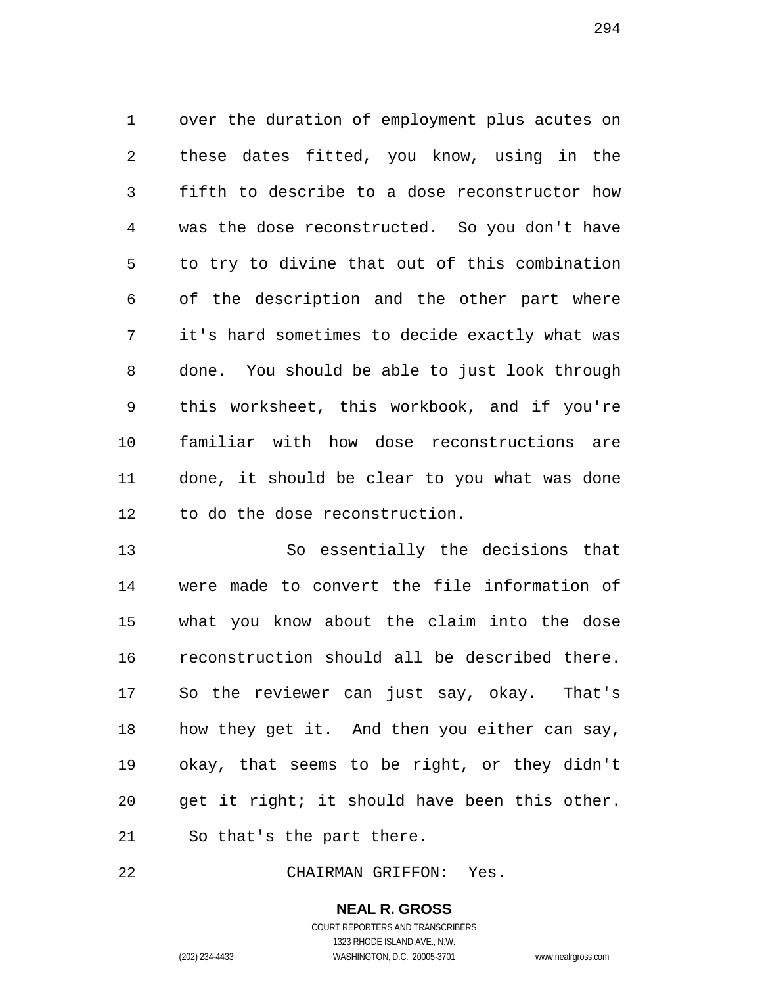over the duration of employment plus acutes on these dates fitted, you know, using in the fifth to describe to a dose reconstructor how was the dose reconstructed. So you don't have to try to divine that out of this combination of the description and the other part where it's hard sometimes to decide exactly what was done. You should be able to just look through this worksheet, this workbook, and if you're familiar with how dose reconstructions are done, it should be clear to you what was done to do the dose reconstruction.

 So essentially the decisions that were made to convert the file information of what you know about the claim into the dose reconstruction should all be described there. So the reviewer can just say, okay. That's how they get it. And then you either can say, okay, that seems to be right, or they didn't get it right; it should have been this other. So that's the part there.

CHAIRMAN GRIFFON: Yes.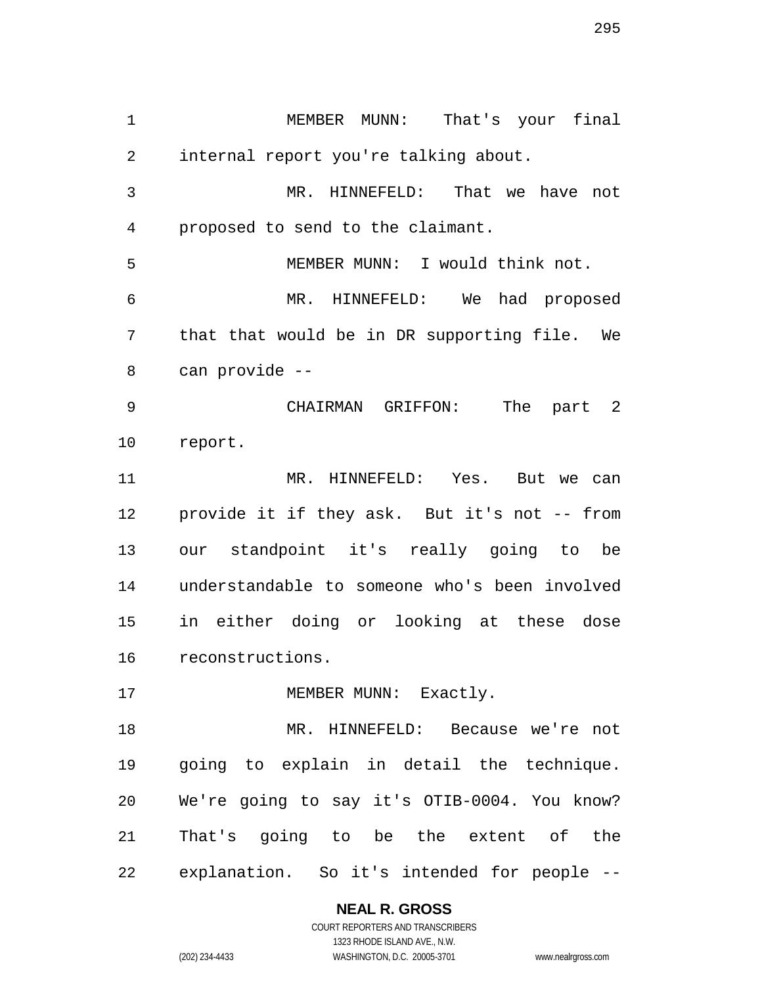MEMBER MUNN: That's your final internal report you're talking about. MR. HINNEFELD: That we have not proposed to send to the claimant. MEMBER MUNN: I would think not. MR. HINNEFELD: We had proposed that that would be in DR supporting file. We can provide -- CHAIRMAN GRIFFON: The part 2 report. MR. HINNEFELD: Yes. But we can provide it if they ask. But it's not -- from our standpoint it's really going to be understandable to someone who's been involved in either doing or looking at these dose reconstructions. 17 MEMBER MUNN: Exactly. MR. HINNEFELD: Because we're not going to explain in detail the technique. We're going to say it's OTIB-0004. You know? That's going to be the extent of the

explanation. So it's intended for people --

**NEAL R. GROSS**

COURT REPORTERS AND TRANSCRIBERS 1323 RHODE ISLAND AVE., N.W. (202) 234-4433 WASHINGTON, D.C. 20005-3701 www.nealrgross.com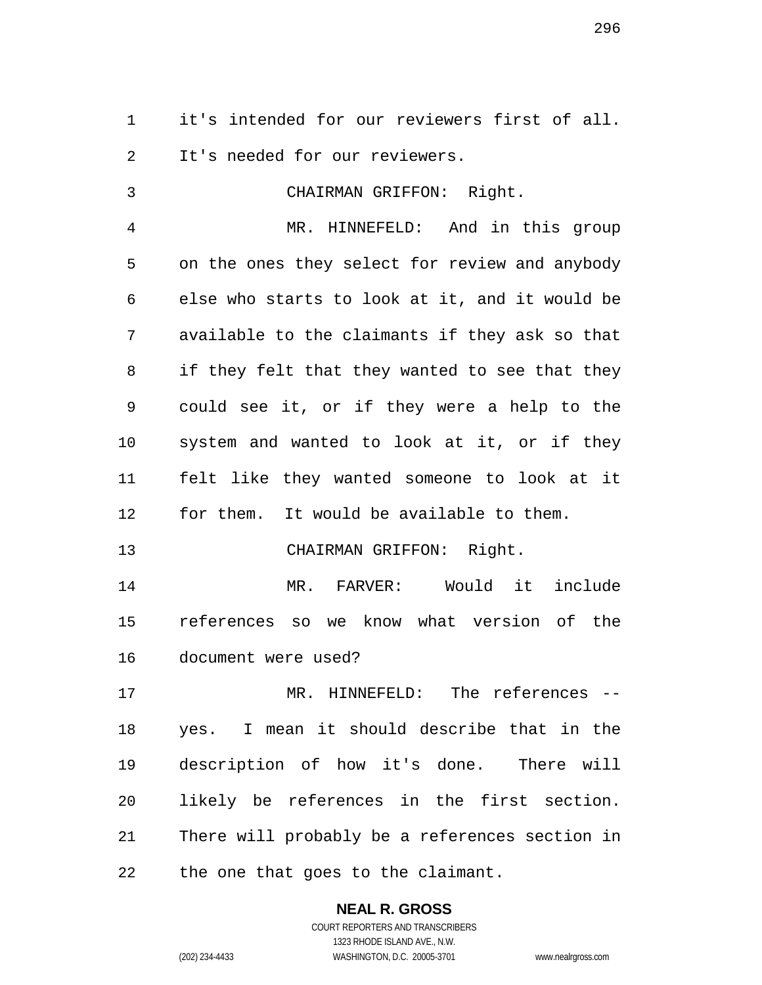it's intended for our reviewers first of all. It's needed for our reviewers.

 CHAIRMAN GRIFFON: Right. MR. HINNEFELD: And in this group on the ones they select for review and anybody else who starts to look at it, and it would be available to the claimants if they ask so that if they felt that they wanted to see that they could see it, or if they were a help to the system and wanted to look at it, or if they felt like they wanted someone to look at it for them. It would be available to them. CHAIRMAN GRIFFON: Right. MR. FARVER: Would it include references so we know what version of the document were used? MR. HINNEFELD: The references -- yes. I mean it should describe that in the description of how it's done. There will likely be references in the first section. There will probably be a references section in the one that goes to the claimant.

> **NEAL R. GROSS** COURT REPORTERS AND TRANSCRIBERS

1323 RHODE ISLAND AVE., N.W. (202) 234-4433 WASHINGTON, D.C. 20005-3701 www.nealrgross.com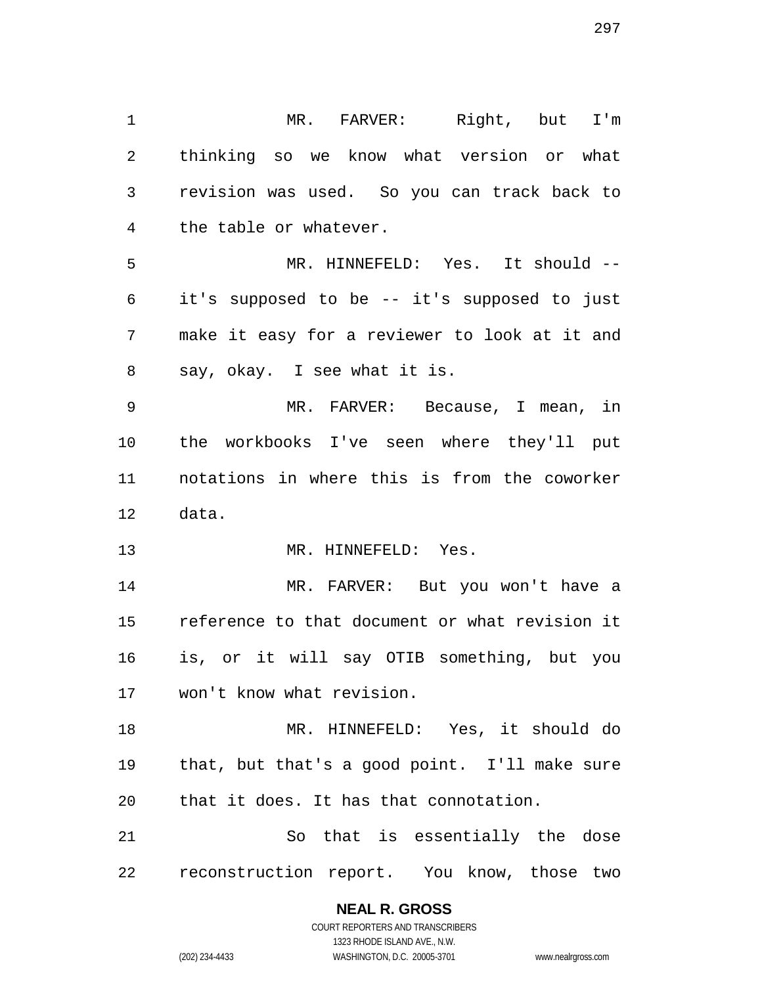MR. FARVER: Right, but I'm thinking so we know what version or what revision was used. So you can track back to the table or whatever. MR. HINNEFELD: Yes. It should -- it's supposed to be -- it's supposed to just make it easy for a reviewer to look at it and say, okay. I see what it is. MR. FARVER: Because, I mean, in the workbooks I've seen where they'll put notations in where this is from the coworker data. 13 MR. HINNEFELD: Yes. MR. FARVER: But you won't have a reference to that document or what revision it is, or it will say OTIB something, but you won't know what revision. MR. HINNEFELD: Yes, it should do that, but that's a good point. I'll make sure that it does. It has that connotation. So that is essentially the dose reconstruction report. You know, those two

**NEAL R. GROSS**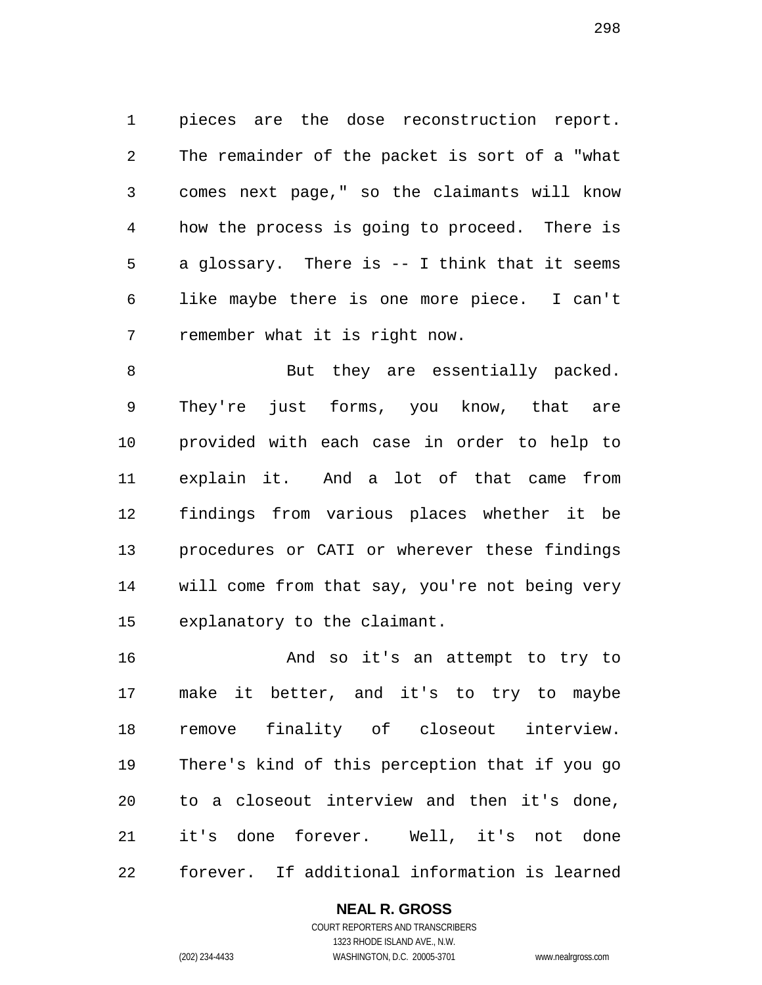pieces are the dose reconstruction report. The remainder of the packet is sort of a "what comes next page," so the claimants will know how the process is going to proceed. There is a glossary. There is -- I think that it seems like maybe there is one more piece. I can't remember what it is right now.

8 But they are essentially packed. They're just forms, you know, that are provided with each case in order to help to explain it. And a lot of that came from findings from various places whether it be procedures or CATI or wherever these findings will come from that say, you're not being very explanatory to the claimant.

 And so it's an attempt to try to make it better, and it's to try to maybe remove finality of closeout interview. There's kind of this perception that if you go to a closeout interview and then it's done, it's done forever. Well, it's not done forever. If additional information is learned

## **NEAL R. GROSS**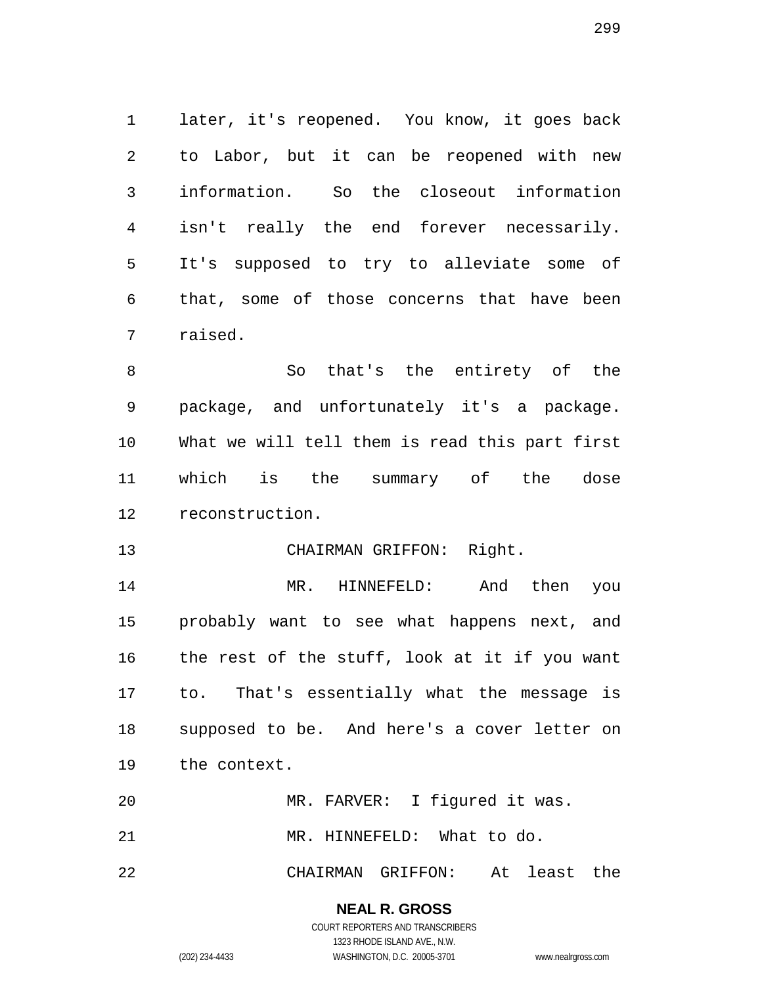later, it's reopened. You know, it goes back to Labor, but it can be reopened with new information. So the closeout information isn't really the end forever necessarily. It's supposed to try to alleviate some of that, some of those concerns that have been raised.

 So that's the entirety of the package, and unfortunately it's a package. What we will tell them is read this part first which is the summary of the dose reconstruction.

#### CHAIRMAN GRIFFON: Right.

 MR. HINNEFELD: And then you probably want to see what happens next, and the rest of the stuff, look at it if you want to. That's essentially what the message is supposed to be. And here's a cover letter on the context.

MR. FARVER: I figured it was.

21 MR. HINNEFELD: What to do.

CHAIRMAN GRIFFON: At least the

## **NEAL R. GROSS**

COURT REPORTERS AND TRANSCRIBERS 1323 RHODE ISLAND AVE., N.W. (202) 234-4433 WASHINGTON, D.C. 20005-3701 www.nealrgross.com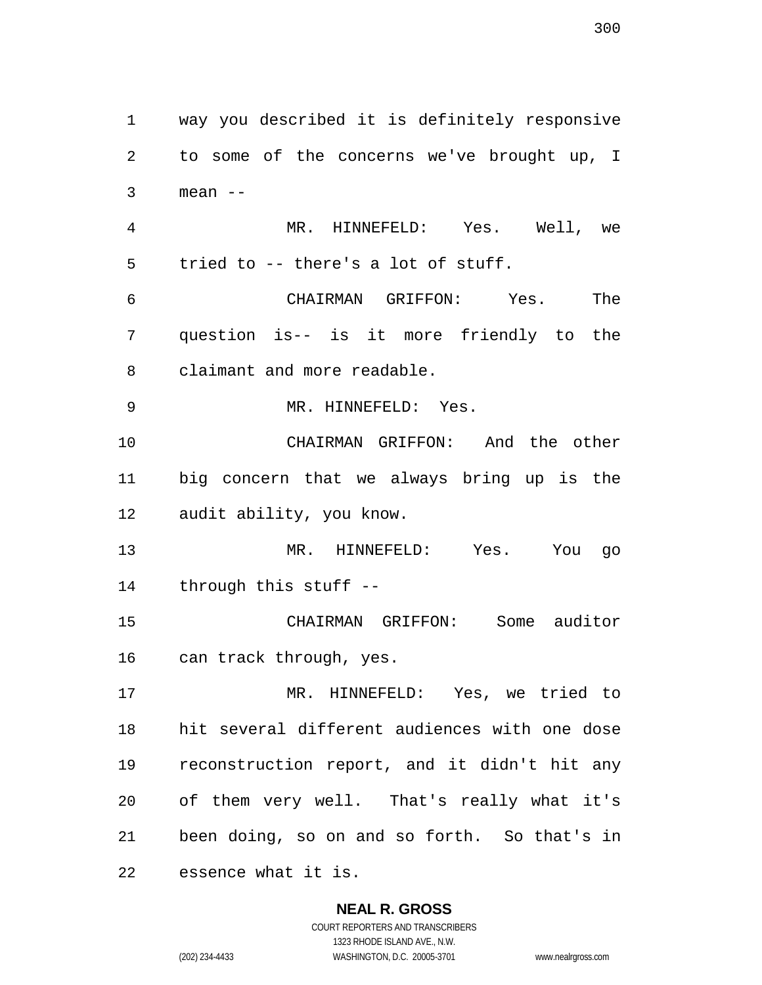way you described it is definitely responsive to some of the concerns we've brought up, I mean -- MR. HINNEFELD: Yes. Well, we tried to -- there's a lot of stuff. CHAIRMAN GRIFFON: Yes. The question is-- is it more friendly to the claimant and more readable. MR. HINNEFELD: Yes. CHAIRMAN GRIFFON: And the other big concern that we always bring up is the audit ability, you know. MR. HINNEFELD: Yes. You go through this stuff -- CHAIRMAN GRIFFON: Some auditor can track through, yes. MR. HINNEFELD: Yes, we tried to hit several different audiences with one dose reconstruction report, and it didn't hit any of them very well. That's really what it's been doing, so on and so forth. So that's in essence what it is.

## **NEAL R. GROSS**

COURT REPORTERS AND TRANSCRIBERS 1323 RHODE ISLAND AVE., N.W. (202) 234-4433 WASHINGTON, D.C. 20005-3701 www.nealrgross.com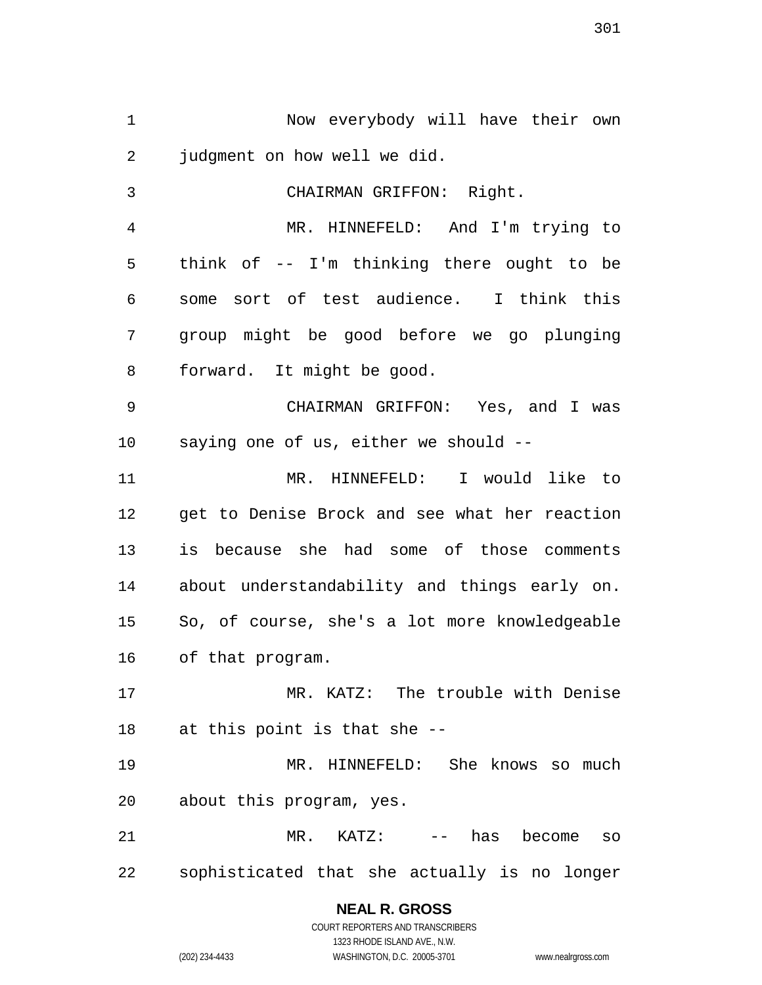Now everybody will have their own judgment on how well we did. CHAIRMAN GRIFFON: Right. MR. HINNEFELD: And I'm trying to think of -- I'm thinking there ought to be some sort of test audience. I think this group might be good before we go plunging forward. It might be good.

 CHAIRMAN GRIFFON: Yes, and I was saying one of us, either we should --

 MR. HINNEFELD: I would like to get to Denise Brock and see what her reaction is because she had some of those comments about understandability and things early on. So, of course, she's a lot more knowledgeable of that program.

 MR. KATZ: The trouble with Denise at this point is that she --

 MR. HINNEFELD: She knows so much about this program, yes.

 MR. KATZ: -- has become so sophisticated that she actually is no longer

> **NEAL R. GROSS** COURT REPORTERS AND TRANSCRIBERS 1323 RHODE ISLAND AVE., N.W.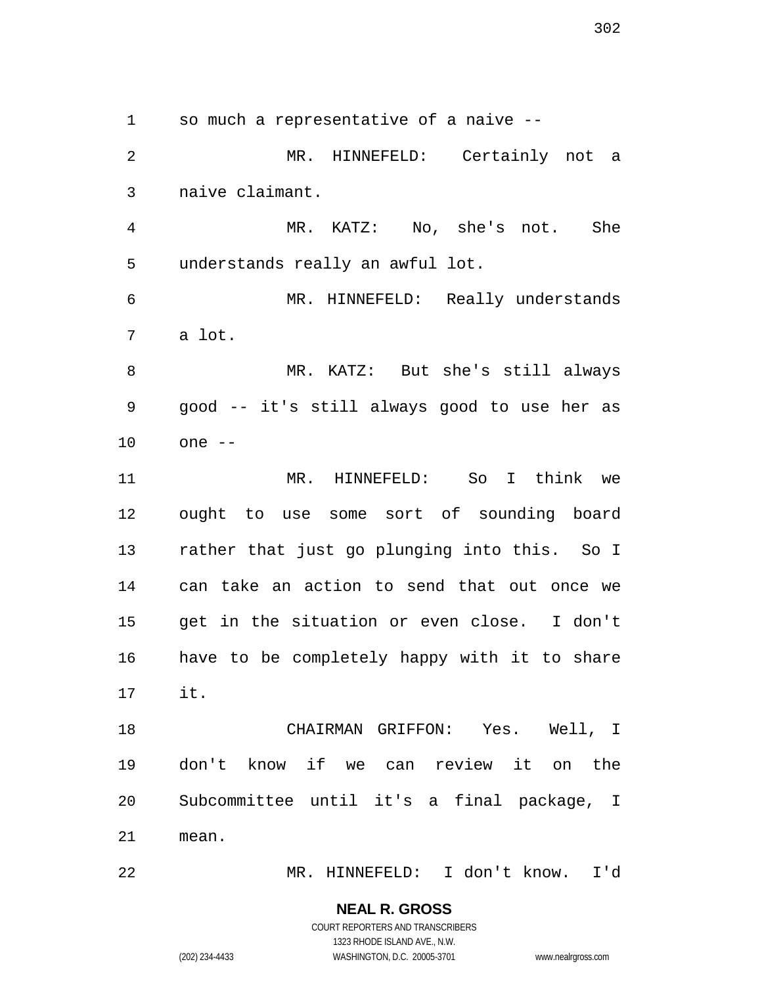so much a representative of a naive --

 MR. HINNEFELD: Certainly not a naive claimant.

 MR. KATZ: No, she's not. She understands really an awful lot.

 MR. HINNEFELD: Really understands a lot.

 MR. KATZ: But she's still always good -- it's still always good to use her as one --

 MR. HINNEFELD: So I think we ought to use some sort of sounding board rather that just go plunging into this. So I can take an action to send that out once we get in the situation or even close. I don't have to be completely happy with it to share it.

 CHAIRMAN GRIFFON: Yes. Well, I don't know if we can review it on the Subcommittee until it's a final package, I mean.

MR. HINNEFELD: I don't know. I'd

**NEAL R. GROSS** COURT REPORTERS AND TRANSCRIBERS

1323 RHODE ISLAND AVE., N.W.

(202) 234-4433 WASHINGTON, D.C. 20005-3701 www.nealrgross.com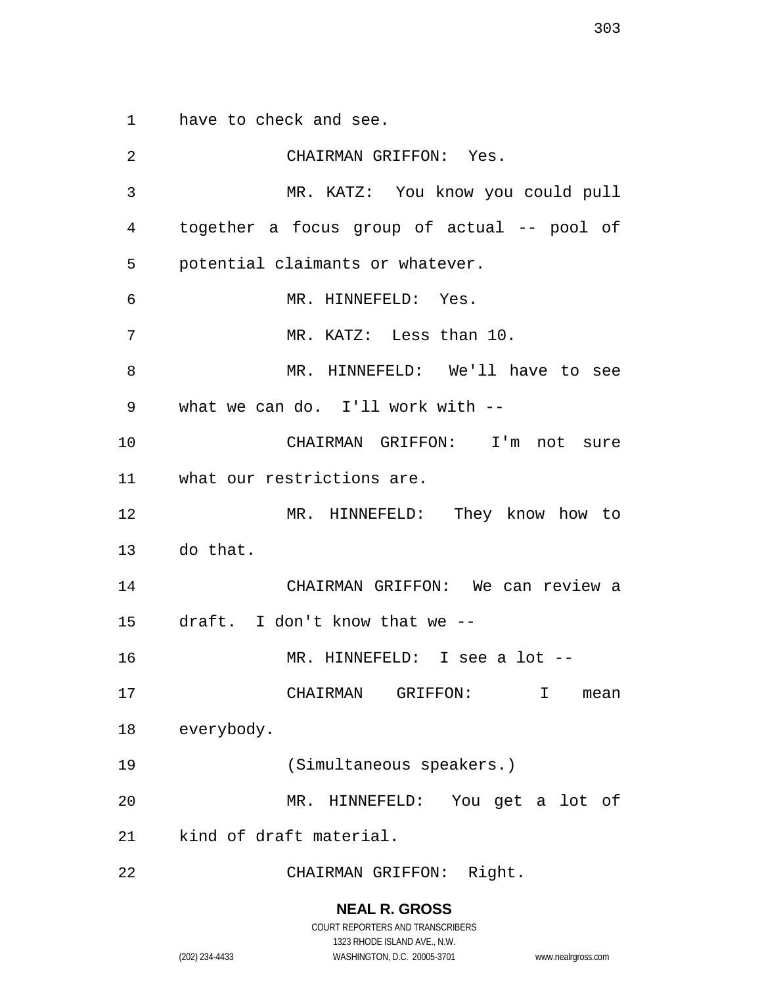have to check and see.

 CHAIRMAN GRIFFON: Yes. MR. KATZ: You know you could pull together a focus group of actual -- pool of potential claimants or whatever. MR. HINNEFELD: Yes. MR. KATZ: Less than 10. MR. HINNEFELD: We'll have to see what we can do. I'll work with -- CHAIRMAN GRIFFON: I'm not sure what our restrictions are. MR. HINNEFELD: They know how to do that. CHAIRMAN GRIFFON: We can review a draft. I don't know that we -- MR. HINNEFELD: I see a lot -- CHAIRMAN GRIFFON: I mean everybody. (Simultaneous speakers.) MR. HINNEFELD: You get a lot of kind of draft material. CHAIRMAN GRIFFON: Right.

**NEAL R. GROSS**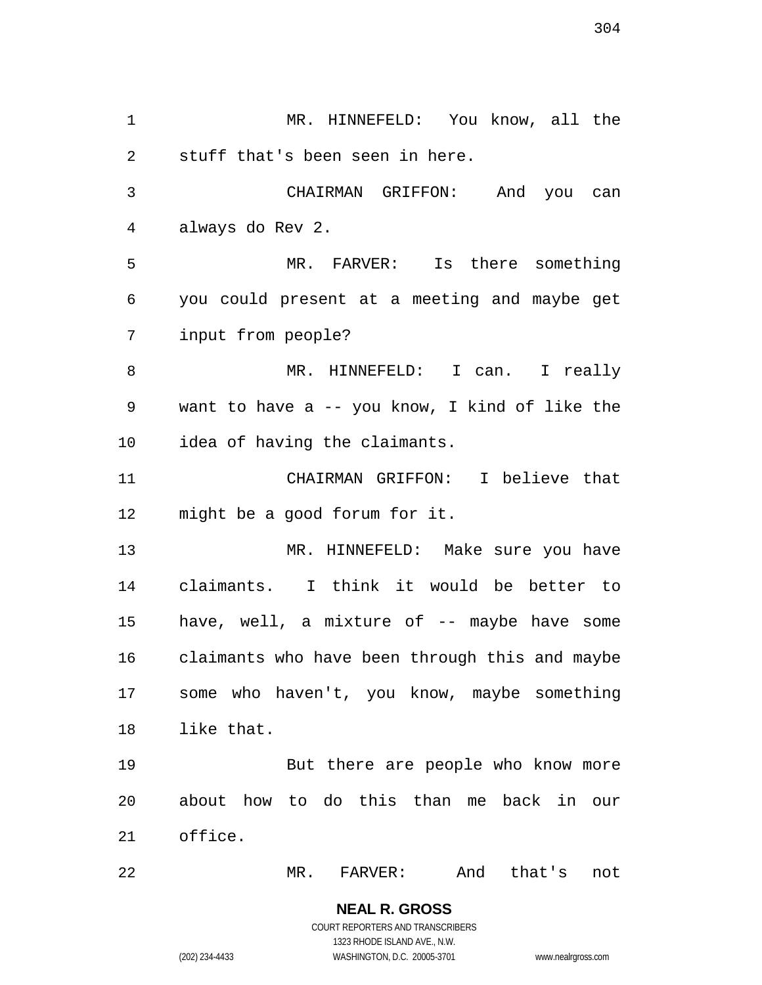MR. HINNEFELD: You know, all the stuff that's been seen in here. CHAIRMAN GRIFFON: And you can always do Rev 2. MR. FARVER: Is there something you could present at a meeting and maybe get input from people? MR. HINNEFELD: I can. I really want to have a -- you know, I kind of like the idea of having the claimants. CHAIRMAN GRIFFON: I believe that might be a good forum for it. MR. HINNEFELD: Make sure you have claimants. I think it would be better to have, well, a mixture of -- maybe have some claimants who have been through this and maybe some who haven't, you know, maybe something like that. But there are people who know more about how to do this than me back in our office. MR. FARVER: And that's not

> **NEAL R. GROSS** COURT REPORTERS AND TRANSCRIBERS 1323 RHODE ISLAND AVE., N.W.

(202) 234-4433 WASHINGTON, D.C. 20005-3701 www.nealrgross.com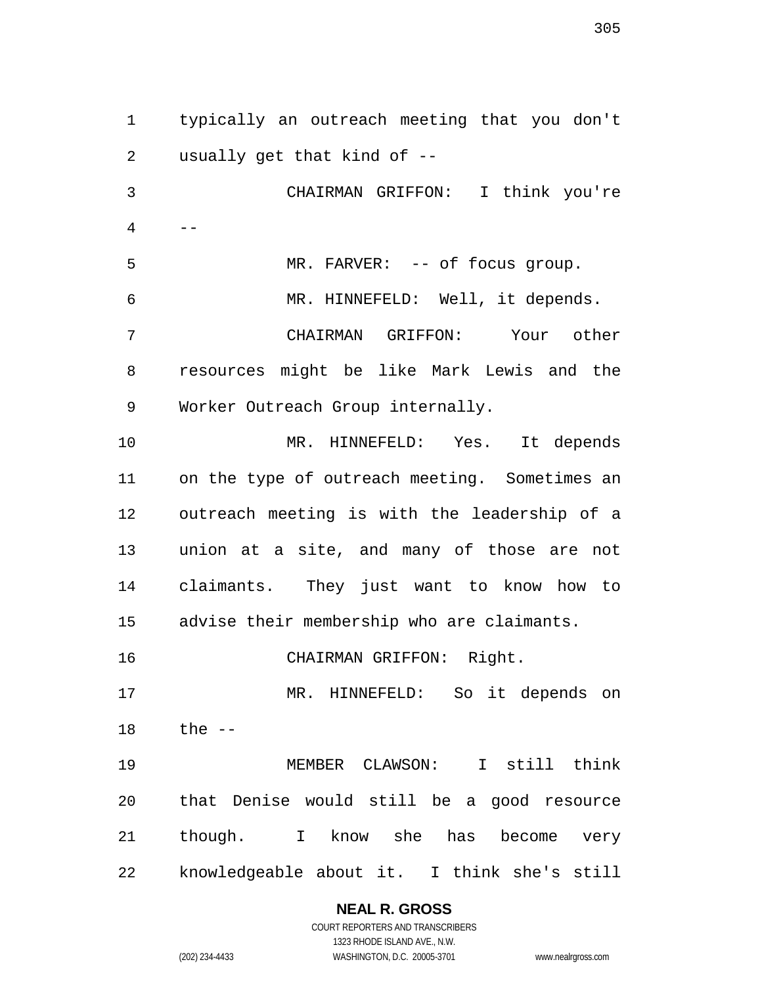typically an outreach meeting that you don't usually get that kind of -- CHAIRMAN GRIFFON: I think you're  $4 \qquad --$ 5 MR. FARVER: -- of focus group. MR. HINNEFELD: Well, it depends. CHAIRMAN GRIFFON: Your other resources might be like Mark Lewis and the Worker Outreach Group internally. MR. HINNEFELD: Yes. It depends on the type of outreach meeting. Sometimes an outreach meeting is with the leadership of a union at a site, and many of those are not claimants. They just want to know how to advise their membership who are claimants. CHAIRMAN GRIFFON: Right. MR. HINNEFELD: So it depends on the -- MEMBER CLAWSON: I still think that Denise would still be a good resource though. I know she has become very knowledgeable about it. I think she's still

# **NEAL R. GROSS**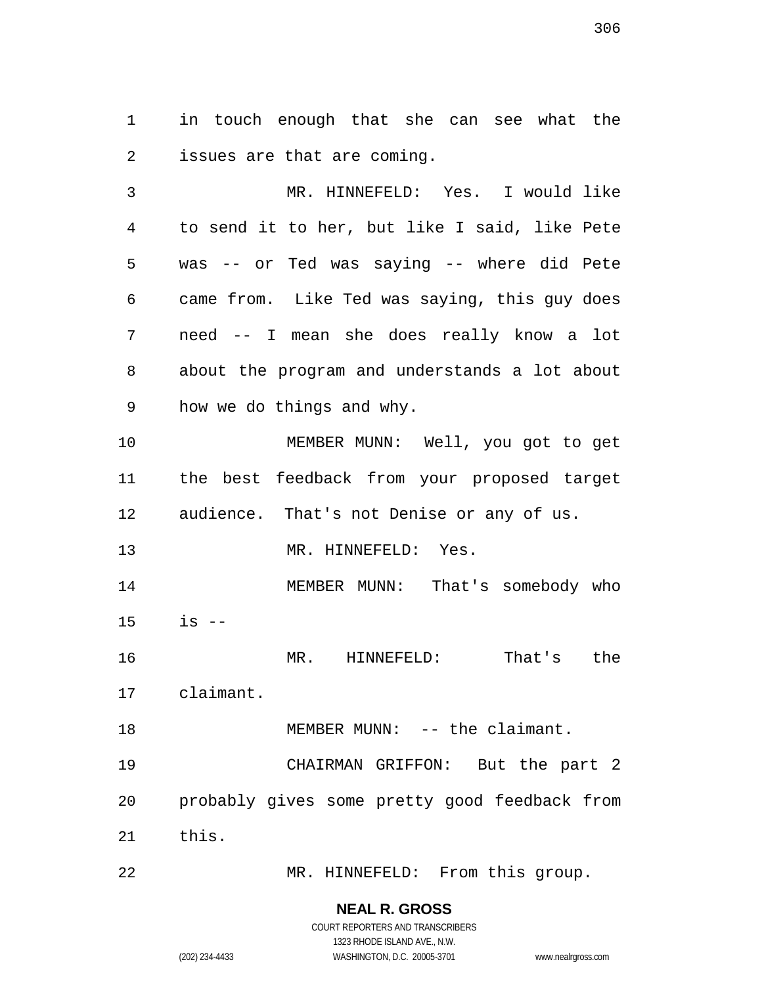in touch enough that she can see what the issues are that are coming.

 MR. HINNEFELD: Yes. I would like to send it to her, but like I said, like Pete was -- or Ted was saying -- where did Pete came from. Like Ted was saying, this guy does need -- I mean she does really know a lot about the program and understands a lot about how we do things and why.

 MEMBER MUNN: Well, you got to get the best feedback from your proposed target audience. That's not Denise or any of us.

13 MR. HINNEFELD: Yes.

14 MEMBER MUNN: That's somebody who is --

MR. HINNEFELD: That's the

claimant.

18 MEMBER MUNN: -- the claimant.

 CHAIRMAN GRIFFON: But the part 2 probably gives some pretty good feedback from this.

MR. HINNEFELD: From this group.

# **NEAL R. GROSS**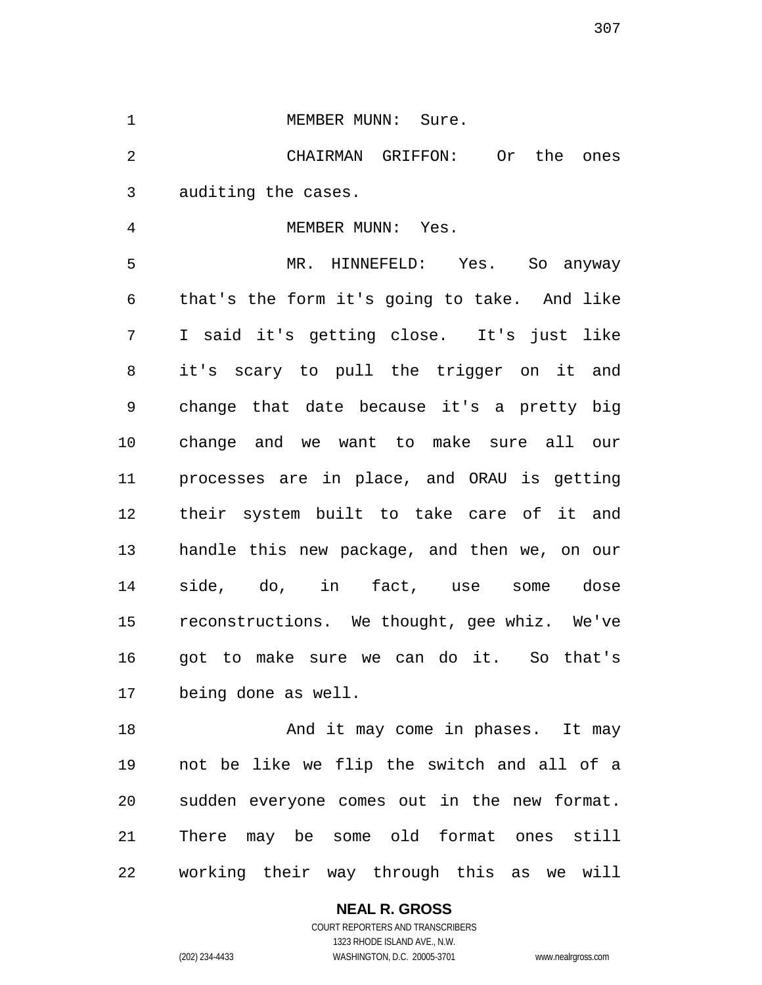#### 1 MEMBER MUNN: Sure.

 CHAIRMAN GRIFFON: Or the ones auditing the cases.

4 MEMBER MUNN: Yes.

 MR. HINNEFELD: Yes. So anyway that's the form it's going to take. And like I said it's getting close. It's just like it's scary to pull the trigger on it and change that date because it's a pretty big change and we want to make sure all our processes are in place, and ORAU is getting their system built to take care of it and handle this new package, and then we, on our side, do, in fact, use some dose reconstructions. We thought, gee whiz. We've got to make sure we can do it. So that's being done as well.

18 And it may come in phases. It may not be like we flip the switch and all of a sudden everyone comes out in the new format. There may be some old format ones still working their way through this as we will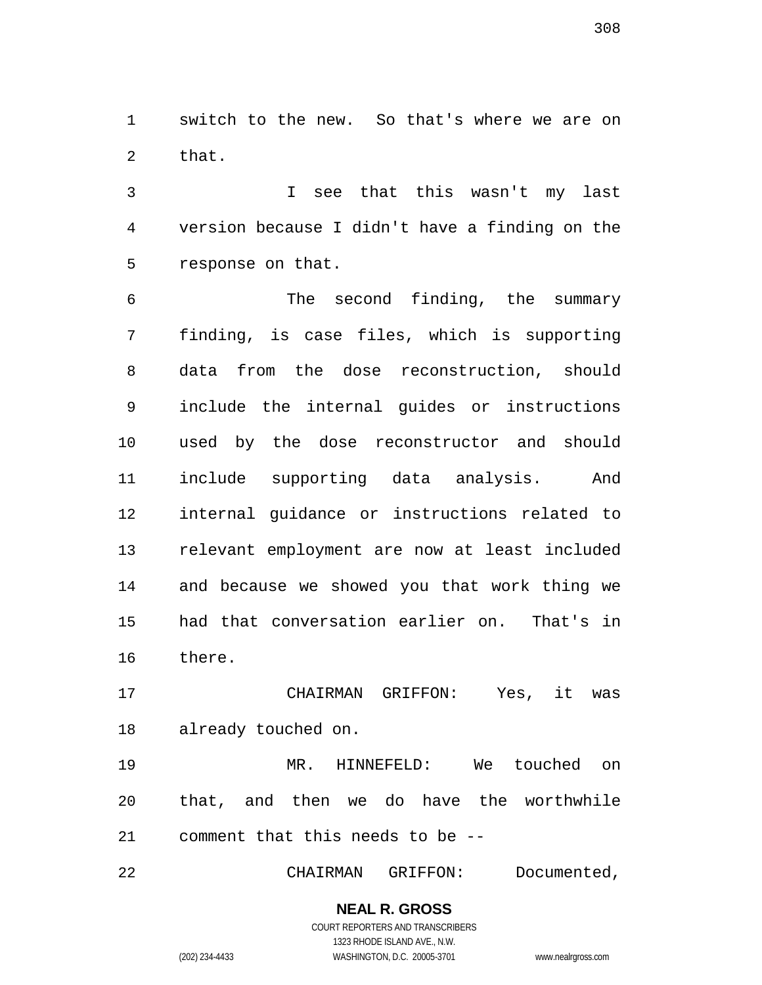switch to the new. So that's where we are on that.

 I see that this wasn't my last version because I didn't have a finding on the response on that.

 The second finding, the summary finding, is case files, which is supporting data from the dose reconstruction, should include the internal guides or instructions used by the dose reconstructor and should include supporting data analysis. And internal guidance or instructions related to relevant employment are now at least included and because we showed you that work thing we had that conversation earlier on. That's in there.

 CHAIRMAN GRIFFON: Yes, it was already touched on.

 MR. HINNEFELD: We touched on that, and then we do have the worthwhile comment that this needs to be --

CHAIRMAN GRIFFON: Documented,

**NEAL R. GROSS** COURT REPORTERS AND TRANSCRIBERS

1323 RHODE ISLAND AVE., N.W.

(202) 234-4433 WASHINGTON, D.C. 20005-3701 www.nealrgross.com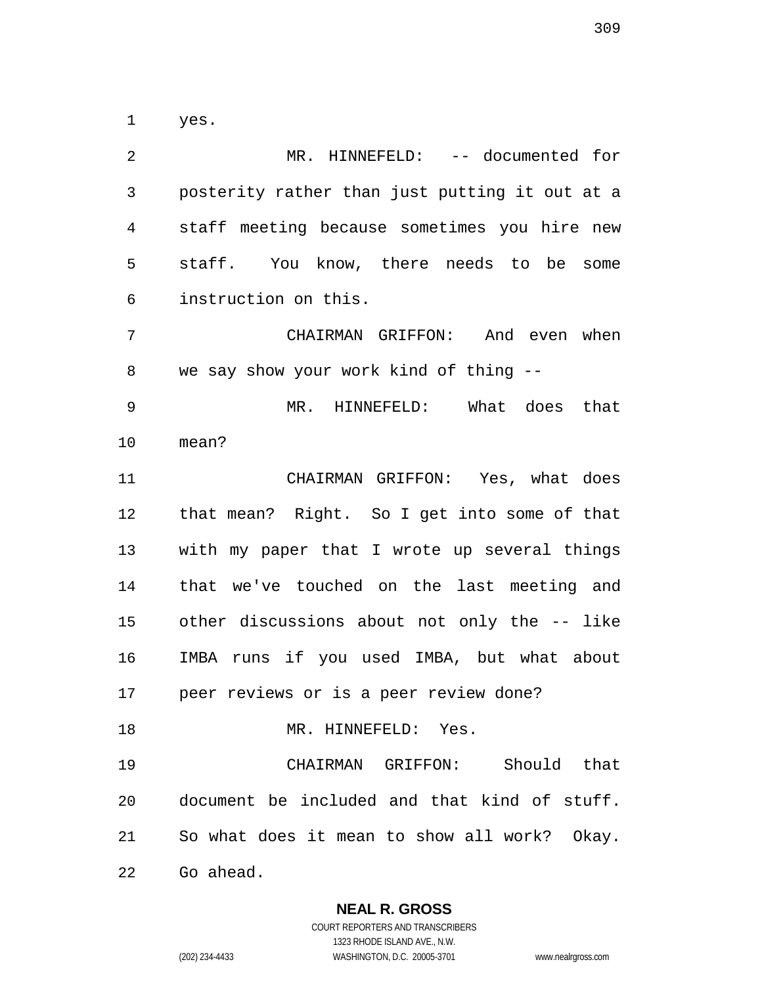yes.

 MR. HINNEFELD: -- documented for posterity rather than just putting it out at a staff meeting because sometimes you hire new staff. You know, there needs to be some instruction on this. CHAIRMAN GRIFFON: And even when we say show your work kind of thing -- MR. HINNEFELD: What does that mean? CHAIRMAN GRIFFON: Yes, what does that mean? Right. So I get into some of that with my paper that I wrote up several things that we've touched on the last meeting and other discussions about not only the -- like IMBA runs if you used IMBA, but what about peer reviews or is a peer review done? 18 MR. HINNEFELD: Yes. CHAIRMAN GRIFFON: Should that document be included and that kind of stuff. So what does it mean to show all work? Okay. Go ahead.

**NEAL R. GROSS**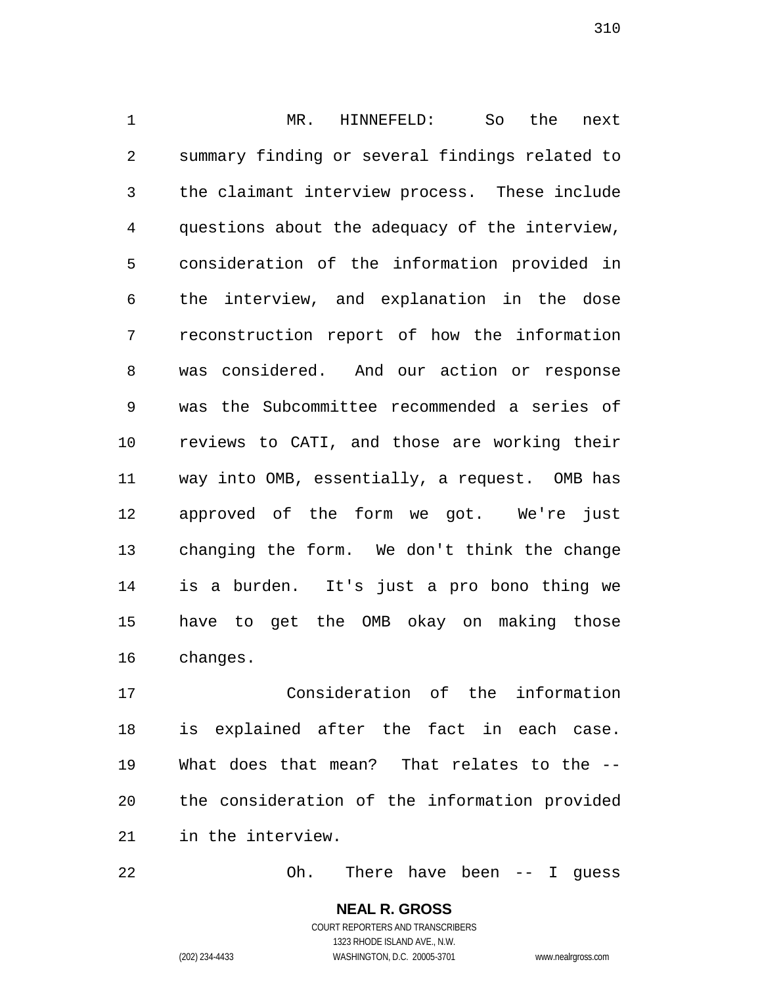MR. HINNEFELD: So the next summary finding or several findings related to the claimant interview process. These include questions about the adequacy of the interview, consideration of the information provided in the interview, and explanation in the dose reconstruction report of how the information was considered. And our action or response was the Subcommittee recommended a series of reviews to CATI, and those are working their way into OMB, essentially, a request. OMB has approved of the form we got. We're just changing the form. We don't think the change is a burden. It's just a pro bono thing we have to get the OMB okay on making those changes.

 Consideration of the information is explained after the fact in each case. What does that mean? That relates to the -- the consideration of the information provided in the interview.

Oh. There have been -- I guess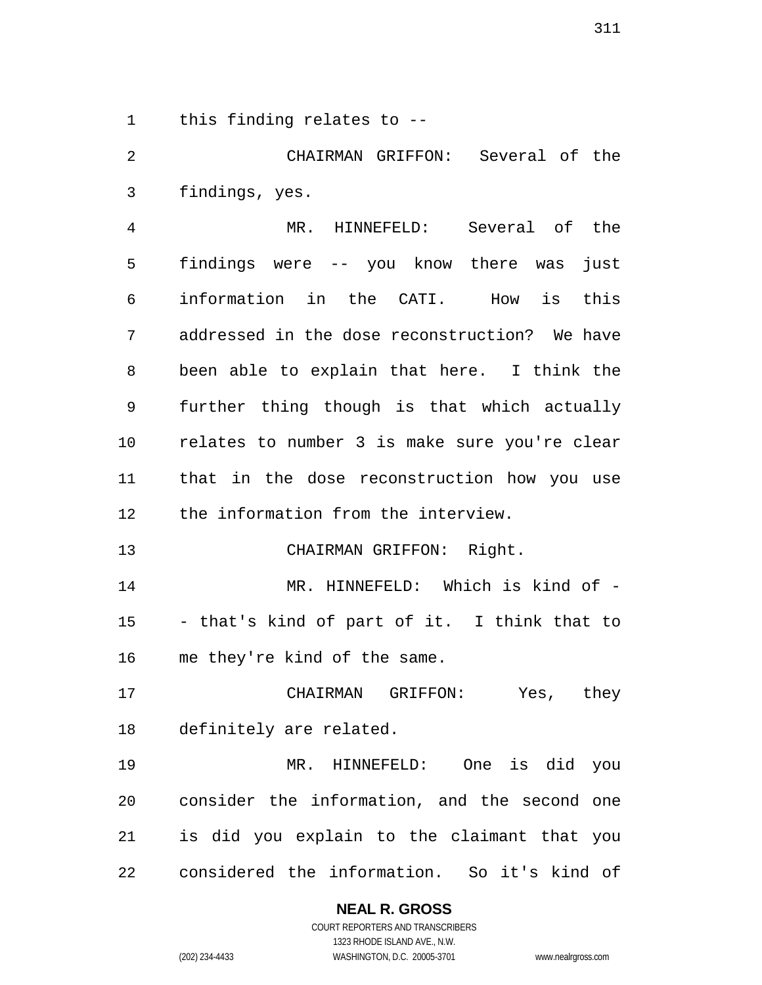this finding relates to --

 CHAIRMAN GRIFFON: Several of the findings, yes.

 MR. HINNEFELD: Several of the findings were -- you know there was just information in the CATI. How is this addressed in the dose reconstruction? We have been able to explain that here. I think the further thing though is that which actually relates to number 3 is make sure you're clear that in the dose reconstruction how you use the information from the interview.

CHAIRMAN GRIFFON: Right.

 MR. HINNEFELD: Which is kind of - - that's kind of part of it. I think that to me they're kind of the same.

 CHAIRMAN GRIFFON: Yes, they definitely are related.

 MR. HINNEFELD: One is did you consider the information, and the second one is did you explain to the claimant that you considered the information. So it's kind of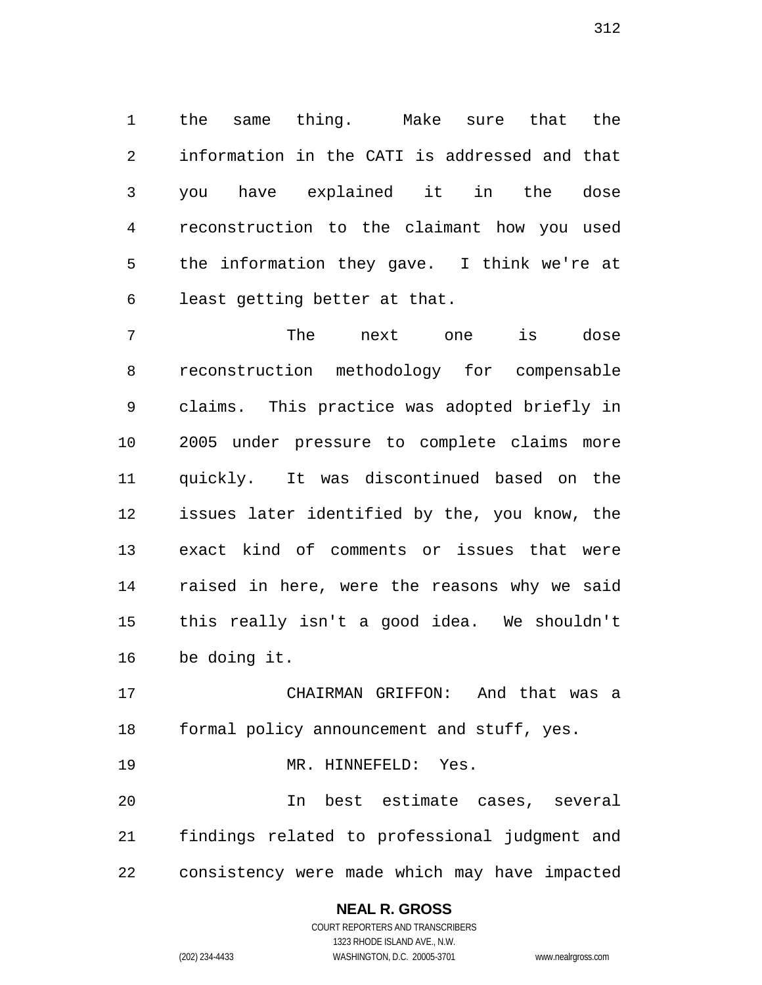the same thing. Make sure that the information in the CATI is addressed and that you have explained it in the dose reconstruction to the claimant how you used the information they gave. I think we're at least getting better at that.

 The next one is dose reconstruction methodology for compensable claims. This practice was adopted briefly in 2005 under pressure to complete claims more quickly. It was discontinued based on the issues later identified by the, you know, the exact kind of comments or issues that were raised in here, were the reasons why we said this really isn't a good idea. We shouldn't be doing it.

 CHAIRMAN GRIFFON: And that was a formal policy announcement and stuff, yes.

MR. HINNEFELD: Yes.

 In best estimate cases, several findings related to professional judgment and consistency were made which may have impacted

> **NEAL R. GROSS** COURT REPORTERS AND TRANSCRIBERS 1323 RHODE ISLAND AVE., N.W.

(202) 234-4433 WASHINGTON, D.C. 20005-3701 www.nealrgross.com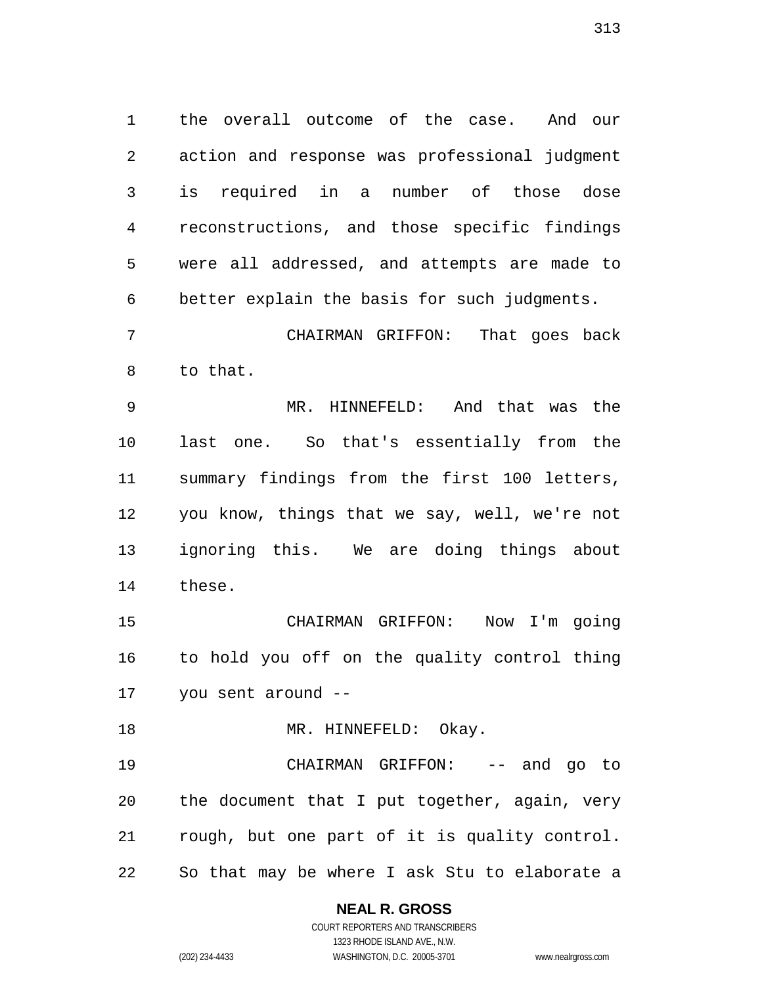the overall outcome of the case. And our action and response was professional judgment is required in a number of those dose reconstructions, and those specific findings were all addressed, and attempts are made to better explain the basis for such judgments.

 CHAIRMAN GRIFFON: That goes back to that.

 MR. HINNEFELD: And that was the last one. So that's essentially from the summary findings from the first 100 letters, you know, things that we say, well, we're not ignoring this. We are doing things about these.

 CHAIRMAN GRIFFON: Now I'm going to hold you off on the quality control thing you sent around --

18 MR. HINNEFELD: Okay.

 CHAIRMAN GRIFFON: -- and go to the document that I put together, again, very rough, but one part of it is quality control. So that may be where I ask Stu to elaborate a

## **NEAL R. GROSS**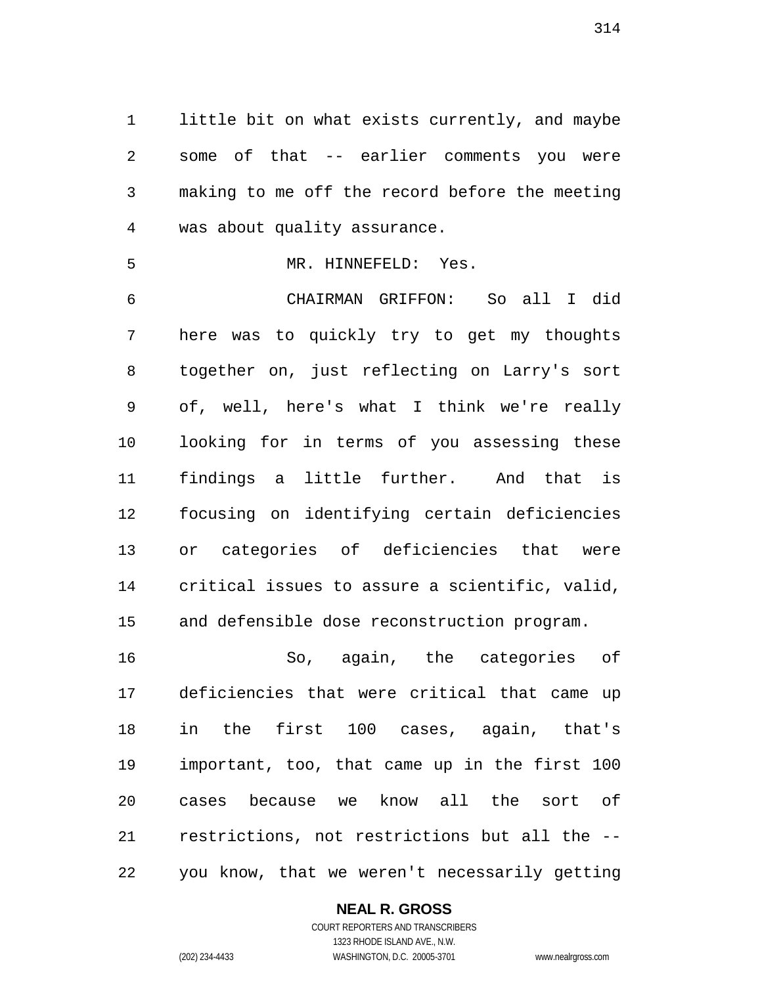little bit on what exists currently, and maybe some of that -- earlier comments you were making to me off the record before the meeting was about quality assurance.

MR. HINNEFELD: Yes.

 CHAIRMAN GRIFFON: So all I did here was to quickly try to get my thoughts together on, just reflecting on Larry's sort of, well, here's what I think we're really looking for in terms of you assessing these findings a little further. And that is focusing on identifying certain deficiencies or categories of deficiencies that were critical issues to assure a scientific, valid, and defensible dose reconstruction program.

 So, again, the categories of deficiencies that were critical that came up in the first 100 cases, again, that's important, too, that came up in the first 100 cases because we know all the sort of restrictions, not restrictions but all the -- you know, that we weren't necessarily getting

## **NEAL R. GROSS**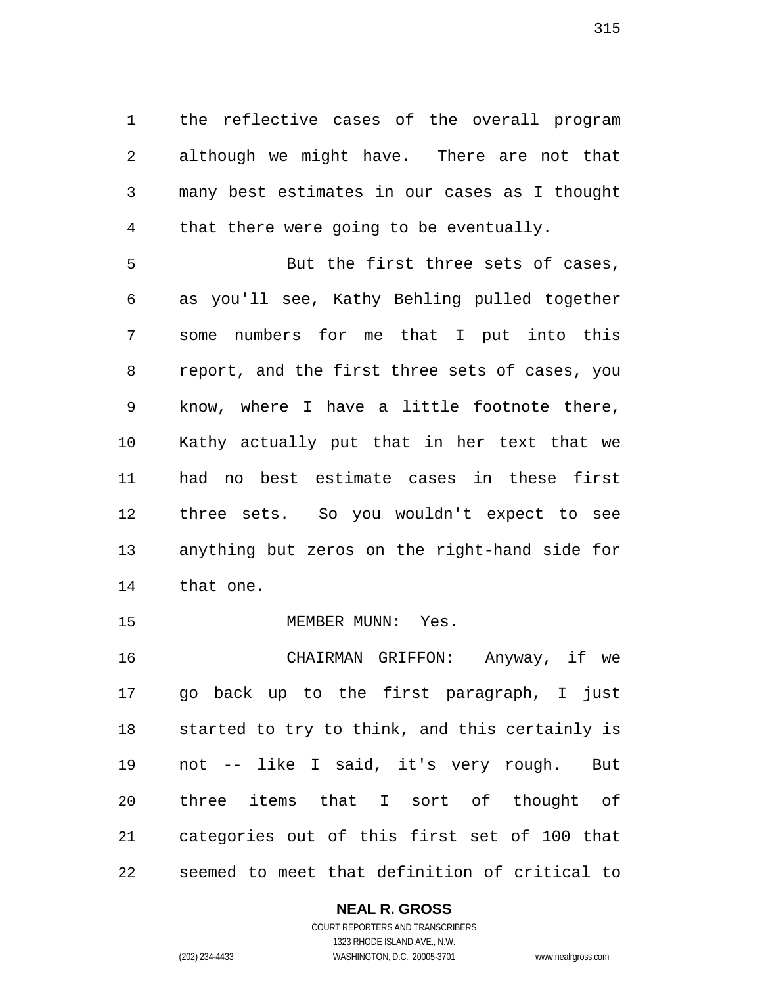the reflective cases of the overall program although we might have. There are not that many best estimates in our cases as I thought that there were going to be eventually.

5 But the first three sets of cases, as you'll see, Kathy Behling pulled together some numbers for me that I put into this report, and the first three sets of cases, you know, where I have a little footnote there, Kathy actually put that in her text that we had no best estimate cases in these first three sets. So you wouldn't expect to see anything but zeros on the right-hand side for that one.

15 MEMBER MUNN: Yes.

 CHAIRMAN GRIFFON: Anyway, if we go back up to the first paragraph, I just started to try to think, and this certainly is not -- like I said, it's very rough. But three items that I sort of thought of categories out of this first set of 100 that seemed to meet that definition of critical to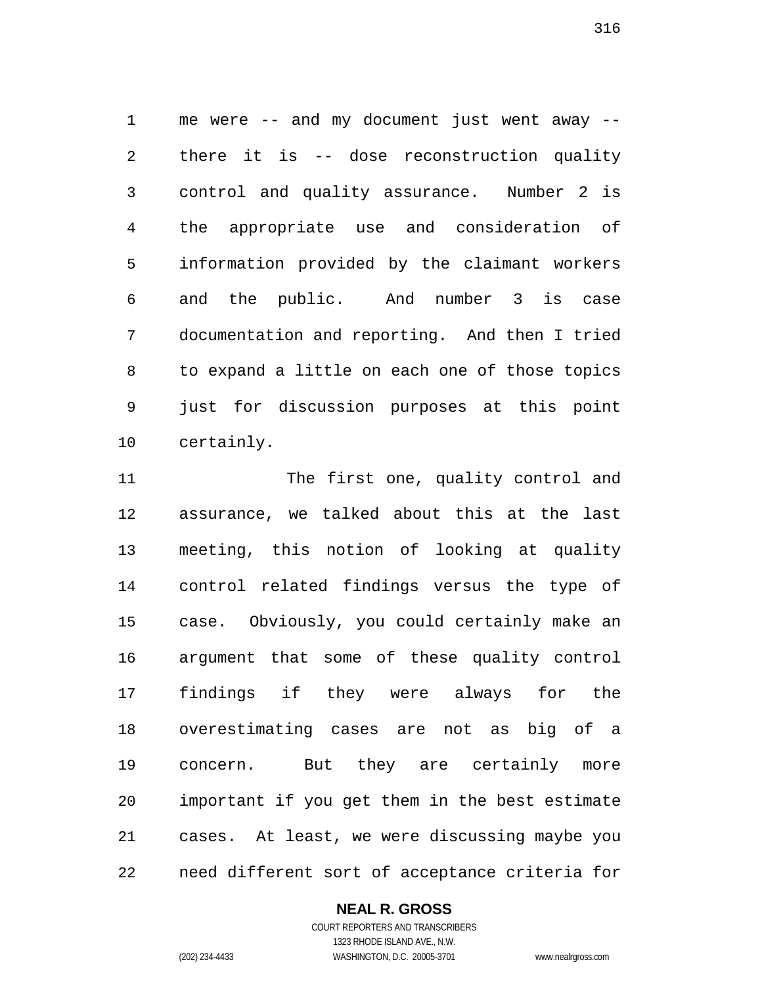me were -- and my document just went away -- there it is -- dose reconstruction quality control and quality assurance. Number 2 is the appropriate use and consideration of information provided by the claimant workers and the public. And number 3 is case documentation and reporting. And then I tried to expand a little on each one of those topics just for discussion purposes at this point certainly.

11 The first one, quality control and assurance, we talked about this at the last meeting, this notion of looking at quality control related findings versus the type of case. Obviously, you could certainly make an argument that some of these quality control findings if they were always for the overestimating cases are not as big of a concern. But they are certainly more important if you get them in the best estimate cases. At least, we were discussing maybe you need different sort of acceptance criteria for

## **NEAL R. GROSS**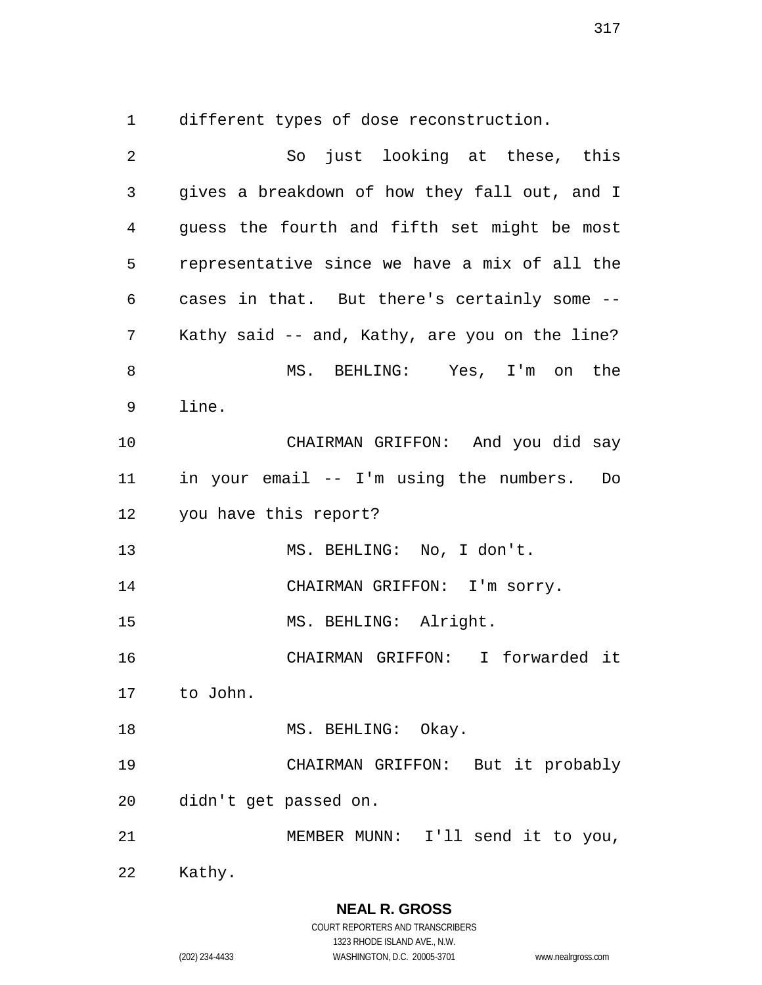different types of dose reconstruction.

 So just looking at these, this gives a breakdown of how they fall out, and I guess the fourth and fifth set might be most representative since we have a mix of all the cases in that. But there's certainly some -- Kathy said -- and, Kathy, are you on the line? MS. BEHLING: Yes, I'm on the line. CHAIRMAN GRIFFON: And you did say in your email -- I'm using the numbers. Do you have this report? MS. BEHLING: No, I don't. 14 CHAIRMAN GRIFFON: I'm sorry. 15 MS. BEHLING: Alright. CHAIRMAN GRIFFON: I forwarded it to John. 18 MS. BEHLING: Okay. CHAIRMAN GRIFFON: But it probably didn't get passed on. MEMBER MUNN: I'll send it to you, Kathy.

(202) 234-4433 WASHINGTON, D.C. 20005-3701 www.nealrgross.com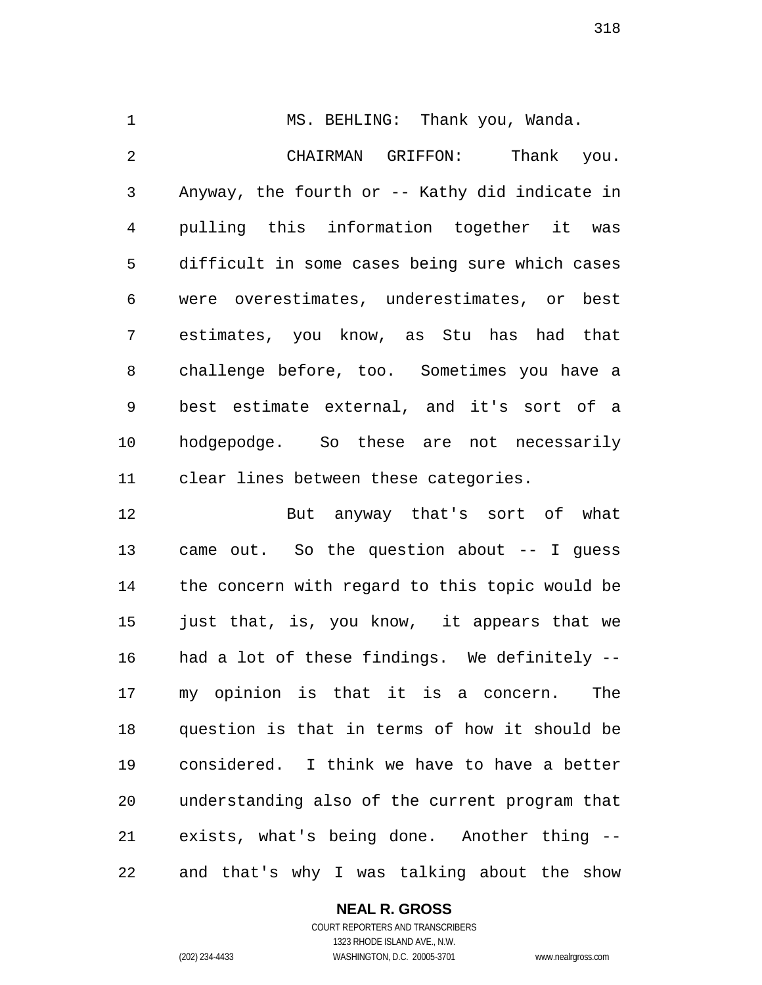1 MS. BEHLING: Thank you, Wanda. CHAIRMAN GRIFFON: Thank you. Anyway, the fourth or -- Kathy did indicate in pulling this information together it was difficult in some cases being sure which cases were overestimates, underestimates, or best estimates, you know, as Stu has had that challenge before, too. Sometimes you have a best estimate external, and it's sort of a hodgepodge. So these are not necessarily clear lines between these categories.

 But anyway that's sort of what came out. So the question about -- I guess the concern with regard to this topic would be just that, is, you know, it appears that we had a lot of these findings. We definitely -- my opinion is that it is a concern. The question is that in terms of how it should be considered. I think we have to have a better understanding also of the current program that exists, what's being done. Another thing -- and that's why I was talking about the show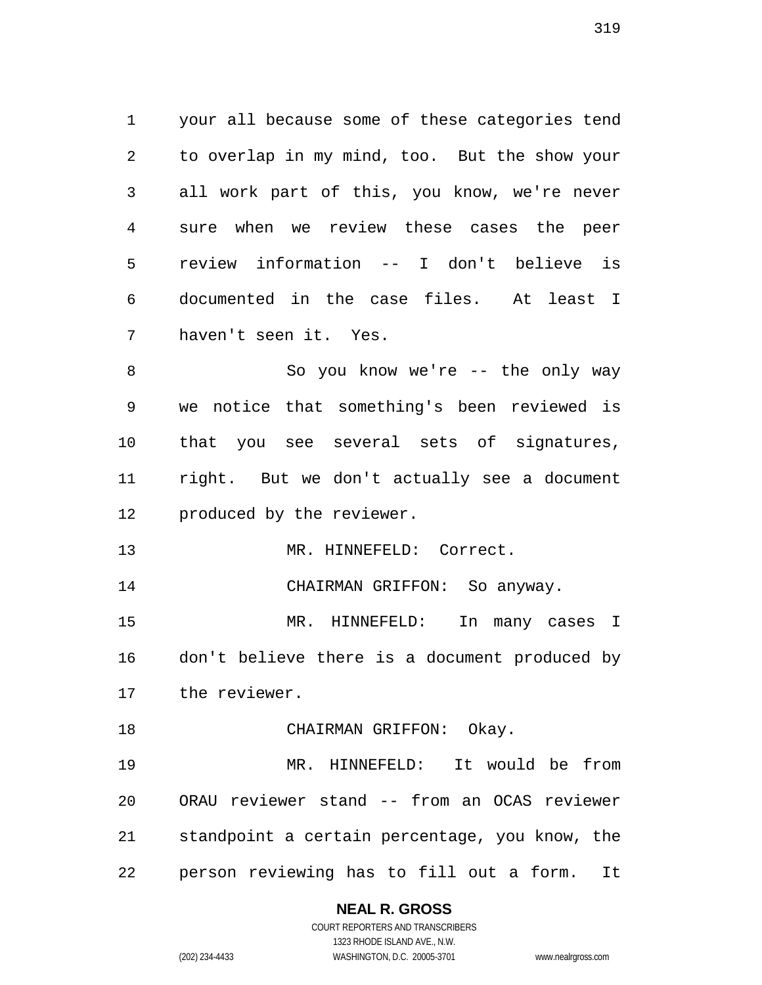your all because some of these categories tend to overlap in my mind, too. But the show your all work part of this, you know, we're never sure when we review these cases the peer review information -- I don't believe is documented in the case files. At least I haven't seen it. Yes.

8 So you know we're -- the only way we notice that something's been reviewed is that you see several sets of signatures, right. But we don't actually see a document produced by the reviewer.

13 MR. HINNEFELD: Correct.

CHAIRMAN GRIFFON: So anyway.

 MR. HINNEFELD: In many cases I don't believe there is a document produced by the reviewer.

18 CHAIRMAN GRIFFON: Okay.

 MR. HINNEFELD: It would be from ORAU reviewer stand -- from an OCAS reviewer standpoint a certain percentage, you know, the person reviewing has to fill out a form. It

#### **NEAL R. GROSS** COURT REPORTERS AND TRANSCRIBERS

1323 RHODE ISLAND AVE., N.W.

(202) 234-4433 WASHINGTON, D.C. 20005-3701 www.nealrgross.com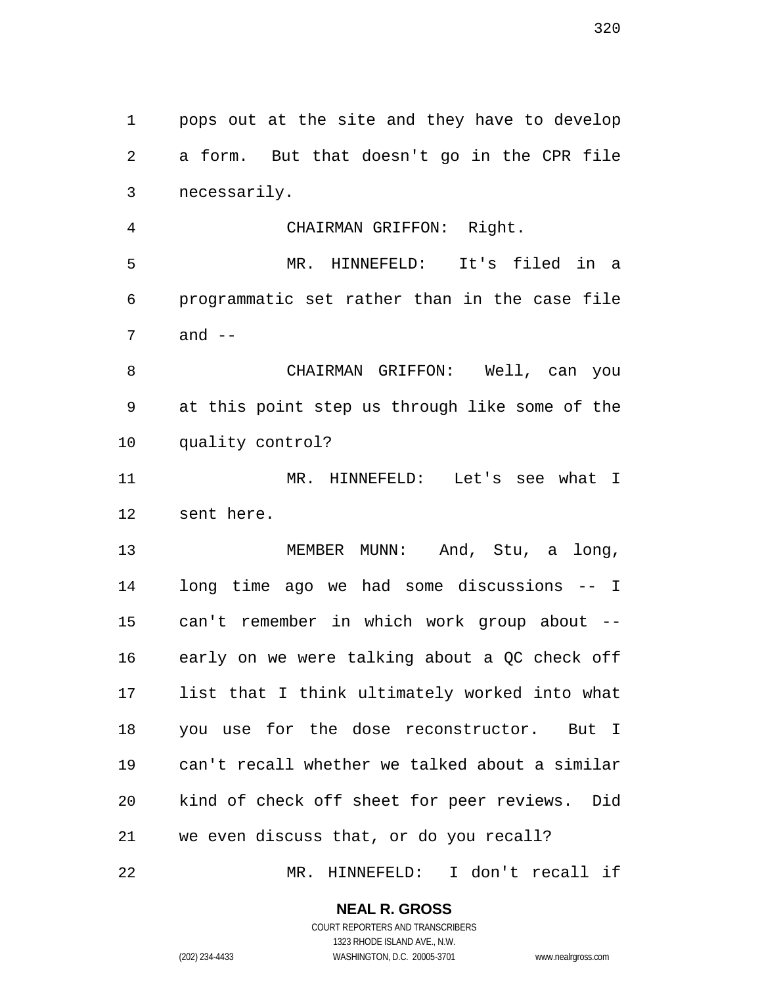pops out at the site and they have to develop a form. But that doesn't go in the CPR file necessarily.

 CHAIRMAN GRIFFON: Right. MR. HINNEFELD: It's filed in a programmatic set rather than in the case file and --

 CHAIRMAN GRIFFON: Well, can you at this point step us through like some of the quality control?

 MR. HINNEFELD: Let's see what I sent here.

 MEMBER MUNN: And, Stu, a long, long time ago we had some discussions -- I can't remember in which work group about -- early on we were talking about a QC check off list that I think ultimately worked into what you use for the dose reconstructor. But I can't recall whether we talked about a similar kind of check off sheet for peer reviews. Did we even discuss that, or do you recall?

MR. HINNEFELD: I don't recall if

## **NEAL R. GROSS**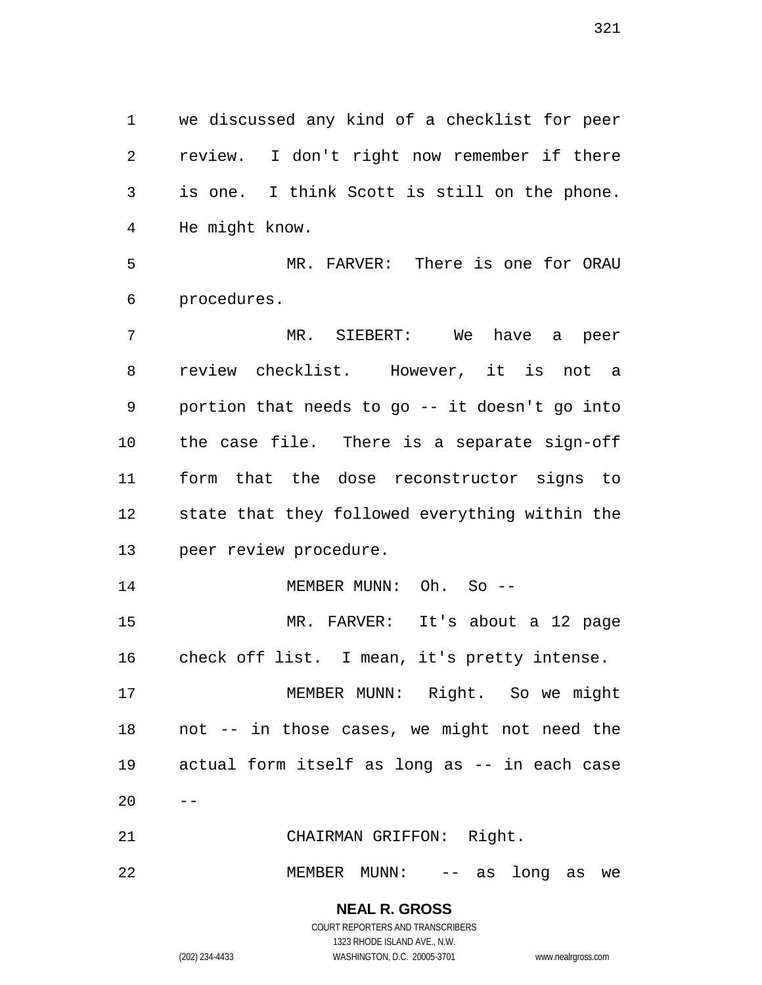we discussed any kind of a checklist for peer review. I don't right now remember if there is one. I think Scott is still on the phone. He might know.

 MR. FARVER: There is one for ORAU procedures.

 MR. SIEBERT: We have a peer review checklist. However, it is not a portion that needs to go -- it doesn't go into the case file. There is a separate sign-off form that the dose reconstructor signs to state that they followed everything within the peer review procedure.

14 MEMBER MUNN: Oh. So -- MR. FARVER: It's about a 12 page check off list. I mean, it's pretty intense.

 MEMBER MUNN: Right. So we might not -- in those cases, we might not need the actual form itself as long as -- in each case 

CHAIRMAN GRIFFON: Right.

MEMBER MUNN: -- as long as we

**NEAL R. GROSS** COURT REPORTERS AND TRANSCRIBERS

1323 RHODE ISLAND AVE., N.W. (202) 234-4433 WASHINGTON, D.C. 20005-3701 www.nealrgross.com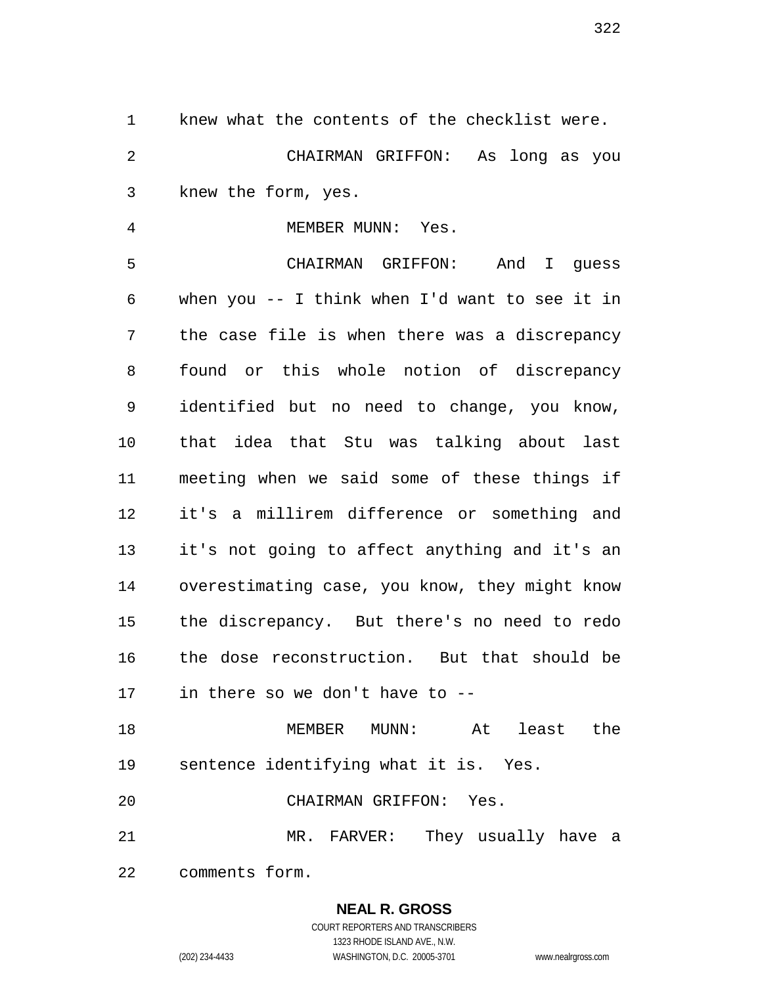knew what the contents of the checklist were. CHAIRMAN GRIFFON: As long as you knew the form, yes.

4 MEMBER MUNN: Yes.

 CHAIRMAN GRIFFON: And I guess when you -- I think when I'd want to see it in the case file is when there was a discrepancy found or this whole notion of discrepancy identified but no need to change, you know, that idea that Stu was talking about last meeting when we said some of these things if it's a millirem difference or something and it's not going to affect anything and it's an overestimating case, you know, they might know the discrepancy. But there's no need to redo the dose reconstruction. But that should be in there so we don't have to --

 MEMBER MUNN: At least the sentence identifying what it is. Yes.

CHAIRMAN GRIFFON: Yes.

 MR. FARVER: They usually have a comments form.

> **NEAL R. GROSS** COURT REPORTERS AND TRANSCRIBERS

1323 RHODE ISLAND AVE., N.W. (202) 234-4433 WASHINGTON, D.C. 20005-3701 www.nealrgross.com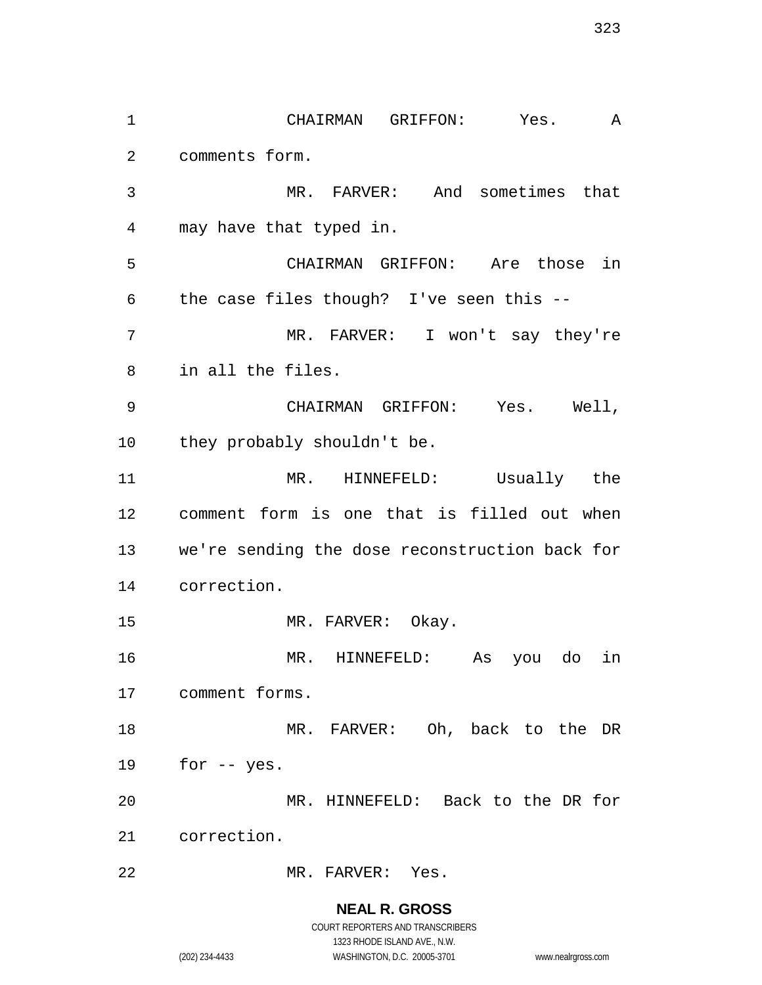CHAIRMAN GRIFFON: Yes. A comments form. MR. FARVER: And sometimes that may have that typed in. CHAIRMAN GRIFFON: Are those in the case files though? I've seen this -- MR. FARVER: I won't say they're in all the files. CHAIRMAN GRIFFON: Yes. Well, 10 they probably shouldn't be. MR. HINNEFELD: Usually the comment form is one that is filled out when we're sending the dose reconstruction back for correction. 15 MR. FARVER: Okay. MR. HINNEFELD: As you do in comment forms. MR. FARVER: Oh, back to the DR for -- yes. MR. HINNEFELD: Back to the DR for correction. MR. FARVER: Yes.

> **NEAL R. GROSS** COURT REPORTERS AND TRANSCRIBERS

> > 1323 RHODE ISLAND AVE., N.W.

(202) 234-4433 WASHINGTON, D.C. 20005-3701 www.nealrgross.com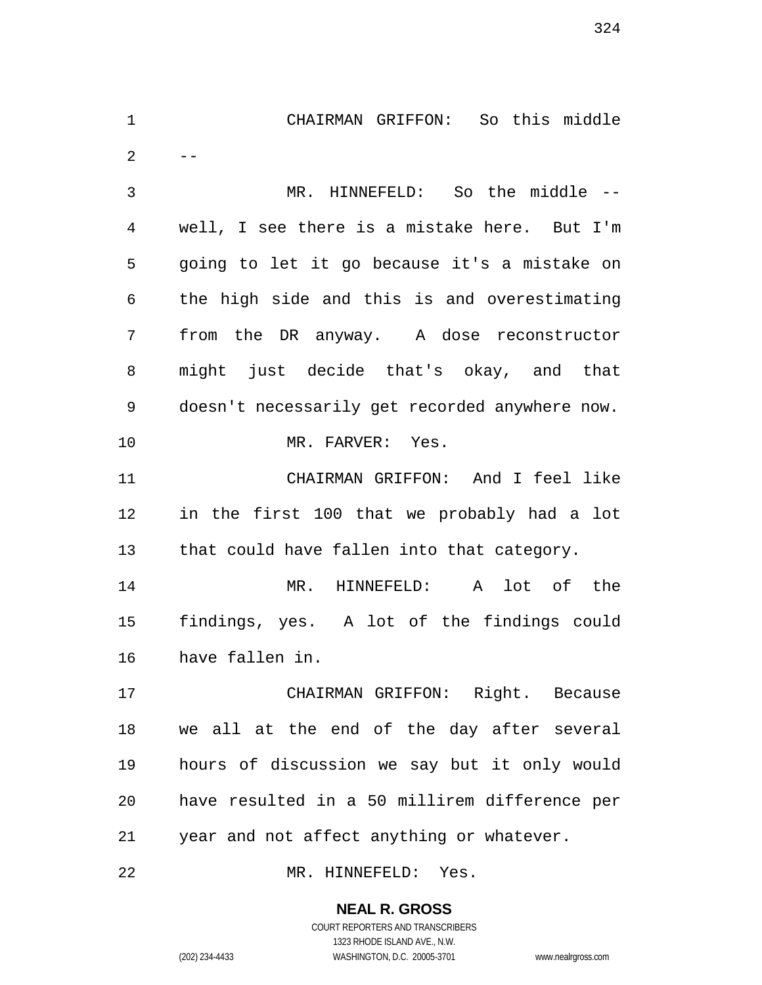CHAIRMAN GRIFFON: So this middle  $2 - -$  MR. HINNEFELD: So the middle -- well, I see there is a mistake here. But I'm going to let it go because it's a mistake on the high side and this is and overestimating from the DR anyway. A dose reconstructor might just decide that's okay, and that doesn't necessarily get recorded anywhere now. 10 MR. FARVER: Yes. CHAIRMAN GRIFFON: And I feel like in the first 100 that we probably had a lot that could have fallen into that category. MR. HINNEFELD: A lot of the findings, yes. A lot of the findings could have fallen in. CHAIRMAN GRIFFON: Right. Because we all at the end of the day after several hours of discussion we say but it only would have resulted in a 50 millirem difference per year and not affect anything or whatever.

MR. HINNEFELD: Yes.

## **NEAL R. GROSS**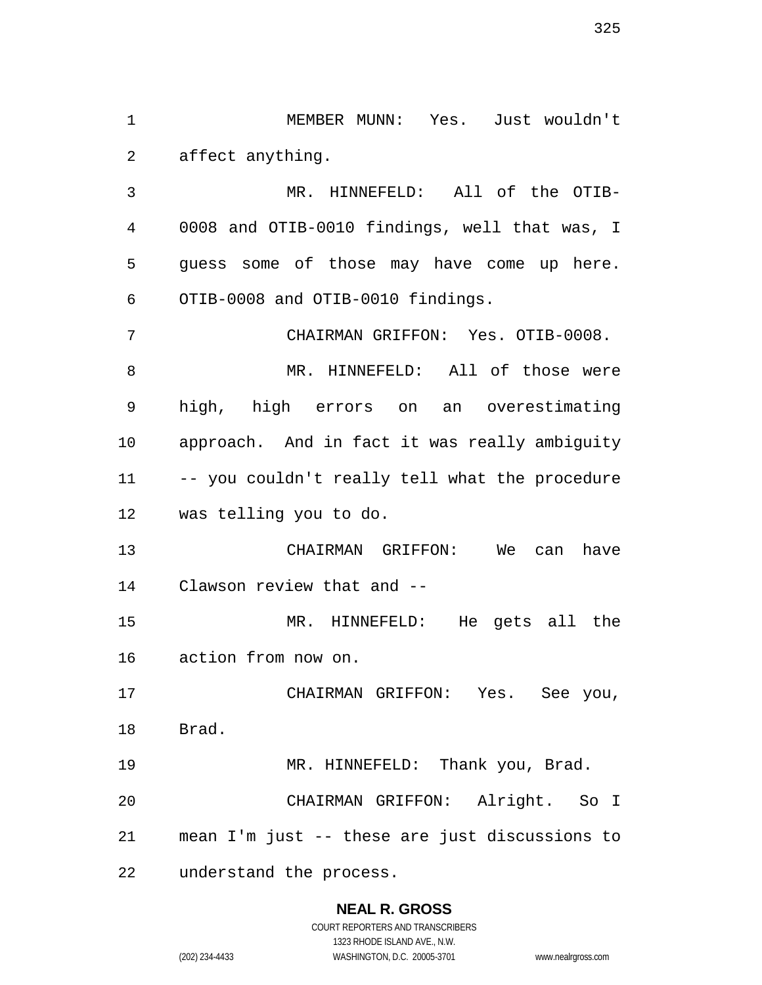MEMBER MUNN: Yes. Just wouldn't affect anything.

 MR. HINNEFELD: All of the OTIB- 0008 and OTIB-0010 findings, well that was, I guess some of those may have come up here. OTIB-0008 and OTIB-0010 findings.

 CHAIRMAN GRIFFON: Yes. OTIB-0008. MR. HINNEFELD: All of those were high, high errors on an overestimating approach. And in fact it was really ambiguity -- you couldn't really tell what the procedure was telling you to do.

 CHAIRMAN GRIFFON: We can have Clawson review that and --

 MR. HINNEFELD: He gets all the action from now on.

 CHAIRMAN GRIFFON: Yes. See you, Brad.

 MR. HINNEFELD: Thank you, Brad. CHAIRMAN GRIFFON: Alright. So I mean I'm just -- these are just discussions to understand the process.

# **NEAL R. GROSS**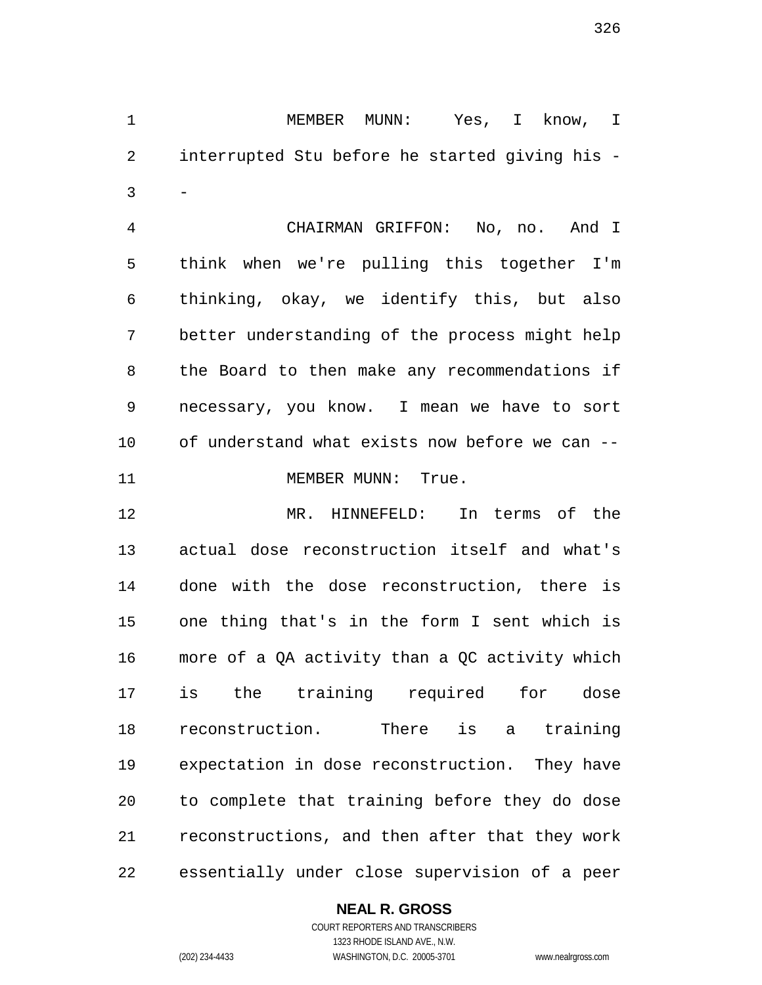MEMBER MUNN: Yes, I know, I interrupted Stu before he started giving his -  $3 -$ 

 CHAIRMAN GRIFFON: No, no. And I think when we're pulling this together I'm thinking, okay, we identify this, but also better understanding of the process might help the Board to then make any recommendations if necessary, you know. I mean we have to sort of understand what exists now before we can -- 11 MEMBER MUNN: True.

 MR. HINNEFELD: In terms of the actual dose reconstruction itself and what's done with the dose reconstruction, there is one thing that's in the form I sent which is more of a QA activity than a QC activity which is the training required for dose reconstruction. There is a training expectation in dose reconstruction. They have to complete that training before they do dose reconstructions, and then after that they work essentially under close supervision of a peer

## **NEAL R. GROSS**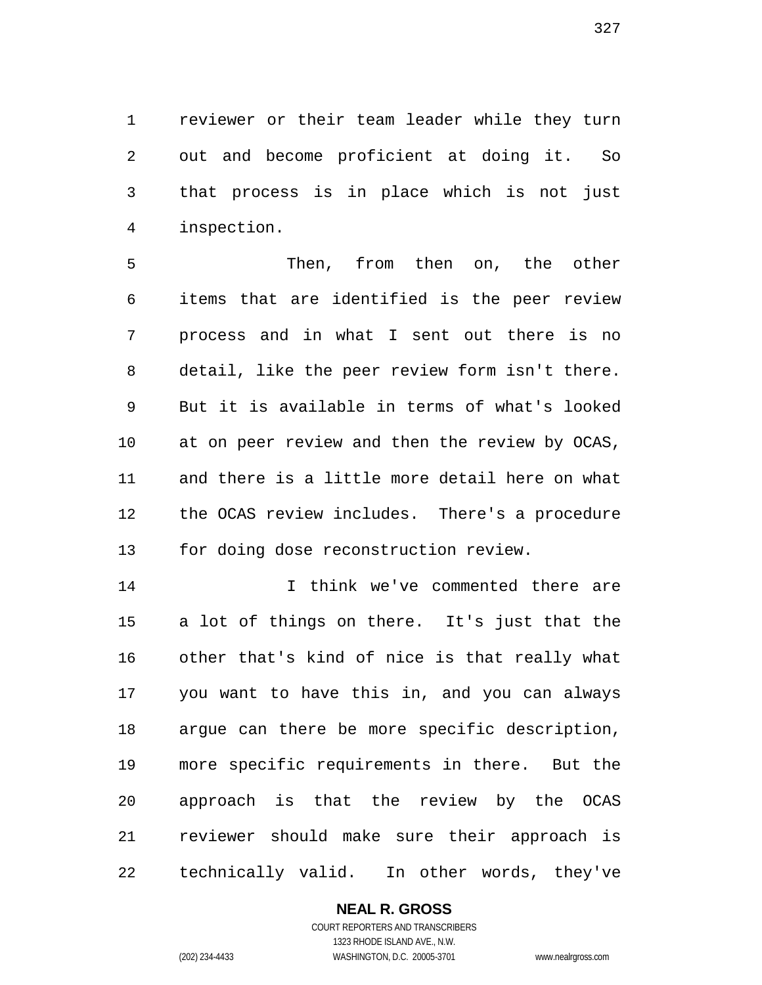reviewer or their team leader while they turn out and become proficient at doing it. So that process is in place which is not just inspection.

 Then, from then on, the other items that are identified is the peer review process and in what I sent out there is no detail, like the peer review form isn't there. But it is available in terms of what's looked at on peer review and then the review by OCAS, and there is a little more detail here on what the OCAS review includes. There's a procedure for doing dose reconstruction review.

 I think we've commented there are a lot of things on there. It's just that the other that's kind of nice is that really what you want to have this in, and you can always argue can there be more specific description, more specific requirements in there. But the approach is that the review by the OCAS reviewer should make sure their approach is technically valid. In other words, they've

#### **NEAL R. GROSS** COURT REPORTERS AND TRANSCRIBERS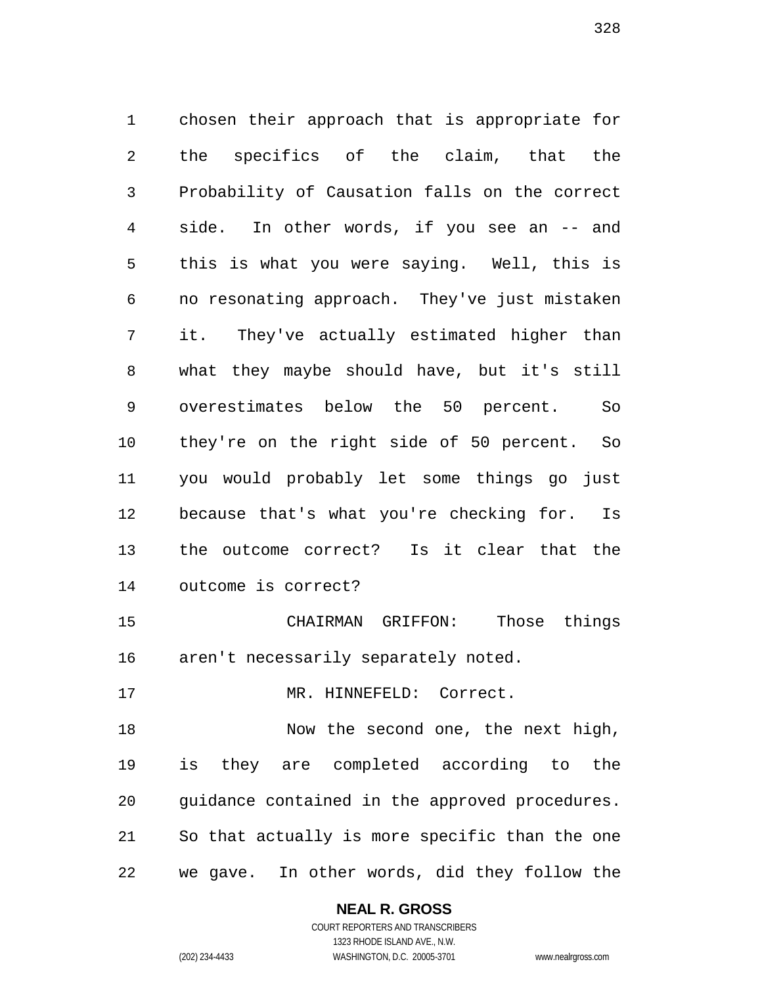chosen their approach that is appropriate for the specifics of the claim, that the Probability of Causation falls on the correct side. In other words, if you see an -- and this is what you were saying. Well, this is no resonating approach. They've just mistaken it. They've actually estimated higher than what they maybe should have, but it's still overestimates below the 50 percent. So they're on the right side of 50 percent. So you would probably let some things go just because that's what you're checking for. Is the outcome correct? Is it clear that the outcome is correct? CHAIRMAN GRIFFON: Those things

aren't necessarily separately noted.

17 MR. HINNEFELD: Correct.

 Now the second one, the next high, is they are completed according to the guidance contained in the approved procedures. So that actually is more specific than the one we gave. In other words, did they follow the

#### **NEAL R. GROSS**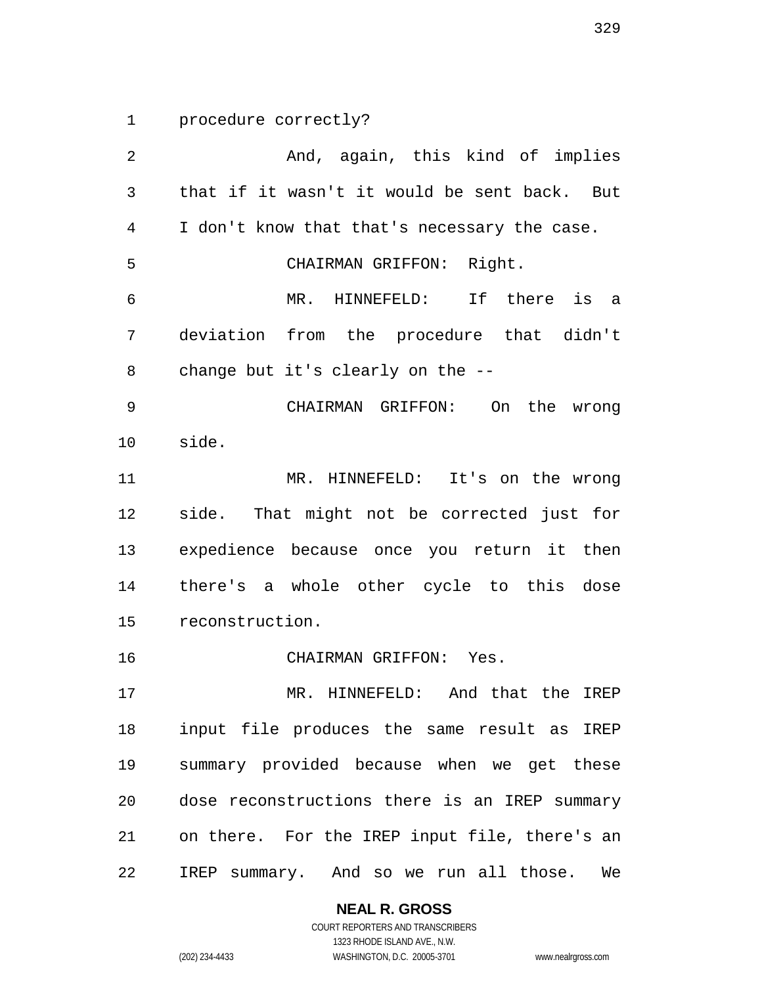procedure correctly?

 And, again, this kind of implies that if it wasn't it would be sent back. But I don't know that that's necessary the case. CHAIRMAN GRIFFON: Right. MR. HINNEFELD: If there is a deviation from the procedure that didn't change but it's clearly on the -- CHAIRMAN GRIFFON: On the wrong side. MR. HINNEFELD: It's on the wrong side. That might not be corrected just for expedience because once you return it then there's a whole other cycle to this dose reconstruction. CHAIRMAN GRIFFON: Yes. MR. HINNEFELD: And that the IREP input file produces the same result as IREP summary provided because when we get these dose reconstructions there is an IREP summary on there. For the IREP input file, there's an IREP summary. And so we run all those. We

**NEAL R. GROSS**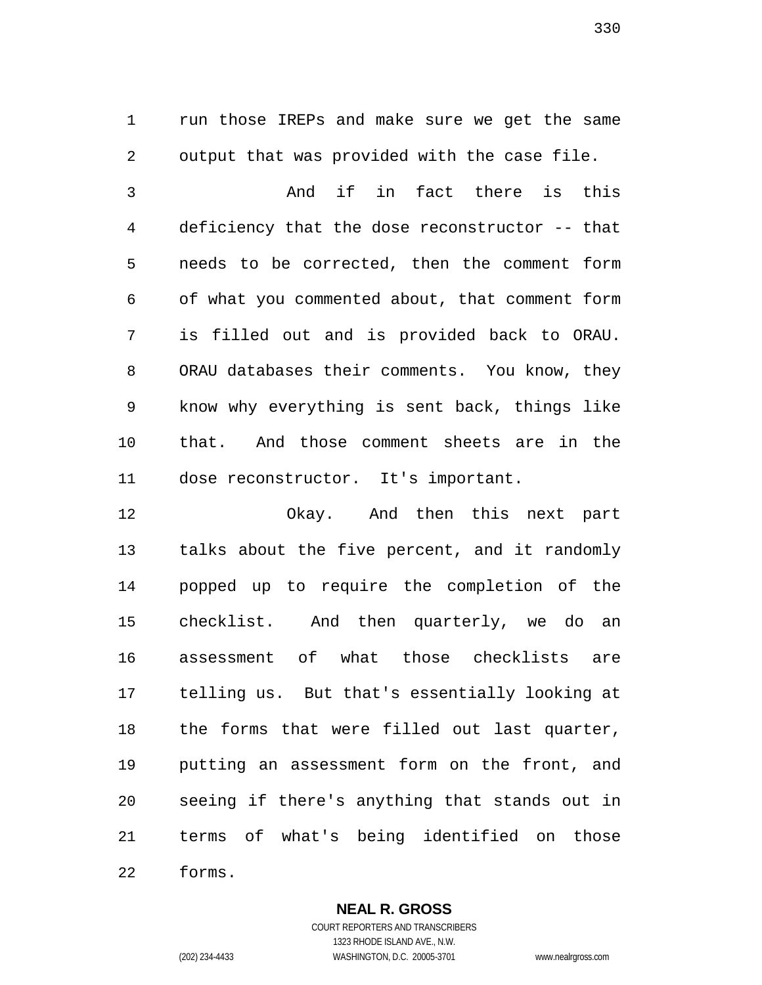run those IREPs and make sure we get the same output that was provided with the case file.

 And if in fact there is this deficiency that the dose reconstructor -- that needs to be corrected, then the comment form of what you commented about, that comment form is filled out and is provided back to ORAU. ORAU databases their comments. You know, they know why everything is sent back, things like that. And those comment sheets are in the dose reconstructor. It's important.

 Okay. And then this next part talks about the five percent, and it randomly popped up to require the completion of the checklist. And then quarterly, we do an assessment of what those checklists are telling us. But that's essentially looking at the forms that were filled out last quarter, putting an assessment form on the front, and seeing if there's anything that stands out in terms of what's being identified on those forms.

**NEAL R. GROSS**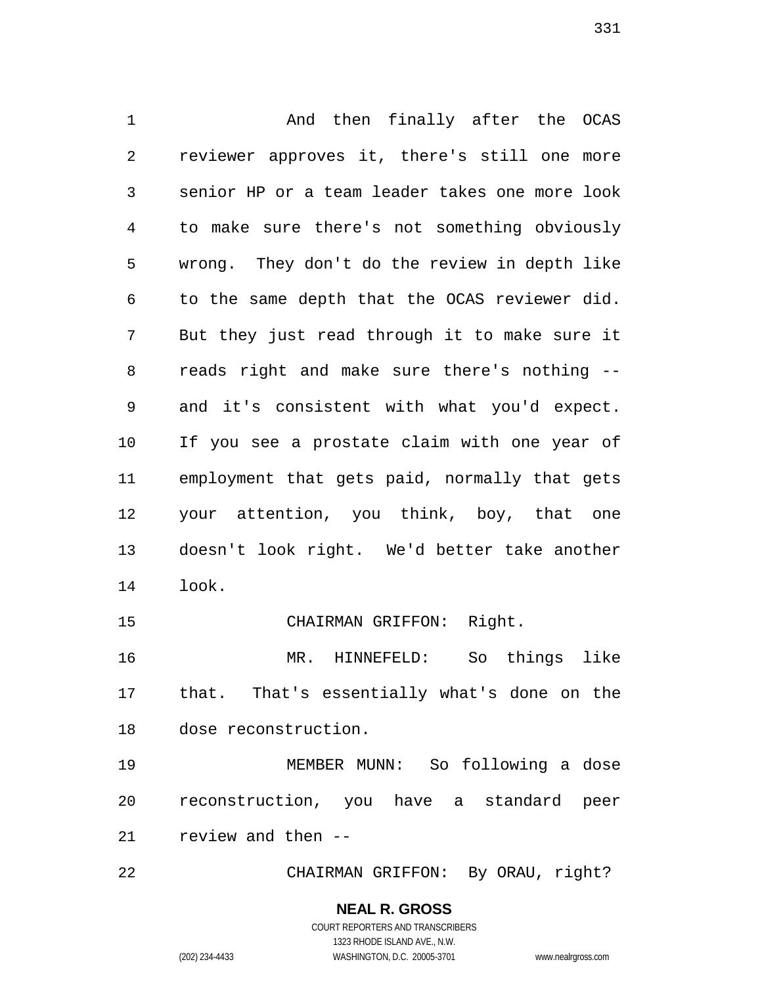And then finally after the OCAS reviewer approves it, there's still one more senior HP or a team leader takes one more look to make sure there's not something obviously wrong. They don't do the review in depth like to the same depth that the OCAS reviewer did. But they just read through it to make sure it reads right and make sure there's nothing -- and it's consistent with what you'd expect. If you see a prostate claim with one year of employment that gets paid, normally that gets your attention, you think, boy, that one doesn't look right. We'd better take another look. CHAIRMAN GRIFFON: Right.

 MR. HINNEFELD: So things like that. That's essentially what's done on the dose reconstruction.

 MEMBER MUNN: So following a dose reconstruction, you have a standard peer review and then --

CHAIRMAN GRIFFON: By ORAU, right?

**NEAL R. GROSS** COURT REPORTERS AND TRANSCRIBERS

1323 RHODE ISLAND AVE., N.W.

(202) 234-4433 WASHINGTON, D.C. 20005-3701 www.nealrgross.com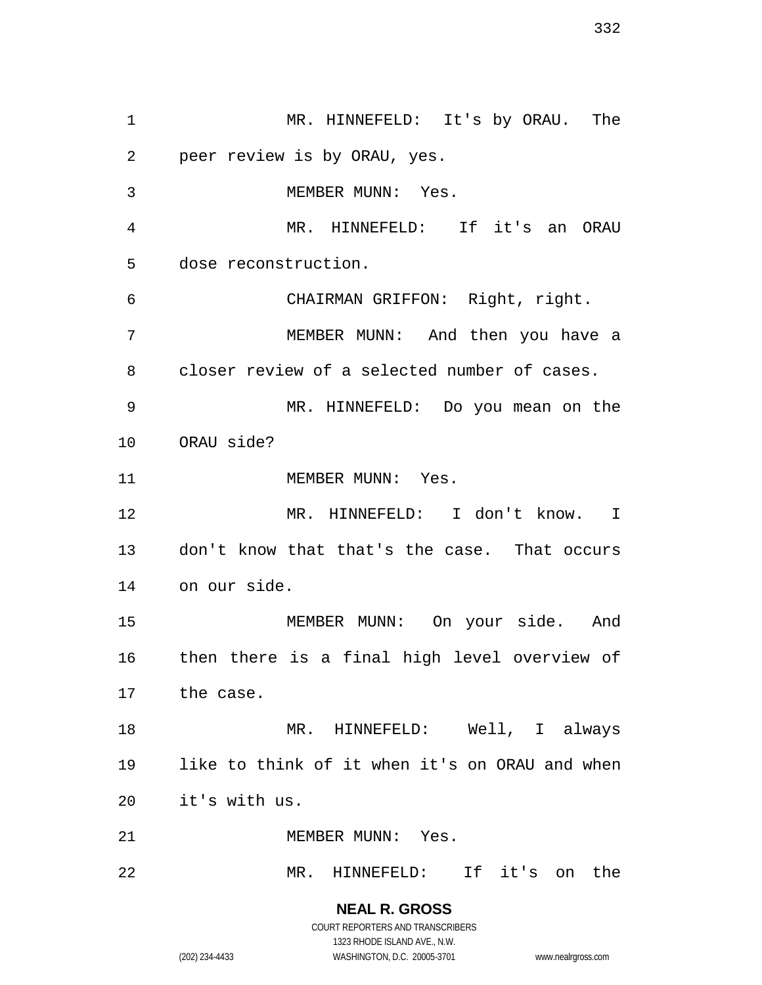MR. HINNEFELD: It's by ORAU. The peer review is by ORAU, yes. 3 MEMBER MUNN: Yes. MR. HINNEFELD: If it's an ORAU dose reconstruction. CHAIRMAN GRIFFON: Right, right. MEMBER MUNN: And then you have a closer review of a selected number of cases. MR. HINNEFELD: Do you mean on the ORAU side? 11 MEMBER MUNN: Yes. MR. HINNEFELD: I don't know. I don't know that that's the case. That occurs on our side. MEMBER MUNN: On your side. And then there is a final high level overview of the case. 18 MR. HINNEFELD: Well, I always like to think of it when it's on ORAU and when it's with us. 21 MEMBER MUNN: Yes. MR. HINNEFELD: If it's on the

(202) 234-4433 WASHINGTON, D.C. 20005-3701 www.nealrgross.com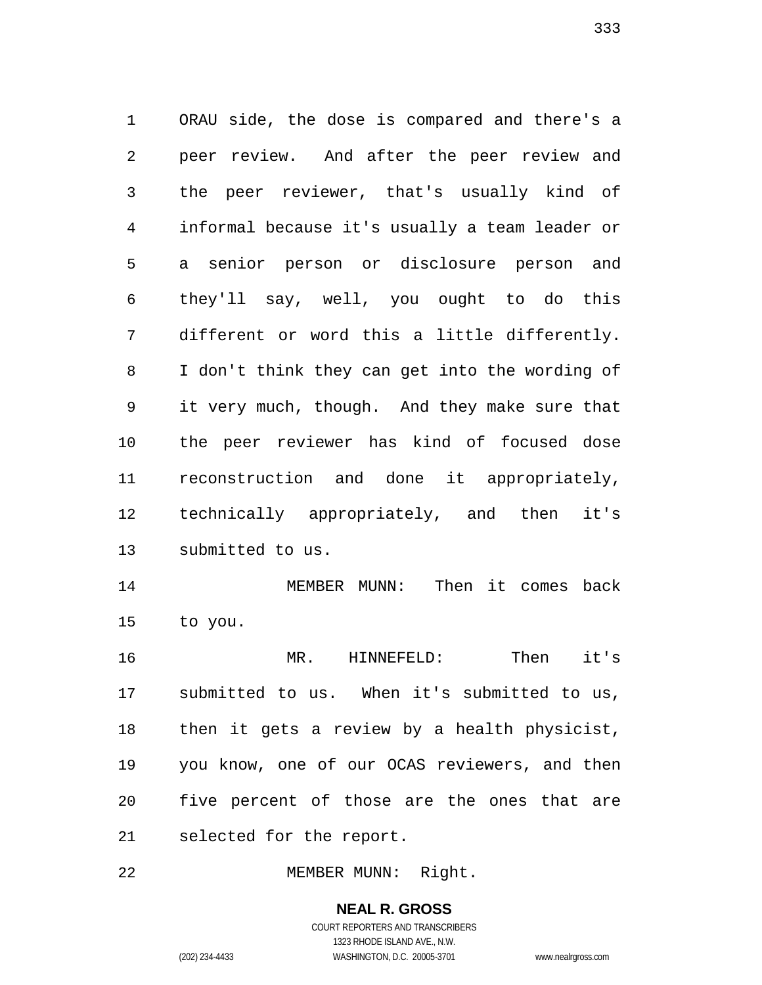ORAU side, the dose is compared and there's a peer review. And after the peer review and the peer reviewer, that's usually kind of informal because it's usually a team leader or a senior person or disclosure person and they'll say, well, you ought to do this different or word this a little differently. I don't think they can get into the wording of it very much, though. And they make sure that the peer reviewer has kind of focused dose reconstruction and done it appropriately, technically appropriately, and then it's submitted to us.

 MEMBER MUNN: Then it comes back to you.

 MR. HINNEFELD: Then it's submitted to us. When it's submitted to us, then it gets a review by a health physicist, you know, one of our OCAS reviewers, and then five percent of those are the ones that are selected for the report.

MEMBER MUNN: Right.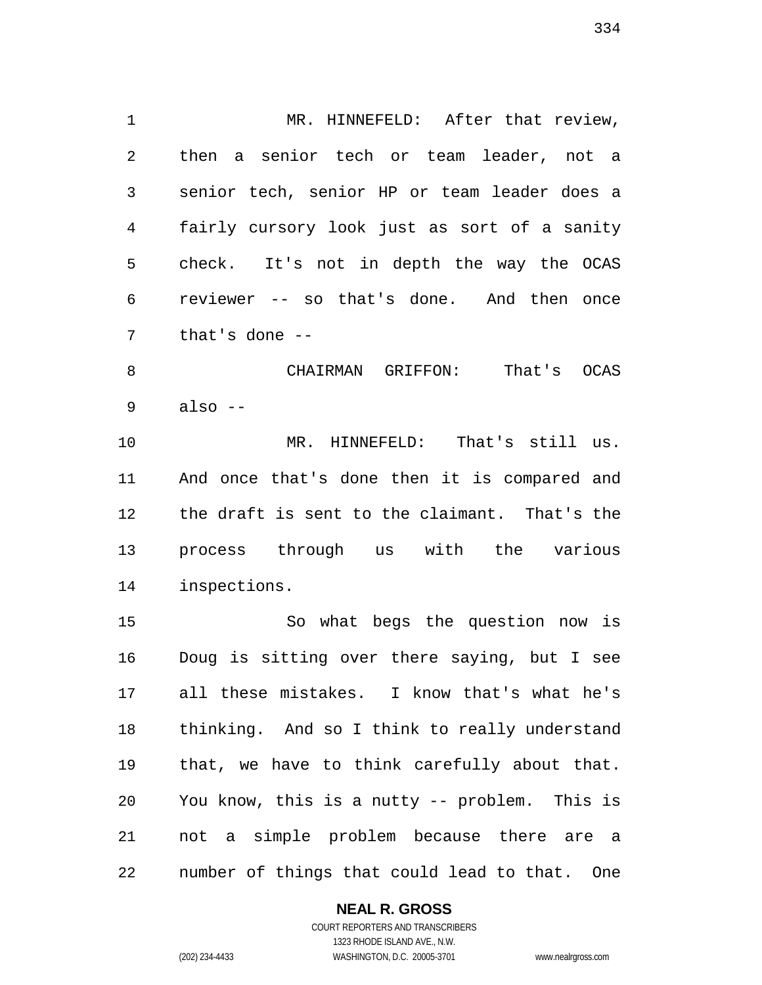1 MR. HINNEFELD: After that review, then a senior tech or team leader, not a senior tech, senior HP or team leader does a fairly cursory look just as sort of a sanity check. It's not in depth the way the OCAS reviewer -- so that's done. And then once that's done --

 CHAIRMAN GRIFFON: That's OCAS  $9 \text{ also } -$ 

 MR. HINNEFELD: That's still us. And once that's done then it is compared and the draft is sent to the claimant. That's the process through us with the various inspections.

 So what begs the question now is Doug is sitting over there saying, but I see all these mistakes. I know that's what he's thinking. And so I think to really understand that, we have to think carefully about that. You know, this is a nutty -- problem. This is not a simple problem because there are a number of things that could lead to that. One

#### **NEAL R. GROSS**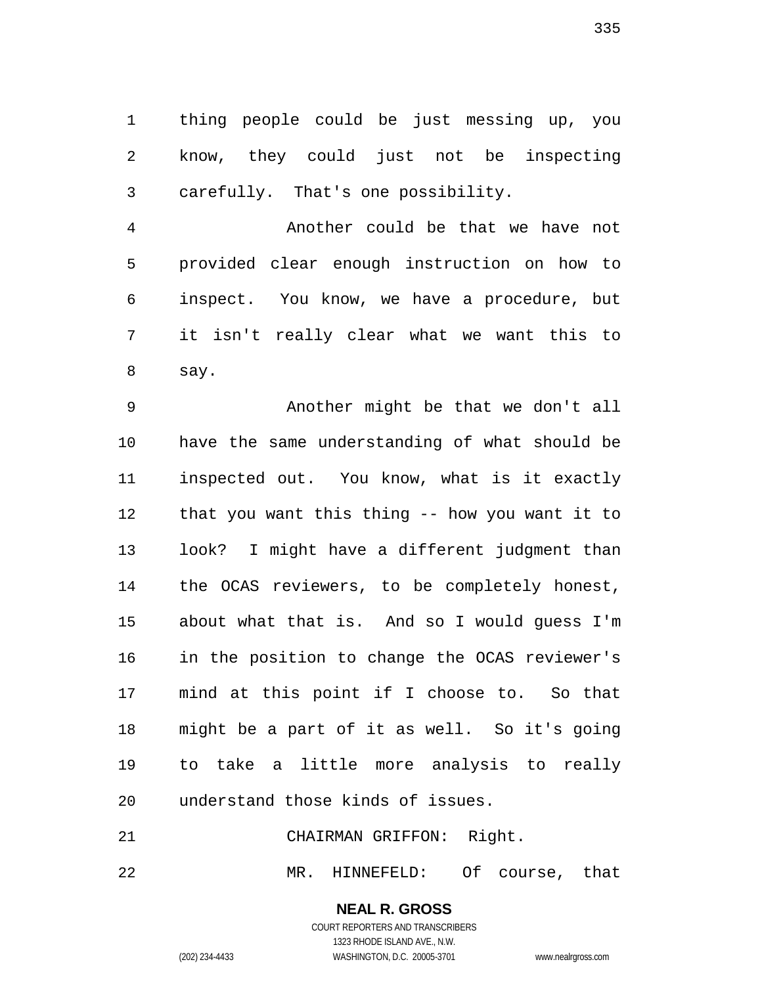thing people could be just messing up, you know, they could just not be inspecting carefully. That's one possibility.

 Another could be that we have not provided clear enough instruction on how to inspect. You know, we have a procedure, but it isn't really clear what we want this to say.

 Another might be that we don't all have the same understanding of what should be inspected out. You know, what is it exactly that you want this thing -- how you want it to look? I might have a different judgment than the OCAS reviewers, to be completely honest, about what that is. And so I would guess I'm in the position to change the OCAS reviewer's mind at this point if I choose to. So that might be a part of it as well. So it's going to take a little more analysis to really understand those kinds of issues.

CHAIRMAN GRIFFON: Right.

MR. HINNEFELD: Of course, that

**NEAL R. GROSS** COURT REPORTERS AND TRANSCRIBERS

1323 RHODE ISLAND AVE., N.W. (202) 234-4433 WASHINGTON, D.C. 20005-3701 www.nealrgross.com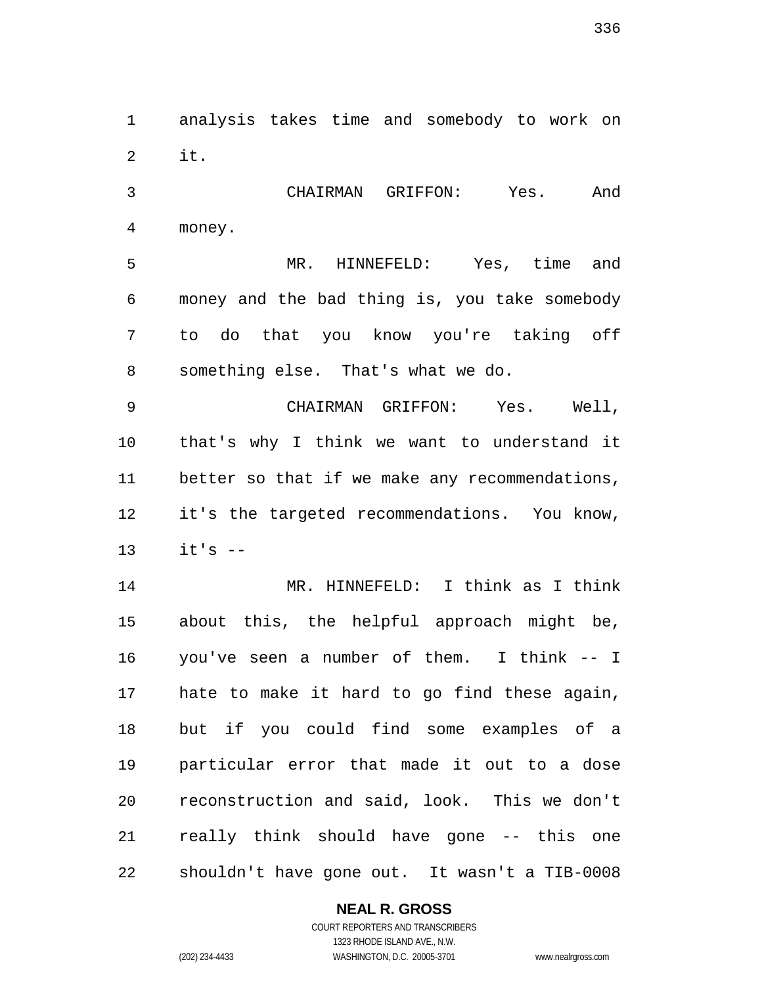analysis takes time and somebody to work on it.

 CHAIRMAN GRIFFON: Yes. And money.

 MR. HINNEFELD: Yes, time and money and the bad thing is, you take somebody to do that you know you're taking off something else. That's what we do.

 CHAIRMAN GRIFFON: Yes. Well, that's why I think we want to understand it better so that if we make any recommendations, it's the targeted recommendations. You know,  $it's$  --

 MR. HINNEFELD: I think as I think about this, the helpful approach might be, you've seen a number of them. I think -- I hate to make it hard to go find these again, but if you could find some examples of a particular error that made it out to a dose reconstruction and said, look. This we don't really think should have gone -- this one shouldn't have gone out. It wasn't a TIB-0008

## **NEAL R. GROSS**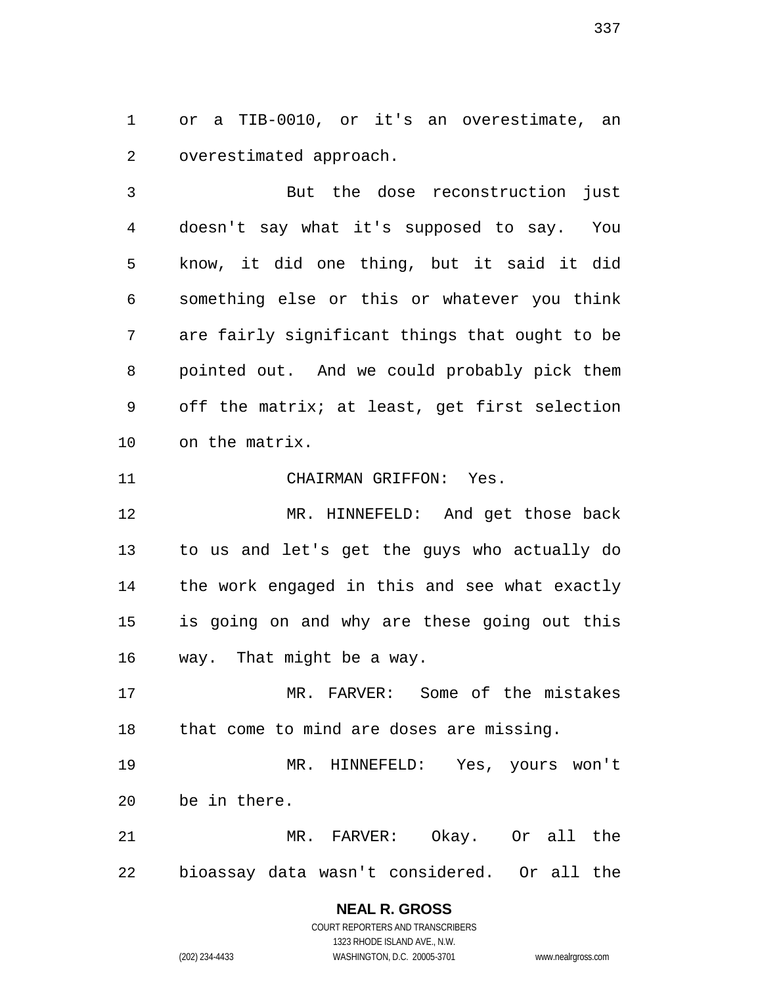or a TIB-0010, or it's an overestimate, an overestimated approach.

 But the dose reconstruction just doesn't say what it's supposed to say. You know, it did one thing, but it said it did something else or this or whatever you think are fairly significant things that ought to be pointed out. And we could probably pick them off the matrix; at least, get first selection on the matrix.

CHAIRMAN GRIFFON: Yes.

 MR. HINNEFELD: And get those back to us and let's get the guys who actually do the work engaged in this and see what exactly is going on and why are these going out this way. That might be a way.

 MR. FARVER: Some of the mistakes that come to mind are doses are missing.

 MR. HINNEFELD: Yes, yours won't be in there.

 MR. FARVER: Okay. Or all the bioassay data wasn't considered. Or all the

## **NEAL R. GROSS** COURT REPORTERS AND TRANSCRIBERS

1323 RHODE ISLAND AVE., N.W. (202) 234-4433 WASHINGTON, D.C. 20005-3701 www.nealrgross.com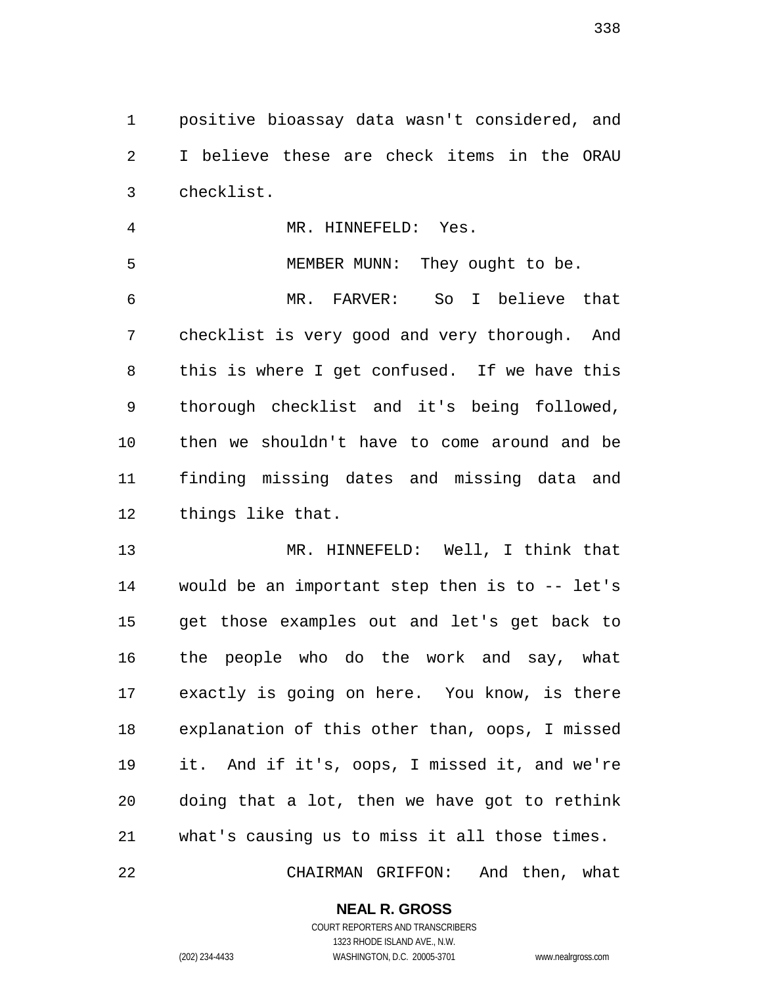positive bioassay data wasn't considered, and I believe these are check items in the ORAU checklist.

 MR. HINNEFELD: Yes. MEMBER MUNN: They ought to be. MR. FARVER: So I believe that checklist is very good and very thorough. And this is where I get confused. If we have this thorough checklist and it's being followed, then we shouldn't have to come around and be finding missing dates and missing data and things like that.

 MR. HINNEFELD: Well, I think that would be an important step then is to -- let's get those examples out and let's get back to the people who do the work and say, what exactly is going on here. You know, is there explanation of this other than, oops, I missed it. And if it's, oops, I missed it, and we're doing that a lot, then we have got to rethink what's causing us to miss it all those times.

CHAIRMAN GRIFFON: And then, what

## **NEAL R. GROSS**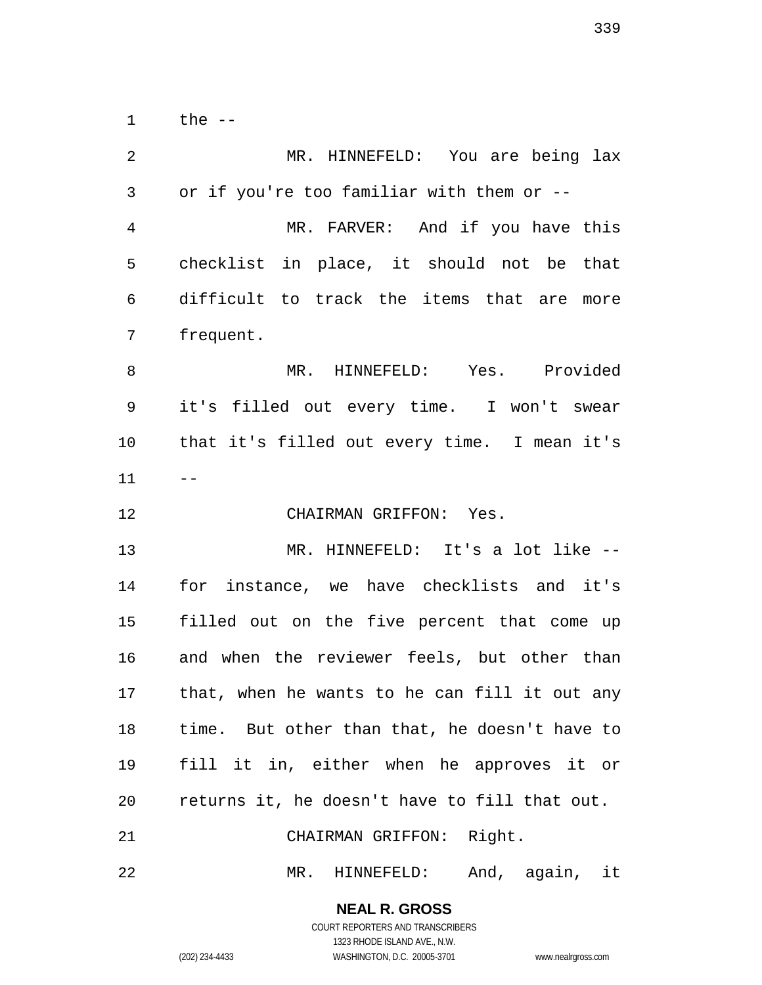the --

| $\overline{2}$ | MR. HINNEFELD: You are being lax              |
|----------------|-----------------------------------------------|
| 3              | or if you're too familiar with them or --     |
| $\overline{4}$ | MR. FARVER: And if you have this              |
| 5              | checklist in place, it should not be that     |
| 6              | difficult to track the items that are more    |
| 7              | frequent.                                     |
| 8              | MR. HINNEFELD: Yes. Provided                  |
| 9              | it's filled out every time. I won't swear     |
| 10             | that it's filled out every time. I mean it's  |
| 11             | $- -$                                         |
| 12             | CHAIRMAN GRIFFON: Yes.                        |
| 13             | MR. HINNEFELD: It's a lot like --             |
| 14             | for instance, we have checklists and it's     |
| 15             | filled out on the five percent that come up   |
| 16             | and when the reviewer feels, but other than   |
| 17             | that, when he wants to he can fill it out any |
| 18             | time. But other than that, he doesn't have to |
| 19             | fill it in, either when he approves it or     |
| 20             | returns it, he doesn't have to fill that out. |
| 21             | CHAIRMAN GRIFFON: Right.                      |
| 22             | HINNEFELD: And, again, it<br>$MR$ .           |

**NEAL R. GROSS**

COURT REPORTERS AND TRANSCRIBERS 1323 RHODE ISLAND AVE., N.W.

(202) 234-4433 WASHINGTON, D.C. 20005-3701 www.nealrgross.com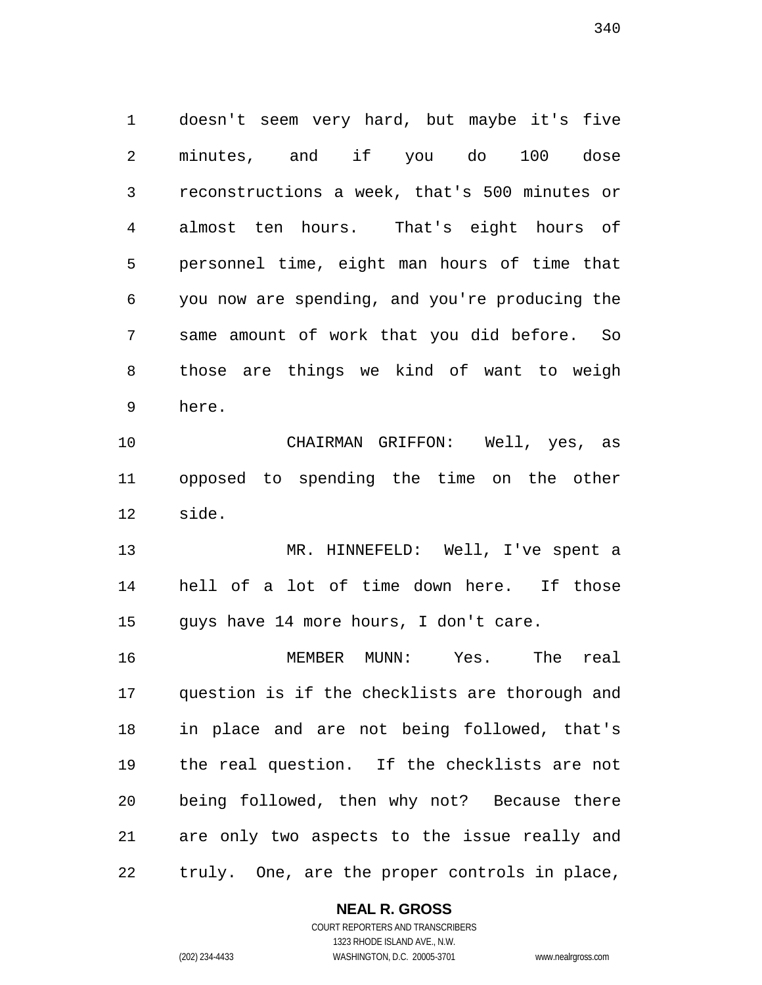doesn't seem very hard, but maybe it's five minutes, and if you do 100 dose reconstructions a week, that's 500 minutes or almost ten hours. That's eight hours of personnel time, eight man hours of time that you now are spending, and you're producing the same amount of work that you did before. So those are things we kind of want to weigh here.

 CHAIRMAN GRIFFON: Well, yes, as opposed to spending the time on the other side.

 MR. HINNEFELD: Well, I've spent a hell of a lot of time down here. If those guys have 14 more hours, I don't care.

 MEMBER MUNN: Yes. The real question is if the checklists are thorough and in place and are not being followed, that's the real question. If the checklists are not being followed, then why not? Because there are only two aspects to the issue really and truly. One, are the proper controls in place,

#### **NEAL R. GROSS**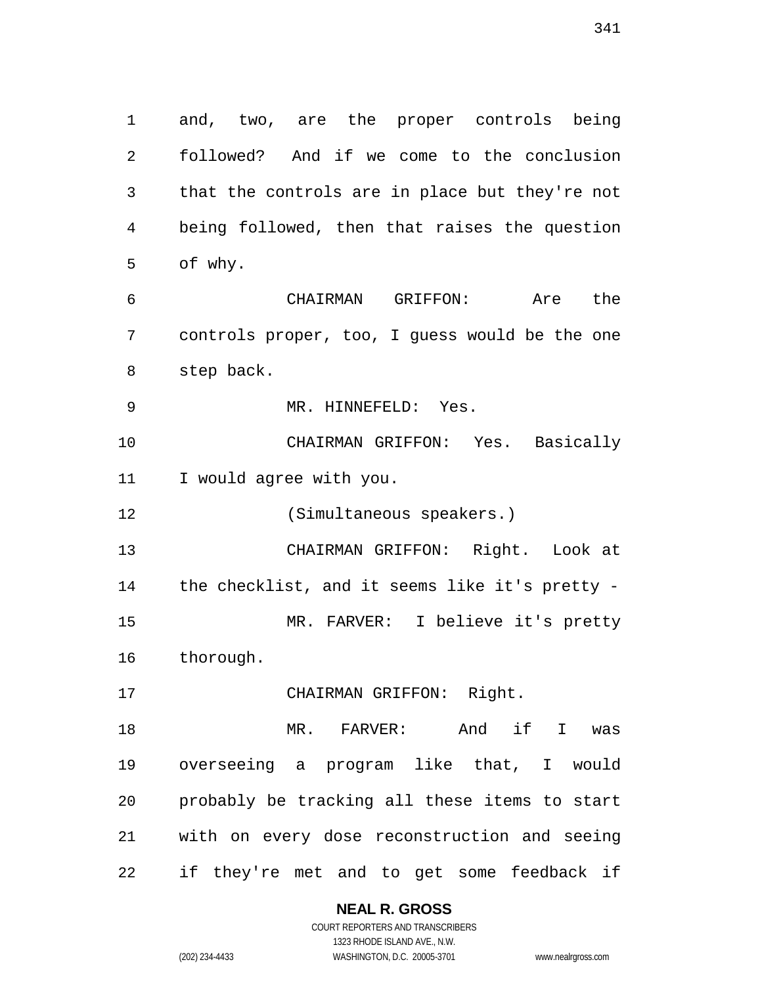and, two, are the proper controls being followed? And if we come to the conclusion that the controls are in place but they're not being followed, then that raises the question of why. CHAIRMAN GRIFFON: Are the

 controls proper, too, I guess would be the one step back.

MR. HINNEFELD: Yes.

 CHAIRMAN GRIFFON: Yes. Basically I would agree with you.

(Simultaneous speakers.)

 CHAIRMAN GRIFFON: Right. Look at the checklist, and it seems like it's pretty - MR. FARVER: I believe it's pretty thorough.

CHAIRMAN GRIFFON: Right.

 MR. FARVER: And if I was overseeing a program like that, I would probably be tracking all these items to start with on every dose reconstruction and seeing if they're met and to get some feedback if

**NEAL R. GROSS**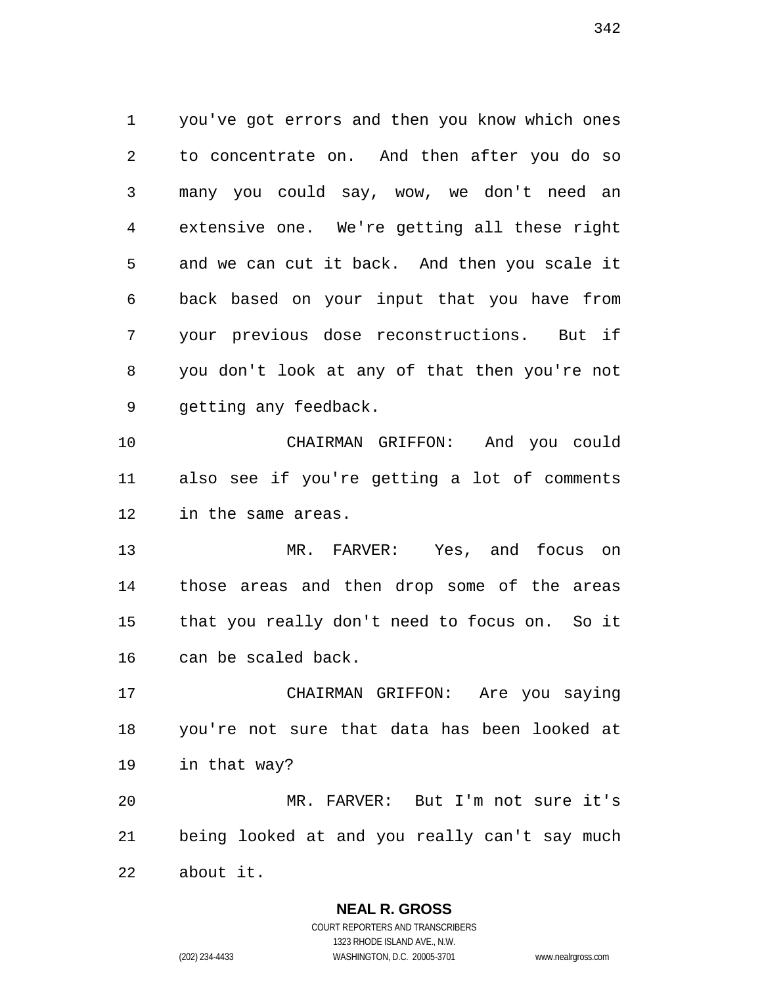you've got errors and then you know which ones to concentrate on. And then after you do so many you could say, wow, we don't need an extensive one. We're getting all these right and we can cut it back. And then you scale it back based on your input that you have from your previous dose reconstructions. But if you don't look at any of that then you're not getting any feedback.

 CHAIRMAN GRIFFON: And you could also see if you're getting a lot of comments in the same areas.

 MR. FARVER: Yes, and focus on those areas and then drop some of the areas that you really don't need to focus on. So it can be scaled back.

 CHAIRMAN GRIFFON: Are you saying you're not sure that data has been looked at in that way?

 MR. FARVER: But I'm not sure it's being looked at and you really can't say much about it.

**NEAL R. GROSS**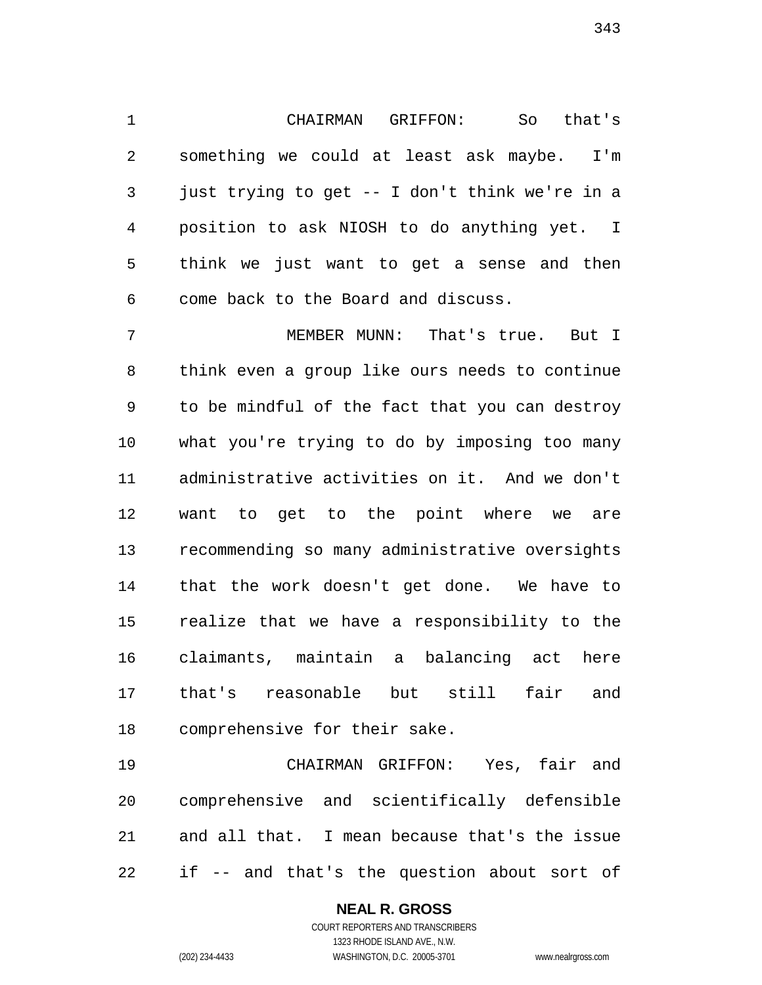CHAIRMAN GRIFFON: So that's something we could at least ask maybe. I'm just trying to get -- I don't think we're in a position to ask NIOSH to do anything yet. I think we just want to get a sense and then come back to the Board and discuss.

 MEMBER MUNN: That's true. But I think even a group like ours needs to continue to be mindful of the fact that you can destroy what you're trying to do by imposing too many administrative activities on it. And we don't want to get to the point where we are recommending so many administrative oversights that the work doesn't get done. We have to realize that we have a responsibility to the claimants, maintain a balancing act here that's reasonable but still fair and comprehensive for their sake.

 CHAIRMAN GRIFFON: Yes, fair and comprehensive and scientifically defensible and all that. I mean because that's the issue if -- and that's the question about sort of

## **NEAL R. GROSS**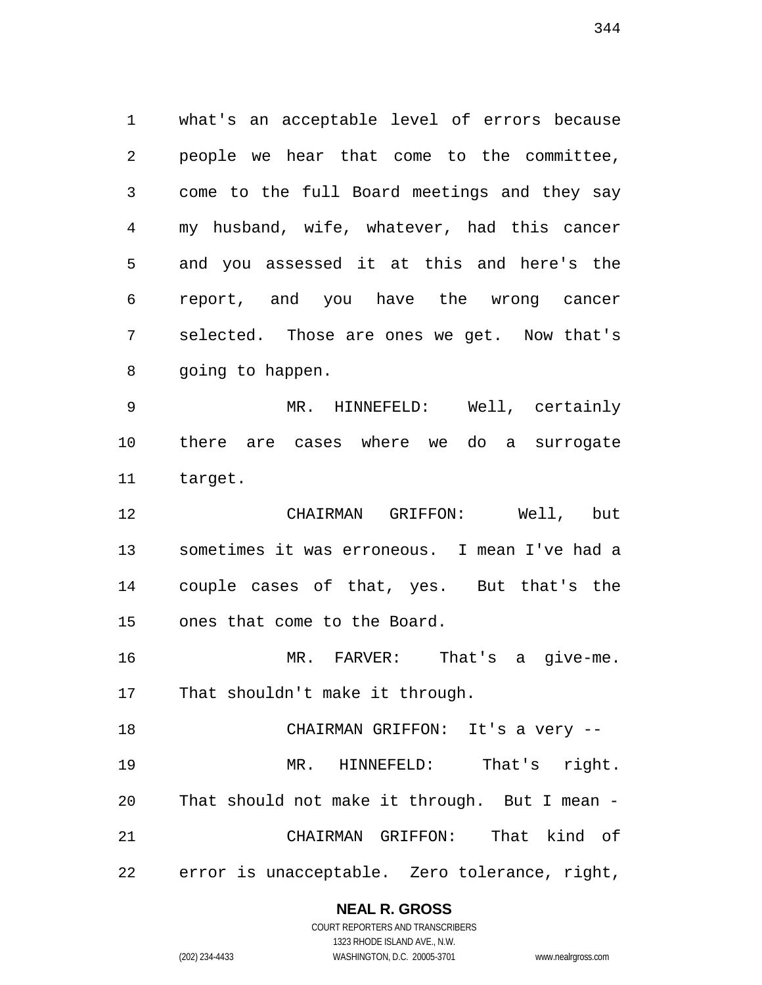what's an acceptable level of errors because people we hear that come to the committee, come to the full Board meetings and they say my husband, wife, whatever, had this cancer and you assessed it at this and here's the report, and you have the wrong cancer selected. Those are ones we get. Now that's going to happen.

 MR. HINNEFELD: Well, certainly there are cases where we do a surrogate target.

 CHAIRMAN GRIFFON: Well, but sometimes it was erroneous. I mean I've had a couple cases of that, yes. But that's the ones that come to the Board.

 MR. FARVER: That's a give-me. That shouldn't make it through.

 CHAIRMAN GRIFFON: It's a very -- MR. HINNEFELD: That's right. That should not make it through. But I mean - CHAIRMAN GRIFFON: That kind of error is unacceptable. Zero tolerance, right,

## **NEAL R. GROSS**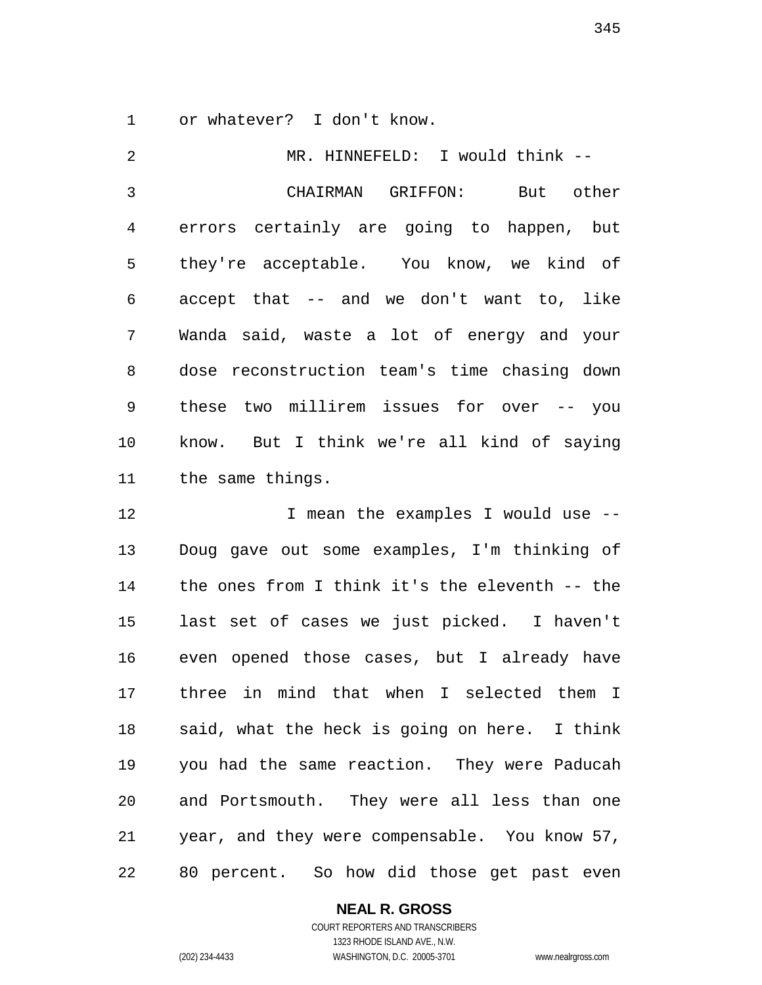or whatever? I don't know.

 MR. HINNEFELD: I would think -- CHAIRMAN GRIFFON: But other errors certainly are going to happen, but they're acceptable. You know, we kind of accept that -- and we don't want to, like Wanda said, waste a lot of energy and your dose reconstruction team's time chasing down these two millirem issues for over -- you know. But I think we're all kind of saying the same things.

12 12 I mean the examples I would use -- Doug gave out some examples, I'm thinking of the ones from I think it's the eleventh -- the last set of cases we just picked. I haven't even opened those cases, but I already have three in mind that when I selected them I said, what the heck is going on here. I think you had the same reaction. They were Paducah and Portsmouth. They were all less than one year, and they were compensable. You know 57, 80 percent. So how did those get past even

#### **NEAL R. GROSS** COURT REPORTERS AND TRANSCRIBERS

1323 RHODE ISLAND AVE., N.W. (202) 234-4433 WASHINGTON, D.C. 20005-3701 www.nealrgross.com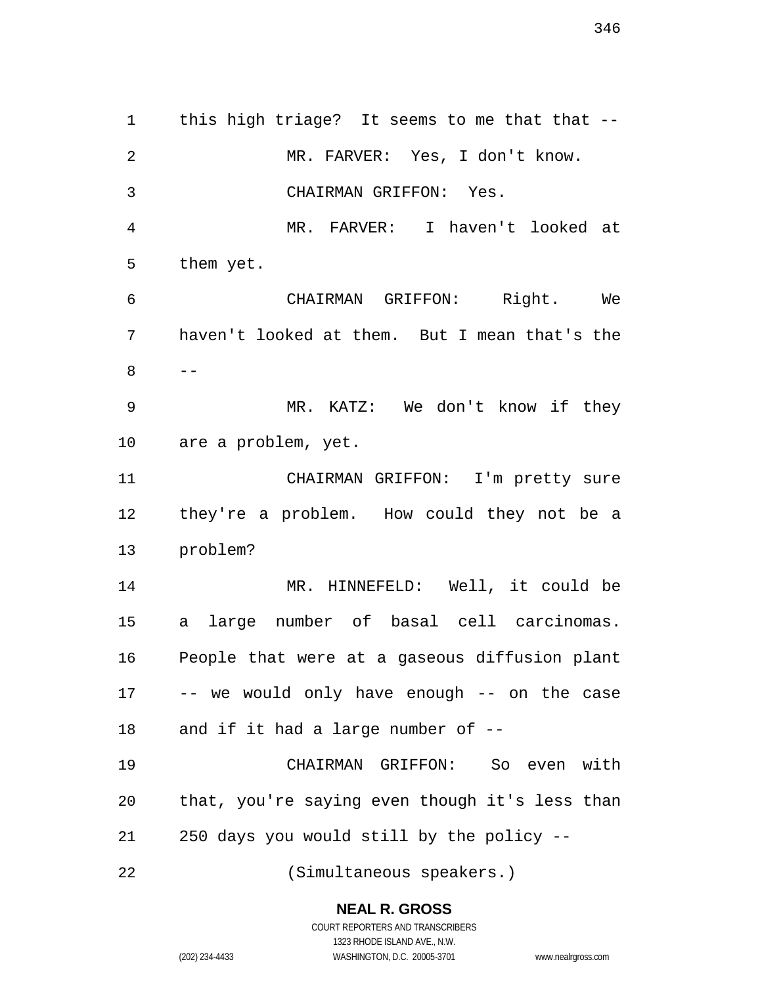1 this high triage? It seems to me that that -- MR. FARVER: Yes, I don't know. CHAIRMAN GRIFFON: Yes. MR. FARVER: I haven't looked at them yet. CHAIRMAN GRIFFON: Right. We haven't looked at them. But I mean that's the  $8 - -$  MR. KATZ: We don't know if they are a problem, yet. CHAIRMAN GRIFFON: I'm pretty sure they're a problem. How could they not be a problem? MR. HINNEFELD: Well, it could be a large number of basal cell carcinomas. People that were at a gaseous diffusion plant -- we would only have enough -- on the case and if it had a large number of -- CHAIRMAN GRIFFON: So even with that, you're saying even though it's less than 250 days you would still by the policy -- (Simultaneous speakers.)

**NEAL R. GROSS**

COURT REPORTERS AND TRANSCRIBERS 1323 RHODE ISLAND AVE., N.W. (202) 234-4433 WASHINGTON, D.C. 20005-3701 www.nealrgross.com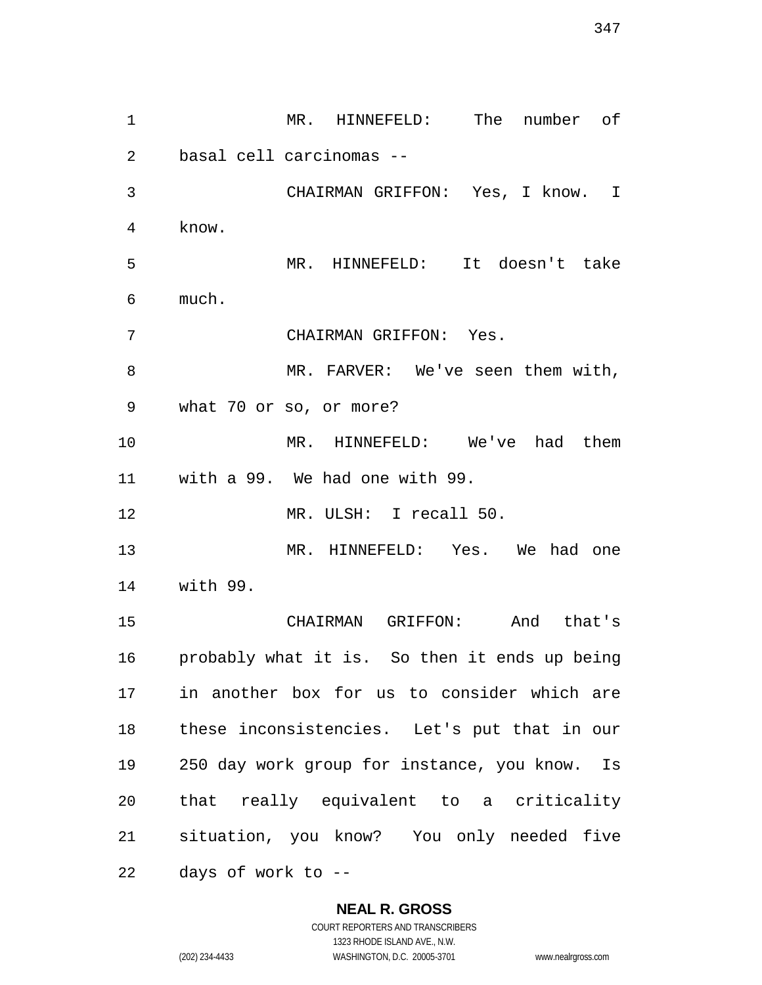MR. HINNEFELD: The number of basal cell carcinomas -- CHAIRMAN GRIFFON: Yes, I know. I know. MR. HINNEFELD: It doesn't take much. CHAIRMAN GRIFFON: Yes. MR. FARVER: We've seen them with, what 70 or so, or more? MR. HINNEFELD: We've had them with a 99. We had one with 99. MR. ULSH: I recall 50. MR. HINNEFELD: Yes. We had one with 99. CHAIRMAN GRIFFON: And that's probably what it is. So then it ends up being in another box for us to consider which are these inconsistencies. Let's put that in our 250 day work group for instance, you know. Is that really equivalent to a criticality situation, you know? You only needed five days of work to --

**NEAL R. GROSS**

COURT REPORTERS AND TRANSCRIBERS 1323 RHODE ISLAND AVE., N.W. (202) 234-4433 WASHINGTON, D.C. 20005-3701 www.nealrgross.com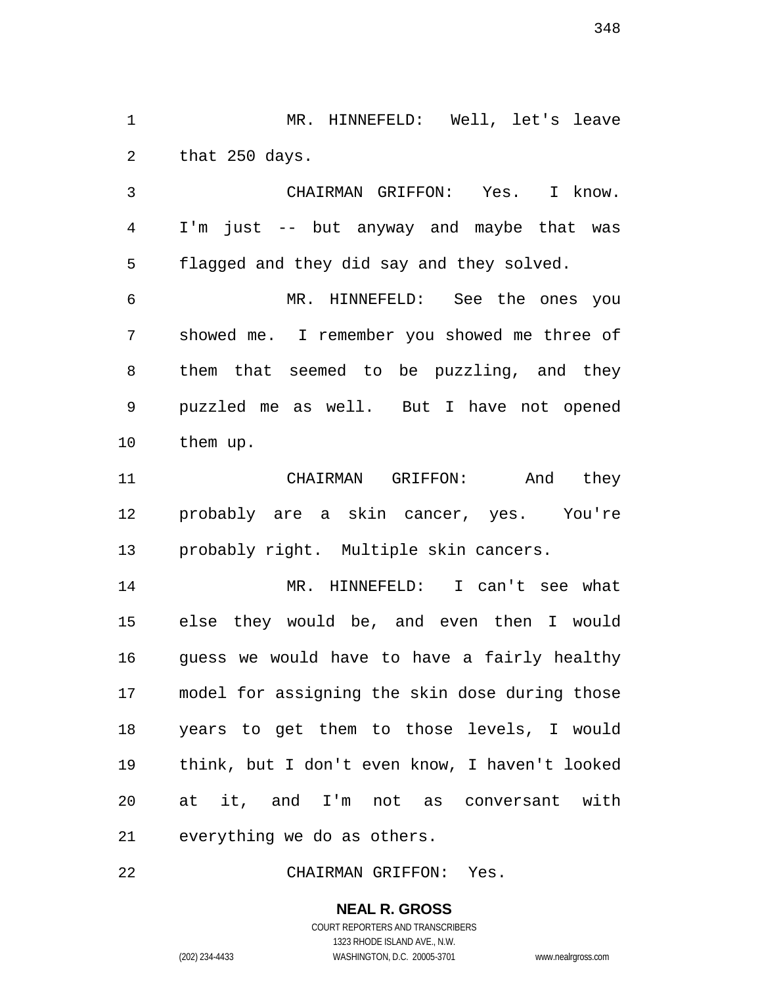MR. HINNEFELD: Well, let's leave that 250 days.

 CHAIRMAN GRIFFON: Yes. I know. I'm just -- but anyway and maybe that was flagged and they did say and they solved.

 MR. HINNEFELD: See the ones you showed me. I remember you showed me three of them that seemed to be puzzling, and they puzzled me as well. But I have not opened them up.

 CHAIRMAN GRIFFON: And they probably are a skin cancer, yes. You're probably right. Multiple skin cancers.

 MR. HINNEFELD: I can't see what else they would be, and even then I would guess we would have to have a fairly healthy model for assigning the skin dose during those years to get them to those levels, I would think, but I don't even know, I haven't looked at it, and I'm not as conversant with everything we do as others.

CHAIRMAN GRIFFON: Yes.

**NEAL R. GROSS** COURT REPORTERS AND TRANSCRIBERS

1323 RHODE ISLAND AVE., N.W.

(202) 234-4433 WASHINGTON, D.C. 20005-3701 www.nealrgross.com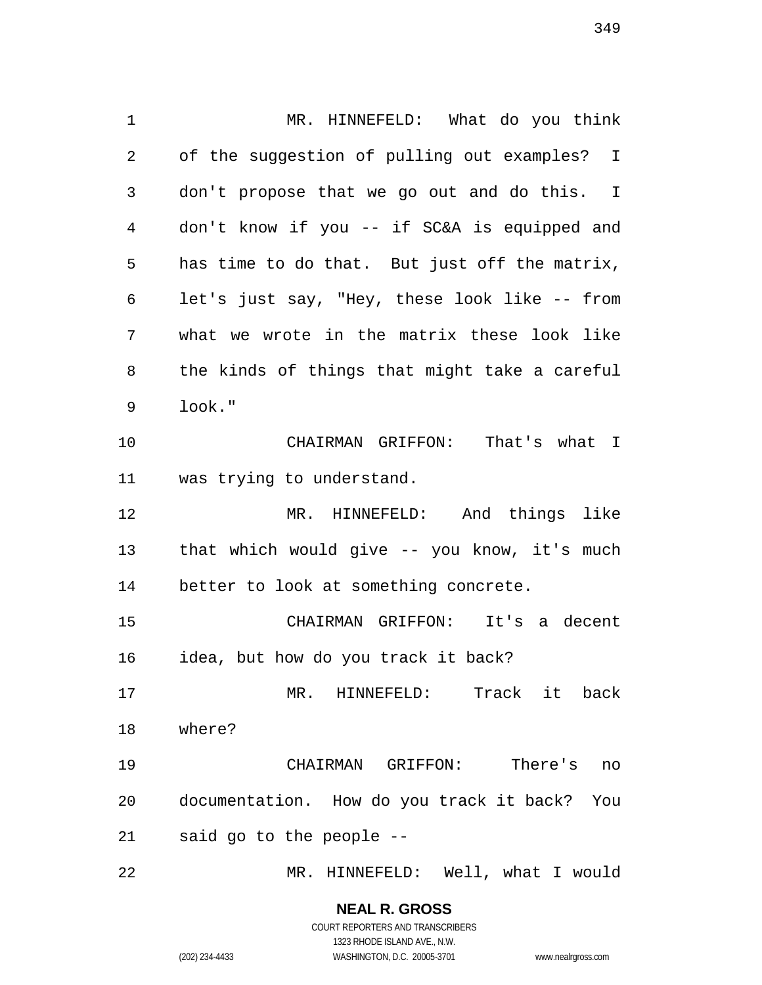MR. HINNEFELD: What do you think of the suggestion of pulling out examples? I don't propose that we go out and do this. I don't know if you -- if SC&A is equipped and has time to do that. But just off the matrix, let's just say, "Hey, these look like -- from what we wrote in the matrix these look like the kinds of things that might take a careful look." CHAIRMAN GRIFFON: That's what I was trying to understand. MR. HINNEFELD: And things like that which would give -- you know, it's much better to look at something concrete. CHAIRMAN GRIFFON: It's a decent idea, but how do you track it back? MR. HINNEFELD: Track it back where? CHAIRMAN GRIFFON: There's no documentation. How do you track it back? You said go to the people -- MR. HINNEFELD: Well, what I would

## **NEAL R. GROSS**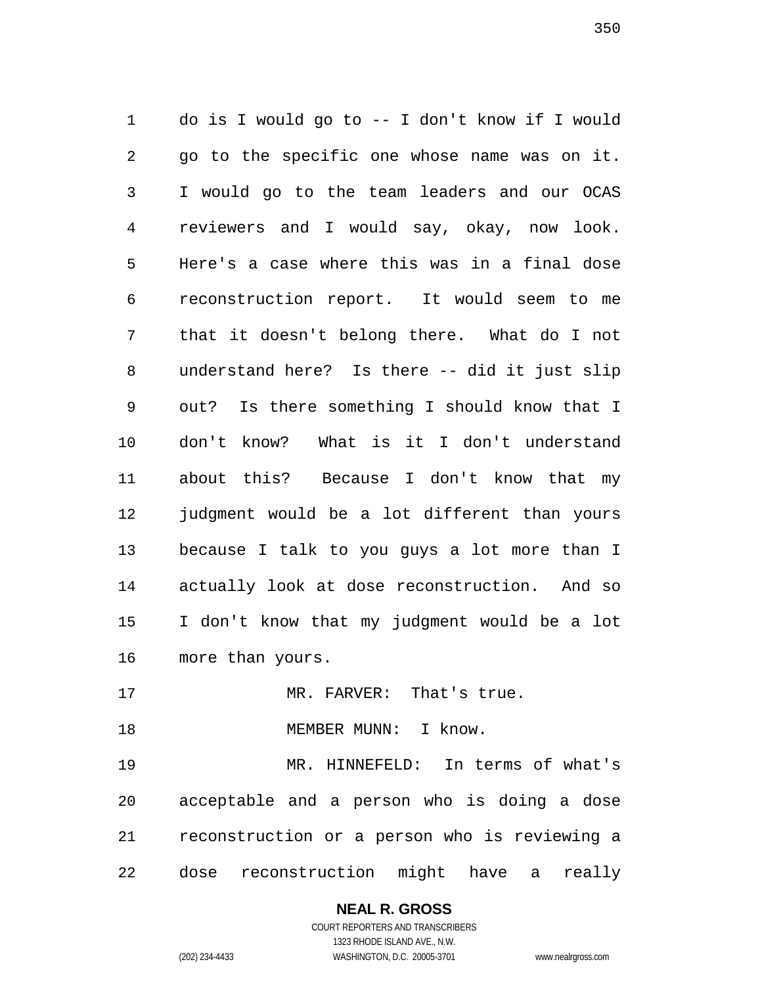do is I would go to -- I don't know if I would go to the specific one whose name was on it. I would go to the team leaders and our OCAS reviewers and I would say, okay, now look. Here's a case where this was in a final dose reconstruction report. It would seem to me that it doesn't belong there. What do I not understand here? Is there -- did it just slip out? Is there something I should know that I don't know? What is it I don't understand about this? Because I don't know that my judgment would be a lot different than yours because I talk to you guys a lot more than I actually look at dose reconstruction. And so I don't know that my judgment would be a lot more than yours.

17 MR. FARVER: That's true.

18 MEMBER MUNN: I know.

 MR. HINNEFELD: In terms of what's acceptable and a person who is doing a dose reconstruction or a person who is reviewing a dose reconstruction might have a really

# **NEAL R. GROSS**

COURT REPORTERS AND TRANSCRIBERS 1323 RHODE ISLAND AVE., N.W. (202) 234-4433 WASHINGTON, D.C. 20005-3701 www.nealrgross.com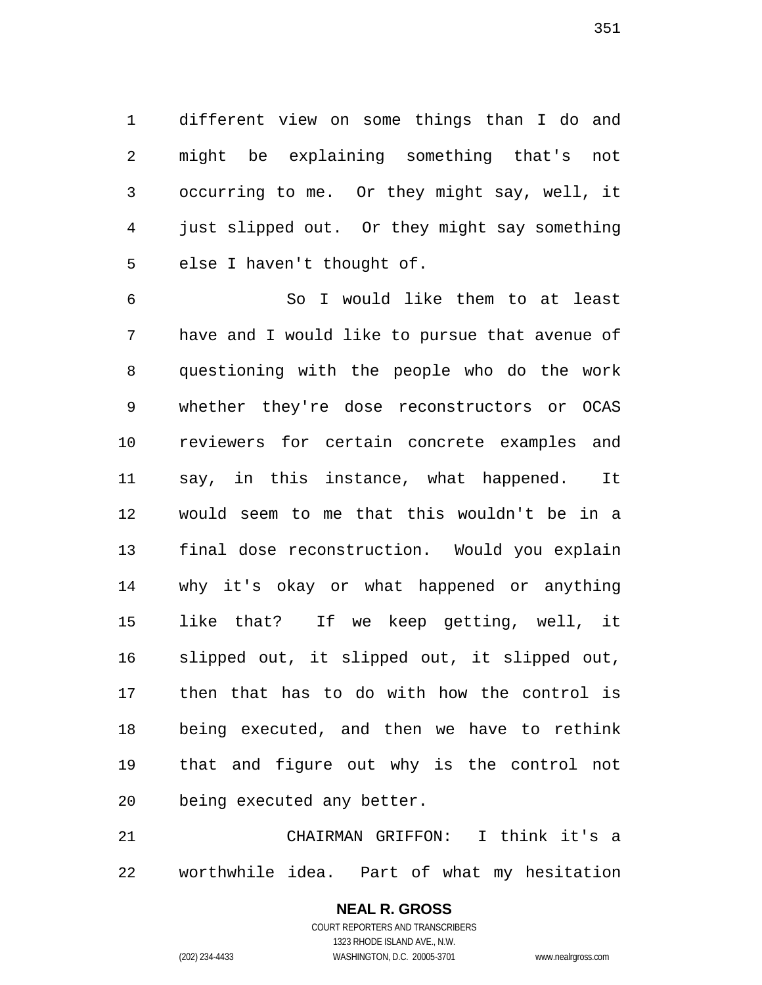different view on some things than I do and might be explaining something that's not occurring to me. Or they might say, well, it just slipped out. Or they might say something else I haven't thought of.

 So I would like them to at least have and I would like to pursue that avenue of questioning with the people who do the work whether they're dose reconstructors or OCAS reviewers for certain concrete examples and say, in this instance, what happened. It would seem to me that this wouldn't be in a final dose reconstruction. Would you explain why it's okay or what happened or anything like that? If we keep getting, well, it slipped out, it slipped out, it slipped out, then that has to do with how the control is being executed, and then we have to rethink that and figure out why is the control not being executed any better.

 CHAIRMAN GRIFFON: I think it's a worthwhile idea. Part of what my hesitation

> COURT REPORTERS AND TRANSCRIBERS 1323 RHODE ISLAND AVE., N.W. (202) 234-4433 WASHINGTON, D.C. 20005-3701 www.nealrgross.com

**NEAL R. GROSS**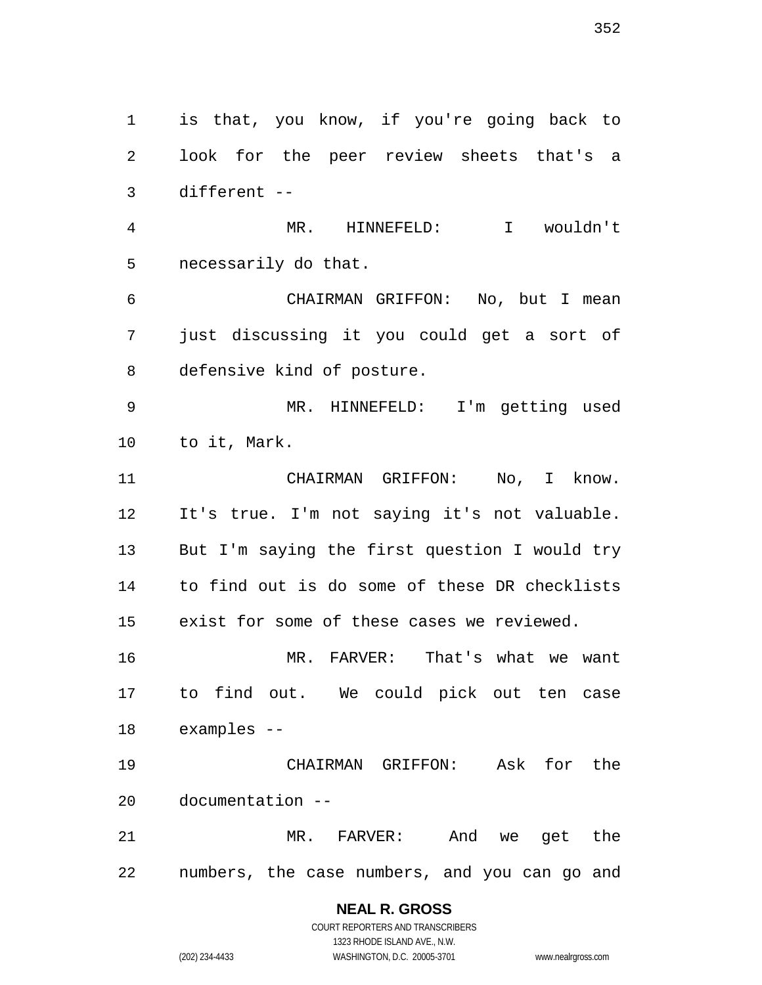is that, you know, if you're going back to look for the peer review sheets that's a different -- MR. HINNEFELD: I wouldn't necessarily do that. CHAIRMAN GRIFFON: No, but I mean just discussing it you could get a sort of defensive kind of posture. MR. HINNEFELD: I'm getting used to it, Mark. CHAIRMAN GRIFFON: No, I know. It's true. I'm not saying it's not valuable. But I'm saying the first question I would try to find out is do some of these DR checklists exist for some of these cases we reviewed. MR. FARVER: That's what we want to find out. We could pick out ten case examples -- CHAIRMAN GRIFFON: Ask for the documentation -- MR. FARVER: And we get the numbers, the case numbers, and you can go and

#### **NEAL R. GROSS** COURT REPORTERS AND TRANSCRIBERS

1323 RHODE ISLAND AVE., N.W. (202) 234-4433 WASHINGTON, D.C. 20005-3701 www.nealrgross.com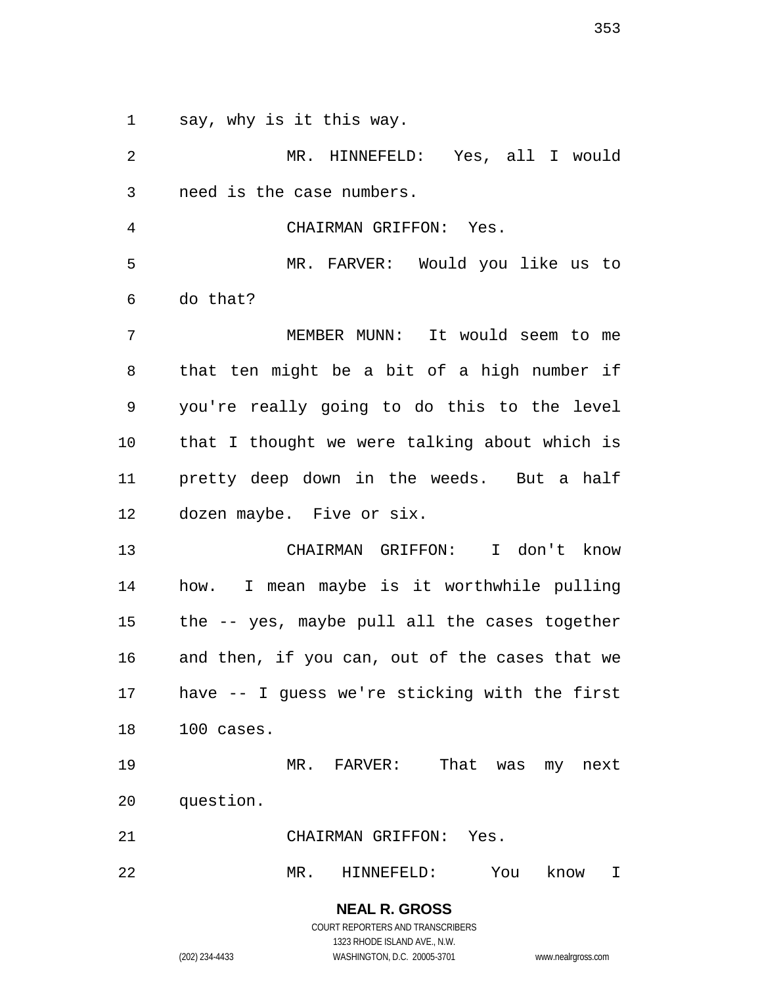say, why is it this way.

 MR. HINNEFELD: Yes, all I would need is the case numbers. CHAIRMAN GRIFFON: Yes. MR. FARVER: Would you like us to do that? MEMBER MUNN: It would seem to me that ten might be a bit of a high number if you're really going to do this to the level that I thought we were talking about which is pretty deep down in the weeds. But a half dozen maybe. Five or six. CHAIRMAN GRIFFON: I don't know how. I mean maybe is it worthwhile pulling the -- yes, maybe pull all the cases together and then, if you can, out of the cases that we have -- I guess we're sticking with the first 100 cases. MR. FARVER: That was my next question. CHAIRMAN GRIFFON: Yes. MR. HINNEFELD: You know I

> COURT REPORTERS AND TRANSCRIBERS 1323 RHODE ISLAND AVE., N.W. (202) 234-4433 WASHINGTON, D.C. 20005-3701 www.nealrgross.com

**NEAL R. GROSS**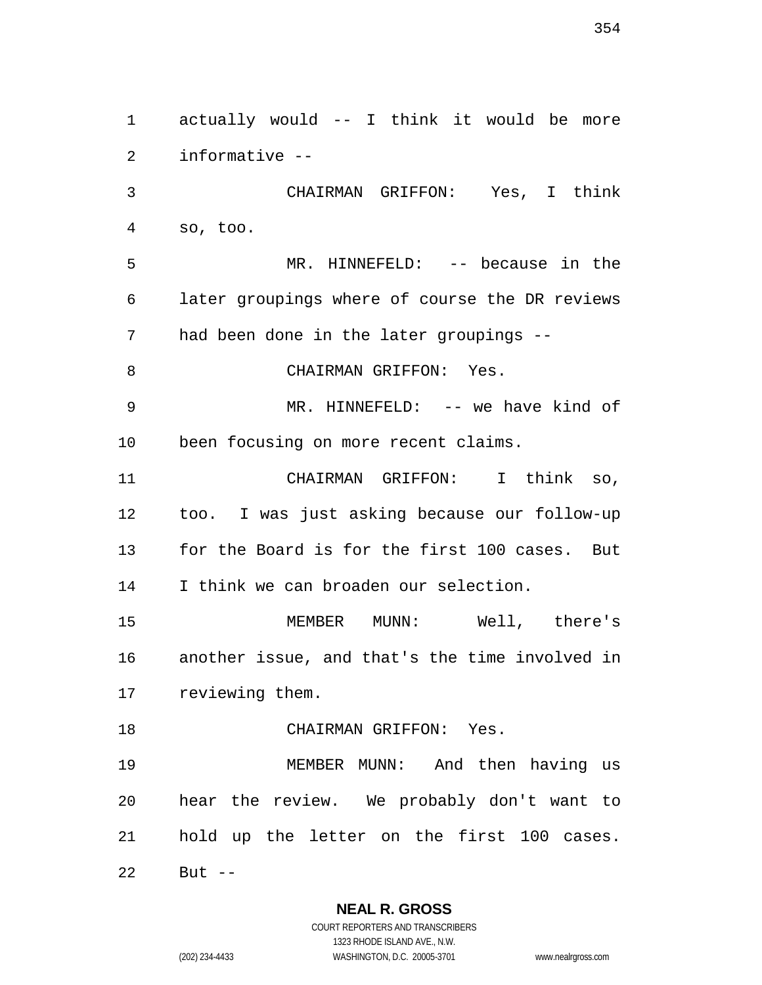actually would -- I think it would be more informative -- CHAIRMAN GRIFFON: Yes, I think so, too. MR. HINNEFELD: -- because in the later groupings where of course the DR reviews had been done in the later groupings -- 8 CHAIRMAN GRIFFON: Yes. MR. HINNEFELD: -- we have kind of been focusing on more recent claims. CHAIRMAN GRIFFON: I think so, too. I was just asking because our follow-up for the Board is for the first 100 cases. But I think we can broaden our selection. MEMBER MUNN: Well, there's another issue, and that's the time involved in reviewing them. CHAIRMAN GRIFFON: Yes. MEMBER MUNN: And then having us hear the review. We probably don't want to hold up the letter on the first 100 cases. But --

> **NEAL R. GROSS** COURT REPORTERS AND TRANSCRIBERS

1323 RHODE ISLAND AVE., N.W. (202) 234-4433 WASHINGTON, D.C. 20005-3701 www.nealrgross.com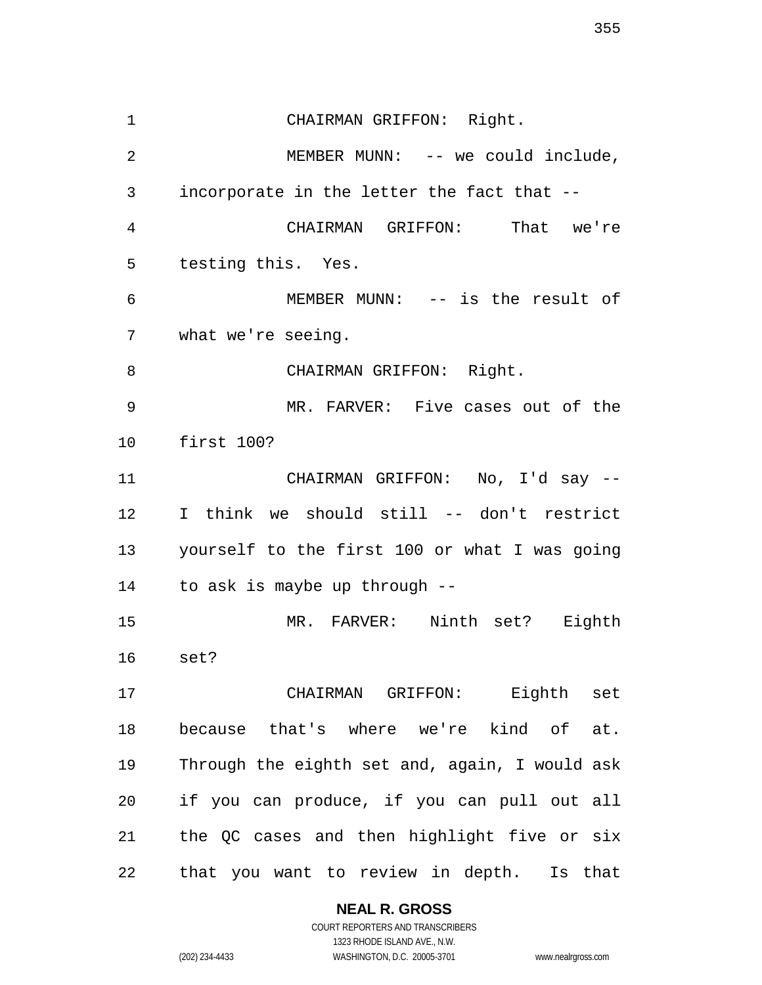CHAIRMAN GRIFFON: Right. 2 MEMBER MUNN: -- we could include, incorporate in the letter the fact that -- CHAIRMAN GRIFFON: That we're testing this. Yes. MEMBER MUNN: -- is the result of what we're seeing. 8 CHAIRMAN GRIFFON: Right. MR. FARVER: Five cases out of the first 100? CHAIRMAN GRIFFON: No, I'd say -- I think we should still -- don't restrict yourself to the first 100 or what I was going to ask is maybe up through -- MR. FARVER: Ninth set? Eighth set? CHAIRMAN GRIFFON: Eighth set because that's where we're kind of at. Through the eighth set and, again, I would ask if you can produce, if you can pull out all the QC cases and then highlight five or six that you want to review in depth. Is that

#### **NEAL R. GROSS**

COURT REPORTERS AND TRANSCRIBERS 1323 RHODE ISLAND AVE., N.W. (202) 234-4433 WASHINGTON, D.C. 20005-3701 www.nealrgross.com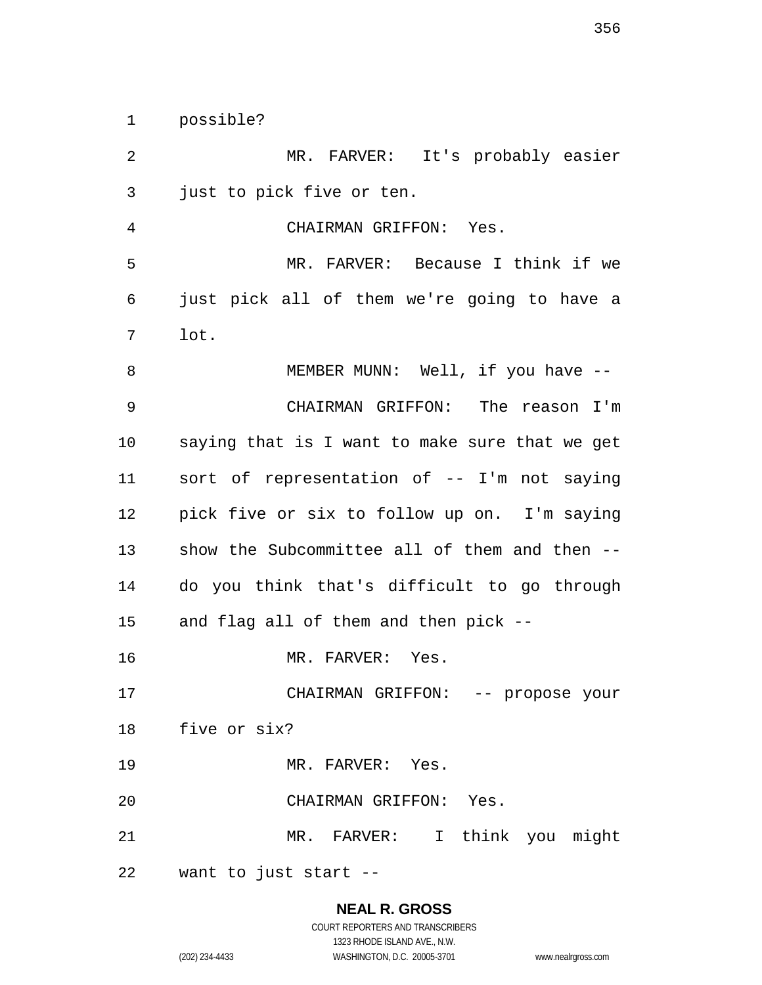possible?

 MR. FARVER: It's probably easier just to pick five or ten. CHAIRMAN GRIFFON: Yes. MR. FARVER: Because I think if we just pick all of them we're going to have a lot. 8 MEMBER MUNN: Well, if you have -- CHAIRMAN GRIFFON: The reason I'm saying that is I want to make sure that we get sort of representation of -- I'm not saying pick five or six to follow up on. I'm saying show the Subcommittee all of them and then -- do you think that's difficult to go through and flag all of them and then pick -- MR. FARVER: Yes. CHAIRMAN GRIFFON: -- propose your five or six? 19 MR. FARVER: Yes. CHAIRMAN GRIFFON: Yes. MR. FARVER: I think you might want to just start --

# **NEAL R. GROSS** COURT REPORTERS AND TRANSCRIBERS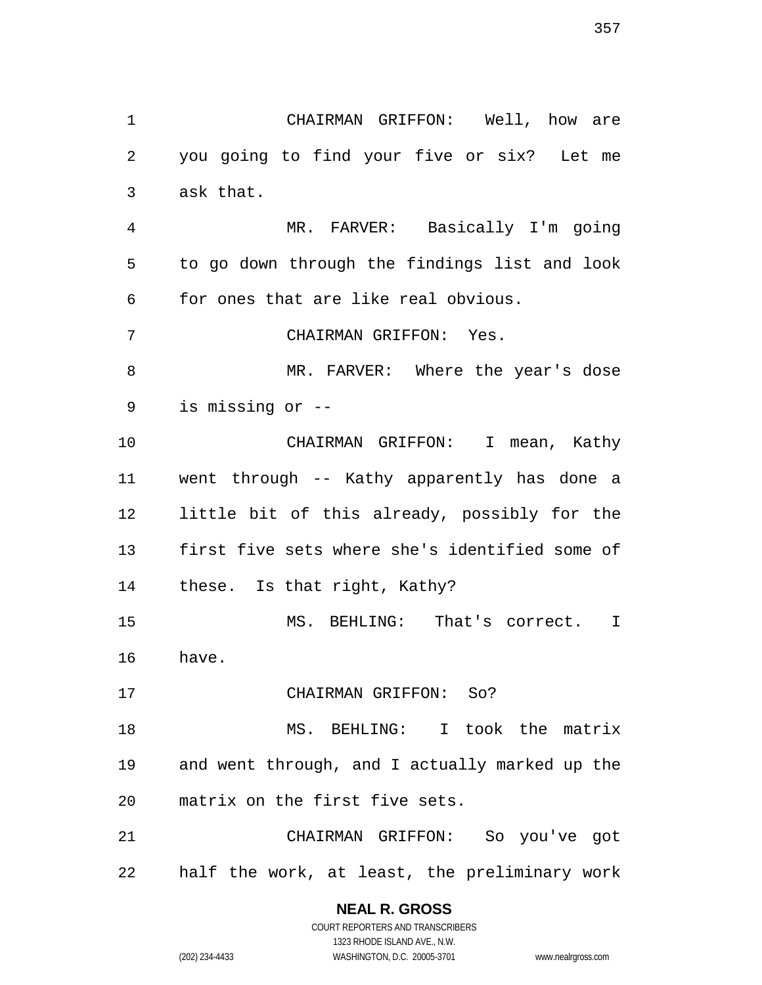CHAIRMAN GRIFFON: Well, how are you going to find your five or six? Let me ask that. MR. FARVER: Basically I'm going to go down through the findings list and look for ones that are like real obvious. CHAIRMAN GRIFFON: Yes. MR. FARVER: Where the year's dose is missing or -- CHAIRMAN GRIFFON: I mean, Kathy went through -- Kathy apparently has done a little bit of this already, possibly for the first five sets where she's identified some of these. Is that right, Kathy? MS. BEHLING: That's correct. I have. CHAIRMAN GRIFFON: So? MS. BEHLING: I took the matrix and went through, and I actually marked up the matrix on the first five sets. CHAIRMAN GRIFFON: So you've got half the work, at least, the preliminary work

> **NEAL R. GROSS** COURT REPORTERS AND TRANSCRIBERS

1323 RHODE ISLAND AVE., N.W. (202) 234-4433 WASHINGTON, D.C. 20005-3701 www.nealrgross.com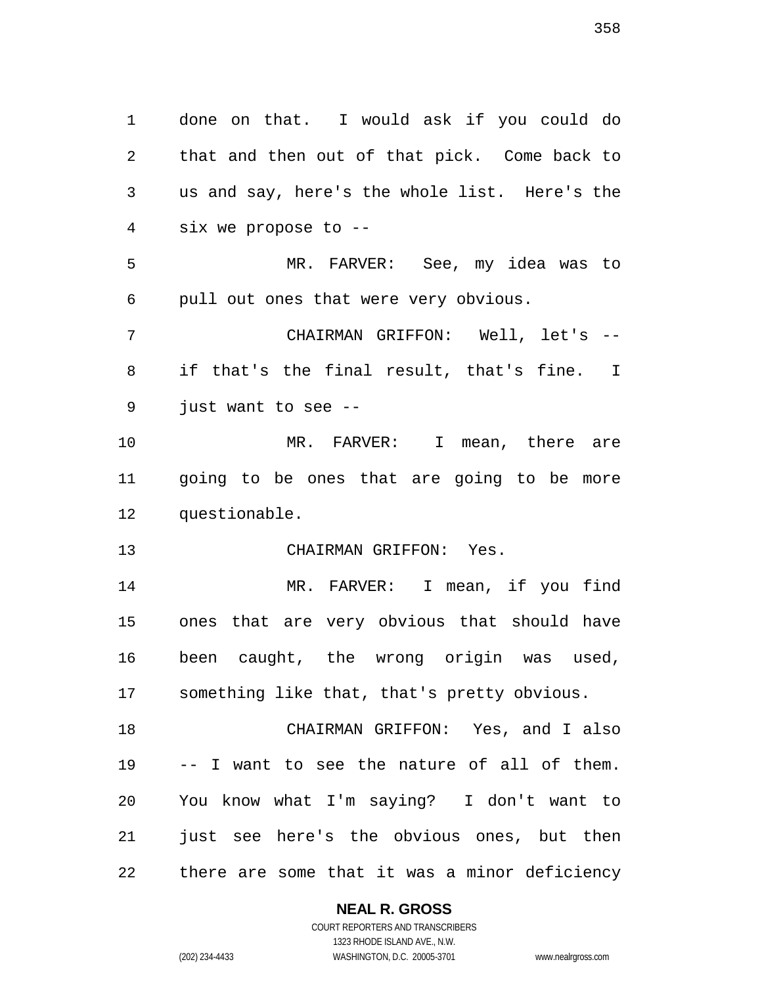done on that. I would ask if you could do that and then out of that pick. Come back to us and say, here's the whole list. Here's the six we propose to -- MR. FARVER: See, my idea was to pull out ones that were very obvious. CHAIRMAN GRIFFON: Well, let's -- if that's the final result, that's fine. I just want to see -- MR. FARVER: I mean, there are going to be ones that are going to be more questionable. CHAIRMAN GRIFFON: Yes. MR. FARVER: I mean, if you find ones that are very obvious that should have been caught, the wrong origin was used, something like that, that's pretty obvious. CHAIRMAN GRIFFON: Yes, and I also -- I want to see the nature of all of them. You know what I'm saying? I don't want to 21 just see here's the obvious ones, but then there are some that it was a minor deficiency

#### **NEAL R. GROSS**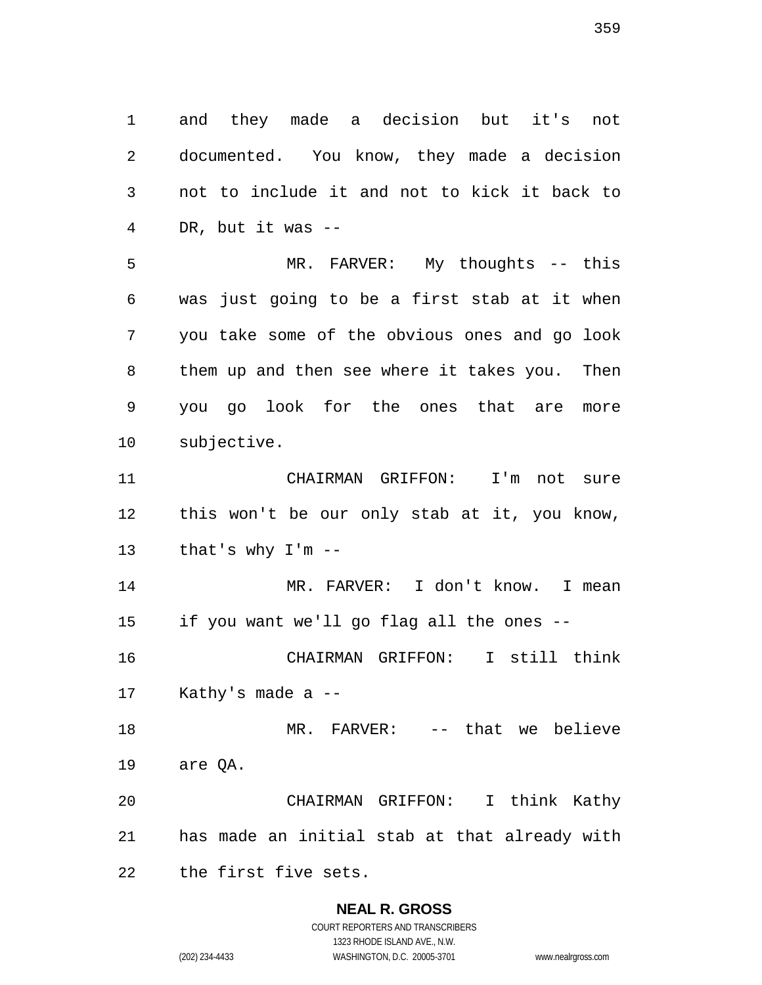and they made a decision but it's not documented. You know, they made a decision not to include it and not to kick it back to DR, but it was --

 MR. FARVER: My thoughts -- this was just going to be a first stab at it when you take some of the obvious ones and go look them up and then see where it takes you. Then you go look for the ones that are more subjective.

 CHAIRMAN GRIFFON: I'm not sure this won't be our only stab at it, you know, that's why I'm --

 MR. FARVER: I don't know. I mean if you want we'll go flag all the ones --

 CHAIRMAN GRIFFON: I still think Kathy's made a --

 MR. FARVER: -- that we believe are QA.

 CHAIRMAN GRIFFON: I think Kathy has made an initial stab at that already with the first five sets.

## **NEAL R. GROSS**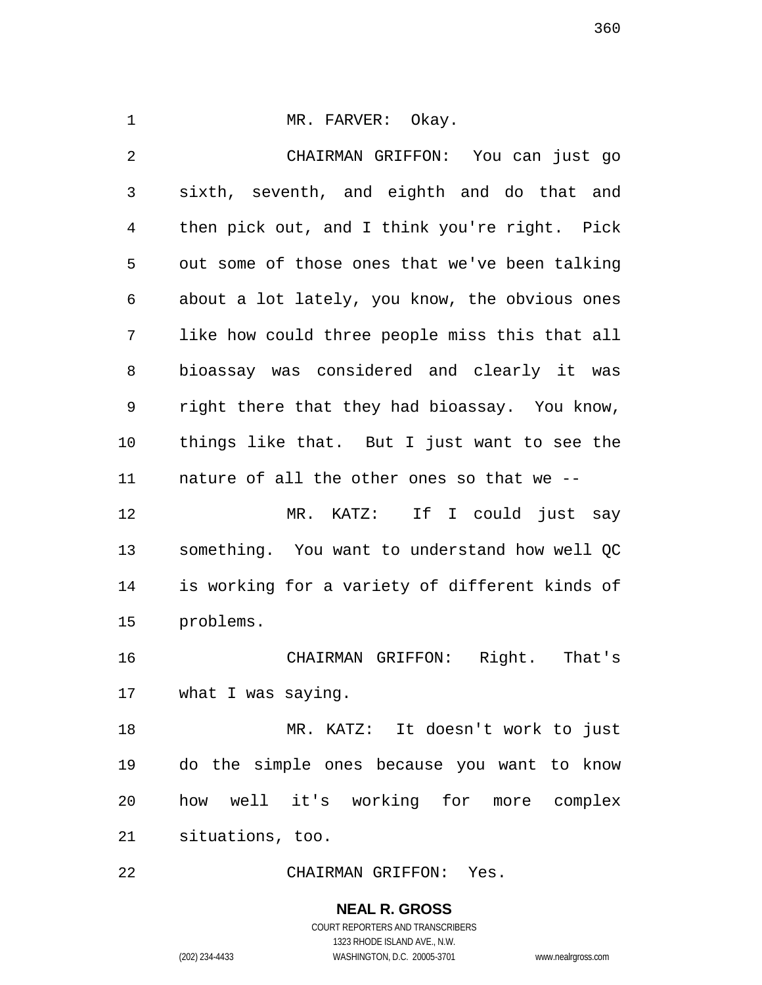1 MR. FARVER: Okay. CHAIRMAN GRIFFON: You can just go sixth, seventh, and eighth and do that and then pick out, and I think you're right. Pick out some of those ones that we've been talking about a lot lately, you know, the obvious ones like how could three people miss this that all bioassay was considered and clearly it was right there that they had bioassay. You know, things like that. But I just want to see the nature of all the other ones so that we -- MR. KATZ: If I could just say something. You want to understand how well QC is working for a variety of different kinds of problems. CHAIRMAN GRIFFON: Right. That's what I was saying. MR. KATZ: It doesn't work to just do the simple ones because you want to know how well it's working for more complex situations, too. CHAIRMAN GRIFFON: Yes.

> **NEAL R. GROSS** COURT REPORTERS AND TRANSCRIBERS 1323 RHODE ISLAND AVE., N.W. (202) 234-4433 WASHINGTON, D.C. 20005-3701 www.nealrgross.com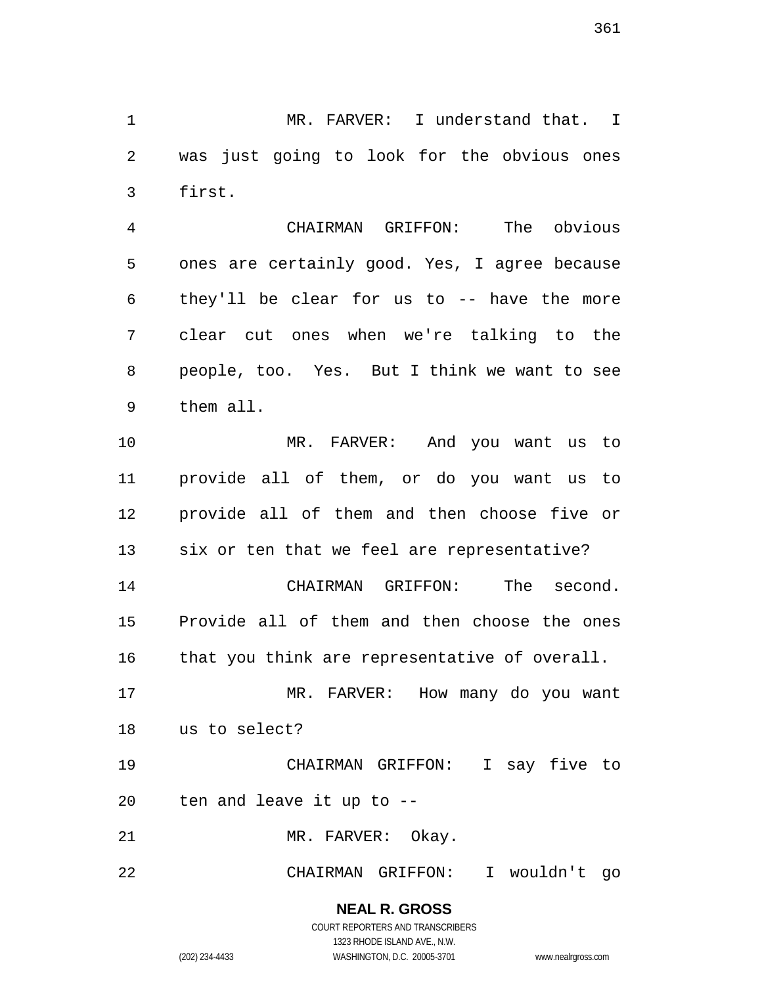MR. FARVER: I understand that. I was just going to look for the obvious ones first.

 CHAIRMAN GRIFFON: The obvious ones are certainly good. Yes, I agree because they'll be clear for us to -- have the more clear cut ones when we're talking to the people, too. Yes. But I think we want to see them all.

 MR. FARVER: And you want us to provide all of them, or do you want us to provide all of them and then choose five or six or ten that we feel are representative? CHAIRMAN GRIFFON: The second. Provide all of them and then choose the ones 16 that you think are representative of overall. MR. FARVER: How many do you want us to select? CHAIRMAN GRIFFON: I say five to

ten and leave it up to --

21 MR. FARVER: Okay.

CHAIRMAN GRIFFON: I wouldn't go

**NEAL R. GROSS** COURT REPORTERS AND TRANSCRIBERS

1323 RHODE ISLAND AVE., N.W.

(202) 234-4433 WASHINGTON, D.C. 20005-3701 www.nealrgross.com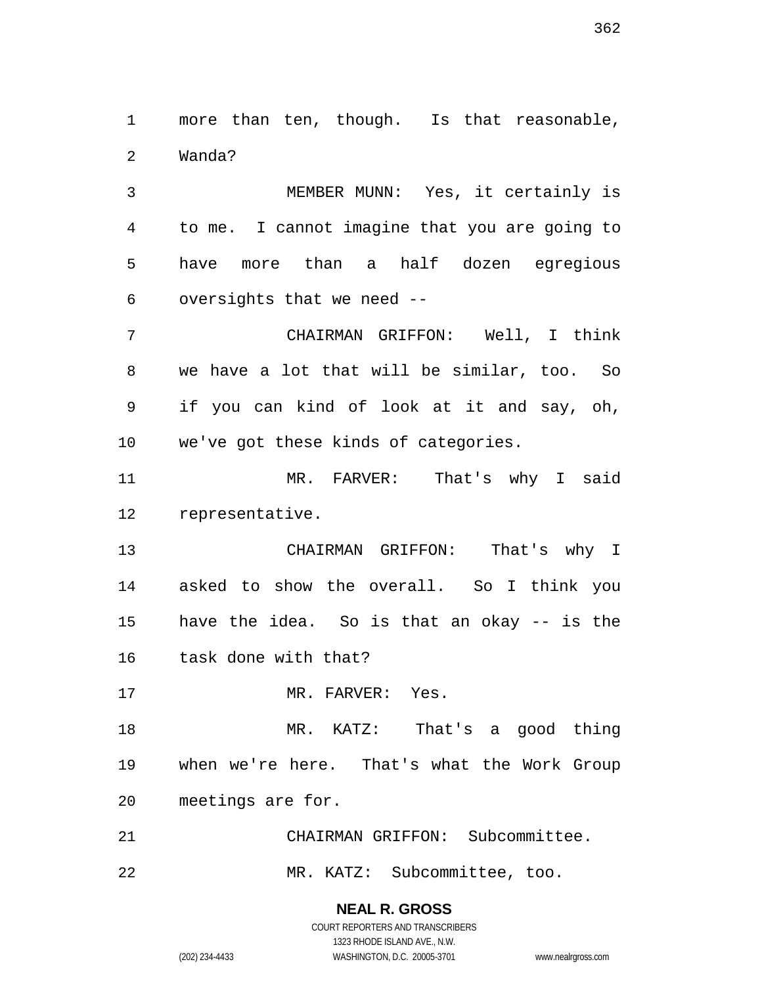more than ten, though. Is that reasonable, Wanda?

 MEMBER MUNN: Yes, it certainly is to me. I cannot imagine that you are going to have more than a half dozen egregious oversights that we need --

 CHAIRMAN GRIFFON: Well, I think we have a lot that will be similar, too. So if you can kind of look at it and say, oh, we've got these kinds of categories.

 MR. FARVER: That's why I said representative.

 CHAIRMAN GRIFFON: That's why I asked to show the overall. So I think you have the idea. So is that an okay -- is the task done with that?

17 MR. FARVER: Yes.

 MR. KATZ: That's a good thing when we're here. That's what the Work Group meetings are for.

 CHAIRMAN GRIFFON: Subcommittee. MR. KATZ: Subcommittee, too.

**NEAL R. GROSS**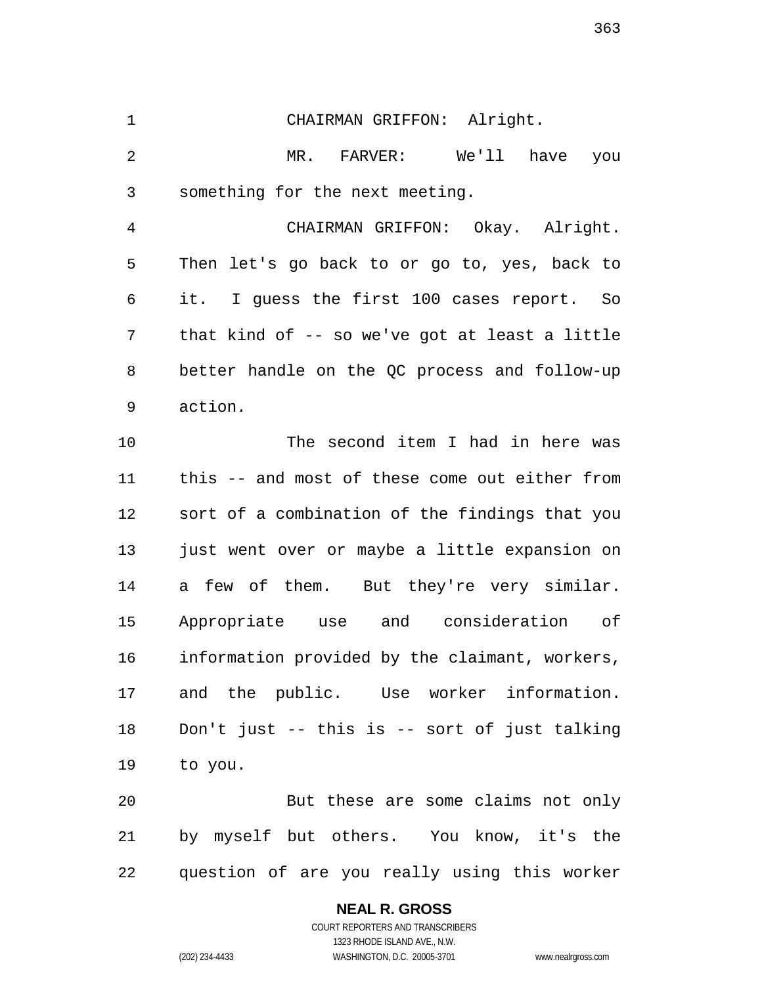CHAIRMAN GRIFFON: Alright. MR. FARVER: We'll have you something for the next meeting. CHAIRMAN GRIFFON: Okay. Alright.

 Then let's go back to or go to, yes, back to it. I guess the first 100 cases report. So that kind of -- so we've got at least a little better handle on the QC process and follow-up action.

 The second item I had in here was this -- and most of these come out either from sort of a combination of the findings that you just went over or maybe a little expansion on a few of them. But they're very similar. Appropriate use and consideration of information provided by the claimant, workers, and the public. Use worker information. Don't just -- this is -- sort of just talking to you.

 But these are some claims not only by myself but others. You know, it's the question of are you really using this worker

## **NEAL R. GROSS**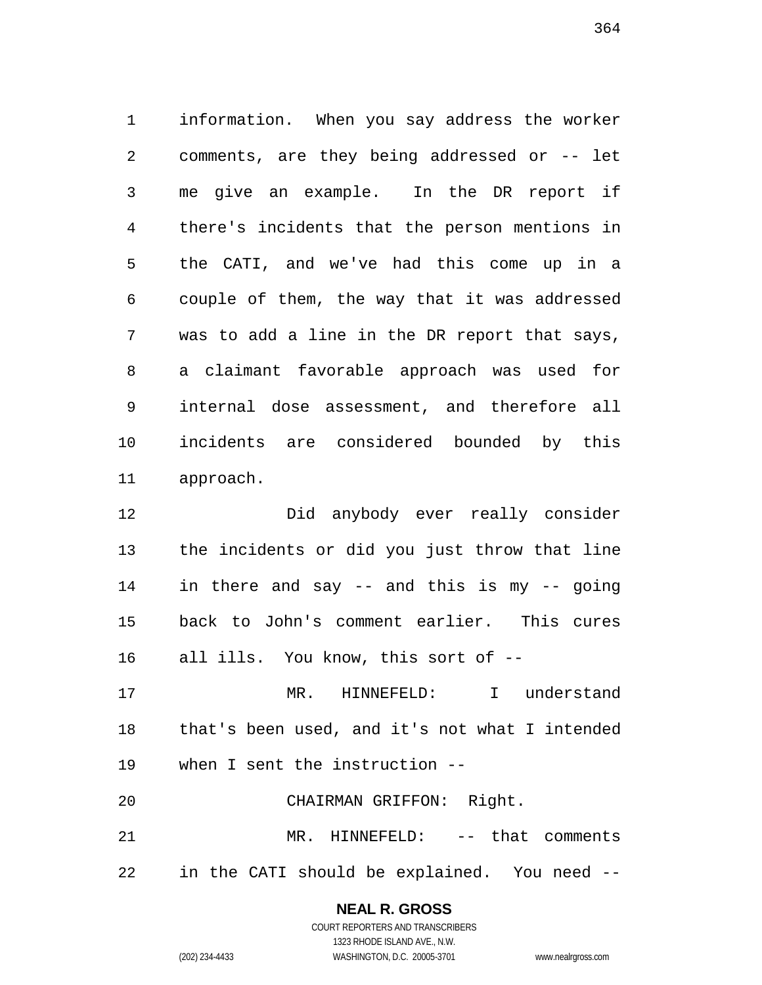information. When you say address the worker comments, are they being addressed or -- let me give an example. In the DR report if there's incidents that the person mentions in the CATI, and we've had this come up in a couple of them, the way that it was addressed was to add a line in the DR report that says, a claimant favorable approach was used for internal dose assessment, and therefore all incidents are considered bounded by this approach.

 Did anybody ever really consider the incidents or did you just throw that line in there and say -- and this is my -- going back to John's comment earlier. This cures all ills. You know, this sort of --

 MR. HINNEFELD: I understand that's been used, and it's not what I intended when I sent the instruction --

 MR. HINNEFELD: -- that comments in the CATI should be explained. You need --

CHAIRMAN GRIFFON: Right.

### **NEAL R. GROSS**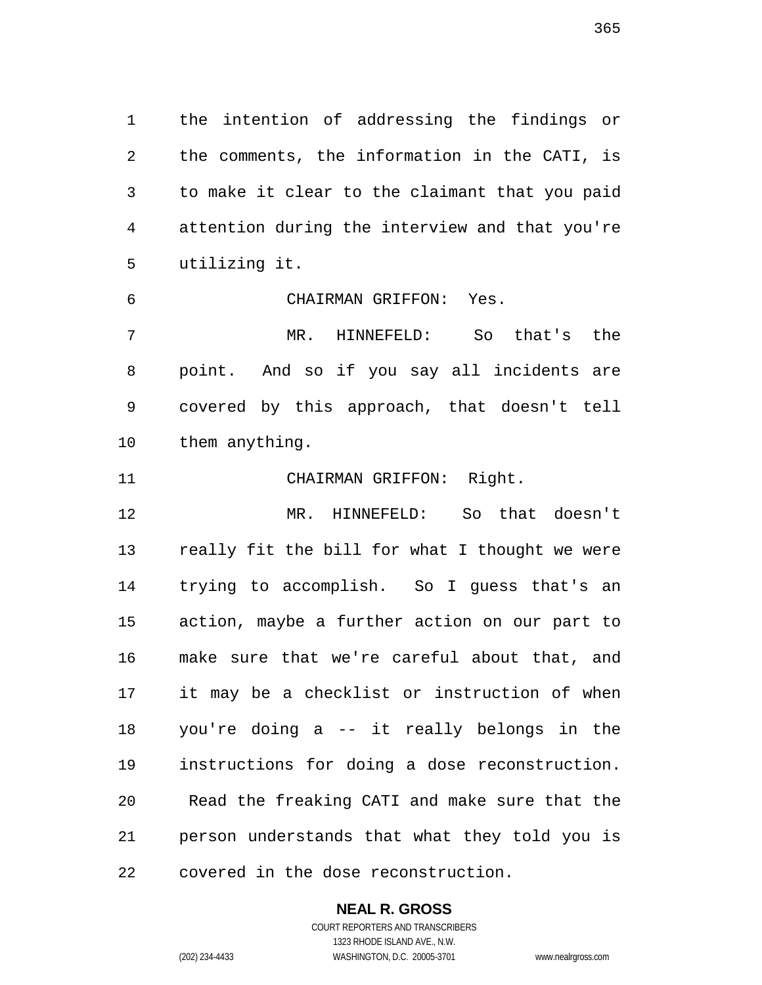the intention of addressing the findings or the comments, the information in the CATI, is to make it clear to the claimant that you paid attention during the interview and that you're utilizing it.

CHAIRMAN GRIFFON: Yes.

 MR. HINNEFELD: So that's the point. And so if you say all incidents are covered by this approach, that doesn't tell them anything.

CHAIRMAN GRIFFON: Right.

 MR. HINNEFELD: So that doesn't really fit the bill for what I thought we were trying to accomplish. So I guess that's an action, maybe a further action on our part to make sure that we're careful about that, and it may be a checklist or instruction of when you're doing a -- it really belongs in the instructions for doing a dose reconstruction. Read the freaking CATI and make sure that the person understands that what they told you is covered in the dose reconstruction.

#### **NEAL R. GROSS**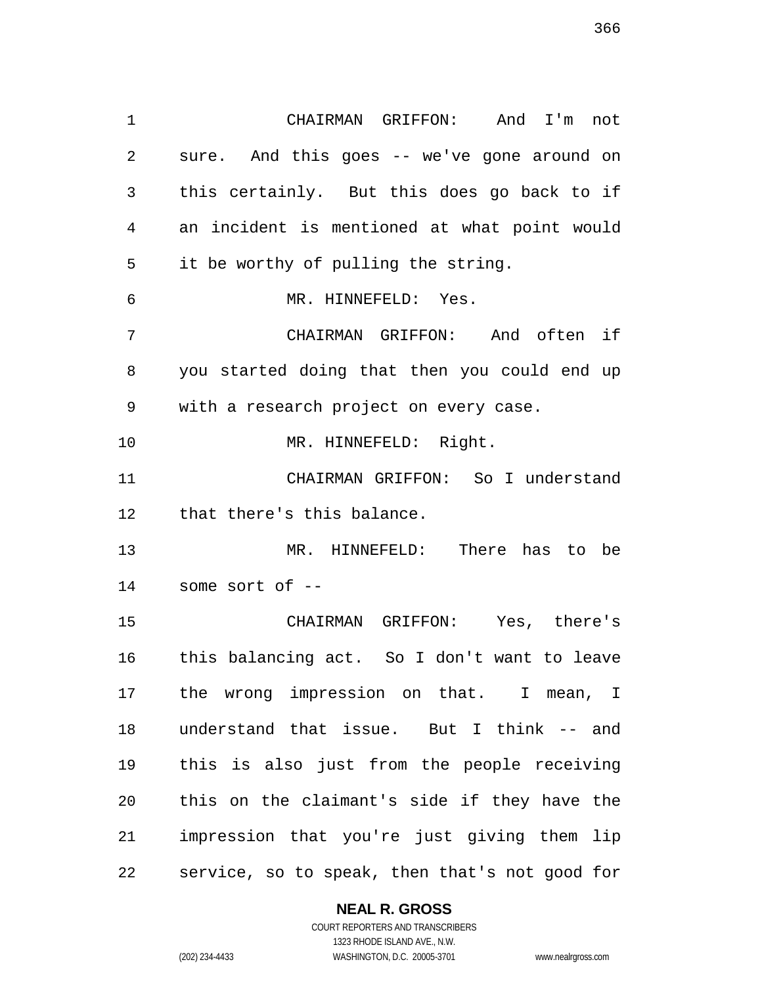CHAIRMAN GRIFFON: And I'm not sure. And this goes -- we've gone around on this certainly. But this does go back to if an incident is mentioned at what point would it be worthy of pulling the string. MR. HINNEFELD: Yes. CHAIRMAN GRIFFON: And often if you started doing that then you could end up with a research project on every case. MR. HINNEFELD: Right. CHAIRMAN GRIFFON: So I understand that there's this balance. MR. HINNEFELD: There has to be some sort of -- CHAIRMAN GRIFFON: Yes, there's this balancing act. So I don't want to leave the wrong impression on that. I mean, I understand that issue. But I think -- and this is also just from the people receiving this on the claimant's side if they have the impression that you're just giving them lip service, so to speak, then that's not good for

**NEAL R. GROSS**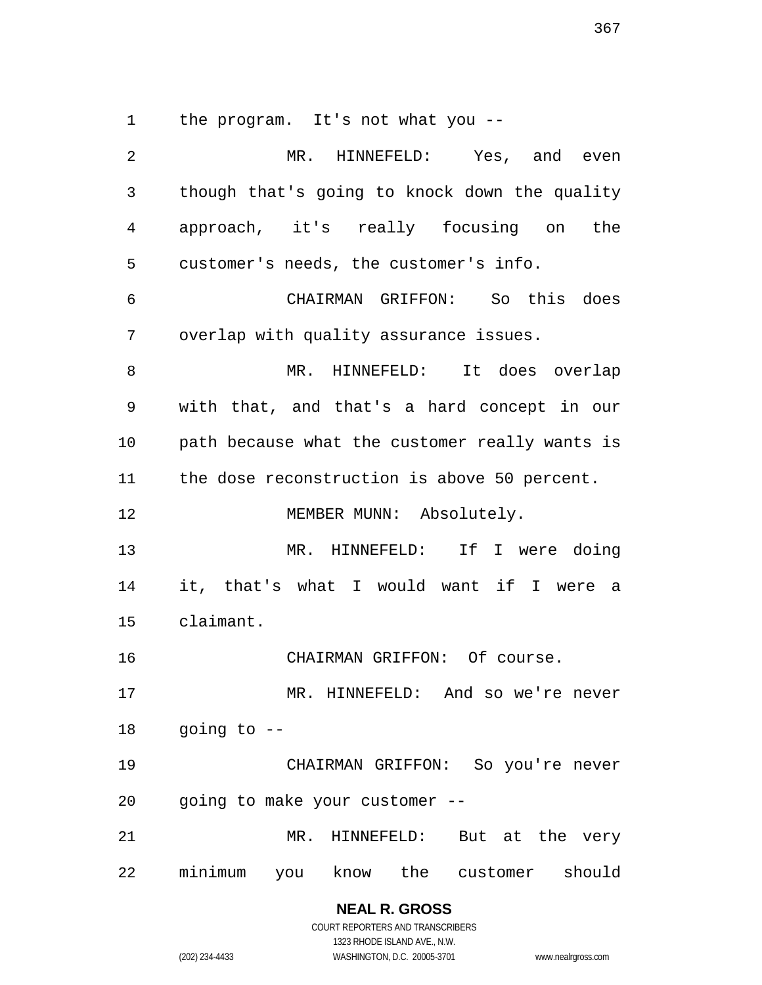the program. It's not what you --

| 2  | MR. HINNEFELD: Yes, and even                   |
|----|------------------------------------------------|
| 3  | though that's going to knock down the quality  |
| 4  | approach, it's really focusing on the          |
| 5  | customer's needs, the customer's info.         |
| 6  | CHAIRMAN GRIFFON: So this does                 |
| 7  | overlap with quality assurance issues.         |
| 8  | MR. HINNEFELD: It does overlap                 |
| 9  | with that, and that's a hard concept in our    |
| 10 | path because what the customer really wants is |
| 11 | the dose reconstruction is above 50 percent.   |
| 12 | MEMBER MUNN: Absolutely.                       |
| 13 | MR. HINNEFELD: If I were doing                 |
| 14 | it, that's what I would want if I were a       |
| 15 | claimant.                                      |
| 16 | CHAIRMAN GRIFFON: Of course.                   |
| 17 | MR. HINNEFELD: And so we're never              |
|    | 18 going to --                                 |
| 19 | CHAIRMAN GRIFFON: So you're never              |
| 20 | going to make your customer --                 |
| 21 | MR. HINNEFELD: But at the very                 |
| 22 | minimum you know the customer should           |

**NEAL R. GROSS** COURT REPORTERS AND TRANSCRIBERS

1323 RHODE ISLAND AVE., N.W. (202) 234-4433 WASHINGTON, D.C. 20005-3701 www.nealrgross.com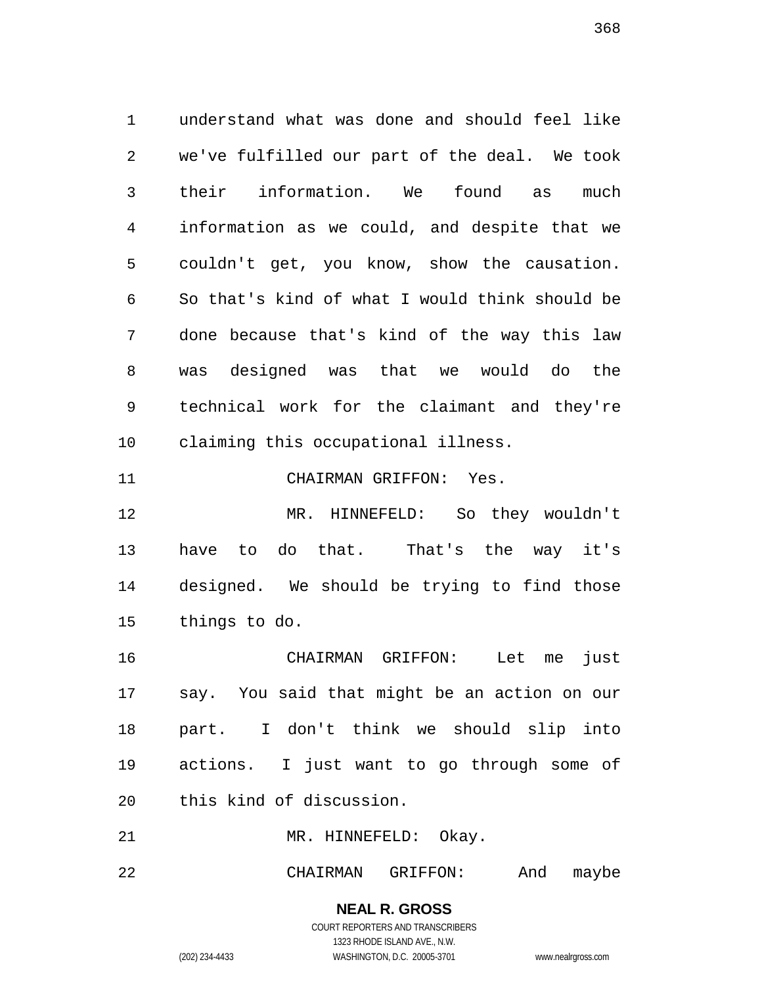understand what was done and should feel like we've fulfilled our part of the deal. We took their information. We found as much information as we could, and despite that we couldn't get, you know, show the causation. So that's kind of what I would think should be done because that's kind of the way this law was designed was that we would do the technical work for the claimant and they're claiming this occupational illness.

CHAIRMAN GRIFFON: Yes.

 MR. HINNEFELD: So they wouldn't have to do that. That's the way it's designed. We should be trying to find those things to do.

 CHAIRMAN GRIFFON: Let me just say. You said that might be an action on our part. I don't think we should slip into actions. I just want to go through some of this kind of discussion.

21 MR. HINNEFELD: Okay.

CHAIRMAN GRIFFON: And maybe

**NEAL R. GROSS** COURT REPORTERS AND TRANSCRIBERS

1323 RHODE ISLAND AVE., N.W.

(202) 234-4433 WASHINGTON, D.C. 20005-3701 www.nealrgross.com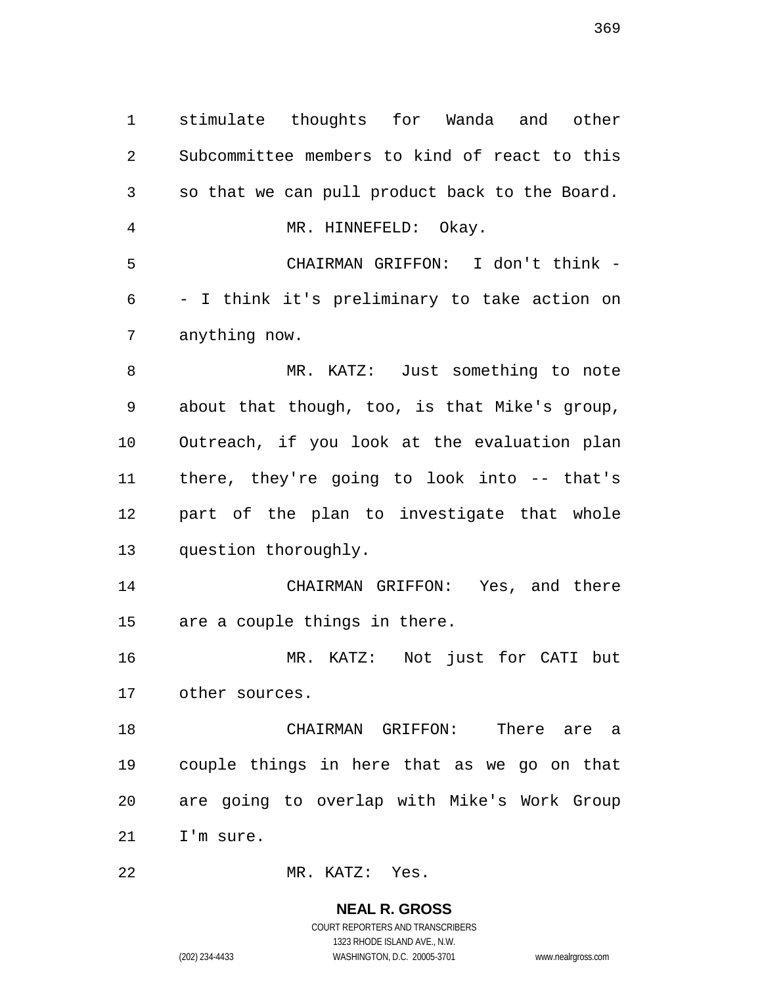stimulate thoughts for Wanda and other Subcommittee members to kind of react to this so that we can pull product back to the Board. MR. HINNEFELD: Okay. CHAIRMAN GRIFFON: I don't think - - I think it's preliminary to take action on anything now. MR. KATZ: Just something to note about that though, too, is that Mike's group, Outreach, if you look at the evaluation plan there, they're going to look into -- that's part of the plan to investigate that whole question thoroughly. CHAIRMAN GRIFFON: Yes, and there are a couple things in there. MR. KATZ: Not just for CATI but other sources. CHAIRMAN GRIFFON: There are a couple things in here that as we go on that are going to overlap with Mike's Work Group I'm sure. MR. KATZ: Yes.

> **NEAL R. GROSS** COURT REPORTERS AND TRANSCRIBERS

> > 1323 RHODE ISLAND AVE., N.W.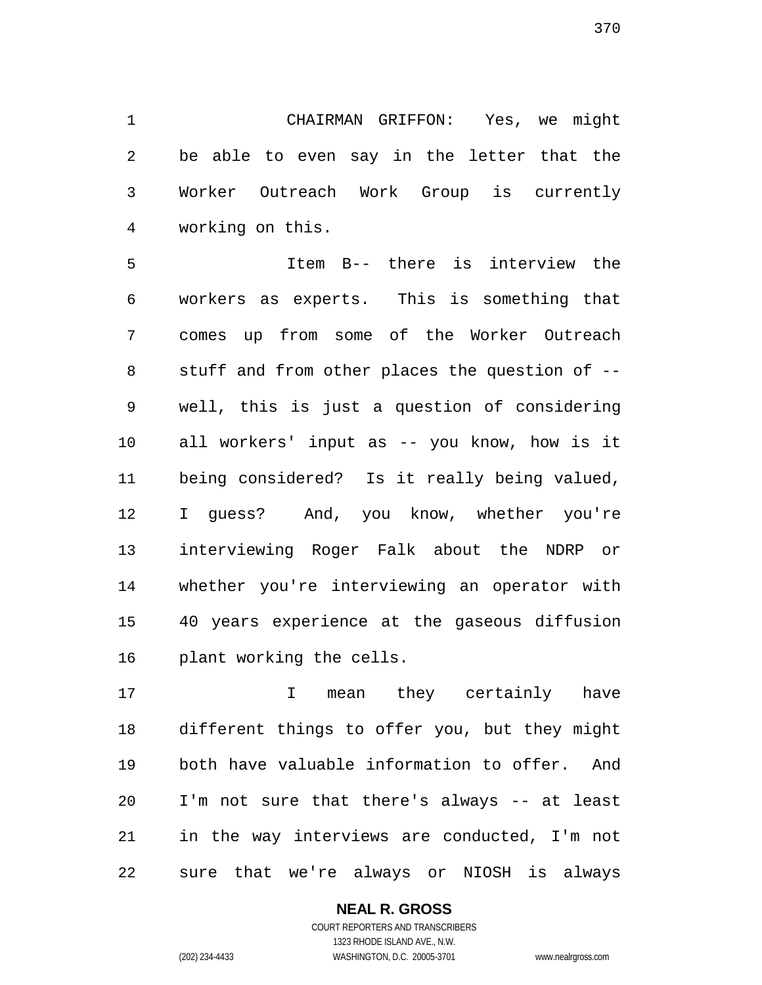CHAIRMAN GRIFFON: Yes, we might be able to even say in the letter that the Worker Outreach Work Group is currently working on this.

 Item B-- there is interview the workers as experts. This is something that comes up from some of the Worker Outreach stuff and from other places the question of -- well, this is just a question of considering all workers' input as -- you know, how is it being considered? Is it really being valued, I guess? And, you know, whether you're interviewing Roger Falk about the NDRP or whether you're interviewing an operator with 40 years experience at the gaseous diffusion plant working the cells.

17 10 I mean they certainly have different things to offer you, but they might both have valuable information to offer. And I'm not sure that there's always -- at least in the way interviews are conducted, I'm not sure that we're always or NIOSH is always

### **NEAL R. GROSS**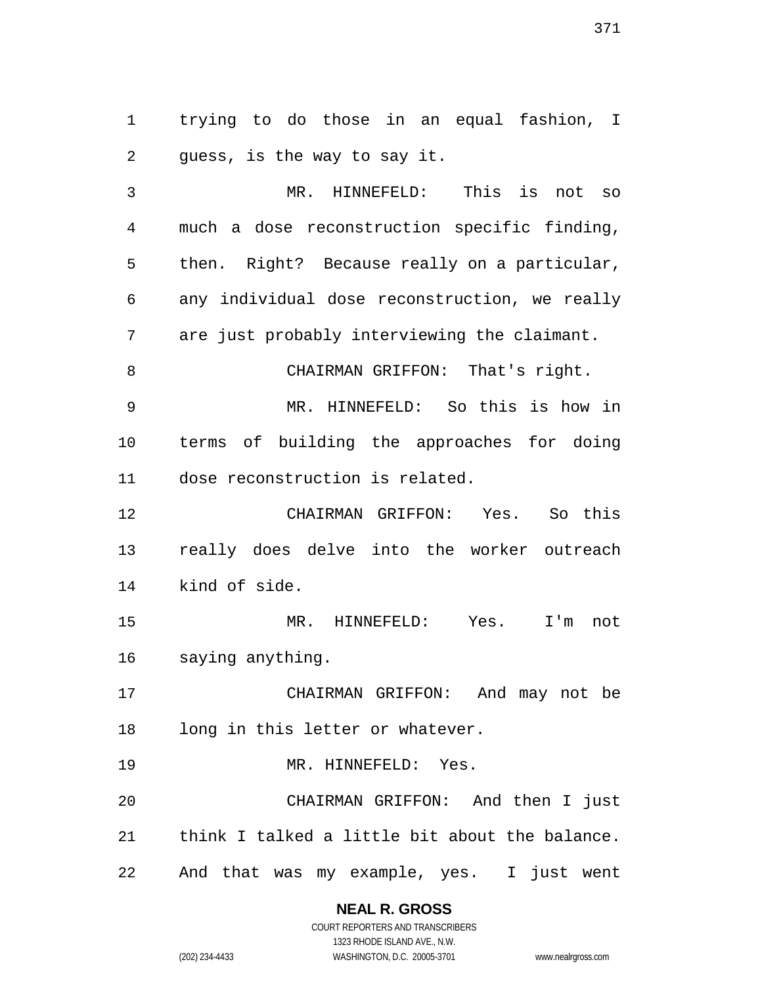trying to do those in an equal fashion, I guess, is the way to say it.

 MR. HINNEFELD: This is not so much a dose reconstruction specific finding, then. Right? Because really on a particular, any individual dose reconstruction, we really are just probably interviewing the claimant. 8 CHAIRMAN GRIFFON: That's right. MR. HINNEFELD: So this is how in terms of building the approaches for doing dose reconstruction is related. CHAIRMAN GRIFFON: Yes. So this really does delve into the worker outreach kind of side. MR. HINNEFELD: Yes. I'm not saying anything. CHAIRMAN GRIFFON: And may not be long in this letter or whatever. MR. HINNEFELD: Yes. CHAIRMAN GRIFFON: And then I just think I talked a little bit about the balance. And that was my example, yes. I just went

**NEAL R. GROSS**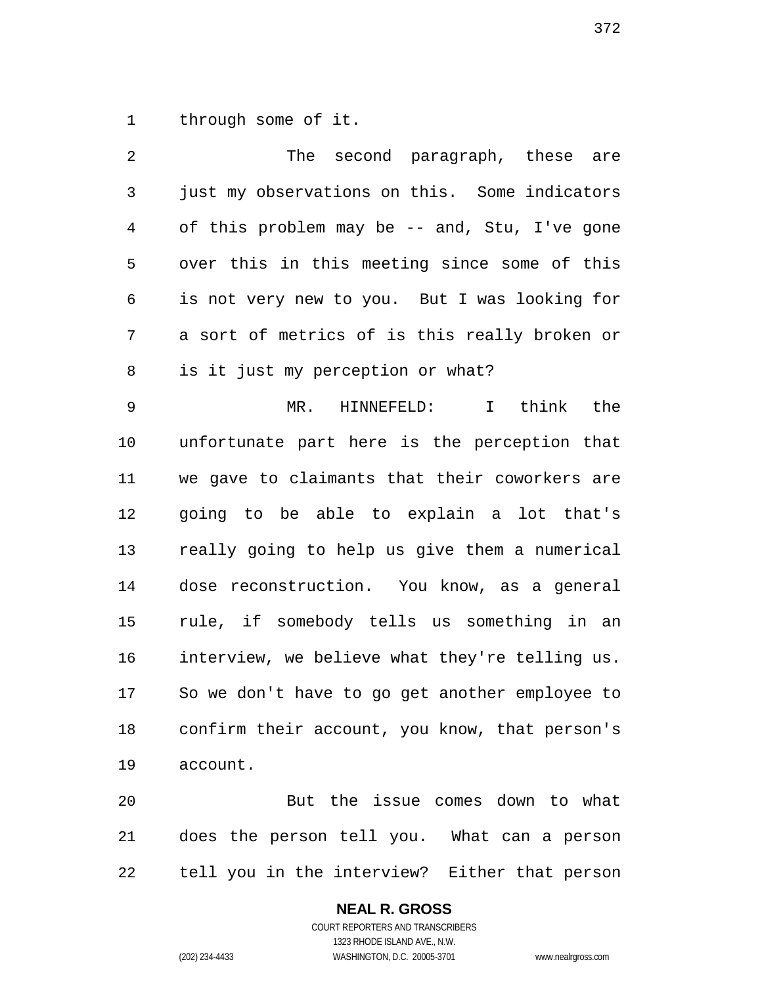through some of it.

 The second paragraph, these are just my observations on this. Some indicators of this problem may be -- and, Stu, I've gone over this in this meeting since some of this is not very new to you. But I was looking for a sort of metrics of is this really broken or is it just my perception or what? MR. HINNEFELD: I think the unfortunate part here is the perception that we gave to claimants that their coworkers are going to be able to explain a lot that's really going to help us give them a numerical dose reconstruction. You know, as a general rule, if somebody tells us something in an interview, we believe what they're telling us. So we don't have to go get another employee to confirm their account, you know, that person's account. But the issue comes down to what

tell you in the interview? Either that person

does the person tell you. What can a person

# **NEAL R. GROSS**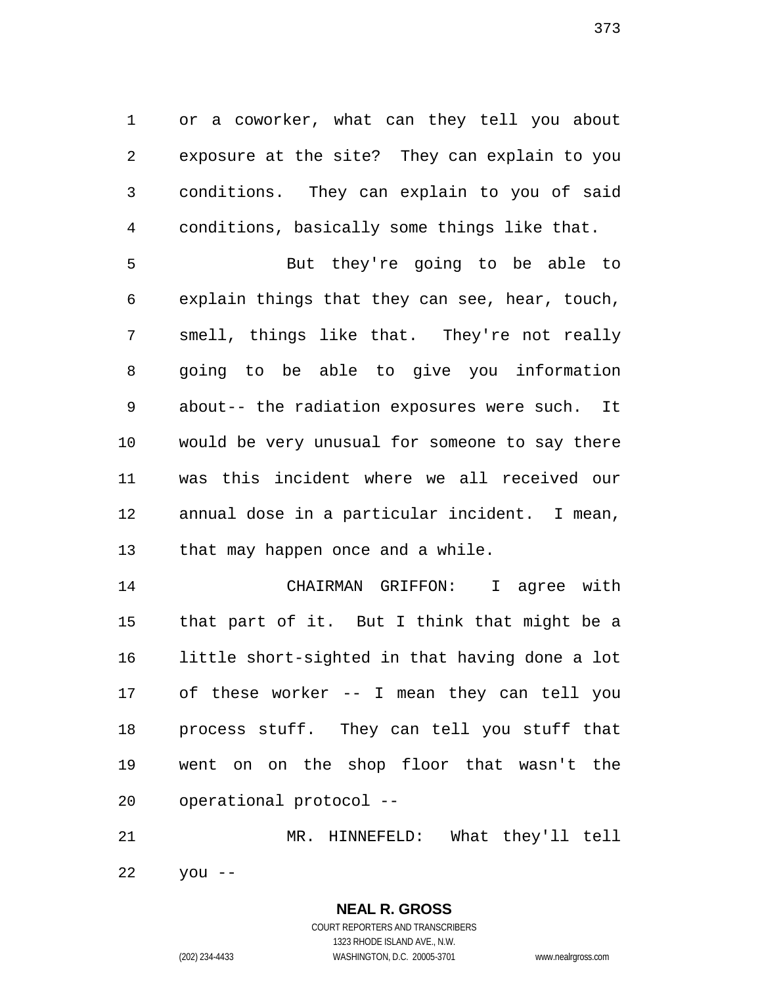or a coworker, what can they tell you about exposure at the site? They can explain to you conditions. They can explain to you of said conditions, basically some things like that.

 But they're going to be able to explain things that they can see, hear, touch, smell, things like that. They're not really going to be able to give you information about-- the radiation exposures were such. It would be very unusual for someone to say there was this incident where we all received our annual dose in a particular incident. I mean, that may happen once and a while.

 CHAIRMAN GRIFFON: I agree with that part of it. But I think that might be a little short-sighted in that having done a lot of these worker -- I mean they can tell you process stuff. They can tell you stuff that went on on the shop floor that wasn't the operational protocol --

 MR. HINNEFELD: What they'll tell you --

> COURT REPORTERS AND TRANSCRIBERS 1323 RHODE ISLAND AVE., N.W. (202) 234-4433 WASHINGTON, D.C. 20005-3701 www.nealrgross.com

**NEAL R. GROSS**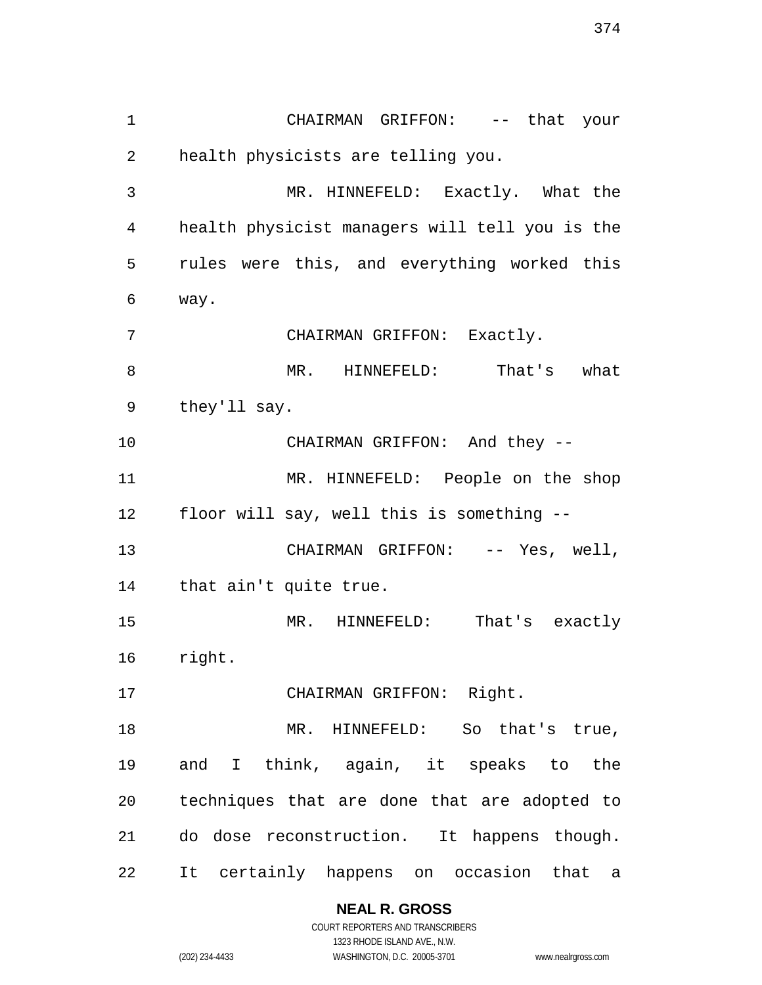CHAIRMAN GRIFFON: -- that your health physicists are telling you. MR. HINNEFELD: Exactly. What the health physicist managers will tell you is the rules were this, and everything worked this way. CHAIRMAN GRIFFON: Exactly. MR. HINNEFELD: That's what they'll say. 10 CHAIRMAN GRIFFON: And they -- MR. HINNEFELD: People on the shop floor will say, well this is something -- 13 CHAIRMAN GRIFFON: -- Yes, well, that ain't quite true. MR. HINNEFELD: That's exactly right. CHAIRMAN GRIFFON: Right. 18 MR. HINNEFELD: So that's true, and I think, again, it speaks to the techniques that are done that are adopted to do dose reconstruction. It happens though. It certainly happens on occasion that a

> **NEAL R. GROSS** COURT REPORTERS AND TRANSCRIBERS

1323 RHODE ISLAND AVE., N.W. (202) 234-4433 WASHINGTON, D.C. 20005-3701 www.nealrgross.com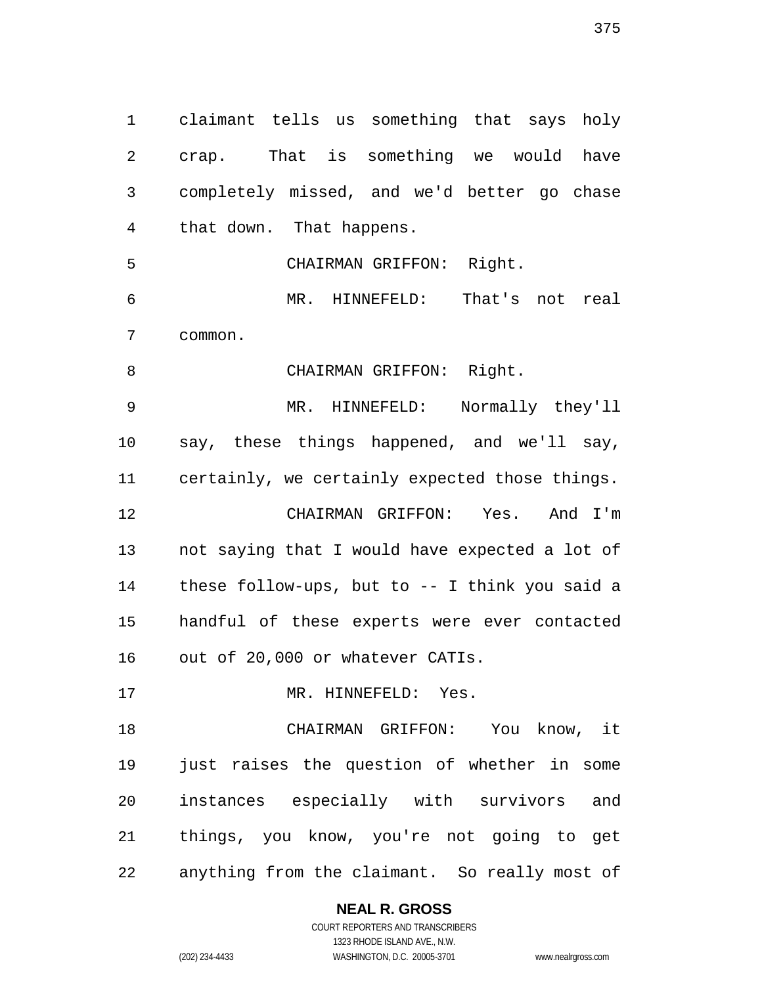claimant tells us something that says holy crap. That is something we would have completely missed, and we'd better go chase that down. That happens. CHAIRMAN GRIFFON: Right. MR. HINNEFELD: That's not real common. 8 CHAIRMAN GRIFFON: Right. MR. HINNEFELD: Normally they'll say, these things happened, and we'll say, certainly, we certainly expected those things. CHAIRMAN GRIFFON: Yes. And I'm not saying that I would have expected a lot of these follow-ups, but to -- I think you said a handful of these experts were ever contacted out of 20,000 or whatever CATIs. 17 MR. HINNEFELD: Yes. CHAIRMAN GRIFFON: You know, it just raises the question of whether in some instances especially with survivors and things, you know, you're not going to get anything from the claimant. So really most of

### **NEAL R. GROSS**

COURT REPORTERS AND TRANSCRIBERS 1323 RHODE ISLAND AVE., N.W. (202) 234-4433 WASHINGTON, D.C. 20005-3701 www.nealrgross.com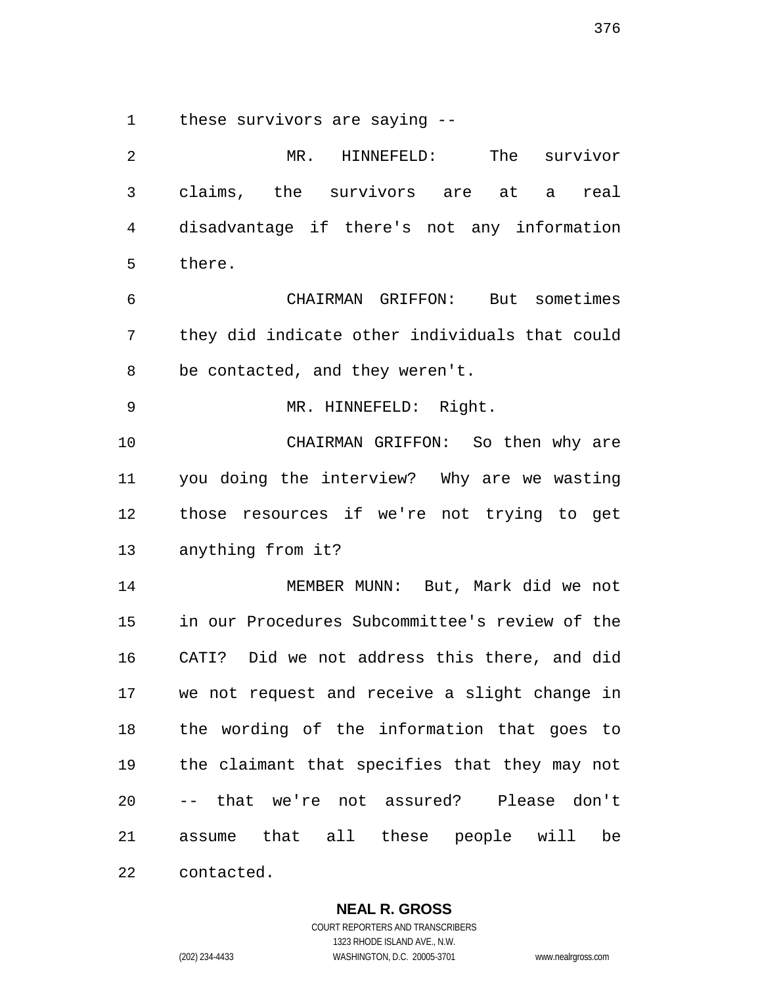these survivors are saying --

 MR. HINNEFELD: The survivor claims, the survivors are at a real disadvantage if there's not any information there. CHAIRMAN GRIFFON: But sometimes they did indicate other individuals that could be contacted, and they weren't. MR. HINNEFELD: Right. CHAIRMAN GRIFFON: So then why are you doing the interview? Why are we wasting those resources if we're not trying to get anything from it? MEMBER MUNN: But, Mark did we not in our Procedures Subcommittee's review of the CATI? Did we not address this there, and did we not request and receive a slight change in the wording of the information that goes to the claimant that specifies that they may not -- that we're not assured? Please don't assume that all these people will be contacted.

**NEAL R. GROSS**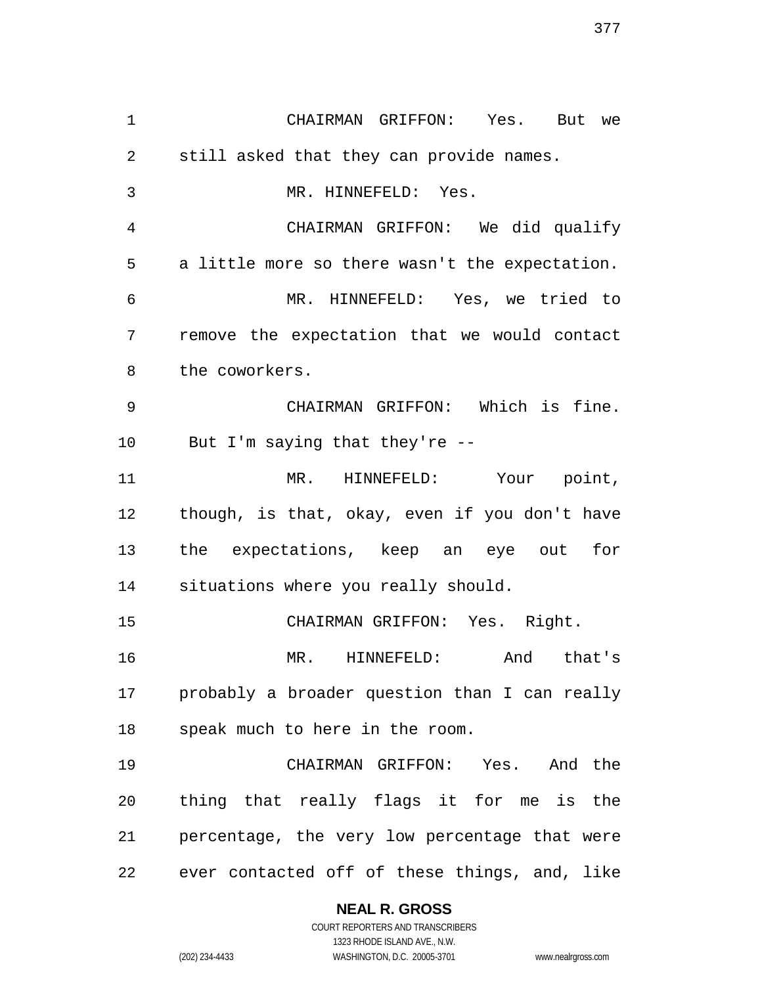CHAIRMAN GRIFFON: Yes. But we still asked that they can provide names. MR. HINNEFELD: Yes. CHAIRMAN GRIFFON: We did qualify a little more so there wasn't the expectation. MR. HINNEFELD: Yes, we tried to remove the expectation that we would contact the coworkers. CHAIRMAN GRIFFON: Which is fine. But I'm saying that they're -- MR. HINNEFELD: Your point, though, is that, okay, even if you don't have the expectations, keep an eye out for situations where you really should. CHAIRMAN GRIFFON: Yes. Right. MR. HINNEFELD: And that's probably a broader question than I can really speak much to here in the room. CHAIRMAN GRIFFON: Yes. And the thing that really flags it for me is the percentage, the very low percentage that were ever contacted off of these things, and, like

### **NEAL R. GROSS**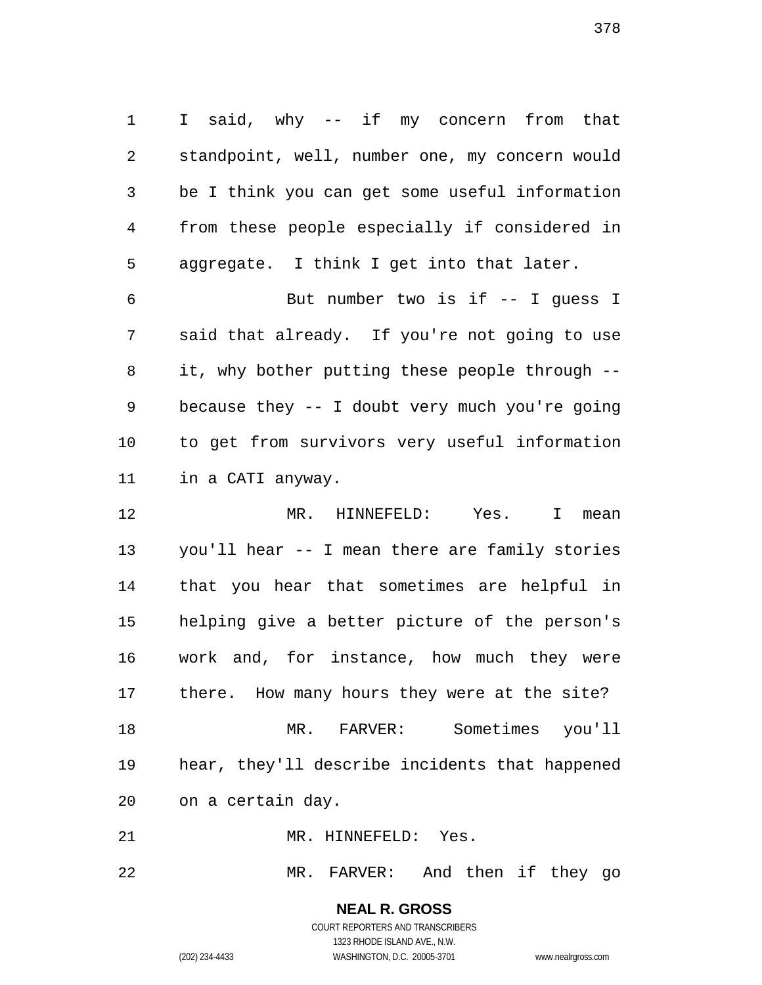I said, why -- if my concern from that standpoint, well, number one, my concern would be I think you can get some useful information from these people especially if considered in aggregate. I think I get into that later.

 But number two is if -- I guess I said that already. If you're not going to use it, why bother putting these people through -- because they -- I doubt very much you're going to get from survivors very useful information in a CATI anyway.

 MR. HINNEFELD: Yes. I mean you'll hear -- I mean there are family stories that you hear that sometimes are helpful in helping give a better picture of the person's work and, for instance, how much they were there. How many hours they were at the site? MR. FARVER: Sometimes you'll hear, they'll describe incidents that happened on a certain day.

MR. HINNEFELD: Yes.

MR. FARVER: And then if they go

**NEAL R. GROSS** COURT REPORTERS AND TRANSCRIBERS

1323 RHODE ISLAND AVE., N.W.

(202) 234-4433 WASHINGTON, D.C. 20005-3701 www.nealrgross.com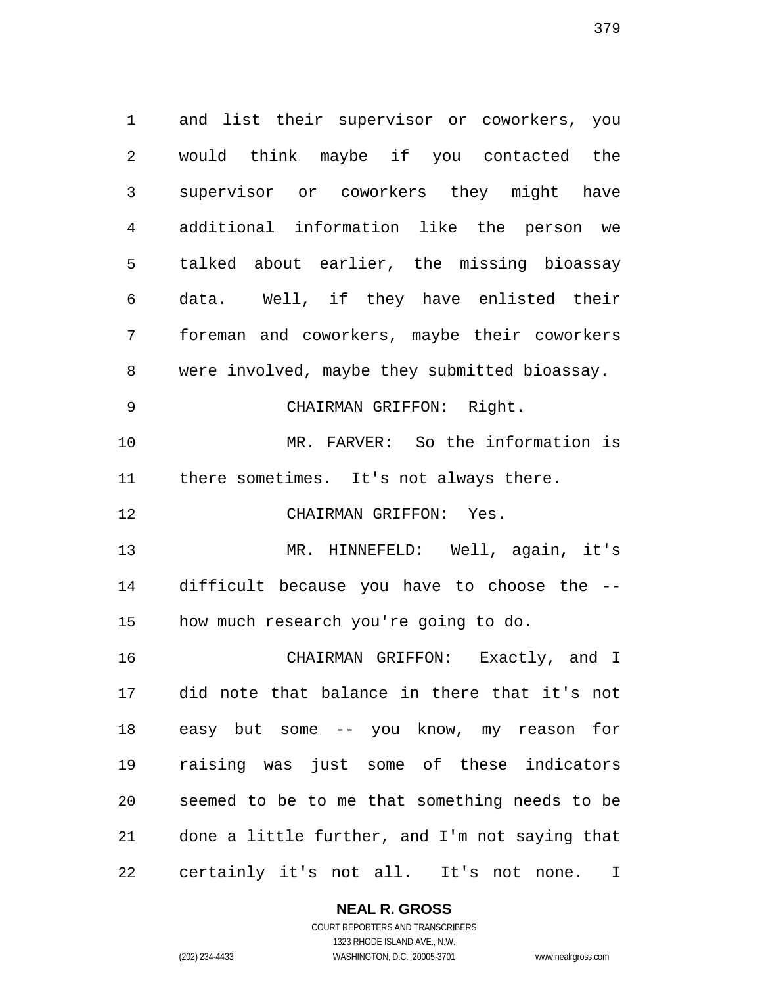and list their supervisor or coworkers, you would think maybe if you contacted the supervisor or coworkers they might have additional information like the person we talked about earlier, the missing bioassay data. Well, if they have enlisted their foreman and coworkers, maybe their coworkers were involved, maybe they submitted bioassay. 9 CHAIRMAN GRIFFON: Right. MR. FARVER: So the information is there sometimes. It's not always there. CHAIRMAN GRIFFON: Yes. MR. HINNEFELD: Well, again, it's difficult because you have to choose the -- how much research you're going to do. CHAIRMAN GRIFFON: Exactly, and I did note that balance in there that it's not easy but some -- you know, my reason for raising was just some of these indicators seemed to be to me that something needs to be done a little further, and I'm not saying that certainly it's not all. It's not none. I

**NEAL R. GROSS**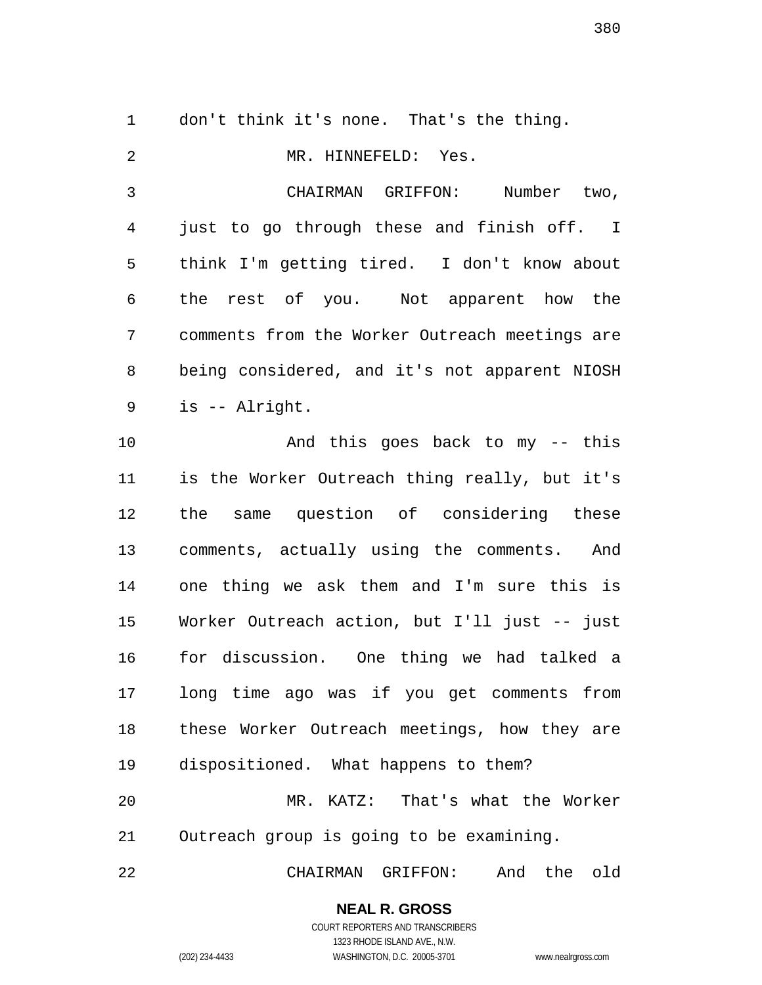don't think it's none. That's the thing. MR. HINNEFELD: Yes. CHAIRMAN GRIFFON: Number two, just to go through these and finish off. I think I'm getting tired. I don't know about the rest of you. Not apparent how the comments from the Worker Outreach meetings are being considered, and it's not apparent NIOSH is -- Alright. And this goes back to my -- this is the Worker Outreach thing really, but it's the same question of considering these comments, actually using the comments. And one thing we ask them and I'm sure this is Worker Outreach action, but I'll just -- just for discussion. One thing we had talked a long time ago was if you get comments from these Worker Outreach meetings, how they are dispositioned. What happens to them? MR. KATZ: That's what the Worker Outreach group is going to be examining.

CHAIRMAN GRIFFON: And the old

# **NEAL R. GROSS**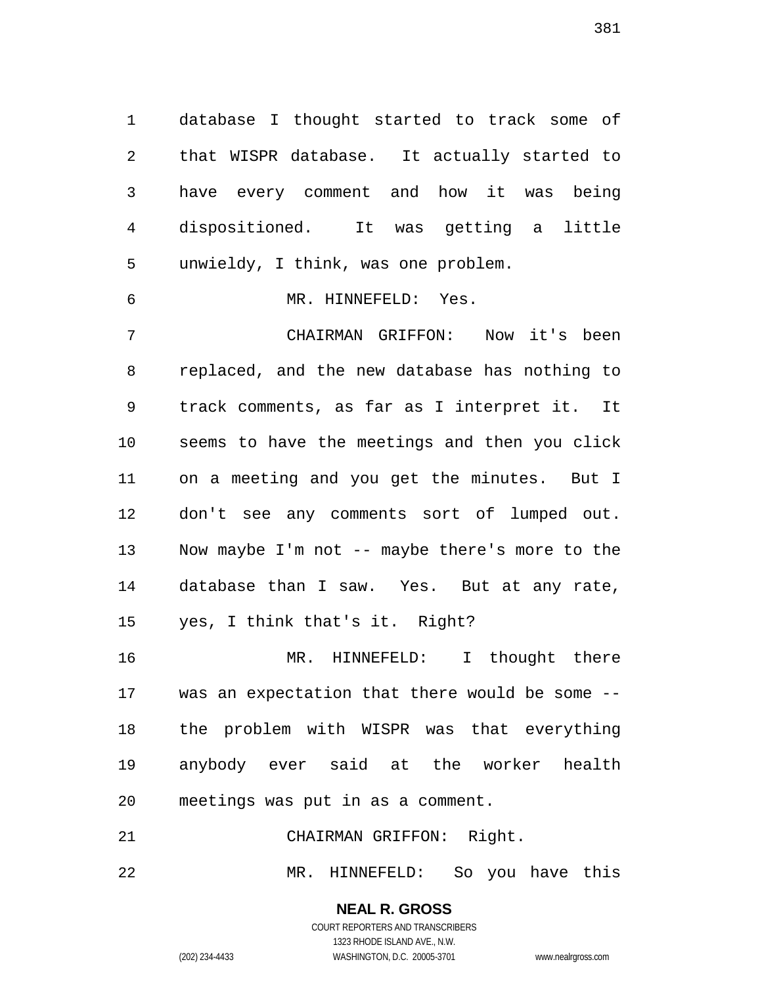database I thought started to track some of that WISPR database. It actually started to have every comment and how it was being dispositioned. It was getting a little unwieldy, I think, was one problem.

MR. HINNEFELD: Yes.

 CHAIRMAN GRIFFON: Now it's been replaced, and the new database has nothing to track comments, as far as I interpret it. It seems to have the meetings and then you click on a meeting and you get the minutes. But I don't see any comments sort of lumped out. Now maybe I'm not -- maybe there's more to the database than I saw. Yes. But at any rate, yes, I think that's it. Right?

 MR. HINNEFELD: I thought there was an expectation that there would be some -- the problem with WISPR was that everything anybody ever said at the worker health meetings was put in as a comment.

CHAIRMAN GRIFFON: Right.

MR. HINNEFELD: So you have this

**NEAL R. GROSS** COURT REPORTERS AND TRANSCRIBERS

1323 RHODE ISLAND AVE., N.W. (202) 234-4433 WASHINGTON, D.C. 20005-3701 www.nealrgross.com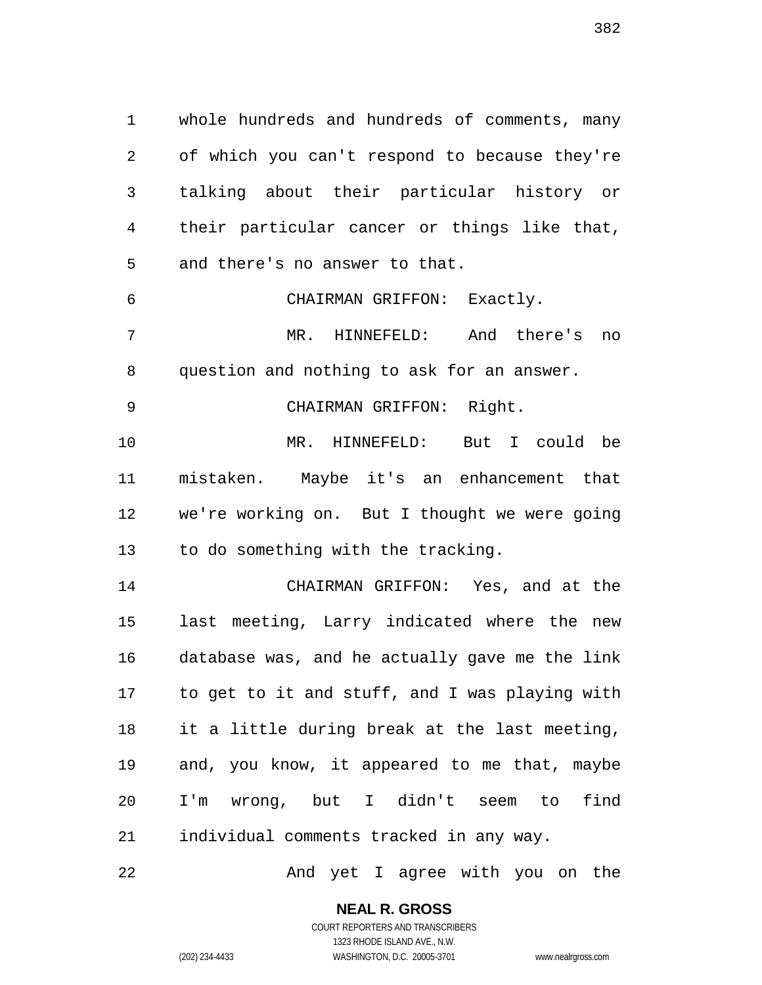whole hundreds and hundreds of comments, many of which you can't respond to because they're talking about their particular history or their particular cancer or things like that, and there's no answer to that.

 CHAIRMAN GRIFFON: Exactly. MR. HINNEFELD: And there's no

question and nothing to ask for an answer.

9 CHAIRMAN GRIFFON: Right.

 MR. HINNEFELD: But I could be mistaken. Maybe it's an enhancement that we're working on. But I thought we were going to do something with the tracking.

 CHAIRMAN GRIFFON: Yes, and at the last meeting, Larry indicated where the new database was, and he actually gave me the link to get to it and stuff, and I was playing with it a little during break at the last meeting, and, you know, it appeared to me that, maybe I'm wrong, but I didn't seem to find individual comments tracked in any way.

22 And yet I agree with you on the

**NEAL R. GROSS**

COURT REPORTERS AND TRANSCRIBERS 1323 RHODE ISLAND AVE., N.W. (202) 234-4433 WASHINGTON, D.C. 20005-3701 www.nealrgross.com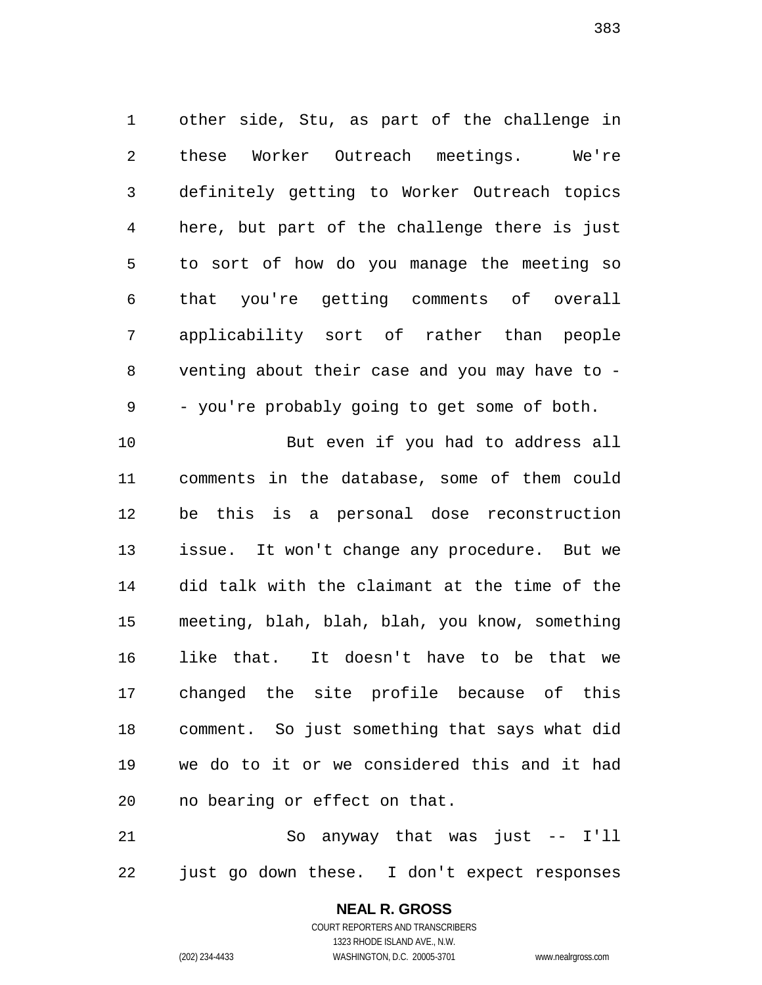other side, Stu, as part of the challenge in these Worker Outreach meetings. We're definitely getting to Worker Outreach topics here, but part of the challenge there is just to sort of how do you manage the meeting so that you're getting comments of overall applicability sort of rather than people venting about their case and you may have to - - you're probably going to get some of both.

 But even if you had to address all comments in the database, some of them could be this is a personal dose reconstruction issue. It won't change any procedure. But we did talk with the claimant at the time of the meeting, blah, blah, blah, you know, something like that. It doesn't have to be that we changed the site profile because of this comment. So just something that says what did we do to it or we considered this and it had no bearing or effect on that.

 So anyway that was just -- I'll just go down these. I don't expect responses

# **NEAL R. GROSS**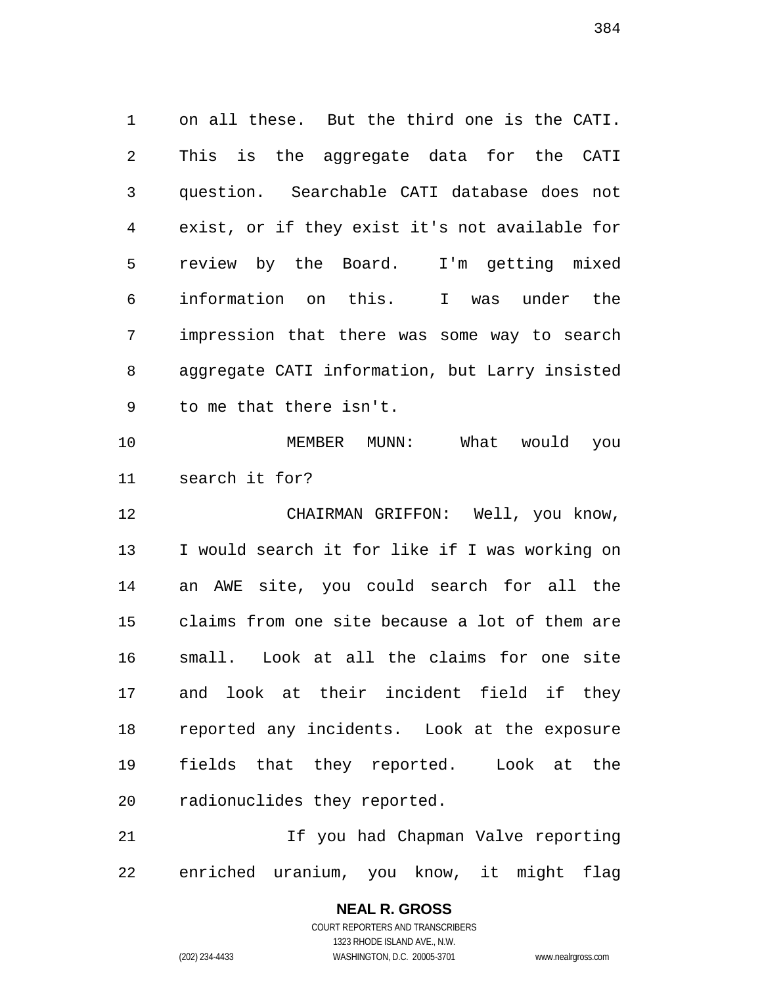on all these. But the third one is the CATI. This is the aggregate data for the CATI question. Searchable CATI database does not exist, or if they exist it's not available for review by the Board. I'm getting mixed information on this. I was under the impression that there was some way to search aggregate CATI information, but Larry insisted to me that there isn't. MEMBER MUNN: What would you search it for? CHAIRMAN GRIFFON: Well, you know, I would search it for like if I was working on an AWE site, you could search for all the claims from one site because a lot of them are small. Look at all the claims for one site and look at their incident field if they reported any incidents. Look at the exposure fields that they reported. Look at the radionuclides they reported.

21 11 11 12 If you had Chapman Valve reporting enriched uranium, you know, it might flag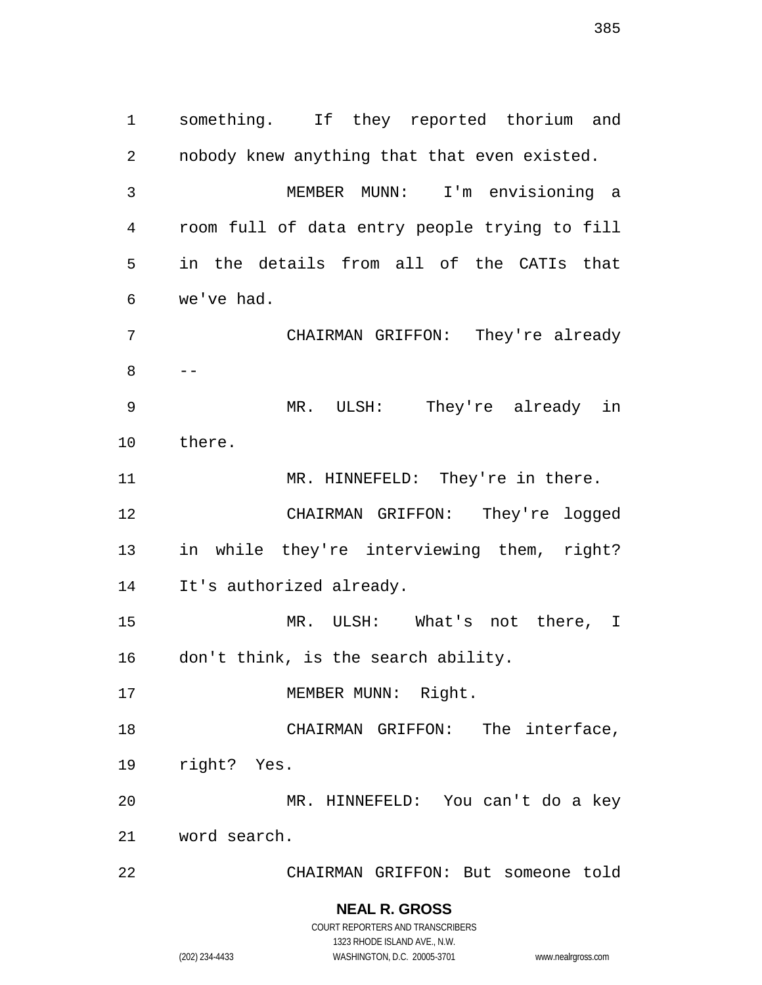something. If they reported thorium and nobody knew anything that that even existed. MEMBER MUNN: I'm envisioning a room full of data entry people trying to fill in the details from all of the CATIs that we've had. CHAIRMAN GRIFFON: They're already -- MR. ULSH: They're already in there. 11 MR. HINNEFELD: They're in there. CHAIRMAN GRIFFON: They're logged in while they're interviewing them, right? It's authorized already. MR. ULSH: What's not there, I don't think, is the search ability. 17 MEMBER MUNN: Right. 18 CHAIRMAN GRIFFON: The interface, right? Yes. MR. HINNEFELD: You can't do a key word search. CHAIRMAN GRIFFON: But someone told

**NEAL R. GROSS**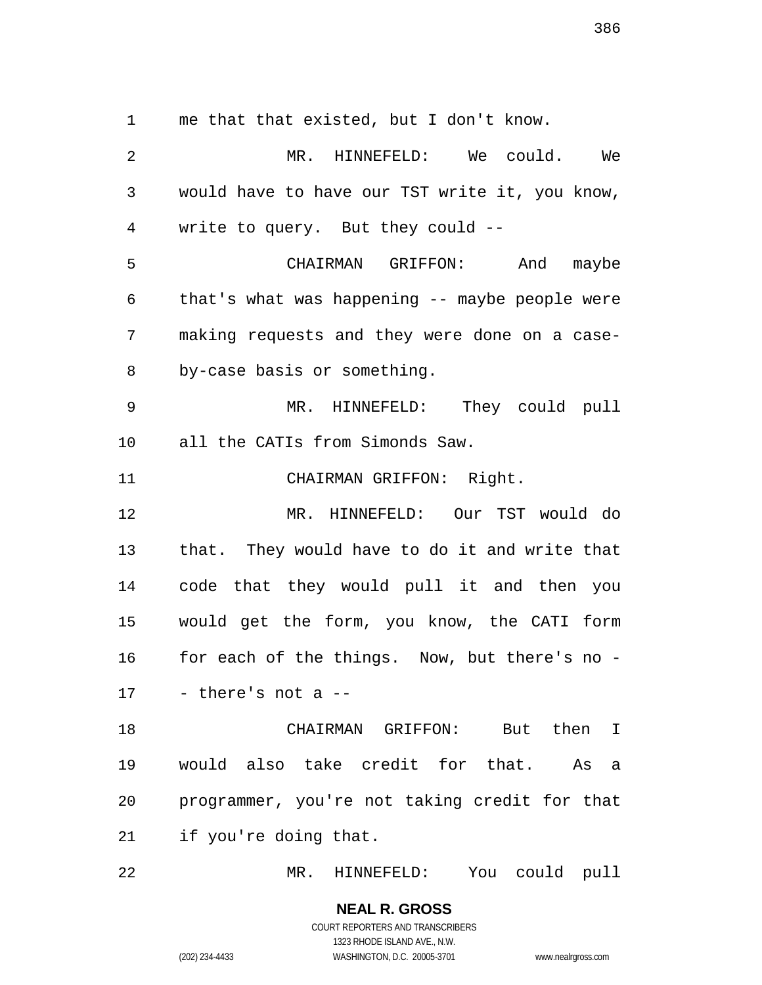me that that existed, but I don't know.

 MR. HINNEFELD: We could. We would have to have our TST write it, you know, write to query. But they could -- CHAIRMAN GRIFFON: And maybe that's what was happening -- maybe people were making requests and they were done on a case- by-case basis or something. MR. HINNEFELD: They could pull all the CATIs from Simonds Saw. CHAIRMAN GRIFFON: Right. MR. HINNEFELD: Our TST would do that. They would have to do it and write that code that they would pull it and then you would get the form, you know, the CATI form for each of the things. Now, but there's no - - there's not a  $-$  CHAIRMAN GRIFFON: But then I would also take credit for that. As a programmer, you're not taking credit for that if you're doing that. MR. HINNEFELD: You could pull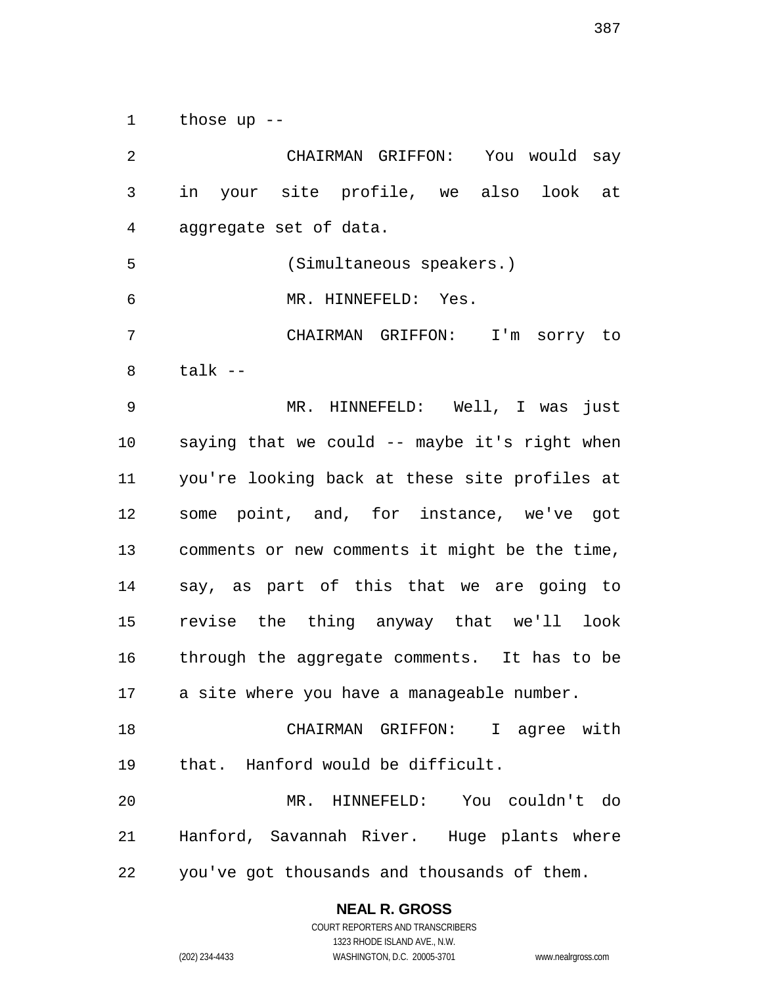those up --

 CHAIRMAN GRIFFON: You would say in your site profile, we also look at aggregate set of data. (Simultaneous speakers.) MR. HINNEFELD: Yes. CHAIRMAN GRIFFON: I'm sorry to talk -- MR. HINNEFELD: Well, I was just saying that we could -- maybe it's right when you're looking back at these site profiles at some point, and, for instance, we've got comments or new comments it might be the time, say, as part of this that we are going to revise the thing anyway that we'll look through the aggregate comments. It has to be a site where you have a manageable number. CHAIRMAN GRIFFON: I agree with that. Hanford would be difficult. MR. HINNEFELD: You couldn't do Hanford, Savannah River. Huge plants where you've got thousands and thousands of them.

# **NEAL R. GROSS**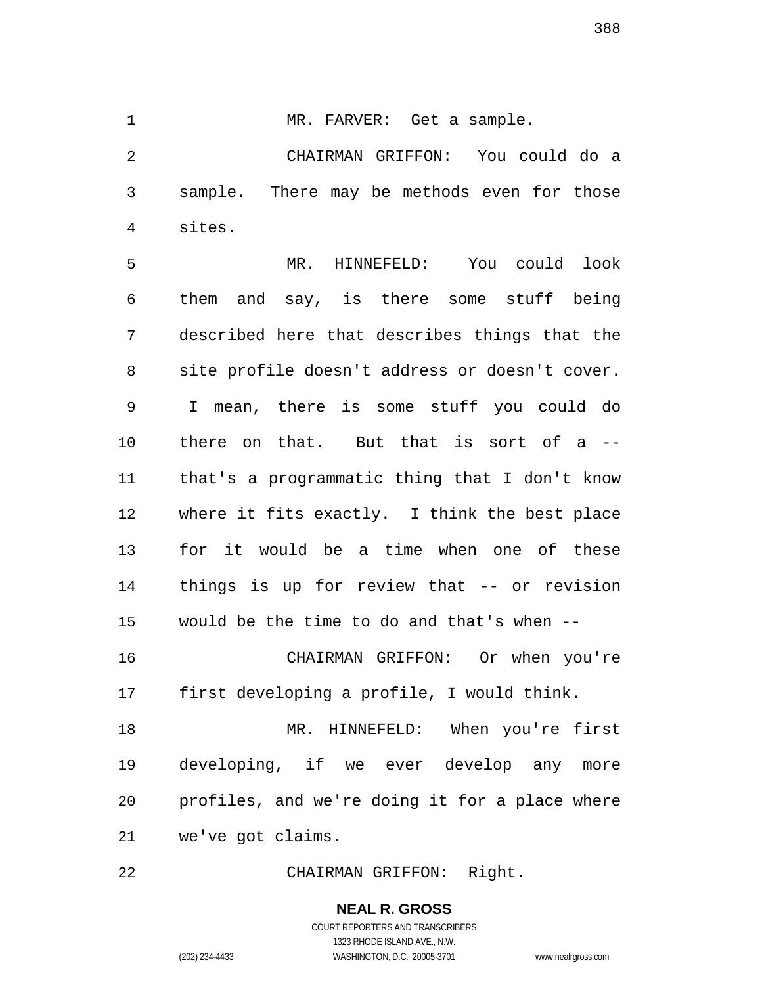1 MR. FARVER: Get a sample.

 CHAIRMAN GRIFFON: You could do a sample. There may be methods even for those sites.

 MR. HINNEFELD: You could look them and say, is there some stuff being described here that describes things that the site profile doesn't address or doesn't cover. I mean, there is some stuff you could do there on that. But that is sort of a -- that's a programmatic thing that I don't know where it fits exactly. I think the best place for it would be a time when one of these things is up for review that -- or revision would be the time to do and that's when -- CHAIRMAN GRIFFON: Or when you're

first developing a profile, I would think.

 MR. HINNEFELD: When you're first developing, if we ever develop any more profiles, and we're doing it for a place where we've got claims.

CHAIRMAN GRIFFON: Right.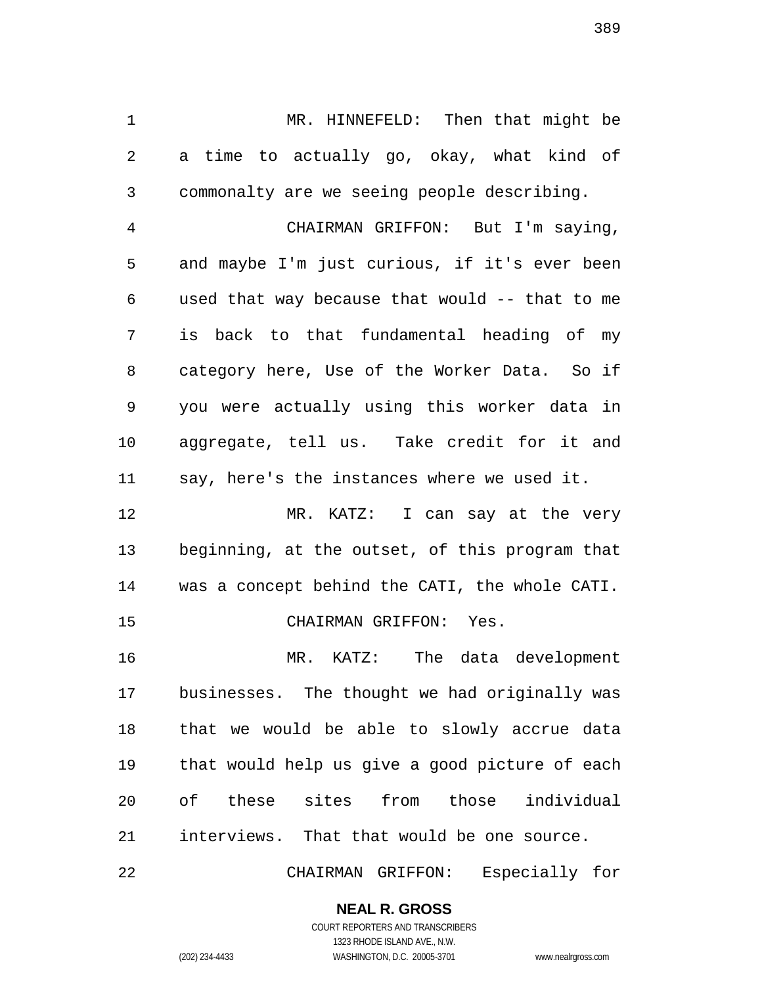MR. HINNEFELD: Then that might be a time to actually go, okay, what kind of commonalty are we seeing people describing.

 CHAIRMAN GRIFFON: But I'm saying, and maybe I'm just curious, if it's ever been used that way because that would -- that to me is back to that fundamental heading of my category here, Use of the Worker Data. So if you were actually using this worker data in aggregate, tell us. Take credit for it and say, here's the instances where we used it.

 MR. KATZ: I can say at the very beginning, at the outset, of this program that was a concept behind the CATI, the whole CATI. CHAIRMAN GRIFFON: Yes.

 MR. KATZ: The data development businesses. The thought we had originally was that we would be able to slowly accrue data that would help us give a good picture of each of these sites from those individual interviews. That that would be one source.

CHAIRMAN GRIFFON: Especially for

### **NEAL R. GROSS**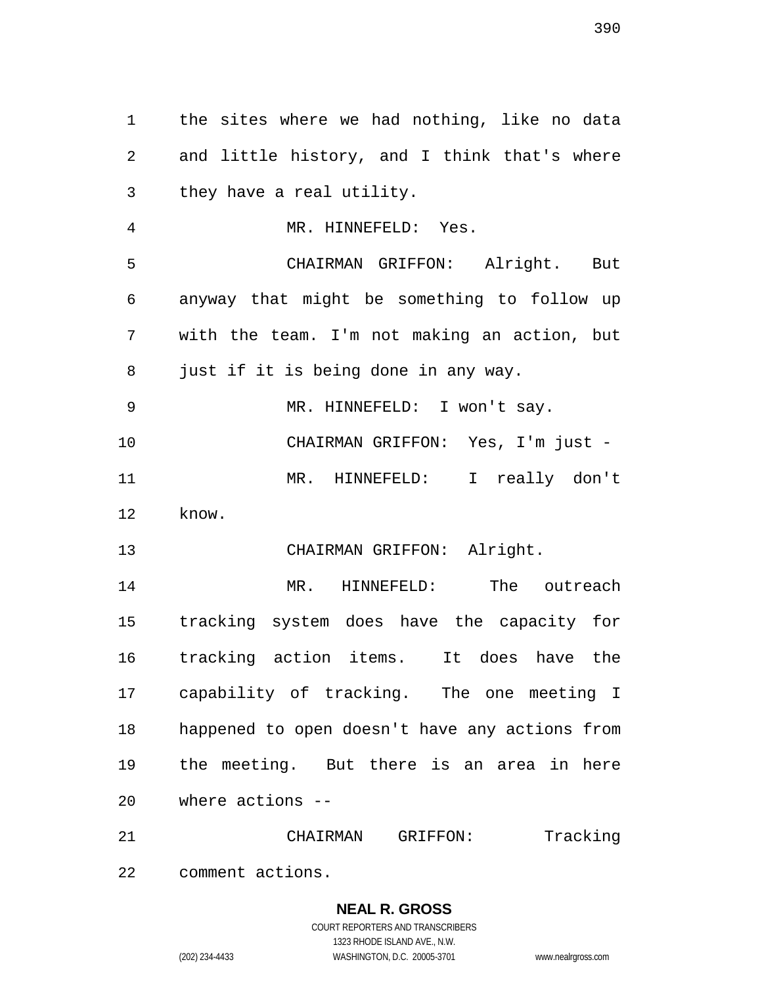the sites where we had nothing, like no data and little history, and I think that's where they have a real utility. MR. HINNEFELD: Yes. CHAIRMAN GRIFFON: Alright. But anyway that might be something to follow up with the team. I'm not making an action, but just if it is being done in any way. MR. HINNEFELD: I won't say. CHAIRMAN GRIFFON: Yes, I'm just - MR. HINNEFELD: I really don't know. CHAIRMAN GRIFFON: Alright. MR. HINNEFELD: The outreach tracking system does have the capacity for tracking action items. It does have the capability of tracking. The one meeting I happened to open doesn't have any actions from the meeting. But there is an area in here where actions -- CHAIRMAN GRIFFON: Tracking

comment actions.

### **NEAL R. GROSS** COURT REPORTERS AND TRANSCRIBERS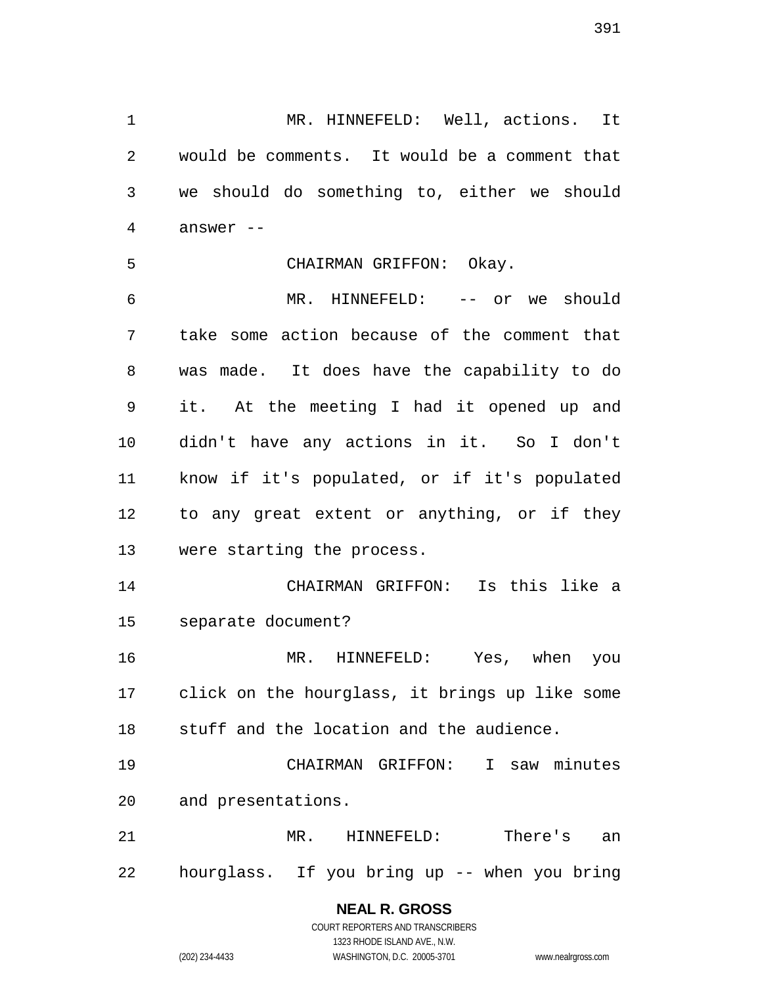MR. HINNEFELD: Well, actions. It would be comments. It would be a comment that we should do something to, either we should answer --

#### CHAIRMAN GRIFFON: Okay.

 MR. HINNEFELD: -- or we should take some action because of the comment that was made. It does have the capability to do it. At the meeting I had it opened up and didn't have any actions in it. So I don't know if it's populated, or if it's populated to any great extent or anything, or if they were starting the process.

 CHAIRMAN GRIFFON: Is this like a separate document?

 MR. HINNEFELD: Yes, when you click on the hourglass, it brings up like some stuff and the location and the audience.

 CHAIRMAN GRIFFON: I saw minutes and presentations.

 MR. HINNEFELD: There's an hourglass. If you bring up -- when you bring

# **NEAL R. GROSS**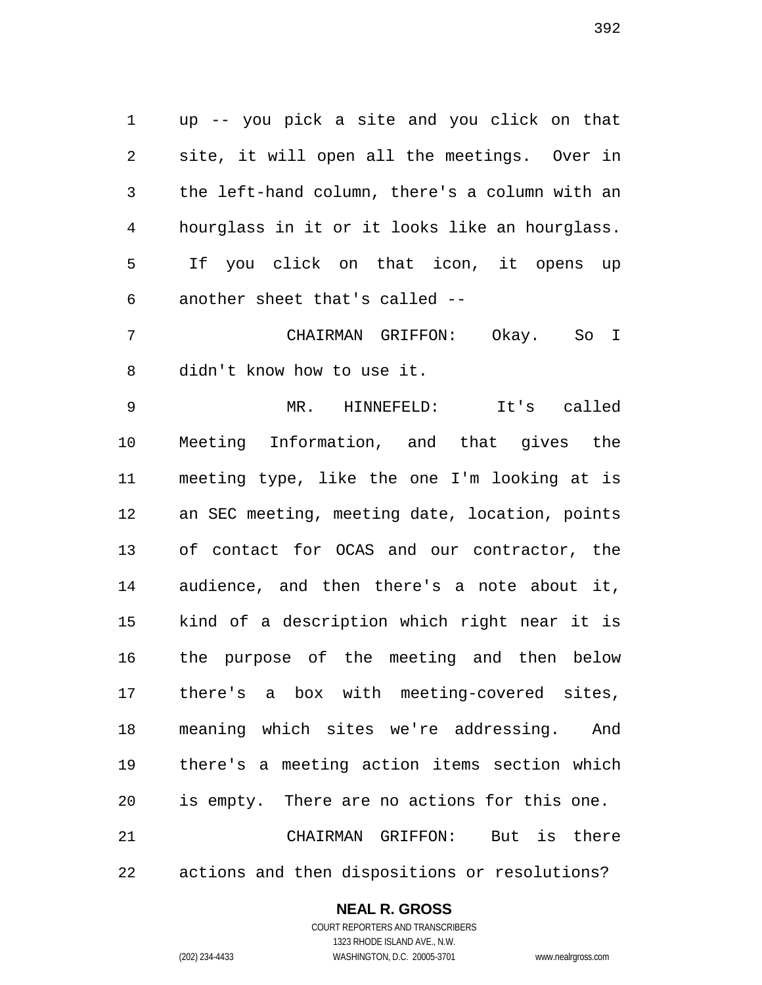up -- you pick a site and you click on that site, it will open all the meetings. Over in the left-hand column, there's a column with an hourglass in it or it looks like an hourglass. If you click on that icon, it opens up another sheet that's called --

 CHAIRMAN GRIFFON: Okay. So I didn't know how to use it.

 MR. HINNEFELD: It's called Meeting Information, and that gives the meeting type, like the one I'm looking at is an SEC meeting, meeting date, location, points of contact for OCAS and our contractor, the audience, and then there's a note about it, kind of a description which right near it is the purpose of the meeting and then below there's a box with meeting-covered sites, meaning which sites we're addressing. And there's a meeting action items section which is empty. There are no actions for this one. CHAIRMAN GRIFFON: But is there actions and then dispositions or resolutions?

#### **NEAL R. GROSS**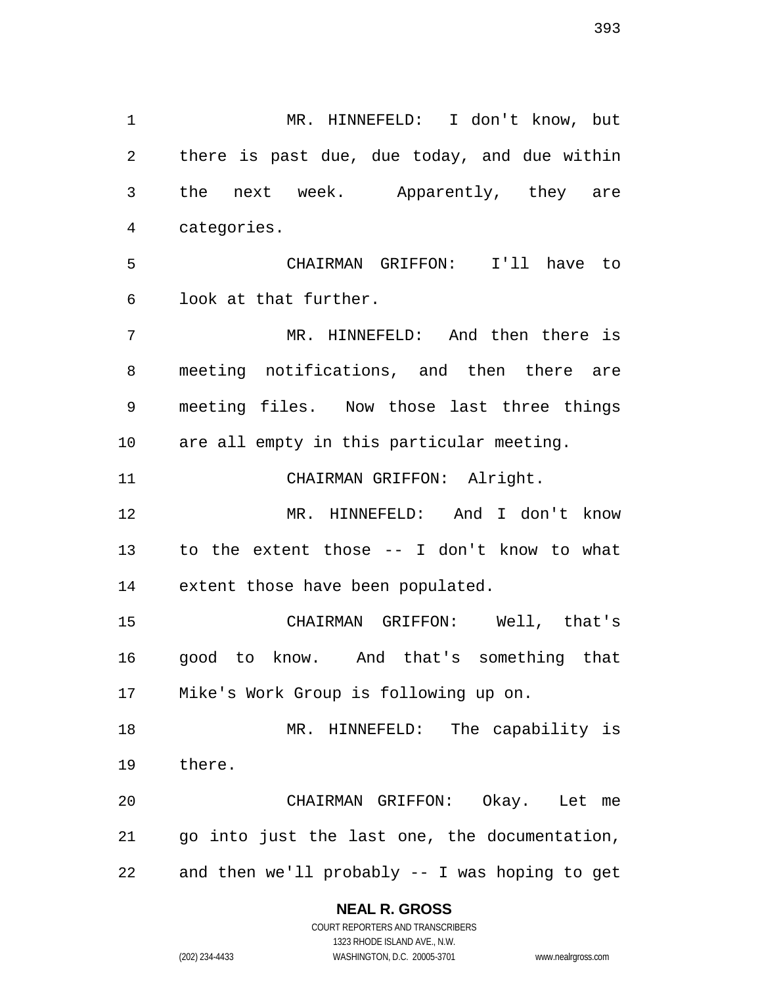MR. HINNEFELD: I don't know, but there is past due, due today, and due within the next week. Apparently, they are categories. CHAIRMAN GRIFFON: I'll have to look at that further. MR. HINNEFELD: And then there is meeting notifications, and then there are meeting files. Now those last three things are all empty in this particular meeting. 11 CHAIRMAN GRIFFON: Alright. MR. HINNEFELD: And I don't know to the extent those -- I don't know to what extent those have been populated. CHAIRMAN GRIFFON: Well, that's good to know. And that's something that Mike's Work Group is following up on. MR. HINNEFELD: The capability is there. CHAIRMAN GRIFFON: Okay. Let me go into just the last one, the documentation,

and then we'll probably -- I was hoping to get

#### **NEAL R. GROSS**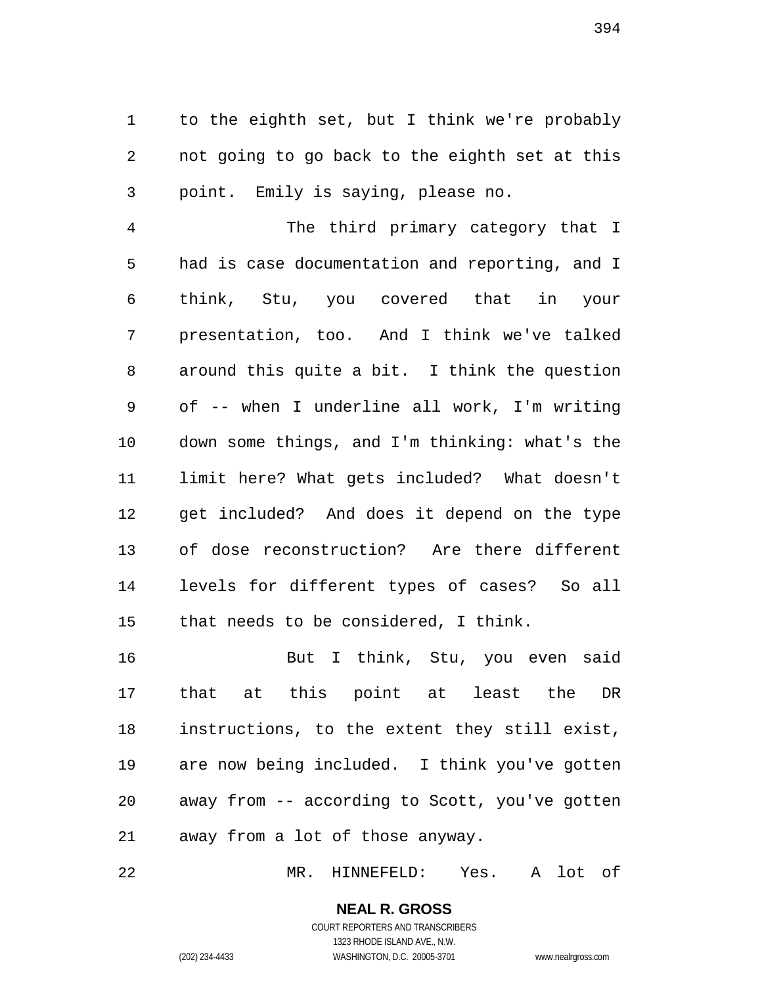to the eighth set, but I think we're probably not going to go back to the eighth set at this point. Emily is saying, please no.

 The third primary category that I had is case documentation and reporting, and I think, Stu, you covered that in your presentation, too. And I think we've talked around this quite a bit. I think the question of -- when I underline all work, I'm writing down some things, and I'm thinking: what's the limit here? What gets included? What doesn't get included? And does it depend on the type of dose reconstruction? Are there different levels for different types of cases? So all that needs to be considered, I think.

 But I think, Stu, you even said that at this point at least the DR instructions, to the extent they still exist, are now being included. I think you've gotten away from -- according to Scott, you've gotten away from a lot of those anyway.

MR. HINNEFELD: Yes. A lot of

#### **NEAL R. GROSS** COURT REPORTERS AND TRANSCRIBERS

1323 RHODE ISLAND AVE., N.W. (202) 234-4433 WASHINGTON, D.C. 20005-3701 www.nealrgross.com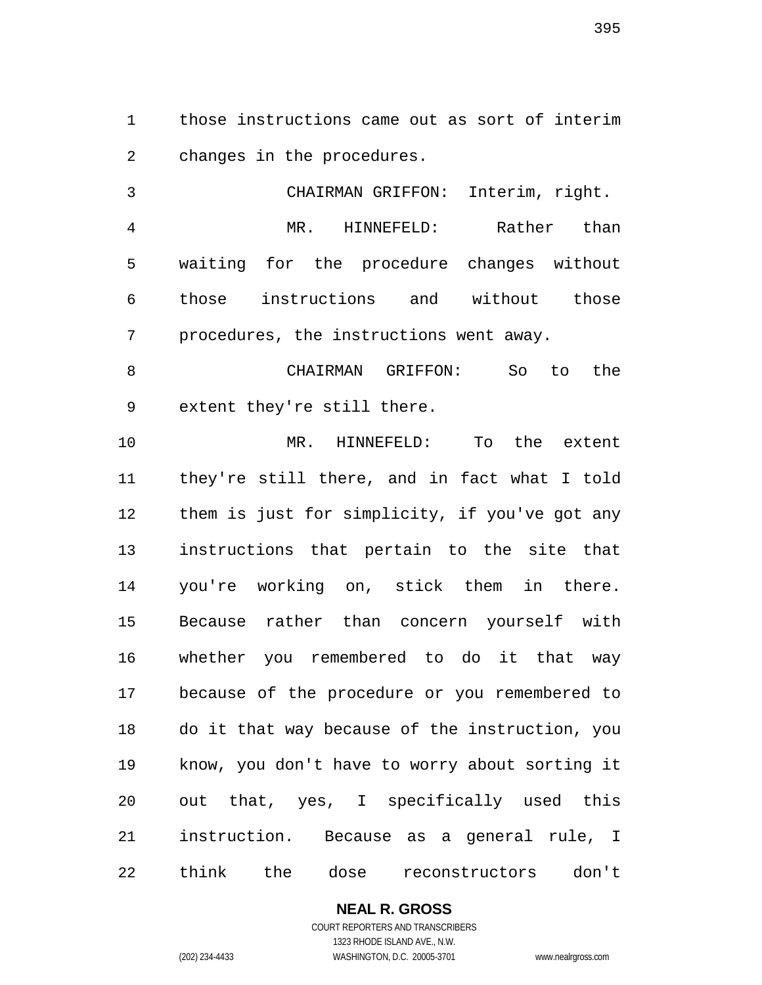those instructions came out as sort of interim changes in the procedures.

 CHAIRMAN GRIFFON: Interim, right. MR. HINNEFELD: Rather than waiting for the procedure changes without those instructions and without those procedures, the instructions went away.

 CHAIRMAN GRIFFON: So to the extent they're still there.

 MR. HINNEFELD: To the extent they're still there, and in fact what I told them is just for simplicity, if you've got any instructions that pertain to the site that you're working on, stick them in there. Because rather than concern yourself with whether you remembered to do it that way because of the procedure or you remembered to do it that way because of the instruction, you know, you don't have to worry about sorting it out that, yes, I specifically used this instruction. Because as a general rule, I think the dose reconstructors don't

**NEAL R. GROSS**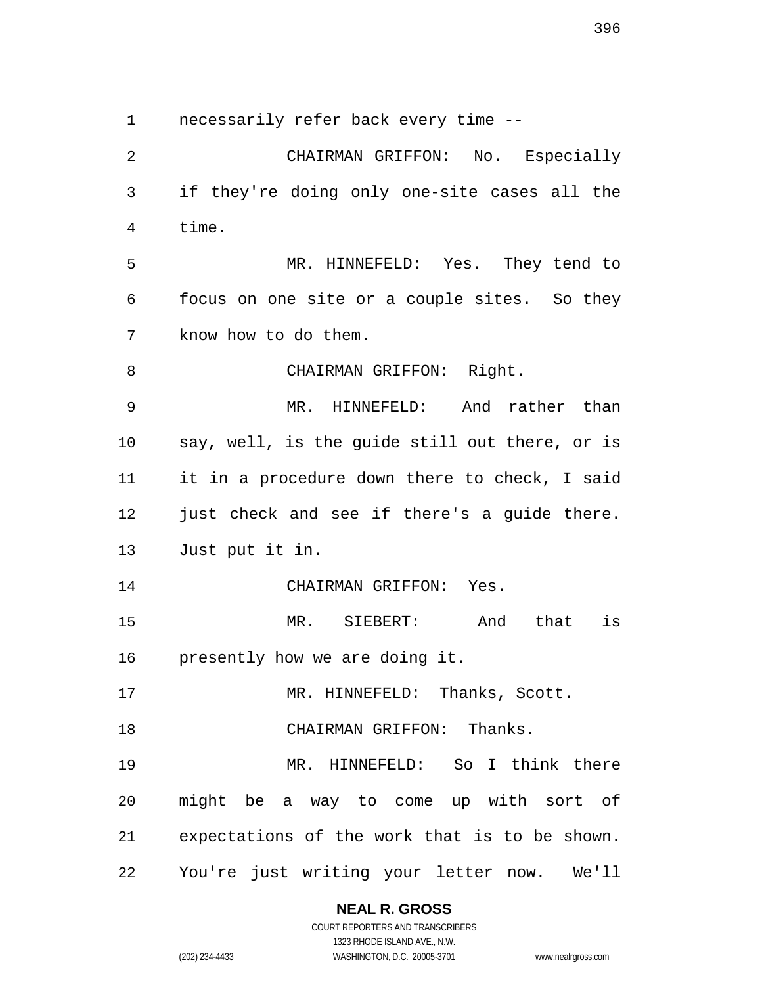necessarily refer back every time --

 CHAIRMAN GRIFFON: No. Especially if they're doing only one-site cases all the time. MR. HINNEFELD: Yes. They tend to focus on one site or a couple sites. So they know how to do them. 8 CHAIRMAN GRIFFON: Right. MR. HINNEFELD: And rather than say, well, is the guide still out there, or is it in a procedure down there to check, I said just check and see if there's a guide there. Just put it in. CHAIRMAN GRIFFON: Yes. MR. SIEBERT: And that is presently how we are doing it. 17 MR. HINNEFELD: Thanks, Scott. CHAIRMAN GRIFFON: Thanks. MR. HINNEFELD: So I think there might be a way to come up with sort of expectations of the work that is to be shown. You're just writing your letter now. We'll

### **NEAL R. GROSS**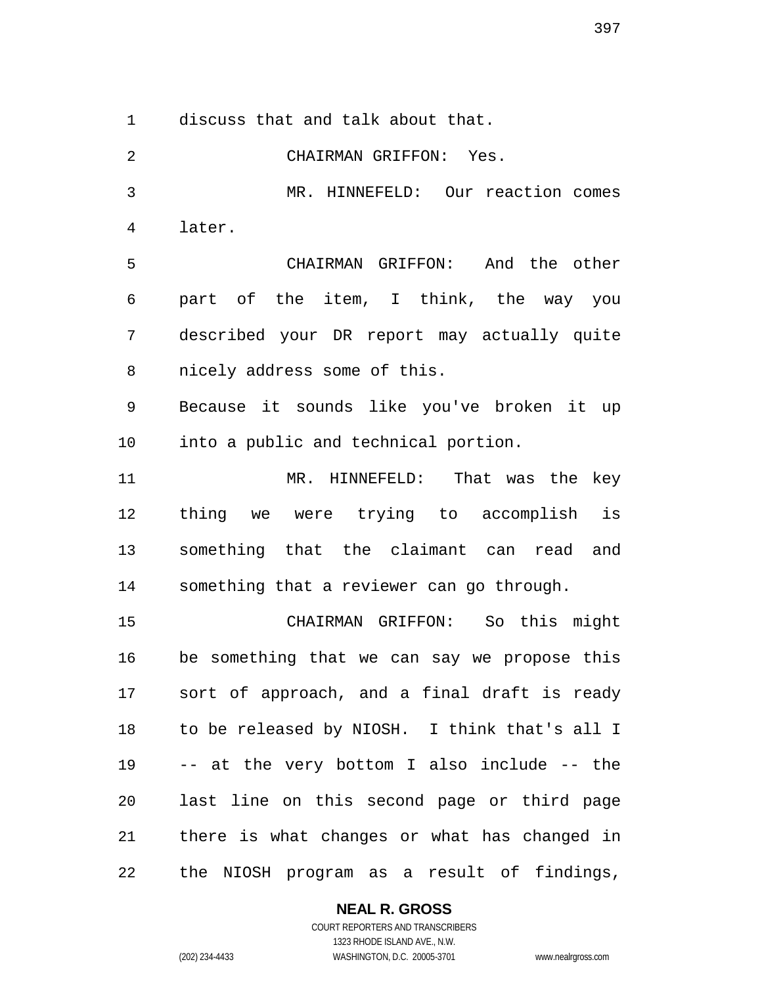discuss that and talk about that.

 CHAIRMAN GRIFFON: Yes. MR. HINNEFELD: Our reaction comes later. CHAIRMAN GRIFFON: And the other part of the item, I think, the way you described your DR report may actually quite nicely address some of this. Because it sounds like you've broken it up into a public and technical portion. MR. HINNEFELD: That was the key thing we were trying to accomplish is something that the claimant can read and something that a reviewer can go through. CHAIRMAN GRIFFON: So this might be something that we can say we propose this sort of approach, and a final draft is ready to be released by NIOSH. I think that's all I -- at the very bottom I also include -- the last line on this second page or third page there is what changes or what has changed in the NIOSH program as a result of findings,

**NEAL R. GROSS**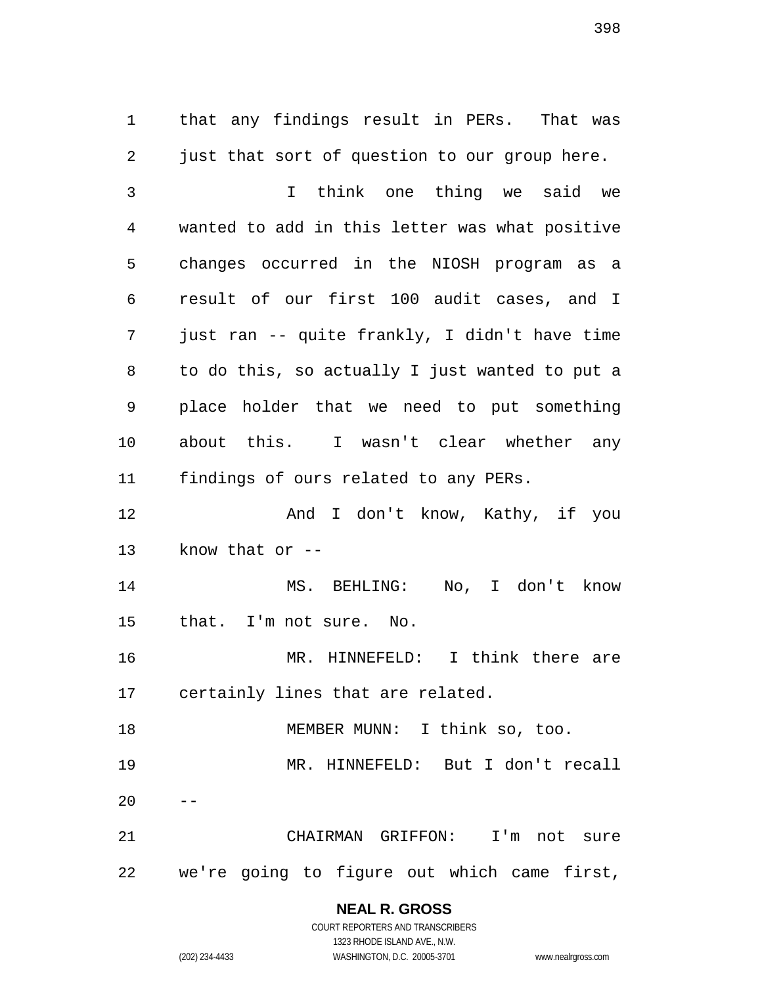that any findings result in PERs. That was just that sort of question to our group here.

 I think one thing we said we wanted to add in this letter was what positive changes occurred in the NIOSH program as a result of our first 100 audit cases, and I just ran -- quite frankly, I didn't have time to do this, so actually I just wanted to put a place holder that we need to put something about this. I wasn't clear whether any findings of ours related to any PERs.

 And I don't know, Kathy, if you know that or --

 MS. BEHLING: No, I don't know that. I'm not sure. No.

 MR. HINNEFELD: I think there are certainly lines that are related.

 MEMBER MUNN: I think so, too. MR. HINNEFELD: But I don't recall

 CHAIRMAN GRIFFON: I'm not sure we're going to figure out which came first,

> **NEAL R. GROSS** COURT REPORTERS AND TRANSCRIBERS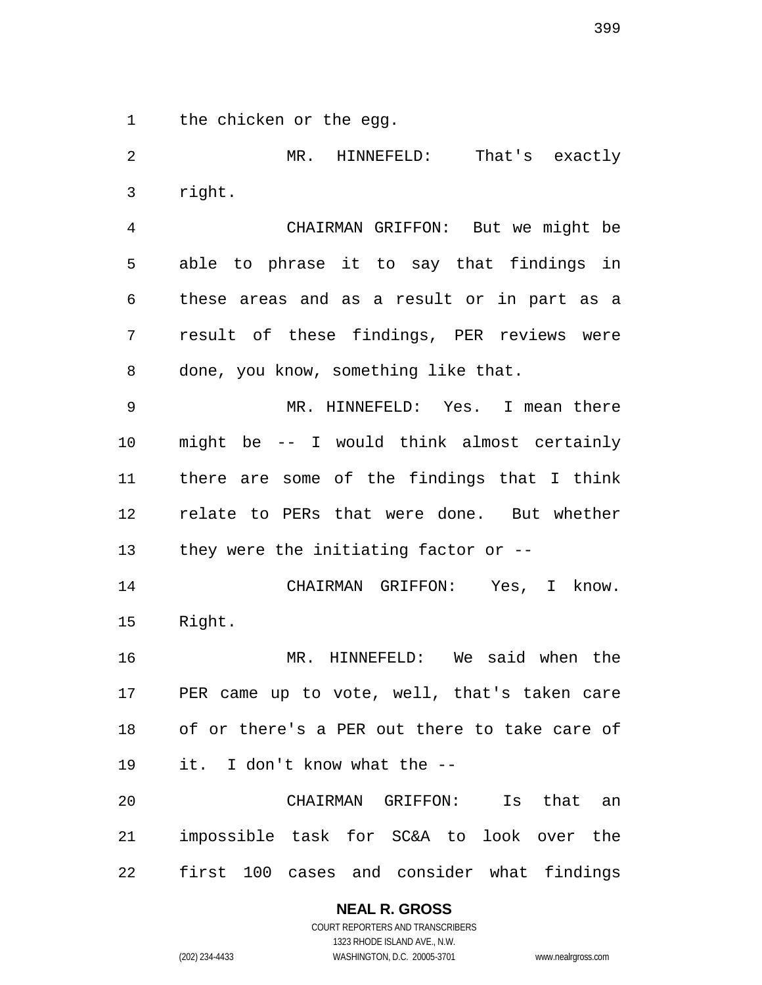the chicken or the egg.

 MR. HINNEFELD: That's exactly right. CHAIRMAN GRIFFON: But we might be able to phrase it to say that findings in these areas and as a result or in part as a result of these findings, PER reviews were done, you know, something like that. MR. HINNEFELD: Yes. I mean there might be -- I would think almost certainly there are some of the findings that I think relate to PERs that were done. But whether they were the initiating factor or -- CHAIRMAN GRIFFON: Yes, I know. Right. MR. HINNEFELD: We said when the PER came up to vote, well, that's taken care of or there's a PER out there to take care of it. I don't know what the --

 CHAIRMAN GRIFFON: Is that an impossible task for SC&A to look over the first 100 cases and consider what findings

### **NEAL R. GROSS**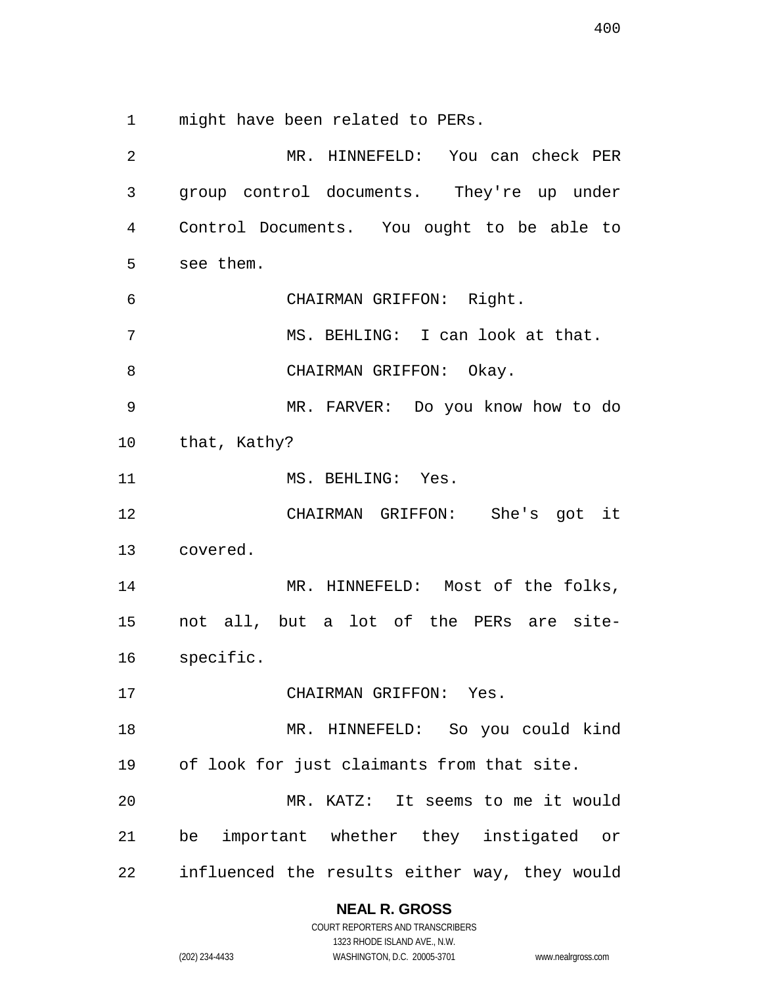might have been related to PERs.

 MR. HINNEFELD: You can check PER group control documents. They're up under Control Documents. You ought to be able to see them. CHAIRMAN GRIFFON: Right. 7 MS. BEHLING: I can look at that. 8 CHAIRMAN GRIFFON: Okay. MR. FARVER: Do you know how to do that, Kathy? 11 MS. BEHLING: Yes. CHAIRMAN GRIFFON: She's got it covered. MR. HINNEFELD: Most of the folks, not all, but a lot of the PERs are site- specific. CHAIRMAN GRIFFON: Yes. MR. HINNEFELD: So you could kind of look for just claimants from that site. MR. KATZ: It seems to me it would be important whether they instigated or influenced the results either way, they would

**NEAL R. GROSS**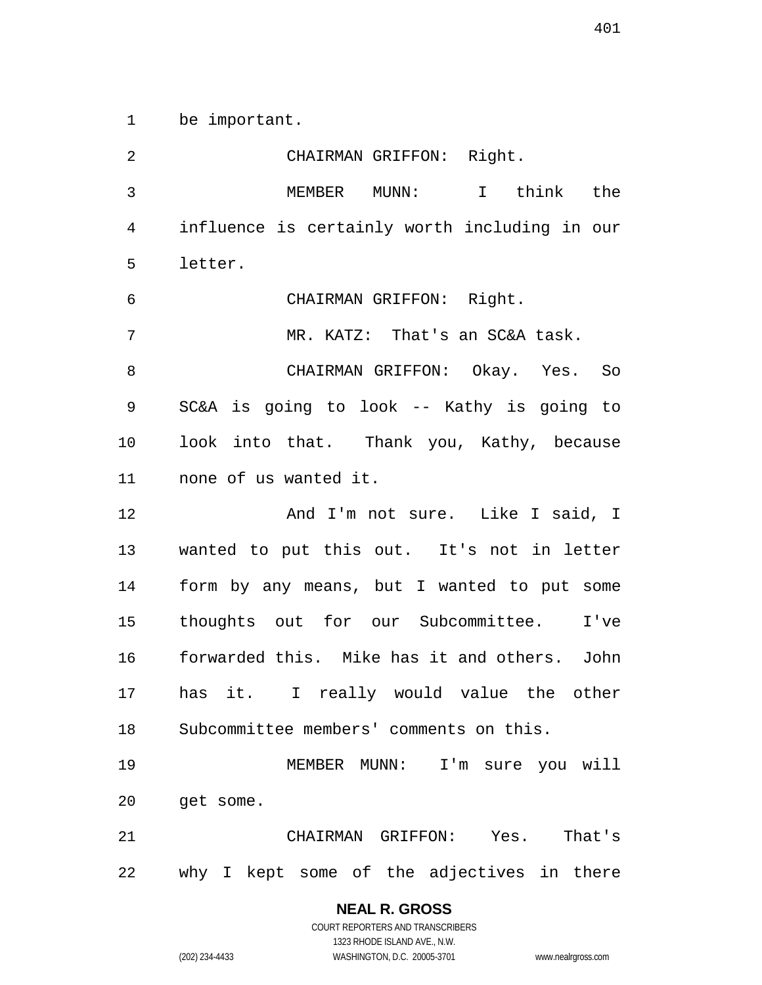be important.

 CHAIRMAN GRIFFON: Right. MEMBER MUNN: I think the influence is certainly worth including in our letter. CHAIRMAN GRIFFON: Right. 7 MR. KATZ: That's an SC&A task. CHAIRMAN GRIFFON: Okay. Yes. So SC&A is going to look -- Kathy is going to look into that. Thank you, Kathy, because none of us wanted it. **And I'm not sure.** Like I said, I wanted to put this out. It's not in letter form by any means, but I wanted to put some thoughts out for our Subcommittee. I've forwarded this. Mike has it and others. John has it. I really would value the other Subcommittee members' comments on this. MEMBER MUNN: I'm sure you will get some. CHAIRMAN GRIFFON: Yes. That's why I kept some of the adjectives in there

> **NEAL R. GROSS** COURT REPORTERS AND TRANSCRIBERS

1323 RHODE ISLAND AVE., N.W. (202) 234-4433 WASHINGTON, D.C. 20005-3701 www.nealrgross.com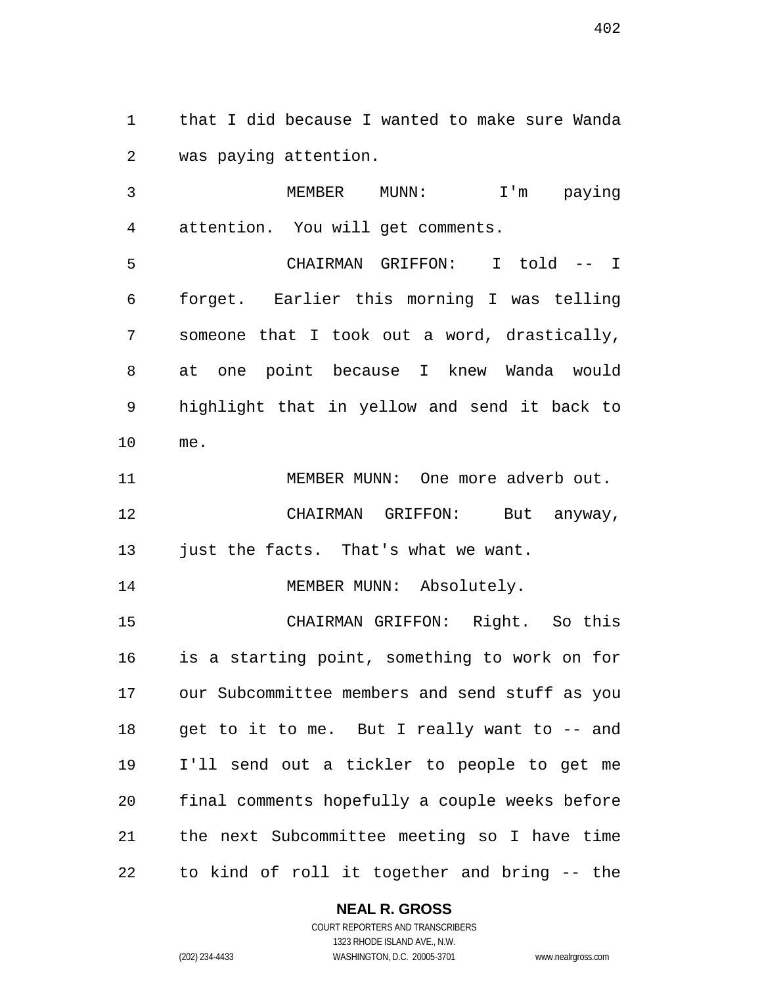that I did because I wanted to make sure Wanda was paying attention.

 MEMBER MUNN: I'm paying attention. You will get comments.

 CHAIRMAN GRIFFON: I told -- I forget. Earlier this morning I was telling someone that I took out a word, drastically, at one point because I knew Wanda would highlight that in yellow and send it back to me.

11 MEMBER MUNN: One more adverb out. CHAIRMAN GRIFFON: But anyway, 13 just the facts. That's what we want.

14 MEMBER MUNN: Absolutely.

 CHAIRMAN GRIFFON: Right. So this is a starting point, something to work on for our Subcommittee members and send stuff as you 18 get to it to me. But I really want to -- and I'll send out a tickler to people to get me final comments hopefully a couple weeks before the next Subcommittee meeting so I have time to kind of roll it together and bring -- the

### **NEAL R. GROSS**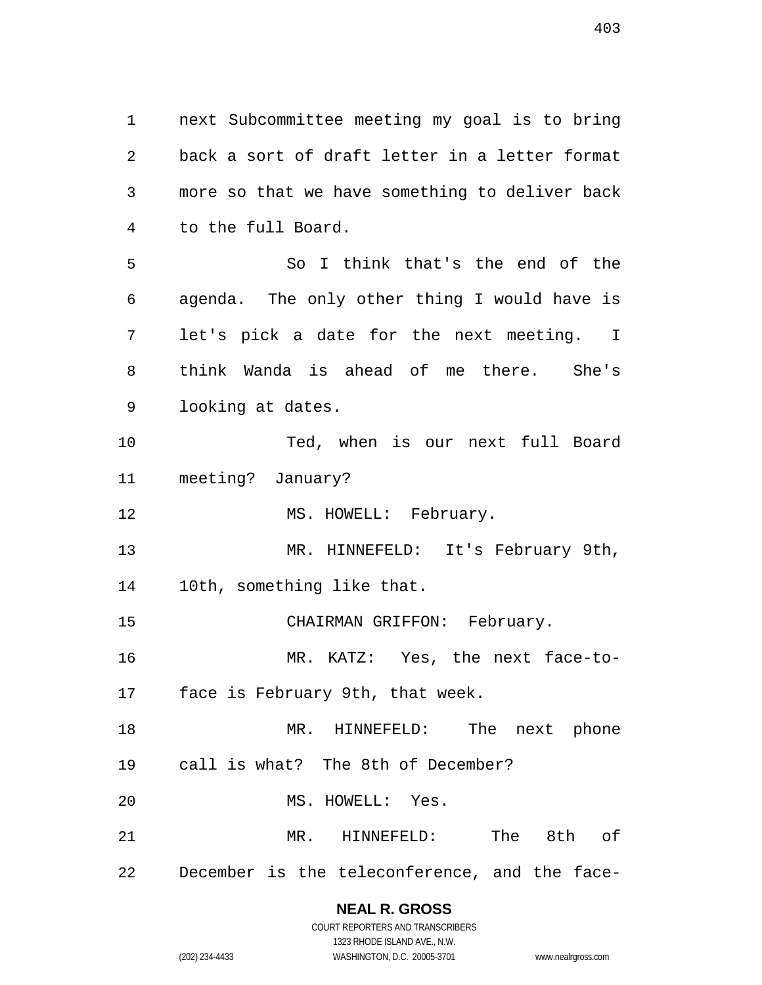next Subcommittee meeting my goal is to bring back a sort of draft letter in a letter format more so that we have something to deliver back to the full Board.

 So I think that's the end of the agenda. The only other thing I would have is let's pick a date for the next meeting. I think Wanda is ahead of me there. She's looking at dates.

 Ted, when is our next full Board meeting? January?

12 MS. HOWELL: February.

 MR. HINNEFELD: It's February 9th, 10th, something like that.

15 CHAIRMAN GRIFFON: February.

MR. KATZ: Yes, the next face-to-

face is February 9th, that week.

 MR. HINNEFELD: The next phone call is what? The 8th of December?

MS. HOWELL: Yes.

MR. HINNEFELD: The 8th of

December is the teleconference, and the face-

# **NEAL R. GROSS**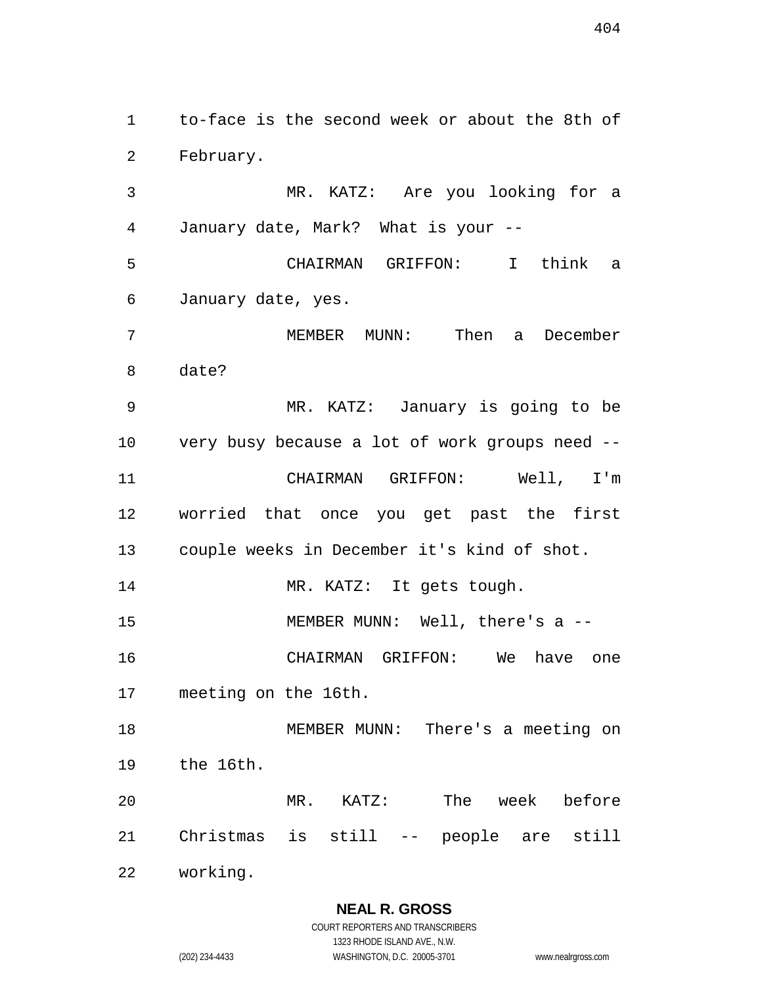to-face is the second week or about the 8th of February.

 MR. KATZ: Are you looking for a January date, Mark? What is your --

 CHAIRMAN GRIFFON: I think a January date, yes.

 MEMBER MUNN: Then a December date?

 MR. KATZ: January is going to be very busy because a lot of work groups need -- CHAIRMAN GRIFFON: Well, I'm worried that once you get past the first couple weeks in December it's kind of shot.

14 MR. KATZ: It gets tough.

15 MEMBER MUNN: Well, there's a --

 CHAIRMAN GRIFFON: We have one meeting on the 16th.

 MEMBER MUNN: There's a meeting on the 16th.

 MR. KATZ: The week before Christmas is still -- people are still

working.

**NEAL R. GROSS** COURT REPORTERS AND TRANSCRIBERS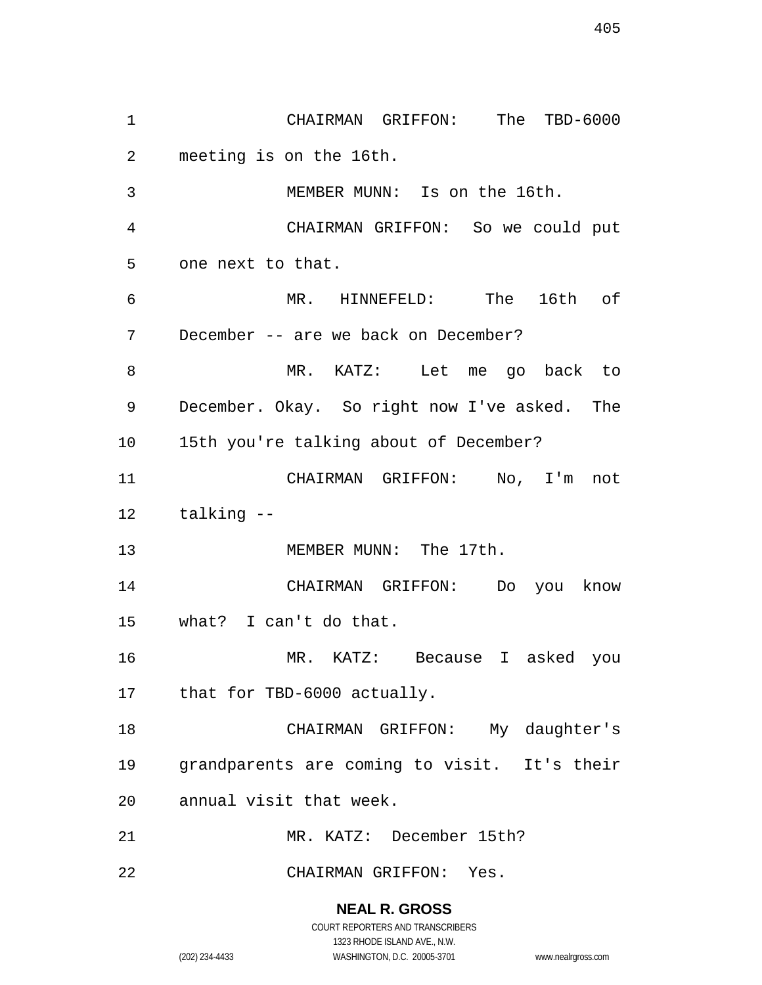CHAIRMAN GRIFFON: The TBD-6000 meeting is on the 16th. MEMBER MUNN: Is on the 16th. CHAIRMAN GRIFFON: So we could put one next to that. MR. HINNEFELD: The 16th of December -- are we back on December? MR. KATZ: Let me go back to December. Okay. So right now I've asked. The 15th you're talking about of December? CHAIRMAN GRIFFON: No, I'm not talking -- 13 MEMBER MUNN: The 17th. CHAIRMAN GRIFFON: Do you know what? I can't do that. MR. KATZ: Because I asked you that for TBD-6000 actually. CHAIRMAN GRIFFON: My daughter's grandparents are coming to visit. It's their annual visit that week. MR. KATZ: December 15th? CHAIRMAN GRIFFON: Yes.

> **NEAL R. GROSS** COURT REPORTERS AND TRANSCRIBERS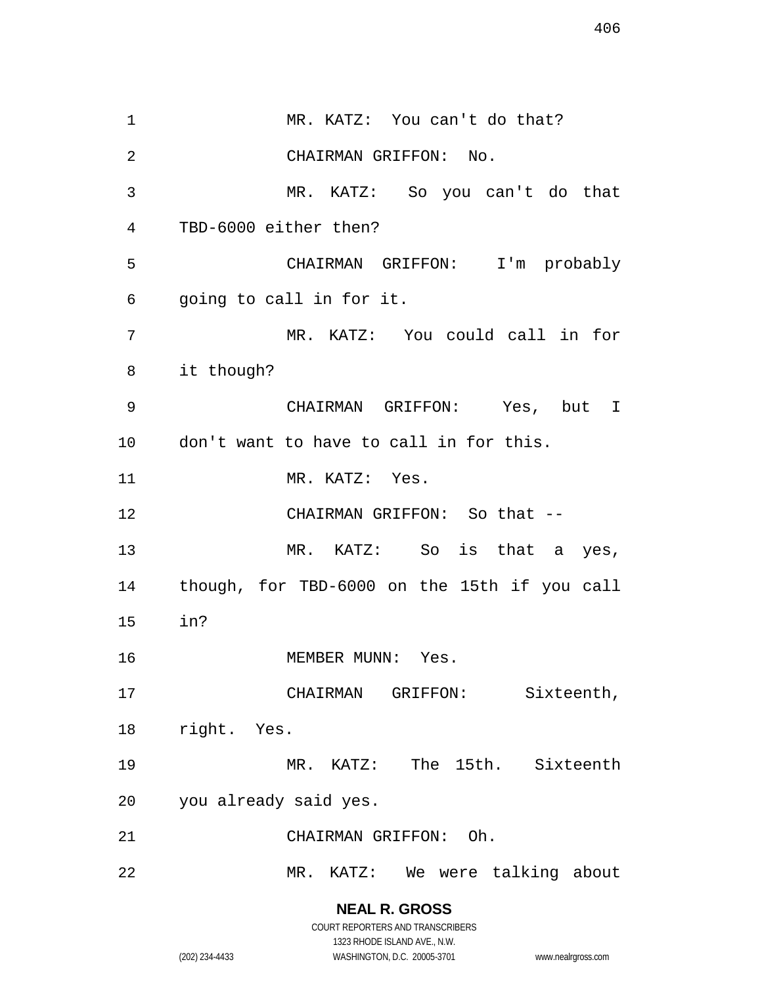MR. KATZ: You can't do that? CHAIRMAN GRIFFON: No. MR. KATZ: So you can't do that TBD-6000 either then? CHAIRMAN GRIFFON: I'm probably going to call in for it. MR. KATZ: You could call in for it though? CHAIRMAN GRIFFON: Yes, but I don't want to have to call in for this. 11 MR. KATZ: Yes. CHAIRMAN GRIFFON: So that -- MR. KATZ: So is that a yes, though, for TBD-6000 on the 15th if you call in? 16 MEMBER MUNN: Yes. CHAIRMAN GRIFFON: Sixteenth, right. Yes. MR. KATZ: The 15th. Sixteenth you already said yes. CHAIRMAN GRIFFON: Oh. MR. KATZ: We were talking about

> **NEAL R. GROSS** COURT REPORTERS AND TRANSCRIBERS

> > 1323 RHODE ISLAND AVE., N.W.

(202) 234-4433 WASHINGTON, D.C. 20005-3701 www.nealrgross.com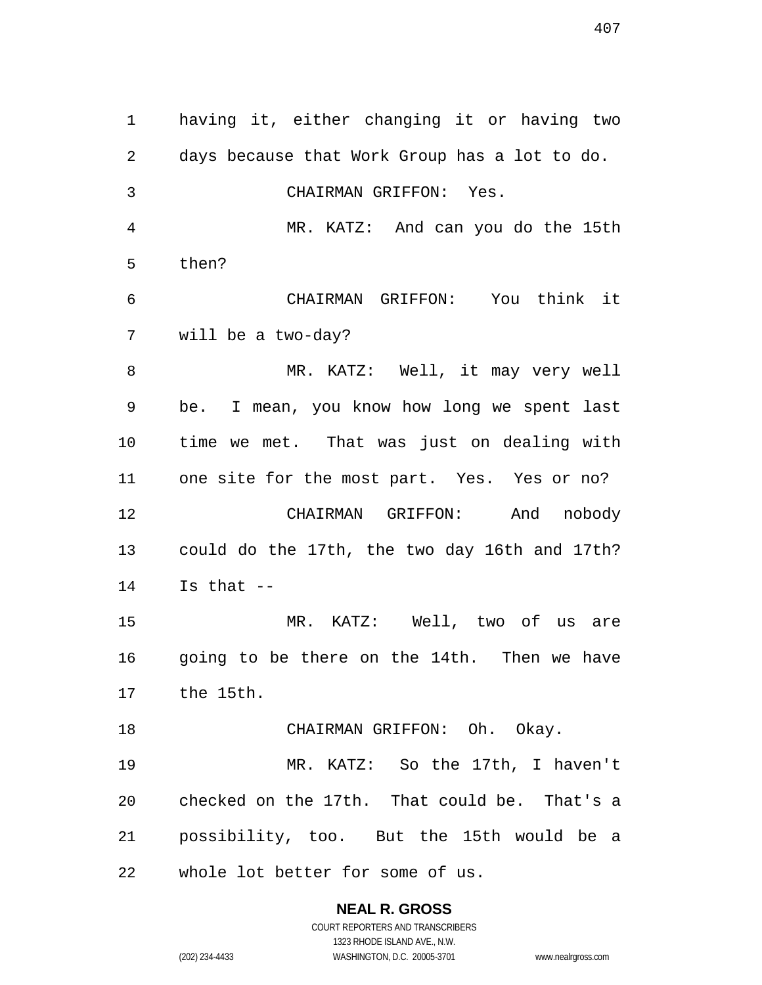having it, either changing it or having two days because that Work Group has a lot to do. CHAIRMAN GRIFFON: Yes. MR. KATZ: And can you do the 15th then? CHAIRMAN GRIFFON: You think it will be a two-day? MR. KATZ: Well, it may very well be. I mean, you know how long we spent last time we met. That was just on dealing with one site for the most part. Yes. Yes or no? CHAIRMAN GRIFFON: And nobody could do the 17th, the two day 16th and 17th? Is that -- MR. KATZ: Well, two of us are going to be there on the 14th. Then we have the 15th. 18 CHAIRMAN GRIFFON: Oh. Okay. MR. KATZ: So the 17th, I haven't checked on the 17th. That could be. That's a possibility, too. But the 15th would be a whole lot better for some of us.

> **NEAL R. GROSS** COURT REPORTERS AND TRANSCRIBERS

1323 RHODE ISLAND AVE., N.W. (202) 234-4433 WASHINGTON, D.C. 20005-3701 www.nealrgross.com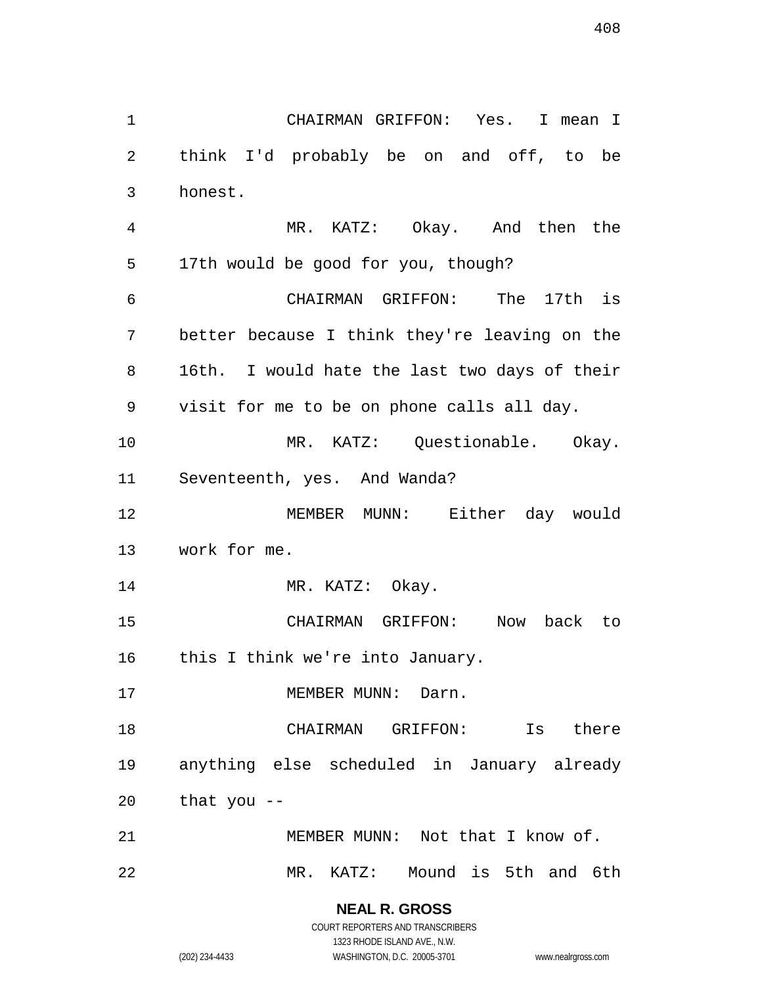CHAIRMAN GRIFFON: Yes. I mean I think I'd probably be on and off, to be honest. MR. KATZ: Okay. And then the 17th would be good for you, though? CHAIRMAN GRIFFON: The 17th is better because I think they're leaving on the 16th. I would hate the last two days of their visit for me to be on phone calls all day. MR. KATZ: Questionable. Okay. Seventeenth, yes. And Wanda? MEMBER MUNN: Either day would work for me. 14 MR. KATZ: Okay. CHAIRMAN GRIFFON: Now back to 16 this I think we're into January. 17 MEMBER MUNN: Darn. CHAIRMAN GRIFFON: Is there anything else scheduled in January already that you -- MEMBER MUNN: Not that I know of. MR. KATZ: Mound is 5th and 6th

> **NEAL R. GROSS** COURT REPORTERS AND TRANSCRIBERS

> > 1323 RHODE ISLAND AVE., N.W.

(202) 234-4433 WASHINGTON, D.C. 20005-3701 www.nealrgross.com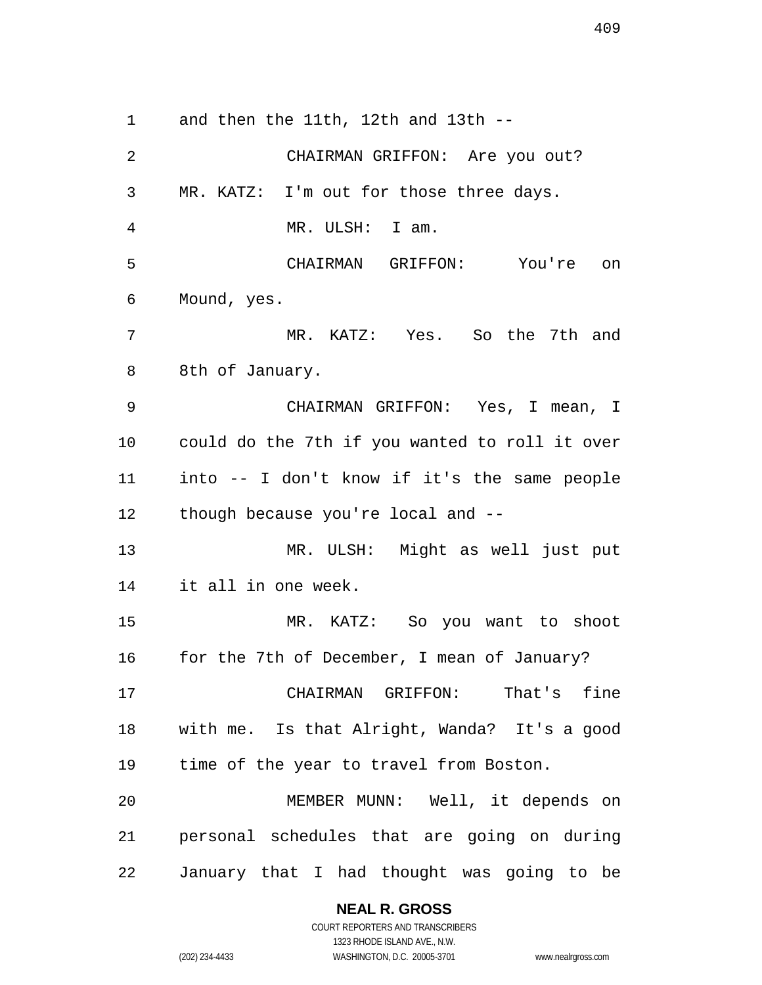and then the 11th, 12th and 13th --

 CHAIRMAN GRIFFON: Are you out? MR. KATZ: I'm out for those three days. MR. ULSH: I am. CHAIRMAN GRIFFON: You're on Mound, yes. MR. KATZ: Yes. So the 7th and 8th of January. CHAIRMAN GRIFFON: Yes, I mean, I could do the 7th if you wanted to roll it over into -- I don't know if it's the same people though because you're local and -- MR. ULSH: Might as well just put it all in one week. MR. KATZ: So you want to shoot for the 7th of December, I mean of January? CHAIRMAN GRIFFON: That's fine with me. Is that Alright, Wanda? It's a good time of the year to travel from Boston. MEMBER MUNN: Well, it depends on personal schedules that are going on during January that I had thought was going to be

### **NEAL R. GROSS**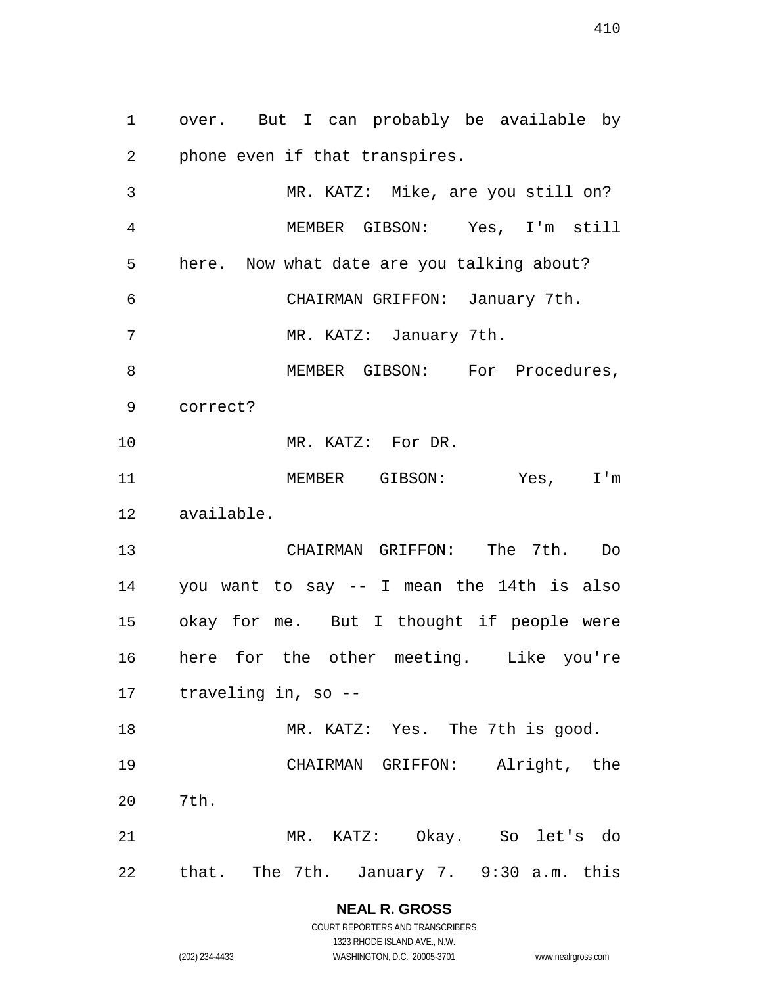over. But I can probably be available by phone even if that transpires.

 MR. KATZ: Mike, are you still on? MEMBER GIBSON: Yes, I'm still here. Now what date are you talking about? CHAIRMAN GRIFFON: January 7th. MR. KATZ: January 7th. 8 MEMBER GIBSON: For Procedures, correct? MR. KATZ: For DR. MEMBER GIBSON: Yes, I'm available. CHAIRMAN GRIFFON: The 7th. Do you want to say -- I mean the 14th is also okay for me. But I thought if people were here for the other meeting. Like you're traveling in, so -- 18 MR. KATZ: Yes. The 7th is good. CHAIRMAN GRIFFON: Alright, the 7th. MR. KATZ: Okay. So let's do that. The 7th. January 7. 9:30 a.m. this

#### **NEAL R. GROSS** COURT REPORTERS AND TRANSCRIBERS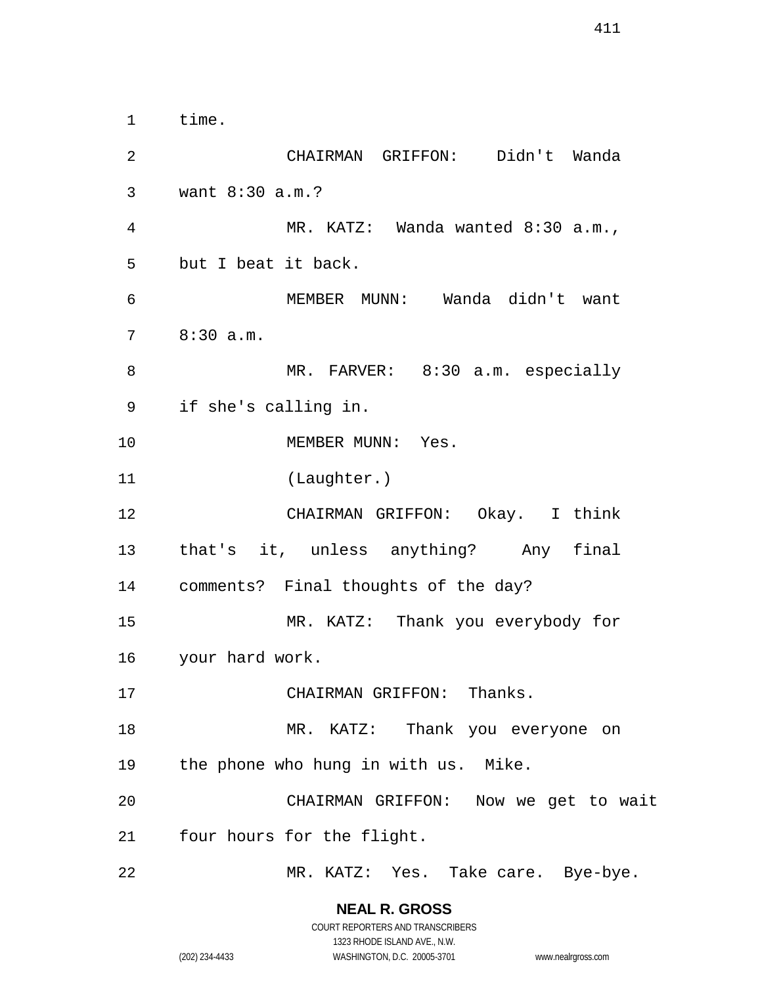time. CHAIRMAN GRIFFON: Didn't Wanda want 8:30 a.m.? MR. KATZ: Wanda wanted 8:30 a.m., but I beat it back. MEMBER MUNN: Wanda didn't want 8:30 a.m. 8 MR. FARVER: 8:30 a.m. especially if she's calling in. 10 MEMBER MUNN: Yes. (Laughter.) CHAIRMAN GRIFFON: Okay. I think that's it, unless anything? Any final comments? Final thoughts of the day? MR. KATZ: Thank you everybody for your hard work. 17 CHAIRMAN GRIFFON: Thanks. MR. KATZ: Thank you everyone on the phone who hung in with us. Mike. CHAIRMAN GRIFFON: Now we get to wait four hours for the flight. MR. KATZ: Yes. Take care. Bye-bye.

> **NEAL R. GROSS** COURT REPORTERS AND TRANSCRIBERS

> > 1323 RHODE ISLAND AVE., N.W.

(202) 234-4433 WASHINGTON, D.C. 20005-3701 www.nealrgross.com